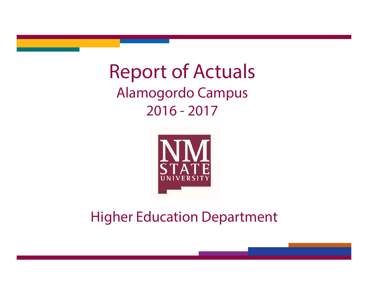# Report of Actuals Alamogordo Campus 2016 - 2017



## Higher Education Department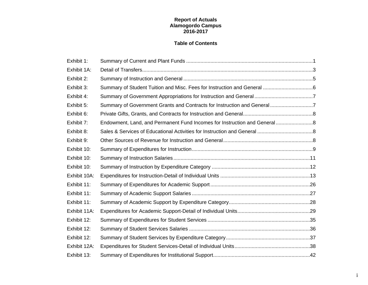#### **Report of Actuals Alamogordo Campus 2016-2017**

#### **Table of Contents**

| Exhibit 1:   |                                                                           |  |
|--------------|---------------------------------------------------------------------------|--|
| Exhibit 1A:  |                                                                           |  |
| Exhibit 2:   |                                                                           |  |
| Exhibit 3:   |                                                                           |  |
| Exhibit 4:   |                                                                           |  |
| Exhibit 5:   | Summary of Government Grants and Contracts for Instruction and General7   |  |
| Exhibit 6:   |                                                                           |  |
| Exhibit 7:   | Endowment, Land, and Permanent Fund Incomes for Instruction and General 8 |  |
| Exhibit 8:   |                                                                           |  |
| Exhibit 9:   |                                                                           |  |
| Exhibit 10:  |                                                                           |  |
| Exhibit 10:  |                                                                           |  |
| Exhibit 10:  |                                                                           |  |
| Exhibit 10A: |                                                                           |  |
| Exhibit 11:  |                                                                           |  |
| Exhibit 11:  |                                                                           |  |
| Exhibit 11:  |                                                                           |  |
| Exhibit 11A: |                                                                           |  |
| Exhibit 12:  |                                                                           |  |
| Exhibit 12:  |                                                                           |  |
| Exhibit 12:  |                                                                           |  |
| Exhibit 12A: |                                                                           |  |
| Exhibit 13:  |                                                                           |  |

i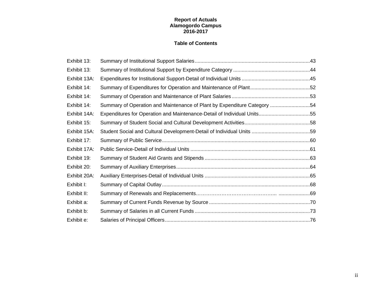#### **Report of Actuals Alamogordo Campus 2016-2017**

#### **Table of Contents**

| Exhibit 13:  |                                                                          |  |
|--------------|--------------------------------------------------------------------------|--|
| Exhibit 13:  |                                                                          |  |
| Exhibit 13A: |                                                                          |  |
| Exhibit 14:  |                                                                          |  |
| Exhibit 14:  |                                                                          |  |
| Exhibit 14:  | Summary of Operation and Maintenance of Plant by Expenditure Category 54 |  |
| Exhibit 14A: | Expenditures for Operation and Maintenance-Detail of Individual Units55  |  |
| Exhibit 15:  |                                                                          |  |
| Exhibit 15A: |                                                                          |  |
| Exhibit 17:  |                                                                          |  |
| Exhibit 17A: |                                                                          |  |
| Exhibit 19:  |                                                                          |  |
| Exhibit 20:  |                                                                          |  |
| Exhibit 20A: |                                                                          |  |
| Exhibit I:   |                                                                          |  |
| Exhibit II:  |                                                                          |  |
| Exhibit a:   |                                                                          |  |
| Exhibit b:   |                                                                          |  |
| Exhibit e:   |                                                                          |  |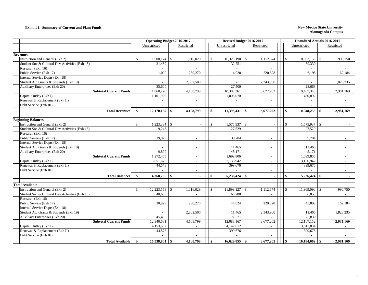#### **Exhibit 1. Summary of Current and Plant Funds New Mexico State University**

|                                                | <b>Operating Budget 2016-2017</b> |              |               |                          | Revised Budget 2016-2017 |                             | <b>Unaudited Actuals 2016-2017</b> |              |                        |            |  |
|------------------------------------------------|-----------------------------------|--------------|---------------|--------------------------|--------------------------|-----------------------------|------------------------------------|--------------|------------------------|------------|--|
|                                                |                                   | Unrestricted |               | Restricted               |                          | Unrestricted                | Restricted                         |              | Unrestricted           | Restricted |  |
|                                                |                                   |              |               |                          |                          |                             |                                    |              |                        |            |  |
| <b>Revenues</b>                                |                                   |              |               |                          |                          |                             |                                    |              |                        |            |  |
| Instruction and General (Exh 2)                | <sup>\$</sup>                     | 11,000,174   | $\mathbb{S}$  | 1,016,029                | $\mathbb{S}$             | $10,323,190$ \$             | 1,112,674                          | \$.          | 10,393,153<br><b>S</b> | 990,750    |  |
| Student Soc & Cultural Dev Activities (Exh 15) |                                   | 31,452       |               |                          |                          | 32,751                      |                                    |              | 39,330                 |            |  |
| Research (Exh 16)                              |                                   |              |               |                          |                          | $\sim$                      |                                    |              | $\overline{a}$         |            |  |
| Public Service (Exh 17)                        |                                   | 1.000        |               | 230,270                  |                          | 4.920                       | 220,628                            |              | 6,195                  | 162,184    |  |
| Internal Service Depts (Exh 18)                |                                   |              |               |                          |                          | $\sim$                      |                                    |              | $\sim$                 |            |  |
| Student Aid Grants & Stipends (Exh 19)         |                                   |              |               | 2,862,500                |                          | $\sim$                      | 2,343,900                          |              | $\sim$                 | 1,828,235  |  |
| Auxiliary Enterprises (Exh 20)                 |                                   | 35,600       |               |                          |                          | 27,500                      |                                    |              | 28,668                 |            |  |
| <b>Subtotal Current Funds</b>                  |                                   | 11,068,226   |               | 4,108,799                |                          | 10,388,361                  | 3,677,202                          |              | 10,467,346             | 2,981,169  |  |
| Capital Outlay (Exh I)                         |                                   | 1,101,929    |               |                          |                          | 1,005,070                   |                                    |              | 480,892                |            |  |
| Renewal & Replacement (Exh II)                 |                                   |              |               | $\sim$                   |                          | $\mathcal{L}_{\mathcal{A}}$ |                                    |              |                        |            |  |
| Debt Service (Exh III)                         |                                   |              |               |                          |                          |                             |                                    |              |                        |            |  |
| <b>Total Revenues</b>                          | S,                                | 12,170,155   | - \$          | 4,108,799                | $\mathbf{s}$             | 11,393,431                  | <b>S</b><br>3,677,202              | \$           | 10,948,238<br>- \$     | 2,981,169  |  |
|                                                |                                   |              |               |                          |                          |                             |                                    |              |                        |            |  |
| <b>Beginning Balances</b>                      |                                   |              |               |                          |                          |                             |                                    |              |                        |            |  |
| Instruction and General (Exh 2)                | $\mathbb{S}$                      | 1,223,384    | $\mathcal{S}$ | $\overline{a}$           | $\mathbb{S}$             |                             |                                    | $\mathbb{S}$ |                        |            |  |
| Student Soc & Cultural Dev Activities (Exh 15) |                                   | 9,243        |               | $\sim$                   |                          | 27,529                      | $\sim$                             |              | 27,529                 | $\sim$     |  |
| Research (Exh 16)                              |                                   |              |               | $\overline{\phantom{a}}$ |                          | $\sim$                      | $\sim$                             |              |                        | $\sim$     |  |
| Public Service (Exh 17)                        |                                   | 29,929       |               | $\sim$                   |                          | 39,704                      | $\sim$                             |              | 39,704                 | $\sim$     |  |
| Internal Service Depts (Exh 18)                |                                   |              |               | $\overline{\phantom{a}}$ |                          | $\sim$                      | $\overline{\phantom{a}}$           |              | $\sim$                 | $\sim$     |  |
| Student Aid Grants & Stipends (Exh 19)         |                                   |              |               | $\overline{\phantom{a}}$ |                          | 11,465                      |                                    |              | 11,465                 |            |  |
| <b>Auxiliary Enterprises (Exh 20)</b>          |                                   | 9.899        |               | $\sim$                   |                          | 45,171                      | $\sim$                             |              | 45,171                 |            |  |
| <b>Subtotal Current Funds</b>                  |                                   | 1,272,455    |               | $\sim$                   |                          | 1,699,806                   | $\sim$                             |              | 1,699,806              | $\sim$     |  |
| Capital Outlay (Exh I)                         |                                   | 3,051,673    |               | $\sim$                   |                          | 3,136,942                   | $\sim$                             |              | 3,136,942              | $\sim$     |  |
| Renewal & Replacement (Exh II)                 |                                   | 44,578       |               | $\sim$                   |                          | 399,676                     | $\overline{\phantom{a}}$           |              | 399,676                | $\sim$     |  |
| Debt Service (Exh III)                         |                                   |              |               | $\overline{\phantom{a}}$ |                          |                             | $\overline{\phantom{a}}$           |              |                        | $\sim$     |  |
| <b>Total Balances</b>                          | $\mathbf{s}$                      | 4,368,706    | \$            |                          | \$                       | $5,236,424$ \\$             |                                    | \$           | $5,236,424$ \\$        |            |  |
| <b>Total Available</b>                         |                                   |              |               |                          |                          |                             |                                    |              |                        |            |  |
| Instruction and General (Exh 2)                | $\mathcal{S}$                     |              |               | 1,016,029                | $\mathcal{S}$            |                             | 1,112,674                          | \$           | $11,969,090$ \$        | 990,750    |  |
| Student Soc & Cultural Dev Activities (Exh 15) |                                   | 40,695       |               |                          |                          | 60,280                      |                                    |              | 66,859                 |            |  |
| Research (Exh 16)                              |                                   |              |               |                          |                          | $\overline{\phantom{a}}$    |                                    |              |                        |            |  |
| Public Service (Exh 17)                        |                                   | 30,929       |               | 230,270                  |                          | 44,624                      | 220,628                            |              | 45,899                 | 162,184    |  |
| Internal Service Depts (Exh 18)                |                                   |              |               |                          |                          |                             |                                    |              |                        |            |  |
| Student Aid Grants & Stipends (Exh 19)         |                                   |              |               | 2,862,500                |                          | 11,465                      | 2,343,900                          |              | 11,465                 | 1,828,235  |  |
| Auxiliary Enterprises (Exh 20)                 |                                   | 45,499       |               |                          |                          | 72,671                      |                                    |              | 73,839                 |            |  |
| <b>Subtotal Current Funds</b>                  |                                   | 12,340,681   |               | 4,108,799                |                          | 12,088,167                  | 3,677,202                          |              | 12,167,152             | 2,981,169  |  |
| Capital Outlay (Exh I)                         |                                   | 4,153,602    |               | $\overline{\phantom{a}}$ |                          | 4,142,012                   |                                    |              | 3,617,834              |            |  |
| Renewal & Replacement (Exh II)                 |                                   | 44,578       |               | $\sim$                   |                          | 399,676                     | $\overline{\phantom{a}}$           |              | 399,676                | $\sim$     |  |
| Debt Service (Exh III)                         |                                   |              |               |                          |                          |                             |                                    |              |                        |            |  |
| <b>Total Available</b>                         | \$                                | 16,538,861   | -\$           | 4,108,799                | $\mathbf{\$}$            | $16,629,855$ \$             | 3,677,202                          | \$           |                        | 2,981,169  |  |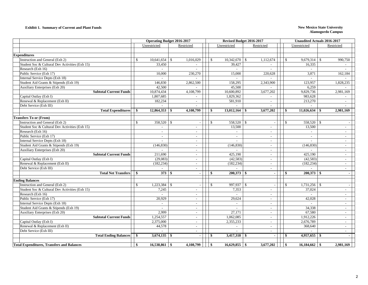#### **Exhibit 1. Summary of Current and Plant Funds New Mexico State University**

|                                                   | <b>Operating Budget 2016-2017</b> |                 |               |                          |               | Revised Budget 2016-2017 |                          |      |                 | <b>Unaudited Actuals 2016-2017</b> |                          |  |
|---------------------------------------------------|-----------------------------------|-----------------|---------------|--------------------------|---------------|--------------------------|--------------------------|------|-----------------|------------------------------------|--------------------------|--|
|                                                   |                                   | Unrestricted    |               | Restricted               |               | Unrestricted             | Restricted               |      | Unrestricted    | Restricted                         |                          |  |
|                                                   |                                   |                 |               |                          |               |                          |                          |      |                 |                                    |                          |  |
| <b>Expenditures</b>                               |                                   |                 |               |                          |               |                          |                          |      |                 |                                    |                          |  |
| Instruction and General (Exh 2)                   | \$                                | 10,641,654      | <sup>\$</sup> | 1,016,029                | $\mathcal{S}$ | 10,342,670<br>\$         | 1,112,674                | \$   | 9,679,314       | S.                                 | 990,750                  |  |
| Student Soc & Cultural Dev Activities (Exh 15)    |                                   | 33,450          |               | $\sim$                   |               | 39,427                   | $\sim$                   |      | 16,335          |                                    |                          |  |
| Research (Exh 16)                                 |                                   |                 |               |                          |               | $\sim$                   |                          |      |                 |                                    |                          |  |
| Public Service (Exh 17)                           |                                   | 10,000          |               | 230,270                  |               | 15,000                   | 220,628                  |      | 3,871           |                                    | 162,184                  |  |
| Internal Service Depts (Exh 18)                   |                                   |                 |               |                          |               |                          |                          |      |                 |                                    |                          |  |
| Student Aid Grants & Stipends (Exh 19)            |                                   | 146,830         |               | 2,862,500                |               | 158,295                  | 2,343,900                |      | 123,957         |                                    | 1,828,235                |  |
| Auxiliary Enterprises (Exh 20)                    |                                   | 42,500          |               |                          |               | 45,500                   |                          |      | 6,259           |                                    |                          |  |
| <b>Subtotal Current Funds</b>                     |                                   | 10,874,434      |               | 4,108,799                |               | 10,600,892               | 3,677,202                |      | 9,829,736       |                                    | 2,981,169                |  |
| Capital Outlay (Exh I)                            |                                   | 1,807,685       |               |                          |               | 1,829,362                |                          |      | 983,628         |                                    |                          |  |
| Renewal & Replacement (Exh II)                    |                                   | 182,234         |               | $\sim$                   |               | 581.910                  | $\sim$                   |      | 213,270         |                                    | $\sim$                   |  |
| Debt Service (Exh III)                            |                                   |                 |               | $\sim$                   |               |                          |                          |      |                 |                                    |                          |  |
| <b>Total Expenditures</b>                         | \$                                | 12,864,353      | - \$          | 4,108,799                | S.            | $13,012,164$ \$          | 3,677,202                | - \$ | 11,026,634      | - S                                | 2,981,169                |  |
| <b>Transfers To or (From)</b>                     |                                   |                 |               |                          |               |                          |                          |      |                 |                                    |                          |  |
| Instruction and General (Exh 2)                   | \$.                               | 358,520         | -\$           |                          | \$            | 558,520 \$               |                          | \$   | 558,520         | - \$                               |                          |  |
| Student Soc & Cultural Dev Activities (Exh 15)    |                                   |                 |               | $\sim$                   |               | 13,500                   |                          |      | 13,500          |                                    |                          |  |
| Research (Exh 16)                                 |                                   | $\sim$          |               | $\sim$                   |               | $\sim$                   | $\sim$                   |      | $\sim$          |                                    | $\sim$                   |  |
| Public Service (Exh 17)                           |                                   | $\sim$          |               | $\sim$                   |               | $\sim$                   | $\sim$                   |      | $\sim$          |                                    | $\sim$                   |  |
| Internal Service Depts (Exh 18)                   |                                   |                 |               | $\sim$                   |               |                          | $\sim$                   |      |                 |                                    | $\sim$                   |  |
| Student Aid Grants & Stipends (Exh 19)            |                                   | (146, 830)      |               | $\overline{\phantom{a}}$ |               | (146, 830)               | $\sim$                   |      | (146, 830)      |                                    | $\sim$                   |  |
| Auxiliary Enterprises (Exh 20)                    |                                   |                 |               | $\sim$                   |               | $\sim$                   | $\sim$                   |      | $\overline{a}$  |                                    | $\overline{\phantom{a}}$ |  |
| <b>Subtotal Current Funds</b>                     |                                   | 211,690         |               | $\sim$                   |               | 425,190                  | $\sim$                   |      | 425,190         |                                    | $\sim$                   |  |
| Capital Outlay (Exh I)                            |                                   | (29,083)        |               | $\sim$                   |               | (42, 583)                | $\sim$                   |      | (42, 583)       |                                    | $\sim$                   |  |
| Renewal & Replacement (Exh II)                    |                                   | (182, 234)      |               | $\sim$                   |               | (182, 234)               | $\overline{\phantom{a}}$ |      | (182, 234)      |                                    | $\overline{\phantom{a}}$ |  |
| Debt Service (Exh III)                            |                                   |                 |               |                          |               |                          |                          |      |                 |                                    |                          |  |
| <b>Total Net Transfers</b>                        | -\$                               | 373S            |               |                          | -\$           |                          |                          | \$   |                 |                                    | $\blacksquare$           |  |
| <b>Ending Balances</b>                            |                                   |                 |               |                          |               |                          |                          |      |                 |                                    |                          |  |
| Instruction and General (Exh 2)                   | $\mathcal{S}$                     | 1,223,384       | - \$          |                          | $\mathbb{S}$  | 997,937<br>$\mathbb{S}$  |                          | S.   | 1,731,256       | <b>S</b>                           |                          |  |
| Student Soc & Cultural Dev Activities (Exh 15)    |                                   | 7,245           |               | $\sim$                   |               | 7,353                    |                          |      | 37,024          |                                    | $\sim$                   |  |
| Research (Exh 16)                                 |                                   |                 |               | $\sim$                   |               |                          | $\overline{\phantom{a}}$ |      |                 |                                    | $\sim$                   |  |
| Public Service (Exh 17)                           |                                   | 20,929          |               | $\sim$                   |               | 29,624                   | $\overline{\phantom{a}}$ |      | 42,028          |                                    | $\sim$                   |  |
| Internal Service Depts (Exh 18)                   |                                   |                 |               | $\sim$                   |               | $\sim$                   | $\sim$                   |      |                 |                                    | $\sim$                   |  |
| Student Aid Grants & Stipends (Exh 19)            |                                   |                 |               | $\sim$                   |               |                          | $\sim$                   |      | 34,338          |                                    | $\sim$                   |  |
| Auxiliary Enterprises (Exh 20)                    |                                   | 2,999           |               | $\overline{\phantom{a}}$ |               | 27,171                   | $\sim$                   |      | 67,580          |                                    | $\sim$                   |  |
| <b>Subtotal Current Funds</b>                     |                                   | 1,254,557       |               | $\sim$                   |               | 1,062,085                | $\sim$                   |      | 1,912,226       |                                    | $\sim$                   |  |
| Capital Outlay (Exh I)                            |                                   | 2,375,000       |               | $\sim$                   |               | 2,355,233                | $\sim$                   |      | 2,676,789       |                                    | $\sim$                   |  |
| Renewal & Replacement (Exh II)                    |                                   | 44,578          |               | $\sim$                   |               | $\sim$                   | $\sim$                   |      | 368,640         |                                    | $\sim$                   |  |
| Debt Service (Exh III)                            |                                   |                 |               | $\overline{\phantom{a}}$ |               |                          |                          |      |                 |                                    | $\sim$                   |  |
| <b>Total Ending Balances</b>                      | \$                                | $3,674,135$ \\$ |               |                          | $\mathbf{s}$  | $3,417,318$ \$           | $\sim$                   | -\$  | 4,957,655       | -\$                                |                          |  |
|                                                   |                                   |                 |               |                          |               |                          |                          |      |                 |                                    |                          |  |
| <b>Total Expenditures, Transfers and Balances</b> | \$                                | $16,538,861$ \$ |               | 4,108,799                | \$            |                          | 3,677,202                | \$   | $16,184,662$ \$ |                                    | 2,981,169                |  |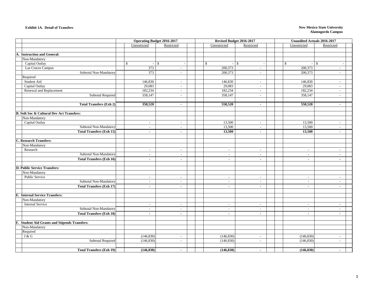#### **Exhibit 1A. Detail of Transfers**

#### **New Mexico State University Alamogordo Campus**

|                                                      |              | <b>Operating Budget 2016-2017</b> |                          |                                | Revised Budget 2016-2017    | <b>Unaudited Actuals 2016-2017</b>                           |
|------------------------------------------------------|--------------|-----------------------------------|--------------------------|--------------------------------|-----------------------------|--------------------------------------------------------------|
|                                                      |              | Unrestricted                      | Restricted               | Unrestricted                   | Restricted                  | Unrestricted<br>Restricted                                   |
|                                                      |              |                                   |                          |                                |                             |                                                              |
| A. Instruction and General:                          |              |                                   |                          |                                |                             |                                                              |
| Non-Mandatory                                        |              |                                   |                          |                                |                             |                                                              |
| Capital Outlay                                       | $\mathbb{S}$ | $-$ \$                            |                          | \$<br>$\overline{\phantom{a}}$ | $\mathbb{S}$                | $\mathsf{\$}$<br>$\mathbb{S}$<br>$\mathcal{L}_{\mathcal{A}}$ |
| Las Cruces Campus                                    |              | 373                               |                          | 200,373                        | $\overline{\phantom{a}}$    | 200,373<br>$\sim$                                            |
| Subtotal Non-Mandatory                               |              | 373                               | $\sim$                   | 200,373                        | $\sim$                      | 200,373<br>$\sim$                                            |
| Required                                             |              |                                   |                          |                                |                             |                                                              |
| Student Aid                                          |              | 146,830                           | $\overline{\phantom{a}}$ | 146,830                        | $\sim$                      | 146,830<br>$\sim$                                            |
| Capital Outlay                                       |              | 29,083                            | $\sim$                   | 29,083                         | $\blacksquare$              | 29,083<br>$\sim$                                             |
| Renewal and Replacement                              |              | 182,234                           | $\sim$                   | 182,234                        | $\sim$                      | 182,234<br>$\sim$                                            |
| <b>Subtotal Required</b>                             |              | 358,147                           | $\sim$                   | 358,147                        | $\sim$                      | 358,147<br>$\sim$                                            |
|                                                      |              |                                   |                          |                                |                             |                                                              |
| <b>Total Transfers (Exh 2)</b>                       |              | 358,520                           | $\sim$                   | 558,520                        | $\blacksquare$              | 558,520<br>$\sim$                                            |
|                                                      |              |                                   |                          |                                |                             |                                                              |
| <b>B. Stdt Soc &amp; Cultural Dev Act Transfers:</b> |              |                                   |                          |                                |                             |                                                              |
| Non-Mandatory                                        |              |                                   |                          |                                |                             |                                                              |
| Capital Outlay                                       |              | $\sim$                            | $\sim$                   | 13,500                         | $\sim$                      | 13,500<br>$\sim$                                             |
| Subtotal Non-Mandatory                               |              | $\sim$                            | $\sim$                   | 13,500                         | $\sim$                      | 13,500<br>$\sim$                                             |
| <b>Total Transfers (Exh 15)</b>                      |              | $\overline{a}$                    | $\overline{a}$           | 13,500                         | $\mathbf{r}$                | 13,500<br>$\mathbf{r}$                                       |
| C. Research Transfers:                               |              |                                   |                          |                                |                             |                                                              |
| Non-Mandatory                                        |              |                                   |                          |                                |                             |                                                              |
| Research                                             |              | $\sim$                            | $\sim$                   | $\sim$                         | $\sim$                      | $\sim$<br>$\sim$                                             |
| Subtotal Non-Mandatory                               |              | $\sim$                            | $\sim$                   | $\sim$                         | $\sim$                      | $\sim$<br>$\sim$                                             |
| <b>Total Transfers (Exh 16)</b>                      |              | $\sim$                            | $\blacksquare$           | $\blacksquare$                 | $\blacksquare$              | $\sim$<br>$\blacksquare$                                     |
|                                                      |              |                                   |                          |                                |                             |                                                              |
| D. Public Service Transfers:                         |              |                                   |                          |                                |                             |                                                              |
| Non-Mandatory                                        |              |                                   |                          |                                |                             |                                                              |
| <b>Public Service</b>                                |              | $\sim$                            | $\sim$                   | $\sim$                         | $\sim$                      | $\sim$<br>$\blacksquare$                                     |
| Subtotal Non-Mandatory                               |              | $\sim$                            | $\overline{\phantom{0}}$ | $\sim$                         | $\sim$                      | $\sim$<br>$\overline{\phantom{a}}$                           |
| <b>Total Transfers (Exh 17)</b>                      |              | $\sim$                            | $\sim$                   | $\blacksquare$                 | $\blacksquare$              | $\mathbf{r}$<br>$\blacksquare$                               |
|                                                      |              |                                   |                          |                                |                             |                                                              |
| <b>E. Internal Service Transfers:</b>                |              |                                   |                          |                                |                             |                                                              |
| Non-Mandatory<br><b>Internal Service</b>             |              |                                   |                          |                                |                             |                                                              |
|                                                      |              | $\sim$                            | $\sim$                   | $\sim$                         | $\sim$                      | $\sim$<br>$\sim$                                             |
| Subtotal Non-Mandatory                               |              | $\sim$                            | $\overline{a}$           | $\sim$                         | $\mathcal{L}_{\mathcal{A}}$ | $\sim$<br>$\sim$                                             |
| <b>Total Transfers (Exh 18)</b>                      |              | $\sim$                            | $\blacksquare$           | $\blacksquare$                 | $\blacksquare$              | $\blacksquare$<br>$\blacksquare$                             |
| F. Student Aid Grants and Stipends Transfers:        |              |                                   |                          |                                |                             |                                                              |
| Non-Mandatory                                        |              |                                   |                          |                                |                             |                                                              |
| Required                                             |              |                                   |                          |                                |                             |                                                              |
| I & G                                                |              | (146, 830)                        | $\sim$                   | (146, 830)                     | $\sim$                      | (146, 830)<br>$\overline{a}$                                 |
| Subtotal Required                                    |              | (146, 830)                        | $\sim$                   | (146, 830)                     | $\overline{\phantom{a}}$    | (146, 830)<br>$\blacksquare$                                 |
|                                                      |              |                                   |                          |                                |                             |                                                              |
| <b>Total Transfers (Exh 19)</b>                      |              | (146, 830)                        | $\blacksquare$           | (146, 830)                     | $\sim$                      | (146, 830)<br>٠                                              |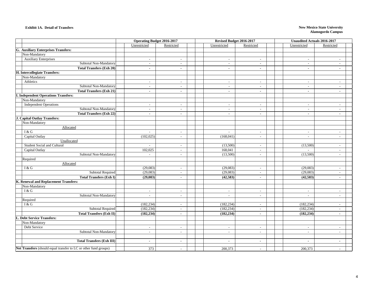#### **Exhibit 1A. Detail of Transfers**

#### **New Mexico State University Alamogordo Campus**

|                                                                         | <b>Operating Budget 2016-2017</b> |                                  | Revised Budget 2016-2017 |                          | <b>Unaudited Actuals 2016-2017</b> |                |
|-------------------------------------------------------------------------|-----------------------------------|----------------------------------|--------------------------|--------------------------|------------------------------------|----------------|
|                                                                         | Unrestricted                      | Restricted                       | Unrestricted             | Restricted               | Unrestricted                       | Restricted     |
| <b>G. Auxiliary Enterprises Transfers:</b>                              |                                   |                                  |                          |                          |                                    |                |
| Non-Mandatory                                                           |                                   |                                  |                          |                          |                                    |                |
| <b>Auxiliary Enterprises</b>                                            | $\sim$                            | $\overline{\phantom{a}}$         | $\overline{a}$           | $\overline{\phantom{a}}$ | $\sim$                             | $\sim$         |
| Subtotal Non-Mandatory                                                  | $\sim$                            | $\sim$                           | $\overline{\phantom{a}}$ | $\overline{\phantom{a}}$ | $\sim$                             | $\sim$         |
| <b>Total Transfers (Exh 20)</b>                                         | $\sim$                            | $\sim$                           | $\sim$                   | $\sim$                   | $\sim$                             | $\sim$         |
| H. Intercollegiate Transfers:                                           |                                   |                                  |                          |                          |                                    |                |
| Non-Mandatory                                                           |                                   |                                  |                          |                          |                                    |                |
| Athletics                                                               | $\sim$                            | $\sim$                           | $\overline{\phantom{a}}$ | $\sim$                   | $\sim$                             | $\sim$         |
| Subtotal Non-Mandatory                                                  | $\sim$                            | $\sim$                           | $\overline{\phantom{a}}$ | $\overline{\phantom{a}}$ | $\sim$                             | $\sim$         |
| <b>Total Transfers (Exh 21)</b>                                         | $\sim$                            | $\mathbf{r}$                     | $\sim$                   | $\blacksquare$           | $\sim$                             | $\sim$         |
| <b>I. Independent Operations Transfers:</b>                             |                                   |                                  |                          |                          |                                    |                |
| Non-Mandatory                                                           |                                   |                                  |                          |                          |                                    |                |
| <b>Independent Operations</b>                                           | $\sim$                            | $\sim$                           | $\overline{\phantom{a}}$ | $\sim$                   | $\sim$                             | $\sim$         |
| Subtotal Non-Mandatory                                                  | $\sim$                            | $\sim$                           | $\overline{a}$           | $\overline{\phantom{a}}$ | $\sim$                             | $\sim$         |
| <b>Total Transfers (Exh 22)</b>                                         | $\blacksquare$                    | $\blacksquare$                   | $\blacksquare$           | $\sim$                   | $\sim$                             | $\sim$         |
| <b>J. Capital Outlay Transfers:</b>                                     |                                   |                                  |                          |                          |                                    |                |
| Non-Mandatory                                                           |                                   |                                  |                          |                          |                                    |                |
| Allocated                                                               |                                   |                                  |                          |                          |                                    |                |
| I & G                                                                   | $\overline{\phantom{a}}$          | $\overline{\phantom{a}}$         | $\overline{\phantom{a}}$ | $\sim$                   | $\sim$                             | $\sim$         |
| Capital Outlay                                                          | (102, 025)                        | $\sim$                           | (168, 041)               | $\sim$                   | $\sim$                             | $\sim$         |
| Unallocated                                                             |                                   |                                  |                          |                          |                                    |                |
| <b>Student Social and Cultural</b>                                      | $\overline{a}$                    | $\sim$                           | (13,500)                 | $\sim$                   | (13,500)                           | $\sim$         |
| Capital Outlay                                                          | 102,025                           | $\overline{\phantom{a}}$         | 168,041                  | $\sim$                   |                                    | $\sim$         |
| Subtotal Non-Mandatory                                                  |                                   | $\overline{\phantom{a}}$         | (13,500)                 | $\overline{\phantom{a}}$ | (13,500)                           |                |
| Required                                                                |                                   |                                  |                          |                          |                                    |                |
| Allocated                                                               |                                   |                                  |                          |                          |                                    |                |
| I & G<br><b>Subtotal Required</b>                                       | (29,083)<br>(29,083)              | $\overline{a}$<br>$\overline{a}$ | (29,083)                 | $\sim$<br>$\sim$         | (29,083)                           | $\sim$         |
|                                                                         |                                   |                                  | (29,083)<br>(42, 583)    |                          | (29,083)<br>(42, 583)              | $\sim$         |
| <b>Total Transfers (Exh I)</b><br>K. Renewal and Replacement Transfers: | (29, 083)                         | $\overline{\phantom{a}}$         |                          | $\sim$                   |                                    | $\sim$         |
| Non-Mandatory                                                           |                                   |                                  |                          |                          |                                    |                |
| I & G                                                                   | $\sim$                            | $\sim$                           | $\sim$                   | $\sim$                   | $\sim$                             | $\sim$         |
| Subtotal Non-Mandatory                                                  | $\sim$                            | $\sim$                           | $\overline{\phantom{a}}$ | $\sim$                   | $\sim$                             | $\sim$         |
| Required                                                                |                                   |                                  |                          |                          |                                    |                |
| $\rm I\,\&\, G$                                                         | (182, 234)                        | $\sim$                           | (182, 234)               | $\sim$                   | (182, 234)                         | $\sim$         |
| <b>Subtotal Required</b>                                                | (182, 234)                        | $\overline{\phantom{a}}$         | (182, 234)               | $\overline{\phantom{a}}$ | (182, 234)                         | $\sim$         |
| <b>Total Transfers (Exh II)</b>                                         | (182, 234)                        | $\sim$                           | (182, 234)               | $\sim$                   | (182, 234)                         | $\sim$         |
| <b>L. Debt Service Transfers:</b>                                       |                                   |                                  |                          |                          |                                    |                |
| Non-Mandatory                                                           |                                   |                                  |                          |                          |                                    |                |
| Debt Service                                                            | $\sim$                            | $\sim$                           | $\sim$                   | $\sim$                   | $\sim$                             | $\sim$         |
| Subtotal Non-Mandatory                                                  | $\sim$                            | $\sim$                           | $\sim$                   | $\overline{\phantom{a}}$ | $\sim$                             | $\sim$         |
|                                                                         |                                   |                                  |                          |                          |                                    |                |
| <b>Total Transfers (Exh III)</b>                                        | $\blacksquare$                    | $\blacksquare$                   | $\sim$                   | $\sim$                   | $\blacksquare$                     | $\blacksquare$ |
|                                                                         |                                   |                                  |                          |                          |                                    |                |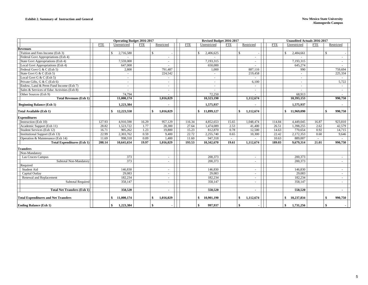|                                             |            | <b>Operating Budget 2016-2017</b> |            |                           |            | Revised Budget 2016-2017 |            |                 |            | <b>Unaudited Actuals 2016-2017</b> |            |               |                          |
|---------------------------------------------|------------|-----------------------------------|------------|---------------------------|------------|--------------------------|------------|-----------------|------------|------------------------------------|------------|---------------|--------------------------|
|                                             | <b>FTE</b> | Unrestricted                      | <b>FTE</b> | Restricted                | <b>FTE</b> | Unrestricted             | <b>FTE</b> | Restricted      | <b>FTE</b> | Unrestricted                       | <b>FTE</b> | Restricted    |                          |
| <b>Revenues</b>                             |            |                                   |            |                           |            |                          |            |                 |            |                                    |            |               |                          |
| Tuition and Fees Income (Exh 3)             |            | 2,716,580<br>£.                   |            | $\mathcal{S}$             |            | 2,406,625<br>£.          |            | $\mathcal{S}$   |            | 2,484,661<br>\$.                   |            | $\mathcal{S}$ |                          |
| Federal Govt Appropriations (Exh 4)         |            |                                   |            |                           |            |                          |            |                 |            |                                    |            |               |                          |
| State Govt Appropriations (Exh 4)           |            | 7,559,000                         |            | $\sim$                    |            | 7,193,315                |            | $\sim$          |            | 7,193,315                          |            |               | $\sim$                   |
| Local Govt Appropriations (Exh 4)           |            | 647,000                           |            |                           |            | 650,000                  |            |                 |            | 645,274                            |            |               |                          |
| Federal Govt G & C (Exh 5)                  |            | 2,800                             |            | 791,487                   |            | 1,000                    |            | 887,116         |            | 990                                |            |               | 759,694                  |
| State Govt G & C (Exh 5)                    |            | $\overline{a}$                    |            | 224,542                   |            | $\sim$                   |            | 219,458         |            | $\sim$                             |            |               | 225,334                  |
| Local Govt G & C (Exh 5)                    |            | $\overline{\phantom{a}}$          |            |                           |            | $\sim$                   |            |                 |            | $\sim$                             |            |               |                          |
| Private Gifts, G & C (Exh 6)                |            | $\sim$                            |            | $\sim$                    |            | $\sim$                   |            | 6,100           |            | $\sim$                             |            |               | 5,722                    |
| Endow, Land & Perm Fund Income (Exh 7)      |            | $\overline{\phantom{a}}$          |            | $\sim$                    |            | $\sim$                   |            |                 |            | $\sim$                             |            |               |                          |
| Sales & Services of Educ Activities (Exh 8) |            |                                   |            |                           |            |                          |            | $\sim$          |            |                                    |            |               |                          |
| Other Sources (Exh 9)                       |            | 74,794                            |            |                           |            | 72,250                   |            | $\sim$          |            | 68,913                             |            |               |                          |
| <b>Total Revenues (Exh 1)</b>               |            | 11,000,174                        |            | 1.016.029                 |            | 10,323,190               |            | 1,112,674       |            | 10.393.153                         |            |               | 990,750                  |
| <b>Beginning Balance (Exh 1)</b>            |            | 1,223,384                         |            |                           |            | 1,575,937                |            |                 |            | 1,575,937                          |            |               |                          |
| Total Available (Exh 1)                     |            | 12,223,558<br>\$                  |            | $\mathbf{s}$<br>1,016,029 |            | \$<br>11,899,127         |            | \$<br>1,112,674 |            | 11,969,090<br>\$                   |            | \$            | 990,750                  |
| <b>Expenditures</b>                         |            |                                   |            |                           |            |                          |            |                 |            |                                    |            |               |                          |
| Instruction (Exh 10)                        | 127.93     | 4,910,590                         | 16.29      | 957,129                   | 116.34     | 4,852,653                | 15.65      | 1,048,474       | 114.84     | 4,449,045                          | 16.87      |               | 923,810                  |
| Academic Support (Exh 11)                   | 28.82      | 1,523,722                         | 1.77       | 28,300                    | 27.64      | 1,474,089                | 2.53       | 41,400          | 26.51      | 1,398,255                          | 2.62       |               | 42,579                   |
| Student Services (Exh 12)                   | 16.71      | 905,262                           | 1.23       | 19,800                    | 15.23      | 812,870                  | 0.78       | 12,500          | 14.63      | 770,654                            | 0.92       |               | 14,715                   |
| <b>Institutional Support (Exh 13)</b>       | 22.99      | 2,303,762                         | 0.59       | 9,400                     | 22.72      | 2,255,740                | 0.65       | 10,300          | 22.42      | 2,172,353                          | 0.60       |               | 9,646                    |
| Operation & Maintenance (Exh 14)            | 11.69      | 998,318                           | 0.09       | 1,400                     | 11.60      | 947,318                  | $\sim$     | ÷.              | 10.63      | 889,007                            | $\sim$     |               |                          |
| <b>Total Expenditures (Exh 1)</b>           | 208.14     | 10,641,654                        | 19.97      | 1,016,029                 | 193.53     | 10,342,670               | 19.61      | 1,112,674       | 189.03     | 9,679,314                          | 21.01      |               | 990,750                  |
| <b>Transfers</b>                            |            |                                   |            |                           |            |                          |            |                 |            |                                    |            |               |                          |
| Non-Mandatory                               |            |                                   |            |                           |            |                          |            |                 |            |                                    |            |               |                          |
| Las Cruces Campus                           |            | 373                               |            | $\overline{\phantom{a}}$  |            | 200,373                  |            | $\sim$          |            | 200,373                            |            |               | $\sim$                   |
| Subtotal Non-Mandatory                      |            | 373                               |            | $\sim$                    |            | 200,373                  |            | $\sim$          |            | 200,373                            |            |               | $\sim$                   |
| Required                                    |            |                                   |            |                           |            |                          |            |                 |            |                                    |            |               |                          |
| Student Aid                                 |            | 146,830                           |            |                           |            | 146,830                  |            | $\sim$          |            | 146,830                            |            |               |                          |
| Capital Outlay                              |            | 29,083                            |            | $\sim$                    |            | 29,083                   |            | $\sim$          |            | 29,083                             |            |               | $\sim$                   |
| Renewal and Replacement                     |            | 182,234                           |            | $\overline{\phantom{a}}$  |            | 182,234                  |            | $\sim$          |            | 182,234                            |            |               | $\overline{\phantom{a}}$ |
| Subtotal Required                           |            | 358,147                           |            | $\sim$                    |            | 358,147                  |            | ÷.              |            | 358,147                            |            |               |                          |
| <b>Total Net Transfers (Exh 1)</b>          |            | 358,520                           |            |                           |            | 558,520                  |            |                 |            | 558,520                            |            |               |                          |
|                                             |            |                                   |            |                           |            |                          |            |                 |            |                                    |            |               |                          |
| <b>Total Expenditures and Net Transfers</b> |            | 11,000,174<br>\$                  |            | \$<br>1,016,029           |            | \$<br>10,901,190         |            | \$<br>1,112,674 |            | 10,237,834<br>\$                   |            | \$            | 990,750                  |
| <b>Ending Balance (Exh 1)</b>               |            | 1,223,384<br>\$                   |            | \$                        |            | 997,937<br>\$            |            | $\mathbf{s}$    |            | 1,731,256<br>\$                    |            | $\mathbf{s}$  |                          |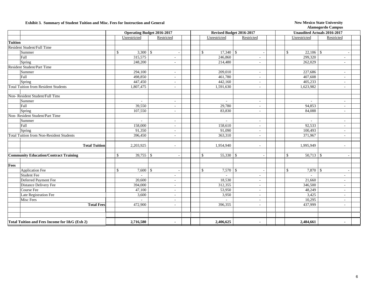#### **Exhibit 3. Summary of Student Tuition and Misc. Fees for Instruction and General New Mexico State University**

|                |                                                 | <b>Operating Budget 2016-2017</b> |                               |                          | Revised Budget 2016-2017    |                          | <b>Unaudited Actuals 2016-2017</b> |              |                          |  |  |
|----------------|-------------------------------------------------|-----------------------------------|-------------------------------|--------------------------|-----------------------------|--------------------------|------------------------------------|--------------|--------------------------|--|--|
|                |                                                 |                                   | Unrestricted                  | Restricted               | Unrestricted                | Restricted               |                                    | Unrestricted | Restricted               |  |  |
| <b>Tuition</b> |                                                 |                                   |                               |                          |                             |                          |                                    |              |                          |  |  |
|                | Resident Student/Full Time                      |                                   |                               |                          |                             |                          |                                    |              |                          |  |  |
|                | Summer                                          |                                   | $\mathcal{S}$                 | $\sim$                   | $17,340$ \$<br>\$           | $\sim$                   | $\mathbb{S}$                       | $22,106$ \$  |                          |  |  |
|                | Fall                                            |                                   | 315,575                       | $\overline{\phantom{a}}$ | 246,860                     | $\overline{\phantom{a}}$ |                                    | 299,320      | $\sim$                   |  |  |
|                | Spring                                          |                                   | 248,200                       | $\overline{\phantom{a}}$ | 214,480                     | $\overline{\phantom{a}}$ |                                    | 262,029      | $\sim$                   |  |  |
|                | <b>Resident Student/Part Time</b>               |                                   |                               |                          |                             |                          |                                    |              |                          |  |  |
|                | Summer                                          |                                   | 294,100                       | $\overline{\phantom{a}}$ | 209,010                     | $\blacksquare$           |                                    | 227,686      | $\sim$                   |  |  |
|                | Fall                                            |                                   | 498,850                       | $\overline{\phantom{a}}$ | 461,780                     | ÷.                       |                                    | 407,608      | $\sim$                   |  |  |
|                | Spring                                          |                                   | 447,450                       | $\sim$                   | 442,160                     | $\sim$                   |                                    | 405,233      |                          |  |  |
|                | <b>Total Tuition from Resident Students</b>     |                                   | 1,807,475                     | $\sim$                   | 1,591,630                   | ÷.                       |                                    | 1,623,982    | ÷.                       |  |  |
|                |                                                 |                                   |                               |                          |                             |                          |                                    |              |                          |  |  |
|                | Non-Resident Student/Full Time                  |                                   |                               |                          |                             |                          |                                    |              |                          |  |  |
|                | Summer                                          |                                   | $\sim$                        | $\overline{\phantom{a}}$ | $\sim$                      | $\overline{\phantom{a}}$ |                                    | $\sim$       | $\sim$                   |  |  |
|                | Fall                                            |                                   | 39,550                        | $\overline{\phantom{a}}$ | 29,780                      | $\overline{\phantom{a}}$ |                                    | 94,853       | $\overline{\phantom{a}}$ |  |  |
|                | Spring                                          |                                   | 107,550                       | $\overline{\phantom{a}}$ | 83,830                      | $\sim$                   |                                    | 84,088       | $\sim$                   |  |  |
|                | Non-Resident Student/Part Time                  |                                   |                               |                          |                             |                          |                                    |              |                          |  |  |
|                | Summer                                          |                                   | ÷,                            | $\overline{\phantom{a}}$ | $\sim$                      | $\overline{\phantom{a}}$ |                                    | $\sim$       | $\sim$                   |  |  |
|                | Fall                                            |                                   | 158,000                       | $\sim$                   | 158,610                     | $\sim$                   |                                    | 92,533       | $\sim$                   |  |  |
|                | Spring                                          |                                   | 91,350                        | $\blacksquare$           | 91,090                      | $\overline{\phantom{a}}$ |                                    | 100,493      | $\blacksquare$           |  |  |
|                | <b>Total Tuition from Non-Resident Students</b> |                                   | 396,450                       | $\sim$                   | 363,310                     | ÷.                       |                                    | 371,967      | $\sim$                   |  |  |
|                |                                                 |                                   |                               |                          |                             |                          |                                    |              |                          |  |  |
|                | <b>Total Tuition</b>                            |                                   | 2,203,925                     | $\blacksquare$           | 1,954,940                   | $\overline{\phantom{a}}$ |                                    | 1,995,949    | $\overline{\phantom{a}}$ |  |  |
|                |                                                 |                                   |                               |                          |                             |                          |                                    |              |                          |  |  |
|                | <b>Community Education/Contract Training</b>    |                                   | $\mathcal{S}$<br>$39,755$ \\$ | $\sim$                   | $\mathbb{S}$<br>$55,330$ \$ | $\sim$                   | $\mathbb{S}$                       | $50,713$ \$  | $\overline{\phantom{a}}$ |  |  |
|                |                                                 |                                   |                               |                          |                             |                          |                                    |              |                          |  |  |
| Fees           |                                                 |                                   |                               |                          |                             |                          |                                    |              |                          |  |  |
|                | <b>Application Fee</b>                          |                                   | $7,600$ \$<br><sup>\$</sup>   |                          | $7,570$ \$<br>\$            |                          | $\mathbb{S}$                       | 7,870        | $\mathbf{\hat{S}}$       |  |  |
|                | <b>Student Fee</b>                              |                                   | $\overline{a}$                |                          | $\sim$                      |                          |                                    |              |                          |  |  |
|                | Deferred Payment Fee                            |                                   | 20,600                        | $\sim$                   | 18,530                      | $\overline{\phantom{a}}$ |                                    | 21,660       | $\overline{\phantom{a}}$ |  |  |
|                | Distance Delivery Fee                           |                                   | 394,000                       | ÷,                       | 312,355                     | $\sim$                   |                                    | 346,500      | ÷.                       |  |  |
|                | Course Fee                                      |                                   | 47,100                        | $\overline{\phantom{a}}$ | 53,950                      | $\overline{\phantom{a}}$ |                                    | 48,249       | $\sim$                   |  |  |
|                | Late Registration Fee                           |                                   | 3,600                         | $\sim$                   | 3,950                       | $\overline{\phantom{a}}$ |                                    | 3,425        | $\sim$                   |  |  |
|                | Misc Fees                                       |                                   | $\sim$                        | $\blacksquare$           | $\sim$                      | $\overline{\phantom{a}}$ |                                    | 10,295       | $\overline{\phantom{a}}$ |  |  |
|                | <b>Total Fees</b>                               |                                   | 472,900                       | $\sim$                   | 396,355                     | ÷.                       |                                    | 437,999      | ÷.                       |  |  |
|                |                                                 |                                   |                               |                          |                             |                          |                                    |              |                          |  |  |
|                |                                                 |                                   |                               |                          |                             |                          |                                    |              |                          |  |  |
|                | Total Tuition and Fees Income for I&G (Exh 2)   |                                   | 2,716,580                     | $\blacksquare$           | 2,406,625                   | $\overline{\phantom{a}}$ |                                    | 2,484,661    | $\blacksquare$           |  |  |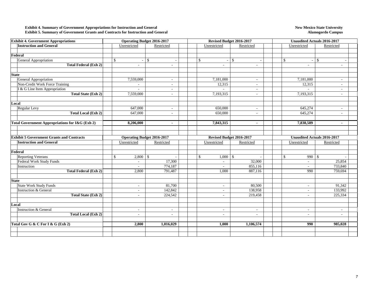#### **Exhibit 4. Summary of Government Appropriations for Instruction and General Exhibit 5. Summary of Government Grants and Contracts for Instruction and General**

#### **New Mexico State University Alamogordo Campus**

| <b>Exhibit 4. Government Appropriations</b>                |                            | <b>Operating Budget 2016-2017</b> |                                           | Revised Budget 2016-2017 |               | <b>Unaudited Actuals 2016-2017</b> |                          |  |  |  |
|------------------------------------------------------------|----------------------------|-----------------------------------|-------------------------------------------|--------------------------|---------------|------------------------------------|--------------------------|--|--|--|
| <b>Instruction and General</b>                             | Unrestricted               | Restricted                        | Unrestricted                              | Restricted               |               | Unrestricted                       | Restricted               |  |  |  |
|                                                            |                            |                                   |                                           |                          |               |                                    |                          |  |  |  |
| Federal                                                    |                            |                                   |                                           |                          |               |                                    |                          |  |  |  |
| General Appropriation                                      | $\mathbb{S}$<br>$\sim$     | $\mathcal{S}$                     | $\mathcal{S}$<br>$\overline{\phantom{a}}$ | $\mathcal{S}$            | <sup>\$</sup> | $\mathcal{S}$<br>$\sim$            |                          |  |  |  |
| <b>Total Federal (Exh 2)</b>                               | $\sim$                     | $\sim$                            | $\sim$                                    | $\sim$                   |               | $\sim$                             | ÷.                       |  |  |  |
|                                                            |                            |                                   |                                           |                          |               |                                    |                          |  |  |  |
| <b>State</b>                                               |                            |                                   |                                           |                          |               |                                    |                          |  |  |  |
| General Appropriation                                      | 7,559,000                  | $\overline{\phantom{a}}$          | 7,181,000                                 | $\sim$                   |               | 7,181,000                          | $\sim$                   |  |  |  |
| Non-Credit Work Force Training                             | $\sim$                     | $\overline{\phantom{a}}$          | 12,315                                    | $\sim$                   |               | 12,315                             | $\overline{\phantom{a}}$ |  |  |  |
| I & G Line Item Appropriation                              |                            | $\sim$                            |                                           | $\sim$                   |               | $\sim$                             | $\sim$                   |  |  |  |
| <b>Total State (Exh 2)</b>                                 | 7,559,000                  |                                   | 7,193,315                                 |                          |               | 7,193,315                          | ٠                        |  |  |  |
|                                                            |                            |                                   |                                           |                          |               |                                    |                          |  |  |  |
| Local                                                      |                            |                                   |                                           |                          |               |                                    |                          |  |  |  |
| Regular Levy                                               | 647,000                    | $\overline{\phantom{a}}$          | 650,000                                   | $\sim$                   |               | 645,274                            | $\sim$                   |  |  |  |
| <b>Total Local (Exh 2)</b>                                 | 647,000                    | $\overline{\phantom{a}}$          | 650,000                                   | $\sim$                   |               | 645,274                            | $\sim$                   |  |  |  |
|                                                            |                            |                                   |                                           |                          |               |                                    |                          |  |  |  |
| <b>Total Government Appropriations for I&amp;G (Exh 2)</b> | 8,206,000                  |                                   | 7,843,315                                 | $\overline{\phantom{a}}$ |               | 7,838,589                          |                          |  |  |  |
|                                                            |                            |                                   |                                           |                          |               |                                    |                          |  |  |  |
|                                                            |                            |                                   |                                           |                          |               |                                    |                          |  |  |  |
| <b>Exhibit 5 Government Grants and Contracts</b>           |                            | <b>Operating Budget 2016-2017</b> |                                           | Revised Budget 2016-2017 |               | <b>Unaudited Actuals 2016-2017</b> |                          |  |  |  |
| <b>Instruction and General</b>                             | Unrestricted               | Restricted                        | Unrestricted                              | Restricted               |               | Unrestricted                       | Restricted               |  |  |  |
|                                                            |                            |                                   |                                           |                          |               |                                    |                          |  |  |  |
| Federal                                                    |                            |                                   |                                           |                          |               |                                    |                          |  |  |  |
| Reporting Veterans                                         | $\mathbb{S}$<br>$2,800$ \$ |                                   | $\mathcal{S}$<br>$1,000$ \$               |                          | $\mathcal{S}$ | $990 \, \text{S}$                  |                          |  |  |  |
| Federal Work Study Funds                                   | $\sim$                     | 17,300                            | $\sim$                                    | 32,000                   |               | $\omega$                           | 25,854                   |  |  |  |
| Instruction                                                |                            | 774,187                           | $\sim$                                    | 855,116                  |               | ٠                                  | 733,840                  |  |  |  |
| <b>Total Federal (Exh 2)</b>                               | 2,800                      | 791,487                           | 1,000                                     | 887,116                  |               | 990                                | 759,694                  |  |  |  |
|                                                            |                            |                                   |                                           |                          |               |                                    |                          |  |  |  |
| <b>State</b>                                               |                            |                                   |                                           |                          |               |                                    |                          |  |  |  |
| <b>State Work Study Funds</b>                              | $\sim$                     | 81,700                            | $\sim$                                    | 80,500                   |               | $\sim$                             | 91,342                   |  |  |  |
| <b>Instruction &amp; General</b>                           | $\sim$                     | 142,842                           | $\sim$                                    | 138,958                  |               | $\sim$                             | 133,992                  |  |  |  |
| <b>Total State (Exh 2)</b>                                 | $\sim$                     | 224,542                           | $\sim$                                    | 219,458                  |               | $\sim$                             | 225,334                  |  |  |  |
|                                                            |                            |                                   |                                           |                          |               |                                    |                          |  |  |  |
| Local                                                      |                            |                                   |                                           |                          |               |                                    |                          |  |  |  |
| Instruction & General                                      | $\sim$                     | $\sim$                            | $\sim$                                    | $\sim$                   |               | $\sim$                             | $\sim$                   |  |  |  |
| <b>Total Local (Exh 2)</b>                                 | $\sim$                     | $\sim$                            | $\sim$                                    | $\sim$                   |               | ÷.                                 | ٠                        |  |  |  |
|                                                            |                            |                                   |                                           |                          |               |                                    |                          |  |  |  |
| Total Gov G & C For I & G (Exh 2)                          | 2,800                      | 1,016,029                         | 1,000                                     | 1,106,574                |               | 990                                | 985,028                  |  |  |  |
|                                                            |                            |                                   |                                           |                          |               |                                    |                          |  |  |  |
|                                                            |                            |                                   |                                           |                          |               |                                    |                          |  |  |  |
|                                                            |                            |                                   |                                           |                          |               |                                    |                          |  |  |  |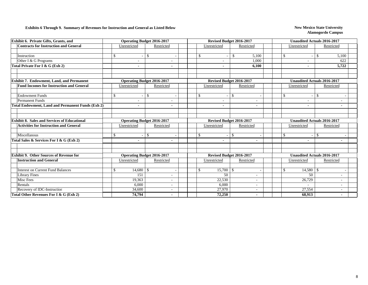#### **Exhibits 6 Through 9. Summary of Revenues for Instruction and General as Listed Below New Mexico State University**

| <b>Contracts for Instruction and General</b><br>Unrestricted<br>Restricted<br>Unrestricted<br>Restricted<br>$\mathbf S$<br>$\mathbb{S}$<br>$\mathbb{S}$<br>$\mathcal{S}$<br>5,100<br>Instruction<br>Other I & G Programs<br>1,000<br>Total Private For I & G (Exh 2)<br>6.100<br><b>Exhibit 7. Endowment, Land, and Permanent</b><br>Revised Budget 2016-2017<br><b>Operating Budget 2016-2017</b><br><b>Fund Incomes for Instruction and General</b><br>Unrestricted<br>Restricted<br>Unrestricted<br>Restricted<br><b>Endowment Funds</b><br>$\mathbf S$<br>$\mathbb{S}$<br>$\mathbf{\hat{s}}$<br>\$<br><b>Permanent Funds</b><br>Total Endowment, Land and Permanent Funds (Exh $2)$<br>$\blacksquare$<br>$\overline{\phantom{a}}$<br>Revised Budget 2016-2017<br><b>Exhibit 8. Sales and Services of Educational</b><br><b>Operating Budget 2016-2017</b><br>Restricted<br><b>Activities for Instruction and General</b><br>Unrestricted<br>Unrestricted<br>Restricted<br>\$<br>$\mathbb{S}$<br>$\mathbf{\hat{s}}$<br>Miscellanous<br>\$<br>Total Sales & Services For I & G (Exh 2)<br><b>Exhibit 9. Other Sources of Revenue for</b><br><b>Operating Budget 2016-2017</b><br>Revised Budget 2016-2017<br><b>Instruction and General</b><br>Restricted<br>Unrestricted<br>Restricted<br>Unrestricted<br><b>Interest on Current Fund Balances</b><br>\$<br>$\mathbb{S}$<br>$15,700$ \$ | Unrestricted<br>\$       | Restricted                         |
|--------------------------------------------------------------------------------------------------------------------------------------------------------------------------------------------------------------------------------------------------------------------------------------------------------------------------------------------------------------------------------------------------------------------------------------------------------------------------------------------------------------------------------------------------------------------------------------------------------------------------------------------------------------------------------------------------------------------------------------------------------------------------------------------------------------------------------------------------------------------------------------------------------------------------------------------------------------------------------------------------------------------------------------------------------------------------------------------------------------------------------------------------------------------------------------------------------------------------------------------------------------------------------------------------------------------------------------------------------------------------------------------|--------------------------|------------------------------------|
|                                                                                                                                                                                                                                                                                                                                                                                                                                                                                                                                                                                                                                                                                                                                                                                                                                                                                                                                                                                                                                                                                                                                                                                                                                                                                                                                                                                            |                          |                                    |
|                                                                                                                                                                                                                                                                                                                                                                                                                                                                                                                                                                                                                                                                                                                                                                                                                                                                                                                                                                                                                                                                                                                                                                                                                                                                                                                                                                                            |                          |                                    |
|                                                                                                                                                                                                                                                                                                                                                                                                                                                                                                                                                                                                                                                                                                                                                                                                                                                                                                                                                                                                                                                                                                                                                                                                                                                                                                                                                                                            |                          | $\mathcal{S}$<br>5,100             |
|                                                                                                                                                                                                                                                                                                                                                                                                                                                                                                                                                                                                                                                                                                                                                                                                                                                                                                                                                                                                                                                                                                                                                                                                                                                                                                                                                                                            |                          | 622                                |
|                                                                                                                                                                                                                                                                                                                                                                                                                                                                                                                                                                                                                                                                                                                                                                                                                                                                                                                                                                                                                                                                                                                                                                                                                                                                                                                                                                                            | $\overline{\phantom{a}}$ | 5,722                              |
|                                                                                                                                                                                                                                                                                                                                                                                                                                                                                                                                                                                                                                                                                                                                                                                                                                                                                                                                                                                                                                                                                                                                                                                                                                                                                                                                                                                            |                          |                                    |
|                                                                                                                                                                                                                                                                                                                                                                                                                                                                                                                                                                                                                                                                                                                                                                                                                                                                                                                                                                                                                                                                                                                                                                                                                                                                                                                                                                                            |                          | <b>Unaudited Actuals 2016-2017</b> |
|                                                                                                                                                                                                                                                                                                                                                                                                                                                                                                                                                                                                                                                                                                                                                                                                                                                                                                                                                                                                                                                                                                                                                                                                                                                                                                                                                                                            | Unrestricted             | Restricted                         |
|                                                                                                                                                                                                                                                                                                                                                                                                                                                                                                                                                                                                                                                                                                                                                                                                                                                                                                                                                                                                                                                                                                                                                                                                                                                                                                                                                                                            |                          |                                    |
|                                                                                                                                                                                                                                                                                                                                                                                                                                                                                                                                                                                                                                                                                                                                                                                                                                                                                                                                                                                                                                                                                                                                                                                                                                                                                                                                                                                            | \$                       | <sup>\$</sup>                      |
|                                                                                                                                                                                                                                                                                                                                                                                                                                                                                                                                                                                                                                                                                                                                                                                                                                                                                                                                                                                                                                                                                                                                                                                                                                                                                                                                                                                            |                          |                                    |
|                                                                                                                                                                                                                                                                                                                                                                                                                                                                                                                                                                                                                                                                                                                                                                                                                                                                                                                                                                                                                                                                                                                                                                                                                                                                                                                                                                                            |                          |                                    |
|                                                                                                                                                                                                                                                                                                                                                                                                                                                                                                                                                                                                                                                                                                                                                                                                                                                                                                                                                                                                                                                                                                                                                                                                                                                                                                                                                                                            |                          |                                    |
|                                                                                                                                                                                                                                                                                                                                                                                                                                                                                                                                                                                                                                                                                                                                                                                                                                                                                                                                                                                                                                                                                                                                                                                                                                                                                                                                                                                            |                          |                                    |
|                                                                                                                                                                                                                                                                                                                                                                                                                                                                                                                                                                                                                                                                                                                                                                                                                                                                                                                                                                                                                                                                                                                                                                                                                                                                                                                                                                                            |                          | <b>Unaudited Actuals 2016-2017</b> |
|                                                                                                                                                                                                                                                                                                                                                                                                                                                                                                                                                                                                                                                                                                                                                                                                                                                                                                                                                                                                                                                                                                                                                                                                                                                                                                                                                                                            | Unrestricted             | Restricted                         |
|                                                                                                                                                                                                                                                                                                                                                                                                                                                                                                                                                                                                                                                                                                                                                                                                                                                                                                                                                                                                                                                                                                                                                                                                                                                                                                                                                                                            |                          |                                    |
|                                                                                                                                                                                                                                                                                                                                                                                                                                                                                                                                                                                                                                                                                                                                                                                                                                                                                                                                                                                                                                                                                                                                                                                                                                                                                                                                                                                            | $\mathbb{S}$             | $\mathbf S$                        |
|                                                                                                                                                                                                                                                                                                                                                                                                                                                                                                                                                                                                                                                                                                                                                                                                                                                                                                                                                                                                                                                                                                                                                                                                                                                                                                                                                                                            |                          |                                    |
|                                                                                                                                                                                                                                                                                                                                                                                                                                                                                                                                                                                                                                                                                                                                                                                                                                                                                                                                                                                                                                                                                                                                                                                                                                                                                                                                                                                            |                          |                                    |
|                                                                                                                                                                                                                                                                                                                                                                                                                                                                                                                                                                                                                                                                                                                                                                                                                                                                                                                                                                                                                                                                                                                                                                                                                                                                                                                                                                                            |                          |                                    |
|                                                                                                                                                                                                                                                                                                                                                                                                                                                                                                                                                                                                                                                                                                                                                                                                                                                                                                                                                                                                                                                                                                                                                                                                                                                                                                                                                                                            |                          | <b>Unaudited Actuals 2016-2017</b> |
|                                                                                                                                                                                                                                                                                                                                                                                                                                                                                                                                                                                                                                                                                                                                                                                                                                                                                                                                                                                                                                                                                                                                                                                                                                                                                                                                                                                            | Unrestricted             | Restricted                         |
|                                                                                                                                                                                                                                                                                                                                                                                                                                                                                                                                                                                                                                                                                                                                                                                                                                                                                                                                                                                                                                                                                                                                                                                                                                                                                                                                                                                            |                          |                                    |
|                                                                                                                                                                                                                                                                                                                                                                                                                                                                                                                                                                                                                                                                                                                                                                                                                                                                                                                                                                                                                                                                                                                                                                                                                                                                                                                                                                                            | \$<br>14,580             | -\$                                |
| <b>Library Fines</b><br>151<br>50<br><b>Misc Fees</b>                                                                                                                                                                                                                                                                                                                                                                                                                                                                                                                                                                                                                                                                                                                                                                                                                                                                                                                                                                                                                                                                                                                                                                                                                                                                                                                                      | 50                       |                                    |
| 22,530<br>19.363<br>$\overline{a}$<br>$\overline{a}$<br>Rentals<br>6,000<br>6,000                                                                                                                                                                                                                                                                                                                                                                                                                                                                                                                                                                                                                                                                                                                                                                                                                                                                                                                                                                                                                                                                                                                                                                                                                                                                                                          | 26,729                   | $\sim$                             |
| Recovery of IDC-Instruction<br>34,600<br>27,970                                                                                                                                                                                                                                                                                                                                                                                                                                                                                                                                                                                                                                                                                                                                                                                                                                                                                                                                                                                                                                                                                                                                                                                                                                                                                                                                            | $\sim$<br>27,554         |                                    |
| Total Other Revenues For I & G (Exh 2)<br>74,794<br>72,250                                                                                                                                                                                                                                                                                                                                                                                                                                                                                                                                                                                                                                                                                                                                                                                                                                                                                                                                                                                                                                                                                                                                                                                                                                                                                                                                 |                          |                                    |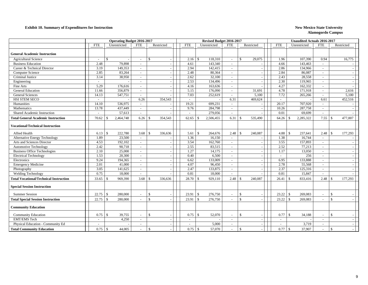#### **Exhibit 10. Summary of Expenditures for Instruction New Mexico State University New Mexico State University**

|                                               |            | <b>Operating Budget 2016-2017</b> |                             |                          |            | Revised Budget 2016-2017   |                          |                              | <b>Unaudited Actuals 2016-2017</b> |                              |                          |                         |  |  |  |
|-----------------------------------------------|------------|-----------------------------------|-----------------------------|--------------------------|------------|----------------------------|--------------------------|------------------------------|------------------------------------|------------------------------|--------------------------|-------------------------|--|--|--|
|                                               | <b>FTE</b> | Unrestricted                      | <b>FTE</b>                  | Restricted               | <b>FTE</b> | Unrestricted               | <b>FTE</b>               | Restricted                   | <b>FTE</b>                         | Unrestricted                 | <b>FTE</b>               | Restricted              |  |  |  |
|                                               |            |                                   |                             |                          |            |                            |                          |                              |                                    |                              |                          |                         |  |  |  |
| <b>General Academic Instruction</b>           |            |                                   |                             |                          |            |                            |                          |                              |                                    |                              |                          |                         |  |  |  |
| <b>Agricultural Science</b>                   | $\sim$     | $\mathbb{S}$                      | $\overline{\phantom{a}}$    | $\mathbb{S}$             | 2.16       | 118,310                    |                          | $\mathbf{\hat{s}}$<br>29,075 | 1.96                               | 107,390                      | 0.94                     | 16,775                  |  |  |  |
| <b>Business Education</b>                     | 2.48       | 79,898                            |                             |                          | 4.61       | 143,340                    |                          |                              | 4.66                               | 143,463                      | $\sim$                   |                         |  |  |  |
| Career & Technical Director                   | 3.19       | 149,353                           | $\sim$                      |                          | 2.94       | 142,415                    | $\sim$                   |                              | 2.86                               | 134,966                      | $\sim$                   |                         |  |  |  |
| <b>Computer Science</b>                       | 2.85       | 83,264                            | $\sim$                      |                          | 2.48       | 80,364                     | $\sim$                   |                              | 2.84                               | 86,087                       | $\sim$                   |                         |  |  |  |
| Criminal Justice                              | 3.14       | 38,950                            | $\sim$                      |                          | 2.62       | 32,100                     | $\sim$                   |                              | 2.43                               | 28,558                       | $\sim$                   |                         |  |  |  |
| Engineering                                   | $\sim$     |                                   | $\sim$                      |                          | 2.53       | 134,496                    | $\sim$                   |                              | 2.30                               | 119,965                      | $\overline{\phantom{a}}$ |                         |  |  |  |
| Fine Arts                                     | 5.29       | 176,616                           | $\sim$                      |                          | 4.16       | 163,636                    | $\sim$                   |                              | 4.27                               | 162,332                      | $\sim$                   |                         |  |  |  |
| <b>General Education</b>                      | 11.66      | 356,879                           | $\sim$                      |                          | 5.15       | 176,090                    | $\sim$                   | 31,691                       | 4.78                               | 171,918                      | $\sim$                   | 2,616                   |  |  |  |
| <b>General Sciences</b>                       | 14.13      | 547,751                           | $\sim$                      |                          | 7.03       | 252,619                    |                          | 5,100                        | 7.72                               | 265,266                      | $\sim$                   | 5,100                   |  |  |  |
| HSI STEM SECO                                 | $\sim$     |                                   | 6.26                        | 354,543                  | $\sim$     |                            | 6.31                     | 469,624                      | $\sim$                             |                              | 6.61                     | 452,516                 |  |  |  |
| Humanities                                    | 14.10      | 536,975                           | $\sim$                      |                          | 19.21      | 699,231                    | $\sim$                   |                              | 20.17                              | 707,920                      | $\sim$                   |                         |  |  |  |
| Mathematics                                   | 13.78      | 437,449                           | $\overline{\phantom{a}}$    |                          | 9.76       | 284,798                    | $\sim$                   |                              | 10.26                              | 287,758                      | $\sim$                   |                         |  |  |  |
| Shared Academic Instruction                   | $\sim$     | 57,613                            | $\sim$                      |                          | $\sim$     | 279,056                    | $\sim$                   |                              | 0.01                               | 69,699                       | $\sim$                   |                         |  |  |  |
| <b>Total General Academic Instruction</b>     | 70.62      | 2,464,748<br><sup>\$</sup>        | 6.26                        | 354,543<br>$\mathcal{S}$ | 62.65      | 2,506,455<br>$\mathcal{S}$ | 6.31                     | 535,490<br>-\$               | 64.26                              | 2,285,322<br>-\$             | 7.55                     | 477,007<br>-\$          |  |  |  |
| <b>Vocational/Technical Instruction</b>       |            |                                   |                             |                          |            |                            |                          |                              |                                    |                              |                          |                         |  |  |  |
| Allied Health                                 | 6.13       | $\mathcal{S}$<br>222,780          | 3.68                        | $\mathcal{S}$<br>336,636 | 5.61       | 264,676<br>-S              | 2.48                     | 240,087<br>$\mathcal{S}$     | 4.88                               | 237,641<br>$\mathbf{\$}$     | 2.48                     | $\mathbf{s}$<br>177,293 |  |  |  |
| Alternative Energy Technology                 | 1.89       | 23,500                            | $\sim$                      |                          | 1.36       | 16,150                     | $\sim$                   |                              | 1.38                               | 16,744                       | $\sim$                   |                         |  |  |  |
| Arts and Sciences Director                    | 4.53       | 192,102                           | $\sim$                      |                          | 3.54       | 162,760                    | $\sim$                   |                              | 3.55                               | 157,893                      | $\sim$                   |                         |  |  |  |
| <b>Automotive Technology</b>                  | 2.42       | 90,718                            | $\sim$                      |                          | 2.55       | 83,515                     | $\sim$                   |                              | 2.52                               | 77,213                       | $\sim$                   |                         |  |  |  |
| <b>Business Office Technologies</b>           | 2.10       | 25,000                            | $\sim$                      |                          | 1.27       | 14,175                     |                          |                              | 1.17                               | 13,050                       |                          |                         |  |  |  |
| <b>Electrical Technology</b>                  | 1.53       | 20,300                            | $\mathbb{Z}^2$              |                          | 0.40       | 6,500                      | $\sim$                   |                              | $\mathbb{Z}^+$                     | 256                          | $\sim$                   |                         |  |  |  |
| Electronics                                   | 9.24       | 194,365                           | $\mathcal{L}_{\mathcal{A}}$ |                          | 6.62       | 133,009                    | $\sim$                   |                              | 6.95                               | 133,888                      | $\overline{\phantom{a}}$ |                         |  |  |  |
| <b>Emergency Medicine</b>                     | 2.01       | 41,000                            | $\sim$                      |                          | 4.07       | 96,450                     | $\sim$                   |                              | 2.78                               | 55,568                       | $\sim$                   |                         |  |  |  |
| Photography                                   | 3.05       | 141,625                           | $\sim$                      |                          | 2.47       | 133,875                    | $\sim$                   |                              | 2.37                               | 125,316                      | $\sim$                   |                         |  |  |  |
| <b>Welding Technology</b>                     | 0.75       | 18,000                            | $\overline{\phantom{a}}$    |                          | 0.81       | 18,000                     | $\sim$                   |                              | 0.81                               | 15,847                       | $\sim$                   |                         |  |  |  |
| <b>Total Vocational/Technical Instruction</b> | 33.65      | 969,390<br><sup>\$</sup>          | 3.68                        | -\$<br>336,636           | 28.70      | 929,110                    | 2.48                     | 240,087<br>-8                | 26.41                              | $\mathcal{S}$<br>833,416     | 2.48                     | 177,293<br>-S           |  |  |  |
| <b>Special Session Instruction</b>            |            |                                   |                             |                          |            |                            |                          |                              |                                    |                              |                          |                         |  |  |  |
| <b>Summer Session</b>                         | 22.75      | $\mathcal{S}$<br>280,000          | $\sim$                      | $\mathbb{S}$             | 23.91      | 276,750<br>$\mathcal{S}$   | $\overline{\phantom{a}}$ | \$                           | 23.22                              | $\mathcal{S}$<br>269,083     | $\overline{\phantom{a}}$ | $\mathbf{\hat{S}}$      |  |  |  |
| <b>Total Special Session Instruction</b>      | 22.75      | $\mathcal{S}$<br>280,000          | $\overline{\phantom{a}}$    | $\mathcal{S}$            | 23.91      | 276,750<br>$\mathcal{S}$   |                          | $\mathbf{s}$                 | 23.22                              | $\mathcal{S}$<br>269,083     | $\overline{\phantom{a}}$ | $\mathcal{S}$           |  |  |  |
| <b>Community Education</b>                    |            |                                   |                             |                          |            |                            |                          |                              |                                    |                              |                          |                         |  |  |  |
| <b>Community Education</b>                    | 0.75       | 39,755<br><sup>\$</sup>           | $\sim$                      | \$                       | 0.75       | 52,070<br>$\mathcal{S}$    | $\overline{\phantom{a}}$ | $\mathcal{S}$                | 0.77                               | $\mathcal{S}$<br>34,188      | $\sim$                   | $\mathcal{S}$           |  |  |  |
| <b>EMT/EMS</b> Tech                           | $\sim$     | 4,250                             | $\sim$                      |                          | $\sim$     |                            | $\sim$                   |                              | $\sim$                             |                              | $\sim$                   |                         |  |  |  |
| Physical Education - Community Ed             |            |                                   |                             |                          |            | 5,000                      |                          |                              |                                    | 3,719                        | $\sim$                   |                         |  |  |  |
| <b>Total Community Education</b>              | 0.75       | $\mathcal{S}$<br>44,005           |                             | $\mathcal{S}$            | 0.75       | $\mathcal{S}$<br>57,070    |                          | $\mathcal{S}$                | 0.77                               | $\mathbf{\hat{s}}$<br>37,907 |                          | $\mathcal{S}$           |  |  |  |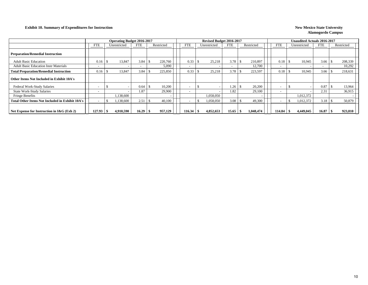#### **Exhibit 10. Summary of Expenditures for Instruction New Mexico State University New Mexico State University**

|                                                                                       |                          |    | <b>Operating Budget 2016-2017</b> |                          |  |            |  |            | Revised Budget 2016-2017 |                                          |       | <b>Unaudited Actuals 2016-2017</b> |           |            |                          |              |            |                          |            |         |
|---------------------------------------------------------------------------------------|--------------------------|----|-----------------------------------|--------------------------|--|------------|--|------------|--------------------------|------------------------------------------|-------|------------------------------------|-----------|------------|--------------------------|--------------|------------|--------------------------|------------|---------|
|                                                                                       | <b>FTE</b>               |    | Unrestricted                      | <b>FTE</b>               |  | Restricted |  | <b>FTE</b> |                          | <b>FTE</b><br>Restricted<br>Unrestricted |       |                                    |           | <b>FTE</b> |                          | Unrestricted | <b>FTE</b> |                          | Restricted |         |
| <b>Preparation/Remedial Instruction</b>                                               |                          |    |                                   |                          |  |            |  |            |                          |                                          |       |                                    |           |            |                          |              |            |                          |            |         |
| <b>Adult Basic Education</b>                                                          | 0.16                     | £. | 13,847                            | 3.84                     |  | 220,760    |  | 0.33       |                          | 25.218                                   | 3.78  |                                    | 210,897   |            | 0.18                     |              | 10.945     | 3.66                     |            | 208,339 |
| <b>Adult Basic Education Instr Materials</b>                                          | $\overline{\phantom{a}}$ |    |                                   | $\overline{\phantom{0}}$ |  | 5,090      |  |            |                          |                                          |       |                                    | 12,700    |            | $\overline{\phantom{0}}$ |              |            | $\overline{\phantom{0}}$ |            | 10,292  |
| <b>Total Preparation/Remedial Instruction</b>                                         | 0.16                     |    | 13,847                            | 3.84                     |  | 225,850    |  | 0.33       |                          | 25,218                                   | 3.78  |                                    | 223,597   |            | 0.18                     |              | 10,945     | 3.66                     |            | 218,631 |
| Other Items Not Included in Exhibit 10A's                                             |                          |    |                                   |                          |  |            |  |            |                          |                                          |       |                                    |           |            |                          |              |            |                          |            |         |
| Federal Work-Study Salaries                                                           |                          |    |                                   | 0.64                     |  | 10,200     |  |            |                          |                                          | 1.26  |                                    | 20,200    |            |                          |              |            | 0.87                     |            | 13,964  |
| <b>State Work-Study Salaries</b>                                                      | $\overline{\phantom{0}}$ |    |                                   | 1.87                     |  | 29.900     |  |            |                          |                                          | 1.82  |                                    | 29,100    |            | $\overline{\phantom{a}}$ |              |            | 2.31                     |            | 36,915  |
| <b>Fringe Benefits</b>                                                                |                          |    | 1,138,600                         |                          |  |            |  |            |                          | 1,058,050                                |       |                                    |           |            |                          |              | 1,012,372  |                          |            |         |
| <b>Total Other Items Not Included in Exhibit 10A's</b>                                |                          |    | 1,138,600                         | 2.51                     |  | 40,100     |  |            |                          | 1,058,050                                | 3.08  |                                    | 49,300    |            |                          |              | 1,012,372  | 3.18                     |            | 50,879  |
| 4,910,590<br>957,129<br>16.29<br>Net Expense for Instruction in I&G (Exh 2)<br>127.93 |                          |    |                                   |                          |  |            |  | 116.34     |                          | 4,852,653                                | 15.65 |                                    | 1,048,474 |            | 114.84                   |              | 4,449,045  | 16.87                    |            | 923,810 |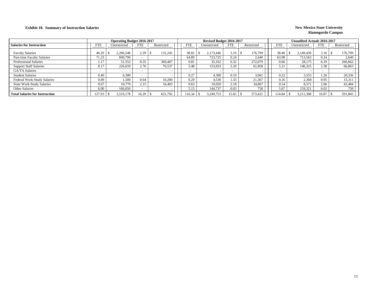#### **Exhibit 10. Summary of Instruction Salaries** New Mexico State University

|                                       |            | <b>Operating Budget 2016-2017</b> |            |            |            | Revised Budget 2016-2017 |            |            |                          | <b>Unaudited Actuals 2016-2017</b> |                          |            |
|---------------------------------------|------------|-----------------------------------|------------|------------|------------|--------------------------|------------|------------|--------------------------|------------------------------------|--------------------------|------------|
| <b>Salaries for Instruction</b>       | <b>FTE</b> | Unrestricted                      | <b>FTE</b> | Restricted | <b>FTE</b> | Unrestricted             | <b>FTE</b> | Restricted | FTE                      | Unrestricted                       | <b>FTE</b>               | Restricted |
| <b>Faculty Salaries</b>               | 40.20      | 2.206.548                         |            | 131,245    | 38.82      | 2.173.446                | 3.16       | 176.799    | 38.40                    | 2.149.430                          | 3.16                     | 176,799    |
| Part-time Faculty Salaries            | 71.23      | 849,799                           |            |            | 64.89      | 723,725                  | 0.24       | 2.640      | 63.98                    | 713.563                            | 0.24                     | 2,640      |
| <b>Professional Salaries</b>          | . 17       | 51,552                            | 8.35       | 369,407    | 0.81       | 35,162                   | 6.32       | 272,079    | 0.66                     | 28.175                             | 6.19                     | 266,662    |
| <b>Support Staff Salaries</b>         | 8.17       | 226,659                           | 2.76       | 76,537     | 5.48       | 153,833                  | 2.20       | 61,858     | 5.21                     | 146,325                            | 2.38                     | 66,863     |
| GA/TA Salaries                        |            |                                   |            |            |            |                          |            |            | $\overline{\phantom{0}}$ |                                    | $\overline{\phantom{0}}$ |            |
| <b>Student Salaries</b>               | 0.40       | 6,300                             |            |            | 0.27       | 4.300                    | 0.19       | 3.061      | 0.22                     | 3,555                              | 1.26                     | 20,336     |
| Federal Work-Study Salaries           | 0.09       | 1.500                             | 0.64       | 10.200     | 0.29       | 4.530                    | 1.33       | 21,367     | 0.16                     | 2.368                              | 0.95                     | 15,311     |
| <b>State Work-Study Salaries</b>      | 0.67       | 10.770                            | 2.15       | 34,403     | 0.63       | 10.020                   | 2.18       | 34,867     | 0.54                     | 8.571                              | 2.66                     | 42,484     |
| Other Salaries                        | 6.00       | 166,050                           |            |            | 5.15       | 144,737                  | 0.03       | 750        | 5.67                     | 159.321                            | 0.03                     | 750        |
| <b>Total Salaries for Instruction</b> | 127.93     | 3.519.178                         | 16.29      | 621,792    | 116.34     | 3.249.753                | 15.65      | 573.421    | 14.84                    | 3,211,308                          | 16.87                    | 591,845    |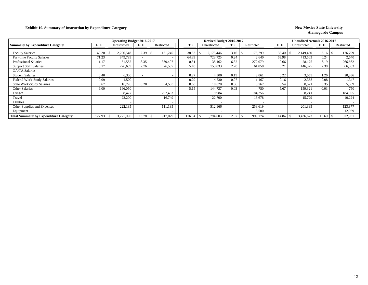#### **Exhibit 10. Summary of Instruction by Expenditure Category New Mexico State University**

|                                              |            | <b>Operating Budget 2016-2017</b> |            |            |            |              | Revised Budget 2016-2017 |            |                          | Unaudited Actuals 2016-2017 |            |                 |     |
|----------------------------------------------|------------|-----------------------------------|------------|------------|------------|--------------|--------------------------|------------|--------------------------|-----------------------------|------------|-----------------|-----|
| <b>Summary by Expenditure Category</b>       | <b>FTE</b> | Unrestricted                      | <b>FTE</b> | Restricted | <b>FTE</b> | Unrestricted | <b>FTE</b>               | Restricted | <b>FTE</b>               | Unrestricted                | <b>FTE</b> | Restricted      |     |
| <b>Faculty Salaries</b>                      | 40.20      | 2,206,548                         | 2.39       | 131,245    | 38.82      | 2,173,446    | 3.16                     | 176,799    | 38.40                    | 2,149,430                   | 3.16       | 176,799<br>- 75 |     |
| Part-time Faculty Salaries                   | 71.23      | 849,799                           |            |            | 64.89      | 723,725      | 0.24                     | 2,640      | 63.98                    | 713,563                     | 0.24       | 2,640           |     |
| <b>Professional Salaries</b>                 | 1.17       | 51,552                            | 8.35       | 369,407    | 0.81       | 35,162       | 6.32                     | 272,079    | 0.66                     | 28,175                      | 6.19       | 266,662         |     |
| <b>Support Staff Salaries</b>                | 8.17       | 226,659                           | 2.76       | 76,537     | 5.48       | 153,833      | 2.20                     | 61,858     | 5.21                     | 146,325                     | 2.38       | 66,863          |     |
| GA/TA Salaries                               |            |                                   |            |            |            |              | $\overline{\phantom{a}}$ |            | $\overline{\phantom{0}}$ |                             |            |                 |     |
| <b>Student Salaries</b>                      | 0.40       | 6,300                             |            |            | 0.27       | 4,300        | 0.19                     | 3,061      | 0.22                     | 3,555                       | 1.26       | 20,336          |     |
| Federal Work-Study Salaries                  | 0.09       | 1,500                             |            |            | 0.29       | 4,530        | 0.07                     | 1.167      | 0.16                     | 2,368                       | 0.08       | 1,347           |     |
| <b>State Work-Study Salaries</b>             | 0.67       | 10,770                            | 0.28       | 4,503      | 0.63       | 10,020       | 0.36                     | 5,767      | 0.54                     | 8.571                       | 0.35       | 5,569           |     |
| Other Salaries                               | 6.00       | 166,050                           |            |            | 5.15       | 144,737      | 0.03                     | 750        | 5.67                     | 159,321                     | 0.03       |                 | 750 |
| Fringes                                      |            | 8.477                             |            | 207,453    |            | 9.984        |                          | 184,256    |                          | 8,241                       |            | 184,905         |     |
| Travel                                       |            | 22,200                            |            | 16,749     |            | 22,700       |                          | 18,678     |                          | 15,729                      |            | 10,224          |     |
| <b>Utilities</b>                             |            |                                   |            |            |            |              |                          |            |                          |                             |            |                 |     |
| Other Supplies and Expenses                  |            | 222,135                           |            | 111,135    |            | 512,166      |                          | 258,619    |                          | 201,395                     |            | 123,877         |     |
| Equipment                                    |            |                                   |            |            |            |              |                          | 13,500     |                          |                             |            | 12,959          |     |
| <b>Total Summary by Expenditure Category</b> | 127.93     | 3,771,990                         | 13.78      | 917,029    | 116.34     | 3,794,603    | 12.57                    | 999,174    | 114.84                   | 3,436,673                   | 13.69      | 872,931<br>. ა  |     |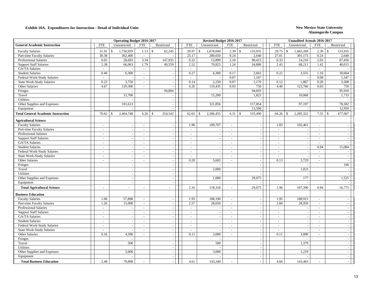|                                                            |                  | <b>Operating Budget 2016-2017</b> |                          |                                    |                          | Revised Budget 2016-2017           |                          |                                    |                  | <b>Unaudited Actuals 2016-2017</b>                   |                          |                             |
|------------------------------------------------------------|------------------|-----------------------------------|--------------------------|------------------------------------|--------------------------|------------------------------------|--------------------------|------------------------------------|------------------|------------------------------------------------------|--------------------------|-----------------------------|
| <b>General Academic Instruction</b>                        | <b>FTE</b>       | Unrestricted                      | <b>FTE</b>               | Restricted                         | <b>FTE</b>               | Unrestricted                       | <b>FTE</b>               | Restricted                         | <b>FTE</b>       | Unrestricted                                         | <b>FTE</b>               | Restricted                  |
| <b>Faculty Salaries</b>                                    | 31.91            | 1,750,929<br>\$                   | 1.13                     | $\mathbf{\hat{S}}$<br>62,245       | 29.97<br>\$              | 1,678,040                          | 2.39                     | 133,935<br>$\mathcal{S}$           | 29.75            | $\mathcal{S}$<br>1,665,269                           | 2.39<br>$\mathbb{S}$     | 133,935                     |
| Part-time Faculty Salaries                                 | 30.38            | 362,400                           | $\omega$                 |                                    | 25.17                    | 280,650                            | 0.24                     | 2,640                              | 27.01            | 301,173                                              | 0.24                     | 2,640                       |
| <b>Professional Salaries</b>                               | 0.65             | 28,693                            | 3.34                     | 147,935                            | 0.32                     | 13,899                             | 2.10                     | 90,415                             | 0.33             | 14,216                                               | 2.03                     | 87,456                      |
| <b>Support Staff Salaries</b>                              | 2.38             | 66,063                            | 1.79                     | 49,559                             | 2.52                     | 70,825                             | 1.24                     | 34,880                             | 2.43             | 68,211                                               | 1.42                     | 40,015                      |
| GA/TA Salaries                                             | $\sim$           |                                   | $\overline{\phantom{a}}$ |                                    | $\sim$                   |                                    | $\mathcal{L}$            |                                    | $\mathcal{L}$    |                                                      | $\sim$                   |                             |
| <b>Student Salaries</b>                                    | 0.40             | 6,300                             | $\omega$                 | $\overline{a}$                     | 0.27                     | 4,300                              | 0.17                     | 2,663                              | 0.22             | 3,555                                                | 1.16                     | 18,664                      |
| Federal Work-Study Salaries                                | $\sim$           |                                   | $\sim$                   |                                    | $\sim$                   |                                    | 0.07                     | 1,167                              | $\sim$           |                                                      | 0.08                     | 1,347                       |
| <b>State Work-Study Salaries</b>                           | 0.23             | 3,750                             | $\sim$                   | $\sim$                             | 0.14                     | 2,250                              | 0.07                     | 1,170                              | 0.12             | 1,867                                                | 0.20                     | 3,208                       |
| Other Salaries                                             | 4.67             | 129,300                           | $\sim$                   |                                    | 4.26                     | 119,435                            | 0.03                     | 750                                | 4.40             | 123,766                                              | 0.03                     | 750                         |
| Fringes                                                    |                  |                                   |                          | 94,804                             |                          |                                    |                          | 94,693                             |                  |                                                      |                          | 95,918                      |
| Travel                                                     |                  | 15,700                            |                          |                                    |                          | 15,200                             |                          | 1,823                              |                  | 10,068                                               |                          | 1,733                       |
| Utilities                                                  |                  |                                   |                          |                                    |                          |                                    |                          |                                    |                  |                                                      |                          |                             |
| Other Supplies and Expenses                                |                  | 101,613                           |                          |                                    |                          | 321,856                            |                          | 157,854                            |                  | 97,197                                               |                          | 78,382                      |
| Equipment                                                  |                  |                                   |                          |                                    |                          |                                    |                          | 13,500                             |                  |                                                      |                          | 12,959                      |
| <b>Total General Academic Instruction</b>                  | 70.62            | 2,464,748<br>-\$                  | 6.26                     | 354,543<br>$\mathbf{\hat{S}}$      | 62.65<br>\$              | 2,506,455                          | $6.31 \,$ \ \$           | 535,490                            | 64.26            | $\mathcal{S}$<br>2,285,322                           |                          | 477,007                     |
| <b>Agricultural Science</b>                                |                  |                                   |                          |                                    |                          |                                    |                          |                                    |                  |                                                      |                          |                             |
| <b>Faculty Salaries</b>                                    | $\sim$           | $\sim$                            | $\sim$                   | $\sim$                             | 1.96                     | 109,707                            | $\blacksquare$           | $\blacksquare$                     | 1.83             | 102,461                                              | $\omega$                 |                             |
| Part-time Faculty Salaries                                 | $\sim$           |                                   | $\sim$                   |                                    | $\sim$                   |                                    | $\sim$                   | $\sim$                             | $\sim$           |                                                      | ÷.                       | $\sim$                      |
| <b>Professional Salaries</b>                               | $\sim$           |                                   | $\omega$                 | $\overline{\phantom{a}}$           | $\sim$                   | $\overline{\phantom{a}}$           | $\sim$                   | $\sim$                             | $\sim$           | $\overline{\phantom{a}}$                             | $\mathcal{L}$            | $\sim$                      |
| <b>Support Staff Salaries</b>                              | $\sim$           |                                   | $\sim$                   |                                    | $\sim$                   |                                    | $\sim$                   | $\sim$                             | $\sim$           | $\overline{\phantom{a}}$                             | $\sim$                   | $\sim$                      |
| GA/TA Salaries                                             | $\sim$           | $\sim$                            | $\sim$                   |                                    | $\sim$                   |                                    | $\sim$                   | $\sim$                             | $\sim$           | $\overline{\phantom{a}}$                             | $\sim$                   | $\sim$                      |
| <b>Student Salaries</b>                                    | $\sim$           | $\sim$                            | $\blacksquare$           | $\overline{a}$                     | $\overline{\phantom{a}}$ |                                    | $\sim$                   | $\sim$                             | $\blacksquare$   | $\overline{\phantom{a}}$                             | 0.94                     | 15,084                      |
| Federal Work-Study Salaries                                | $\sim$           | $\blacksquare$                    | $\blacksquare$           | $\sim$                             | $\sim$                   | $\overline{\phantom{a}}$           | $\sim$                   | $\mathbb{Z}^2$                     | $\sim$           | $\sim$                                               | $\omega$                 | $\sim$                      |
| State Work-Study Salaries                                  | $\sim$           | $\overline{a}$                    | $\sim$                   | $\sim$                             | $\sim$                   |                                    | $\sim$                   | $\sim$                             | $\sim$           |                                                      | $\sim$                   | $\sim$                      |
| Other Salaries                                             | $\sim$           | $\sim$                            | $\sim$                   | $\sim$                             | 0.20                     | 5,603                              | $\sim$                   | $\sim$                             | 0.13             | 3,729                                                | $\sim$                   | $\sim$                      |
| Fringes                                                    |                  |                                   |                          |                                    |                          |                                    |                          | $\overline{\phantom{a}}$           |                  |                                                      |                          | 166                         |
| Travel                                                     |                  |                                   |                          |                                    |                          | 2,000                              |                          |                                    |                  | 1,023                                                |                          |                             |
| Utilities                                                  |                  |                                   |                          | $\sim$                             |                          |                                    |                          |                                    |                  |                                                      |                          |                             |
| Other Supplies and Expenses                                |                  |                                   |                          | $\overline{a}$                     |                          | 1,000                              |                          | 29,075                             |                  | 177                                                  |                          | 1,525                       |
| Equipment                                                  |                  | $\sim$                            |                          | $\overline{a}$                     |                          |                                    |                          |                                    |                  |                                                      |                          |                             |
| <b>Total Agricultural Science</b>                          |                  | $\overline{a}$                    | $\sim$                   | $\bar{\phantom{a}}$                | 2.16                     | 118,310                            | $\overline{\phantom{a}}$ | 29,075                             | 1.96             | 107,390                                              | 0.94                     | 16,775                      |
|                                                            |                  |                                   |                          |                                    |                          |                                    |                          |                                    |                  |                                                      |                          |                             |
| <b>Business Education</b>                                  |                  |                                   |                          |                                    |                          |                                    |                          |                                    |                  |                                                      |                          |                             |
| <b>Faculty Salaries</b>                                    | 1.06             | 57,898<br>15,000                  | $\sim$                   |                                    | 1.93<br>2.57             | 108,190                            | $\sim$                   | $\overline{\phantom{a}}$           | 1.95             | 108,915<br>28,950                                    | $\mathcal{L}$            |                             |
| Part-time Faculty Salaries<br><b>Professional Salaries</b> | 1.26             |                                   | $\sim$                   |                                    |                          | 28,650                             | $\sim$                   | $\sim$                             | 2.60             |                                                      | $\sim$                   | $\sim$                      |
|                                                            | $\sim$           |                                   | $\overline{\phantom{a}}$ | $\overline{\phantom{a}}$           | $\sim$                   |                                    | $\overline{\phantom{a}}$ | $\sim$                             | $\sim$           |                                                      | $\overline{\phantom{a}}$ | $\sim$                      |
| <b>Support Staff Salaries</b><br>GA/TA Salaries            | $\sim$<br>$\sim$ | $\sim$<br>$\sim$                  | $\blacksquare$<br>$\sim$ | $\overline{\phantom{a}}$<br>$\sim$ | $\blacksquare$<br>$\sim$ | $\sim$                             | $\sim$<br>$\sim$         | $\sim$                             | $\mathbb{Z}^2$   | $\overline{\phantom{a}}$                             | $\blacksquare$           | $\equiv$<br>$\omega$        |
| <b>Student Salaries</b>                                    | $\sim$           | $\sim$                            | $\sim$                   | $\sim$                             | $\sim$                   | $\sim$<br>$\overline{\phantom{a}}$ | $\sim$                   | $\sim$                             | $\sim$<br>$\sim$ | $\overline{\phantom{a}}$<br>$\overline{\phantom{a}}$ | $\sim$<br>$\sim$         |                             |
|                                                            |                  |                                   |                          |                                    |                          |                                    |                          | $\sim$                             |                  |                                                      |                          | $\sim$                      |
| Federal Work-Study Salaries                                | $\sim$<br>$\sim$ |                                   | $\sim$                   | $\overline{\phantom{a}}$           | $\sim$                   |                                    | $\sim$<br>$\sim$         | $\sim$                             | $\sim$<br>$\sim$ | $\overline{\phantom{a}}$                             | $\sim$<br>$\sim$         | $\blacksquare$              |
| <b>State Work-Study Salaries</b><br>Other Salaries         | 0.16             | 4,500                             | $\sim$                   | $\overline{\phantom{a}}$           | 0.11                     | 3,000                              | $\omega$                 | $\sim$<br>$\overline{\phantom{a}}$ | 0.11             | 3,000                                                | ÷.                       | $\blacksquare$<br>$\sim$    |
|                                                            |                  |                                   |                          |                                    |                          |                                    |                          |                                    |                  |                                                      |                          | $\equiv$                    |
| Fringes<br>Travel                                          |                  | 500                               |                          | $\sim$<br>$\overline{\phantom{a}}$ |                          | 500                                |                          | $\sim$<br>$\sim$                   |                  | 1,379                                                |                          | $\mathcal{L}$               |
| Utilities                                                  |                  |                                   |                          |                                    |                          |                                    |                          | $\sim$                             |                  |                                                      |                          | $\mathbf{r}$                |
| Other Supplies and Expenses                                |                  | 2,000                             |                          | $\sim$                             |                          | 3,000                              |                          | $\sim$                             |                  | 1,219                                                |                          | $\sim$                      |
| Equipment                                                  |                  |                                   |                          |                                    |                          |                                    |                          | $\sim$                             |                  |                                                      |                          | $\mathcal{L}_{\mathcal{A}}$ |
|                                                            |                  |                                   |                          |                                    |                          |                                    |                          |                                    |                  |                                                      |                          |                             |
| <b>Total Business Education</b>                            | 2.48             | 79,898                            |                          |                                    | 4.61                     | 143,340                            |                          |                                    | 4.66             | 143,463                                              |                          |                             |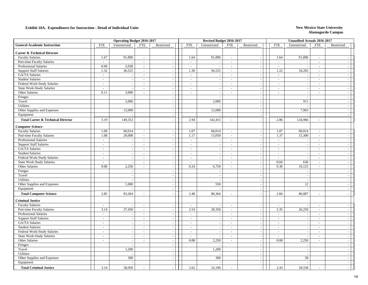|                                              |                | <b>Operating Budget 2016-2017</b> |                |                          |               | Revised Budget 2016-2017 |                             |                             |                | Unaudited Actuals 2016-2017 |                             |                             |
|----------------------------------------------|----------------|-----------------------------------|----------------|--------------------------|---------------|--------------------------|-----------------------------|-----------------------------|----------------|-----------------------------|-----------------------------|-----------------------------|
| <b>General Academic Instruction</b>          | <b>FTE</b>     | Unrestricted                      | <b>FTE</b>     | Restricted               | <b>FTE</b>    | Unrestricted             | <b>FTE</b>                  | Restricted                  | <b>FTE</b>     | Unrestricted                | <b>FTE</b>                  | Restricted                  |
| <b>Career &amp; Technical Director</b>       |                |                                   |                |                          |               |                          |                             |                             |                |                             |                             |                             |
| <b>Faculty Salaries</b>                      | 1.67           | 91,890                            | $\sim$         | $\sim$                   | 1.64          | 91,890                   | $\sim$                      | $\sim$                      | 1.64           | 91,890                      | $\sim$                      |                             |
| Part-time Faculty Salaries                   | $\sim$         |                                   | $\sim$         | $\sim$                   | $\mathcal{L}$ |                          | $\sim$                      | $\sim$                      | $\sim$         |                             | $\sim$                      | $\sim$                      |
| <b>Professional Salaries</b>                 | 0.09           | 3,938                             | $\sim$         | $\overline{\phantom{a}}$ | $\sim$        |                          | $\blacksquare$              | $\overline{\phantom{a}}$    | $\sim$         |                             | $\blacksquare$              | $\sim$                      |
| <b>Support Staff Salaries</b>                | 1.32           | 36,525                            | $\mathcal{L}$  | $\sim$                   | 1.30          | 36,525                   | $\omega$                    | $\sim$                      | 1.22           | 34,202                      | $\sim$                      | $\sim$                      |
| GA/TA Salaries                               | $\sim$         |                                   | $\sim$         | $\sim$                   | $\mathcal{L}$ |                          | $\omega$                    | $\sim$                      | $\mathcal{L}$  |                             | $\sim$                      | $\sim$                      |
| <b>Student Salaries</b>                      | $\sim$         |                                   | $\sim$         | $\sim$                   | $\sim$        |                          | $\sim$                      | $\sim$                      | $\sim$         | $\overline{\phantom{a}}$    | $\overline{a}$              | $\sim$                      |
| Federal Work-Study Salaries                  | $\sim$         | $\sim$                            | $\sim$         | $\sim$                   | $\sim$        |                          | $\sim$                      | $\sim$                      | $\sim$         | $\overline{\phantom{a}}$    | $\sim$                      | $\sim$                      |
| State Work-Study Salaries                    | $\sim$         |                                   | $\sim$         | $\sim$                   | $\sim$        | $\sim$                   | $\sim$                      | $\mathcal{L}_{\mathcal{A}}$ | $\sim$         | $\overline{\phantom{a}}$    | $\sim$                      | $\omega$                    |
| Other Salaries                               | 0.11           | 3,000                             | $\sim$         | $\sim$                   | $\sim$        | $\overline{\phantom{a}}$ | $\sim$                      | $\sim$                      | $\sim$         | $\overline{\phantom{a}}$    | $\sim$                      | $\sim$                      |
| Fringes                                      |                |                                   |                | $\sim$                   |               |                          |                             |                             |                |                             |                             | $\sim$                      |
| Travel                                       |                | 2,000                             |                | $\sim$                   |               | 2,000                    |                             | $\sim$                      |                | 911                         |                             | $\sim$                      |
| Utilities                                    |                |                                   |                | $\sim$                   |               |                          |                             | $\sim$                      |                |                             |                             | $\sim$                      |
| Other Supplies and Expenses                  |                | 12,000                            |                | $\sim$                   |               | 12,000                   |                             | $\sim$                      |                | 7,963                       |                             | $\sim$                      |
| Equipment                                    |                |                                   |                | $\sim$                   |               |                          |                             | $\sim$                      |                |                             |                             | $\sim$                      |
| <b>Total Career &amp; Technical Director</b> | 3.19           | 149,353                           | $\sim$         |                          | 2.94          | 142,415                  | $\sim$                      | $\sim$                      | 2.86           | 134,966                     | $\sim$                      | $\sim$                      |
| <b>Computer Science</b>                      |                |                                   |                |                          |               |                          |                             |                             |                |                             |                             |                             |
| <b>Faculty Salaries</b>                      | 1.09           | 60,014                            | $\sim$         | $\overline{\phantom{a}}$ | 1.07          | 60,014                   | $\mathcal{L}$               | $\overline{\phantom{a}}$    | 1.07           | 60,014                      | $\sim$                      |                             |
| Part-time Faculty Salaries                   | 1.68           | 20,000                            | $\blacksquare$ | $\sim$                   | 1.17          | 13,050                   | $\omega$                    | $\sim$                      | 1.37           | 15,300                      | $\mathcal{L}_{\mathcal{A}}$ | $\sim$                      |
| <b>Professional Salaries</b>                 | $\sim$         |                                   | $\sim$         | $\overline{\phantom{a}}$ | $\sim$        |                          | $\sim$                      | $\sim$                      | $\sim$         |                             | $\sim$                      | $\sim$                      |
| <b>Support Staff Salaries</b>                | $\sim$         |                                   | $\sim$         | $\sim$                   | $\sim$        |                          | $\mathcal{L}$               | $\sim$                      | $\sim$         | ÷.                          | $\sim$                      | $\sim$                      |
| GA/TA Salaries                               | $\sim$         | $\sim$                            | $\sim$         | $\sim$                   | $\sim$        |                          | $\sim$                      | $\sim$                      | $\sim$         | $\sim$                      | $\sim$                      | $\sim$                      |
| <b>Student Salaries</b>                      | $\sim$         | $\sim$                            | $\sim$         | $\sim$                   | $\sim$        | $\sim$                   | $\sim$                      | $\sim$                      | $\sim$         | $\overline{\phantom{a}}$    | $\sim$                      | $\mathbb{L}$                |
| Federal Work-Study Salaries                  | $\sim$         |                                   | $\sim$         | $\sim$                   | $\sim$        | $\sim$                   | $\sim$                      | $\sim$                      | $\sim$         | $\sim$                      | $\sim$                      | $\sim$                      |
| State Work-Study Salaries                    |                |                                   | $\sim$         | $\sim$                   |               |                          | $\sim$                      | $\sim$                      | 0.04           | 636                         | $\overline{\phantom{a}}$    | $\sim$                      |
| Other Salaries                               | 0.08           | 2,250                             | $\mathcal{L}$  | $\sim$                   | 0.24          | 6,750                    | $\omega$                    | $\mathcal{L}_{\mathcal{A}}$ | 0.36           | 10,125                      | $\sim$                      | $\sim$                      |
| Fringes                                      |                |                                   |                | $\sim$                   |               |                          |                             | $\sim$                      |                | $\overline{\phantom{a}}$    |                             | $\sim$                      |
| Travel                                       |                |                                   |                | $\sim$                   |               |                          |                             | $\sim$                      |                |                             |                             | $\sim$                      |
| Utilities                                    |                |                                   |                | $\sim$                   |               | $\overline{\phantom{a}}$ |                             | $\sim$                      |                | $\overline{\phantom{a}}$    |                             | $\sim$                      |
| Other Supplies and Expenses                  |                | 1,000                             |                | $\sim$                   |               | 550                      |                             | $\sim$                      |                | 12                          |                             | $\sim$                      |
| Equipment                                    |                |                                   |                | $\sim$                   |               |                          |                             | $\sim$                      |                |                             |                             | $\sim$                      |
| <b>Total Computer Science</b>                | 2.85           | 83,264                            | $\sim$         |                          | 2.48          | 80,364                   | $\overline{\phantom{a}}$    | $\sim$                      | 2.84           | 86,087                      | $\sim$                      | $\sim$                      |
| <b>Criminal Justice</b>                      |                |                                   |                |                          |               |                          |                             |                             |                |                             |                             |                             |
| <b>Faculty Salaries</b>                      | $\sim$         |                                   | $\sim$         | $\sim$                   | $\sim$        |                          | $\sim$                      | $\sim$                      | $\sim$         |                             | $\overline{a}$              | $\sim$                      |
| Part-time Faculty Salaries                   | 3.14           | 37,450                            | $\blacksquare$ | $\sim$                   | 2.54          | 28,350                   | $\mathcal{L}_{\mathcal{A}}$ | $\mathcal{L}_{\mathcal{A}}$ | 2.35           | 26,250                      | $\blacksquare$              | $\sim$                      |
| Professional Salaries                        | $\sim$         |                                   | $\sim$         | $\sim$                   | $\sim$        |                          | $\sim$                      | $\sim$                      | $\sim$         |                             | $\sim$                      | $\sim$                      |
| <b>Support Staff Salaries</b>                | $\sim$         |                                   | $\sim$         | $\sim$                   | $\sim$        |                          | $\sim$                      | $\sim$                      | $\sim$         | $\overline{\phantom{a}}$    | $\sim$                      | $\mathbb{L}$                |
| GA/TA Salaries                               | $\sim$         |                                   | $\sim$         | $\sim$                   | $\sim$        | $\sim$                   | $\sim$                      | $\sim$                      | $\sim$         | $\overline{\phantom{a}}$    | $\sim$                      | $\sim$                      |
| <b>Student Salaries</b>                      | $\blacksquare$ |                                   | $\sim$         |                          | $\sim$        |                          | $\sim$                      | $\sim$                      | $\sim$         |                             | $\sim$                      | $\sim$                      |
| Federal Work-Study Salaries                  | $\sim$         | $\sim$                            | $\overline{a}$ | $\sim$                   | $\sim$        |                          | $\omega$                    | $\blacksquare$              | $\sim$         | $\overline{\phantom{a}}$    | $\sim$                      | $\sim$                      |
| State Work-Study Salaries                    | $\sim$         | $\overline{a}$                    | $\sim$         | $\sim$                   | $\omega$      |                          | $\omega$                    | $\blacksquare$              | $\overline{a}$ |                             | $\overline{a}$              | $\sim$                      |
| Other Salaries                               | $\sim$         | $\sim$                            | $\sim$         | $\sim$                   | 0.08          | 2,250                    | $\sim$                      | $\sim$                      | 0.08           | 2,250                       | $\sim$                      | $\sim$                      |
| Fringes                                      |                |                                   |                | $\sim$                   |               |                          |                             | $\sim$                      |                | $\overline{\phantom{a}}$    |                             | $\mathbb{L}$                |
| Travel                                       |                | 1,200                             |                | $\sim$                   |               | 1,200                    |                             | $\sim$                      |                | $\sim$                      |                             | $\sim$                      |
| Utilities                                    |                |                                   |                | $\sim$                   |               |                          |                             | $\sim$                      |                |                             |                             | $\mathcal{L}_{\mathcal{A}}$ |
| Other Supplies and Expenses                  |                | 300                               |                | $\overline{\phantom{a}}$ |               | 300                      |                             | $\sim$                      |                | 58                          |                             | $\overline{\phantom{a}}$    |
| Equipment                                    |                |                                   |                | $\sim$                   |               |                          |                             | $\sim$                      |                |                             |                             | $\omega$                    |
| <b>Total Criminal Justice</b>                | 3.14           | 38,950                            |                |                          | 2.62          | 32,100                   |                             |                             | 2.43           | 28,558                      |                             |                             |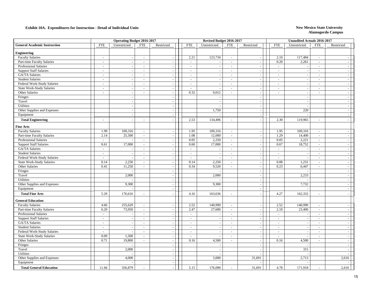|                                     |                          | <b>Operating Budget 2016-2017</b> |                          |                             |            | Revised Budget 2016-2017 |                          |                |                | <b>Unaudited Actuals 2016-2017</b> |                          |                             |
|-------------------------------------|--------------------------|-----------------------------------|--------------------------|-----------------------------|------------|--------------------------|--------------------------|----------------|----------------|------------------------------------|--------------------------|-----------------------------|
| <b>General Academic Instruction</b> | <b>FTE</b>               | Unrestricted                      | <b>FTE</b>               | Restricted                  | <b>FTE</b> | Unrestricted             | <b>FTE</b>               | Restricted     | <b>FTE</b>     | Unrestricted                       | <b>FTE</b>               | Restricted                  |
| <b>Engineering</b>                  |                          |                                   |                          |                             |            |                          |                          |                |                |                                    |                          |                             |
| <b>Faculty Salaries</b>             | $\sim$                   |                                   | $\blacksquare$           | $\sim$                      | 2.21       | 123,734                  | $\sim$                   | $\sim$         | 2.10           | 117,484                            | $\sim$                   |                             |
| Part-time Faculty Salaries          | $\sim$                   |                                   | $\sim$                   | $\sim$                      | $\sim$     | $\overline{\phantom{a}}$ | $\sim$                   | $\sim$         | 0.20           | 2,261                              | $\sim$                   | $\blacksquare$              |
| <b>Professional Salaries</b>        | $\overline{\phantom{a}}$ |                                   | $\overline{\phantom{a}}$ |                             | $\sim$     |                          | $\sim$                   | $\sim$         | $\sim$         | $\overline{\phantom{a}}$           | $\overline{\phantom{a}}$ | $\sim$                      |
| <b>Support Staff Salaries</b>       | $\sim$                   |                                   | $\sim$                   | $\sim$                      | $\sim$     | $\overline{\phantom{a}}$ | $\overline{\phantom{a}}$ | $\blacksquare$ | $\sim$         | $\overline{\phantom{a}}$           | $\mathcal{L}$            | $\sim$                      |
| GA/TA Salaries                      | $\sim$                   | $\sim$                            | $\sim$                   | $\sim$                      | $\sim$     | $\sim$                   | $\omega$                 | $\sim$         | $\sim$         | $\overline{\phantom{a}}$           | $\mathcal{L}$            | $\sim$                      |
| <b>Student Salaries</b>             | $\sim$                   | $\sim$                            | $\sim$                   | $\sim$                      | $\sim$     |                          | $\sim$                   | $\sim$         | $\sim$         | $\overline{\phantom{a}}$           | $\sim$                   | $\sim$                      |
| Federal Work-Study Salaries         | $\sim$                   | $\sim$                            | $\sim$                   | $\sim$                      | $\sim$     | $\sim$                   | $\sim$                   | $\sim$         | $\sim$         | $\overline{\phantom{a}}$           | $\blacksquare$           | $\sim$                      |
| <b>State Work-Study Salaries</b>    | $\sim$                   | $\overline{\phantom{a}}$          | $\sim$                   | $\sim$                      | $\sim$     | $\sim$                   | $\sim$                   | $\sim$         | $\sim$         | $\overline{\phantom{a}}$           | $\sim$                   | $\sim$                      |
| Other Salaries                      | $\sim$                   | $\overline{\phantom{a}}$          | $\sim$                   | $\sim$                      | 0.32       | 9,012                    | $\omega$                 | $\mathbb{L}$   | $\sim$         | $\sim$                             | $\sim$                   | $\equiv$                    |
| Fringes                             |                          |                                   |                          | $\sim$                      |            |                          |                          | $\sim$         |                | $\overline{\phantom{a}}$           |                          | $\sim$                      |
| Travel                              |                          | $\overline{\phantom{a}}$          |                          | $\blacksquare$              |            | $\sim$                   |                          | $\sim$         |                | $\overline{\phantom{a}}$           |                          | $\sim$                      |
| Utilities                           |                          | $\overline{a}$                    |                          | $\sim$                      |            | $\overline{a}$           |                          | $\sim$         |                | $\overline{a}$                     |                          | $\sim$                      |
| Other Supplies and Expenses         |                          | $\sim$                            |                          | $\sim$                      |            | 1,750                    |                          | $\sim$         |                | 220                                |                          | $\sim$                      |
| Equipment                           |                          | $\overline{\phantom{a}}$          |                          | $\sim$                      |            |                          |                          | $\sim$         |                |                                    |                          | $\mathcal{L}_{\mathcal{A}}$ |
| <b>Total Engineering</b>            | $\sim$                   |                                   | $\sim$                   |                             | 2.53       | 134,496                  | $\overline{a}$           | $\sim$         | 2.30           | 119,965                            | $\sim$                   | $\overline{a}$              |
| <b>Fine Arts</b>                    |                          |                                   |                          |                             |            |                          |                          |                |                |                                    |                          |                             |
| <b>Faculty Salaries</b>             | 1.99                     | 109,316                           | $\blacksquare$           | $\sim$                      | 1.95       | 109,316                  | $\overline{\phantom{a}}$ | $\sim$         | 1.95           | 109,316                            | $\mathcal{L}$            |                             |
| Part-time Faculty Salaries          | 2.14                     | 25,500                            | $\sim$                   | $\sim$                      | 1.08       | 12,000                   | $\omega$                 | $\mathbb{Z}^2$ | 1.29           | 14,400                             | $\mathcal{L}$            | $\omega$                    |
| Professional Salaries               | $\omega$                 |                                   | $\sim$                   | $\sim$                      | 0.05       | 2,250                    | $\omega$                 | $\sim$         | 0.05           | 2,221                              | $\sim$                   | $\sim$                      |
| <b>Support Staff Salaries</b>       | 0.61                     | 17,000                            | $\sim$                   | $\sim$                      | 0.60       | 17,000                   | $\omega$                 | $\sim$         | 0.67           | 18,752                             | $\omega$                 | $\sim$                      |
| GA/TA Salaries                      | $\sim$                   |                                   | $\sim$                   | $\sim$                      | $\omega$   | $\sim$                   | $\sim$                   | $\sim$         | $\mathbb{Z}^2$ | $\overline{\phantom{a}}$           | $\blacksquare$           | $\mathcal{L}_{\mathcal{A}}$ |
| <b>Student Salaries</b>             | $\sim$                   |                                   | $\sim$                   | $\sim$                      | $\sim$     | $\overline{\phantom{a}}$ | $\sim$                   | $\sim$         | $\sim$         | $\overline{\phantom{a}}$           | $\sim$                   | $\sim$                      |
| Federal Work-Study Salaries         | $\sim$                   |                                   | $\blacksquare$           | $\sim$                      | $\sim$     | $\sim$                   | $\blacksquare$           | $\sim$         | $\blacksquare$ | $\overline{\phantom{a}}$           | $\blacksquare$           | $\blacksquare$              |
| State Work-Study Salaries           | 0.14                     | 2,250                             | $\mathcal{L}$            | $\sim$                      | 0.14       | 2,250                    | $\omega$                 | $\sim$         | 0.08           | 1,231                              | $\mathcal{L}$            | $\mathcal{L}$               |
| Other Salaries                      | 0.41                     | 11,250                            | $\sim$                   | $\sim$                      | 0.34       | 9,520                    | $\omega$                 | $\sim$         | 0.23           | 6,447                              | $\sim$                   | $\mathcal{L}_{\mathcal{A}}$ |
| Fringes                             |                          |                                   |                          | $\sim$                      |            |                          |                          | $\sim$         |                |                                    |                          | $\sim$                      |
| Travel                              |                          | 2,000                             |                          | $\sim$                      |            | 2,000                    |                          | $\sim$         |                | 2,233                              |                          | $\sim$                      |
| Utilities                           |                          |                                   |                          | $\sim$                      |            |                          |                          | $\sim$         |                |                                    |                          | $\omega_{\rm c}$            |
| Other Supplies and Expenses         |                          | 9,300                             |                          | $\blacksquare$              |            | 9,300                    |                          | $\sim$         |                | 7,732                              |                          | $\blacksquare$              |
| Equipment                           |                          |                                   |                          | $\mathcal{L}_{\mathcal{A}}$ |            |                          |                          | $\blacksquare$ |                |                                    |                          | $\blacksquare$              |
| <b>Total Fine Arts</b>              | 5.29                     | 176,616                           | $\overline{\phantom{a}}$ |                             | 4.16       | 163,636                  | $\overline{a}$           | $\sim$         | 4.27           | 162,332                            | $\sim$                   | $\sim$                      |
| <b>General Education</b>            |                          |                                   |                          |                             |            |                          |                          |                |                |                                    |                          |                             |
| <b>Faculty Salaries</b>             | 4.66                     | 255,629                           | $\sim$                   | $\sim$                      | 2.52       | 140,990                  | $\omega$                 | $\sim$         | 2.52           | 140,990                            | $\sim$                   | $\sim$                      |
| Part-time Faculty Salaries          | 6.20                     | 73,950                            | $\sim$                   | $\sim$                      | 2.47       | 27,600                   | $\sim$                   | $\sim$         | 2.10           | 23,400                             | $\sim$                   | $\sim$                      |
| Professional Salaries               | $\mathbb{Z}^2$           |                                   | $\blacksquare$           | $\sim$                      | $\omega$   | $\sim$                   | $\sim$                   | $\sim$         | $\mathbb{Z}^2$ | $\overline{\phantom{a}}$           | $\blacksquare$           | $\mathcal{L}_{\mathcal{A}}$ |
| <b>Support Staff Salaries</b>       | $\sim$                   |                                   | $\sim$                   | $\sim$                      | $\sim$     | $\sim$                   | $\sim$                   | $\sim$         | $\sim$         | $\overline{\phantom{a}}$           | $\sim$                   | $\mathcal{L}$               |
| <b>GA/TA Salaries</b>               | $\sim$                   |                                   | $\sim$                   | $\sim$                      | $\sim$     | $\overline{\phantom{a}}$ | $\blacksquare$           | $\blacksquare$ | $\sim$         | $\overline{\phantom{a}}$           | $\blacksquare$           | $\blacksquare$              |
| <b>Student Salaries</b>             | $\omega$                 |                                   | $\blacksquare$           | $\sim$                      | $\omega$   | $\sim$                   | $\omega$                 | $\mathbb{L}$   | $\omega$       | $\overline{\phantom{a}}$           | $\mathcal{L}$            | $\equiv$                    |
| Federal Work-Study Salaries         | $\sim$                   |                                   | $\sim$                   | $\sim$                      | $\sim$     | $\sim$                   | $\sim$                   | $\sim$         | $\sim$         | $\overline{\phantom{a}}$           | $\sim$                   | $\blacksquare$              |
| State Work-Study Salaries           | 0.09                     | 1,500                             | $\sim$                   | $\sim$                      | $\sim$     | $\sim$                   | $\omega$                 | $\sim$         | $\sim$         | $\sim$                             | $\sim$                   | $\sim$                      |
| Other Salaries                      | 0.71                     | 19,800                            | $\sim$                   | $\sim$                      | 0.16       | 4,500                    | $\sim$                   | $\sim$         | 0.16           | 4,500                              | $\overline{\phantom{a}}$ | $\sim$                      |
| Fringes                             |                          |                                   |                          | $\sim$                      |            | $\sim$                   |                          | $\sim$         |                |                                    |                          | $\omega$                    |
| Travel                              |                          | 2,000                             |                          | $\sim$                      |            | $\sim$                   |                          | $\sim$         |                | 315                                |                          | $\omega$                    |
| <b>Utilities</b>                    |                          |                                   |                          | $\sim$                      |            |                          |                          | $\sim$         |                |                                    |                          | $\sim$                      |
| Other Supplies and Expenses         |                          | 4,000                             |                          | $\sim$                      |            | 3,000                    |                          | 31,691         |                | 2,713                              |                          | 2,616                       |
| Equipment                           |                          |                                   |                          | $\sim$                      |            |                          |                          |                |                |                                    |                          |                             |
| <b>Total General Education</b>      | 11.66                    | 356,879                           |                          |                             | 5.15       | 176,090                  |                          | 31,691         | 4.78           | 171,918                            |                          | 2.616                       |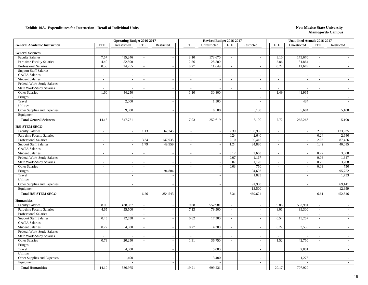| <b>General Academic Instruction</b><br><b>FTE</b><br>Unrestricted<br>Restricted<br><b>FTE</b><br>Unrestricted<br><b>FTE</b><br>Restricted<br>Unrestricted<br><b>FTE</b><br>Restricted<br><b>General Sciences</b><br>173,670<br><b>Faculty Salaries</b><br>7.57<br>415,246<br>3.10<br>173,670<br>3.10<br>$\mathcal{L}$<br>$\blacksquare$<br>$\sim$<br>$\mathcal{L}$<br>Part-time Faculty Salaries<br>4.40<br>52,500<br>2.56<br>28,500<br>2.86<br>31,864<br>$\mathcal{L}$<br>$\sim$<br>$\sim$<br>$\sim$<br>$\sim$<br>$\sim$<br>11,649<br><b>Professional Salaries</b><br>0.56<br>24,755<br>0.27<br>11,649<br>0.27<br>$\equiv$<br>$\omega$<br>$\overline{a}$<br>$\sim$<br>$\mathcal{L}$<br>$\overline{\phantom{a}}$<br><b>Support Staff Salaries</b><br>$\sim$<br>$\sim$<br>$\sim$<br>$\sim$<br>$\sim$<br>$\sim$<br>$\mathcal{L}$<br>$\blacksquare$<br>$\sim$<br>GA/TA Salaries<br>$\sim$<br>$\sim$<br>$\mathcal{L}$<br>$\sim$<br>$\mathcal{L}$<br>$\sim$<br>$\sim$<br>$\sim$<br>$\overline{a}$<br>$\sim$<br>$\sim$<br>$\overline{\phantom{a}}$<br><b>Student Salaries</b><br>$\equiv$<br>$\sim$<br>$\sim$<br>$\blacksquare$<br>$\sim$<br>$\blacksquare$<br>$\overline{\phantom{a}}$<br>$\sim$<br>$\overline{\phantom{a}}$<br>$\sim$<br>Federal Work-Study Salaries<br>$\sim$<br>$\sim$<br>$\sim$<br>$\overline{\phantom{a}}$<br>$\sim$<br>$\sim$<br>$\overline{\phantom{a}}$<br>$\sim$<br>$\sim$<br>$\overline{\phantom{a}}$<br>$\sim$<br>State Work-Study Salaries<br>$\sim$<br>$\sim$<br>$\sim$<br>$\sim$<br>$\sim$<br>$\sim$<br>$\blacksquare$<br>$\sim$<br>Other Salaries<br>1.60<br>44,250<br>1.10<br>30,800<br>1.49<br>41,965<br>$\equiv$<br>$\equiv$<br>$\mathcal{L}$<br>$\sim$<br>$\sim$<br>$\overline{a}$<br>Fringes<br>$\mathcal{L}_{\mathcal{A}}$<br>$\sim$<br>$\overline{a}$<br>2,000<br>434<br>Travel<br>1,500<br>$\sim$<br>$\sim$<br>$\sim$<br>Utilities<br>$\sim$<br>$\sim$<br>$\sim$<br>Other Supplies and Expenses<br>9,000<br>5,100<br>6,500<br>5,100<br>5,684<br>$\overline{\phantom{a}}$<br>Equipment<br>$\sim$<br><b>Total General Sciences</b><br>7.03<br>5,100<br>14.13<br>547,751<br>252,619<br>5,100<br>7.72<br>265,266<br>$\overline{a}$<br>$\overline{a}$<br>$\sim$<br>HSI STEM SECO<br>62,245<br>2.39<br>133,935<br>2.39<br>133,935<br><b>Faculty Salaries</b><br>1.13<br>$\blacksquare$<br>$\sim$<br>$\sim$<br>$\sim$<br>2,640<br>0.24<br>Part-time Faculty Salaries<br>0.24<br>2,640<br>$\sim$<br>$\sim$<br>$\sim$<br>$\sim$<br>$\overline{\phantom{a}}$<br>$\overline{a}$<br>3.34<br><b>Professional Salaries</b><br>147,935<br>2.10<br>90,415<br>2.03<br>87,456<br>$\sim$<br>$\sim$<br>$\sim$<br>$\omega$<br>$\sim$<br>$\overline{a}$<br>34,880<br>1.42<br><b>Support Staff Salaries</b><br>1.79<br>49,559<br>1.24<br>40,015<br>$\sim$<br>$\sim$<br>$\overline{\phantom{a}}$<br>$\sim$<br>$\sim$<br>$\sim$<br>GA/TA Salaries<br>$\omega_{\rm c}$<br>$\sim$<br>$\overline{\phantom{a}}$<br>$\sim$<br>$\sim$<br>$\sim$<br>$\overline{\phantom{a}}$<br>$\sim$<br>0.22<br>3,580<br><b>Student Salaries</b><br>0.17<br>2,663<br>$\sim$<br>$\sim$<br>$\sim$<br>$\sim$<br>$\sim$<br>$\sim$<br>0.07<br>0.08<br>1,347<br>Federal Work-Study Salaries<br>1,167<br>$\overline{\phantom{a}}$<br>$\overline{\phantom{a}}$<br>$\blacksquare$<br>$\overline{\phantom{a}}$<br>$\blacksquare$<br>$\overline{\phantom{a}}$<br>State Work-Study Salaries<br>0.07<br>1,170<br>0.20<br>3,208<br>$\sim$<br>$\overline{a}$<br>$\sim$<br>$\sim$<br>$\sim$<br>$\sim$<br>0.03<br>750<br>0.03<br>750<br>Other Salaries<br>$\sim$<br>$\omega$<br>$\overline{\phantom{a}}$<br>$\sim$<br>$\sim$<br>$\sim$<br>$\sim$<br>94,693<br>95,752<br>94,804<br>Fringes<br>$\sim$<br>$\overline{\phantom{a}}$<br>Travel<br>1,823<br>1,733<br>$\overline{a}$<br>$\sim$<br>$\overline{\phantom{a}}$<br>Utilities<br>$\sim$<br>$\overline{\phantom{a}}$<br>$\overline{\phantom{a}}$<br>$\sim$<br>69,141<br>Other Supplies and Expenses<br>91,988<br>$\sim$<br>$\sim$<br>$\overline{\phantom{a}}$<br>13,500<br>12,959<br>Equipment<br>$\sim$<br>$\overline{\phantom{a}}$<br>$\overline{\phantom{a}}$<br><b>Total HSI STEM SECO</b><br>6.26<br>354,543<br>6.31<br>469,624<br>6.61<br>452,516<br>$\sim$<br><b>Humanities</b><br>438,987<br>552.981<br><b>Faculty Salaries</b><br>8.00<br>9.88<br>552,981<br>9.88<br>$\sim$<br>$\overline{\phantom{a}}$<br>$\sim$<br>$\sim$<br>$\sim$<br>$\sim$<br>55,500<br>7.13<br>79,500<br>Part-time Faculty Salaries<br>4.65<br>8.01<br>89,300<br>$\sim$<br>$\blacksquare$<br>$\sim$<br>$\blacksquare$<br>$\overline{\phantom{a}}$<br>$\sim$<br><b>Professional Salaries</b><br>$\sim$<br>$\mathcal{L}$<br>$\sim$<br>$\sim$<br>$\sim$<br>$\sim$<br>$\overline{\phantom{a}}$<br>$\sim$<br>$\sim$<br>0.45<br>12,538<br>0.62<br>0.54<br>15,257<br><b>Support Staff Salaries</b><br>17,300<br>$\equiv$<br>$\equiv$<br>$\sim$<br>$\sim$<br>$\sim$<br>$\sim$<br>GA/TA Salaries<br>$\mathbf{r}$<br>$\equiv$<br>$\overline{\phantom{a}}$<br>$\blacksquare$<br>$\sim$<br>$\sim$<br>$\bar{\phantom{a}}$<br><b>Student Salaries</b><br>0.27<br>4,300<br>0.27<br>4,300<br>0.22<br>3,555<br>$\omega_{\rm c}$<br>$\equiv$<br>$\overline{\phantom{a}}$<br>$\omega_{\rm c}$<br>$\equiv$<br>$\sim$<br>Federal Work-Study Salaries<br>$\sim$<br>$\sim$<br>$\sim$<br>$\sim$<br>$\sim$<br>$\sim$<br>$\sim$<br>$\sim$<br>$\sim$<br><b>State Work-Study Salaries</b><br>$\sim$<br>$\omega$<br>$\mathcal{L}$<br>$\omega$<br>$\mathcal{L}$<br>$\sim$<br>$\overline{a}$<br>$\mathcal{L}_{\mathcal{A}}$<br>$\sim$<br>0.73<br>20,250<br>1.31<br>1.52<br>Other Salaries<br>36,750<br>42,750<br>$\blacksquare$<br>$\overline{a}$<br>$\sim$<br>$\sim$<br>$\sim$<br>$\sim$<br>Fringes<br>$\blacksquare$<br>$\sim$<br>$\sim$<br>4,000<br>Travel<br>5,000<br>2,801<br>$\blacksquare$<br>$\overline{\phantom{a}}$<br>$\sim$<br>Utilities<br>$\mathcal{L}_{\mathcal{A}}$<br>$\overline{\phantom{a}}$<br>$\mathbb{Z}^2$<br>Other Supplies and Expenses<br>1,400<br>3,400<br>1,276<br>$\sim$<br>$\mathcal{L}_{\mathcal{A}}$<br>$\sim$<br>Equipment<br>$\mathcal{L}_{\mathcal{A}}$<br>$\sim$<br>$\sim$<br><b>Total Humanities</b><br>14.10<br>536,975<br>19.21<br>699,231<br>20.17<br>707,920 |  | <b>Operating Budget 2016-2017</b> |            |  | Revised Budget 2016-2017 |  |            | <b>Unaudited Actuals 2016-2017</b> |  |
|----------------------------------------------------------------------------------------------------------------------------------------------------------------------------------------------------------------------------------------------------------------------------------------------------------------------------------------------------------------------------------------------------------------------------------------------------------------------------------------------------------------------------------------------------------------------------------------------------------------------------------------------------------------------------------------------------------------------------------------------------------------------------------------------------------------------------------------------------------------------------------------------------------------------------------------------------------------------------------------------------------------------------------------------------------------------------------------------------------------------------------------------------------------------------------------------------------------------------------------------------------------------------------------------------------------------------------------------------------------------------------------------------------------------------------------------------------------------------------------------------------------------------------------------------------------------------------------------------------------------------------------------------------------------------------------------------------------------------------------------------------------------------------------------------------------------------------------------------------------------------------------------------------------------------------------------------------------------------------------------------------------------------------------------------------------------------------------------------------------------------------------------------------------------------------------------------------------------------------------------------------------------------------------------------------------------------------------------------------------------------------------------------------------------------------------------------------------------------------------------------------------------------------------------------------------------------------------------------------------------------------------------------------------------------------------------------------------------------------------------------------------------------------------------------------------------------------------------------------------------------------------------------------------------------------------------------------------------------------------------------------------------------------------------------------------------------------------------------------------------------------------------------------------------------------------------------------------------------------------------------------------------------------------------------------------------------------------------------------------------------------------------------------------------------------------------------------------------------------------------------------------------------------------------------------------------------------------------------------------------------------------------------------------------------------------------------------------------------------------------------------------------------------------------------------------------------------------------------------------------------------------------------------------------------------------------------------------------------------------------------------------------------------------------------------------------------------------------------------------------------------------------------------------------------------------------------------------------------------------------------------------------------------------------------------------------------------------------------------------------------------------------------------------------------------------------------------------------------------------------------------------------------------------------------------------------------------------------------------------------------------------------------------------------------------------------------------------------------------------------------------------------------------------------------------------------------------------------------------------------------------------------------------------------------------------------------------------------------------------------------------------------------------------------------------------------------------------------------------------------------------------------------------------------------------------------------------------------------------------------------------------------------------------------------------------------------------------------------------------------------------------------------------------------------------------------------------------------------------------------------------------------------------------------------------------------------------------------------------------------------------------------------------------------------------------------------------------------------------------------------------------------------------------------------------------------------------------------------------------------------------------------------------------------------------------------------------------------------------------------------------------------------------------------------------------------------------------------------------------------------------------------------------------------------|--|-----------------------------------|------------|--|--------------------------|--|------------|------------------------------------|--|
|                                                                                                                                                                                                                                                                                                                                                                                                                                                                                                                                                                                                                                                                                                                                                                                                                                                                                                                                                                                                                                                                                                                                                                                                                                                                                                                                                                                                                                                                                                                                                                                                                                                                                                                                                                                                                                                                                                                                                                                                                                                                                                                                                                                                                                                                                                                                                                                                                                                                                                                                                                                                                                                                                                                                                                                                                                                                                                                                                                                                                                                                                                                                                                                                                                                                                                                                                                                                                                                                                                                                                                                                                                                                                                                                                                                                                                                                                                                                                                                                                                                                                                                                                                                                                                                                                                                                                                                                                                                                                                                                                                                                                                                                                                                                                                                                                                                                                                                                                                                                                                                                                                                                                                                                                                                                                                                                                                                                                                                                                                                                                                                                                                                                                                                                                                                                                                                                                                                                                                                                                                                                                                                                                                            |  |                                   | <b>FTE</b> |  |                          |  | <b>FTE</b> |                                    |  |
|                                                                                                                                                                                                                                                                                                                                                                                                                                                                                                                                                                                                                                                                                                                                                                                                                                                                                                                                                                                                                                                                                                                                                                                                                                                                                                                                                                                                                                                                                                                                                                                                                                                                                                                                                                                                                                                                                                                                                                                                                                                                                                                                                                                                                                                                                                                                                                                                                                                                                                                                                                                                                                                                                                                                                                                                                                                                                                                                                                                                                                                                                                                                                                                                                                                                                                                                                                                                                                                                                                                                                                                                                                                                                                                                                                                                                                                                                                                                                                                                                                                                                                                                                                                                                                                                                                                                                                                                                                                                                                                                                                                                                                                                                                                                                                                                                                                                                                                                                                                                                                                                                                                                                                                                                                                                                                                                                                                                                                                                                                                                                                                                                                                                                                                                                                                                                                                                                                                                                                                                                                                                                                                                                                            |  |                                   |            |  |                          |  |            |                                    |  |
|                                                                                                                                                                                                                                                                                                                                                                                                                                                                                                                                                                                                                                                                                                                                                                                                                                                                                                                                                                                                                                                                                                                                                                                                                                                                                                                                                                                                                                                                                                                                                                                                                                                                                                                                                                                                                                                                                                                                                                                                                                                                                                                                                                                                                                                                                                                                                                                                                                                                                                                                                                                                                                                                                                                                                                                                                                                                                                                                                                                                                                                                                                                                                                                                                                                                                                                                                                                                                                                                                                                                                                                                                                                                                                                                                                                                                                                                                                                                                                                                                                                                                                                                                                                                                                                                                                                                                                                                                                                                                                                                                                                                                                                                                                                                                                                                                                                                                                                                                                                                                                                                                                                                                                                                                                                                                                                                                                                                                                                                                                                                                                                                                                                                                                                                                                                                                                                                                                                                                                                                                                                                                                                                                                            |  |                                   |            |  |                          |  |            |                                    |  |
|                                                                                                                                                                                                                                                                                                                                                                                                                                                                                                                                                                                                                                                                                                                                                                                                                                                                                                                                                                                                                                                                                                                                                                                                                                                                                                                                                                                                                                                                                                                                                                                                                                                                                                                                                                                                                                                                                                                                                                                                                                                                                                                                                                                                                                                                                                                                                                                                                                                                                                                                                                                                                                                                                                                                                                                                                                                                                                                                                                                                                                                                                                                                                                                                                                                                                                                                                                                                                                                                                                                                                                                                                                                                                                                                                                                                                                                                                                                                                                                                                                                                                                                                                                                                                                                                                                                                                                                                                                                                                                                                                                                                                                                                                                                                                                                                                                                                                                                                                                                                                                                                                                                                                                                                                                                                                                                                                                                                                                                                                                                                                                                                                                                                                                                                                                                                                                                                                                                                                                                                                                                                                                                                                                            |  |                                   |            |  |                          |  |            |                                    |  |
|                                                                                                                                                                                                                                                                                                                                                                                                                                                                                                                                                                                                                                                                                                                                                                                                                                                                                                                                                                                                                                                                                                                                                                                                                                                                                                                                                                                                                                                                                                                                                                                                                                                                                                                                                                                                                                                                                                                                                                                                                                                                                                                                                                                                                                                                                                                                                                                                                                                                                                                                                                                                                                                                                                                                                                                                                                                                                                                                                                                                                                                                                                                                                                                                                                                                                                                                                                                                                                                                                                                                                                                                                                                                                                                                                                                                                                                                                                                                                                                                                                                                                                                                                                                                                                                                                                                                                                                                                                                                                                                                                                                                                                                                                                                                                                                                                                                                                                                                                                                                                                                                                                                                                                                                                                                                                                                                                                                                                                                                                                                                                                                                                                                                                                                                                                                                                                                                                                                                                                                                                                                                                                                                                                            |  |                                   |            |  |                          |  |            |                                    |  |
|                                                                                                                                                                                                                                                                                                                                                                                                                                                                                                                                                                                                                                                                                                                                                                                                                                                                                                                                                                                                                                                                                                                                                                                                                                                                                                                                                                                                                                                                                                                                                                                                                                                                                                                                                                                                                                                                                                                                                                                                                                                                                                                                                                                                                                                                                                                                                                                                                                                                                                                                                                                                                                                                                                                                                                                                                                                                                                                                                                                                                                                                                                                                                                                                                                                                                                                                                                                                                                                                                                                                                                                                                                                                                                                                                                                                                                                                                                                                                                                                                                                                                                                                                                                                                                                                                                                                                                                                                                                                                                                                                                                                                                                                                                                                                                                                                                                                                                                                                                                                                                                                                                                                                                                                                                                                                                                                                                                                                                                                                                                                                                                                                                                                                                                                                                                                                                                                                                                                                                                                                                                                                                                                                                            |  |                                   |            |  |                          |  |            |                                    |  |
|                                                                                                                                                                                                                                                                                                                                                                                                                                                                                                                                                                                                                                                                                                                                                                                                                                                                                                                                                                                                                                                                                                                                                                                                                                                                                                                                                                                                                                                                                                                                                                                                                                                                                                                                                                                                                                                                                                                                                                                                                                                                                                                                                                                                                                                                                                                                                                                                                                                                                                                                                                                                                                                                                                                                                                                                                                                                                                                                                                                                                                                                                                                                                                                                                                                                                                                                                                                                                                                                                                                                                                                                                                                                                                                                                                                                                                                                                                                                                                                                                                                                                                                                                                                                                                                                                                                                                                                                                                                                                                                                                                                                                                                                                                                                                                                                                                                                                                                                                                                                                                                                                                                                                                                                                                                                                                                                                                                                                                                                                                                                                                                                                                                                                                                                                                                                                                                                                                                                                                                                                                                                                                                                                                            |  |                                   |            |  |                          |  |            |                                    |  |
|                                                                                                                                                                                                                                                                                                                                                                                                                                                                                                                                                                                                                                                                                                                                                                                                                                                                                                                                                                                                                                                                                                                                                                                                                                                                                                                                                                                                                                                                                                                                                                                                                                                                                                                                                                                                                                                                                                                                                                                                                                                                                                                                                                                                                                                                                                                                                                                                                                                                                                                                                                                                                                                                                                                                                                                                                                                                                                                                                                                                                                                                                                                                                                                                                                                                                                                                                                                                                                                                                                                                                                                                                                                                                                                                                                                                                                                                                                                                                                                                                                                                                                                                                                                                                                                                                                                                                                                                                                                                                                                                                                                                                                                                                                                                                                                                                                                                                                                                                                                                                                                                                                                                                                                                                                                                                                                                                                                                                                                                                                                                                                                                                                                                                                                                                                                                                                                                                                                                                                                                                                                                                                                                                                            |  |                                   |            |  |                          |  |            |                                    |  |
|                                                                                                                                                                                                                                                                                                                                                                                                                                                                                                                                                                                                                                                                                                                                                                                                                                                                                                                                                                                                                                                                                                                                                                                                                                                                                                                                                                                                                                                                                                                                                                                                                                                                                                                                                                                                                                                                                                                                                                                                                                                                                                                                                                                                                                                                                                                                                                                                                                                                                                                                                                                                                                                                                                                                                                                                                                                                                                                                                                                                                                                                                                                                                                                                                                                                                                                                                                                                                                                                                                                                                                                                                                                                                                                                                                                                                                                                                                                                                                                                                                                                                                                                                                                                                                                                                                                                                                                                                                                                                                                                                                                                                                                                                                                                                                                                                                                                                                                                                                                                                                                                                                                                                                                                                                                                                                                                                                                                                                                                                                                                                                                                                                                                                                                                                                                                                                                                                                                                                                                                                                                                                                                                                                            |  |                                   |            |  |                          |  |            |                                    |  |
|                                                                                                                                                                                                                                                                                                                                                                                                                                                                                                                                                                                                                                                                                                                                                                                                                                                                                                                                                                                                                                                                                                                                                                                                                                                                                                                                                                                                                                                                                                                                                                                                                                                                                                                                                                                                                                                                                                                                                                                                                                                                                                                                                                                                                                                                                                                                                                                                                                                                                                                                                                                                                                                                                                                                                                                                                                                                                                                                                                                                                                                                                                                                                                                                                                                                                                                                                                                                                                                                                                                                                                                                                                                                                                                                                                                                                                                                                                                                                                                                                                                                                                                                                                                                                                                                                                                                                                                                                                                                                                                                                                                                                                                                                                                                                                                                                                                                                                                                                                                                                                                                                                                                                                                                                                                                                                                                                                                                                                                                                                                                                                                                                                                                                                                                                                                                                                                                                                                                                                                                                                                                                                                                                                            |  |                                   |            |  |                          |  |            |                                    |  |
|                                                                                                                                                                                                                                                                                                                                                                                                                                                                                                                                                                                                                                                                                                                                                                                                                                                                                                                                                                                                                                                                                                                                                                                                                                                                                                                                                                                                                                                                                                                                                                                                                                                                                                                                                                                                                                                                                                                                                                                                                                                                                                                                                                                                                                                                                                                                                                                                                                                                                                                                                                                                                                                                                                                                                                                                                                                                                                                                                                                                                                                                                                                                                                                                                                                                                                                                                                                                                                                                                                                                                                                                                                                                                                                                                                                                                                                                                                                                                                                                                                                                                                                                                                                                                                                                                                                                                                                                                                                                                                                                                                                                                                                                                                                                                                                                                                                                                                                                                                                                                                                                                                                                                                                                                                                                                                                                                                                                                                                                                                                                                                                                                                                                                                                                                                                                                                                                                                                                                                                                                                                                                                                                                                            |  |                                   |            |  |                          |  |            |                                    |  |
|                                                                                                                                                                                                                                                                                                                                                                                                                                                                                                                                                                                                                                                                                                                                                                                                                                                                                                                                                                                                                                                                                                                                                                                                                                                                                                                                                                                                                                                                                                                                                                                                                                                                                                                                                                                                                                                                                                                                                                                                                                                                                                                                                                                                                                                                                                                                                                                                                                                                                                                                                                                                                                                                                                                                                                                                                                                                                                                                                                                                                                                                                                                                                                                                                                                                                                                                                                                                                                                                                                                                                                                                                                                                                                                                                                                                                                                                                                                                                                                                                                                                                                                                                                                                                                                                                                                                                                                                                                                                                                                                                                                                                                                                                                                                                                                                                                                                                                                                                                                                                                                                                                                                                                                                                                                                                                                                                                                                                                                                                                                                                                                                                                                                                                                                                                                                                                                                                                                                                                                                                                                                                                                                                                            |  |                                   |            |  |                          |  |            |                                    |  |
|                                                                                                                                                                                                                                                                                                                                                                                                                                                                                                                                                                                                                                                                                                                                                                                                                                                                                                                                                                                                                                                                                                                                                                                                                                                                                                                                                                                                                                                                                                                                                                                                                                                                                                                                                                                                                                                                                                                                                                                                                                                                                                                                                                                                                                                                                                                                                                                                                                                                                                                                                                                                                                                                                                                                                                                                                                                                                                                                                                                                                                                                                                                                                                                                                                                                                                                                                                                                                                                                                                                                                                                                                                                                                                                                                                                                                                                                                                                                                                                                                                                                                                                                                                                                                                                                                                                                                                                                                                                                                                                                                                                                                                                                                                                                                                                                                                                                                                                                                                                                                                                                                                                                                                                                                                                                                                                                                                                                                                                                                                                                                                                                                                                                                                                                                                                                                                                                                                                                                                                                                                                                                                                                                                            |  |                                   |            |  |                          |  |            |                                    |  |
|                                                                                                                                                                                                                                                                                                                                                                                                                                                                                                                                                                                                                                                                                                                                                                                                                                                                                                                                                                                                                                                                                                                                                                                                                                                                                                                                                                                                                                                                                                                                                                                                                                                                                                                                                                                                                                                                                                                                                                                                                                                                                                                                                                                                                                                                                                                                                                                                                                                                                                                                                                                                                                                                                                                                                                                                                                                                                                                                                                                                                                                                                                                                                                                                                                                                                                                                                                                                                                                                                                                                                                                                                                                                                                                                                                                                                                                                                                                                                                                                                                                                                                                                                                                                                                                                                                                                                                                                                                                                                                                                                                                                                                                                                                                                                                                                                                                                                                                                                                                                                                                                                                                                                                                                                                                                                                                                                                                                                                                                                                                                                                                                                                                                                                                                                                                                                                                                                                                                                                                                                                                                                                                                                                            |  |                                   |            |  |                          |  |            |                                    |  |
|                                                                                                                                                                                                                                                                                                                                                                                                                                                                                                                                                                                                                                                                                                                                                                                                                                                                                                                                                                                                                                                                                                                                                                                                                                                                                                                                                                                                                                                                                                                                                                                                                                                                                                                                                                                                                                                                                                                                                                                                                                                                                                                                                                                                                                                                                                                                                                                                                                                                                                                                                                                                                                                                                                                                                                                                                                                                                                                                                                                                                                                                                                                                                                                                                                                                                                                                                                                                                                                                                                                                                                                                                                                                                                                                                                                                                                                                                                                                                                                                                                                                                                                                                                                                                                                                                                                                                                                                                                                                                                                                                                                                                                                                                                                                                                                                                                                                                                                                                                                                                                                                                                                                                                                                                                                                                                                                                                                                                                                                                                                                                                                                                                                                                                                                                                                                                                                                                                                                                                                                                                                                                                                                                                            |  |                                   |            |  |                          |  |            |                                    |  |
|                                                                                                                                                                                                                                                                                                                                                                                                                                                                                                                                                                                                                                                                                                                                                                                                                                                                                                                                                                                                                                                                                                                                                                                                                                                                                                                                                                                                                                                                                                                                                                                                                                                                                                                                                                                                                                                                                                                                                                                                                                                                                                                                                                                                                                                                                                                                                                                                                                                                                                                                                                                                                                                                                                                                                                                                                                                                                                                                                                                                                                                                                                                                                                                                                                                                                                                                                                                                                                                                                                                                                                                                                                                                                                                                                                                                                                                                                                                                                                                                                                                                                                                                                                                                                                                                                                                                                                                                                                                                                                                                                                                                                                                                                                                                                                                                                                                                                                                                                                                                                                                                                                                                                                                                                                                                                                                                                                                                                                                                                                                                                                                                                                                                                                                                                                                                                                                                                                                                                                                                                                                                                                                                                                            |  |                                   |            |  |                          |  |            |                                    |  |
|                                                                                                                                                                                                                                                                                                                                                                                                                                                                                                                                                                                                                                                                                                                                                                                                                                                                                                                                                                                                                                                                                                                                                                                                                                                                                                                                                                                                                                                                                                                                                                                                                                                                                                                                                                                                                                                                                                                                                                                                                                                                                                                                                                                                                                                                                                                                                                                                                                                                                                                                                                                                                                                                                                                                                                                                                                                                                                                                                                                                                                                                                                                                                                                                                                                                                                                                                                                                                                                                                                                                                                                                                                                                                                                                                                                                                                                                                                                                                                                                                                                                                                                                                                                                                                                                                                                                                                                                                                                                                                                                                                                                                                                                                                                                                                                                                                                                                                                                                                                                                                                                                                                                                                                                                                                                                                                                                                                                                                                                                                                                                                                                                                                                                                                                                                                                                                                                                                                                                                                                                                                                                                                                                                            |  |                                   |            |  |                          |  |            |                                    |  |
|                                                                                                                                                                                                                                                                                                                                                                                                                                                                                                                                                                                                                                                                                                                                                                                                                                                                                                                                                                                                                                                                                                                                                                                                                                                                                                                                                                                                                                                                                                                                                                                                                                                                                                                                                                                                                                                                                                                                                                                                                                                                                                                                                                                                                                                                                                                                                                                                                                                                                                                                                                                                                                                                                                                                                                                                                                                                                                                                                                                                                                                                                                                                                                                                                                                                                                                                                                                                                                                                                                                                                                                                                                                                                                                                                                                                                                                                                                                                                                                                                                                                                                                                                                                                                                                                                                                                                                                                                                                                                                                                                                                                                                                                                                                                                                                                                                                                                                                                                                                                                                                                                                                                                                                                                                                                                                                                                                                                                                                                                                                                                                                                                                                                                                                                                                                                                                                                                                                                                                                                                                                                                                                                                                            |  |                                   |            |  |                          |  |            |                                    |  |
|                                                                                                                                                                                                                                                                                                                                                                                                                                                                                                                                                                                                                                                                                                                                                                                                                                                                                                                                                                                                                                                                                                                                                                                                                                                                                                                                                                                                                                                                                                                                                                                                                                                                                                                                                                                                                                                                                                                                                                                                                                                                                                                                                                                                                                                                                                                                                                                                                                                                                                                                                                                                                                                                                                                                                                                                                                                                                                                                                                                                                                                                                                                                                                                                                                                                                                                                                                                                                                                                                                                                                                                                                                                                                                                                                                                                                                                                                                                                                                                                                                                                                                                                                                                                                                                                                                                                                                                                                                                                                                                                                                                                                                                                                                                                                                                                                                                                                                                                                                                                                                                                                                                                                                                                                                                                                                                                                                                                                                                                                                                                                                                                                                                                                                                                                                                                                                                                                                                                                                                                                                                                                                                                                                            |  |                                   |            |  |                          |  |            |                                    |  |
|                                                                                                                                                                                                                                                                                                                                                                                                                                                                                                                                                                                                                                                                                                                                                                                                                                                                                                                                                                                                                                                                                                                                                                                                                                                                                                                                                                                                                                                                                                                                                                                                                                                                                                                                                                                                                                                                                                                                                                                                                                                                                                                                                                                                                                                                                                                                                                                                                                                                                                                                                                                                                                                                                                                                                                                                                                                                                                                                                                                                                                                                                                                                                                                                                                                                                                                                                                                                                                                                                                                                                                                                                                                                                                                                                                                                                                                                                                                                                                                                                                                                                                                                                                                                                                                                                                                                                                                                                                                                                                                                                                                                                                                                                                                                                                                                                                                                                                                                                                                                                                                                                                                                                                                                                                                                                                                                                                                                                                                                                                                                                                                                                                                                                                                                                                                                                                                                                                                                                                                                                                                                                                                                                                            |  |                                   |            |  |                          |  |            |                                    |  |
|                                                                                                                                                                                                                                                                                                                                                                                                                                                                                                                                                                                                                                                                                                                                                                                                                                                                                                                                                                                                                                                                                                                                                                                                                                                                                                                                                                                                                                                                                                                                                                                                                                                                                                                                                                                                                                                                                                                                                                                                                                                                                                                                                                                                                                                                                                                                                                                                                                                                                                                                                                                                                                                                                                                                                                                                                                                                                                                                                                                                                                                                                                                                                                                                                                                                                                                                                                                                                                                                                                                                                                                                                                                                                                                                                                                                                                                                                                                                                                                                                                                                                                                                                                                                                                                                                                                                                                                                                                                                                                                                                                                                                                                                                                                                                                                                                                                                                                                                                                                                                                                                                                                                                                                                                                                                                                                                                                                                                                                                                                                                                                                                                                                                                                                                                                                                                                                                                                                                                                                                                                                                                                                                                                            |  |                                   |            |  |                          |  |            |                                    |  |
|                                                                                                                                                                                                                                                                                                                                                                                                                                                                                                                                                                                                                                                                                                                                                                                                                                                                                                                                                                                                                                                                                                                                                                                                                                                                                                                                                                                                                                                                                                                                                                                                                                                                                                                                                                                                                                                                                                                                                                                                                                                                                                                                                                                                                                                                                                                                                                                                                                                                                                                                                                                                                                                                                                                                                                                                                                                                                                                                                                                                                                                                                                                                                                                                                                                                                                                                                                                                                                                                                                                                                                                                                                                                                                                                                                                                                                                                                                                                                                                                                                                                                                                                                                                                                                                                                                                                                                                                                                                                                                                                                                                                                                                                                                                                                                                                                                                                                                                                                                                                                                                                                                                                                                                                                                                                                                                                                                                                                                                                                                                                                                                                                                                                                                                                                                                                                                                                                                                                                                                                                                                                                                                                                                            |  |                                   |            |  |                          |  |            |                                    |  |
|                                                                                                                                                                                                                                                                                                                                                                                                                                                                                                                                                                                                                                                                                                                                                                                                                                                                                                                                                                                                                                                                                                                                                                                                                                                                                                                                                                                                                                                                                                                                                                                                                                                                                                                                                                                                                                                                                                                                                                                                                                                                                                                                                                                                                                                                                                                                                                                                                                                                                                                                                                                                                                                                                                                                                                                                                                                                                                                                                                                                                                                                                                                                                                                                                                                                                                                                                                                                                                                                                                                                                                                                                                                                                                                                                                                                                                                                                                                                                                                                                                                                                                                                                                                                                                                                                                                                                                                                                                                                                                                                                                                                                                                                                                                                                                                                                                                                                                                                                                                                                                                                                                                                                                                                                                                                                                                                                                                                                                                                                                                                                                                                                                                                                                                                                                                                                                                                                                                                                                                                                                                                                                                                                                            |  |                                   |            |  |                          |  |            |                                    |  |
|                                                                                                                                                                                                                                                                                                                                                                                                                                                                                                                                                                                                                                                                                                                                                                                                                                                                                                                                                                                                                                                                                                                                                                                                                                                                                                                                                                                                                                                                                                                                                                                                                                                                                                                                                                                                                                                                                                                                                                                                                                                                                                                                                                                                                                                                                                                                                                                                                                                                                                                                                                                                                                                                                                                                                                                                                                                                                                                                                                                                                                                                                                                                                                                                                                                                                                                                                                                                                                                                                                                                                                                                                                                                                                                                                                                                                                                                                                                                                                                                                                                                                                                                                                                                                                                                                                                                                                                                                                                                                                                                                                                                                                                                                                                                                                                                                                                                                                                                                                                                                                                                                                                                                                                                                                                                                                                                                                                                                                                                                                                                                                                                                                                                                                                                                                                                                                                                                                                                                                                                                                                                                                                                                                            |  |                                   |            |  |                          |  |            |                                    |  |
|                                                                                                                                                                                                                                                                                                                                                                                                                                                                                                                                                                                                                                                                                                                                                                                                                                                                                                                                                                                                                                                                                                                                                                                                                                                                                                                                                                                                                                                                                                                                                                                                                                                                                                                                                                                                                                                                                                                                                                                                                                                                                                                                                                                                                                                                                                                                                                                                                                                                                                                                                                                                                                                                                                                                                                                                                                                                                                                                                                                                                                                                                                                                                                                                                                                                                                                                                                                                                                                                                                                                                                                                                                                                                                                                                                                                                                                                                                                                                                                                                                                                                                                                                                                                                                                                                                                                                                                                                                                                                                                                                                                                                                                                                                                                                                                                                                                                                                                                                                                                                                                                                                                                                                                                                                                                                                                                                                                                                                                                                                                                                                                                                                                                                                                                                                                                                                                                                                                                                                                                                                                                                                                                                                            |  |                                   |            |  |                          |  |            |                                    |  |
|                                                                                                                                                                                                                                                                                                                                                                                                                                                                                                                                                                                                                                                                                                                                                                                                                                                                                                                                                                                                                                                                                                                                                                                                                                                                                                                                                                                                                                                                                                                                                                                                                                                                                                                                                                                                                                                                                                                                                                                                                                                                                                                                                                                                                                                                                                                                                                                                                                                                                                                                                                                                                                                                                                                                                                                                                                                                                                                                                                                                                                                                                                                                                                                                                                                                                                                                                                                                                                                                                                                                                                                                                                                                                                                                                                                                                                                                                                                                                                                                                                                                                                                                                                                                                                                                                                                                                                                                                                                                                                                                                                                                                                                                                                                                                                                                                                                                                                                                                                                                                                                                                                                                                                                                                                                                                                                                                                                                                                                                                                                                                                                                                                                                                                                                                                                                                                                                                                                                                                                                                                                                                                                                                                            |  |                                   |            |  |                          |  |            |                                    |  |
|                                                                                                                                                                                                                                                                                                                                                                                                                                                                                                                                                                                                                                                                                                                                                                                                                                                                                                                                                                                                                                                                                                                                                                                                                                                                                                                                                                                                                                                                                                                                                                                                                                                                                                                                                                                                                                                                                                                                                                                                                                                                                                                                                                                                                                                                                                                                                                                                                                                                                                                                                                                                                                                                                                                                                                                                                                                                                                                                                                                                                                                                                                                                                                                                                                                                                                                                                                                                                                                                                                                                                                                                                                                                                                                                                                                                                                                                                                                                                                                                                                                                                                                                                                                                                                                                                                                                                                                                                                                                                                                                                                                                                                                                                                                                                                                                                                                                                                                                                                                                                                                                                                                                                                                                                                                                                                                                                                                                                                                                                                                                                                                                                                                                                                                                                                                                                                                                                                                                                                                                                                                                                                                                                                            |  |                                   |            |  |                          |  |            |                                    |  |
|                                                                                                                                                                                                                                                                                                                                                                                                                                                                                                                                                                                                                                                                                                                                                                                                                                                                                                                                                                                                                                                                                                                                                                                                                                                                                                                                                                                                                                                                                                                                                                                                                                                                                                                                                                                                                                                                                                                                                                                                                                                                                                                                                                                                                                                                                                                                                                                                                                                                                                                                                                                                                                                                                                                                                                                                                                                                                                                                                                                                                                                                                                                                                                                                                                                                                                                                                                                                                                                                                                                                                                                                                                                                                                                                                                                                                                                                                                                                                                                                                                                                                                                                                                                                                                                                                                                                                                                                                                                                                                                                                                                                                                                                                                                                                                                                                                                                                                                                                                                                                                                                                                                                                                                                                                                                                                                                                                                                                                                                                                                                                                                                                                                                                                                                                                                                                                                                                                                                                                                                                                                                                                                                                                            |  |                                   |            |  |                          |  |            |                                    |  |
|                                                                                                                                                                                                                                                                                                                                                                                                                                                                                                                                                                                                                                                                                                                                                                                                                                                                                                                                                                                                                                                                                                                                                                                                                                                                                                                                                                                                                                                                                                                                                                                                                                                                                                                                                                                                                                                                                                                                                                                                                                                                                                                                                                                                                                                                                                                                                                                                                                                                                                                                                                                                                                                                                                                                                                                                                                                                                                                                                                                                                                                                                                                                                                                                                                                                                                                                                                                                                                                                                                                                                                                                                                                                                                                                                                                                                                                                                                                                                                                                                                                                                                                                                                                                                                                                                                                                                                                                                                                                                                                                                                                                                                                                                                                                                                                                                                                                                                                                                                                                                                                                                                                                                                                                                                                                                                                                                                                                                                                                                                                                                                                                                                                                                                                                                                                                                                                                                                                                                                                                                                                                                                                                                                            |  |                                   |            |  |                          |  |            |                                    |  |
|                                                                                                                                                                                                                                                                                                                                                                                                                                                                                                                                                                                                                                                                                                                                                                                                                                                                                                                                                                                                                                                                                                                                                                                                                                                                                                                                                                                                                                                                                                                                                                                                                                                                                                                                                                                                                                                                                                                                                                                                                                                                                                                                                                                                                                                                                                                                                                                                                                                                                                                                                                                                                                                                                                                                                                                                                                                                                                                                                                                                                                                                                                                                                                                                                                                                                                                                                                                                                                                                                                                                                                                                                                                                                                                                                                                                                                                                                                                                                                                                                                                                                                                                                                                                                                                                                                                                                                                                                                                                                                                                                                                                                                                                                                                                                                                                                                                                                                                                                                                                                                                                                                                                                                                                                                                                                                                                                                                                                                                                                                                                                                                                                                                                                                                                                                                                                                                                                                                                                                                                                                                                                                                                                                            |  |                                   |            |  |                          |  |            |                                    |  |
|                                                                                                                                                                                                                                                                                                                                                                                                                                                                                                                                                                                                                                                                                                                                                                                                                                                                                                                                                                                                                                                                                                                                                                                                                                                                                                                                                                                                                                                                                                                                                                                                                                                                                                                                                                                                                                                                                                                                                                                                                                                                                                                                                                                                                                                                                                                                                                                                                                                                                                                                                                                                                                                                                                                                                                                                                                                                                                                                                                                                                                                                                                                                                                                                                                                                                                                                                                                                                                                                                                                                                                                                                                                                                                                                                                                                                                                                                                                                                                                                                                                                                                                                                                                                                                                                                                                                                                                                                                                                                                                                                                                                                                                                                                                                                                                                                                                                                                                                                                                                                                                                                                                                                                                                                                                                                                                                                                                                                                                                                                                                                                                                                                                                                                                                                                                                                                                                                                                                                                                                                                                                                                                                                                            |  |                                   |            |  |                          |  |            |                                    |  |
|                                                                                                                                                                                                                                                                                                                                                                                                                                                                                                                                                                                                                                                                                                                                                                                                                                                                                                                                                                                                                                                                                                                                                                                                                                                                                                                                                                                                                                                                                                                                                                                                                                                                                                                                                                                                                                                                                                                                                                                                                                                                                                                                                                                                                                                                                                                                                                                                                                                                                                                                                                                                                                                                                                                                                                                                                                                                                                                                                                                                                                                                                                                                                                                                                                                                                                                                                                                                                                                                                                                                                                                                                                                                                                                                                                                                                                                                                                                                                                                                                                                                                                                                                                                                                                                                                                                                                                                                                                                                                                                                                                                                                                                                                                                                                                                                                                                                                                                                                                                                                                                                                                                                                                                                                                                                                                                                                                                                                                                                                                                                                                                                                                                                                                                                                                                                                                                                                                                                                                                                                                                                                                                                                                            |  |                                   |            |  |                          |  |            |                                    |  |
|                                                                                                                                                                                                                                                                                                                                                                                                                                                                                                                                                                                                                                                                                                                                                                                                                                                                                                                                                                                                                                                                                                                                                                                                                                                                                                                                                                                                                                                                                                                                                                                                                                                                                                                                                                                                                                                                                                                                                                                                                                                                                                                                                                                                                                                                                                                                                                                                                                                                                                                                                                                                                                                                                                                                                                                                                                                                                                                                                                                                                                                                                                                                                                                                                                                                                                                                                                                                                                                                                                                                                                                                                                                                                                                                                                                                                                                                                                                                                                                                                                                                                                                                                                                                                                                                                                                                                                                                                                                                                                                                                                                                                                                                                                                                                                                                                                                                                                                                                                                                                                                                                                                                                                                                                                                                                                                                                                                                                                                                                                                                                                                                                                                                                                                                                                                                                                                                                                                                                                                                                                                                                                                                                                            |  |                                   |            |  |                          |  |            |                                    |  |
|                                                                                                                                                                                                                                                                                                                                                                                                                                                                                                                                                                                                                                                                                                                                                                                                                                                                                                                                                                                                                                                                                                                                                                                                                                                                                                                                                                                                                                                                                                                                                                                                                                                                                                                                                                                                                                                                                                                                                                                                                                                                                                                                                                                                                                                                                                                                                                                                                                                                                                                                                                                                                                                                                                                                                                                                                                                                                                                                                                                                                                                                                                                                                                                                                                                                                                                                                                                                                                                                                                                                                                                                                                                                                                                                                                                                                                                                                                                                                                                                                                                                                                                                                                                                                                                                                                                                                                                                                                                                                                                                                                                                                                                                                                                                                                                                                                                                                                                                                                                                                                                                                                                                                                                                                                                                                                                                                                                                                                                                                                                                                                                                                                                                                                                                                                                                                                                                                                                                                                                                                                                                                                                                                                            |  |                                   |            |  |                          |  |            |                                    |  |
|                                                                                                                                                                                                                                                                                                                                                                                                                                                                                                                                                                                                                                                                                                                                                                                                                                                                                                                                                                                                                                                                                                                                                                                                                                                                                                                                                                                                                                                                                                                                                                                                                                                                                                                                                                                                                                                                                                                                                                                                                                                                                                                                                                                                                                                                                                                                                                                                                                                                                                                                                                                                                                                                                                                                                                                                                                                                                                                                                                                                                                                                                                                                                                                                                                                                                                                                                                                                                                                                                                                                                                                                                                                                                                                                                                                                                                                                                                                                                                                                                                                                                                                                                                                                                                                                                                                                                                                                                                                                                                                                                                                                                                                                                                                                                                                                                                                                                                                                                                                                                                                                                                                                                                                                                                                                                                                                                                                                                                                                                                                                                                                                                                                                                                                                                                                                                                                                                                                                                                                                                                                                                                                                                                            |  |                                   |            |  |                          |  |            |                                    |  |
|                                                                                                                                                                                                                                                                                                                                                                                                                                                                                                                                                                                                                                                                                                                                                                                                                                                                                                                                                                                                                                                                                                                                                                                                                                                                                                                                                                                                                                                                                                                                                                                                                                                                                                                                                                                                                                                                                                                                                                                                                                                                                                                                                                                                                                                                                                                                                                                                                                                                                                                                                                                                                                                                                                                                                                                                                                                                                                                                                                                                                                                                                                                                                                                                                                                                                                                                                                                                                                                                                                                                                                                                                                                                                                                                                                                                                                                                                                                                                                                                                                                                                                                                                                                                                                                                                                                                                                                                                                                                                                                                                                                                                                                                                                                                                                                                                                                                                                                                                                                                                                                                                                                                                                                                                                                                                                                                                                                                                                                                                                                                                                                                                                                                                                                                                                                                                                                                                                                                                                                                                                                                                                                                                                            |  |                                   |            |  |                          |  |            |                                    |  |
|                                                                                                                                                                                                                                                                                                                                                                                                                                                                                                                                                                                                                                                                                                                                                                                                                                                                                                                                                                                                                                                                                                                                                                                                                                                                                                                                                                                                                                                                                                                                                                                                                                                                                                                                                                                                                                                                                                                                                                                                                                                                                                                                                                                                                                                                                                                                                                                                                                                                                                                                                                                                                                                                                                                                                                                                                                                                                                                                                                                                                                                                                                                                                                                                                                                                                                                                                                                                                                                                                                                                                                                                                                                                                                                                                                                                                                                                                                                                                                                                                                                                                                                                                                                                                                                                                                                                                                                                                                                                                                                                                                                                                                                                                                                                                                                                                                                                                                                                                                                                                                                                                                                                                                                                                                                                                                                                                                                                                                                                                                                                                                                                                                                                                                                                                                                                                                                                                                                                                                                                                                                                                                                                                                            |  |                                   |            |  |                          |  |            |                                    |  |
|                                                                                                                                                                                                                                                                                                                                                                                                                                                                                                                                                                                                                                                                                                                                                                                                                                                                                                                                                                                                                                                                                                                                                                                                                                                                                                                                                                                                                                                                                                                                                                                                                                                                                                                                                                                                                                                                                                                                                                                                                                                                                                                                                                                                                                                                                                                                                                                                                                                                                                                                                                                                                                                                                                                                                                                                                                                                                                                                                                                                                                                                                                                                                                                                                                                                                                                                                                                                                                                                                                                                                                                                                                                                                                                                                                                                                                                                                                                                                                                                                                                                                                                                                                                                                                                                                                                                                                                                                                                                                                                                                                                                                                                                                                                                                                                                                                                                                                                                                                                                                                                                                                                                                                                                                                                                                                                                                                                                                                                                                                                                                                                                                                                                                                                                                                                                                                                                                                                                                                                                                                                                                                                                                                            |  |                                   |            |  |                          |  |            |                                    |  |
|                                                                                                                                                                                                                                                                                                                                                                                                                                                                                                                                                                                                                                                                                                                                                                                                                                                                                                                                                                                                                                                                                                                                                                                                                                                                                                                                                                                                                                                                                                                                                                                                                                                                                                                                                                                                                                                                                                                                                                                                                                                                                                                                                                                                                                                                                                                                                                                                                                                                                                                                                                                                                                                                                                                                                                                                                                                                                                                                                                                                                                                                                                                                                                                                                                                                                                                                                                                                                                                                                                                                                                                                                                                                                                                                                                                                                                                                                                                                                                                                                                                                                                                                                                                                                                                                                                                                                                                                                                                                                                                                                                                                                                                                                                                                                                                                                                                                                                                                                                                                                                                                                                                                                                                                                                                                                                                                                                                                                                                                                                                                                                                                                                                                                                                                                                                                                                                                                                                                                                                                                                                                                                                                                                            |  |                                   |            |  |                          |  |            |                                    |  |
|                                                                                                                                                                                                                                                                                                                                                                                                                                                                                                                                                                                                                                                                                                                                                                                                                                                                                                                                                                                                                                                                                                                                                                                                                                                                                                                                                                                                                                                                                                                                                                                                                                                                                                                                                                                                                                                                                                                                                                                                                                                                                                                                                                                                                                                                                                                                                                                                                                                                                                                                                                                                                                                                                                                                                                                                                                                                                                                                                                                                                                                                                                                                                                                                                                                                                                                                                                                                                                                                                                                                                                                                                                                                                                                                                                                                                                                                                                                                                                                                                                                                                                                                                                                                                                                                                                                                                                                                                                                                                                                                                                                                                                                                                                                                                                                                                                                                                                                                                                                                                                                                                                                                                                                                                                                                                                                                                                                                                                                                                                                                                                                                                                                                                                                                                                                                                                                                                                                                                                                                                                                                                                                                                                            |  |                                   |            |  |                          |  |            |                                    |  |
|                                                                                                                                                                                                                                                                                                                                                                                                                                                                                                                                                                                                                                                                                                                                                                                                                                                                                                                                                                                                                                                                                                                                                                                                                                                                                                                                                                                                                                                                                                                                                                                                                                                                                                                                                                                                                                                                                                                                                                                                                                                                                                                                                                                                                                                                                                                                                                                                                                                                                                                                                                                                                                                                                                                                                                                                                                                                                                                                                                                                                                                                                                                                                                                                                                                                                                                                                                                                                                                                                                                                                                                                                                                                                                                                                                                                                                                                                                                                                                                                                                                                                                                                                                                                                                                                                                                                                                                                                                                                                                                                                                                                                                                                                                                                                                                                                                                                                                                                                                                                                                                                                                                                                                                                                                                                                                                                                                                                                                                                                                                                                                                                                                                                                                                                                                                                                                                                                                                                                                                                                                                                                                                                                                            |  |                                   |            |  |                          |  |            |                                    |  |
|                                                                                                                                                                                                                                                                                                                                                                                                                                                                                                                                                                                                                                                                                                                                                                                                                                                                                                                                                                                                                                                                                                                                                                                                                                                                                                                                                                                                                                                                                                                                                                                                                                                                                                                                                                                                                                                                                                                                                                                                                                                                                                                                                                                                                                                                                                                                                                                                                                                                                                                                                                                                                                                                                                                                                                                                                                                                                                                                                                                                                                                                                                                                                                                                                                                                                                                                                                                                                                                                                                                                                                                                                                                                                                                                                                                                                                                                                                                                                                                                                                                                                                                                                                                                                                                                                                                                                                                                                                                                                                                                                                                                                                                                                                                                                                                                                                                                                                                                                                                                                                                                                                                                                                                                                                                                                                                                                                                                                                                                                                                                                                                                                                                                                                                                                                                                                                                                                                                                                                                                                                                                                                                                                                            |  |                                   |            |  |                          |  |            |                                    |  |
|                                                                                                                                                                                                                                                                                                                                                                                                                                                                                                                                                                                                                                                                                                                                                                                                                                                                                                                                                                                                                                                                                                                                                                                                                                                                                                                                                                                                                                                                                                                                                                                                                                                                                                                                                                                                                                                                                                                                                                                                                                                                                                                                                                                                                                                                                                                                                                                                                                                                                                                                                                                                                                                                                                                                                                                                                                                                                                                                                                                                                                                                                                                                                                                                                                                                                                                                                                                                                                                                                                                                                                                                                                                                                                                                                                                                                                                                                                                                                                                                                                                                                                                                                                                                                                                                                                                                                                                                                                                                                                                                                                                                                                                                                                                                                                                                                                                                                                                                                                                                                                                                                                                                                                                                                                                                                                                                                                                                                                                                                                                                                                                                                                                                                                                                                                                                                                                                                                                                                                                                                                                                                                                                                                            |  |                                   |            |  |                          |  |            |                                    |  |
|                                                                                                                                                                                                                                                                                                                                                                                                                                                                                                                                                                                                                                                                                                                                                                                                                                                                                                                                                                                                                                                                                                                                                                                                                                                                                                                                                                                                                                                                                                                                                                                                                                                                                                                                                                                                                                                                                                                                                                                                                                                                                                                                                                                                                                                                                                                                                                                                                                                                                                                                                                                                                                                                                                                                                                                                                                                                                                                                                                                                                                                                                                                                                                                                                                                                                                                                                                                                                                                                                                                                                                                                                                                                                                                                                                                                                                                                                                                                                                                                                                                                                                                                                                                                                                                                                                                                                                                                                                                                                                                                                                                                                                                                                                                                                                                                                                                                                                                                                                                                                                                                                                                                                                                                                                                                                                                                                                                                                                                                                                                                                                                                                                                                                                                                                                                                                                                                                                                                                                                                                                                                                                                                                                            |  |                                   |            |  |                          |  |            |                                    |  |
|                                                                                                                                                                                                                                                                                                                                                                                                                                                                                                                                                                                                                                                                                                                                                                                                                                                                                                                                                                                                                                                                                                                                                                                                                                                                                                                                                                                                                                                                                                                                                                                                                                                                                                                                                                                                                                                                                                                                                                                                                                                                                                                                                                                                                                                                                                                                                                                                                                                                                                                                                                                                                                                                                                                                                                                                                                                                                                                                                                                                                                                                                                                                                                                                                                                                                                                                                                                                                                                                                                                                                                                                                                                                                                                                                                                                                                                                                                                                                                                                                                                                                                                                                                                                                                                                                                                                                                                                                                                                                                                                                                                                                                                                                                                                                                                                                                                                                                                                                                                                                                                                                                                                                                                                                                                                                                                                                                                                                                                                                                                                                                                                                                                                                                                                                                                                                                                                                                                                                                                                                                                                                                                                                                            |  |                                   |            |  |                          |  |            |                                    |  |
|                                                                                                                                                                                                                                                                                                                                                                                                                                                                                                                                                                                                                                                                                                                                                                                                                                                                                                                                                                                                                                                                                                                                                                                                                                                                                                                                                                                                                                                                                                                                                                                                                                                                                                                                                                                                                                                                                                                                                                                                                                                                                                                                                                                                                                                                                                                                                                                                                                                                                                                                                                                                                                                                                                                                                                                                                                                                                                                                                                                                                                                                                                                                                                                                                                                                                                                                                                                                                                                                                                                                                                                                                                                                                                                                                                                                                                                                                                                                                                                                                                                                                                                                                                                                                                                                                                                                                                                                                                                                                                                                                                                                                                                                                                                                                                                                                                                                                                                                                                                                                                                                                                                                                                                                                                                                                                                                                                                                                                                                                                                                                                                                                                                                                                                                                                                                                                                                                                                                                                                                                                                                                                                                                                            |  |                                   |            |  |                          |  |            |                                    |  |
|                                                                                                                                                                                                                                                                                                                                                                                                                                                                                                                                                                                                                                                                                                                                                                                                                                                                                                                                                                                                                                                                                                                                                                                                                                                                                                                                                                                                                                                                                                                                                                                                                                                                                                                                                                                                                                                                                                                                                                                                                                                                                                                                                                                                                                                                                                                                                                                                                                                                                                                                                                                                                                                                                                                                                                                                                                                                                                                                                                                                                                                                                                                                                                                                                                                                                                                                                                                                                                                                                                                                                                                                                                                                                                                                                                                                                                                                                                                                                                                                                                                                                                                                                                                                                                                                                                                                                                                                                                                                                                                                                                                                                                                                                                                                                                                                                                                                                                                                                                                                                                                                                                                                                                                                                                                                                                                                                                                                                                                                                                                                                                                                                                                                                                                                                                                                                                                                                                                                                                                                                                                                                                                                                                            |  |                                   |            |  |                          |  |            |                                    |  |
|                                                                                                                                                                                                                                                                                                                                                                                                                                                                                                                                                                                                                                                                                                                                                                                                                                                                                                                                                                                                                                                                                                                                                                                                                                                                                                                                                                                                                                                                                                                                                                                                                                                                                                                                                                                                                                                                                                                                                                                                                                                                                                                                                                                                                                                                                                                                                                                                                                                                                                                                                                                                                                                                                                                                                                                                                                                                                                                                                                                                                                                                                                                                                                                                                                                                                                                                                                                                                                                                                                                                                                                                                                                                                                                                                                                                                                                                                                                                                                                                                                                                                                                                                                                                                                                                                                                                                                                                                                                                                                                                                                                                                                                                                                                                                                                                                                                                                                                                                                                                                                                                                                                                                                                                                                                                                                                                                                                                                                                                                                                                                                                                                                                                                                                                                                                                                                                                                                                                                                                                                                                                                                                                                                            |  |                                   |            |  |                          |  |            |                                    |  |
|                                                                                                                                                                                                                                                                                                                                                                                                                                                                                                                                                                                                                                                                                                                                                                                                                                                                                                                                                                                                                                                                                                                                                                                                                                                                                                                                                                                                                                                                                                                                                                                                                                                                                                                                                                                                                                                                                                                                                                                                                                                                                                                                                                                                                                                                                                                                                                                                                                                                                                                                                                                                                                                                                                                                                                                                                                                                                                                                                                                                                                                                                                                                                                                                                                                                                                                                                                                                                                                                                                                                                                                                                                                                                                                                                                                                                                                                                                                                                                                                                                                                                                                                                                                                                                                                                                                                                                                                                                                                                                                                                                                                                                                                                                                                                                                                                                                                                                                                                                                                                                                                                                                                                                                                                                                                                                                                                                                                                                                                                                                                                                                                                                                                                                                                                                                                                                                                                                                                                                                                                                                                                                                                                                            |  |                                   |            |  |                          |  |            |                                    |  |
|                                                                                                                                                                                                                                                                                                                                                                                                                                                                                                                                                                                                                                                                                                                                                                                                                                                                                                                                                                                                                                                                                                                                                                                                                                                                                                                                                                                                                                                                                                                                                                                                                                                                                                                                                                                                                                                                                                                                                                                                                                                                                                                                                                                                                                                                                                                                                                                                                                                                                                                                                                                                                                                                                                                                                                                                                                                                                                                                                                                                                                                                                                                                                                                                                                                                                                                                                                                                                                                                                                                                                                                                                                                                                                                                                                                                                                                                                                                                                                                                                                                                                                                                                                                                                                                                                                                                                                                                                                                                                                                                                                                                                                                                                                                                                                                                                                                                                                                                                                                                                                                                                                                                                                                                                                                                                                                                                                                                                                                                                                                                                                                                                                                                                                                                                                                                                                                                                                                                                                                                                                                                                                                                                                            |  |                                   |            |  |                          |  |            |                                    |  |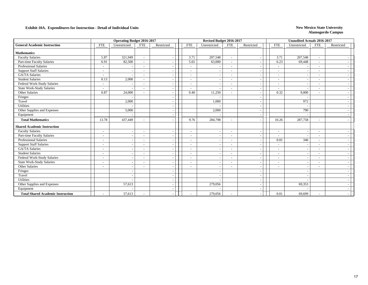|                                          |                          | <b>Operating Budget 2016-2017</b> |                          |            |                          | Revised Budget 2016-2017 |                          |                          |                          | <b>Unaudited Actuals 2016-2017</b> |                          |            |
|------------------------------------------|--------------------------|-----------------------------------|--------------------------|------------|--------------------------|--------------------------|--------------------------|--------------------------|--------------------------|------------------------------------|--------------------------|------------|
| <b>General Academic Instruction</b>      | <b>FTE</b>               | Unrestricted                      | <b>FTE</b>               | Restricted | <b>FTE</b>               | Unrestricted             | FTE                      | Restricted               | <b>FTE</b>               | Unrestricted                       | FTE                      | Restricted |
| <b>Mathematics</b>                       |                          |                                   |                          |            |                          |                          |                          |                          |                          |                                    |                          |            |
| <b>Faculty Salaries</b>                  | 5.87                     | 321,949                           | $\sim$                   |            | 3.71                     | 207,548                  | $\sim$                   | $\overline{\phantom{a}}$ | 3.71                     | 207,548                            | $\sim$                   |            |
| Part-time Faculty Salaries               | 6.91                     | 82,500                            | $\sim$                   |            | 5.65                     | 63,000                   | $\sim$                   | $\overline{\phantom{a}}$ | 6.23                     | 69,448                             | $\sim$                   |            |
| <b>Professional Salaries</b>             | $\overline{a}$           |                                   |                          |            | ٠                        |                          | $\sim$                   |                          | $\sim$                   |                                    | $\overline{\phantom{a}}$ |            |
| <b>Support Staff Salaries</b>            | $\sim$                   |                                   |                          |            |                          |                          | $\sim$                   |                          | $\sim$                   |                                    | $\sim$                   |            |
| GA/TA Salaries                           | $\sim$                   |                                   |                          |            | ٠                        |                          | $\sim$                   | $\overline{\phantom{a}}$ | $\sim$                   |                                    | $\sim$                   |            |
| <b>Student Salaries</b>                  | 0.13                     | 2,000                             |                          |            | ٠                        |                          | $\sim$                   | $\overline{\phantom{a}}$ | $\overline{\phantom{a}}$ |                                    | $\sim$                   |            |
| Federal Work-Study Salaries              | $\overline{\phantom{a}}$ |                                   |                          |            | $\overline{\phantom{a}}$ |                          | $\sim$                   | $\overline{\phantom{a}}$ | $\overline{\phantom{a}}$ |                                    | $\sim$                   |            |
| State Work-Study Salaries                | $\overline{\phantom{a}}$ |                                   |                          |            | $\overline{\phantom{a}}$ | $\overline{\phantom{a}}$ | $\sim$                   | $\overline{\phantom{a}}$ | $\sim$                   |                                    | $\overline{\phantom{a}}$ |            |
| Other Salaries                           | 0.87                     | 24,000                            |                          |            | 0.40                     | 11,250                   | $\sim$                   | $\overline{\phantom{a}}$ | 0.32                     | 9,000                              | $\sim$                   |            |
| Fringes                                  |                          |                                   |                          |            |                          |                          |                          |                          |                          |                                    |                          |            |
| Travel                                   |                          | 2,000                             |                          |            |                          | 1,000                    |                          |                          |                          | 972                                |                          |            |
| Utilities                                |                          |                                   |                          |            |                          |                          |                          | $\overline{\phantom{a}}$ |                          |                                    |                          |            |
| Other Supplies and Expenses              |                          | 5,000                             |                          |            |                          | 2,000                    |                          | $\overline{\phantom{a}}$ |                          | 790                                |                          |            |
| Equipment                                |                          |                                   |                          |            |                          |                          |                          | $\overline{\phantom{a}}$ |                          |                                    |                          |            |
| <b>Total Mathematics</b>                 | 13.78                    | 437,449                           |                          |            | 9.76                     | 284,798                  | $\overline{\phantom{a}}$ |                          | 10.26                    | 287,758                            | $\sim$                   |            |
| <b>Shared Academic Instruction</b>       |                          |                                   |                          |            |                          |                          |                          |                          |                          |                                    |                          |            |
| <b>Faculty Salaries</b>                  | $\overline{\phantom{a}}$ |                                   | $\overline{\phantom{a}}$ |            | $\overline{\phantom{a}}$ | $\overline{\phantom{a}}$ | $\overline{\phantom{a}}$ |                          | $\sim$                   |                                    | $\overline{\phantom{a}}$ |            |
| Part-time Faculty Salaries               | $\overline{\phantom{a}}$ |                                   | $\overline{\phantom{a}}$ |            | $\blacksquare$           | $\overline{\phantom{a}}$ | $\sim$                   |                          | $\sim$                   |                                    | $\overline{\phantom{a}}$ |            |
| <b>Professional Salaries</b>             | $\overline{\phantom{a}}$ |                                   |                          |            | $\blacksquare$           | $\overline{\phantom{a}}$ | $\sim$                   | $\overline{\phantom{a}}$ | 0.01                     | 346                                | $\overline{\phantom{a}}$ |            |
| <b>Support Staff Salaries</b>            | $\overline{\phantom{a}}$ |                                   |                          |            | -                        | $\overline{\phantom{a}}$ | $\sim$                   | $\overline{\phantom{a}}$ | $\overline{\phantom{a}}$ | <b>1</b>                           | $\sim$                   |            |
| <b>GA/TA Salaries</b>                    | $\overline{\phantom{a}}$ |                                   |                          |            | $\overline{\phantom{a}}$ | $\overline{\phantom{a}}$ | $\sim$                   | $\overline{\phantom{a}}$ | $\overline{\phantom{a}}$ |                                    | $\sim$                   |            |
| <b>Student Salaries</b>                  | $\overline{\phantom{a}}$ |                                   |                          |            | ٠                        |                          | $\sim$                   |                          | $\sim$                   |                                    | $\sim$                   |            |
| Federal Work-Study Salaries              | $\overline{\phantom{a}}$ |                                   |                          |            |                          |                          | $\sim$                   |                          | $\sim$                   |                                    | $\overline{\phantom{a}}$ |            |
| <b>State Work-Study Salaries</b>         | $\sim$                   |                                   | $\sim$                   |            | $\sim$                   |                          | $\sim$                   | $\overline{\phantom{a}}$ | $\overline{\phantom{a}}$ |                                    | $\sim$                   |            |
| Other Salaries                           | $\overline{\phantom{a}}$ |                                   |                          |            | ٠                        |                          | $\overline{\phantom{a}}$ | $\overline{\phantom{a}}$ | $\overline{\phantom{a}}$ |                                    | $\overline{\phantom{a}}$ |            |
| Fringes                                  |                          |                                   |                          |            |                          |                          |                          | $\overline{\phantom{a}}$ |                          |                                    |                          |            |
| Travel                                   |                          |                                   |                          |            |                          |                          |                          | $\overline{\phantom{a}}$ |                          |                                    |                          |            |
| <b>Utilities</b>                         |                          |                                   |                          |            |                          |                          |                          | $\sim$                   |                          |                                    |                          |            |
| Other Supplies and Expenses              |                          | 57,613                            |                          |            |                          | 279,056                  |                          |                          |                          | 69,353                             |                          |            |
| Equipment                                |                          |                                   |                          |            |                          |                          |                          |                          |                          |                                    |                          |            |
| <b>Total Shared Academic Instruction</b> |                          | 57,613                            |                          |            | ٠                        | 279,056                  |                          |                          | 0.01                     | 69,699                             | $\overline{\phantom{a}}$ |            |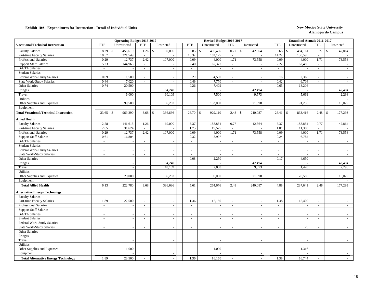|                                               |            | <b>Operating Budget 2016-2017</b> |                          |                         |                | Revised Budget 2016-2017 |                |                          |            | <b>Unaudited Actuals 2016-2017</b> |            |                         |
|-----------------------------------------------|------------|-----------------------------------|--------------------------|-------------------------|----------------|--------------------------|----------------|--------------------------|------------|------------------------------------|------------|-------------------------|
| <b>Vocational/Technical Instruction</b>       | <b>FTE</b> | Unrestricted                      | <b>FTE</b>               | Restricted              | <b>FTE</b>     | Unrestricted             | <b>FTE</b>     | Restricted               | <b>FTE</b> | Unrestricted                       | <b>FTE</b> | Restricted              |
| <b>Faculty Salaries</b>                       | 8.29       | 455,619<br>$\mathbf{\hat{S}}$     | 1.26                     | $\mathbf S$<br>69,000   | 8.85           | 495,406<br>$\mathbb{S}$  | 0.77           | $\mathbf S$<br>42,864    | 8.65       | $\mathbf{s}$<br>484,161            | 0.77       | $\mathbf{s}$<br>42,864  |
| Part-time Faculty Salaries                    | 18.57      | 221,549                           | $\omega$                 |                         | 16.32          | 182,125                  | $\omega$       |                          | 14.22      | 158,595                            | $\sim$     |                         |
| <b>Professional Salaries</b>                  | 0.29       | 12,737                            | 2.42                     | 107,000                 | 0.09           | 4,000                    | 1.71           | 73,558                   | 0.09       | 4,000                              | 1.71       | 73,558                  |
| <b>Support Staff Salaries</b>                 | 5.23       | 144,965                           | $\omega$                 | $\omega$                | 2.40           | 67,377                   | $\sim$         |                          | 2.22       | 62,485                             | $\sim$     |                         |
| GA/TA Salaries                                | $\sim$     | $\overline{\phantom{a}}$          | $\sim$                   | $\omega$                | $\sim$         | $\sim$                   | $\sim$         | $\sim$                   | $\sim$     | $\overline{a}$                     | $\sim$     | $\sim$                  |
| <b>Student Salaries</b>                       | $\sim$     | $\overline{\phantom{a}}$          | ÷.                       | $\sim$                  | $\sim$         | $\sim$                   | $\overline{a}$ | $\sim$                   | $\sim$     | $\sim$                             | $\sim$     |                         |
| Federal Work-Study Salaries                   | 0.09       | 1,500                             | $\blacksquare$           | $\sim$                  | 0.29           | 4,530                    | $\mathcal{L}$  | $\sim$                   | 0.16       | 2,368                              | $\sim$     |                         |
| <b>State Work-Study Salaries</b>              | 0.44       | 7,020                             | $\omega$                 | $\sim$                  | 0.49           | 7,770                    | $\omega$       | $\sim$                   | 0.42       | 6,704                              | $\sim$     |                         |
| Other Salaries                                | 0.74       | 20,500                            | $\blacksquare$           |                         | 0.26           | 7,402                    | $\mathcal{L}$  |                          | 0.65       | 18,206                             | $\omega$   |                         |
| Fringes                                       |            |                                   |                          | 64,240                  |                |                          |                | 42,494                   |            |                                    |            | 42,494                  |
| Travel                                        |            | 6,000                             |                          | 10,109                  |                | 7,500                    |                | 9,573                    |            | 5,661                              |            | 2,298                   |
| <b>Utilities</b>                              |            |                                   |                          |                         |                |                          |                |                          |            |                                    |            |                         |
| Other Supplies and Expenses                   |            | 99,500                            |                          | 86,287                  |                | 153,000                  |                | 71,598                   |            | 91,236                             |            | 16,079                  |
| Equipment                                     |            |                                   |                          |                         |                |                          |                |                          |            |                                    |            |                         |
| <b>Total Vocational/Technical Instruction</b> | 33.65      | 969,390<br>$\mathcal{S}$          | 3.68                     | $\mathbb{S}$<br>336,636 | 28.70          | 929,110<br><sup>\$</sup> | 2.48           | 240,087<br>$\mathsf{\$}$ | 26.41      | 833,416<br>$\mathbb{S}$            | 2.48       | $\mathbb{S}$<br>177,293 |
| <b>Allied Health</b>                          |            |                                   |                          |                         |                |                          |                |                          |            |                                    |            |                         |
| <b>Faculty Salaries</b>                       | 2.58       | 141,615                           | 1.26                     | 69,000                  | 3.37           | 188,854                  | 0.77           | 42,864                   | 3.37       | 188,854                            | 0.77       | 42,864                  |
| Part-time Faculty Salaries                    | 2.65       | 31,624                            | $\sim$                   |                         | 1.75           | 19,575                   | $\sim$         |                          | 1.01       | 11,300                             | $\sim$     |                         |
| <b>Professional Salaries</b>                  | 0.29       | 12,737                            | 2.42                     | 107,000                 | 0.09           | 4,000                    | 1.71           | 73,558                   | 0.09       | 4,000                              | 1.71       | 73,558                  |
| <b>Support Staff Salaries</b>                 | 0.61       | 16,804                            | $\blacksquare$           |                         | 0.32           | 8,997                    | $\omega$ .     |                          | 0.24       | 6,782                              | $\sim$     |                         |
| GA/TA Salaries                                | $\sim$     |                                   | $\omega$                 | $\sim$                  | $\sim$         |                          | $\sim$         | $\sim$                   | $\sim$     | $\sim$                             | $\sim$     |                         |
| <b>Student Salaries</b>                       | $\sim$     | $\sim$                            | $\overline{\phantom{a}}$ | $\sim$                  | $\omega$       |                          | $\sim$         | $\sim$                   | $\sim$     | $\sim$                             | $\sim$     |                         |
| Federal Work-Study Salaries                   | $\sim$     | $\omega$                          | $\blacksquare$           | $\omega$                | $\omega$       | $\sim$                   | $\sim$         | $\sim$                   | $\sim$     | $\omega$                           | $\sim$     | $\sim$                  |
| <b>State Work-Study Salaries</b>              | $\sim$     | $\sim$                            | $\overline{\phantom{a}}$ | $\sim$                  | $\sim$         |                          | $\sim$         | $\sim$                   | $\sim$     | $\sim$                             | $\sim$     | $\sim$                  |
| Other Salaries                                | $\sim$     | $\sim$                            | $\sim$                   | $\sim$                  | 0.08           | 2,250                    | $\sim$         | $\overline{a}$           | 0.17       | 4,650                              | $\sim$     |                         |
| Fringes                                       |            | $\overline{a}$                    |                          | 64,240                  |                |                          |                | 42,494                   |            |                                    |            | 42,494                  |
| Travel                                        |            | $\overline{\phantom{a}}$          |                          | 10,109                  |                | 2,000                    |                | 9,573                    |            | 1,470                              |            | 2,298                   |
| <b>Utilities</b>                              |            |                                   |                          |                         |                |                          |                |                          |            |                                    |            |                         |
| Other Supplies and Expenses                   |            | 20,000                            |                          | 86,287                  |                | 39,000                   |                | 71,598                   |            | 20,585                             |            | 16,079                  |
| Equipment                                     |            |                                   |                          |                         |                |                          |                |                          |            |                                    |            |                         |
| <b>Total Allied Health</b>                    | 6.13       | 222,780                           | 3.68                     | 336,636                 | 5.61           | 264,676                  | 2.48           | 240,087                  | 4.88       | 237,641                            | 2.48       | 177,293                 |
| <b>Alternative Energy Technology</b>          |            |                                   |                          |                         |                |                          |                |                          |            |                                    |            |                         |
| <b>Faculty Salaries</b>                       | $\sim$     |                                   | $\overline{\phantom{a}}$ | $\sim$                  | $\blacksquare$ |                          | $\sim$         | $\sim$                   | $\sim$     |                                    | $\sim$     |                         |
| Part-time Faculty Salaries                    | 1.89       | 22,500                            | $\blacksquare$           | $\omega$                | 1.36           | 15,150                   | $\omega$ .     | $\sim$                   | 1.38       | 15,400                             | $\sim$     | $\sim$                  |
| <b>Professional Salaries</b>                  | $\sim$     |                                   | $\overline{a}$           | $\sim$                  | $\mathbf{r}$   |                          | $\sim$         | $\sim$                   | $\sim$     |                                    | $\sim$     | $\sim$                  |
| <b>Support Staff Salaries</b>                 | $\sim$     | $\sim$                            | $\sim$                   | $\sim$                  | $\omega$       |                          | $\sim$         | $\sim$                   | $\sim$     | $\sim$                             | $\sim$     | $\sim$                  |
| GA/TA Salaries                                | $\sim$     | $\sim$                            | $\overline{a}$           | $\sim$                  | $\sim$         |                          | $\omega$       | $\omega$                 | $\sim$     | $\sim$                             | $\sim$     | $\sim$                  |
| <b>Student Salaries</b>                       | $\sim$     | $\sim$                            | $\blacksquare$           | $\sim$                  | $\blacksquare$ |                          | $\sim$         | $\omega$                 | $\sim$     | $\sim$                             | $\sim$     | $\sim$                  |
| Federal Work-Study Salaries                   | $\sim$     | $\sim$                            |                          | $\sim$                  | $\blacksquare$ |                          | $\blacksquare$ | $\sim$                   | $\sim$     |                                    |            | $\sim$                  |
| <b>State Work-Study Salaries</b>              | $\sim$     | $\sim$                            | $\blacksquare$           | $\sim$                  | $\sim$         | $\sim$                   | $\sim$         | $\sim$                   | $\sim$     | 28                                 | $\sim$     | $\sim$                  |
| Other Salaries                                | $\sim$     | $\sim$                            | ÷.                       | $\omega$                | $\sim$         | $\overline{\phantom{a}}$ | $\sim$         | $\sim$                   | $\sim$     | $\sim$                             | $\sim$     | $\sim$                  |
| Fringes                                       |            | $\sim$                            |                          | $\sim$                  |                | $\sim$                   |                | $\sim$                   |            | $\sim$                             |            | $\sim$                  |
| Travel                                        |            | $\overline{a}$                    |                          | $\omega$                |                |                          |                | $\sim$                   |            | $\sim$                             |            | $\sim$                  |
| <b>Utilities</b>                              |            | $\overline{\phantom{a}}$          |                          | $\sim$                  |                | $\sim$                   |                | $\sim$                   |            | $\sim$                             |            | $\sim$                  |
| Other Supplies and Expenses                   |            | 1,000                             |                          | $\sim$                  |                | 1,000                    |                | $\sim$                   |            | 1,316                              |            |                         |
| Equipment                                     |            |                                   |                          |                         |                |                          |                | $\sim$                   |            |                                    |            |                         |
|                                               | 1.89       |                                   |                          |                         |                |                          |                |                          |            |                                    |            |                         |
| <b>Total Alternative Energy Technology</b>    |            | 23,500                            | $\overline{\phantom{a}}$ | $\sim$                  | 1.36           | 16,150                   |                | $\sim$                   | 1.38       | 16,744                             |            |                         |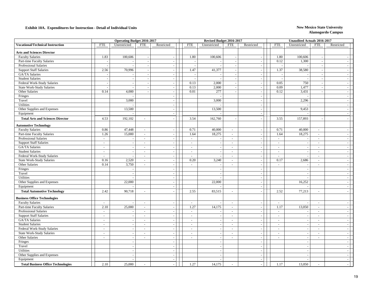|                                           |              | <b>Operating Budget 2016-2017</b> |                          |            |                          | Revised Budget 2016-2017 |                |                          |                | <b>Unaudited Actuals 2016-2017</b> |               |                          |
|-------------------------------------------|--------------|-----------------------------------|--------------------------|------------|--------------------------|--------------------------|----------------|--------------------------|----------------|------------------------------------|---------------|--------------------------|
| <b>Vocational/Technical Instruction</b>   | <b>FTE</b>   | Unrestricted                      | <b>FTE</b>               | Restricted | <b>FTE</b>               | Unrestricted             | <b>FTE</b>     | Restricted               | <b>FTE</b>     | Unrestricted                       | <b>FTE</b>    | Restricted               |
| <b>Arts and Sciences Director</b>         |              |                                   |                          |            |                          |                          |                |                          |                |                                    |               |                          |
| <b>Faculty Salaries</b>                   | 1.83         | 100,606                           |                          | $\sim$     | 1.80                     | 100,606                  | $\sim$         | $\sim$                   | 1.80           | 100,606                            | $\sim$        |                          |
| Part-time Faculty Salaries                |              | $\sim$                            |                          | $\sim$     | $\overline{\phantom{a}}$ |                          | $\sim$         | $\sim$                   | 0.12           | 1,300                              | $\sim$        |                          |
| Professional Salaries                     |              |                                   |                          |            |                          |                          |                | $\overline{\phantom{a}}$ |                |                                    | $\sim$        |                          |
| <b>Support Staff Salaries</b>             | 2.56         | 70,996                            |                          | $\sim$     | 1.47                     | 41,377                   | $\sim$         | $\sim$                   | 1.37           | 38,580                             | $\sim$        |                          |
| GA/TA Salaries                            |              | $\sim$                            |                          | $\sim$     | $\sim$                   |                          | $\sim$         | $\sim$                   |                |                                    | $\sim$        | $\sim$                   |
| <b>Student Salaries</b>                   |              |                                   |                          | $\sim$     | $\overline{\phantom{a}}$ |                          |                | $\sim$                   |                |                                    | $\sim$        |                          |
| Federal Work-Study Salaries               | ÷,           | $\sim$                            |                          | $\sim$     | 0.13                     | 2,000                    | $\sim$         | $\sim$                   | 0.05           | 750                                | $\omega$      | $\sim$                   |
| State Work-Study Salaries                 |              | $\sim$                            |                          | $\sim$     | 0.13                     | 2,000                    | $\sim$         | $\sim$                   | 0.09           | 1,477                              | $\sim$        | $\sim$                   |
| Other Salaries                            | 0.14         | 4,000                             |                          | $\sim$     | 0.01                     | 277                      | $\sim$         | $\sim$                   | 0.12           | 3,431                              | $\sim$        | $\sim$                   |
| Fringes                                   |              |                                   |                          |            |                          |                          |                | $\overline{\phantom{a}}$ |                |                                    |               |                          |
| Travel                                    |              | 3,000                             |                          | $\sim$     |                          | 3,000                    |                | $\sim$                   |                | 2,296                              |               | ÷.                       |
| Utilities                                 |              |                                   |                          | $\sim$     |                          |                          |                | $\overline{\phantom{a}}$ |                |                                    |               |                          |
| Other Supplies and Expenses               |              | 13,500                            |                          | $\sim$     |                          | 13,500                   |                | $\overline{\phantom{a}}$ |                | 9,453                              |               |                          |
| Equipment                                 |              |                                   |                          | $\sim$     |                          |                          |                | $\sim$                   |                |                                    |               |                          |
| <b>Total Arts and Sciences Director</b>   | 4.53         | 192,102                           | ÷,                       |            | 3.54                     | 162,760                  |                |                          | 3.55           | 157,893                            |               |                          |
| <b>Automotive Technology</b>              |              |                                   |                          |            |                          |                          |                |                          |                |                                    |               |                          |
| <b>Faculty Salaries</b>                   | 0.86         | 47,448                            | $\blacksquare$           |            | 0.71                     | 40,000                   | $\sim$         | $\sim$                   | 0.71           | 40,000                             | $\sim$        |                          |
| Part-time Faculty Salaries                | 1.26         | 15,000                            | $\bar{\phantom{a}}$      | $\omega$   | 1.64                     | 18,275                   | $\omega$       | $\sim$                   | 1.64           | 18,275                             | $\mathcal{L}$ |                          |
| Professional Salaries                     | $\sim$       | $\sim$                            | $\mathbf{r}$             | $\sim$     | $\sim$                   |                          | $\sim$         | $\sim$                   | $\sim$         |                                    | $\sim$        | $\sim$                   |
| <b>Support Staff Salaries</b>             | $\omega$     | $\sim$                            | $\sim$                   | $\sim$     | $\sim$                   |                          | $\sim$         | $\sim$                   | $\sim$         |                                    | $\sim$        |                          |
| GA/TA Salaries                            | $\omega$     | $\sim$                            | $\blacksquare$           | $\sim$     | $\sim$                   |                          | $\sim$         | $\sim$                   | $\blacksquare$ |                                    | $\sim$        | ÷.                       |
| <b>Student Salaries</b>                   | $\sim$       | $\sim$                            | $\sim$                   | $\sim$     | $\sim$                   |                          | $\sim$         | $\sim$                   | $\sim$         | $\sim$                             | $\sim$        | $\sim$                   |
| Federal Work-Study Salaries               | $\omega$     | $\sim$                            | $\blacksquare$           | $\sim$     | $\sim$                   |                          | $\sim$         | $\sim$                   | $\sim$         |                                    | $\sim$        | ÷.                       |
| State Work-Study Salaries                 | 0.16         | 2,520                             | $\blacksquare$           |            | 0.20                     | 3,240                    | $\omega$       | $\overline{\phantom{a}}$ | 0.17           | 2,686                              | $\sim$        |                          |
| Other Salaries                            | 0.14         | 3,750                             | $\omega$                 | $\sim$     | $\sim$                   |                          | $\sim$         | $\sim$                   | $\omega$       |                                    | $\sim$        | $\overline{\phantom{a}}$ |
| Fringes                                   |              | $\sim$                            |                          | $\sim$     |                          | з.                       |                | $\sim$                   |                | - 11                               |               | $\sim$                   |
| Travel                                    |              | $\sim$                            |                          | $\sim$     |                          |                          |                | $\overline{\phantom{a}}$ |                |                                    |               |                          |
| Utilities                                 |              | $\sim$                            |                          | $\sim$     |                          |                          |                | $\sim$                   |                |                                    |               | $\sim$                   |
| Other Supplies and Expenses               |              | 22,000                            |                          | $\sim$     |                          | 22,000                   |                | $\sim$                   |                | 16,252                             |               | $\sim$                   |
| Equipment                                 |              |                                   |                          | $\sim$     |                          |                          |                | $\overline{\phantom{a}}$ |                |                                    |               |                          |
| <b>Total Automotive Technology</b>        | 2.42         | 90,718                            | $\overline{\phantom{a}}$ |            | 2.55                     | 83,515                   | $\blacksquare$ |                          | 2.52           | 77,213                             | $\sim$        |                          |
| <b>Business Office Technologies</b>       |              |                                   |                          |            |                          |                          |                |                          |                |                                    |               |                          |
| <b>Faculty Salaries</b>                   | $\sim$       | ÷.                                | $\omega$                 | $\sim$     | $\sim$                   |                          | $\sim$         | $\sim$                   | $\sim$         |                                    | $\sim$        |                          |
| Part-time Faculty Salaries                | 2.10         | 25,000                            | $\blacksquare$           | $\sim$     | 1.27                     | 14,175                   | $\sim$         | $\overline{\phantom{a}}$ | 1.17           | 13,050                             | $\sim$        |                          |
| Professional Salaries                     | $\sim$       | $\sim$                            | $\omega$                 | $\sim$     | $\sim$                   |                          | $\sim$         | $\sim$                   | $\sim$         |                                    | $\sim$        |                          |
| <b>Support Staff Salaries</b>             | $\sim$       | $\sim$                            | $\sim$                   | $\sim$     | $\sim$                   |                          | $\sim$         | $\sim$                   | $\sim$         |                                    | $\sim$        | - 2                      |
| GA/TA Salaries                            | $\sim$       | $\sim$                            | $\sim$                   | $\sim$     | $\sim$                   |                          | $\sim$         | $\sim$                   | $\sim$         | $\sim$                             | $\sim$        | $\sim$                   |
| <b>Student Salaries</b>                   | $\mathbf{r}$ | $\sim$                            | $\blacksquare$           |            | $\sim$                   |                          | $\omega$       | $\overline{\phantom{a}}$ | ÷,             |                                    | $\omega$      |                          |
| Federal Work-Study Salaries               | $\sim$       | $\sim$                            | ÷.                       | $\sim$     | $\sim$                   |                          | $\sim$         | $\sim$                   | $\sim$         |                                    | $\sim$        | $\sim$                   |
| <b>State Work-Study Salaries</b>          | $\sim$       | $\sim$                            | $\omega$                 | $\sim$     | $\sim$                   |                          | $\sim$         | $\sim$                   | $\sim$         |                                    | $\omega$      | $\overline{\phantom{a}}$ |
| Other Salaries                            | $\sim$       | $\sim$                            | $\blacksquare$           | $\sim$     | $\sim$                   |                          | $\sim$         | $\sim$                   | $\bar{a}$      |                                    | $\sim$        |                          |
| Fringes                                   |              | $\sim$                            |                          | $\sim$     |                          | $\overline{a}$           |                | $\sim$                   |                | $\sim$                             |               | $\sim$                   |
| Travel                                    |              | $\sim$                            |                          | $\sim$     |                          |                          |                | $\sim$                   |                | $\sim$                             |               | . —                      |
| Utilities                                 |              | $\sim$                            |                          | $\sim$     |                          |                          |                | $\sim$                   |                | $\overline{\phantom{a}}$           |               |                          |
| Other Supplies and Expenses               |              | $\overline{\phantom{a}}$          |                          | $\sim$     |                          |                          |                | $\overline{\phantom{a}}$ |                |                                    |               |                          |
| Equipment                                 |              | $\sim$                            |                          | $\sim$     |                          |                          |                | $\sim$                   |                |                                    |               | $\overline{\phantom{a}}$ |
| <b>Total Business Office Technologies</b> | 2.10         | 25,000                            |                          |            | 1.27                     | 14,175                   |                |                          | 1.17           | 13,050                             |               |                          |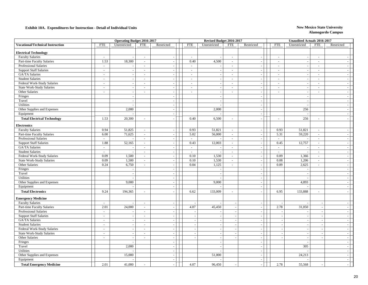|                                         |                | <b>Operating Budget 2016-2017</b> |                              |                          |            | Revised Budget 2016-2017 |                          |                          |                | <b>Unaudited Actuals 2016-2017</b> |                          |                          |
|-----------------------------------------|----------------|-----------------------------------|------------------------------|--------------------------|------------|--------------------------|--------------------------|--------------------------|----------------|------------------------------------|--------------------------|--------------------------|
| <b>Vocational/Technical Instruction</b> | <b>FTE</b>     | Unrestricted                      | <b>FTE</b>                   | Restricted               | <b>FTE</b> | Unrestricted             | <b>FTE</b>               | Restricted               | <b>FTE</b>     | Unrestricted                       | <b>FTE</b>               | Restricted               |
| <b>Electrical Technology</b>            |                |                                   |                              |                          |            |                          |                          |                          |                |                                    |                          |                          |
| <b>Faculty Salaries</b>                 | $\omega$       |                                   | $\sim$                       | $\sim$                   | $\sim$     |                          | $\sim$                   | $\sim$                   | $\sim$         |                                    | $\sim$                   |                          |
| Part-time Faculty Salaries              | 1.53           | 18,300                            | $\omega$                     | $\sim$                   | 0.40       | 4,500                    | $\omega$                 | $\sim$                   | $\omega$       | $\sim$                             | $\sim$                   | $\sim$                   |
| Professional Salaries                   | $\sim$         |                                   | $\sim$                       | $\sim$                   | $\sim$     |                          | $\sim$                   | $\sim$                   | $\sim$         | $\sim$                             | $\sim$                   |                          |
| <b>Support Staff Salaries</b>           | $\equiv$       | $\sim$                            | $\omega$                     | $\sim$                   | $\sim$     |                          | $\sim$                   | $\sim$                   | $\sim$         | $\sim$                             | $\sim$                   |                          |
| GA/TA Salaries                          | $\sim$         | $\sim$                            | $\omega$                     | $\sim$                   | $\sim$     |                          | $\omega$                 | $\sim$                   | $\sim$         |                                    | $\omega$                 |                          |
| <b>Student Salaries</b>                 | $\sim$         | $\sim$                            | $\sim$                       | $\sim$                   | $\sim$     |                          | $\sim$                   | $\overline{\phantom{a}}$ | $\sim$         | $\sim$                             | $\sim$                   | $\sim$                   |
| Federal Work-Study Salaries             | $\sim$         | $\sim$                            | $\sim$                       | $\sim$                   | $\sim$     |                          | $\sim$                   | $\sim$                   | $\omega$       | $\sim$                             | $\sim$                   |                          |
| <b>State Work-Study Salaries</b>        | $\sim$         |                                   | $\qquad \qquad \blacksquare$ | $\sim$                   | $\sim$     |                          | $\sim$                   | $\sim$                   | $\blacksquare$ |                                    | $\sim$                   |                          |
| Other Salaries                          | $\sim$         | $\sim$                            | $\omega$                     | $\sim$                   | $\sim$     | ÷.                       | $\sim$                   | $\sim$                   | $\blacksquare$ | $\sim$                             | $\sim$                   | $\sim$                   |
| Fringes                                 |                | $\sim$                            |                              | $\sim$                   |            |                          |                          | $\sim$                   |                | $\sim$                             |                          | $\overline{\phantom{a}}$ |
| Travel                                  |                | $\sim$                            |                              |                          |            |                          |                          | $\overline{\phantom{a}}$ |                |                                    |                          |                          |
| Utilities                               |                | $\overline{a}$                    |                              | $\sim$                   |            |                          |                          | $\sim$                   |                |                                    |                          | $\overline{\phantom{a}}$ |
| Other Supplies and Expenses             |                | 2,000                             |                              | $\sim$                   |            | 2,000                    |                          | $\sim$                   |                | 256                                |                          | $\overline{\phantom{a}}$ |
| Equipment                               |                |                                   |                              | $\sim$                   |            |                          |                          | $\overline{\phantom{a}}$ |                | $\sim$                             |                          |                          |
| <b>Total Electrical Technology</b>      | 1.53           | 20,300                            | $\sim$                       | $\sim$                   | 0.40       | 6,500                    | $\sim$                   | $\sim$                   | ÷,             | 256                                | $\sim$                   |                          |
|                                         |                |                                   |                              |                          |            |                          |                          |                          |                |                                    |                          |                          |
| <b>Electronics</b>                      |                |                                   |                              |                          |            |                          |                          |                          |                |                                    |                          |                          |
| <b>Faculty Salaries</b>                 | 0.94           | 51,825                            | $\sim$                       | $\overline{\phantom{a}}$ | 0.93       | 51,821                   | $\sim$                   | $\sim$                   | 0.93           | 51,821                             | $\sim$                   |                          |
| Part-time Faculty Salaries              | 6.00           | 71,625                            | $\omega$                     | $\sim$                   | 5.02       | 56,000                   | $\sim$                   | $\sim$                   | 5.31           | 59,220                             | $\omega$                 |                          |
| <b>Professional Salaries</b>            | $\mathbb{Z}^2$ |                                   | $\blacksquare$               | $\sim$                   | $\sim$     |                          | $\omega$                 | $\sim$                   | $\overline{a}$ |                                    | $\mathcal{L}$            |                          |
| <b>Support Staff Salaries</b>           | 1.88           | 52,165                            | $\omega$                     | $\sim$                   | 0.43       | 12,003                   | $\omega$                 | $\sim$                   | 0.45           | 12,757                             | $\sim$                   | $\sim$                   |
| GA/TA Salaries                          | $\mathbb{Z}^2$ |                                   | $\omega$                     | $\sim$                   | $\sim$     |                          | $\omega$                 | $\sim$                   | $\mathbf{r}$   |                                    | $\sim$                   | $\sim$                   |
| <b>Student Salaries</b>                 | $\sim$         |                                   | $\overline{\phantom{a}}$     | $\sim$                   | $\sim$     |                          | $\sim$                   | $\sim$                   | $\omega$       |                                    | $\sim$                   |                          |
| Federal Work-Study Salaries             | 0.09           | 1,500                             | $\sim$                       | $\sim$                   | 0.10       | 1,530                    | $\omega$                 | $\sim$                   | 0.09           | 1,366                              | $\sim$                   | $\sim$                   |
| <b>State Work-Study Salaries</b>        | 0.09           | 1,500                             | $\omega$                     | $\sim$                   | 0.10       | 1,530                    | $\sim$                   | $\sim$                   | 0.08           | 1,206                              | $\sim$                   | ÷.                       |
| Other Salaries                          | 0.24           | 6,750                             | $\omega$                     | $\sim$                   | 0.04       | 1,125                    | $\omega$                 | $\sim$                   | 0.09           | 2,625                              | $\omega$                 |                          |
| Fringes                                 |                |                                   |                              | $\sim$                   |            |                          |                          | $\sim$                   |                |                                    |                          | $\overline{\phantom{a}}$ |
| Travel                                  |                | $\sim$                            |                              | $\sim$                   |            |                          |                          | $\overline{\phantom{a}}$ |                | $\sim$                             |                          | $\overline{\phantom{a}}$ |
| Utilities                               |                |                                   |                              | $\sim$                   |            |                          |                          | $\sim$                   |                |                                    |                          | $\sim$                   |
| Other Supplies and Expenses             |                | 9,000                             |                              | $\sim$                   |            | 9,000                    |                          | $\sim$                   |                | 4,893                              |                          | $\overline{\phantom{a}}$ |
| Equipment                               |                |                                   |                              | $\sim$                   |            |                          |                          | $\sim$                   |                |                                    |                          | $\sim$                   |
| <b>Total Electronics</b>                | 9.24           | 194,365                           | $\overline{a}$               |                          | 6.62       | 133,009                  | $\omega$                 | $\overline{\phantom{a}}$ | 6.95           | 133,888                            | $\sim$                   |                          |
| <b>Emergency Medicine</b>               |                |                                   |                              |                          |            |                          |                          |                          |                |                                    |                          |                          |
| <b>Faculty Salaries</b>                 | $\blacksquare$ |                                   | $\sim$                       | $\sim$                   |            |                          |                          | $\sim$                   |                |                                    | $\sim$                   |                          |
| Part-time Faculty Salaries              | 2.01           | 24,000                            | $\mathbf{r}$                 | $\sim$                   | 4.07       | 45,450                   | $\overline{\phantom{a}}$ | $\sim$                   | 2.78           | 31,050                             | $\sim$                   | $\overline{a}$           |
| Professional Salaries                   | $\sim$         |                                   | $\omega$                     | $\sim$                   |            |                          | $\overline{\phantom{a}}$ | $\overline{\phantom{a}}$ |                |                                    | $\sim$                   |                          |
| <b>Support Staff Salaries</b>           | $\omega$       |                                   | $\blacksquare$               | $\sim$                   |            |                          |                          | $\sim$                   |                |                                    | $\sim$                   |                          |
| GA/TA Salaries                          | $\sim$         | $\sim$                            | $\sim$                       | $\sim$                   | $\sim$     |                          | $\sim$                   | $\sim$                   | $\sim$         | $\sim$                             | $\overline{\phantom{a}}$ | $\sim$                   |
| <b>Student Salaries</b>                 | $\blacksquare$ |                                   | $\blacksquare$               | $\sim$                   |            |                          |                          | $\overline{\phantom{a}}$ |                |                                    | $\sim$                   |                          |
| Federal Work-Study Salaries             | $\sim$         | $\sim$                            | ä,                           |                          |            |                          |                          | $\sim$                   |                |                                    | $\sim$                   |                          |
| <b>State Work-Study Salaries</b>        | $\sim$         | $\sim$                            | $\omega$                     | $\sim$                   |            |                          | $\overline{\phantom{a}}$ | $\sim$                   | $\sim$         |                                    | $\sim$                   | $\sim$                   |
| Other Salaries                          | $\mathcal{L}$  | $\overline{\phantom{a}}$          | $\sim$                       | $\sim$                   |            |                          |                          | $\sim$                   |                |                                    | $\sim$                   | $\overline{\phantom{a}}$ |
| Fringes                                 |                |                                   |                              | $\sim$                   |            |                          |                          | $\sim$                   |                |                                    |                          |                          |
| Travel                                  |                | 2,000                             |                              | $\sim$                   |            | ÷.                       |                          | $\sim$                   |                | 305                                |                          | $\sim$                   |
| Utilities                               |                |                                   |                              | $\sim$                   |            |                          |                          | $\sim$                   |                |                                    |                          | $\sim$                   |
| Other Supplies and Expenses             |                | 15,000                            |                              | $\sim$                   |            | 51,000                   |                          | $\overline{\phantom{a}}$ |                | 24,213                             |                          |                          |
| Equipment                               |                |                                   |                              | $\sim$                   |            |                          |                          | $\sim$                   |                |                                    |                          |                          |
| <b>Total Emergency Medicine</b>         | 2.01           | 41,000                            | $\overline{\phantom{a}}$     |                          | 4.07       | 96,450                   |                          |                          | 2.78           | 55,568                             |                          |                          |
|                                         |                |                                   |                              |                          |            |                          |                          |                          |                |                                    |                          |                          |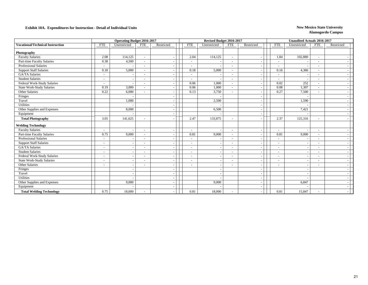|                                         | <b>Operating Budget 2016-2017</b> |                          |                          |            |  |                          | Revised Budget 2016-2017 |                          |                          |                          | <b>Unaudited Actuals 2016-2017</b> |                          |            |
|-----------------------------------------|-----------------------------------|--------------------------|--------------------------|------------|--|--------------------------|--------------------------|--------------------------|--------------------------|--------------------------|------------------------------------|--------------------------|------------|
| <b>Vocational/Technical Instruction</b> | <b>FTE</b>                        | Unrestricted             | <b>FTE</b>               | Restricted |  | <b>FTE</b>               | Unrestricted             | <b>FTE</b>               | Restricted               | <b>FTE</b>               | Unrestricted                       | <b>FTE</b>               | Restricted |
|                                         |                                   |                          |                          |            |  |                          |                          |                          |                          |                          |                                    |                          |            |
| Photography<br><b>Faculty Salaries</b>  | 2.08                              | 114,125                  |                          |            |  | 2.04                     | 114,125                  |                          |                          | 1.84                     | 102,880                            |                          |            |
| Part-time Faculty Salaries              | 0.38                              | 4,500                    | $\sim$                   |            |  |                          |                          | $\sim$                   | $\overline{\phantom{a}}$ |                          |                                    | $\sim$                   |            |
| Professional Salaries                   | $\sim$                            |                          | $\overline{a}$           |            |  | $\sim$                   |                          | $\sim$                   |                          |                          |                                    |                          |            |
| <b>Support Staff Salaries</b>           | 0.18                              | 5,000                    |                          |            |  | $\sim$<br>0.18           | 5,000                    | $\overline{\phantom{a}}$ |                          | $\overline{a}$<br>0.16   | 4,366                              |                          |            |
|                                         |                                   |                          | $\overline{a}$           |            |  |                          |                          | $\sim$                   |                          |                          |                                    | $\sim$                   |            |
| GA/TA Salaries                          | $\sim$                            |                          |                          |            |  |                          |                          | $\sim$                   |                          |                          |                                    |                          |            |
| <b>Student Salaries</b>                 | $\overline{\phantom{a}}$          |                          |                          |            |  | $\sim$                   |                          | $\overline{\phantom{a}}$ |                          |                          |                                    | $\sim$                   |            |
| Federal Work-Study Salaries             | $\sim$                            | $\sim$                   | $\overline{\phantom{a}}$ |            |  | 0.06                     | 1,000                    | $\sim$                   |                          | 0.02                     | 252                                | $\sim$                   |            |
| State Work-Study Salaries               | 0.19                              | 3,000                    | $\overline{a}$           |            |  | 0.06                     | 1,000                    | $\sim$                   |                          | 0.08                     | 1,307                              | $\sim$                   |            |
| Other Salaries                          | 0.22                              | 6,000                    |                          |            |  | 0.13                     | 3,750                    | $\overline{\phantom{a}}$ |                          | 0.27                     | 7,500                              |                          |            |
| Fringes                                 |                                   |                          |                          |            |  |                          |                          |                          |                          |                          |                                    |                          |            |
| Travel                                  |                                   | 1,000                    |                          |            |  |                          | 2,500                    |                          |                          |                          | 1,590                              |                          |            |
| Utilities                               |                                   |                          |                          |            |  |                          |                          |                          |                          |                          |                                    |                          |            |
| Other Supplies and Expenses             |                                   | 8,000                    |                          |            |  |                          | 6,500                    |                          | $\overline{\phantom{a}}$ |                          | 7,421                              |                          |            |
| Equipment                               |                                   |                          |                          |            |  |                          |                          |                          |                          |                          |                                    |                          |            |
| <b>Total Photography</b>                | 3.05                              | 141,625                  |                          |            |  | 2.47                     | 133,875                  | $\sim$                   |                          | 2.37                     | 125,316                            |                          |            |
| <b>Welding Technology</b>               |                                   |                          |                          |            |  |                          |                          |                          |                          |                          |                                    |                          |            |
| <b>Faculty Salaries</b>                 | $\overline{\phantom{a}}$          |                          | $\overline{\phantom{a}}$ |            |  | $\sim$                   |                          | $\sim$                   |                          | $\sim$                   |                                    | $\sim$                   |            |
| Part-time Faculty Salaries              | 0.75                              | 9,000                    | $\overline{\phantom{a}}$ |            |  | 0.81                     | 9,000                    | $\sim$                   |                          | 0.81                     | 9,000                              | $\sim$                   |            |
| <b>Professional Salaries</b>            | $\sim$                            | $\overline{\phantom{a}}$ | $\overline{a}$           |            |  | $\sim$                   |                          | $\sim$                   |                          | $\overline{\phantom{a}}$ |                                    | $\sim$                   |            |
| <b>Support Staff Salaries</b>           | $\overline{\phantom{a}}$          | $\overline{\phantom{a}}$ |                          |            |  | $\overline{\phantom{a}}$ |                          | $\sim$                   |                          |                          |                                    |                          |            |
| <b>GA/TA Salaries</b>                   | $\overline{\phantom{a}}$          | $\sim$                   | $\overline{\phantom{a}}$ |            |  | $\overline{\phantom{a}}$ |                          | $\sim$                   |                          |                          |                                    |                          |            |
| <b>Student Salaries</b>                 | $\sim$                            | $\blacksquare$           |                          |            |  |                          |                          | $\sim$                   |                          |                          |                                    |                          |            |
| Federal Work-Study Salaries             |                                   |                          |                          |            |  |                          |                          | $\sim$                   |                          |                          |                                    |                          |            |
| State Work-Study Salaries               | $\overline{\phantom{a}}$          | $\overline{\phantom{a}}$ | $\overline{\phantom{a}}$ |            |  | $\overline{\phantom{a}}$ |                          | $\sim$                   |                          | $\blacksquare$           |                                    | $\sim$                   |            |
| Other Salaries                          | $\overline{\phantom{a}}$          | $\sim$                   |                          |            |  |                          |                          | $\sim$                   |                          |                          |                                    | $\overline{\phantom{a}}$ |            |
| Fringes                                 |                                   | $\overline{\phantom{a}}$ |                          |            |  |                          |                          |                          |                          |                          |                                    |                          |            |
| Travel                                  |                                   | $\blacksquare$           |                          |            |  |                          |                          |                          |                          |                          |                                    |                          |            |
| Utilities                               |                                   |                          |                          |            |  |                          |                          |                          |                          |                          |                                    |                          |            |
| Other Supplies and Expenses             |                                   | 9,000                    |                          |            |  |                          | 9,000                    |                          |                          |                          | 6,847                              |                          |            |
| Equipment                               |                                   |                          |                          |            |  |                          |                          |                          |                          |                          |                                    |                          |            |
| <b>Total Welding Technology</b>         | 0.75                              | 18,000                   |                          |            |  | 0.81                     | 18,000                   | $\sim$                   |                          | 0.81                     | 15,847                             | $\sim$                   |            |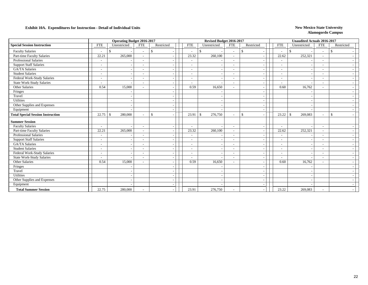|                                          |                          | <b>Operating Budget 2016-2017</b> |                          |              | Revised Budget 2016-2017 |                         |                          |              | <b>Unaudited Actuals 2016-2017</b> |               |                          |               |
|------------------------------------------|--------------------------|-----------------------------------|--------------------------|--------------|--------------------------|-------------------------|--------------------------|--------------|------------------------------------|---------------|--------------------------|---------------|
| <b>Special Session Instruction</b>       | <b>FTE</b>               | Unrestricted                      | <b>FTE</b>               | Restricted   | <b>FTE</b>               | Unrestricted            | <b>FTE</b>               | Restricted   | <b>FTE</b>                         | Unrestricted  | <b>FTE</b>               | Restricted    |
| <b>Faculty Salaries</b>                  | $\overline{\phantom{a}}$ | $\mathcal{S}$                     | $\overline{\phantom{a}}$ | -\$          | $\sim$                   | \$                      | $\sim$                   | \$.          | $\sim$                             | $\mathcal{S}$ | $\sim$                   | -\$           |
| Part-time Faculty Salaries               | 22.21                    | 265,000                           |                          |              | 23.32                    | 260,100                 | $\overline{\phantom{a}}$ |              | 22.62                              | 252,321       |                          |               |
| Professional Salaries                    | $\overline{\phantom{a}}$ |                                   |                          |              | $\overline{\phantom{a}}$ |                         | $\overline{\phantom{a}}$ |              | $\overline{\phantom{a}}$           |               | $\overline{\phantom{a}}$ |               |
| <b>Support Staff Salaries</b>            | $\overline{\phantom{a}}$ |                                   | $\overline{\phantom{a}}$ |              | $\overline{\phantom{a}}$ |                         | $\overline{\phantom{a}}$ |              | $\overline{\phantom{a}}$           |               | $\overline{\phantom{a}}$ |               |
| <b>GA/TA Salaries</b>                    | $\overline{\phantom{a}}$ |                                   |                          |              | $\overline{\phantom{a}}$ |                         | $\overline{\phantom{a}}$ |              | $\overline{\phantom{a}}$           |               | $\overline{\phantom{a}}$ |               |
| <b>Student Salaries</b>                  | $\overline{\phantom{a}}$ |                                   |                          |              | $\overline{\phantom{a}}$ |                         | $\sim$                   |              | $\overline{\phantom{a}}$           |               | $\overline{\phantom{a}}$ |               |
| Federal Work-Study Salaries              | $\overline{\phantom{a}}$ |                                   | $\overline{\phantom{a}}$ |              | $\overline{\phantom{a}}$ |                         | $\overline{\phantom{a}}$ |              | $\overline{\phantom{a}}$           |               | $\overline{\phantom{a}}$ |               |
| <b>State Work-Study Salaries</b>         | $\overline{\phantom{a}}$ |                                   | $\overline{a}$           |              | $\overline{\phantom{a}}$ |                         | $\overline{\phantom{a}}$ |              |                                    |               | $\overline{\phantom{a}}$ |               |
| Other Salaries                           | 0.54                     | 15,000                            |                          |              | 0.59                     | 16,650                  | $\overline{\phantom{a}}$ |              | 0.60                               | 16,762        |                          |               |
| Fringes                                  |                          |                                   |                          |              |                          |                         |                          |              |                                    |               |                          |               |
| Travel                                   |                          |                                   |                          |              |                          |                         |                          |              |                                    |               |                          |               |
| <b>Utilities</b>                         |                          |                                   |                          |              |                          |                         |                          |              |                                    |               |                          |               |
| Other Supplies and Expenses              |                          |                                   |                          |              |                          |                         |                          |              |                                    |               |                          |               |
| Equipment                                |                          |                                   |                          |              |                          |                         |                          |              |                                    |               |                          |               |
| <b>Total Special Session Instruction</b> | 22.75                    | 280,000<br>-S                     |                          | $\mathbb{S}$ | 23.91                    | $\mathbf{s}$<br>276,750 | $\overline{\phantom{a}}$ | $\mathbb{S}$ | 23.22                              | 269,083<br>-S | $\overline{\phantom{a}}$ | $\mathcal{S}$ |
| <b>Summer Session</b>                    |                          |                                   |                          |              |                          |                         |                          |              |                                    |               |                          |               |
| <b>Faculty Salaries</b>                  | $\overline{\phantom{a}}$ |                                   | $\overline{\phantom{a}}$ |              | $\overline{\phantom{a}}$ |                         | $\overline{\phantom{a}}$ |              | $\overline{\phantom{a}}$           |               | $\overline{\phantom{a}}$ |               |
| Part-time Faculty Salaries               | 22.21                    | 265,000                           | $\overline{\phantom{a}}$ |              | 23.32                    | 260,100                 | $\sim$                   |              | 22.62                              | 252,321       | $\overline{\phantom{a}}$ |               |
| <b>Professional Salaries</b>             | ۰                        |                                   |                          |              | $\overline{\phantom{a}}$ |                         | $\overline{\phantom{a}}$ |              | $\overline{\phantom{a}}$           |               |                          |               |
| <b>Support Staff Salaries</b>            | $\overline{\phantom{a}}$ |                                   |                          |              |                          |                         | $\sim$                   |              | $\overline{\phantom{a}}$           |               |                          |               |
| <b>GA/TA Salaries</b>                    | $\overline{\phantom{a}}$ |                                   |                          |              | $\overline{\phantom{a}}$ |                         | $\sim$                   |              | $\overline{\phantom{a}}$           |               |                          |               |
| <b>Student Salaries</b>                  | $\overline{\phantom{a}}$ |                                   |                          |              | $\overline{\phantom{a}}$ |                         | $\overline{\phantom{a}}$ |              | $\overline{\phantom{a}}$           |               |                          |               |
| Federal Work-Study Salaries              | $\overline{\phantom{a}}$ |                                   |                          |              |                          |                         | $\overline{\phantom{a}}$ |              | $\overline{\phantom{a}}$           |               |                          |               |
| <b>State Work-Study Salaries</b>         | $\overline{\phantom{a}}$ |                                   | $\overline{\phantom{a}}$ |              | $\overline{\phantom{a}}$ |                         | $\overline{\phantom{a}}$ |              | $\overline{\phantom{a}}$           |               | $\overline{\phantom{a}}$ |               |
| Other Salaries                           | 0.54                     | 15,000                            |                          |              | 0.59                     | 16,650                  | $\overline{\phantom{a}}$ |              | 0.60                               | 16,762        | $\overline{\phantom{a}}$ |               |
| Fringes                                  |                          |                                   |                          |              |                          |                         |                          |              |                                    |               |                          |               |
| Travel                                   |                          |                                   |                          |              |                          |                         |                          |              |                                    |               |                          |               |
| Utilities                                |                          |                                   |                          |              |                          |                         |                          |              |                                    |               |                          |               |
| Other Supplies and Expenses              |                          |                                   |                          |              |                          |                         |                          |              |                                    |               |                          |               |
| Equipment                                |                          |                                   |                          |              |                          |                         |                          |              |                                    |               |                          |               |
| <b>Total Summer Session</b>              | 22.75                    | 280,000                           |                          |              | 23.91                    | 276,750                 | $\overline{\phantom{a}}$ |              | 23.22                              | 269,083       |                          |               |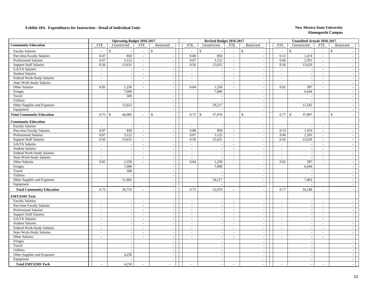|                                  |                          | <b>Operating Budget 2016-2017</b> |                          |                          |                          | Revised Budget 2016-2017 |                             |                          |                          | <b>Unaudited Actuals 2016-2017</b> |                          |                             |
|----------------------------------|--------------------------|-----------------------------------|--------------------------|--------------------------|--------------------------|--------------------------|-----------------------------|--------------------------|--------------------------|------------------------------------|--------------------------|-----------------------------|
| <b>Community Education</b>       | <b>FTE</b>               | Unrestricted                      | <b>FTE</b>               | Restricted               | <b>FTE</b>               | Unrestricted             | <b>FTE</b>                  | Restricted               | <b>FTE</b>               | Unrestricted                       | <b>FTE</b>               | Restricted                  |
| <b>Faculty Salaries</b>          | ÷                        | $\mathcal{S}$                     | $\sim$                   | $\mathbf{\hat{S}}$       | $\overline{\phantom{a}}$ | $\mathbf{\hat{S}}$       | $\overline{\phantom{a}}$    | $\mathbf S$              | $\sim$                   | $\mathcal{S}$                      | $\sim$                   | $\mathbf{\hat{S}}$          |
| Part-time Faculty Salaries       | 0.07                     | 850                               | $\omega$                 |                          | 0.08                     | 850                      | $\mathcal{L}_{\mathcal{A}}$ | $\overline{\phantom{a}}$ | 0.13                     | 1,474                              | $\sim$                   |                             |
| Professional Salaries            | 0.07                     | 3,122                             | $\sim$                   |                          | 0.07                     | 3,122                    | $\sim$                      | $\overline{\phantom{a}}$ | 0.06                     | 2,391                              | $\overline{a}$           | $\sim$                      |
| <b>Support Staff Salaries</b>    | 0.56                     | 15,631                            | $\sim$                   |                          | 0.56                     | 15,631                   | $\mathcal{L}^{\mathcal{A}}$ | $\overline{\phantom{a}}$ | 0.56                     | 15,629                             | $\sim$                   | $\overline{\phantom{a}}$    |
| GA/TA Salaries                   | $\sim$                   |                                   | $\sim$                   |                          | $\sim$                   |                          | $\sim$                      | $\overline{\phantom{a}}$ | $\sim$                   |                                    | $\sim$                   | $\sim$                      |
| <b>Student Salaries</b>          | $\sim$                   |                                   | $\overline{\phantom{a}}$ |                          | $\sim$                   |                          | $\sim$                      | $\sim$                   | $\sim$                   |                                    | $\sim$                   | $\overline{\phantom{a}}$    |
| Federal Work-Study Salaries      | $\sim$                   |                                   | $\sim$                   | $\sim$                   | $\sim$                   |                          | $\sim$                      | $\sim$                   | $\overline{\phantom{a}}$ |                                    | $\sim$                   | $\sim$                      |
| State Work-Study Salaries        | $\sim$                   | $\overline{\phantom{a}}$          | $\sim$                   | $\overline{\phantom{a}}$ | $\sim$                   | - 11                     | $\sim$                      | $\sim$                   | $\sim$                   | $\sim$                             | $\sim$                   | $\sim$                      |
| Other Salaries                   | 0.05                     | 1,250                             | $\sim$                   |                          | 0.04                     | 1,250                    | $\sim$                      | $\overline{\phantom{a}}$ | 0.02                     | 587                                | $\overline{\phantom{a}}$ | $\sim$                      |
| Fringes                          |                          | 7,000                             |                          | $\sim$                   |                          | 7,000                    |                             | $\sim$                   |                          | 6,644                              |                          | $\sim$                      |
| Travel                           |                          | 500                               |                          |                          |                          |                          |                             | $\overline{\phantom{a}}$ |                          |                                    |                          | $\sim$                      |
| Utilities                        |                          |                                   |                          | $\overline{a}$           |                          |                          |                             | $\overline{\phantom{a}}$ |                          |                                    |                          | $\sim$                      |
| Other Supplies and Expenses      |                          | 15,652                            |                          |                          |                          | 29,217                   |                             | $\overline{\phantom{a}}$ |                          | 11,182                             |                          | $\sim$                      |
| Equipment                        |                          |                                   |                          | $\sim$                   |                          |                          |                             | $\overline{\phantom{a}}$ |                          |                                    |                          | $\mathcal{L}_{\mathcal{A}}$ |
| <b>Total Community Education</b> | 0.75                     | 44,005<br>$\mathbb{S}$            |                          | $\mathcal{S}$            | 0.75                     | 57,070<br>$\mathbb{S}$   | $\overline{\phantom{a}}$    | $\mathbb{S}$<br>$\sim$   | 0.77                     | 37,907<br>$\mathbb{S}$             | $\overline{a}$           | $\mathbb{S}$<br>$\sim$      |
| <b>Community Education</b>       |                          |                                   |                          |                          |                          |                          |                             |                          |                          |                                    |                          |                             |
| <b>Faculty Salaries</b>          | $\sim$                   |                                   | $\overline{\phantom{a}}$ |                          | $\sim$                   |                          | $\overline{\phantom{a}}$    | $\overline{\phantom{a}}$ | $\sim$                   |                                    | $\sim$                   | $\overline{\phantom{a}}$    |
| Part-time Faculty Salaries       | 0.07                     | 850                               | $\sim$                   |                          | 0.08                     | 850                      | $\sim$                      | ÷.                       | 0.13                     | 1,474                              | $\overline{a}$           | $\sim$                      |
| Professional Salaries            | 0.07                     | 3,122                             | $\sim$                   | $\sim$                   | 0.07                     | 3,122                    | $\sim$                      | $\overline{\phantom{a}}$ | 0.06                     | 2,391                              | $\sim$                   | $\sim$                      |
| <b>Support Staff Salaries</b>    | 0.56                     | 15,631                            | $\sim$                   |                          | 0.56                     | 15,631                   | $\sim$                      | $\sim$                   | 0.56                     | 15,629                             | $\sim$                   | $\sim$                      |
| GA/TA Salaries                   | $\sim$                   |                                   | $\sim$                   |                          | $\sim$                   |                          | $\sim$                      | $\overline{\phantom{a}}$ | $\sim$                   | $\overline{a}$                     | $\sim$                   | $\overline{\phantom{a}}$    |
| <b>Student Salaries</b>          | $\sim$                   |                                   | $\sim$                   | $\sim$                   | $\sim$                   |                          | $\sim$                      | $\overline{\phantom{a}}$ | $\sim$                   |                                    | $\sim$                   | $\sim$                      |
| Federal Work-Study Salaries      | $\sim$                   |                                   | $\sim$                   | $\overline{\phantom{a}}$ |                          |                          |                             | $\overline{\phantom{a}}$ | $\overline{\phantom{a}}$ | $\sim$                             | $\overline{\phantom{a}}$ |                             |
| <b>State Work-Study Salaries</b> | $\sim$                   |                                   | $\sim$                   | $\sim$                   | $\sim$<br>$\sim$         |                          | $\sim$<br>$\sim$            | $\overline{\phantom{a}}$ | $\overline{\phantom{a}}$ |                                    | $\overline{\phantom{a}}$ | $\sim$<br>$\sim$            |
| Other Salaries                   | 0.05                     | 1,250                             | $\sim$                   | $\sim$                   | 0.04                     | 1,250                    | $\sim$                      | $\overline{\phantom{a}}$ | 0.02                     | 587                                | $\sim$                   | $\sim$                      |
| Fringes                          |                          | 7,000                             |                          |                          |                          | 7,000                    |                             | $\overline{\phantom{a}}$ |                          | 6,644                              |                          | $\sim$                      |
| Travel                           |                          | 500                               |                          | $\overline{\phantom{a}}$ |                          |                          |                             | $\overline{\phantom{a}}$ |                          |                                    |                          | $\sim$                      |
| Utilities                        |                          |                                   |                          |                          |                          |                          |                             | $\sim$                   |                          |                                    |                          | $\sim$                      |
| Other Supplies and Expenses      |                          | 11,402                            |                          | $\sim$                   |                          | 24,217                   |                             | $\sim$                   |                          | 7,463                              |                          | $\sim$                      |
| Equipment                        |                          |                                   |                          |                          |                          |                          |                             | $\overline{\phantom{a}}$ |                          |                                    |                          | $\sim$                      |
| <b>Total Community Education</b> | 0.75                     | 39,755                            | $\sim$                   |                          | 0.75                     | 52,070                   | $\sim$                      | $\overline{\phantom{a}}$ | 0.77                     | 34,188                             | $\overline{a}$           | $\sim$                      |
|                                  |                          |                                   |                          |                          |                          |                          |                             |                          |                          |                                    |                          |                             |
| <b>EMT/EMS Tech</b>              |                          |                                   |                          |                          |                          |                          |                             |                          |                          |                                    |                          |                             |
| <b>Faculty Salaries</b>          | $\sim$                   |                                   | $\sim$                   |                          | $\sim$                   |                          | $\sim$                      | $\overline{\phantom{a}}$ | $\sim$                   |                                    | $\sim$                   | $\sim$                      |
| Part-time Faculty Salaries       | $\sim$                   |                                   | $\sim$                   | $\sim$                   | $\sim$                   |                          | $\sim$                      | $\overline{\phantom{a}}$ | $\sim$                   |                                    | $\sim$                   | $\sim$                      |
| Professional Salaries            | $\sim$                   |                                   | $\sim$                   |                          | $\sim$                   |                          | $\overline{\phantom{a}}$    | $\sim$                   | $\sim$                   | $\sim$                             | $\sim$                   | $\sim$                      |
| <b>Support Staff Salaries</b>    | $\sim$                   |                                   | $\sim$                   | $\sim$                   | $\sim$                   |                          | $\sim$                      | $\overline{\phantom{a}}$ | $\overline{\phantom{a}}$ | $\overline{a}$                     | $\sim$                   | $\sim$                      |
| GA/TA Salaries                   | $\overline{\phantom{a}}$ |                                   | $\sim$                   | $\sim$                   | $\overline{\phantom{a}}$ |                          | $\sim$                      | $\overline{a}$           | $\overline{\phantom{a}}$ | $\overline{a}$                     | $\sim$                   | $\overline{\phantom{a}}$    |
| <b>Student Salaries</b>          | $\overline{\phantom{a}}$ |                                   | $\sim$                   | $\overline{\phantom{a}}$ | $\overline{\phantom{a}}$ |                          | $\sim$                      | $\sim$                   | $\overline{\phantom{a}}$ | $\overline{\phantom{a}}$           | $\sim$                   | $\sim$                      |
| Federal Work-Study Salaries      | $\overline{a}$           |                                   | $\sim$                   |                          | $\sim$                   |                          | $\sim$                      | $\overline{\phantom{a}}$ | $\sim$                   | $\overline{a}$                     | $\overline{\phantom{a}}$ | $\sim$                      |
| <b>State Work-Study Salaries</b> | $\overline{a}$           | $\overline{\phantom{a}}$          | $\sim$                   | $\overline{\phantom{a}}$ | $\sim$                   | $\overline{\phantom{a}}$ | $\sim$                      | $\sim$                   | $\sim$                   | $\sim$                             | $\overline{a}$           | $\sim$                      |
| Other Salaries                   | $\overline{\phantom{a}}$ |                                   | $\overline{\phantom{a}}$ |                          | $\sim$                   |                          | $\blacksquare$              | $\overline{\phantom{a}}$ | $\sim$                   | $\overline{\phantom{a}}$           | $\overline{a}$           | $\sim$                      |
| Fringes                          |                          |                                   |                          | $\overline{\phantom{a}}$ |                          |                          |                             | $\overline{\phantom{a}}$ |                          |                                    |                          | $\sim$                      |
| Travel                           |                          |                                   |                          |                          |                          |                          |                             | $\overline{\phantom{a}}$ |                          |                                    |                          | $\sim$                      |
| Utilities                        |                          | $\sim$                            |                          | $\sim$                   |                          | ÷.                       |                             | $\overline{\phantom{a}}$ |                          | $\sim$                             |                          | $\sim$                      |
| Other Supplies and Expenses      |                          | 4,250                             |                          |                          |                          |                          |                             | $\overline{\phantom{a}}$ |                          | $\overline{\phantom{a}}$           |                          | $\sim$                      |
| Equipment                        |                          |                                   |                          | $\overline{a}$           |                          | $\sim$                   |                             | $\overline{\phantom{a}}$ |                          | $\sim$                             |                          | $\sim$                      |
| <b>Total EMT/EMS Tech</b>        |                          | 4,250                             |                          | $\overline{a}$           |                          |                          | $\overline{\phantom{a}}$    |                          |                          |                                    | $\overline{a}$           |                             |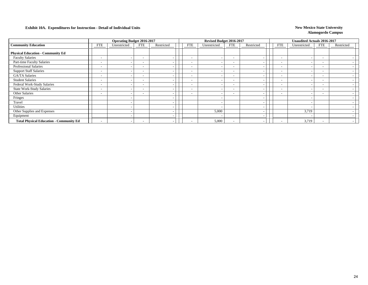|                                                |                          | <b>Operating Budget 2016-2017</b> |                          |            |                          | Revised Budget 2016-2017 |                          |            |                          | Unaudited Actuals 2016-2017 |                          |            |
|------------------------------------------------|--------------------------|-----------------------------------|--------------------------|------------|--------------------------|--------------------------|--------------------------|------------|--------------------------|-----------------------------|--------------------------|------------|
| <b>Community Education</b>                     | <b>FTE</b>               | Unrestricted                      | <b>FTE</b>               | Restricted | <b>FTE</b>               | Unrestricted             | <b>FTE</b>               | Restricted | <b>FTE</b>               | Unrestricted                | <b>FTE</b>               | Restricted |
| <b>Physical Education - Community Ed</b>       |                          |                                   |                          |            |                          |                          |                          |            |                          |                             |                          |            |
| <b>Faculty Salaries</b>                        | $\overline{\phantom{a}}$ |                                   | $\overline{\phantom{a}}$ |            | $\overline{\phantom{0}}$ |                          | $\overline{\phantom{0}}$ |            | $\overline{\phantom{0}}$ |                             | $\overline{\phantom{a}}$ |            |
| Part-time Faculty Salaries                     | $\overline{\phantom{a}}$ |                                   | $\overline{\phantom{a}}$ |            | $\overline{\phantom{0}}$ |                          | $\overline{\phantom{0}}$ |            | $\overline{\phantom{0}}$ |                             | ۰                        |            |
| <b>Professional Salaries</b>                   | $\overline{\phantom{a}}$ |                                   | $\overline{\phantom{a}}$ |            | $\overline{\phantom{0}}$ |                          | $\overline{\phantom{a}}$ |            | $\overline{\phantom{a}}$ |                             | $\overline{\phantom{a}}$ |            |
| <b>Support Staff Salaries</b>                  | $\overline{\phantom{a}}$ |                                   | $\overline{\phantom{a}}$ |            | $\overline{\phantom{0}}$ |                          | $\overline{\phantom{0}}$ |            |                          |                             | $\overline{\phantom{a}}$ |            |
| GA/TA Salaries                                 | $\overline{\phantom{a}}$ |                                   | $\overline{\phantom{a}}$ |            | $\sim$                   |                          | $\overline{\phantom{0}}$ |            | $\overline{\phantom{a}}$ |                             | $\overline{\phantom{0}}$ |            |
| <b>Student Salaries</b>                        | $\overline{\phantom{a}}$ |                                   | $\overline{\phantom{a}}$ |            | $\sim$                   |                          | $\overline{\phantom{0}}$ |            | $\sim$                   |                             | $\overline{\phantom{a}}$ |            |
| Federal Work-Study Salaries                    | $\overline{\phantom{a}}$ |                                   | $\overline{\phantom{0}}$ |            | $\sim$                   |                          | $\overline{\phantom{0}}$ |            | $\sim$                   |                             | $\overline{\phantom{a}}$ |            |
| <b>State Work-Study Salaries</b>               | -                        |                                   | $\overline{\phantom{0}}$ |            | $\sim$                   |                          | $\overline{\phantom{0}}$ |            | $\overline{\phantom{a}}$ |                             | $\overline{\phantom{0}}$ |            |
| Other Salaries                                 | $\overline{\phantom{0}}$ |                                   | $\overline{\phantom{a}}$ |            | $\overline{\phantom{0}}$ |                          | $\overline{\phantom{a}}$ |            | $\overline{\phantom{0}}$ |                             | $\overline{\phantom{a}}$ |            |
| Fringes                                        |                          |                                   |                          |            |                          |                          |                          |            |                          |                             |                          |            |
| Travel                                         |                          |                                   |                          |            |                          |                          |                          |            |                          |                             |                          |            |
| <b>Utilities</b>                               |                          |                                   |                          |            |                          |                          |                          |            |                          |                             |                          |            |
| Other Supplies and Expenses                    |                          |                                   |                          |            |                          | 5,000                    |                          |            |                          | 3,719                       |                          |            |
| Equipment                                      |                          |                                   |                          |            |                          |                          |                          |            |                          |                             |                          |            |
| <b>Total Physical Education - Community Ed</b> |                          |                                   | $\overline{\phantom{0}}$ |            |                          | 5,000                    | $\overline{\phantom{0}}$ |            |                          | 3,719                       |                          |            |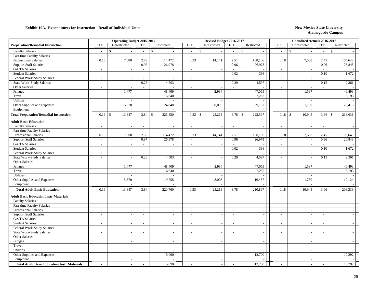| <b>FTE</b><br><b>FTE</b><br><b>FTE</b><br>Unrestricted<br>Restricted<br><b>FTE</b><br>Unrestricted<br>Restricted<br><b>FTE</b><br>Unrestricted<br><b>FTE</b><br>Restricted<br>$\mathbb{S}$<br>$\mathcal{S}$<br>$\mathbb{S}$<br>$\mathbb{S}$<br>$\mathcal{S}$<br><b>Faculty Salaries</b><br>$\mathcal{S}$<br>$\sim$<br>$\omega$<br>$\overline{a}$<br>$\overline{a}$<br>$\sim$<br>$\overline{\phantom{a}}$<br>Part-time Faculty Salaries<br>$\sim$<br>$\mathcal{L}^{\mathcal{A}}$<br>$\sim$<br>$\sim$<br>$\sim$<br>$\sim$<br>7,000<br><b>Professional Salaries</b><br>0.16<br>2.59<br>114,472<br>0.33<br>14,141<br>2.51<br>108,106<br>0.18<br>7,568<br>2.45<br>105,648<br>0.97<br><b>Support Staff Salaries</b><br>26,978<br>0.96<br>26,978<br>0.96<br>26,848<br>$\sim$<br>$\sim$<br>$\sim$<br>GA/TA Salaries<br>$\sim$<br>$\sim$<br>$\sim$<br>$\overline{a}$<br>$\overline{a}$<br>$\sim$<br>0.02<br>398<br>0.10<br>1,672<br><b>Student Salaries</b><br>$\sim$<br>$\sim$<br>$\overline{\phantom{a}}$<br>$\overline{\phantom{a}}$<br>$\sim$<br>$\overline{\phantom{a}}$<br>Federal Work-Study Salaries<br>$\overline{\phantom{a}}$<br>$\overline{\phantom{a}}$<br>$\sim$<br>$\sim$<br>$\sim$<br>$\overline{\phantom{a}}$<br>4,597<br><b>State Work-Study Salaries</b><br>0.28<br>4,503<br>0.29<br>0.15<br>2,361<br>$\sim$<br>$\sim$<br>$\sim$<br>$\overline{\phantom{a}}$<br>Other Salaries<br>$\sim$<br>$\sim$<br>$\overline{a}$<br>$\sim$<br>$\overline{\phantom{a}}$<br>$\sim$<br>1,477<br>2,984<br>47,069<br>1,597<br>46,493<br>48,409<br>Fringes<br>7,282<br>Travel<br>6,640<br>6,193<br>Utilities<br>Other Supplies and Expenses<br>5,370<br>24,848<br>8,093<br>1,780<br>29,416<br>29,167<br>Equipment<br>13,847<br><b>Total Preparation/Remedial Instruction</b><br>3.84<br>225,850<br>0.33<br>25,218<br>3.78<br>$\mathfrak{S}$<br>223,597<br>10,945<br>218,631<br>0.16<br>$\mathbb{S}$<br>$\mathcal{S}$<br>$\mathbb{S}$<br>3.66<br>-\$<br><b>Adult Basic Education</b><br><b>Faculty Salaries</b><br>$\sim$<br>$\overline{\phantom{a}}$<br>$\sim$<br>$\overline{\phantom{a}}$<br>$\mathbb{L}^+$<br>$\overline{\phantom{a}}$<br>$\overline{\phantom{a}}$<br>Part-time Faculty Salaries<br>$\sim$<br>$\sim$<br>$\sim$<br>$\sim$<br>$\sim$<br>$\sim$<br>Professional Salaries<br>7,000<br>2.59<br>114,472<br>0.33<br>14,141<br>2.51<br>105,648<br>0.16<br>108,106<br>0.18<br>7,568<br>2.45<br>0.97<br><b>Support Staff Salaries</b><br>26,978<br>0.96<br>26,978<br>0.96<br>26,848<br>$\sim$<br>$\mathbb{L}^+$<br>$\sim$<br>GA/TA Salaries<br>$\omega$<br>$\sim$<br>$\sim$<br>$\overline{\phantom{a}}$<br>$\overline{\phantom{a}}$<br>$\sim$<br>0.02<br>1,672<br><b>Student Salaries</b><br>398<br>0.10<br>$\sim$<br>$\sim$<br>$\sim$<br>$\sim$<br>Federal Work-Study Salaries<br>$\mathbb{Z}^+$<br>$\sim$<br>$\sim$<br>$\mathbb{L}^+$<br>$\sim$<br>$\sim$<br>$\sim$<br>0.28<br>State Work-Study Salaries<br>4,503<br>0.29<br>4,597<br>0.15<br>2,361<br>$\sim$<br>$\overline{\phantom{a}}$<br>$\sim$<br>$\sim$<br>÷<br><b>Other Salaries</b><br>$\overline{\phantom{a}}$<br>$\sim$<br>$\sim$<br>$\overline{a}$<br>$\sim$<br>$\sim$<br>1,477<br>2,984<br>47,069<br>1,597<br>48,409<br>46,493<br>Fringes<br>7,282<br>Travel<br>6,193<br>6,640<br>Utilities<br>5,370<br>19,758<br>8,093<br>19,124<br>Other Supplies and Expenses<br>16,467<br>1,780<br>Equipment<br>13,847<br>25,218<br>10,945<br>208,339<br><b>Total Adult Basic Education</b><br>0.16<br>3.84<br>220,760<br>0.33<br>3.78<br>210,897<br>0.18<br>3.66<br><b>Adult Basic Education Instr Materials</b><br><b>Faculty Salaries</b><br>$\sim$<br>$\sim$<br>$\sim$<br>$\sim$<br>$\sim$<br>$\overline{\phantom{a}}$<br>$\blacksquare$<br>Part-time Faculty Salaries<br>$\sim$<br>$\sim$<br>$\sim$<br>$\sim$<br>$\sim$<br>$\sim$<br>$\sim$<br>$\overline{\phantom{a}}$<br><b>Professional Salaries</b><br>$\sim$<br>$\sim$<br>$\sim$<br>$\sim$<br>$\sim$<br>$\sim$<br>$\sim$<br>$\sim$<br>$\overline{\phantom{a}}$<br><b>Support Staff Salaries</b><br>$\sim$<br>$\sim$<br>$\sim$<br>$\mathcal{L}^{\mathcal{A}}$<br>$\sim$<br>$\sim$<br>$\sim$<br>$\sim$<br>$\overline{\phantom{a}}$<br>$\overline{\phantom{a}}$<br>GA/TA Salaries<br>$\sim$<br>$\sim$<br>$\sim$<br>$\sim$<br>$\sim$<br>$=$<br>$\sim$<br>$\overline{\phantom{a}}$<br><b>Student Salaries</b><br>$\overline{\phantom{a}}$<br>$\overline{\phantom{a}}$<br>$\sim$<br>$\sim$<br>$\sim$<br>$\overline{\phantom{a}}$<br>$\sim$<br>$\sim$<br>$\overline{\phantom{a}}$<br>Federal Work-Study Salaries<br>$-$<br>$\sim$<br>$\overline{\phantom{a}}$<br>$\sim$<br>$\sim$<br>$\sim$<br>$\blacksquare$<br>$\sim$<br>$\blacksquare$<br><b>State Work-Study Salaries</b><br>$\sim$<br>$\sim$<br>$\sim$<br>$\sim$<br>$\sim$<br>$\sim$<br>$\overline{\phantom{a}}$<br>$\sim$<br>$\overline{\phantom{a}}$<br>$\overline{\phantom{a}}$<br>$\sim$<br>$\overline{\phantom{a}}$<br>Other Salaries<br>$\sim$ 1<br>$\sim$<br>$\sim$<br>$\sim$<br>$\sim$<br>$\sim$<br>$\sim$<br>$\sim$<br>$\sim$<br>$\sim$<br>$\sim$<br>$\overline{\phantom{a}}$<br>Fringes<br>$-1$<br>$\sim$<br>$\overline{\phantom{a}}$<br>$\overline{\phantom{a}}$<br>$\overline{\phantom{a}}$<br>Travel<br>$\sim$<br>$\overline{\phantom{a}}$<br>$\overline{\phantom{a}}$<br><b>Utilities</b><br>$\overline{a}$<br>10,292<br>Other Supplies and Expenses<br>5,090<br>12,700 |                                         | <b>Operating Budget 2016-2017</b> |  | Revised Budget 2016-2017 |  |  | <b>Unaudited Actuals 2016-2017</b> |  |
|-------------------------------------------------------------------------------------------------------------------------------------------------------------------------------------------------------------------------------------------------------------------------------------------------------------------------------------------------------------------------------------------------------------------------------------------------------------------------------------------------------------------------------------------------------------------------------------------------------------------------------------------------------------------------------------------------------------------------------------------------------------------------------------------------------------------------------------------------------------------------------------------------------------------------------------------------------------------------------------------------------------------------------------------------------------------------------------------------------------------------------------------------------------------------------------------------------------------------------------------------------------------------------------------------------------------------------------------------------------------------------------------------------------------------------------------------------------------------------------------------------------------------------------------------------------------------------------------------------------------------------------------------------------------------------------------------------------------------------------------------------------------------------------------------------------------------------------------------------------------------------------------------------------------------------------------------------------------------------------------------------------------------------------------------------------------------------------------------------------------------------------------------------------------------------------------------------------------------------------------------------------------------------------------------------------------------------------------------------------------------------------------------------------------------------------------------------------------------------------------------------------------------------------------------------------------------------------------------------------------------------------------------------------------------------------------------------------------------------------------------------------------------------------------------------------------------------------------------------------------------------------------------------------------------------------------------------------------------------------------------------------------------------------------------------------------------------------------------------------------------------------------------------------------------------------------------------------------------------------------------------------------------------------------------------------------------------------------------------------------------------------------------------------------------------------------------------------------------------------------------------------------------------------------------------------------------------------------------------------------------------------------------------------------------------------------------------------------------------------------------------------------------------------------------------------------------------------------------------------------------------------------------------------------------------------------------------------------------------------------------------------------------------------------------------------------------------------------------------------------------------------------------------------------------------------------------------------------------------------------------------------------------------------------------------------------------------------------------------------------------------------------------------------------------------------------------------------------------------------------------------------------------------------------------------------------------------------------------------------------------------------------------------------------------------------------------------------------------------------------------------------------------------------------------------------------------------------------------------------------------------------------------------------------------------------------------------------------------------------------------------------------------------------------------------------------------------------------------------------------------------------------------------------------------------------------------------------------------------------------------------------------------------------------------------------------------------------------------|-----------------------------------------|-----------------------------------|--|--------------------------|--|--|------------------------------------|--|
|                                                                                                                                                                                                                                                                                                                                                                                                                                                                                                                                                                                                                                                                                                                                                                                                                                                                                                                                                                                                                                                                                                                                                                                                                                                                                                                                                                                                                                                                                                                                                                                                                                                                                                                                                                                                                                                                                                                                                                                                                                                                                                                                                                                                                                                                                                                                                                                                                                                                                                                                                                                                                                                                                                                                                                                                                                                                                                                                                                                                                                                                                                                                                                                                                                                                                                                                                                                                                                                                                                                                                                                                                                                                                                                                                                                                                                                                                                                                                                                                                                                                                                                                                                                                                                                                                                                                                                                                                                                                                                                                                                                                                                                                                                                                                                                                                                                                                                                                                                                                                                                                                                                                                                                                                                                                                                                                                 | <b>Preparation/Remedial Instruction</b> |                                   |  |                          |  |  |                                    |  |
|                                                                                                                                                                                                                                                                                                                                                                                                                                                                                                                                                                                                                                                                                                                                                                                                                                                                                                                                                                                                                                                                                                                                                                                                                                                                                                                                                                                                                                                                                                                                                                                                                                                                                                                                                                                                                                                                                                                                                                                                                                                                                                                                                                                                                                                                                                                                                                                                                                                                                                                                                                                                                                                                                                                                                                                                                                                                                                                                                                                                                                                                                                                                                                                                                                                                                                                                                                                                                                                                                                                                                                                                                                                                                                                                                                                                                                                                                                                                                                                                                                                                                                                                                                                                                                                                                                                                                                                                                                                                                                                                                                                                                                                                                                                                                                                                                                                                                                                                                                                                                                                                                                                                                                                                                                                                                                                                                 |                                         |                                   |  |                          |  |  |                                    |  |
|                                                                                                                                                                                                                                                                                                                                                                                                                                                                                                                                                                                                                                                                                                                                                                                                                                                                                                                                                                                                                                                                                                                                                                                                                                                                                                                                                                                                                                                                                                                                                                                                                                                                                                                                                                                                                                                                                                                                                                                                                                                                                                                                                                                                                                                                                                                                                                                                                                                                                                                                                                                                                                                                                                                                                                                                                                                                                                                                                                                                                                                                                                                                                                                                                                                                                                                                                                                                                                                                                                                                                                                                                                                                                                                                                                                                                                                                                                                                                                                                                                                                                                                                                                                                                                                                                                                                                                                                                                                                                                                                                                                                                                                                                                                                                                                                                                                                                                                                                                                                                                                                                                                                                                                                                                                                                                                                                 |                                         |                                   |  |                          |  |  |                                    |  |
|                                                                                                                                                                                                                                                                                                                                                                                                                                                                                                                                                                                                                                                                                                                                                                                                                                                                                                                                                                                                                                                                                                                                                                                                                                                                                                                                                                                                                                                                                                                                                                                                                                                                                                                                                                                                                                                                                                                                                                                                                                                                                                                                                                                                                                                                                                                                                                                                                                                                                                                                                                                                                                                                                                                                                                                                                                                                                                                                                                                                                                                                                                                                                                                                                                                                                                                                                                                                                                                                                                                                                                                                                                                                                                                                                                                                                                                                                                                                                                                                                                                                                                                                                                                                                                                                                                                                                                                                                                                                                                                                                                                                                                                                                                                                                                                                                                                                                                                                                                                                                                                                                                                                                                                                                                                                                                                                                 |                                         |                                   |  |                          |  |  |                                    |  |
|                                                                                                                                                                                                                                                                                                                                                                                                                                                                                                                                                                                                                                                                                                                                                                                                                                                                                                                                                                                                                                                                                                                                                                                                                                                                                                                                                                                                                                                                                                                                                                                                                                                                                                                                                                                                                                                                                                                                                                                                                                                                                                                                                                                                                                                                                                                                                                                                                                                                                                                                                                                                                                                                                                                                                                                                                                                                                                                                                                                                                                                                                                                                                                                                                                                                                                                                                                                                                                                                                                                                                                                                                                                                                                                                                                                                                                                                                                                                                                                                                                                                                                                                                                                                                                                                                                                                                                                                                                                                                                                                                                                                                                                                                                                                                                                                                                                                                                                                                                                                                                                                                                                                                                                                                                                                                                                                                 |                                         |                                   |  |                          |  |  |                                    |  |
|                                                                                                                                                                                                                                                                                                                                                                                                                                                                                                                                                                                                                                                                                                                                                                                                                                                                                                                                                                                                                                                                                                                                                                                                                                                                                                                                                                                                                                                                                                                                                                                                                                                                                                                                                                                                                                                                                                                                                                                                                                                                                                                                                                                                                                                                                                                                                                                                                                                                                                                                                                                                                                                                                                                                                                                                                                                                                                                                                                                                                                                                                                                                                                                                                                                                                                                                                                                                                                                                                                                                                                                                                                                                                                                                                                                                                                                                                                                                                                                                                                                                                                                                                                                                                                                                                                                                                                                                                                                                                                                                                                                                                                                                                                                                                                                                                                                                                                                                                                                                                                                                                                                                                                                                                                                                                                                                                 |                                         |                                   |  |                          |  |  |                                    |  |
|                                                                                                                                                                                                                                                                                                                                                                                                                                                                                                                                                                                                                                                                                                                                                                                                                                                                                                                                                                                                                                                                                                                                                                                                                                                                                                                                                                                                                                                                                                                                                                                                                                                                                                                                                                                                                                                                                                                                                                                                                                                                                                                                                                                                                                                                                                                                                                                                                                                                                                                                                                                                                                                                                                                                                                                                                                                                                                                                                                                                                                                                                                                                                                                                                                                                                                                                                                                                                                                                                                                                                                                                                                                                                                                                                                                                                                                                                                                                                                                                                                                                                                                                                                                                                                                                                                                                                                                                                                                                                                                                                                                                                                                                                                                                                                                                                                                                                                                                                                                                                                                                                                                                                                                                                                                                                                                                                 |                                         |                                   |  |                          |  |  |                                    |  |
|                                                                                                                                                                                                                                                                                                                                                                                                                                                                                                                                                                                                                                                                                                                                                                                                                                                                                                                                                                                                                                                                                                                                                                                                                                                                                                                                                                                                                                                                                                                                                                                                                                                                                                                                                                                                                                                                                                                                                                                                                                                                                                                                                                                                                                                                                                                                                                                                                                                                                                                                                                                                                                                                                                                                                                                                                                                                                                                                                                                                                                                                                                                                                                                                                                                                                                                                                                                                                                                                                                                                                                                                                                                                                                                                                                                                                                                                                                                                                                                                                                                                                                                                                                                                                                                                                                                                                                                                                                                                                                                                                                                                                                                                                                                                                                                                                                                                                                                                                                                                                                                                                                                                                                                                                                                                                                                                                 |                                         |                                   |  |                          |  |  |                                    |  |
|                                                                                                                                                                                                                                                                                                                                                                                                                                                                                                                                                                                                                                                                                                                                                                                                                                                                                                                                                                                                                                                                                                                                                                                                                                                                                                                                                                                                                                                                                                                                                                                                                                                                                                                                                                                                                                                                                                                                                                                                                                                                                                                                                                                                                                                                                                                                                                                                                                                                                                                                                                                                                                                                                                                                                                                                                                                                                                                                                                                                                                                                                                                                                                                                                                                                                                                                                                                                                                                                                                                                                                                                                                                                                                                                                                                                                                                                                                                                                                                                                                                                                                                                                                                                                                                                                                                                                                                                                                                                                                                                                                                                                                                                                                                                                                                                                                                                                                                                                                                                                                                                                                                                                                                                                                                                                                                                                 |                                         |                                   |  |                          |  |  |                                    |  |
|                                                                                                                                                                                                                                                                                                                                                                                                                                                                                                                                                                                                                                                                                                                                                                                                                                                                                                                                                                                                                                                                                                                                                                                                                                                                                                                                                                                                                                                                                                                                                                                                                                                                                                                                                                                                                                                                                                                                                                                                                                                                                                                                                                                                                                                                                                                                                                                                                                                                                                                                                                                                                                                                                                                                                                                                                                                                                                                                                                                                                                                                                                                                                                                                                                                                                                                                                                                                                                                                                                                                                                                                                                                                                                                                                                                                                                                                                                                                                                                                                                                                                                                                                                                                                                                                                                                                                                                                                                                                                                                                                                                                                                                                                                                                                                                                                                                                                                                                                                                                                                                                                                                                                                                                                                                                                                                                                 |                                         |                                   |  |                          |  |  |                                    |  |
|                                                                                                                                                                                                                                                                                                                                                                                                                                                                                                                                                                                                                                                                                                                                                                                                                                                                                                                                                                                                                                                                                                                                                                                                                                                                                                                                                                                                                                                                                                                                                                                                                                                                                                                                                                                                                                                                                                                                                                                                                                                                                                                                                                                                                                                                                                                                                                                                                                                                                                                                                                                                                                                                                                                                                                                                                                                                                                                                                                                                                                                                                                                                                                                                                                                                                                                                                                                                                                                                                                                                                                                                                                                                                                                                                                                                                                                                                                                                                                                                                                                                                                                                                                                                                                                                                                                                                                                                                                                                                                                                                                                                                                                                                                                                                                                                                                                                                                                                                                                                                                                                                                                                                                                                                                                                                                                                                 |                                         |                                   |  |                          |  |  |                                    |  |
|                                                                                                                                                                                                                                                                                                                                                                                                                                                                                                                                                                                                                                                                                                                                                                                                                                                                                                                                                                                                                                                                                                                                                                                                                                                                                                                                                                                                                                                                                                                                                                                                                                                                                                                                                                                                                                                                                                                                                                                                                                                                                                                                                                                                                                                                                                                                                                                                                                                                                                                                                                                                                                                                                                                                                                                                                                                                                                                                                                                                                                                                                                                                                                                                                                                                                                                                                                                                                                                                                                                                                                                                                                                                                                                                                                                                                                                                                                                                                                                                                                                                                                                                                                                                                                                                                                                                                                                                                                                                                                                                                                                                                                                                                                                                                                                                                                                                                                                                                                                                                                                                                                                                                                                                                                                                                                                                                 |                                         |                                   |  |                          |  |  |                                    |  |
|                                                                                                                                                                                                                                                                                                                                                                                                                                                                                                                                                                                                                                                                                                                                                                                                                                                                                                                                                                                                                                                                                                                                                                                                                                                                                                                                                                                                                                                                                                                                                                                                                                                                                                                                                                                                                                                                                                                                                                                                                                                                                                                                                                                                                                                                                                                                                                                                                                                                                                                                                                                                                                                                                                                                                                                                                                                                                                                                                                                                                                                                                                                                                                                                                                                                                                                                                                                                                                                                                                                                                                                                                                                                                                                                                                                                                                                                                                                                                                                                                                                                                                                                                                                                                                                                                                                                                                                                                                                                                                                                                                                                                                                                                                                                                                                                                                                                                                                                                                                                                                                                                                                                                                                                                                                                                                                                                 |                                         |                                   |  |                          |  |  |                                    |  |
|                                                                                                                                                                                                                                                                                                                                                                                                                                                                                                                                                                                                                                                                                                                                                                                                                                                                                                                                                                                                                                                                                                                                                                                                                                                                                                                                                                                                                                                                                                                                                                                                                                                                                                                                                                                                                                                                                                                                                                                                                                                                                                                                                                                                                                                                                                                                                                                                                                                                                                                                                                                                                                                                                                                                                                                                                                                                                                                                                                                                                                                                                                                                                                                                                                                                                                                                                                                                                                                                                                                                                                                                                                                                                                                                                                                                                                                                                                                                                                                                                                                                                                                                                                                                                                                                                                                                                                                                                                                                                                                                                                                                                                                                                                                                                                                                                                                                                                                                                                                                                                                                                                                                                                                                                                                                                                                                                 |                                         |                                   |  |                          |  |  |                                    |  |
|                                                                                                                                                                                                                                                                                                                                                                                                                                                                                                                                                                                                                                                                                                                                                                                                                                                                                                                                                                                                                                                                                                                                                                                                                                                                                                                                                                                                                                                                                                                                                                                                                                                                                                                                                                                                                                                                                                                                                                                                                                                                                                                                                                                                                                                                                                                                                                                                                                                                                                                                                                                                                                                                                                                                                                                                                                                                                                                                                                                                                                                                                                                                                                                                                                                                                                                                                                                                                                                                                                                                                                                                                                                                                                                                                                                                                                                                                                                                                                                                                                                                                                                                                                                                                                                                                                                                                                                                                                                                                                                                                                                                                                                                                                                                                                                                                                                                                                                                                                                                                                                                                                                                                                                                                                                                                                                                                 |                                         |                                   |  |                          |  |  |                                    |  |
|                                                                                                                                                                                                                                                                                                                                                                                                                                                                                                                                                                                                                                                                                                                                                                                                                                                                                                                                                                                                                                                                                                                                                                                                                                                                                                                                                                                                                                                                                                                                                                                                                                                                                                                                                                                                                                                                                                                                                                                                                                                                                                                                                                                                                                                                                                                                                                                                                                                                                                                                                                                                                                                                                                                                                                                                                                                                                                                                                                                                                                                                                                                                                                                                                                                                                                                                                                                                                                                                                                                                                                                                                                                                                                                                                                                                                                                                                                                                                                                                                                                                                                                                                                                                                                                                                                                                                                                                                                                                                                                                                                                                                                                                                                                                                                                                                                                                                                                                                                                                                                                                                                                                                                                                                                                                                                                                                 |                                         |                                   |  |                          |  |  |                                    |  |
|                                                                                                                                                                                                                                                                                                                                                                                                                                                                                                                                                                                                                                                                                                                                                                                                                                                                                                                                                                                                                                                                                                                                                                                                                                                                                                                                                                                                                                                                                                                                                                                                                                                                                                                                                                                                                                                                                                                                                                                                                                                                                                                                                                                                                                                                                                                                                                                                                                                                                                                                                                                                                                                                                                                                                                                                                                                                                                                                                                                                                                                                                                                                                                                                                                                                                                                                                                                                                                                                                                                                                                                                                                                                                                                                                                                                                                                                                                                                                                                                                                                                                                                                                                                                                                                                                                                                                                                                                                                                                                                                                                                                                                                                                                                                                                                                                                                                                                                                                                                                                                                                                                                                                                                                                                                                                                                                                 |                                         |                                   |  |                          |  |  |                                    |  |
|                                                                                                                                                                                                                                                                                                                                                                                                                                                                                                                                                                                                                                                                                                                                                                                                                                                                                                                                                                                                                                                                                                                                                                                                                                                                                                                                                                                                                                                                                                                                                                                                                                                                                                                                                                                                                                                                                                                                                                                                                                                                                                                                                                                                                                                                                                                                                                                                                                                                                                                                                                                                                                                                                                                                                                                                                                                                                                                                                                                                                                                                                                                                                                                                                                                                                                                                                                                                                                                                                                                                                                                                                                                                                                                                                                                                                                                                                                                                                                                                                                                                                                                                                                                                                                                                                                                                                                                                                                                                                                                                                                                                                                                                                                                                                                                                                                                                                                                                                                                                                                                                                                                                                                                                                                                                                                                                                 |                                         |                                   |  |                          |  |  |                                    |  |
|                                                                                                                                                                                                                                                                                                                                                                                                                                                                                                                                                                                                                                                                                                                                                                                                                                                                                                                                                                                                                                                                                                                                                                                                                                                                                                                                                                                                                                                                                                                                                                                                                                                                                                                                                                                                                                                                                                                                                                                                                                                                                                                                                                                                                                                                                                                                                                                                                                                                                                                                                                                                                                                                                                                                                                                                                                                                                                                                                                                                                                                                                                                                                                                                                                                                                                                                                                                                                                                                                                                                                                                                                                                                                                                                                                                                                                                                                                                                                                                                                                                                                                                                                                                                                                                                                                                                                                                                                                                                                                                                                                                                                                                                                                                                                                                                                                                                                                                                                                                                                                                                                                                                                                                                                                                                                                                                                 |                                         |                                   |  |                          |  |  |                                    |  |
|                                                                                                                                                                                                                                                                                                                                                                                                                                                                                                                                                                                                                                                                                                                                                                                                                                                                                                                                                                                                                                                                                                                                                                                                                                                                                                                                                                                                                                                                                                                                                                                                                                                                                                                                                                                                                                                                                                                                                                                                                                                                                                                                                                                                                                                                                                                                                                                                                                                                                                                                                                                                                                                                                                                                                                                                                                                                                                                                                                                                                                                                                                                                                                                                                                                                                                                                                                                                                                                                                                                                                                                                                                                                                                                                                                                                                                                                                                                                                                                                                                                                                                                                                                                                                                                                                                                                                                                                                                                                                                                                                                                                                                                                                                                                                                                                                                                                                                                                                                                                                                                                                                                                                                                                                                                                                                                                                 |                                         |                                   |  |                          |  |  |                                    |  |
|                                                                                                                                                                                                                                                                                                                                                                                                                                                                                                                                                                                                                                                                                                                                                                                                                                                                                                                                                                                                                                                                                                                                                                                                                                                                                                                                                                                                                                                                                                                                                                                                                                                                                                                                                                                                                                                                                                                                                                                                                                                                                                                                                                                                                                                                                                                                                                                                                                                                                                                                                                                                                                                                                                                                                                                                                                                                                                                                                                                                                                                                                                                                                                                                                                                                                                                                                                                                                                                                                                                                                                                                                                                                                                                                                                                                                                                                                                                                                                                                                                                                                                                                                                                                                                                                                                                                                                                                                                                                                                                                                                                                                                                                                                                                                                                                                                                                                                                                                                                                                                                                                                                                                                                                                                                                                                                                                 |                                         |                                   |  |                          |  |  |                                    |  |
|                                                                                                                                                                                                                                                                                                                                                                                                                                                                                                                                                                                                                                                                                                                                                                                                                                                                                                                                                                                                                                                                                                                                                                                                                                                                                                                                                                                                                                                                                                                                                                                                                                                                                                                                                                                                                                                                                                                                                                                                                                                                                                                                                                                                                                                                                                                                                                                                                                                                                                                                                                                                                                                                                                                                                                                                                                                                                                                                                                                                                                                                                                                                                                                                                                                                                                                                                                                                                                                                                                                                                                                                                                                                                                                                                                                                                                                                                                                                                                                                                                                                                                                                                                                                                                                                                                                                                                                                                                                                                                                                                                                                                                                                                                                                                                                                                                                                                                                                                                                                                                                                                                                                                                                                                                                                                                                                                 |                                         |                                   |  |                          |  |  |                                    |  |
|                                                                                                                                                                                                                                                                                                                                                                                                                                                                                                                                                                                                                                                                                                                                                                                                                                                                                                                                                                                                                                                                                                                                                                                                                                                                                                                                                                                                                                                                                                                                                                                                                                                                                                                                                                                                                                                                                                                                                                                                                                                                                                                                                                                                                                                                                                                                                                                                                                                                                                                                                                                                                                                                                                                                                                                                                                                                                                                                                                                                                                                                                                                                                                                                                                                                                                                                                                                                                                                                                                                                                                                                                                                                                                                                                                                                                                                                                                                                                                                                                                                                                                                                                                                                                                                                                                                                                                                                                                                                                                                                                                                                                                                                                                                                                                                                                                                                                                                                                                                                                                                                                                                                                                                                                                                                                                                                                 |                                         |                                   |  |                          |  |  |                                    |  |
|                                                                                                                                                                                                                                                                                                                                                                                                                                                                                                                                                                                                                                                                                                                                                                                                                                                                                                                                                                                                                                                                                                                                                                                                                                                                                                                                                                                                                                                                                                                                                                                                                                                                                                                                                                                                                                                                                                                                                                                                                                                                                                                                                                                                                                                                                                                                                                                                                                                                                                                                                                                                                                                                                                                                                                                                                                                                                                                                                                                                                                                                                                                                                                                                                                                                                                                                                                                                                                                                                                                                                                                                                                                                                                                                                                                                                                                                                                                                                                                                                                                                                                                                                                                                                                                                                                                                                                                                                                                                                                                                                                                                                                                                                                                                                                                                                                                                                                                                                                                                                                                                                                                                                                                                                                                                                                                                                 |                                         |                                   |  |                          |  |  |                                    |  |
|                                                                                                                                                                                                                                                                                                                                                                                                                                                                                                                                                                                                                                                                                                                                                                                                                                                                                                                                                                                                                                                                                                                                                                                                                                                                                                                                                                                                                                                                                                                                                                                                                                                                                                                                                                                                                                                                                                                                                                                                                                                                                                                                                                                                                                                                                                                                                                                                                                                                                                                                                                                                                                                                                                                                                                                                                                                                                                                                                                                                                                                                                                                                                                                                                                                                                                                                                                                                                                                                                                                                                                                                                                                                                                                                                                                                                                                                                                                                                                                                                                                                                                                                                                                                                                                                                                                                                                                                                                                                                                                                                                                                                                                                                                                                                                                                                                                                                                                                                                                                                                                                                                                                                                                                                                                                                                                                                 |                                         |                                   |  |                          |  |  |                                    |  |
|                                                                                                                                                                                                                                                                                                                                                                                                                                                                                                                                                                                                                                                                                                                                                                                                                                                                                                                                                                                                                                                                                                                                                                                                                                                                                                                                                                                                                                                                                                                                                                                                                                                                                                                                                                                                                                                                                                                                                                                                                                                                                                                                                                                                                                                                                                                                                                                                                                                                                                                                                                                                                                                                                                                                                                                                                                                                                                                                                                                                                                                                                                                                                                                                                                                                                                                                                                                                                                                                                                                                                                                                                                                                                                                                                                                                                                                                                                                                                                                                                                                                                                                                                                                                                                                                                                                                                                                                                                                                                                                                                                                                                                                                                                                                                                                                                                                                                                                                                                                                                                                                                                                                                                                                                                                                                                                                                 |                                         |                                   |  |                          |  |  |                                    |  |
|                                                                                                                                                                                                                                                                                                                                                                                                                                                                                                                                                                                                                                                                                                                                                                                                                                                                                                                                                                                                                                                                                                                                                                                                                                                                                                                                                                                                                                                                                                                                                                                                                                                                                                                                                                                                                                                                                                                                                                                                                                                                                                                                                                                                                                                                                                                                                                                                                                                                                                                                                                                                                                                                                                                                                                                                                                                                                                                                                                                                                                                                                                                                                                                                                                                                                                                                                                                                                                                                                                                                                                                                                                                                                                                                                                                                                                                                                                                                                                                                                                                                                                                                                                                                                                                                                                                                                                                                                                                                                                                                                                                                                                                                                                                                                                                                                                                                                                                                                                                                                                                                                                                                                                                                                                                                                                                                                 |                                         |                                   |  |                          |  |  |                                    |  |
|                                                                                                                                                                                                                                                                                                                                                                                                                                                                                                                                                                                                                                                                                                                                                                                                                                                                                                                                                                                                                                                                                                                                                                                                                                                                                                                                                                                                                                                                                                                                                                                                                                                                                                                                                                                                                                                                                                                                                                                                                                                                                                                                                                                                                                                                                                                                                                                                                                                                                                                                                                                                                                                                                                                                                                                                                                                                                                                                                                                                                                                                                                                                                                                                                                                                                                                                                                                                                                                                                                                                                                                                                                                                                                                                                                                                                                                                                                                                                                                                                                                                                                                                                                                                                                                                                                                                                                                                                                                                                                                                                                                                                                                                                                                                                                                                                                                                                                                                                                                                                                                                                                                                                                                                                                                                                                                                                 |                                         |                                   |  |                          |  |  |                                    |  |
|                                                                                                                                                                                                                                                                                                                                                                                                                                                                                                                                                                                                                                                                                                                                                                                                                                                                                                                                                                                                                                                                                                                                                                                                                                                                                                                                                                                                                                                                                                                                                                                                                                                                                                                                                                                                                                                                                                                                                                                                                                                                                                                                                                                                                                                                                                                                                                                                                                                                                                                                                                                                                                                                                                                                                                                                                                                                                                                                                                                                                                                                                                                                                                                                                                                                                                                                                                                                                                                                                                                                                                                                                                                                                                                                                                                                                                                                                                                                                                                                                                                                                                                                                                                                                                                                                                                                                                                                                                                                                                                                                                                                                                                                                                                                                                                                                                                                                                                                                                                                                                                                                                                                                                                                                                                                                                                                                 |                                         |                                   |  |                          |  |  |                                    |  |
|                                                                                                                                                                                                                                                                                                                                                                                                                                                                                                                                                                                                                                                                                                                                                                                                                                                                                                                                                                                                                                                                                                                                                                                                                                                                                                                                                                                                                                                                                                                                                                                                                                                                                                                                                                                                                                                                                                                                                                                                                                                                                                                                                                                                                                                                                                                                                                                                                                                                                                                                                                                                                                                                                                                                                                                                                                                                                                                                                                                                                                                                                                                                                                                                                                                                                                                                                                                                                                                                                                                                                                                                                                                                                                                                                                                                                                                                                                                                                                                                                                                                                                                                                                                                                                                                                                                                                                                                                                                                                                                                                                                                                                                                                                                                                                                                                                                                                                                                                                                                                                                                                                                                                                                                                                                                                                                                                 |                                         |                                   |  |                          |  |  |                                    |  |
|                                                                                                                                                                                                                                                                                                                                                                                                                                                                                                                                                                                                                                                                                                                                                                                                                                                                                                                                                                                                                                                                                                                                                                                                                                                                                                                                                                                                                                                                                                                                                                                                                                                                                                                                                                                                                                                                                                                                                                                                                                                                                                                                                                                                                                                                                                                                                                                                                                                                                                                                                                                                                                                                                                                                                                                                                                                                                                                                                                                                                                                                                                                                                                                                                                                                                                                                                                                                                                                                                                                                                                                                                                                                                                                                                                                                                                                                                                                                                                                                                                                                                                                                                                                                                                                                                                                                                                                                                                                                                                                                                                                                                                                                                                                                                                                                                                                                                                                                                                                                                                                                                                                                                                                                                                                                                                                                                 |                                         |                                   |  |                          |  |  |                                    |  |
|                                                                                                                                                                                                                                                                                                                                                                                                                                                                                                                                                                                                                                                                                                                                                                                                                                                                                                                                                                                                                                                                                                                                                                                                                                                                                                                                                                                                                                                                                                                                                                                                                                                                                                                                                                                                                                                                                                                                                                                                                                                                                                                                                                                                                                                                                                                                                                                                                                                                                                                                                                                                                                                                                                                                                                                                                                                                                                                                                                                                                                                                                                                                                                                                                                                                                                                                                                                                                                                                                                                                                                                                                                                                                                                                                                                                                                                                                                                                                                                                                                                                                                                                                                                                                                                                                                                                                                                                                                                                                                                                                                                                                                                                                                                                                                                                                                                                                                                                                                                                                                                                                                                                                                                                                                                                                                                                                 |                                         |                                   |  |                          |  |  |                                    |  |
|                                                                                                                                                                                                                                                                                                                                                                                                                                                                                                                                                                                                                                                                                                                                                                                                                                                                                                                                                                                                                                                                                                                                                                                                                                                                                                                                                                                                                                                                                                                                                                                                                                                                                                                                                                                                                                                                                                                                                                                                                                                                                                                                                                                                                                                                                                                                                                                                                                                                                                                                                                                                                                                                                                                                                                                                                                                                                                                                                                                                                                                                                                                                                                                                                                                                                                                                                                                                                                                                                                                                                                                                                                                                                                                                                                                                                                                                                                                                                                                                                                                                                                                                                                                                                                                                                                                                                                                                                                                                                                                                                                                                                                                                                                                                                                                                                                                                                                                                                                                                                                                                                                                                                                                                                                                                                                                                                 |                                         |                                   |  |                          |  |  |                                    |  |
|                                                                                                                                                                                                                                                                                                                                                                                                                                                                                                                                                                                                                                                                                                                                                                                                                                                                                                                                                                                                                                                                                                                                                                                                                                                                                                                                                                                                                                                                                                                                                                                                                                                                                                                                                                                                                                                                                                                                                                                                                                                                                                                                                                                                                                                                                                                                                                                                                                                                                                                                                                                                                                                                                                                                                                                                                                                                                                                                                                                                                                                                                                                                                                                                                                                                                                                                                                                                                                                                                                                                                                                                                                                                                                                                                                                                                                                                                                                                                                                                                                                                                                                                                                                                                                                                                                                                                                                                                                                                                                                                                                                                                                                                                                                                                                                                                                                                                                                                                                                                                                                                                                                                                                                                                                                                                                                                                 |                                         |                                   |  |                          |  |  |                                    |  |
|                                                                                                                                                                                                                                                                                                                                                                                                                                                                                                                                                                                                                                                                                                                                                                                                                                                                                                                                                                                                                                                                                                                                                                                                                                                                                                                                                                                                                                                                                                                                                                                                                                                                                                                                                                                                                                                                                                                                                                                                                                                                                                                                                                                                                                                                                                                                                                                                                                                                                                                                                                                                                                                                                                                                                                                                                                                                                                                                                                                                                                                                                                                                                                                                                                                                                                                                                                                                                                                                                                                                                                                                                                                                                                                                                                                                                                                                                                                                                                                                                                                                                                                                                                                                                                                                                                                                                                                                                                                                                                                                                                                                                                                                                                                                                                                                                                                                                                                                                                                                                                                                                                                                                                                                                                                                                                                                                 |                                         |                                   |  |                          |  |  |                                    |  |
|                                                                                                                                                                                                                                                                                                                                                                                                                                                                                                                                                                                                                                                                                                                                                                                                                                                                                                                                                                                                                                                                                                                                                                                                                                                                                                                                                                                                                                                                                                                                                                                                                                                                                                                                                                                                                                                                                                                                                                                                                                                                                                                                                                                                                                                                                                                                                                                                                                                                                                                                                                                                                                                                                                                                                                                                                                                                                                                                                                                                                                                                                                                                                                                                                                                                                                                                                                                                                                                                                                                                                                                                                                                                                                                                                                                                                                                                                                                                                                                                                                                                                                                                                                                                                                                                                                                                                                                                                                                                                                                                                                                                                                                                                                                                                                                                                                                                                                                                                                                                                                                                                                                                                                                                                                                                                                                                                 |                                         |                                   |  |                          |  |  |                                    |  |
|                                                                                                                                                                                                                                                                                                                                                                                                                                                                                                                                                                                                                                                                                                                                                                                                                                                                                                                                                                                                                                                                                                                                                                                                                                                                                                                                                                                                                                                                                                                                                                                                                                                                                                                                                                                                                                                                                                                                                                                                                                                                                                                                                                                                                                                                                                                                                                                                                                                                                                                                                                                                                                                                                                                                                                                                                                                                                                                                                                                                                                                                                                                                                                                                                                                                                                                                                                                                                                                                                                                                                                                                                                                                                                                                                                                                                                                                                                                                                                                                                                                                                                                                                                                                                                                                                                                                                                                                                                                                                                                                                                                                                                                                                                                                                                                                                                                                                                                                                                                                                                                                                                                                                                                                                                                                                                                                                 |                                         |                                   |  |                          |  |  |                                    |  |
|                                                                                                                                                                                                                                                                                                                                                                                                                                                                                                                                                                                                                                                                                                                                                                                                                                                                                                                                                                                                                                                                                                                                                                                                                                                                                                                                                                                                                                                                                                                                                                                                                                                                                                                                                                                                                                                                                                                                                                                                                                                                                                                                                                                                                                                                                                                                                                                                                                                                                                                                                                                                                                                                                                                                                                                                                                                                                                                                                                                                                                                                                                                                                                                                                                                                                                                                                                                                                                                                                                                                                                                                                                                                                                                                                                                                                                                                                                                                                                                                                                                                                                                                                                                                                                                                                                                                                                                                                                                                                                                                                                                                                                                                                                                                                                                                                                                                                                                                                                                                                                                                                                                                                                                                                                                                                                                                                 |                                         |                                   |  |                          |  |  |                                    |  |
|                                                                                                                                                                                                                                                                                                                                                                                                                                                                                                                                                                                                                                                                                                                                                                                                                                                                                                                                                                                                                                                                                                                                                                                                                                                                                                                                                                                                                                                                                                                                                                                                                                                                                                                                                                                                                                                                                                                                                                                                                                                                                                                                                                                                                                                                                                                                                                                                                                                                                                                                                                                                                                                                                                                                                                                                                                                                                                                                                                                                                                                                                                                                                                                                                                                                                                                                                                                                                                                                                                                                                                                                                                                                                                                                                                                                                                                                                                                                                                                                                                                                                                                                                                                                                                                                                                                                                                                                                                                                                                                                                                                                                                                                                                                                                                                                                                                                                                                                                                                                                                                                                                                                                                                                                                                                                                                                                 |                                         |                                   |  |                          |  |  |                                    |  |
|                                                                                                                                                                                                                                                                                                                                                                                                                                                                                                                                                                                                                                                                                                                                                                                                                                                                                                                                                                                                                                                                                                                                                                                                                                                                                                                                                                                                                                                                                                                                                                                                                                                                                                                                                                                                                                                                                                                                                                                                                                                                                                                                                                                                                                                                                                                                                                                                                                                                                                                                                                                                                                                                                                                                                                                                                                                                                                                                                                                                                                                                                                                                                                                                                                                                                                                                                                                                                                                                                                                                                                                                                                                                                                                                                                                                                                                                                                                                                                                                                                                                                                                                                                                                                                                                                                                                                                                                                                                                                                                                                                                                                                                                                                                                                                                                                                                                                                                                                                                                                                                                                                                                                                                                                                                                                                                                                 |                                         |                                   |  |                          |  |  |                                    |  |
|                                                                                                                                                                                                                                                                                                                                                                                                                                                                                                                                                                                                                                                                                                                                                                                                                                                                                                                                                                                                                                                                                                                                                                                                                                                                                                                                                                                                                                                                                                                                                                                                                                                                                                                                                                                                                                                                                                                                                                                                                                                                                                                                                                                                                                                                                                                                                                                                                                                                                                                                                                                                                                                                                                                                                                                                                                                                                                                                                                                                                                                                                                                                                                                                                                                                                                                                                                                                                                                                                                                                                                                                                                                                                                                                                                                                                                                                                                                                                                                                                                                                                                                                                                                                                                                                                                                                                                                                                                                                                                                                                                                                                                                                                                                                                                                                                                                                                                                                                                                                                                                                                                                                                                                                                                                                                                                                                 |                                         |                                   |  |                          |  |  |                                    |  |
|                                                                                                                                                                                                                                                                                                                                                                                                                                                                                                                                                                                                                                                                                                                                                                                                                                                                                                                                                                                                                                                                                                                                                                                                                                                                                                                                                                                                                                                                                                                                                                                                                                                                                                                                                                                                                                                                                                                                                                                                                                                                                                                                                                                                                                                                                                                                                                                                                                                                                                                                                                                                                                                                                                                                                                                                                                                                                                                                                                                                                                                                                                                                                                                                                                                                                                                                                                                                                                                                                                                                                                                                                                                                                                                                                                                                                                                                                                                                                                                                                                                                                                                                                                                                                                                                                                                                                                                                                                                                                                                                                                                                                                                                                                                                                                                                                                                                                                                                                                                                                                                                                                                                                                                                                                                                                                                                                 |                                         |                                   |  |                          |  |  |                                    |  |
|                                                                                                                                                                                                                                                                                                                                                                                                                                                                                                                                                                                                                                                                                                                                                                                                                                                                                                                                                                                                                                                                                                                                                                                                                                                                                                                                                                                                                                                                                                                                                                                                                                                                                                                                                                                                                                                                                                                                                                                                                                                                                                                                                                                                                                                                                                                                                                                                                                                                                                                                                                                                                                                                                                                                                                                                                                                                                                                                                                                                                                                                                                                                                                                                                                                                                                                                                                                                                                                                                                                                                                                                                                                                                                                                                                                                                                                                                                                                                                                                                                                                                                                                                                                                                                                                                                                                                                                                                                                                                                                                                                                                                                                                                                                                                                                                                                                                                                                                                                                                                                                                                                                                                                                                                                                                                                                                                 |                                         |                                   |  |                          |  |  |                                    |  |
|                                                                                                                                                                                                                                                                                                                                                                                                                                                                                                                                                                                                                                                                                                                                                                                                                                                                                                                                                                                                                                                                                                                                                                                                                                                                                                                                                                                                                                                                                                                                                                                                                                                                                                                                                                                                                                                                                                                                                                                                                                                                                                                                                                                                                                                                                                                                                                                                                                                                                                                                                                                                                                                                                                                                                                                                                                                                                                                                                                                                                                                                                                                                                                                                                                                                                                                                                                                                                                                                                                                                                                                                                                                                                                                                                                                                                                                                                                                                                                                                                                                                                                                                                                                                                                                                                                                                                                                                                                                                                                                                                                                                                                                                                                                                                                                                                                                                                                                                                                                                                                                                                                                                                                                                                                                                                                                                                 |                                         |                                   |  |                          |  |  |                                    |  |
|                                                                                                                                                                                                                                                                                                                                                                                                                                                                                                                                                                                                                                                                                                                                                                                                                                                                                                                                                                                                                                                                                                                                                                                                                                                                                                                                                                                                                                                                                                                                                                                                                                                                                                                                                                                                                                                                                                                                                                                                                                                                                                                                                                                                                                                                                                                                                                                                                                                                                                                                                                                                                                                                                                                                                                                                                                                                                                                                                                                                                                                                                                                                                                                                                                                                                                                                                                                                                                                                                                                                                                                                                                                                                                                                                                                                                                                                                                                                                                                                                                                                                                                                                                                                                                                                                                                                                                                                                                                                                                                                                                                                                                                                                                                                                                                                                                                                                                                                                                                                                                                                                                                                                                                                                                                                                                                                                 |                                         |                                   |  |                          |  |  |                                    |  |
|                                                                                                                                                                                                                                                                                                                                                                                                                                                                                                                                                                                                                                                                                                                                                                                                                                                                                                                                                                                                                                                                                                                                                                                                                                                                                                                                                                                                                                                                                                                                                                                                                                                                                                                                                                                                                                                                                                                                                                                                                                                                                                                                                                                                                                                                                                                                                                                                                                                                                                                                                                                                                                                                                                                                                                                                                                                                                                                                                                                                                                                                                                                                                                                                                                                                                                                                                                                                                                                                                                                                                                                                                                                                                                                                                                                                                                                                                                                                                                                                                                                                                                                                                                                                                                                                                                                                                                                                                                                                                                                                                                                                                                                                                                                                                                                                                                                                                                                                                                                                                                                                                                                                                                                                                                                                                                                                                 |                                         |                                   |  |                          |  |  |                                    |  |
|                                                                                                                                                                                                                                                                                                                                                                                                                                                                                                                                                                                                                                                                                                                                                                                                                                                                                                                                                                                                                                                                                                                                                                                                                                                                                                                                                                                                                                                                                                                                                                                                                                                                                                                                                                                                                                                                                                                                                                                                                                                                                                                                                                                                                                                                                                                                                                                                                                                                                                                                                                                                                                                                                                                                                                                                                                                                                                                                                                                                                                                                                                                                                                                                                                                                                                                                                                                                                                                                                                                                                                                                                                                                                                                                                                                                                                                                                                                                                                                                                                                                                                                                                                                                                                                                                                                                                                                                                                                                                                                                                                                                                                                                                                                                                                                                                                                                                                                                                                                                                                                                                                                                                                                                                                                                                                                                                 | Equipment                               |                                   |  |                          |  |  |                                    |  |
| 10,292<br>5,090<br>12,700<br><b>Total Adult Basic Education Instr Materials</b><br>$\overline{\phantom{a}}$<br>$\overline{a}$<br>$\overline{a}$                                                                                                                                                                                                                                                                                                                                                                                                                                                                                                                                                                                                                                                                                                                                                                                                                                                                                                                                                                                                                                                                                                                                                                                                                                                                                                                                                                                                                                                                                                                                                                                                                                                                                                                                                                                                                                                                                                                                                                                                                                                                                                                                                                                                                                                                                                                                                                                                                                                                                                                                                                                                                                                                                                                                                                                                                                                                                                                                                                                                                                                                                                                                                                                                                                                                                                                                                                                                                                                                                                                                                                                                                                                                                                                                                                                                                                                                                                                                                                                                                                                                                                                                                                                                                                                                                                                                                                                                                                                                                                                                                                                                                                                                                                                                                                                                                                                                                                                                                                                                                                                                                                                                                                                                 |                                         |                                   |  |                          |  |  |                                    |  |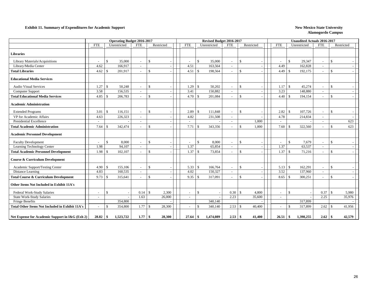#### **Exhibit 11. Summary of Expenditures for Academic Support** New Mexico State University

|                                                        |                          |               |           | Operating Budget 2016-2017 |                    |            |                          |               | Revised Budget 2016-2017 |                          |                    |            |                          |                    | <b>Unaudited Actuals 2016-2017</b> |                          |                    |            |
|--------------------------------------------------------|--------------------------|---------------|-----------|----------------------------|--------------------|------------|--------------------------|---------------|--------------------------|--------------------------|--------------------|------------|--------------------------|--------------------|------------------------------------|--------------------------|--------------------|------------|
|                                                        | <b>FTE</b>               | Unrestricted  |           | <b>FTE</b>                 |                    | Restricted | <b>FTE</b>               |               | Unrestricted             | <b>FTE</b>               |                    | Restricted | <b>FTE</b>               |                    | Unrestricted                       | <b>FTE</b>               |                    | Restricted |
| <b>Libraries</b>                                       |                          |               |           |                            |                    |            |                          |               |                          |                          |                    |            |                          |                    |                                    |                          |                    |            |
| Library Materials/Acquisitions                         | $\sim$                   | \$            | 35,000    | $\sim$                     | $\mathbf{\hat{S}}$ |            | $\overline{\phantom{a}}$ | $\mathcal{S}$ | 35,000                   | $\overline{\phantom{a}}$ | $\mathcal{S}$      |            | $\sim$                   | $\mathcal{S}$      | 29.347                             | $\sim$                   | $\mathcal{S}$      |            |
| Library/Media Center                                   | 4.62                     |               | 166,917   | $\overline{\phantom{a}}$   |                    |            | 4.51                     |               | 163,564                  |                          |                    |            | 4.49                     |                    | 162,828                            | $\overline{\phantom{a}}$ |                    |            |
| <b>Total Libraries</b>                                 | 4.62                     | $\mathcal{S}$ | 201,917   | $\sim$                     | $\mathbf{\hat{S}}$ |            | 4.51                     | <sup>\$</sup> | 198,564                  |                          | $\mathcal{S}$      |            | 4.49                     | -\$                | 192,175                            |                          | $\mathcal{S}$      |            |
| <b>Educational Media Services</b>                      |                          |               |           |                            |                    |            |                          |               |                          |                          |                    |            |                          |                    |                                    |                          |                    |            |
| <b>Audio Visual Services</b>                           | 1.27                     | $\mathcal{S}$ | 50,248    | $\sim$                     | \$                 |            | 1.29                     | £.            | 50,202                   | $\overline{\phantom{a}}$ | $\mathbb{S}$       |            | 1.17                     | <sup>\$</sup>      | 45,274                             | $\sim$                   | \$                 |            |
| Computer Support                                       | 3.58                     |               | 156,535   |                            |                    |            | 3.41                     |               | 150,882                  |                          |                    |            | 3.23                     |                    | 148,880                            |                          |                    |            |
| <b>Total Educational Media Services</b>                | 4.85                     | $\mathcal{S}$ | 206,783   | $\overline{\phantom{a}}$   | $\mathbb{S}$       |            | 4.70                     | -\$           | 201,084                  |                          | -\$                |            | 4.40                     | $\mathbf{\hat{S}}$ | 194,154                            | $\sim$                   | \$                 |            |
| <b>Academic Administration</b>                         |                          |               |           |                            |                    |            |                          |               |                          |                          |                    |            |                          |                    |                                    |                          |                    |            |
| <b>Extended Programs</b>                               | 3.01                     | $\mathcal{S}$ | 116,151   | $\sim$                     | $\mathcal{S}$      |            | 2.89                     | $\mathcal{S}$ | 111,848                  | $\overline{\phantom{a}}$ | $\mathcal{S}$      |            | 2.82                     | $\mathcal{S}$      | 107,726                            | $\overline{\phantom{a}}$ | $\mathcal{S}$      |            |
| VP for Academic Affairs                                | 4.63                     |               | 226,323   | $\sim$                     |                    |            | 4.82                     |               | 231,508                  |                          |                    |            | 4.78                     |                    | 214,834                            | $\sim$                   |                    |            |
| <b>Presidential Excellence</b>                         | $\sim$                   |               |           | $\sim$                     |                    | ٠          | $\sim$                   |               |                          | $\sim$                   |                    | 1.000      | $\sim$                   |                    |                                    | $\sim$                   |                    | 623        |
| <b>Total Academic Administration</b>                   | 7.64                     | <sup>\$</sup> | 342,474   | $\sim$                     | $\mathbf{\hat{S}}$ |            | 7.71                     | $\mathcal{S}$ | 343,356                  |                          | $\mathcal{S}$      | 1,000      | 7.60                     | $\mathcal{S}$      | 322,560                            | $\overline{\phantom{a}}$ | $\mathcal{S}$      | 623        |
| <b>Academic Personnel Development</b>                  |                          |               |           |                            |                    |            |                          |               |                          |                          |                    |            |                          |                    |                                    |                          |                    |            |
| <b>Faculty Development</b>                             | $\overline{\phantom{a}}$ | \$            | 8,000     | $\sim$                     | $\mathbf{\hat{S}}$ |            | $\overline{\phantom{a}}$ | \$            | 8,000                    |                          | $\mathcal{S}$      |            | $\overline{\phantom{a}}$ | $\mathbf{\$}$      | 7,679                              | $\sim$                   | -S                 |            |
| Learning Technology Center                             | 1.98                     |               | 94,107    | $\sim$                     |                    |            | 1.37                     |               | 65,854                   |                          |                    |            | 1.37                     |                    | 63,537                             | $\sim$                   |                    |            |
| <b>Total Academic Personnel Development</b>            | 1.98                     | $\mathcal{S}$ | 102,107   | $\overline{\phantom{a}}$   | $\mathcal{S}$      |            | 1.37                     | <sup>\$</sup> | 73,854                   |                          | $\mathcal{S}$      |            | $1.37 \t S$              |                    | 71,216                             | $\overline{\phantom{a}}$ | $\mathcal{S}$      |            |
| <b>Course &amp; Curriculum Development</b>             |                          |               |           |                            |                    |            |                          |               |                          |                          |                    |            |                          |                    |                                    |                          |                    |            |
| Academic Support/Testing Center                        | 4.90                     | \$            | 155,106   | $\overline{\phantom{a}}$   | $\mathbb{S}$       |            | 5.33                     | -\$           | 166,764                  |                          | <sup>\$</sup>      |            | 5.13                     | <sup>\$</sup>      | 162,291                            | $\sim$                   | \$                 |            |
| Distance Learning                                      | 4.83                     |               | 160,535   | $\sim$                     |                    |            | 4.02                     |               | 150,327                  |                          |                    |            | 3.52                     |                    | 137,960                            | $\sim$                   |                    |            |
| <b>Total Course &amp; Curriculum Development</b>       | 9.73                     | \$            | 315,641   | $\overline{\phantom{a}}$   | $\mathbf{\hat{S}}$ |            | 9.35                     | <sup>\$</sup> | 317,091                  |                          | $\mathcal{S}$      |            | 8.65                     | -\$                | 300,251                            | $\sim$                   | $\mathbf{\hat{S}}$ |            |
| Other Items Not Included in Exhibit 11A's              |                          |               |           |                            |                    |            |                          |               |                          |                          |                    |            |                          |                    |                                    |                          |                    |            |
| Federal Work-Study Salaries                            | $\sim$                   | $\mathbb{S}$  |           | 0.14                       | $\mathbf{\hat{S}}$ | 2,300      | $\overline{\phantom{a}}$ | \$            |                          | 0.30                     | $\mathbf{\hat{s}}$ | 4,800      | $\sim$                   | \$                 |                                    | 0.37                     | $\mathcal{S}$      | 5,980      |
| <b>State Work-Study Salaries</b>                       | $\sim$                   |               |           | 1.63                       |                    | 26,000     | $\sim$                   |               |                          | 2.23                     |                    | 35,600     | $\sim$                   |                    |                                    | 2.25                     |                    | 35,976     |
| <b>Fringe Benefits</b>                                 |                          |               | 354,800   |                            |                    |            |                          |               | 340,140                  |                          |                    |            |                          |                    | 317,899                            |                          |                    |            |
| <b>Total Other Items Not Included in Exhibit 11A's</b> | $\sim$                   | \$            | 354,800   | 1.77                       | $\mathcal{S}$      | 28,300     | $\overline{\phantom{a}}$ | -S            | 340,140                  | 2.53                     | -\$                | 40,400     | $\sim$                   | $\mathbf{\$}$      | 317,899                            | 2.62                     | -\$                | 41,956     |
| Net Expense for Academic Support in I&G (Exh 2)        |                          |               | 1,523,722 | 1.77                       | $\mathbf{s}$       | 28,300     | 27.64                    | -\$           | 1,474,089                | 2.53                     | -\$                | 41.400     | 26.51                    | -\$                | 1,398,255                          | 2.62                     | -\$                | 42,579     |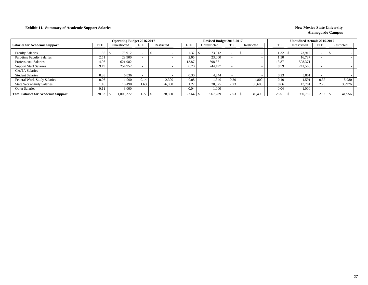#### **Exhibit 11. Summary of Academic Support Salaries New Mexico State University New Mexico State University**

|                                            |            | <b>Operating Budget 2016-2017</b> |                          |            |            | Revised Budget 2016-2017 |            |            |            | <b>Unaudited Actuals 2016-2017</b> |            |            |
|--------------------------------------------|------------|-----------------------------------|--------------------------|------------|------------|--------------------------|------------|------------|------------|------------------------------------|------------|------------|
| <b>Salaries for Academic Support</b>       | <b>FTE</b> | Unrestricted                      | <b>FTE</b>               | Restricted | <b>FTE</b> | Unrestricted             | <b>FTE</b> | Restricted | <b>FTE</b> | Unrestricted                       | <b>FTE</b> | Restricted |
| <b>Faculty Salaries</b>                    | 1.35       | 73.912                            | $\overline{\phantom{a}}$ |            | .32        | 73,912                   |            |            | 1.32       | 73,912                             |            |            |
| Part-time Faculty Salaries                 | 2.51       | 29.900                            | $\overline{\phantom{a}}$ |            | 2.06       | 23,000                   |            |            | 1.50       | 16,737                             |            |            |
| <b>Professional Salaries</b>               | 14.06      | 621,982                           | $\overline{\phantom{a}}$ |            | 3.87       | 598,371                  |            |            | 13.87      | 598,371                            |            |            |
| <b>Support Staff Salaries</b>              | 9.19       | 254,952                           |                          |            | 8.70       | 244,497                  |            |            | 8.59       | 241,566                            |            |            |
| <b>GA/TA Salaries</b>                      |            |                                   | $\overline{\phantom{a}}$ |            |            |                          |            |            |            |                                    | -          |            |
| <b>Student Salaries</b>                    | 0.38       | 6.036                             |                          |            | 0.30       | 4.844                    |            |            | 0.23       | 3.801                              |            |            |
| <b>Federal Work-Study Salaries</b>         | 0.06       | 1.000                             | 0.14                     | 2,300      | 0.08       | 1.340                    | 0.30       | 4.800      | 0.10       | 1.591                              | 0.37       | 5,980      |
| <b>State Work-Study Salaries</b>           | 1.16       | 18.490                            | 1.63                     | 26,000     | 1.27       | 20,325                   | 2.23       | 35,600     | 0.86       | 13,781                             | 2.25       | 35,976     |
| Other Salaries                             | 0.11       | 3.000                             |                          |            | 0.04       | 1,000                    |            |            | 0.04       | 1,000                              |            |            |
| <b>Total Salaries for Academic Support</b> | 28.82      | .009,272                          |                          | 28,300     | 27.64      | 967,289                  | 2.53       | 40,400     | 26.51      | 950,759                            | 2.62       | 41,956     |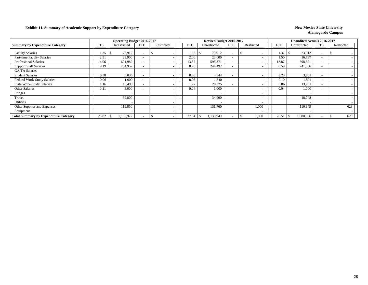#### **Exhibit 11. Summary of Academic Support by Expenditure Category New Mexico State University**

|                                              |                          | <b>Operating Budget 2016-2017</b> |            |            |            | Revised Budget 2016-2017 |                          |                          |                          | <b>Unaudited Actuals 2016-2017</b> |                          |            |
|----------------------------------------------|--------------------------|-----------------------------------|------------|------------|------------|--------------------------|--------------------------|--------------------------|--------------------------|------------------------------------|--------------------------|------------|
| <b>Summary by Expenditure Category</b>       | <b>FTE</b>               | Unrestricted                      | <b>FTE</b> | Restricted | <b>FTE</b> | Unrestricted             | <b>FTE</b>               | Restricted               | <b>FTE</b>               | Unrestricted                       | <b>FTE</b>               | Restricted |
| <b>Faculty Salaries</b>                      | 1.35                     | 73,912                            |            |            | 1.32       | 73,912                   |                          |                          | 1.32                     | 73,912                             | $\overline{\phantom{0}}$ |            |
| Part-time Faculty Salaries                   | 2.51                     | 29,900                            |            |            | 2.06       | 23,000                   | $\overline{\phantom{0}}$ |                          | 1.50                     | 16,737                             | $\overline{\phantom{0}}$ |            |
| <b>Professional Salaries</b>                 | 14.06                    | 621,982                           |            |            | 13.87      | 598,371                  | $\overline{\phantom{0}}$ |                          | 13.87                    | 598,371                            | $\overline{\phantom{0}}$ |            |
| <b>Support Staff Salaries</b>                | 9.19                     | 254,952                           |            |            | 8.70       | 244,497                  | $\overline{\phantom{a}}$ |                          | 8.59                     | 241,566                            | $\overline{\phantom{0}}$ |            |
| <b>GA/TA Salaries</b>                        | $\overline{\phantom{0}}$ |                                   |            |            |            |                          | $\sim$                   |                          | $\overline{\phantom{0}}$ |                                    | $\overline{\phantom{0}}$ |            |
| <b>Student Salaries</b>                      | 0.38                     | 6,036                             |            |            | 0.30       | 4,844                    | $\overline{\phantom{0}}$ |                          | 0.23                     | 3,801                              | $\sim$                   |            |
| Federal Work-Study Salaries                  | 0.06                     | 1,000                             |            |            | 0.08       | 1,340                    | $\overline{\phantom{0}}$ |                          | 0.10                     | 1,591                              | $\overline{\phantom{a}}$ |            |
| <b>State Work-Study Salaries</b>             | 1.16                     | 18,490                            |            |            | 1.27       | 20,325                   | $\overline{\phantom{a}}$ |                          | 0.86                     | 13,781                             |                          |            |
| <b>Other Salaries</b>                        | 0.11                     | 3,000                             |            |            | 0.04       | 1,000                    | $\overline{\phantom{a}}$ |                          | 0.04                     | 1,000                              |                          |            |
| Fringes                                      |                          |                                   |            |            |            |                          |                          |                          |                          |                                    |                          |            |
| Travel                                       |                          | 39,800                            |            |            |            | 34,900                   |                          | $\overline{\phantom{a}}$ |                          | 18,748                             |                          |            |
| <b>Utilities</b>                             |                          |                                   |            |            |            |                          |                          |                          |                          |                                    |                          |            |
| Other Supplies and Expenses                  |                          | 119,850                           |            |            |            | 131,760                  |                          | 1,000                    |                          | 110.849                            |                          | 623        |
| Equipment                                    |                          |                                   |            |            |            |                          |                          | $\overline{\phantom{a}}$ |                          |                                    |                          |            |
| <b>Total Summary by Expenditure Category</b> | 28.82                    | 1,168,922                         |            |            | 27.64      | 1,133,949                |                          | 1,000                    | 26.51                    | 1,080,356                          |                          | 623        |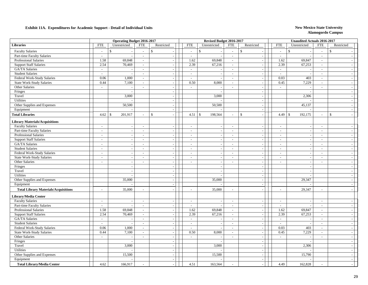|                                                 |                             | <b>Operating Budget 2016-2017</b>  |                                    |                          |                          | Revised Budget 2016-2017 |                          |                                       |                          | <b>Unaudited Actuals 2016-2017</b> |                          |                          |
|-------------------------------------------------|-----------------------------|------------------------------------|------------------------------------|--------------------------|--------------------------|--------------------------|--------------------------|---------------------------------------|--------------------------|------------------------------------|--------------------------|--------------------------|
| <b>Libraries</b>                                | <b>FTE</b>                  | Unrestricted                       | <b>FTE</b>                         | Restricted               | <b>FTE</b>               | Unrestricted             | <b>FTE</b>               | Restricted                            | <b>FTE</b>               | Unrestricted                       | <b>FTE</b>               | Restricted               |
| <b>Faculty Salaries</b>                         | $\sim$                      | $\mathcal{S}$                      | $\overline{\phantom{a}}$           | \$                       | $\mathbb{L}^+$           | $\mathbb{S}$             | $\sim$                   | \$                                    | $\overline{a}$           | $\mathbb{S}$                       | $\sim$                   | $\mathbb{S}$             |
| Part-time Faculty Salaries                      | $\sim$                      | $\overline{\phantom{a}}$           | $\sim$                             | $\sim$                   | $\sim$                   |                          | $\sim$                   | $\sim$                                | $\sim$                   |                                    | $\sim$                   |                          |
| <b>Professional Salaries</b>                    | 1.58                        | 69,848                             | $\sim$                             | $\sim$                   | 1.62                     | 69,848                   | $\sim$                   | $\sim$                                | 1.62                     | 69,847                             | $\sim$                   |                          |
| <b>Support Staff Salaries</b>                   | 2.54                        | 70,469                             | $\sim$                             | $\sim$                   | 2.39                     | 67,216                   | $\sim$                   | $\overline{\phantom{a}}$              | 2.39                     | 67,253                             | $\sim$                   |                          |
| GA/TA Salaries                                  | $\sim$                      |                                    | $\sim$                             | $\sim$                   | $\sim$                   |                          | $\sim$                   | $\sim$                                | $\sim$                   |                                    | $\sim$                   |                          |
| <b>Student Salaries</b>                         | $\sim$                      | $\sim$                             | $\sim$                             | $\sim$                   | $\overline{\phantom{a}}$ | $\overline{\phantom{a}}$ | $\sim$                   | $\sim$                                | $\sim$                   | $\overline{\phantom{a}}$           | $\sim$                   | $\sim$                   |
| Federal Work-Study Salaries                     | 0.06                        | 1,000                              | $\mathbb{L}^+$                     | $\sim$                   | $\sim$                   |                          | $\sim$                   | $\sim$                                | 0.03                     | 403                                | $\sim$                   | $\sim$                   |
| <b>State Work-Study Salaries</b>                | 0.44                        | 7,100                              | $\overline{a}$                     | $\sim$                   | 0.50                     | 8,000                    | $\sim$                   | $\sim$                                | 0.45                     | 7,229                              | $\sim$                   | $\overline{\phantom{a}}$ |
| Other Salaries                                  | $\overline{\phantom{a}}$    | $\overline{\phantom{a}}$           | $\overline{\phantom{a}}$           |                          | $\sim$                   |                          | $\sim$                   | $\overline{\phantom{a}}$              | $\blacksquare$           |                                    | $\sim$                   |                          |
| Fringes                                         |                             |                                    |                                    | $\sim$                   |                          |                          |                          | $\blacksquare$                        |                          |                                    |                          |                          |
| Travel                                          |                             | 3.000                              |                                    |                          |                          | 3,000                    |                          | $\blacksquare$                        |                          | 2,306                              |                          |                          |
| Utilities                                       |                             |                                    |                                    | $\overline{\phantom{a}}$ |                          |                          |                          | $\blacksquare$                        |                          |                                    |                          |                          |
| Other Supplies and Expenses                     |                             | 50,500                             |                                    | $\sim$                   |                          | 50,500                   |                          | $\overline{\phantom{a}}$              |                          | 45,137                             |                          |                          |
| Equipment                                       |                             |                                    |                                    | $\sim$                   |                          |                          |                          | $\sim$                                |                          |                                    |                          |                          |
| <b>Total Libraries</b>                          | 4.62                        | 201,917<br>-\$                     | $\sim$                             | $\mathsf{\$}$            | 4.51                     | $\mathbb S$<br>198,564   | $\sim$                   | $\mathsf{\$}$<br>$\sim$               | 4.49                     | 192,175<br>$\mathcal{S}$           | $\sim$                   | $\mathbf{\hat{S}}$       |
| <b>Library Materials/Acquisitions</b>           |                             |                                    |                                    |                          |                          |                          |                          |                                       |                          |                                    |                          |                          |
| <b>Faculty Salaries</b>                         | $\mathbb{Z}^2$              | $\sim$                             | $\mathcal{L}$                      | $\sim$                   | $\mathcal{L}$            | $\overline{\phantom{a}}$ | $\sim$                   | $\sim$                                | $\sim$                   | $\overline{\phantom{a}}$           | $\sim$                   |                          |
| Part-time Faculty Salaries                      | $\sim$                      | $\sim$                             | $\overline{\phantom{a}}$           | $\sim$                   | $\overline{\phantom{a}}$ |                          | $\sim$                   | $\sim$                                | $\overline{a}$           |                                    | $\sim$                   |                          |
| <b>Professional Salaries</b>                    | $\mathcal{L}$               | $\sim$                             | $\mathbb{L}^+$                     | $\sim$                   | $\sim$                   |                          | $\sim$                   | $\sim$                                | $\sim$                   |                                    | $\sim$                   |                          |
|                                                 |                             |                                    |                                    |                          |                          |                          |                          |                                       |                          |                                    |                          |                          |
| <b>Support Staff Salaries</b><br>GA/TA Salaries | $\sim$<br>$\sim$            | $\sim$                             | $\mathcal{L}$<br>$\sim$            | $\sim$                   | $\mathcal{L}$            |                          | $\sim$<br>$\sim$         | $\sim$<br>$\sim$                      | $\overline{a}$           |                                    | $\sim$<br>$\sim$         | $\sim$                   |
|                                                 |                             | $\sim$                             |                                    | $\sim$                   | $\sim$                   | $\overline{\phantom{a}}$ |                          |                                       | $\sim$                   | $\overline{a}$                     |                          |                          |
| <b>Student Salaries</b>                         | $\sim$                      | $\overline{\phantom{a}}$           | $\overline{\phantom{a}}$<br>$\sim$ | $\sim$                   | $\sim$                   | $\overline{\phantom{a}}$ | $\sim$<br>$\sim$         | $\sim$                                | $\blacksquare$           | $\overline{\phantom{a}}$           | $\overline{\phantom{a}}$ |                          |
| Federal Work-Study Salaries                     | $\sim$<br>$\overline{a}$    | $\sim$                             | $\mathbf{r}$                       | $\sim$                   | $\sim$<br>$\sim$         | $\overline{\phantom{a}}$ | $\sim$                   | $\mathcal{L}_{\mathcal{A}}$<br>$\sim$ | $\sim$<br>$\overline{a}$ | $\overline{\phantom{a}}$           | $\sim$<br>$\sim$         | $\sim$                   |
| <b>State Work-Study Salaries</b>                |                             | $\overline{\phantom{a}}$           |                                    |                          |                          |                          |                          |                                       |                          |                                    |                          |                          |
| Other Salaries                                  | $\overline{\phantom{a}}$    | $\sim$                             | $\sim$                             | $\overline{\phantom{a}}$ | $\blacksquare$           | $\overline{\phantom{a}}$ | $\sim$                   | $\blacksquare$                        | $\overline{\phantom{a}}$ | $\overline{\phantom{a}}$           | $\sim$                   |                          |
| Fringes                                         |                             | $\overline{a}$                     |                                    | $\overline{\phantom{a}}$ |                          |                          |                          | $\blacksquare$                        |                          |                                    |                          |                          |
| Travel                                          |                             | $\overline{a}$                     |                                    | $\overline{\phantom{a}}$ |                          | $\overline{\phantom{a}}$ |                          | $\blacksquare$                        |                          | $\overline{\phantom{a}}$           |                          |                          |
| Utilities                                       |                             | $\overline{\phantom{a}}$<br>35,000 |                                    | $\sim$                   |                          |                          |                          | $\sim$                                |                          | 29,347                             |                          |                          |
| Other Supplies and Expenses                     |                             |                                    |                                    | $\overline{\phantom{a}}$ |                          | 35,000                   |                          | $\sim$                                |                          |                                    |                          |                          |
| Equipment                                       |                             |                                    |                                    | $\sim$                   |                          |                          |                          | $\sim$                                |                          |                                    |                          |                          |
| <b>Total Library Materials/Acquisitions</b>     | $\overline{a}$              | 35,000                             | $\sim$                             |                          | $\overline{a}$           | 35,000                   | $\sim$                   | $\overline{\phantom{a}}$              | $\overline{a}$           | 29,347                             | $\sim$                   |                          |
| <b>Library/Media Center</b>                     |                             |                                    |                                    |                          |                          |                          |                          |                                       |                          |                                    |                          |                          |
| <b>Faculty Salaries</b>                         | $\overline{a}$              | $\overline{\phantom{a}}$           | $\sim$                             | $\sim$                   | $\sim$                   |                          | $\sim$                   | $\sim$                                | $\overline{a}$           |                                    | $\sim$                   |                          |
| Part-time Faculty Salaries                      | $\overline{\phantom{a}}$    | $\overline{a}$                     | $\sim$                             | $\overline{\phantom{a}}$ | $\sim$                   | $\overline{\phantom{a}}$ | $\sim$                   | $\sim$                                | $\sim$                   |                                    | $\overline{\phantom{a}}$ | $\overline{a}$           |
| <b>Professional Salaries</b>                    | 1.58                        | 69,848                             | $\sim$                             | $\sim$                   | 1.62                     | 69,848                   | $\sim$                   | $\mathbb{L}$                          | 1.62                     | 69,847                             | $\sim$                   |                          |
| <b>Support Staff Salaries</b>                   | 2.54                        | 70,469                             | $\sim$                             | $\sim$                   | 2.39                     | 67,216                   | $\sim$                   | $\sim$                                | 2.39                     | 67,253                             | $\sim$                   | $\sim$                   |
| <b>GA/TA</b> Salaries                           | $\sim$                      |                                    | $\mathbf{r}$                       | $\sim$                   | $\sim$                   |                          | $\sim$                   | $\sim$                                | $\sim$                   |                                    | $\overline{\phantom{a}}$ |                          |
| <b>Student Salaries</b>                         | $\mathcal{L}_{\mathcal{A}}$ | $\sim$                             | $\overline{\phantom{a}}$           | $\sim$                   | $\sim$                   | $\overline{\phantom{a}}$ | $\sim$                   | $\blacksquare$                        | $\overline{\phantom{a}}$ | $\sim$                             | $\overline{\phantom{a}}$ | $\overline{\phantom{a}}$ |
| Federal Work-Study Salaries                     | 0.06                        | 1,000                              | $\mathbf{r}$                       |                          | $\overline{\phantom{a}}$ |                          | $\sim$                   | $\blacksquare$                        | 0.03                     | 403                                | $\sim$                   |                          |
| <b>State Work-Study Salaries</b>                | 0.44                        | 7,100                              | $\overline{\phantom{a}}$           |                          | 0.50                     | 8,000                    | $\overline{\phantom{a}}$ | $\blacksquare$                        | 0.45                     | 7,229                              | $\sim$                   |                          |
| Other Salaries                                  | $\overline{\phantom{a}}$    |                                    | $\mathbf{r}$                       |                          | $\mathbf{r}$             |                          | $\overline{\phantom{a}}$ | $\sim$                                | $\overline{a}$           |                                    | $\sim$                   |                          |
| Fringes                                         |                             | $\overline{a}$                     |                                    | $\sim$                   |                          |                          |                          | $\blacksquare$                        |                          |                                    |                          | $\sim$                   |
| Travel                                          |                             | 3,000                              |                                    | $\sim$                   |                          | 3,000                    |                          | $\sim$                                |                          | 2,306                              |                          |                          |
| Utilities                                       |                             |                                    |                                    | $\sim$                   |                          |                          |                          | $\sim$                                |                          |                                    |                          |                          |
| Other Supplies and Expenses                     |                             | 15,500                             |                                    | $\sim$                   |                          | 15,500                   |                          | $\sim$                                |                          | 15,790                             |                          |                          |
| Equipment                                       |                             |                                    |                                    | $\sim$                   |                          |                          |                          | $\overline{\phantom{a}}$              |                          |                                    |                          |                          |
| <b>Total Library/Media Center</b>               | 4.62                        | 166,917                            |                                    |                          | 4.51                     | 163,564                  |                          | $\overline{a}$                        | 4.49                     | 162,828                            |                          |                          |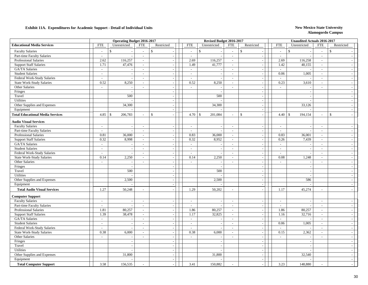|                                         |                          | <b>Operating Budget 2016-2017</b> |                             |                          |                          | Revised Budget 2016-2017 |                          |                                     |                             | <b>Unaudited Actuals 2016-2017</b> |                          |                          |  |
|-----------------------------------------|--------------------------|-----------------------------------|-----------------------------|--------------------------|--------------------------|--------------------------|--------------------------|-------------------------------------|-----------------------------|------------------------------------|--------------------------|--------------------------|--|
| <b>Educational Media Services</b>       | <b>FTE</b>               | Unrestricted                      | <b>FTE</b>                  | Restricted               | <b>FTE</b>               | Unrestricted             | <b>FTE</b>               | Restricted                          | <b>FTE</b>                  | Unrestricted                       | <b>FTE</b>               | Restricted               |  |
| <b>Faculty Salaries</b>                 | $\sim$                   | \$                                | $\overline{a}$              | \$                       | $\sim$                   | $\mathsf{\$}$            | $\sim$                   | $\mathbb{S}$                        | $\sim$                      | $\mathbf{\hat{S}}$                 | $\sim$                   | $\mathbb{S}$             |  |
| Part-time Faculty Salaries              | $\sim$                   | $\overline{\phantom{a}}$          | $\sim$                      | $\sim$                   | $\sim$                   | $\overline{\phantom{a}}$ | $\sim$                   | $\sim$                              | $\sim$                      |                                    | $\sim$                   |                          |  |
| <b>Professional Salaries</b>            | 2.62                     | 116,257                           | $\sim$                      | $\sim$                   | 2.69                     | 116,257                  | $\sim$                   | $\sim$                              | 2.69                        | 116,258                            | $\sim$                   |                          |  |
| <b>Support Staff Salaries</b>           | 1.71                     | 47,476                            | $\sim$                      | $\sim$                   | 1.49                     | 41,777                   | $\sim$                   | $\mathbb{L}$                        | 1.42                        | 40,155                             | $\sim$                   |                          |  |
| GA/TA Salaries                          | $\sim$                   |                                   | $\sim$                      | $\overline{\phantom{a}}$ | $\sim$                   |                          | $\sim$                   | $\sim$                              | $\sim$                      |                                    | $\sim$                   |                          |  |
| <b>Student Salaries</b>                 | $\sim$                   | $\overline{\phantom{a}}$          | $\sim$                      | $\sim$                   | $\sim$                   | $\overline{\phantom{a}}$ | $\sim$                   | $\sim$                              | 0.06                        | 1,005                              | $\sim$                   | $\overline{\phantom{a}}$ |  |
| Federal Work-Study Salaries             | $\sim$                   | $\overline{\phantom{a}}$          | $\sim$                      | $\sim$                   | $\sim$                   |                          | $\sim$                   | $\blacksquare$                      | $\sim$                      |                                    | $\sim$                   | $\sim$                   |  |
| <b>State Work-Study Salaries</b>        | 0.52                     | 8,250                             | $\mathbb{Z}^2$              | $\overline{\phantom{a}}$ | 0.52                     | 8,250                    | $\sim$                   | $\mathbb{L}$                        | 0.23                        | 3,610                              | $\mathbb{Z}^2$           | $\overline{\phantom{a}}$ |  |
| Other Salaries                          | $\sim$                   | $\overline{\phantom{a}}$          | $\sim$                      |                          | $\sim$                   |                          | $\sim$                   | $\blacksquare$                      | $\sim$                      |                                    | $\sim$                   |                          |  |
| Fringes                                 |                          |                                   |                             | $\sim$                   |                          | $\sim$                   |                          | $\blacksquare$                      |                             | $\sim$                             |                          |                          |  |
| Travel                                  |                          | 500                               |                             | $\sim$                   |                          | 500                      |                          | $\sim$                              |                             |                                    |                          |                          |  |
| Utilities                               |                          |                                   |                             | $\sim$                   |                          |                          |                          | $\blacksquare$                      |                             |                                    |                          |                          |  |
| Other Supplies and Expenses             |                          | 34,300                            |                             | $\overline{\phantom{a}}$ |                          | 34,300                   |                          | $\blacksquare$                      |                             | 33,126                             |                          |                          |  |
| Equipment                               |                          |                                   |                             | $\sim$                   |                          |                          |                          | $\sim$                              |                             |                                    |                          |                          |  |
| <b>Total Educational Media Services</b> | 4.85                     | 206,783<br>\$                     |                             | $\mathbf{\hat{S}}$       | 4.70                     | $\mathbb S$<br>201,084   | $\sim$                   | $\mathbf{\hat{S}}$<br>$\mathcal{L}$ | $4.40 \,$ \ \$              | 194,154                            | $\sim$                   | $\mathbf{\hat{S}}$       |  |
| <b>Audio Visual Services</b>            |                          |                                   |                             |                          |                          |                          |                          |                                     |                             |                                    |                          |                          |  |
| <b>Faculty Salaries</b>                 | $\mathbb{Z}^2$           | $\sim$                            | $\sim$                      | $\sim$                   | $\sim$                   |                          | $\sim$                   | $\overline{a}$                      | $\sim$                      |                                    | $\sim$                   |                          |  |
| Part-time Faculty Salaries              | $\mathcal{L}$            |                                   | $\sim$                      | $\sim$                   | $\sim$                   |                          | $\sim$                   | $\sim$                              | $\sim$                      |                                    | $\sim$                   |                          |  |
| <b>Professional Salaries</b>            | 0.81                     | 36,000                            | $\sim$                      | $\overline{\phantom{a}}$ | 0.83                     | 36,000                   | $\sim$                   | $\overline{\phantom{a}}$            | 0.83                        | 36,001                             | $\sim$                   |                          |  |
| <b>Support Staff Salaries</b>           | 0.32                     | 8,998                             | $\mathcal{L}_{\mathcal{A}}$ | $\sim$                   | 0.32                     | 8,952                    | $\sim$                   | $\mathbb{Z}^2$                      | 0.26                        | 7,439                              | $\sim$                   |                          |  |
| GA/TA Salaries                          | $\sim$                   | $\overline{\phantom{a}}$          | $\sim$                      | $\sim$                   | $\sim$                   | $\overline{\phantom{a}}$ | $\sim$                   | $\mathbb{Z}^2$                      | $\sim$                      | $\sim$                             | $\sim$                   | $\sim$                   |  |
| <b>Student Salaries</b>                 | $\overline{\phantom{a}}$ | $\sim$                            | $\overline{\phantom{a}}$    | $\overline{\phantom{a}}$ | $\sim$                   | $\overline{\phantom{a}}$ | $\sim$                   | $\mathcal{L}_{\mathcal{A}}$         | $\overline{\phantom{a}}$    | $\overline{\phantom{a}}$           | $\sim$                   | $\overline{\phantom{a}}$ |  |
| Federal Work-Study Salaries             | $\overline{a}$           | $\overline{a}$                    | $\sim$                      | $\sim$                   | $\sim$                   | $\overline{\phantom{a}}$ | $\sim$                   | $\mathbb{L}$                        | $\overline{a}$              | $\overline{\phantom{a}}$           | $\sim$                   | $\overline{\phantom{a}}$ |  |
| State Work-Study Salaries               | 0.14                     | 2,250                             | $\sim$                      | $\overline{\phantom{a}}$ | 0.14                     | 2,250                    | $\sim$                   | $\sim$                              | 0.08                        | 1,248                              | $\sim$                   | $\overline{\phantom{a}}$ |  |
| Other Salaries                          | $\sim$                   |                                   | $\overline{\phantom{a}}$    | $\sim$                   | $\frac{1}{2}$            |                          | $\sim$                   | $\blacksquare$                      | $\sim$                      | $\overline{\phantom{a}}$           | $\overline{\phantom{a}}$ |                          |  |
| Fringes                                 |                          |                                   |                             |                          |                          |                          |                          | $\sim$                              |                             |                                    |                          |                          |  |
| Travel                                  |                          | 500                               |                             | $\overline{\phantom{a}}$ |                          | 500                      |                          | $\mathcal{L}_{\mathcal{A}}$         |                             | $\sim$                             |                          |                          |  |
| Utilities                               |                          |                                   |                             | $\sim$                   |                          |                          |                          | $\mathcal{L}$                       |                             |                                    |                          |                          |  |
| Other Supplies and Expenses             |                          | 2,500                             |                             | $\overline{\phantom{a}}$ |                          | 2,500                    |                          | $\sim$                              |                             | 586                                |                          |                          |  |
| Equipment                               |                          |                                   |                             | $\overline{\phantom{a}}$ |                          |                          |                          | $\mathcal{L}_{\mathcal{A}}$         |                             |                                    |                          |                          |  |
| <b>Total Audio Visual Services</b>      | 1.27                     | 50,248                            | $\sim$                      | $\overline{\phantom{a}}$ | 1.29                     | 50,202                   | $\sim$                   | $\overline{\phantom{a}}$            | 1.17                        | 45,274                             | $\sim$                   |                          |  |
| <b>Computer Support</b>                 |                          |                                   |                             |                          |                          |                          |                          |                                     |                             |                                    |                          |                          |  |
| <b>Faculty Salaries</b>                 | $\overline{a}$           | $\overline{a}$                    | $\sim$                      | $\sim$                   | $\sim$                   |                          | $\sim$                   | $\sim$                              | $\sim$                      |                                    | $\sim$                   |                          |  |
| Part-time Faculty Salaries              | $\overline{\phantom{a}}$ | $\sim$                            | $\sim$                      | $\sim$                   | $\sim$                   |                          | $\sim$                   | $\sim$                              | $\mathcal{L}_{\mathcal{A}}$ |                                    | $\sim$                   | $\sim$                   |  |
| <b>Professional Salaries</b>            | 1.81                     | 80,257                            | $\sim$                      | $\overline{\phantom{a}}$ | 1.86                     | 80,257                   | $\sim$                   | $\mathbb{L}$                        | 1.86                        | 80,257                             | $\sim$                   | $\sim$                   |  |
| <b>Support Staff Salaries</b>           | 1.39                     | 38,478                            | $\sim$                      | $\sim$                   | 1.17                     | 32,825                   | $\sim$                   | $\sim$                              | 1.16                        | 32,716                             | $\sim$                   | $\sim$                   |  |
| GA/TA Salaries                          | $\sim$                   |                                   | $\sim$                      | $\overline{\phantom{a}}$ | $\sim$                   |                          | $\sim$                   | $\mathbb{Z}^2$                      | $\sim$                      |                                    | $\overline{\phantom{a}}$ | $\overline{\phantom{a}}$ |  |
| <b>Student Salaries</b>                 | $\overline{\phantom{a}}$ | $\overline{\phantom{a}}$          | $\sim$                      | $\overline{\phantom{a}}$ | $\sim$                   | $\overline{a}$           | $\sim$                   | $\mathcal{L}_{\mathcal{A}}$         | 0.06                        | 1,005                              | $\sim$                   | $\overline{\phantom{a}}$ |  |
| Federal Work-Study Salaries             | $\overline{\phantom{a}}$ |                                   | $\sim$                      |                          | $\overline{\phantom{a}}$ |                          | $\overline{\phantom{a}}$ | $\blacksquare$                      |                             |                                    | $\sim$                   |                          |  |
| <b>State Work-Study Salaries</b>        | 0.38                     | 6,000                             | $\overline{\phantom{a}}$    |                          | 0.38                     | 6,000                    | $\sim$                   | $\blacksquare$                      | 0.15                        | 2,362                              | $\sim$                   |                          |  |
| Other Salaries                          | $\overline{\phantom{a}}$ |                                   | $\overline{a}$              | $\overline{a}$           | $\mathbf{r}$             |                          | $\mathcal{L}$            | $\sim$                              | $\sim$                      |                                    | $\overline{a}$           |                          |  |
| Fringes                                 |                          | $\overline{\phantom{a}}$          |                             | $\overline{\phantom{a}}$ |                          |                          |                          | $\mathcal{L}_{\mathcal{A}}$         |                             | $\overline{\phantom{a}}$           |                          | $\sim$                   |  |
| Travel                                  |                          | $\sim$                            |                             | $\sim$                   |                          |                          |                          | $\sim$                              |                             |                                    |                          |                          |  |
| Utilities                               |                          |                                   |                             | $\overline{\phantom{a}}$ |                          |                          |                          | $\sim$                              |                             |                                    |                          |                          |  |
| Other Supplies and Expenses             |                          | 31,800                            |                             | $\sim$                   |                          | 31,800                   |                          | $\sim$                              |                             | 32,540                             |                          |                          |  |
| Equipment                               |                          |                                   |                             | $\overline{\phantom{a}}$ |                          |                          |                          | $\overline{\phantom{a}}$            |                             |                                    |                          |                          |  |
| <b>Total Computer Support</b>           | 3.58                     | 156,535                           |                             |                          | 3.41                     | 150,882                  |                          | $\overline{a}$                      | 3.23                        | 148,880                            |                          |                          |  |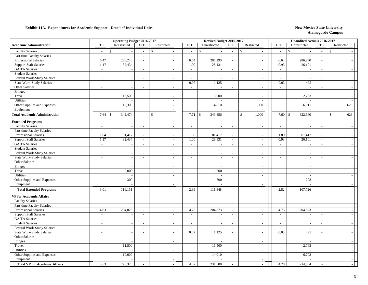|                                      |                             | Operating Budget 2016-2017 |                          |                          |                          | Revised Budget 2016-2017 |                             |                             |                            | <b>Unaudited Actuals 2016-2017</b> |                          |              |                          |
|--------------------------------------|-----------------------------|----------------------------|--------------------------|--------------------------|--------------------------|--------------------------|-----------------------------|-----------------------------|----------------------------|------------------------------------|--------------------------|--------------|--------------------------|
| <b>Academic Administration</b>       | <b>FTE</b>                  | Unrestricted               | <b>FTE</b>               | Restricted               | <b>FTE</b>               | Unrestricted             | <b>FTE</b>                  | Restricted                  | <b>FTE</b>                 | Unrestricted                       | <b>FTE</b>               | Restricted   |                          |
| <b>Faculty Salaries</b>              | $\sim$                      | $\mathbb{S}$               | $\sim$                   | $\mathcal{S}$            | $\mathbb{S}$<br>$\sim$   |                          | $\sim$                      | $\mathbb{S}$                | $\overline{\phantom{a}}$   | $\mathbb{S}$                       | $\sim$                   | $\mathbb{S}$ |                          |
| Part-time Faculty Salaries           | $\sim$                      | $\sim$                     | $\sim$                   | $\sim$                   | $\sim$                   |                          | $\sim$                      | $\mathcal{L}$               | $\sim$                     |                                    | $\sim$                   |              |                          |
| <b>Professional Salaries</b>         | 6.47                        | 286,240                    | $\sim$                   | $\sim$                   | 6.64                     | 286,290                  | $\sim$                      | $\sim$                      | 6.64                       | 286,290                            | $\sim$                   |              |                          |
| <b>Support Staff Salaries</b>        | 1.17                        | 32,434                     | $\sim$                   | $\sim$                   | 1.00                     | 28,131                   | $\mathcal{L}_{\mathcal{A}}$ | $\mathcal{L}_{\mathcal{A}}$ | 0.93                       | 26,101                             | $\sim$                   |              |                          |
| GA/TA Salaries                       | $\sim$                      |                            | $\sim$                   | $\sim$                   | $\sim$                   |                          | $\sim$                      | $\sim$                      | $\sim$                     |                                    | $\sim$                   |              |                          |
| <b>Student Salaries</b>              | $\overline{\phantom{a}}$    | $\sim$                     | $\overline{\phantom{a}}$ | $\sim$                   | $\sim$                   | $\overline{\phantom{a}}$ | $\sim$                      | $\mathcal{L}_{\mathcal{A}}$ | $\sim$                     | $\overline{\phantom{a}}$           | $\sim$                   |              | $\overline{\phantom{a}}$ |
| Federal Work-Study Salaries          | $\sim$                      | $\sim$                     | $\sim$                   | $\sim$                   | $\sim$                   |                          | $\sim$                      | $\mathcal{L}_{\mathcal{A}}$ | $\overline{\phantom{a}}$   | $\overline{\phantom{a}}$           | $\sim$                   |              | $\sim$                   |
| <b>State Work-Study Salaries</b>     | $\omega$                    | $\mathbb{L}$               | $\overline{a}$           | $\sim$                   | 0.07                     | 1,125                    | $\sim$                      | $\mathcal{L}_{\mathcal{A}}$ | 0.03                       | 495                                | $\sim$                   |              | $\overline{\phantom{a}}$ |
| Other Salaries                       | $\overline{a}$              | $\sim$                     | $\sim$                   | $\sim$                   | $\mathcal{L}$            |                          | $\sim$                      | $\sim$                      | $\sim$                     | $\overline{\phantom{a}}$           | $\sim$                   |              | $\overline{\phantom{a}}$ |
| Fringes                              |                             | $\sim$                     |                          | $\sim$                   |                          |                          |                             | $\blacksquare$              |                            |                                    |                          |              | $\overline{\phantom{a}}$ |
| Travel                               |                             | 13,500                     |                          |                          |                          | 13,000                   |                             | $\sim$                      |                            | 2,763                              |                          |              |                          |
| Utilities                            |                             |                            |                          | $\sim$                   |                          |                          |                             | $\sim$                      |                            |                                    |                          |              |                          |
| Other Supplies and Expenses          |                             | 10,300                     |                          | $\sim$                   |                          | 14,810                   |                             | 1,000                       |                            | 6,911                              |                          |              | 623                      |
| Equipment                            |                             |                            |                          | $\sim$                   |                          |                          |                             |                             |                            |                                    |                          |              |                          |
| <b>Total Academic Administration</b> | 7.64                        | 342,474<br>\$              |                          | \$                       | 7.71<br>\$               | 343,356                  | $\sim$                      | $\mathbb{S}$<br>1,000       | 7.60<br>$\mathbf{\hat{s}}$ | 322,560                            | $\sim$                   | $\mathbf{s}$ | 623                      |
| <b>Extended Programs</b>             |                             |                            |                          |                          |                          |                          |                             |                             |                            |                                    |                          |              |                          |
| <b>Faculty Salaries</b>              | $\overline{a}$              | $\overline{a}$             | $\sim$                   | $\sim$                   | $\mathcal{L}$            |                          | $\sim$                      | $\overline{a}$              | $\sim$                     |                                    | $\mathcal{L}$            |              |                          |
| Part-time Faculty Salaries           | $\mathcal{L}$               | $\sim$                     | $\sim$                   | $\sim$                   | $\sim$                   | $\overline{\phantom{a}}$ | $\sim$                      | $\mathcal{L}$               | $\sim$                     | $\overline{\phantom{a}}$           | $\sim$                   |              |                          |
| <b>Professional Salaries</b>         | 1.84                        | 81,417                     | $\sim$                   | $\sim$                   | 1.89                     | 81,417                   | $\sim$                      | $\mathbb{Z}^+$              | 1.89                       | 81,417                             | $\sim$                   |              |                          |
| <b>Support Staff Salaries</b>        | 1.17                        | 32,434                     | $\sim$                   | $\sim$                   | 1.00                     | 28,131                   | $\sim$                      | $\sim$                      | 0.93                       | 26,101                             | $\sim$                   |              |                          |
| GA/TA Salaries                       | $\sim$                      | $\sim$                     | $\sim$                   | $\sim$                   | $\sim$                   | $\overline{\phantom{a}}$ | $\sim$                      | $\mathbb{L}^+$              | $\sim$                     | $\overline{\phantom{a}}$           | $\sim$                   |              | $\overline{\phantom{a}}$ |
| <b>Student Salaries</b>              | $\sim$                      | $\overline{\phantom{a}}$   | $\sim$                   | $\sim$                   | $\sim$                   |                          | $\sim$                      | $\sim$                      | $\overline{\phantom{a}}$   | $\overline{\phantom{a}}$           | $\sim$                   |              | $\overline{\phantom{a}}$ |
| Federal Work-Study Salaries          | $\sim$                      | $\sim$                     | $\sim$                   | $\sim$                   | $\sim$                   | $\overline{\phantom{a}}$ | $\sim$                      | $\mathcal{L}_{\mathcal{A}}$ | $\sim$                     | $\sim$                             | $\sim$                   |              | $\overline{a}$           |
| <b>State Work-Study Salaries</b>     | $\overline{\phantom{a}}$    | $\sim$                     | $\sim$                   | $\sim$                   | $\mathcal{L}$            |                          | $\sim$                      | $\sim$                      | $\sim$                     |                                    | $\sim$                   |              |                          |
| Other Salaries                       | $\overline{\phantom{a}}$    | $\overline{\phantom{a}}$   | $\overline{a}$           |                          | $\sim$                   | $\overline{a}$           | $\sim$                      | $\blacksquare$              | $\overline{\phantom{a}}$   | $\overline{\phantom{a}}$           | $\sim$                   |              |                          |
| Fringes                              |                             | $\overline{a}$             |                          | $\sim$                   |                          |                          |                             | $\blacksquare$              |                            |                                    |                          |              |                          |
| Travel                               |                             | 2,000                      |                          | $\sim$                   |                          | 1,500                    |                             | $\mathcal{L}_{\mathcal{A}}$ |                            | $\sim$                             |                          |              | $\sim$                   |
| <b>Utilities</b>                     |                             |                            |                          | $\sim$                   |                          |                          |                             | $\sim$                      |                            |                                    |                          |              |                          |
| Other Supplies and Expenses          |                             | 300                        |                          | $\sim$                   |                          | 800                      |                             | $\sim$                      |                            | 208                                |                          |              |                          |
| Equipment                            |                             |                            |                          | $\sim$                   |                          |                          |                             | $\sim$                      |                            |                                    |                          |              |                          |
| <b>Total Extended Programs</b>       | 3.01                        | 116,151                    | $\sim$                   |                          | 2.89                     | 111,848                  | $\sim$                      | $\sim$                      | 2.82                       | 107,726                            | $\sim$                   |              |                          |
| <b>VP</b> for Academic Affairs       |                             |                            |                          |                          |                          |                          |                             |                             |                            |                                    |                          |              |                          |
| <b>Faculty Salaries</b>              | $\sim$                      | $\sim$                     | $\sim$                   | $\sim$                   | $\sim$                   |                          | $\sim$                      | $\sim$                      | $\overline{\phantom{a}}$   |                                    | $\sim$                   |              |                          |
| Part-time Faculty Salaries           | $\overline{\phantom{a}}$    | $\overline{\phantom{a}}$   | $\sim$                   | $\overline{\phantom{a}}$ | $\sim$                   |                          | $\sim$                      | $\sim$                      | $\overline{\phantom{a}}$   |                                    | $\overline{\phantom{a}}$ |              |                          |
| <b>Professional Salaries</b>         | 4.63                        | 204,823                    | $\sim$                   | $\sim$                   | 4.75                     | 204,873                  | $\sim$                      | $\mathcal{L}_{\mathcal{A}}$ | 4.75                       | 204,873                            | $\sim$                   |              |                          |
| <b>Support Staff Salaries</b>        | $\mathcal{L}_{\mathcal{A}}$ | $\overline{\phantom{a}}$   | $\sim$                   | $\sim$                   | $\sim$                   |                          | $\sim$                      | $\sim$                      | $\sim$                     | $\overline{\phantom{a}}$           | $\sim$                   |              | $\sim$                   |
| GA/TA Salaries                       | $\overline{a}$              | $\overline{\phantom{a}}$   | $\sim$                   | $\sim$                   | $\sim$                   |                          | $\sim$                      | $\mathcal{L}$               | $\overline{a}$             |                                    | $\sim$                   |              |                          |
| <b>Student Salaries</b>              | $\mathcal{L}_{\mathcal{A}}$ | $\sim$                     | $\sim$                   | $\sim$                   | $\overline{\phantom{a}}$ | $\overline{a}$           | $\sim$                      | $\mathcal{L}_{\mathcal{A}}$ | $\overline{\phantom{a}}$   | $\overline{\phantom{a}}$           | $\overline{\phantom{a}}$ |              | $\overline{\phantom{a}}$ |
| Federal Work-Study Salaries          | $\overline{\phantom{a}}$    |                            | $\sim$                   |                          | $\sim$                   |                          | $\sim$                      | $\blacksquare$              | $\overline{\phantom{a}}$   |                                    | $\sim$                   |              |                          |
| <b>State Work-Study Salaries</b>     | $\frac{1}{2}$               |                            | $\overline{\phantom{a}}$ |                          | 0.07                     | 1,125                    | $\sim$                      | $\blacksquare$              | 0.03                       | 495                                | $\sim$                   |              |                          |
| Other Salaries                       | $\overline{\phantom{a}}$    | $\sim$                     | $\mathbf{r}$             | $\overline{a}$           | $\equiv$                 |                          | $\mathbb{L}$                | $\mathcal{L}_{\mathcal{A}}$ | $\overline{a}$             |                                    | $\sim$                   |              |                          |
| Fringes                              |                             | $\sim$                     |                          | $\sim$                   |                          |                          |                             | $\sim$                      |                            | $\sim$                             |                          |              | $\sim$                   |
| Travel                               |                             | 11,500                     |                          | $\sim$                   |                          | 11,500                   |                             | $\sim$                      |                            | 2,763                              |                          |              |                          |
| Utilities                            |                             |                            |                          | $\sim$                   |                          |                          |                             | $\sim$                      |                            |                                    |                          |              |                          |
| Other Supplies and Expenses          |                             | 10,000                     |                          | $\sim$                   |                          | 14,010                   |                             | $\mathcal{L}_{\mathcal{A}}$ |                            | 6,703                              |                          |              |                          |
| Equipment                            |                             |                            |                          | $\sim$                   |                          |                          |                             | $\sim$                      |                            |                                    |                          |              |                          |
| <b>Total VP for Academic Affairs</b> | 4.63                        | 226,323                    |                          |                          | 4.82                     | 231,508                  |                             | $\sim$                      | 4.78                       | 214,834                            |                          |              |                          |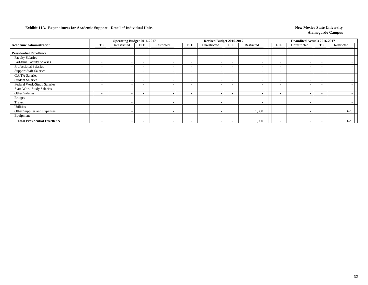|                                      |                          | <b>Operating Budget 2016-2017</b> |                          |                          |                          | Revised Budget 2016-2017 |                          |            |                          | Unaudited Actuals 2016-2017 |                          |            |
|--------------------------------------|--------------------------|-----------------------------------|--------------------------|--------------------------|--------------------------|--------------------------|--------------------------|------------|--------------------------|-----------------------------|--------------------------|------------|
| <b>Academic Administration</b>       | FTE                      | Unrestricted                      | <b>FTE</b>               | Restricted               | FTE                      | Unrestricted             | FTE                      | Restricted | <b>FTE</b>               | Unrestricted                | <b>FTE</b>               | Restricted |
| <b>Presidential Excellence</b>       |                          |                                   |                          |                          |                          |                          |                          |            |                          |                             |                          |            |
| <b>Faculty Salaries</b>              | $\sim$                   | $\sim$                            | $\overline{\phantom{0}}$ |                          | $\overline{\phantom{a}}$ |                          | $\overline{\phantom{a}}$ |            | $\overline{\phantom{a}}$ |                             | $\overline{\phantom{0}}$ |            |
| Part-time Faculty Salaries           | $\overline{\phantom{0}}$ | $\overline{\phantom{0}}$          | $\overline{\phantom{a}}$ |                          | $\overline{\phantom{a}}$ |                          | $\overline{\phantom{0}}$ |            | $\overline{\phantom{a}}$ |                             | $\overline{\phantom{0}}$ |            |
| <b>Professional Salaries</b>         | $\overline{\phantom{0}}$ | $\overline{\phantom{0}}$          | $\overline{\phantom{0}}$ |                          | $\overline{\phantom{a}}$ |                          | $\overline{\phantom{a}}$ |            | $\overline{\phantom{a}}$ |                             | $\overline{\phantom{0}}$ |            |
| <b>Support Staff Salaries</b>        | $\overline{\phantom{0}}$ | $\overline{\phantom{a}}$          | $\overline{\phantom{0}}$ | $\overline{\phantom{0}}$ | $\overline{\phantom{a}}$ |                          | $\overline{\phantom{a}}$ |            | $\overline{\phantom{a}}$ |                             | $\overline{\phantom{0}}$ |            |
| <b>GA/TA Salaries</b>                | $\sim$                   | $\overline{\phantom{0}}$          | $\overline{\phantom{0}}$ | -                        | $\overline{\phantom{0}}$ |                          | $\overline{\phantom{a}}$ |            | $\overline{\phantom{a}}$ |                             | $\overline{\phantom{0}}$ |            |
| <b>Student Salaries</b>              | $\sim$                   | $\overline{\phantom{0}}$          | $\overline{\phantom{0}}$ |                          | $\overline{\phantom{0}}$ |                          | $\overline{\phantom{0}}$ |            | $\overline{\phantom{a}}$ |                             | $\sim$                   |            |
| Federal Work-Study Salaries          | $\overline{\phantom{a}}$ | $\overline{\phantom{0}}$          | $\overline{\phantom{0}}$ |                          | $\overline{\phantom{0}}$ |                          | $\overline{\phantom{a}}$ |            | $\overline{\phantom{a}}$ |                             | $\overline{\phantom{0}}$ |            |
| <b>State Work-Study Salaries</b>     | $\overline{\phantom{0}}$ | $\overline{\phantom{a}}$          | $\overline{\phantom{0}}$ |                          | $\overline{\phantom{0}}$ |                          | $\overline{\phantom{a}}$ |            | $\overline{\phantom{a}}$ |                             |                          |            |
| Other Salaries                       | $\sim$                   | $\overline{\phantom{0}}$          | $\overline{\phantom{0}}$ |                          | $\overline{\phantom{a}}$ |                          | $\overline{\phantom{0}}$ |            | $\overline{\phantom{0}}$ |                             |                          |            |
| Fringes                              |                          | $\overline{\phantom{0}}$          |                          | -                        |                          |                          |                          |            |                          |                             |                          |            |
| Travel                               |                          | $\overline{\phantom{0}}$          |                          |                          |                          |                          |                          |            |                          |                             |                          |            |
| Utilities                            |                          | $\overline{\phantom{a}}$          |                          |                          |                          |                          |                          |            |                          |                             |                          |            |
| Other Supplies and Expenses          |                          | $\overline{\phantom{0}}$          |                          | -                        |                          |                          |                          | 1,000      |                          |                             |                          | 623        |
| Equipment                            |                          | $\overline{\phantom{0}}$          |                          |                          |                          |                          |                          |            |                          |                             |                          |            |
| <b>Total Presidential Excellence</b> | $\sim$                   | $\overline{\phantom{0}}$          | $\overline{\phantom{0}}$ |                          | $\overline{\phantom{0}}$ |                          | $\overline{\phantom{0}}$ | 1,000      | $\overline{\phantom{0}}$ |                             | $\sim$                   | 623        |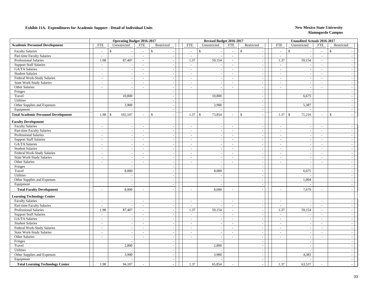|                                             |                           | <b>Operating Budget 2016-2017</b> |                             |                          |                             | Revised Budget 2016-2017 |                          |                               |                          | <b>Unaudited Actuals 2016-2017</b> |                          |                          |
|---------------------------------------------|---------------------------|-----------------------------------|-----------------------------|--------------------------|-----------------------------|--------------------------|--------------------------|-------------------------------|--------------------------|------------------------------------|--------------------------|--------------------------|
| <b>Academic Personnel Development</b>       | <b>FTE</b>                | Unrestricted                      | <b>FTE</b>                  | Restricted               | <b>FTE</b>                  | Unrestricted             | <b>FTE</b>               | Restricted                    | <b>FTE</b>               | Unrestricted                       | <b>FTE</b>               | Restricted               |
| <b>Faculty Salaries</b>                     | $\sim$                    | $\mathbb{S}$                      | $\overline{a}$              | $\mathbb{S}$             | $\sim$                      | $\mathsf{\$}$            | $\sim$                   | $\mathbb{S}$<br>$\sim$        | $\sim$                   | $\mathbb{S}$                       | $\sim$                   | $\mathsf{\$}$            |
| Part-time Faculty Salaries                  | $\sim$                    | $\overline{\phantom{a}}$          | $\sim$                      | $\sim$                   | $\sim$                      | $\overline{\phantom{a}}$ | $\sim$                   | $\sim$                        | $\sim$                   |                                    | $\sim$                   |                          |
| <b>Professional Salaries</b>                | 1.98                      | 87,407                            | $\mathcal{L}_{\mathcal{A}}$ | $\sim$                   | 1.37                        | 59,154                   | $\sim$                   | $\sim$                        | 1.37                     | 59,154                             | $\sim$                   |                          |
| <b>Support Staff Salaries</b>               | $\mathcal{L}$             |                                   | $\sim$                      | $\sim$                   | $\sim$                      |                          | $\sim$                   | $\sim$                        | $\sim$                   |                                    | $\sim$                   |                          |
| GA/TA Salaries                              | $\sim$                    | $\sim$                            | $\sim$                      | $\sim$                   | $\sim$                      |                          | $\sim$                   | $\mathcal{L}_{\mathcal{A}}$   | $\sim$                   |                                    | $\overline{\phantom{a}}$ |                          |
| <b>Student Salaries</b>                     | $\sim$                    | $\sim$                            | $\overline{\phantom{a}}$    | $\sim$                   | $\sim$                      | $\overline{a}$           | $\sim$                   | $\mathcal{L}$                 | $\overline{\phantom{a}}$ | $\overline{\phantom{a}}$           | $\sim$                   | $\overline{\phantom{a}}$ |
| Federal Work-Study Salaries                 | $\sim$                    | $\overline{\phantom{a}}$          | $\sim$                      | $\sim$                   | $\sim$                      | $\overline{\phantom{a}}$ | $\sim$                   | $\mathcal{L}$                 | $\sim$                   | $\overline{\phantom{a}}$           | $\sim$                   | $\sim$                   |
| <b>State Work-Study Salaries</b>            | $\sim$                    | $\overline{\phantom{a}}$          | $\sim$                      | $\sim$                   | $\sim$                      | $\overline{\phantom{a}}$ | $\sim$                   | $\mathbb{L}$                  | $\sim$                   | $\sim$                             | $\sim$                   | $\overline{\phantom{a}}$ |
| Other Salaries                              | $\sim$                    | $\sim$                            | $\sim$                      | $\sim$                   | $\sim$                      | $\overline{\phantom{a}}$ | $\sim$                   | $\sim$                        | $\overline{\phantom{a}}$ | $\sim$                             | $\overline{\phantom{a}}$ |                          |
| Fringes                                     |                           | $\sim$                            |                             | $\sim$                   |                             | $\sim$                   |                          | $\blacksquare$                |                          | $\sim$                             |                          | $\overline{\phantom{a}}$ |
| Travel                                      |                           | 10,800                            |                             |                          |                             | 10,800                   |                          | $\blacksquare$                |                          | 6,675                              |                          |                          |
| Utilities                                   |                           |                                   |                             | $\sim$                   |                             |                          |                          | $\mathcal{L}$                 |                          |                                    |                          |                          |
| Other Supplies and Expenses                 |                           | 3,900                             |                             | $\sim$                   |                             | 3,900                    |                          | $\mathbb{L}$                  |                          | 5,387                              |                          |                          |
| Equipment                                   |                           |                                   |                             | $\overline{\phantom{a}}$ |                             |                          |                          | $\mathcal{L}_{\mathcal{A}}$   |                          |                                    |                          |                          |
| <b>Total Academic Personnel Development</b> | 1.98                      | 102,107<br>\$                     |                             | \$<br>$\overline{a}$     | 1.37                        | $\mathbb S$<br>73,854    | $\sim$                   | $\mathbb{S}$<br>$\mathcal{L}$ | 1.37                     | 71,216<br>$\vert$ \$               | $\sim$                   | $\mathbf{s}$             |
| <b>Faculty Development</b>                  |                           |                                   |                             |                          |                             |                          |                          |                               |                          |                                    |                          |                          |
| <b>Faculty Salaries</b>                     | $\sim$                    | $\sim$                            | $\sim$                      | $\sim$                   | $\sim$                      | $\overline{\phantom{a}}$ | $\sim$                   | $\sim$                        | $\sim$                   | $\overline{\phantom{a}}$           | $\sim$                   |                          |
| Part-time Faculty Salaries                  | $\sim$                    | $\overline{\phantom{a}}$          | $\overline{a}$              | $\sim$                   | $\overline{a}$              | $\overline{\phantom{a}}$ | $\sim$                   | $\mathbb{L}$                  | $\overline{a}$           | $\overline{a}$                     | $\sim$                   |                          |
| <b>Professional Salaries</b>                | $\sim$                    | $\overline{\phantom{a}}$          | $\overline{\phantom{a}}$    | $\overline{\phantom{a}}$ | $\sim$                      |                          | $\sim$                   | $\overline{\phantom{a}}$      | $\overline{\phantom{a}}$ | $\overline{\phantom{a}}$           | $\sim$                   |                          |
| <b>Support Staff Salaries</b>               | $\overline{\phantom{a}}$  | $\sim$                            | $\sim$                      | $\overline{\phantom{a}}$ | $\sim$                      |                          | $\overline{\phantom{a}}$ | $\sim$                        | $\sim$                   |                                    | $\sim$                   |                          |
| GA/TA Salaries                              | $\sim$                    | $\sim$                            | $\sim$                      | $\overline{a}$           | $\sim$                      | $\sim$                   | $\sim$                   | $\sim$                        | $\sim$                   | $\overline{\phantom{a}}$           | $\overline{\phantom{a}}$ | $\sim$                   |
| <b>Student Salaries</b>                     | $\sim$                    | $\overline{\phantom{a}}$          | $\sim$                      | $\sim$                   | $\sim$                      | $\overline{\phantom{a}}$ | $\sim$                   | $\mathbb{L}$                  | $\sim$                   | $\overline{a}$                     | $\sim$                   | $\sim$                   |
| Federal Work-Study Salaries                 | $\sim$                    | $\sim$                            | $\sim$                      | $\sim$                   | $\sim$                      | $\overline{a}$           | $\sim$                   | $\mathbb{L}$                  | $\overline{\phantom{a}}$ | $\overline{\phantom{a}}$           | $\sim$                   | $\overline{\phantom{a}}$ |
| <b>State Work-Study Salaries</b>            | $\sim$                    | $\overline{\phantom{a}}$          | $\sim$                      | $\sim$                   | $\sim$                      |                          | $\sim$                   | $\blacksquare$                | $\overline{\phantom{a}}$ |                                    | $\sim$                   | $\overline{\phantom{a}}$ |
| Other Salaries                              | $\sim$                    | $\overline{\phantom{a}}$          | $\overline{\phantom{a}}$    | $\overline{\phantom{a}}$ | $\sim$                      | $\overline{a}$           | $\overline{\phantom{a}}$ | $\mathcal{L}_{\mathcal{A}}$   | $\overline{\phantom{a}}$ | $\overline{\phantom{a}}$           | $\sim$                   |                          |
| Fringes                                     |                           |                                   |                             | $\sim$                   |                             |                          |                          | $\sim$                        |                          |                                    |                          |                          |
| Travel                                      |                           | 8,000                             |                             | $\sim$                   |                             | 8,000                    |                          | $\blacksquare$                |                          | 6,675                              |                          |                          |
| Utilities                                   |                           | $\overline{a}$                    |                             | $\sim$                   |                             |                          |                          | $\mathbb{L}$                  |                          |                                    |                          |                          |
| Other Supplies and Expenses                 |                           | $\overline{\phantom{a}}$          |                             | $\sim$                   |                             |                          |                          | $\sim$                        |                          | 1,004                              |                          |                          |
| Equipment                                   |                           | $\sim$                            |                             | $\sim$                   |                             | $\overline{\phantom{a}}$ |                          | $\sim$                        |                          |                                    |                          | $\overline{a}$           |
| <b>Total Faculty Development</b>            | ÷,                        | 8,000                             | $\overline{a}$              | $\overline{\phantom{a}}$ | $\overline{\phantom{a}}$    | 8,000                    | $\sim$                   | $\sim$                        | $\overline{a}$           | 7,679                              | $\sim$                   |                          |
| <b>Learning Technology Center</b>           |                           |                                   |                             |                          |                             |                          |                          |                               |                          |                                    |                          |                          |
| <b>Faculty Salaries</b>                     | $\sim$                    | $\sim$                            | $\sim$                      | $\overline{\phantom{a}}$ | $\sim$                      |                          | $\overline{\phantom{a}}$ | $\sim$                        | $\sim$                   |                                    | $\sim$                   |                          |
| Part-time Faculty Salaries                  | $\sim$                    | $\sim$                            | $\sim$                      | $\sim$                   | $\sim$                      |                          | $\sim$                   | $\mathcal{L}_{\mathcal{A}}$   | $\sim$                   |                                    | $\sim$                   |                          |
| <b>Professional Salaries</b>                | 1.98                      | 87,407                            | $\sim$                      | $\sim$                   | 1.37                        | 59,154                   | $\sim$                   | $\sim$                        | 1.37                     | 59,154                             | $\sim$                   |                          |
| <b>Support Staff Salaries</b>               | $\mathbb{L}^{\mathbb{N}}$ |                                   | $\sim$                      | $\overline{\phantom{a}}$ | $\mathcal{L}_{\mathcal{A}}$ |                          | $\sim$                   | $\mathbb{L}$                  | $\sim$                   |                                    | $\overline{\phantom{a}}$ |                          |
| GA/TA Salaries                              | $\sim$                    | $\overline{\phantom{a}}$          | $\sim$                      | $\sim$                   | $\sim$                      |                          | $\sim$                   | $\mathcal{L}_{\mathcal{A}}$   | $\overline{\phantom{a}}$ | $\overline{\phantom{a}}$           | $\sim$                   | $\overline{a}$           |
| <b>Student Salaries</b>                     | $\sim$                    | $\sim$                            | $\sim$                      | $\sim$                   | $\sim$                      | $\overline{a}$           | $\sim$                   | $\mathbb{Z}^2$                | $\sim$                   | $\overline{\phantom{a}}$           | $\sim$                   | $\sim$                   |
| Federal Work-Study Salaries                 | $\overline{\phantom{a}}$  | $\overline{\phantom{a}}$          | $\sim$                      | $\overline{\phantom{a}}$ | $\sim$                      | $\overline{\phantom{a}}$ | $\sim$                   | $\sim$                        | $\overline{\phantom{a}}$ | $\overline{\phantom{a}}$           | $\sim$                   | $\overline{\phantom{a}}$ |
| <b>State Work-Study Salaries</b>            | $\sim$                    | $\sim$                            | $\mathcal{L}$               | $\sim$                   | $\mathcal{L}$               | $\overline{\phantom{a}}$ | $\sim$                   | $\overline{\phantom{a}}$      | $\overline{\phantom{a}}$ | $\sim$                             | $\sim$                   | $\overline{\phantom{a}}$ |
| Other Salaries                              | $\sim$                    | $\overline{\phantom{a}}$          | $\sim$                      |                          | $\sim$                      | $\overline{\phantom{a}}$ | $\overline{\phantom{a}}$ | $\blacksquare$                | $\overline{\phantom{a}}$ |                                    | $\sim$                   |                          |
| Fringes                                     |                           | $\overline{\phantom{a}}$          |                             | $\sim$                   |                             |                          |                          | $\blacksquare$                |                          | $\sim$                             |                          |                          |
| Travel                                      |                           | 2,800                             |                             | $\sim$                   |                             | 2,800                    |                          | $\sim$                        |                          |                                    |                          |                          |
| Utilities                                   |                           |                                   |                             | $\sim$                   |                             |                          |                          | $\sim$                        |                          |                                    |                          |                          |
| Other Supplies and Expenses                 |                           | 3,900                             |                             | $\sim$                   |                             | 3,900                    |                          | $\sim$                        |                          | 4,383                              |                          |                          |
| Equipment                                   |                           |                                   |                             | $\sim$                   |                             |                          |                          | $\sim$                        |                          |                                    |                          | $\sim$                   |
| <b>Total Learning Technology Center</b>     | 1.98                      | 94,107                            |                             |                          | 1.37                        | 65,854                   |                          |                               | 1.37                     | 63,537                             |                          |                          |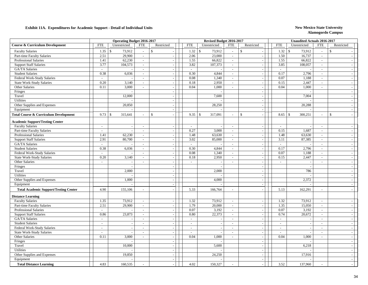|                                                       |                          | <b>Operating Budget 2016-2017</b> |                          |                  |                          | Revised Budget 2016-2017          |                                                      |                                                      |                          | <b>Unaudited Actuals 2016-2017</b> |                                                      |                                    |  |
|-------------------------------------------------------|--------------------------|-----------------------------------|--------------------------|------------------|--------------------------|-----------------------------------|------------------------------------------------------|------------------------------------------------------|--------------------------|------------------------------------|------------------------------------------------------|------------------------------------|--|
| <b>Course &amp; Curriculum Development</b>            | <b>FTE</b>               | Unrestricted                      | <b>FTE</b>               | Restricted       | <b>FTE</b>               | Unrestricted                      | <b>FTE</b>                                           | Restricted                                           | <b>FTE</b>               | Unrestricted                       | <b>FTE</b>                                           | Restricted                         |  |
| <b>Faculty Salaries</b>                               | 1.35                     | 73,912<br>$\mathbf{s}$            | $\sim$                   | $\mathcal{S}$    | 1.32                     | \$<br>73,912                      |                                                      | $\mathbf{s}$                                         | 1.32                     | $\mathbf{s}$<br>73,912             | $\mathcal{L}$                                        | $\mathbf{\hat{S}}$                 |  |
| Part-time Faculty Salaries                            | 2.51                     | 29,900                            | $\sim$                   |                  | 2.06                     | 23,000                            | $\mathcal{L}_{\mathcal{A}}$                          |                                                      | 1.50                     | 16,737                             | $\mathcal{L}$                                        |                                    |  |
| <b>Professional Salaries</b>                          | 1.41                     | 62,230                            | $\sim$                   | $\sim$           | 1.55                     | 66,822                            | $\sim$                                               | $\overline{\phantom{a}}$                             | 1.55                     | 66,822                             | $\sim$                                               |                                    |  |
| <b>Support Staff Salaries</b>                         | 3.77                     | 104,573                           | $\sim$                   | $\sim$           | 3.82                     | 107,373                           | $\mathcal{L}^{\pm}$                                  | $\sim$                                               | 3.85                     | 108,057                            | $\sim$                                               | $\sim$                             |  |
| GA/TA Salaries                                        | $\sim$                   |                                   | $\sim$                   | $\sim$           | $\sim$                   |                                   | $\sim$                                               | $\sim$                                               | $\sim$                   |                                    | $\overline{a}$                                       |                                    |  |
| <b>Student Salaries</b>                               | 0.38                     | 6,036                             | $\sim$                   | $\sim$           | 0.30                     | 4,844                             | $\sim$                                               | $\overline{\phantom{a}}$                             | 0.17                     | 2,796                              | $\sim$                                               | $\sim$                             |  |
| Federal Work-Study Salaries                           | $\overline{\phantom{a}}$ |                                   | $\sim$                   |                  | 0.08                     | 1,340                             | $\mathcal{L}_{\mathcal{A}}$                          | $\sim$                                               | 0.07                     | 1,188                              | $\sim$                                               |                                    |  |
| <b>State Work-Study Salaries</b>                      | 0.20                     | 3,140                             | $\sim$                   | $\sim$           | 0.18                     | 2,950                             | $\sim$                                               | $\overline{\phantom{a}}$                             | 0.15                     | 2,447                              | $\sim$                                               | $\sim$                             |  |
| Other Salaries                                        | 0.11                     | 3,000                             | $\sim$                   | $\sim$           | 0.04                     | 1,000                             | $\sim$                                               | $\overline{\phantom{a}}$                             | 0.04                     | 1,000                              | $\sim$                                               | $\overline{\phantom{a}}$           |  |
| Fringes                                               |                          |                                   |                          | $\sim$           |                          |                                   |                                                      | $\sim$                                               |                          |                                    |                                                      | $\sim$                             |  |
| Travel                                                |                          | 12,000                            |                          | $\sim$           |                          | 7,600                             |                                                      | $\sim$                                               |                          | 7,004                              |                                                      | $\overline{\phantom{a}}$           |  |
| Utilities                                             |                          |                                   |                          | $\sim$           |                          |                                   |                                                      | $\overline{\phantom{a}}$                             |                          |                                    |                                                      |                                    |  |
| Other Supplies and Expenses                           |                          | 20,850                            |                          | $\sim$           |                          | 28,250                            |                                                      | $\overline{\phantom{a}}$                             |                          | 20,288                             |                                                      |                                    |  |
| Equipment                                             |                          |                                   |                          | $\sim$           |                          |                                   |                                                      | $\overline{\phantom{a}}$                             |                          |                                    |                                                      | $\sim$                             |  |
| <b>Total Course &amp; Curriculum Development</b>      | 9.73                     | 315,641<br>$\mathbf{\hat{S}}$     |                          | $\mathcal{S}$    | 9.35                     | \$<br>317,091                     | $\sim$                                               | $\mathbf{\hat{S}}$<br>$\overline{\phantom{a}}$       | 8.65                     | $\mathcal{S}$<br>300,251           | $\sim$                                               | $\mathbf{\hat{S}}$                 |  |
| <b>Academic Support/Testing Center</b>                |                          |                                   |                          |                  |                          |                                   |                                                      |                                                      |                          |                                    |                                                      |                                    |  |
| <b>Faculty Salaries</b>                               | $\sim$                   | $\sim$                            | $\overline{\phantom{a}}$ | $\sim$           | $\sim$                   |                                   | $\sim$                                               | $\overline{\phantom{a}}$                             | $\sim$                   |                                    | $\sim$                                               | $\sim$                             |  |
| Part-time Faculty Salaries                            | $\sim$                   | $\overline{a}$                    | $\sim$                   | $\sim$           | 0.27                     | 3,000                             | $\sim$                                               | $\overline{\phantom{a}}$                             | 0.15                     | 1,687                              | $\sim$                                               |                                    |  |
| <b>Professional Salaries</b>                          | 1.41                     | 62,230                            | $\sim$                   | $\sim$           | 1.48                     | 63,630                            | $\mathcal{L}^{\pm}$                                  | $\overline{\phantom{a}}$                             | 1.48                     | 63,630                             | $\sim$                                               | $\overline{a}$                     |  |
| <b>Support Staff Salaries</b>                         | 2.91                     | 80,700                            | $\sim$                   | $\sim$           | 3.02                     | 85,000                            | $\sim$                                               | $\sim$                                               | 3.11                     | 87,385                             | $\overline{\phantom{a}}$                             | $\overline{\phantom{a}}$           |  |
| GA/TA Salaries                                        | $\omega$                 | $\sim$                            | $\sim$                   | $\sim$           | $\sim$                   |                                   | $\sim$                                               | $\blacksquare$                                       | $\sim$                   |                                    | $\sim$                                               | $\sim$                             |  |
| <b>Student Salaries</b>                               | 0.38                     | 6,036                             | $\sim$                   | $\sim$           | 0.30                     | 4,844                             | $\sim$                                               | $\sim$                                               | 0.17                     | 2,796                              | $\sim$                                               | $\sim$                             |  |
| Federal Work-Study Salaries                           | $\sim$                   |                                   | $\sim$                   | $\sim$           | 0.08                     | 1,340                             | $\sim$                                               | $\sim$                                               | 0.07                     | 1,188                              | $\sim$                                               | $\sim$                             |  |
| <b>State Work-Study Salaries</b>                      | 0.20                     | 3,140                             | $\sim$                   | $\sim$           | 0.18                     | 2,950                             | $\mathcal{L}_{\mathcal{A}}$                          | $\sim$                                               | 0.15                     | 2,447                              | $\overline{\phantom{a}}$                             | $\overline{\phantom{a}}$           |  |
| Other Salaries                                        | $\overline{\phantom{a}}$ | $\sim$                            | $\sim$                   | $\sim$           | $\overline{a}$           | $\overline{\phantom{a}}$          | $\sim$                                               | $\overline{\phantom{a}}$                             | $\sim$                   | $\sim$                             | $\sim$                                               | $\overline{\phantom{a}}$           |  |
| Fringes                                               |                          |                                   |                          |                  |                          |                                   |                                                      |                                                      |                          |                                    |                                                      |                                    |  |
| Travel                                                |                          | 2,000                             |                          | $\sim$           |                          | 2,000                             |                                                      | $\overline{\phantom{a}}$                             |                          | 786                                |                                                      | $\sim$                             |  |
| <b>Utilities</b>                                      |                          |                                   |                          | $\sim$           |                          |                                   |                                                      | $\overline{\phantom{a}}$                             |                          |                                    |                                                      |                                    |  |
| Other Supplies and Expenses                           |                          | 1,000                             |                          | $\sim$           |                          | 4,000                             |                                                      | $\overline{a}$                                       |                          | 2,372                              |                                                      | $\overline{a}$                     |  |
| Equipment                                             |                          |                                   |                          | $\sim$           |                          |                                   |                                                      | $\sim$                                               |                          |                                    |                                                      | $\sim$                             |  |
| <b>Total Academic Support/Testing Center</b>          | 4.90                     | 155,106                           |                          |                  | 5.33                     | 166,764                           | $\sim$                                               | $\sim$                                               | 5.13                     | 162,291                            | $\sim$                                               |                                    |  |
|                                                       |                          |                                   |                          |                  |                          |                                   |                                                      |                                                      |                          |                                    |                                                      |                                    |  |
| <b>Distance Learning</b>                              |                          |                                   | $\sim$                   |                  |                          |                                   |                                                      |                                                      |                          |                                    | $\overline{a}$                                       |                                    |  |
| <b>Faculty Salaries</b><br>Part-time Faculty Salaries | 1.35<br>2.51             | 73,912<br>29,900                  | $\sim$                   | $\sim$           | 1.32<br>1.79             | 73,912<br>20,000                  | $\overline{\phantom{a}}$<br>$\overline{\phantom{a}}$ | $\overline{\phantom{a}}$                             | 1.32<br>1.35             | 73,912<br>15,050                   | $\overline{\phantom{a}}$                             | $\overline{\phantom{a}}$<br>$\sim$ |  |
| <b>Professional Salaries</b>                          | $\sim$                   | $\overline{\phantom{a}}$          | $\sim$                   | $\sim$           | 0.07                     | 3,192                             | $\sim$                                               | $\sim$                                               | 0.07                     | 3,192                              | $\sim$                                               | $\sim$                             |  |
|                                                       | 0.86                     | 23,873                            | $\sim$                   |                  | 0.80                     | 22,373                            |                                                      | $\overline{\phantom{a}}$                             | 0.74                     | 20,672                             |                                                      |                                    |  |
| <b>Support Staff Salaries</b><br>GA/TA Salaries       | $\sim$                   |                                   | $\sim$                   | $\sim$<br>$\sim$ | $\sim$                   |                                   | $\sim$<br>$\sim$                                     | $\sim$                                               | $\overline{\phantom{a}}$ |                                    | $\sim$<br>$\overline{\phantom{a}}$                   | $\sim$<br>$\overline{\phantom{a}}$ |  |
| <b>Student Salaries</b>                               | $\sim$                   |                                   | $\overline{\phantom{a}}$ |                  | $\sim$                   |                                   |                                                      |                                                      | $\overline{\phantom{a}}$ |                                    |                                                      | $\sim$                             |  |
| Federal Work-Study Salaries                           | $\frac{1}{2}$            | $\sim$                            | $\sim$                   |                  | $\overline{\phantom{a}}$ | $\sim$                            | $\sim$<br>$\sim$                                     | $\overline{\phantom{a}}$<br>$\sim$                   | $\sim$                   | $\sim$                             | $\overline{\phantom{a}}$<br>$\overline{\phantom{a}}$ |                                    |  |
| <b>State Work-Study Salaries</b>                      | $\overline{\phantom{a}}$ | $\sim$                            | $\sim$                   | $\sim$           | $\overline{\phantom{a}}$ |                                   | $\sim$                                               |                                                      | $\sim$                   | $\sim$                             | $\sim$                                               |                                    |  |
| Other Salaries                                        | 0.11                     | 3,000                             | $\sim$                   | $\sim$           | 0.04                     | $\overline{\phantom{a}}$<br>1,000 | $\sim$                                               | $\overline{\phantom{a}}$<br>$\overline{\phantom{a}}$ | 0.04                     | 1,000                              | $\sim$                                               | $\sim$<br>$\overline{\phantom{a}}$ |  |
| Fringes                                               |                          |                                   |                          | $\sim$           |                          |                                   |                                                      | $\sim$                                               |                          |                                    |                                                      | $\overline{a}$                     |  |
| Travel                                                |                          | 10,000                            |                          | $\sim$           |                          | 5,600                             |                                                      | $\sim$                                               |                          | 6,218                              |                                                      | $\sim$                             |  |
| Utilities                                             |                          |                                   |                          | $\sim$           |                          |                                   |                                                      | $\sim$                                               |                          |                                    |                                                      |                                    |  |
|                                                       |                          | 19,850                            |                          | $\sim$           |                          | 24,250                            |                                                      | $\sim$                                               |                          | 17,916                             |                                                      | $\sim$                             |  |
| Other Supplies and Expenses                           |                          |                                   |                          | $\sim$           |                          |                                   |                                                      |                                                      |                          |                                    |                                                      |                                    |  |
| Equipment                                             |                          |                                   |                          |                  |                          |                                   |                                                      | $\overline{\phantom{a}}$                             |                          |                                    |                                                      | $\sim$                             |  |
| <b>Total Distance Learning</b>                        | 4.83                     | 160,535                           |                          |                  | 4.02                     | 150,327                           |                                                      |                                                      | 3.52                     | 137,960                            |                                                      |                                    |  |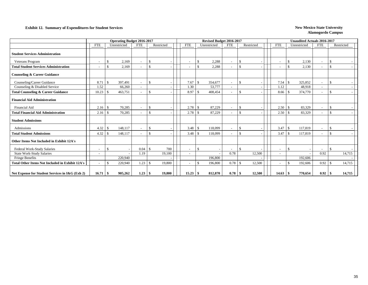### **Exhibit 12. Summary of Expenditures for Student Services New Mexico State University New Mexico State University**

|                                                        |                          | <b>Operating Budget 2016-2017</b> |                          |                    |            |            |                    | Revised Budget 2016-2017 |                          |               |            |                          | <b>Unaudited Actuals 2016-2017</b> |                          |                    |            |
|--------------------------------------------------------|--------------------------|-----------------------------------|--------------------------|--------------------|------------|------------|--------------------|--------------------------|--------------------------|---------------|------------|--------------------------|------------------------------------|--------------------------|--------------------|------------|
|                                                        | <b>FTE</b>               | Unrestricted                      | <b>FTE</b>               |                    | Restricted | <b>FTE</b> |                    | Unrestricted             | FTE                      |               | Restricted | <b>FTE</b>               | Unrestricted                       | FTE                      |                    | Restricted |
| <b>Student Services Administration</b>                 |                          |                                   |                          |                    |            |            |                    |                          |                          |               |            |                          |                                    |                          |                    |            |
| Veterans Program                                       | $\overline{\phantom{a}}$ | 2,169<br><sup>\$</sup>            | $\overline{\phantom{a}}$ | \$                 |            |            | -\$                | 2,288                    |                          | <sup>\$</sup> |            | $\overline{\phantom{a}}$ | 2,130<br>-\$                       | $\overline{\phantom{a}}$ | \$                 |            |
| <b>Total Student Services Administration</b>           | $\blacksquare$           | \$<br>2,169                       | $\overline{\phantom{a}}$ | \$                 |            |            | \$                 | 2,288                    |                          | \$            |            | $\overline{\phantom{a}}$ | \$<br>2,130                        | $\overline{\phantom{a}}$ | $\mathbf{\hat{s}}$ |            |
| <b>Counseling &amp; Career Guidance</b>                |                          |                                   |                          |                    |            |            |                    |                          |                          |               |            |                          |                                    |                          |                    |            |
| Counseling/Career Guidance                             | 8.71                     | 397,491<br>-\$                    | $\overline{\phantom{a}}$ | <sup>\$</sup>      |            | 7.67       | -\$                | 354,677                  | $\overline{\phantom{a}}$ | <sup>\$</sup> |            | 7.54                     | 325,852<br>-S                      | $\sim$                   | -8                 |            |
| Counseling & Disabled Service                          | 1.52                     | 66,260                            | $\overline{\phantom{a}}$ |                    |            | 1.30       |                    | 53,777                   |                          |               |            | 1.12                     | 48,918                             | $\overline{\phantom{a}}$ |                    |            |
| <b>Total Counseling &amp; Career Guidance</b>          | 10.23                    | - \$<br>463,751                   | $\overline{\phantom{a}}$ | $\mathbf{\hat{S}}$ |            | 8.97       | $\mathbf{\hat{s}}$ | 408,454                  |                          | <sup>\$</sup> |            | 8.66                     | 374,770<br>-\$                     | $\sim$                   | $\mathcal{S}$      |            |
| <b>Financial Aid Administration</b>                    |                          |                                   |                          |                    |            |            |                    |                          |                          |               |            |                          |                                    |                          |                    |            |
| Financial Aid                                          | 2.16                     | 70,285<br>l \$                    | ٠                        | \$                 |            | 2.78       | -\$                | 87,229                   |                          | -S            |            | 2.50                     | 83,329<br>-S                       | $\overline{\phantom{a}}$ | <sup>\$</sup>      |            |
| <b>Total Financial Aid Administration</b>              | 2.16                     | 70,285<br>-\$                     | $\overline{\phantom{a}}$ | \$                 |            | 2.78       | <sup>\$</sup>      | 87,229                   |                          | <sup>\$</sup> |            | 2.50                     | -\$<br>83,329                      | $\sim$                   | $\mathcal{S}$      |            |
| <b>Student Admissions</b>                              |                          |                                   |                          |                    |            |            |                    |                          |                          |               |            |                          |                                    |                          |                    |            |
| Admissions                                             | 4.32                     | 148,117<br>-\$                    | ٠                        | <sup>\$</sup>      |            | 3.48       | l \$               | 118,099                  |                          | <sup>\$</sup> |            | 3.47                     | 117,819<br>S.                      |                          | <sup>\$</sup>      |            |
| <b>Total Student Admissions</b>                        | 4.32                     | 148,117<br>-8                     | $\overline{\phantom{a}}$ | \$                 |            | 3.48       | -\$                | 118,099                  | $\overline{\phantom{a}}$ | <sup>\$</sup> |            | 3.47                     | 117,819<br>-\$                     | $\sim$                   | $\mathbf{\hat{S}}$ |            |
| Other Items Not Included in Exhibit 12A's              |                          |                                   |                          |                    |            |            |                    |                          |                          |               |            |                          |                                    |                          |                    |            |
| Federal Work-Study Salaries                            | $\overline{\phantom{a}}$ | \$                                | 0.04                     | S.                 | 700        |            | -\$                |                          |                          | <sup>\$</sup> |            | $\overline{\phantom{a}}$ | -\$                                | $\overline{\phantom{a}}$ | $\mathbf{\hat{s}}$ |            |
| <b>State Work-Study Salaries</b>                       | $\blacksquare$           |                                   | 1.19                     |                    | 19,100     |            |                    |                          | 0.78                     |               | 12,500     | $\sim$                   |                                    | 0.92                     |                    | 14,715     |
| Fringe Benefits                                        |                          | 220,940                           |                          |                    |            |            |                    | 196,800                  |                          |               |            |                          | 192,606                            |                          |                    |            |
| <b>Total Other Items Not Included in Exhibit 12A's</b> | $\blacksquare$           | <sup>\$</sup><br>220,940          | 1.23                     | \$                 | 19,800     |            | $\mathbf{\hat{s}}$ | 196,800                  | 0.78                     | -S            | 12,500     | $\overline{\phantom{a}}$ | $\mathcal{S}$<br>192,606           | 0.92                     | <sup>\$</sup>      | 14,715     |
| Net Expense for Student Services in I&G (Exh 2)        | $16.71 \;$ \$            | 905,262                           |                          |                    | 19,800     |            |                    | 812,870                  | 0.78                     | - \$          | 12,500     | 14.63                    | 770,654                            | 0.92                     | -9                 | 14,715     |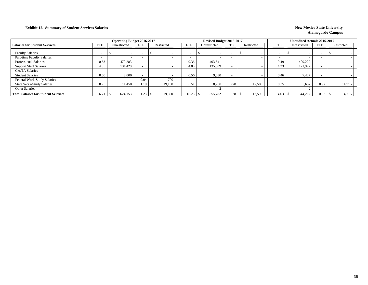### **Exhibit 12. Summary of Student Services Salaries New Mexico State University New Mexico State University**

|                                            |            | <b>Operating Budget 2016-2017</b> |                          |            |            | Revised Budget 2016-2017 |            |            |                          | Unaudited Actuals 2016-2017 |                          |            |
|--------------------------------------------|------------|-----------------------------------|--------------------------|------------|------------|--------------------------|------------|------------|--------------------------|-----------------------------|--------------------------|------------|
| <b>Salaries for Student Services</b>       | <b>FTE</b> | Unrestricted                      | <b>FTE</b>               | Restricted | <b>FTE</b> | Unrestricted             | <b>FTE</b> | Restricted | FTE                      | Unrestricted                | <b>FTE</b>               | Restricted |
| <b>Faculty Salaries</b>                    |            |                                   | $\overline{\phantom{a}}$ |            |            |                          |            |            | $\overline{\phantom{a}}$ |                             |                          |            |
| Part-time Faculty Salaries                 |            |                                   | $\overline{\phantom{a}}$ |            |            |                          |            |            | $\overline{\phantom{0}}$ |                             |                          |            |
| <b>Professional Salaries</b>               | 10.63      | 470.283                           |                          |            | 9.36       | 403.541                  |            |            | 9.49                     | 409.229                     |                          |            |
| <b>Support Staff Salaries</b>              | 4.85       | 134,420                           |                          |            | 4.80       | 135,009                  |            |            | 4.33                     | 121,972                     |                          |            |
| <b>GA/TA Salaries</b>                      |            |                                   | $\overline{\phantom{0}}$ |            |            |                          |            |            | $\overline{\phantom{a}}$ |                             |                          |            |
| <b>Student Salaries</b>                    | 0.50       | 8.000                             | $\overline{\phantom{a}}$ |            | 0.56       | 9,030                    |            |            | 0.46                     | 7,427                       |                          |            |
| Federal Work-Study Salaries                | -          |                                   | 0.04                     | 700        |            |                          |            |            | $\overline{\phantom{a}}$ |                             | $\overline{\phantom{0}}$ |            |
| <b>State Work-Study Salaries</b>           | 0.73       | 11.450                            | 1.19                     | 19.100     | 0.51       | 8,200                    | 0.78       | 12,500     | 0.35                     | 5,637                       | 0.92                     | 14,715     |
| Other Salaries                             |            |                                   | $\overline{\phantom{a}}$ |            |            |                          |            |            | $\overline{\phantom{a}}$ |                             |                          |            |
| <b>Total Salaries for Student Services</b> | 16.71      | 624,153                           | 1.23                     | 19,800     | 15.23      | 555,782                  | 0.78       | 12,500     | 14.63                    | 544,267                     | 0.92                     | 14,715     |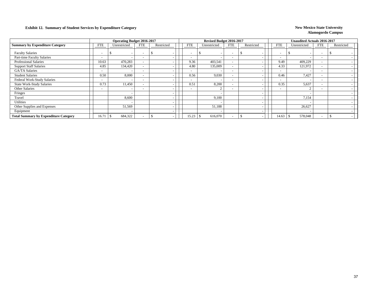### **Exhibit 12. Summary of Student Services by Expenditure Category New Mexico State University**

|                                              |                          | <b>Operating Budget 2016-2017</b> |                          |            |                          | Revised Budget 2016-2017 |                          |                          |                          | <b>Unaudited Actuals 2016-2017</b> |                          |            |
|----------------------------------------------|--------------------------|-----------------------------------|--------------------------|------------|--------------------------|--------------------------|--------------------------|--------------------------|--------------------------|------------------------------------|--------------------------|------------|
| <b>Summary by Expenditure Category</b>       | <b>FTE</b>               | Unrestricted                      | <b>FTE</b>               | Restricted | <b>FTE</b>               | Unrestricted             | FTE                      | Restricted               | <b>FTE</b>               | Unrestricted                       | FTE                      | Restricted |
| <b>Faculty Salaries</b>                      | $\overline{\phantom{a}}$ | $\overline{\phantom{a}}$          | $\overline{\phantom{0}}$ |            | <b>-</b>                 |                          | $\overline{\phantom{0}}$ |                          | $\overline{\phantom{a}}$ |                                    | $\overline{\phantom{0}}$ |            |
| Part-time Faculty Salaries                   | $\sim$                   | $\overline{\phantom{a}}$          |                          |            |                          |                          | $\overline{\phantom{a}}$ |                          | $\overline{\phantom{a}}$ |                                    |                          |            |
| <b>Professional Salaries</b>                 | 10.63                    | 470,283                           |                          |            | 9.36                     | 403,541                  | $\overline{\phantom{a}}$ |                          | 9.49                     | 409,229                            | $\overline{\phantom{0}}$ |            |
| <b>Support Staff Salaries</b>                | 4.85                     | 134,420                           |                          |            | 4.80                     | 135,009                  | $\overline{\phantom{a}}$ |                          | 4.33                     | 121,972                            | $\overline{\phantom{0}}$ |            |
| GA/TA Salaries                               | $\sim$                   |                                   | $\overline{\phantom{0}}$ |            |                          |                          | $\overline{\phantom{a}}$ |                          | $\overline{\phantom{0}}$ |                                    | $\overline{\phantom{0}}$ |            |
| <b>Student Salaries</b>                      | 0.50                     | 8,000                             |                          |            | 0.56                     | 9.030                    | $\overline{\phantom{a}}$ |                          | 0.46                     | 7.427                              |                          |            |
| Federal Work-Study Salaries                  | $\overline{\phantom{0}}$ | $\overline{\phantom{a}}$          | $\overline{\phantom{0}}$ |            |                          |                          | $\overline{\phantom{a}}$ |                          | $\overline{\phantom{a}}$ |                                    | $\sim$                   |            |
| <b>State Work-Study Salaries</b>             | 0.73                     | 11,450                            |                          |            | 0.51                     | 8,200                    | $\overline{\phantom{a}}$ |                          | 0.35                     | 5,637                              |                          |            |
| Other Salaries                               | $\overline{\phantom{0}}$ | $\overline{\phantom{a}}$          | $\overline{\phantom{0}}$ |            | $\overline{\phantom{a}}$ |                          | $\overline{\phantom{a}}$ |                          | $\overline{\phantom{a}}$ |                                    | $\overline{\phantom{0}}$ |            |
| Fringes                                      |                          |                                   |                          |            |                          |                          |                          |                          |                          |                                    |                          |            |
| Travel                                       |                          | 8,600                             |                          |            |                          | 9,100                    |                          | $\overline{\phantom{a}}$ |                          | 7,154                              |                          |            |
| Utilities                                    |                          | $\overline{\phantom{a}}$          |                          |            |                          |                          |                          |                          |                          |                                    |                          |            |
| Other Supplies and Expenses                  |                          | 51,569                            |                          |            |                          | 51,188                   |                          |                          |                          | 26,627                             |                          |            |
| Equipment                                    |                          | $\overline{\phantom{a}}$          |                          |            |                          |                          |                          |                          |                          |                                    |                          |            |
| <b>Total Summary by Expenditure Category</b> | 16.71                    | 684,322                           |                          |            | 15.23                    | 616,070<br><sup>\$</sup> | $\overline{\phantom{0}}$ |                          | 14.63                    | 578,048                            |                          |            |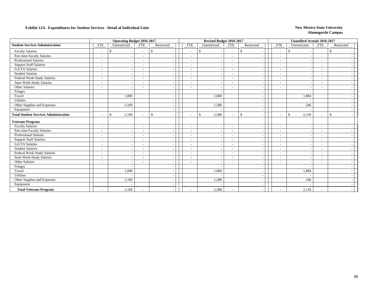|                                              |                          | <b>Operating Budget 2016-2017</b> |                          |               |                          | Revised Budget 2016-2017 |                          |                                          |                          | <b>Unaudited Actuals 2016-2017</b> |                          |               |
|----------------------------------------------|--------------------------|-----------------------------------|--------------------------|---------------|--------------------------|--------------------------|--------------------------|------------------------------------------|--------------------------|------------------------------------|--------------------------|---------------|
| <b>Student Services Administration</b>       | <b>FTE</b>               | Unrestricted                      | <b>FTE</b>               | Restricted    | <b>FTE</b>               | Unrestricted             | <b>FTE</b>               | Restricted                               | <b>FTE</b>               | Unrestricted                       | <b>FTE</b>               | Restricted    |
| <b>Faculty Salaries</b>                      | $\overline{\phantom{a}}$ | £.<br>$\overline{\phantom{a}}$    | $\overline{\phantom{a}}$ | <sup>\$</sup> | $\sim$                   | \$                       | $\overline{\phantom{a}}$ | $\mathbb{S}$                             | $\overline{\phantom{a}}$ | <sup>\$</sup>                      | $\sim$                   | -S            |
| Part-time Faculty Salaries                   | $\overline{\phantom{a}}$ | $\sim$                            | $\sim$                   |               | $\sim$                   |                          |                          |                                          | $\overline{\phantom{a}}$ |                                    | $\overline{\phantom{a}}$ |               |
| Professional Salaries                        | $\overline{\phantom{a}}$ | $\overline{\phantom{a}}$          | $\overline{\phantom{a}}$ |               | $\blacksquare$           |                          | $\overline{\phantom{a}}$ | $\overline{a}$                           | $\overline{\phantom{a}}$ |                                    | $\overline{\phantom{a}}$ |               |
| <b>Support Staff Salaries</b>                | $\overline{\phantom{a}}$ | $\overline{\phantom{a}}$          | $\overline{\phantom{a}}$ |               | $\overline{\phantom{a}}$ | $\overline{\phantom{a}}$ | $\overline{\phantom{0}}$ | $\overline{\phantom{a}}$                 | $\overline{\phantom{a}}$ |                                    | $\overline{\phantom{a}}$ |               |
| <b>GA/TA Salaries</b>                        |                          | $\sim$                            |                          |               | $\sim$                   |                          | $\overline{\phantom{a}}$ |                                          | $\overline{\phantom{a}}$ |                                    | $\overline{\phantom{a}}$ |               |
| <b>Student Salaries</b>                      | $\overline{\phantom{a}}$ | $\overline{\phantom{a}}$          | $\blacksquare$           |               | $\blacksquare$           |                          | $\overline{\phantom{a}}$ | $\overline{\phantom{a}}$                 | $\overline{\phantom{a}}$ |                                    | $\overline{\phantom{a}}$ |               |
| Federal Work-Study Salaries                  | $\overline{\phantom{a}}$ | $\overline{\phantom{a}}$          | $\overline{\phantom{a}}$ |               | $\overline{\phantom{a}}$ |                          | $\overline{\phantom{0}}$ | $\overline{\phantom{a}}$                 | $\overline{\phantom{a}}$ |                                    | $\overline{\phantom{a}}$ |               |
| State Work-Study Salaries                    | $\overline{\phantom{a}}$ | $\overline{\phantom{a}}$          | ۰                        |               | $\tilde{\phantom{a}}$    |                          | $\overline{\phantom{a}}$ | $\overline{\phantom{a}}$                 | $\overline{\phantom{a}}$ |                                    | $\overline{\phantom{a}}$ |               |
| Other Salaries                               | $\overline{\phantom{a}}$ | $\overline{\phantom{a}}$          | $\blacksquare$           |               |                          |                          | $\overline{\phantom{a}}$ | $\overline{\phantom{a}}$                 | $\overline{\phantom{a}}$ |                                    | $\overline{\phantom{a}}$ |               |
| Fringes                                      |                          | $\overline{\phantom{a}}$          |                          |               |                          |                          |                          | $\overline{\phantom{a}}$                 |                          |                                    |                          |               |
| Travel                                       |                          | 1.000                             |                          |               |                          | 1,000                    |                          | $\overline{\phantom{a}}$                 |                          | 1,884                              |                          |               |
| Utilities                                    |                          |                                   |                          |               |                          |                          |                          | $\overline{\phantom{a}}$                 |                          |                                    |                          |               |
| Other Supplies and Expenses                  |                          | 1,169                             |                          |               |                          | 1,288                    |                          | $\overline{\phantom{a}}$                 |                          | 246                                |                          |               |
| Equipment                                    |                          |                                   |                          |               |                          |                          |                          | $\overline{\phantom{a}}$                 |                          |                                    |                          |               |
| <b>Total Student Services Administration</b> | $\overline{\phantom{a}}$ | <sup>\$</sup><br>2,169            | $\overline{\phantom{a}}$ | \$            | $\overline{\phantom{a}}$ | 2,288<br>$\mathbb{S}$    | $\sim$                   | $\mathbb{S}$<br>$\overline{\phantom{a}}$ | $\overline{\phantom{a}}$ | $\mathcal{S}$<br>2,130             | $\sim$                   | $\mathcal{S}$ |
| <b>Veterans Program</b>                      |                          |                                   |                          |               |                          |                          |                          |                                          |                          |                                    |                          |               |
| <b>Faculty Salaries</b>                      | $\overline{\phantom{a}}$ | $\overline{\phantom{a}}$          | $\sim$                   |               | $\sim$                   |                          |                          | ÷.                                       | $\sim$                   |                                    |                          |               |
| Part-time Faculty Salaries                   | $\overline{\phantom{a}}$ | $\overline{\phantom{a}}$          | $\overline{\phantom{a}}$ |               | $\overline{\phantom{a}}$ |                          | $\overline{\phantom{a}}$ | $\overline{a}$                           | $\overline{\phantom{a}}$ |                                    | $\overline{\phantom{a}}$ |               |
| <b>Professional Salaries</b>                 | $\overline{\phantom{a}}$ | $\overline{\phantom{a}}$          | $\overline{\phantom{a}}$ |               | $\tilde{\phantom{a}}$    | $\overline{\phantom{a}}$ | $\overline{\phantom{0}}$ | $\overline{\phantom{a}}$                 | $\overline{\phantom{a}}$ |                                    | $\overline{\phantom{a}}$ |               |
| <b>Support Staff Salaries</b>                |                          | $\overline{\phantom{a}}$          | $\blacksquare$           |               | $\sim$                   |                          | $\overline{\phantom{a}}$ | $\overline{\phantom{a}}$                 | $\overline{\phantom{a}}$ |                                    | $\overline{\phantom{a}}$ |               |
| <b>GA/TA Salaries</b>                        | $\overline{\phantom{a}}$ | $\overline{\phantom{a}}$          | $\overline{\phantom{a}}$ |               | $\blacksquare$           |                          | $\sim$                   | $\overline{a}$                           | $\overline{\phantom{a}}$ |                                    | $\overline{\phantom{a}}$ |               |
| <b>Student Salaries</b>                      | $\overline{\phantom{a}}$ | $\overline{\phantom{a}}$          | $\overline{\phantom{a}}$ |               | $\blacksquare$           |                          | $\overline{\phantom{a}}$ | $\overline{\phantom{a}}$                 | $\overline{\phantom{a}}$ |                                    | $\overline{\phantom{a}}$ |               |
| Federal Work-Study Salaries                  | $\overline{\phantom{a}}$ | $\overline{\phantom{a}}$          | $\blacksquare$           |               | $\blacksquare$           |                          | $\overline{\phantom{a}}$ | ÷.                                       | $\overline{\phantom{a}}$ |                                    | $\overline{\phantom{a}}$ |               |
| <b>State Work-Study Salaries</b>             | $\overline{\phantom{a}}$ | $\overline{\phantom{a}}$          | $\overline{\phantom{a}}$ |               | $\blacksquare$           |                          | $\overline{\phantom{0}}$ | $\overline{\phantom{a}}$                 | $\overline{\phantom{a}}$ |                                    | $\overline{\phantom{a}}$ |               |
| Other Salaries                               | $\overline{\phantom{a}}$ | $\overline{\phantom{a}}$          | $\overline{\phantom{a}}$ |               | $\overline{\phantom{a}}$ | $\overline{\phantom{a}}$ | $\overline{\phantom{0}}$ | $\overline{\phantom{a}}$                 | $\overline{\phantom{a}}$ | . .                                | $\overline{\phantom{a}}$ |               |
| Fringes                                      |                          |                                   |                          |               |                          |                          |                          | $\overline{a}$                           |                          |                                    |                          |               |
| Travel                                       |                          | 1.000                             |                          |               |                          | 1,000                    |                          | $\overline{a}$                           |                          | 1,884                              |                          |               |
| Utilities                                    |                          |                                   |                          |               |                          |                          |                          | $\overline{\phantom{a}}$                 |                          |                                    |                          |               |
| Other Supplies and Expenses                  |                          | 1,169                             |                          |               |                          | 1,288                    |                          | $\overline{\phantom{a}}$                 |                          | 246                                |                          |               |
| Equipment                                    |                          |                                   |                          |               |                          |                          |                          |                                          |                          |                                    |                          |               |
| <b>Total Veterans Program</b>                |                          | 2,169                             |                          |               | $\overline{\phantom{a}}$ | 2,288                    |                          |                                          |                          | 2,130                              | $\overline{\phantom{a}}$ |               |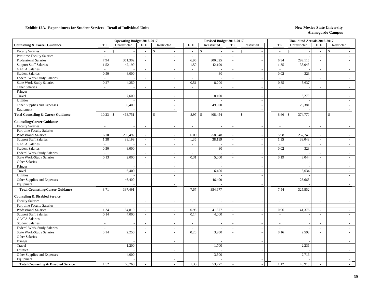|                                                |                          | <b>Operating Budget 2016-2017</b> |                             |                          |                             | Revised Budget 2016-2017 |                             |                                           |                          | <b>Unaudited Actuals 2016-2017</b> |                          |                          |
|------------------------------------------------|--------------------------|-----------------------------------|-----------------------------|--------------------------|-----------------------------|--------------------------|-----------------------------|-------------------------------------------|--------------------------|------------------------------------|--------------------------|--------------------------|
| <b>Counseling &amp; Career Guidance</b>        | <b>FTE</b>               | Unrestricted                      | <b>FTE</b>                  | Restricted               | <b>FTE</b>                  | Unrestricted             | <b>FTE</b>                  | Restricted                                | <b>FTE</b>               | Unrestricted                       | <b>FTE</b>               | Restricted               |
| <b>Faculty Salaries</b>                        | $\sim$                   | <sup>\$</sup>                     | $\mathcal{L}$               | $\mathbf{\hat{S}}$       | $\overline{\phantom{a}}$    | $\mathcal{S}$            | $\sim$                      | $\mathbf{\hat{s}}$                        | $\sim$                   | $\mathbb{S}$                       | $\overline{\phantom{a}}$ | \$                       |
| Part-time Faculty Salaries                     | $\overline{a}$           |                                   | $\sim$                      |                          | $\sim$                      |                          | $\overline{\phantom{a}}$    | $\overline{\phantom{a}}$                  | $\sim$                   |                                    | $\sim$                   |                          |
| Professional Salaries                          | 7.94                     | 351,302                           | $\sim$                      |                          | 6.96                        | 300,025                  | $\mathbb{Z}^2$              | $\sim$                                    | 6.94                     | 299,116                            | $\sim$                   |                          |
| <b>Support Staff Salaries</b>                  | 1.52                     | 42,199                            | $\mathcal{L}_{\mathcal{A}}$ |                          | 1.50                        | 42,199                   | $\sim$                      | $\overline{\phantom{a}}$                  | 1.35                     | 38,043                             | $\sim$                   |                          |
| GA/TA Salaries                                 | $\sim$                   |                                   | $\sim$                      | $\overline{\phantom{a}}$ | $\overline{\phantom{a}}$    |                          | $\sim$                      | $\overline{\phantom{a}}$                  | $\overline{a}$           |                                    | $\sim$                   |                          |
| <b>Student Salaries</b>                        | 0.50                     | 8,000                             | $\sim$                      | $\sim$                   | $\mathcal{L}$               | 30                       | $\sim$                      | $\overline{\phantom{a}}$                  | 0.02                     | 323                                | $\sim$                   | $\sim$                   |
| Federal Work-Study Salaries                    | $\sim$                   |                                   | $\mathcal{L}$               | $\sim$                   | $\sim$                      |                          | $\sim$                      | $\overline{\phantom{a}}$                  | $\sim$                   |                                    | $\overline{\phantom{a}}$ | $\sim$                   |
| <b>State Work-Study Salaries</b>               | 0.27                     | 4,250                             | $\sim$                      | $\overline{\phantom{a}}$ | 0.51                        | 8,200                    | $\sim$                      | $\overline{\phantom{a}}$                  | 0.35                     | 5,637                              | $\sim$                   | $\sim$                   |
| Other Salaries                                 | $\overline{\phantom{a}}$ | $\overline{\phantom{a}}$          | $\overline{\phantom{a}}$    | $\overline{\phantom{a}}$ | $\sim$                      | $\overline{\phantom{a}}$ | $\sim$                      | $\overline{\phantom{a}}$                  | $\sim$                   |                                    | $\overline{\phantom{a}}$ | $\overline{a}$           |
| Fringes                                        |                          |                                   |                             | $\overline{\phantom{a}}$ |                             | $\overline{\phantom{a}}$ |                             | $\overline{\phantom{a}}$                  |                          |                                    |                          | $\overline{a}$           |
| Travel                                         |                          | 7,600                             |                             | $\overline{\phantom{a}}$ |                             | 8,100                    |                             | $\overline{\phantom{a}}$                  |                          | 5,270                              |                          | $\overline{\phantom{a}}$ |
| <b>Utilities</b>                               |                          |                                   |                             | $\overline{\phantom{a}}$ |                             |                          |                             | $\overline{\phantom{a}}$                  |                          |                                    |                          |                          |
| Other Supplies and Expenses                    |                          | 50,400                            |                             | $\sim$                   |                             | 49,900                   |                             | $\overline{\phantom{a}}$                  |                          | 26,381                             |                          | $\sim$                   |
| Equipment                                      |                          |                                   |                             | $\overline{\phantom{a}}$ |                             |                          |                             | $\overline{\phantom{a}}$                  |                          |                                    |                          | $\sim$                   |
| <b>Total Counseling &amp; Career Guidance</b>  | 10.23                    | 463,751<br>\$                     | $\sim$                      | $\mathcal{S}$            | 8.97                        | 408,454<br>-S            | $\sim$                      | $\mathcal{S}$<br>$\overline{\phantom{a}}$ | 8.66                     | 374,770<br>- \$                    |                          | $\mathsf{\$}$            |
| <b>Counseling/Career Guidance</b>              |                          |                                   |                             |                          |                             |                          |                             |                                           |                          |                                    |                          |                          |
| <b>Faculty Salaries</b>                        | $\sim$                   |                                   | $\sim$                      |                          | $\sim$                      |                          | $\mathcal{L}_{\mathcal{A}}$ | $\overline{\phantom{a}}$                  | $\overline{\phantom{a}}$ |                                    | $\overline{\phantom{a}}$ | $\overline{a}$           |
| Part-time Faculty Salaries                     | $\sim$                   |                                   | $\sim$                      |                          | $\sim$                      |                          | $\sim$                      | $\overline{a}$                            | $\sim$                   |                                    | $\sim$                   |                          |
| <b>Professional Salaries</b>                   | 6.70                     | 296,492                           | $\sim$                      | $\overline{a}$           | 6.00                        | 258,648                  | $\sim$                      | $\overline{\phantom{a}}$                  | 5.98                     | 257,740                            | $\sim$                   | ÷.                       |
| <b>Support Staff Salaries</b>                  | 1.38                     | 38,199                            | $\sim$                      | $\overline{\phantom{a}}$ | 1.36                        | 38,199                   | $\sim$                      | $\overline{\phantom{a}}$                  | 1.35                     | 38,043                             | $\overline{\phantom{a}}$ | $\overline{\phantom{a}}$ |
| GA/TA Salaries                                 | $\mathbb{Z}^2$           |                                   | $\overline{\phantom{a}}$    | $\sim$                   | $\mathcal{L}_{\mathcal{A}}$ |                          | $\sim$                      | $\overline{\phantom{a}}$                  | $\equiv$                 |                                    | $\sim$                   | $\overline{\phantom{a}}$ |
| <b>Student Salaries</b>                        | 0.50                     | 8,000                             | $\sim$                      | $\sim$                   | $\overline{\phantom{a}}$    | 30                       | $\sim$                      | $\overline{\phantom{a}}$                  | 0.02                     | 323                                | $\overline{\phantom{a}}$ | $\overline{\phantom{a}}$ |
| Federal Work-Study Salaries                    | $\sim$                   |                                   | $\sim$                      | $\sim$                   | $\sim$                      |                          | $\overline{\phantom{a}}$    | $\overline{\phantom{a}}$                  | $\sim$                   |                                    | $\overline{\phantom{a}}$ | $\sim$                   |
| <b>State Work-Study Salaries</b>               | 0.13                     | 2,000                             | $\sim$                      | $\overline{\phantom{a}}$ | 0.31                        | 5,000                    | $\sim$                      | $\overline{a}$                            | 0.19                     | 3,044                              | $\overline{\phantom{a}}$ | $\overline{\phantom{a}}$ |
| Other Salaries                                 | $\blacksquare$           |                                   | $\sim$                      | $\sim$                   | $\sim$                      |                          | $\sim$                      | $\overline{\phantom{a}}$                  | $\sim$                   |                                    | $\sim$                   | $\sim$                   |
| Fringes                                        |                          |                                   |                             |                          |                             |                          |                             | $\overline{\phantom{a}}$                  |                          |                                    |                          |                          |
| Travel                                         |                          | 6,400                             |                             | $\sim$                   |                             | 6,400                    |                             | $\overline{\phantom{a}}$                  |                          | 3,034                              |                          |                          |
| <b>Utilities</b>                               |                          |                                   |                             | $\overline{\phantom{a}}$ |                             |                          |                             | $\overline{\phantom{a}}$                  |                          |                                    |                          |                          |
| Other Supplies and Expenses                    |                          | 46,400                            |                             | $\overline{\phantom{a}}$ |                             | 46,400                   |                             | $\overline{\phantom{a}}$                  |                          | 23,668                             |                          | $\sim$                   |
| Equipment                                      |                          |                                   |                             | $\overline{\phantom{a}}$ |                             |                          |                             | $\sim$                                    |                          |                                    |                          | $\sim$                   |
| <b>Total Counseling/Career Guidance</b>        | 8.71                     | 397,491                           | $\sim$                      |                          | 7.67                        | 354,677                  | $\sim$                      | $\overline{\phantom{a}}$                  | 7.54                     | 325,852                            | $\sim$                   |                          |
| <b>Counseling &amp; Disabled Service</b>       |                          |                                   |                             |                          |                             |                          |                             |                                           |                          |                                    |                          |                          |
| <b>Faculty Salaries</b>                        | $\overline{a}$           | $\overline{a}$                    | $\sim$                      | $\overline{\phantom{a}}$ | $\sim$                      |                          | $\sim$                      | $\overline{a}$                            | $\sim$                   |                                    | $\sim$                   |                          |
| Part-time Faculty Salaries                     | $\sim$                   |                                   | $\overline{\phantom{a}}$    | $\sim$                   | $\sim$                      |                          | $\overline{\phantom{a}}$    | $\overline{\phantom{a}}$                  | $\sim$                   |                                    | $\overline{\phantom{a}}$ | $\sim$                   |
| <b>Professional Salaries</b>                   | 1.24                     | 54,810                            | $\sim$                      |                          | 0.96                        | 41,377                   | $\overline{\phantom{a}}$    | $\overline{\phantom{a}}$                  | 0.96                     | 41,376                             | $\overline{\phantom{a}}$ |                          |
| <b>Support Staff Salaries</b>                  | 0.14                     | 4,000                             | $\mathcal{L}_{\mathcal{A}}$ | $\overline{a}$           | 0.14                        | 4,000                    | $\sim$                      | $\overline{\phantom{a}}$                  | $\sim$                   |                                    | $\sim$                   | $\sim$                   |
| GA/TA Salaries                                 | $\overline{\phantom{a}}$ | $\overline{\phantom{a}}$          | $\sim$                      | $\sim$                   | $\sim$                      |                          | $\sim$                      | $\overline{a}$                            | $\sim$                   |                                    | $\overline{\phantom{a}}$ | $\overline{\phantom{a}}$ |
| <b>Student Salaries</b>                        | $\overline{\phantom{a}}$ | $\overline{\phantom{a}}$          | $\sim$                      | $\sim$                   | $\sim$                      | $\overline{\phantom{a}}$ | $\sim$                      | $\sim$                                    | $\sim$                   | $\overline{\phantom{a}}$           | $\overline{\phantom{a}}$ | $\sim$                   |
| Federal Work-Study Salaries                    | $\overline{\phantom{a}}$ |                                   | $\sim$                      | $\overline{\phantom{a}}$ | $\overline{\phantom{a}}$    |                          | $\sim$                      | $\overline{\phantom{a}}$                  | $\overline{\phantom{a}}$ |                                    | $\overline{\phantom{a}}$ | $\overline{\phantom{a}}$ |
| State Work-Study Salaries                      | 0.14                     | 2,250                             | $\mathcal{L}_{\mathcal{A}}$ | $\sim$                   | 0.20                        | 3,200                    | $\sim$                      | $\overline{\phantom{a}}$                  | 0.16                     | 2,593                              | $\sim$                   | $\overline{\phantom{a}}$ |
| Other Salaries                                 | $\overline{a}$           |                                   | $\sim$                      |                          | $\sim$                      |                          | $\sim$                      | $\overline{\phantom{a}}$                  | $\overline{\phantom{a}}$ |                                    |                          | $\sim$                   |
| Fringes                                        |                          |                                   |                             | $\overline{\phantom{a}}$ |                             |                          |                             | $\overline{\phantom{a}}$                  |                          |                                    |                          | $\overline{\phantom{a}}$ |
| Travel                                         |                          | 1,200                             |                             | $\overline{\phantom{a}}$ |                             | 1,700                    |                             | $\sim$                                    |                          | 2,236                              |                          | $\sim$                   |
| <b>Utilities</b>                               |                          |                                   |                             |                          |                             |                          |                             | $\overline{\phantom{a}}$                  |                          |                                    |                          |                          |
| Other Supplies and Expenses                    |                          | 4,000                             |                             | $\overline{\phantom{a}}$ |                             | 3,500                    |                             | $\overline{\phantom{a}}$                  |                          | 2,713                              |                          |                          |
| Equipment                                      |                          |                                   |                             | $\sim$                   |                             |                          |                             | $\overline{\phantom{a}}$                  |                          |                                    |                          | $\overline{\phantom{a}}$ |
| <b>Total Counseling &amp; Disabled Service</b> | 1.52                     | 66,260                            |                             |                          | 1.30                        | 53,777                   |                             |                                           | 1.12                     | 48,918                             |                          |                          |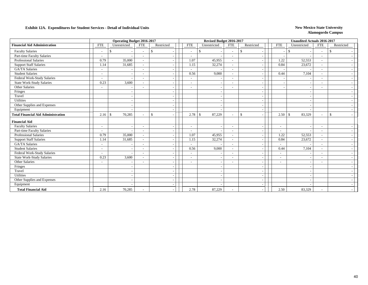|                                           | <b>Operating Budget 2016-2017</b> |                                           |                          |               |                          | Revised Budget 2016-2017 |                          |                                          |                          | <b>Unaudited Actuals 2016-2017</b> |                          |               |
|-------------------------------------------|-----------------------------------|-------------------------------------------|--------------------------|---------------|--------------------------|--------------------------|--------------------------|------------------------------------------|--------------------------|------------------------------------|--------------------------|---------------|
| <b>Financial Aid Administration</b>       | <b>FTE</b>                        | Unrestricted                              | <b>FTE</b>               | Restricted    | <b>FTE</b>               | Unrestricted             | <b>FTE</b>               | Restricted                               | <b>FTE</b>               | Unrestricted                       | <b>FTE</b>               | Restricted    |
| <b>Faculty Salaries</b>                   | $\tilde{\phantom{a}}$             | <sup>\$</sup><br>$\overline{\phantom{a}}$ |                          | $\mathcal{S}$ | $\sim$                   | \$                       | $\overline{\phantom{a}}$ | $\mathbb{S}$<br>$\overline{\phantom{a}}$ |                          | <sup>\$</sup>                      | $\sim$                   | <sup>\$</sup> |
| Part-time Faculty Salaries                | $\overline{\phantom{a}}$          |                                           |                          |               | $\overline{\phantom{a}}$ |                          | $\overline{\phantom{a}}$ | $\overline{\phantom{a}}$                 |                          |                                    | $\overline{\phantom{a}}$ |               |
| Professional Salaries                     | 0.79                              | 35,000                                    |                          |               | 1.07                     | 45,955                   |                          |                                          | 1.22                     | 52,553                             | $\overline{\phantom{a}}$ |               |
| <b>Support Staff Salaries</b>             | 1.14                              | 31,685                                    | $\overline{\phantom{a}}$ |               | 1.15                     | 32,274                   | $\sim$                   | $\overline{\phantom{a}}$                 | 0.84                     | 23,672                             | $\sim$                   |               |
| <b>GA/TA Salaries</b>                     | $\overline{\phantom{a}}$          |                                           |                          |               | $\sim$                   |                          | $\overline{\phantom{a}}$ | $\overline{\phantom{a}}$                 |                          |                                    | $\sim$                   |               |
| <b>Student Salaries</b>                   | $\sim$                            |                                           |                          |               | 0.56                     | 9,000                    | $\overline{\phantom{a}}$ | $\overline{\phantom{a}}$                 | 0.44                     | 7,104                              | $\sim$                   |               |
| Federal Work-Study Salaries               | $\overline{\phantom{a}}$          |                                           | $\overline{\phantom{a}}$ |               | $\sim$                   |                          | $\overline{\phantom{a}}$ | $\overline{\phantom{a}}$                 |                          |                                    | $\overline{\phantom{a}}$ |               |
| <b>State Work-Study Salaries</b>          | 0.23                              | 3,600                                     |                          |               | $\overline{\phantom{a}}$ |                          | $\overline{\phantom{0}}$ | $\overline{\phantom{a}}$                 |                          |                                    | $\overline{\phantom{0}}$ |               |
| Other Salaries                            | $\sim$                            |                                           |                          |               | $\overline{\phantom{a}}$ |                          | $\overline{\phantom{0}}$ | $\overline{\phantom{a}}$                 |                          |                                    | $\overline{\phantom{a}}$ |               |
| Fringes                                   |                                   | $\overline{\phantom{a}}$                  |                          |               |                          |                          |                          | $\overline{\phantom{a}}$                 |                          | -                                  |                          |               |
| Travel                                    |                                   | $\sim$                                    |                          |               |                          |                          |                          | $\overline{\phantom{a}}$                 |                          |                                    |                          |               |
| Utilities                                 |                                   | $\sim$                                    |                          |               |                          |                          |                          | $\overline{\phantom{a}}$                 |                          |                                    |                          |               |
| Other Supplies and Expenses               |                                   | $\overline{\phantom{a}}$                  |                          |               |                          |                          |                          | $\overline{\phantom{a}}$                 |                          |                                    |                          |               |
| Equipment                                 |                                   |                                           |                          |               |                          |                          |                          | $\overline{\phantom{a}}$                 |                          |                                    |                          |               |
| <b>Total Financial Aid Administration</b> |                                   | 70,285                                    |                          | <sup>\$</sup> |                          | 87,229                   | $\sim$                   | $\mathbb{S}$                             | 2.50                     | 83,329<br>-\$                      | $\sim$                   | $\mathbf{s}$  |
| <b>Financial Aid</b>                      |                                   |                                           |                          |               |                          |                          |                          |                                          |                          |                                    |                          |               |
| <b>Faculty Salaries</b>                   | $\sim$                            | $\overline{\phantom{a}}$                  | $\overline{\phantom{a}}$ |               | $\overline{\phantom{a}}$ |                          |                          | $\overline{\phantom{a}}$                 | $\overline{\phantom{a}}$ |                                    | $\overline{\phantom{a}}$ |               |
| Part-time Faculty Salaries                | $\overline{\phantom{a}}$          |                                           | $\overline{\phantom{a}}$ |               | $\sim$                   |                          | $\overline{\phantom{a}}$ | $\overline{\phantom{a}}$                 | $\overline{\phantom{a}}$ |                                    | $\overline{\phantom{a}}$ |               |
| <b>Professional Salaries</b>              | 0.79                              | 35,000                                    | $\overline{\phantom{a}}$ |               | 1.07                     | 45,955                   | $\sim$                   | $\overline{\phantom{a}}$                 | 1.22                     | 52,553                             | $\sim$                   |               |
| <b>Support Staff Salaries</b>             | 1.14                              | 31,685                                    |                          |               | 1.15                     | 32,274                   | $\overline{\phantom{a}}$ | $\overline{\phantom{a}}$                 | 0.84                     | 23,672                             | $\sim$                   |               |
| <b>GA/TA Salaries</b>                     | $\overline{\phantom{a}}$          |                                           |                          |               | $\overline{\phantom{a}}$ |                          | $\overline{\phantom{a}}$ | $\overline{\phantom{a}}$                 | $\overline{\phantom{a}}$ |                                    | $\overline{\phantom{a}}$ |               |
| <b>Student Salaries</b>                   | $\sim$                            | $\overline{\phantom{a}}$                  |                          |               | 0.56                     | 9,000                    | $\sim$                   | $\overline{\phantom{a}}$                 | 0.44                     | 7,104                              | $\overline{\phantom{a}}$ |               |
| Federal Work-Study Salaries               | $\overline{\phantom{a}}$          | $\overline{a}$                            |                          |               | $\overline{\phantom{a}}$ |                          |                          | $\overline{\phantom{a}}$                 | $\overline{\phantom{a}}$ |                                    | $\overline{\phantom{a}}$ |               |
| <b>State Work-Study Salaries</b>          | 0.23                              | 3,600                                     |                          |               | $\overline{\phantom{0}}$ |                          | $\overline{\phantom{a}}$ | $\overline{\phantom{a}}$                 | $\overline{\phantom{a}}$ |                                    | $\overline{\phantom{a}}$ |               |
| Other Salaries                            | $\sim$                            | $\overline{\phantom{a}}$                  |                          |               | ۰                        | $\overline{\phantom{a}}$ | $\overline{\phantom{a}}$ | $\overline{\phantom{a}}$                 | $\overline{\phantom{a}}$ |                                    | $\overline{\phantom{0}}$ |               |
| Fringes                                   |                                   | $\overline{\phantom{a}}$                  |                          |               |                          |                          |                          |                                          |                          |                                    |                          |               |
| Travel                                    |                                   | $\overline{\phantom{a}}$                  |                          |               |                          |                          |                          | $\overline{\phantom{a}}$                 |                          |                                    |                          |               |
| Utilities                                 |                                   | $\sim$                                    |                          |               |                          |                          |                          | $\overline{\phantom{a}}$                 |                          |                                    |                          |               |
| Other Supplies and Expenses               |                                   | $\sim$                                    |                          |               |                          |                          |                          | $\overline{\phantom{a}}$                 |                          |                                    |                          |               |
| Equipment                                 |                                   |                                           |                          |               |                          |                          |                          |                                          |                          |                                    |                          |               |
| <b>Total Financial Aid</b>                | 2.16                              | 70,285                                    |                          |               | 2.78                     | 87,229                   |                          |                                          | 2.50                     | 83,329                             | $\overline{\phantom{a}}$ |               |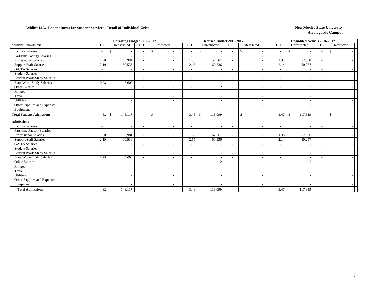|                                 | <b>Operating Budget 2016-2017</b> |                          |                          |              |            |                          | Revised Budget 2016-2017 |                          |              |                          |                          | <b>Unaudited Actuals 2016-2017</b> |                          |              |  |
|---------------------------------|-----------------------------------|--------------------------|--------------------------|--------------|------------|--------------------------|--------------------------|--------------------------|--------------|--------------------------|--------------------------|------------------------------------|--------------------------|--------------|--|
| <b>Student Admissions</b>       | <b>FTE</b>                        | Unrestricted             | <b>FTE</b>               | Restricted   | <b>FTE</b> |                          | Unrestricted             | <b>FTE</b>               | Restricted   |                          | <b>FTE</b>               | Unrestricted                       | <b>FTE</b>               | Restricted   |  |
| <b>Faculty Salaries</b>         | $\overline{\phantom{a}}$          | \$                       |                          | -\$          |            | $\sim$                   | \$                       | $\overline{\phantom{a}}$ | $\mathbb{S}$ |                          | $\sim$                   | -\$                                | $\sim$                   | \$.          |  |
| Part-time Faculty Salaries      |                                   |                          |                          |              |            | $\overline{\phantom{a}}$ |                          | $\sim$                   |              |                          |                          |                                    | $\overline{\phantom{a}}$ |              |  |
| Professional Salaries           | 1.90                              | 83,981                   | $\sim$                   |              |            | 1.33                     | 57,561                   | $\sim$                   |              |                          | 1.33                     | 57,560                             | $\sim$                   |              |  |
| <b>Support Staff Salaries</b>   | 2.19                              | 60,536                   |                          |              |            | 2.15                     | 60,536                   | $\sim$                   |              | $\overline{\phantom{a}}$ | 2.14                     | 60,257                             | $\sim$                   |              |  |
| <b>GA/TA Salaries</b>           | $\blacksquare$                    |                          |                          |              |            | $\overline{\phantom{a}}$ |                          |                          |              |                          | $\sim$                   |                                    | $\overline{\phantom{a}}$ |              |  |
| <b>Student Salaries</b>         | $\overline{\phantom{a}}$          |                          |                          |              |            | $\overline{\phantom{a}}$ |                          | $\overline{\phantom{a}}$ |              | $\overline{\phantom{a}}$ | $\sim$                   |                                    | $\overline{\phantom{a}}$ |              |  |
| Federal Work-Study Salaries     | $\blacksquare$                    | $\overline{\phantom{a}}$ |                          |              |            | $\overline{\phantom{a}}$ |                          | $\sim$                   |              | $\overline{\phantom{a}}$ | $\sim$                   |                                    | $\overline{\phantom{a}}$ |              |  |
| State Work-Study Salaries       | 0.23                              | 3,600                    |                          |              |            | ۰                        |                          |                          |              | $\overline{\phantom{a}}$ | $\overline{\phantom{a}}$ |                                    | $\overline{\phantom{a}}$ |              |  |
| Other Salaries                  | $\overline{\phantom{a}}$          |                          |                          |              |            | $\overline{\phantom{a}}$ | $\sqrt{2}$               | $\overline{\phantom{a}}$ |              | $\overline{\phantom{a}}$ | $\overline{\phantom{a}}$ | $\overline{c}$                     |                          |              |  |
| Fringes                         |                                   | $\overline{\phantom{a}}$ |                          |              |            |                          |                          |                          |              | $\overline{\phantom{a}}$ |                          |                                    |                          |              |  |
| Travel                          |                                   | $\overline{\phantom{a}}$ |                          |              |            |                          |                          |                          |              | $\overline{\phantom{a}}$ |                          |                                    |                          |              |  |
| Utilities                       |                                   |                          |                          |              |            |                          |                          |                          |              |                          |                          |                                    |                          |              |  |
| Other Supplies and Expenses     |                                   | $\overline{\phantom{a}}$ |                          |              |            |                          |                          |                          |              | $\overline{\phantom{a}}$ |                          |                                    |                          |              |  |
| Equipment                       |                                   | $\overline{\phantom{a}}$ |                          |              |            |                          |                          |                          |              | $\overline{\phantom{a}}$ |                          |                                    |                          |              |  |
| <b>Total Student Admissions</b> | $4.32 \, \text{S}$                | 148,117                  |                          | $\mathbb{S}$ |            | 3.48                     | 118,099<br>$\mathcal{S}$ | $\sim$                   | $\mathbb{S}$ |                          | 3.47                     | $\mathbf{s}$<br>117,819            | $\sim$                   | $\mathbb{S}$ |  |
| <b>Admissions</b>               |                                   |                          |                          |              |            |                          |                          |                          |              |                          |                          |                                    |                          |              |  |
| <b>Faculty Salaries</b>         | $\sim$                            |                          | $\overline{\phantom{a}}$ |              |            | $\overline{\phantom{a}}$ |                          | $\overline{\phantom{a}}$ |              |                          | $\overline{\phantom{a}}$ |                                    | $\overline{\phantom{a}}$ |              |  |
| Part-time Faculty Salaries      | $\overline{\phantom{a}}$          |                          | $\overline{\phantom{a}}$ |              |            | $\sim$                   | <b>.</b>                 | $\overline{\phantom{a}}$ |              | $\overline{\phantom{a}}$ | $\overline{\phantom{a}}$ |                                    | $\overline{\phantom{a}}$ |              |  |
| <b>Professional Salaries</b>    | 1.90                              | 83,981                   | $\overline{\phantom{a}}$ |              |            | 1.33                     | 57,561                   | $\sim$                   |              | $\overline{\phantom{a}}$ | 1.33                     | 57,560                             | $\overline{\phantom{a}}$ |              |  |
| <b>Support Staff Salaries</b>   | 2.19                              | 60,536                   |                          |              |            | 2.15                     | 60,536                   | $\sim$                   |              | $\overline{\phantom{a}}$ | 2.14                     | 60,257                             | $\overline{\phantom{a}}$ |              |  |
| <b>GA/TA Salaries</b>           | $\overline{\phantom{a}}$          |                          |                          |              |            | $\overline{\phantom{a}}$ |                          |                          |              | $\overline{\phantom{a}}$ | $\overline{\phantom{a}}$ |                                    |                          |              |  |
| <b>Student Salaries</b>         | $\overline{\phantom{a}}$          | $\overline{\phantom{a}}$ |                          |              |            | $\overline{\phantom{a}}$ |                          | $\overline{\phantom{a}}$ |              | $\overline{\phantom{a}}$ | $\sim$                   |                                    | $\overline{\phantom{a}}$ |              |  |
| Federal Work-Study Salaries     | $\overline{\phantom{a}}$          | $\overline{\phantom{a}}$ | ۰                        |              |            | $\overline{\phantom{a}}$ |                          | $\overline{\phantom{a}}$ |              | $\overline{\phantom{a}}$ | $\overline{\phantom{a}}$ |                                    | $\overline{\phantom{a}}$ |              |  |
| State Work-Study Salaries       | 0.23                              | 3,600                    |                          |              |            | $\overline{\phantom{a}}$ | $\overline{\phantom{a}}$ | $\overline{\phantom{a}}$ |              | $\overline{\phantom{a}}$ | $\overline{\phantom{a}}$ |                                    | $\overline{\phantom{a}}$ |              |  |
| Other Salaries                  | $\overline{\phantom{a}}$          | $\overline{\phantom{a}}$ |                          |              |            | $\overline{\phantom{a}}$ | 2                        | $\overline{\phantom{a}}$ |              | $\overline{\phantom{a}}$ |                          | 2                                  | $\overline{\phantom{a}}$ |              |  |
| Fringes                         |                                   |                          |                          |              |            |                          |                          |                          |              |                          |                          |                                    |                          |              |  |
| Travel                          |                                   | $\overline{\phantom{a}}$ |                          |              |            |                          |                          |                          |              | $\overline{\phantom{a}}$ |                          |                                    |                          |              |  |
| Utilities                       |                                   | $\overline{\phantom{a}}$ |                          |              |            |                          |                          |                          |              | $\overline{\phantom{a}}$ |                          |                                    |                          |              |  |
| Other Supplies and Expenses     |                                   |                          |                          |              |            |                          |                          |                          |              |                          |                          |                                    |                          |              |  |
| Equipment                       |                                   |                          |                          |              |            |                          |                          |                          |              |                          |                          |                                    |                          |              |  |
| <b>Total Admissions</b>         | 4.32                              | 148,117                  |                          |              |            | 3.48                     | 118,099                  |                          |              |                          | 3.47                     | 117,819                            |                          |              |  |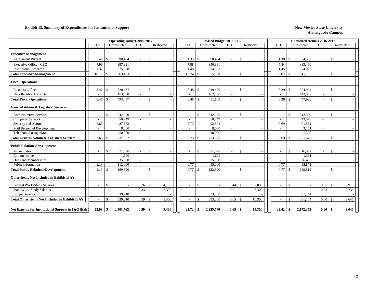#### **Exhibit 13. Summary of Expenditures for Institutional Support** New Mexico State University

|                                                        |            | <b>Operating Budget 2016-2017</b> |                          |                        |                          | Revised Budget 2016-2017 |                          |                                           |                          | <b>Unaudited Actuals 2016-2017</b> |                          |                    |       |
|--------------------------------------------------------|------------|-----------------------------------|--------------------------|------------------------|--------------------------|--------------------------|--------------------------|-------------------------------------------|--------------------------|------------------------------------|--------------------------|--------------------|-------|
|                                                        | <b>FTE</b> | Unrestricted                      | <b>FTE</b>               | Restricted             | <b>FTE</b>               | Unrestricted             | <b>FTE</b>               | Restricted                                | <b>FTE</b>               | Unrestricted                       | <b>FTE</b>               | Restricted         |       |
| <b>Executive Management</b>                            |            |                                   |                          |                        |                          |                          |                          |                                           |                          |                                    |                          |                    |       |
| <b>Assessment Budget</b>                               | 1.41       | $\mathbb{S}$<br>90,484            | $\sim$                   | $\mathbf{s}$           | 1.38                     | 90.484<br>$\mathcal{S}$  |                          | $\mathcal{S}$                             | 1.38                     | $\mathcal{S}$<br>84,307            | $\sim$                   | $\mathcal{S}$      |       |
| <b>Executive Office - CEO</b>                          | 7.98       | 397,931                           | $\overline{\phantom{a}}$ |                        | 7.88                     | 390,881                  |                          |                                           | 7.84                     | 383,460                            | $\overline{\phantom{a}}$ |                    |       |
| <b>Institutional Research</b>                          | 1.37       | 75,038                            | $\sim$                   |                        | 1.48                     | 74,503                   | $\sim$                   |                                           | 1.45                     | 74,026                             | $\sim$                   |                    |       |
| <b>Total Executive Management</b>                      | 10.76      | 563,453<br>-S                     | $\sim$                   | $\mathcal{S}$          | 10.74                    | 555,868<br>-S            |                          | $\mathcal{S}$                             | 10.67                    | $\mathbf{\hat{s}}$<br>541,793      | $\sim$                   | \$                 |       |
| <b>Fiscal Operations</b>                               |            |                                   |                          |                        |                          |                          |                          |                                           |                          |                                    |                          |                    |       |
| <b>Business Office</b>                                 | 8.47       | 320.487<br>$\mathcal{S}$          | $\sim$                   | $\mathcal{S}$          | 8.48                     | 319,109<br>-S            | $\overline{\phantom{a}}$ | $\mathcal{S}$                             | 8.29                     | 304.924<br>-\$                     | $\sim$                   | \$                 |       |
| <b>Uncollectible Accounts</b>                          |            | 173,000                           | $\overline{\phantom{a}}$ |                        |                          | 162,000                  |                          |                                           | $\sim$                   | 143,002                            | $\sim$                   |                    |       |
| <b>Total Fiscal Operations</b>                         | 8.47       | $\mathcal{S}$<br>493,487          | $\sim$                   | $\mathcal{S}$          | 8.48                     | 481,109<br>-S            |                          | <sup>\$</sup>                             | 8.29                     | $\mathcal{S}$<br>447,926           | $\sim$                   | -S                 |       |
| <b>General Admin &amp; Logistical Services</b>         |            |                                   |                          |                        |                          |                          |                          |                                           |                          |                                    |                          |                    |       |
| <b>Administrative Services</b>                         | $\sim$     | \$<br>542,000                     | $\sim$                   | $\mathcal{S}$          | $\overline{\phantom{a}}$ | $\mathcal{S}$<br>542,000 |                          | $\mathcal{S}$                             | $\sim$                   | $\mathbf{\$}$<br>542,000           | $\sim$                   | $\mathcal{S}$      |       |
| <b>Computer Network</b>                                |            | 50,249                            | $\overline{\phantom{a}}$ |                        |                          | 50,249                   |                          |                                           | $\sim$                   | 43,576                             | $\overline{\phantom{a}}$ |                    |       |
| Security and Alarm                                     | 2.63       | 87,673                            | $\sim$                   |                        | 2.73                     | 92,824                   | $\sim$                   |                                           | 2.69                     | 91,561                             | $\sim$                   |                    |       |
| <b>Staff Personnel Development</b>                     | $\sim$     | 8,000                             | $\sim$                   |                        |                          | 8,000                    | $\overline{\phantom{a}}$ |                                           | $\sim$                   | 3,151                              | $\sim$                   |                    |       |
| Telephone/Postage/Mail                                 |            | 50,000                            | $\overline{\phantom{a}}$ |                        |                          | 40,000                   |                          |                                           |                          | 41,390                             | $\sim$                   |                    |       |
| <b>Total General Admin &amp; Logistical Services</b>   | 2.63       | 737,922<br><sup>\$</sup>          | $\sim$                   | $\mathbb{S}$           | 2.73                     | 733,073<br>-S            |                          | $\mathcal{S}$                             | 2.69                     | $\mathcal{S}$<br>721,678           | $\sim$                   | $\mathcal{S}$      |       |
| <b>Public Relations/Development</b>                    |            |                                   |                          |                        |                          |                          |                          |                                           |                          |                                    |                          |                    |       |
| Accreditation                                          | $\sim$     | \$<br>21,090                      | $\sim$                   | $\mathcal{S}$          |                          | $\mathbf{s}$<br>21.090   |                          | $\mathcal{S}$<br>$\overline{\phantom{a}}$ | $\overline{\phantom{a}}$ | $\mathbb{S}$<br>16,097             | $\sim$                   | $\mathbf{\hat{S}}$ |       |
| Commencement                                           | $\sim$     | 1,600                             | $\sim$                   |                        |                          | 1,600                    | $\sim$                   | $\overline{\phantom{a}}$                  | $\sim$                   | 1,361                              | $\overline{\phantom{a}}$ |                    |       |
| Dues and Memberships                                   | $\sim$     | 35,000                            | $\sim$                   |                        | $\overline{\phantom{a}}$ | 35,000                   | $\overline{\phantom{0}}$ | $\overline{\phantom{a}}$                  | $\sim$                   | 26,482                             | $\sim$                   |                    |       |
| Public Information                                     | 1.13       | 112,000                           | $\overline{\phantom{a}}$ |                        | 0.77                     | 95,000                   |                          |                                           | 0.77                     | 85,872                             | $\overline{\phantom{a}}$ |                    |       |
| <b>Total Public Relations/Development</b>              | 1.13       | $\mathcal{S}$<br>169,690          | $\sim$                   | $\mathbf{\hat{S}}$     | 0.77                     | 152,690<br>$\mathcal{S}$ |                          | $\mathbf{\hat{s}}$                        | 0.77                     | $\mathcal{S}$<br>129.812           | $\sim$                   | $\mathbf{\hat{S}}$ |       |
| Other Items Not Included in Exhibit 13A's              |            |                                   |                          |                        |                          |                          |                          |                                           |                          |                                    |                          |                    |       |
| Federal Work-Study Salaries                            | $\sim$     | <sup>\$</sup>                     | 0.26                     | $\mathcal{S}$<br>4,100 | $\overline{\phantom{a}}$ | $\mathcal{S}$            | 0.44                     | $\mathcal{S}$<br>7,000                    | $\sim$                   | $\mathbf{\$}$                      | 0.37                     | $\mathbf{\hat{S}}$ | 5,910 |
| <b>State Work-Study Salaries</b>                       |            |                                   | 0.33                     | 5,300                  |                          |                          | 0.21                     | 3,300                                     | $\overline{\phantom{a}}$ |                                    | 0.23                     |                    | 3,736 |
| Fringe Benefits                                        |            | 339,210                           |                          |                        |                          | 333,000                  |                          |                                           |                          | 331,144                            |                          |                    |       |
| <b>Total Other Items Not Included in Exhibit 13A's</b> |            | <sup>\$</sup><br>339,210          | 0.59                     | 9,400<br>-\$           |                          | 333,000<br><sup>\$</sup> | 0.65                     | 10,300<br><sup>\$</sup>                   | $\overline{\phantom{a}}$ | $\mathcal{S}$<br>331,144           | 0.60                     | $\mathcal{S}$      | 9,646 |
| Net Expense for Institutional Support in I&G (Exh.)    | 22.99      | 2,303,762<br>\$                   | 0.59                     | 9,400<br>-8            | 22.72                    | 2,255,740<br>-\$         | 0.65                     | 10,300<br>-8                              | 22.42                    | 2,172,353<br>-\$                   | 0.60                     | -9                 | 9,646 |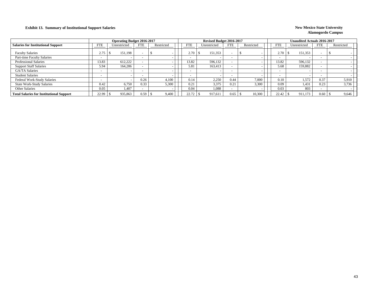### **Exhibit 13. Summary of Institutional Support Salaries New Mexico State University**

|                                                 |            | <b>Operating Budget 2016-2017</b> |                          |            |            | Revised Budget 2016-2017 |            |            |                          | <b>Unaudited Actuals 2016-2017</b> |            |            |       |
|-------------------------------------------------|------------|-----------------------------------|--------------------------|------------|------------|--------------------------|------------|------------|--------------------------|------------------------------------|------------|------------|-------|
| <b>Salaries for Institutional Support</b>       | <b>FTE</b> | Unrestricted                      | <b>FTE</b>               | Restricted | <b>FTE</b> | Unrestricted             | <b>FTE</b> | Restricted | <b>FTE</b>               | Unrestricted                       | <b>FTE</b> | Restricted |       |
| <b>Faculty Salaries</b>                         | 2.75       | 151,198                           | $\overline{\phantom{a}}$ |            | 2.70       | 151,353                  |            |            | 2.70                     | 151,353                            |            |            |       |
| Part-time Faculty Salaries                      |            |                                   | $\overline{\phantom{a}}$ |            |            |                          |            |            | $\overline{\phantom{0}}$ |                                    |            |            |       |
| <b>Professional Salaries</b>                    | 13.83      | 612,222                           |                          |            | 3.82       | 596,132                  |            |            | 13.82                    | 596,132                            |            |            |       |
| <b>Support Staff Salaries</b>                   | 5.94       | 164.286                           |                          |            | 5.81       | 163,413                  |            |            | 5.68                     | 159,882                            |            |            |       |
| <b>GA/TA Salaries</b>                           |            |                                   | $\overline{\phantom{a}}$ |            |            |                          |            |            | $\overline{\phantom{0}}$ |                                    |            |            |       |
| <b>Student Salaries</b>                         |            |                                   | $\overline{\phantom{0}}$ |            |            |                          |            |            | $\overline{\phantom{0}}$ |                                    |            |            |       |
| <b>Federal Work-Study Salaries</b>              |            |                                   | 0.26                     | 4.100      | 0.14       | 2,250                    | 0.44       | 7.000      | 0.10                     | 1.572                              | 0.37       |            | 5,910 |
| <b>State Work-Study Salaries</b>                | 0.42       | 6,750                             | 0.33                     | 5,300      | 0.21       | 3,375                    | 0.21       | 3.300      | 0.09                     | 1,431                              | 0.23       |            | 3,736 |
| Other Salaries                                  | 0.05       | 1,407                             |                          |            | 0.04       | 1,088                    |            |            | 0.03                     | 803                                |            |            |       |
| <b>Total Salaries for Institutional Support</b> | 22.99      | 935,863                           | 0.59                     | 9,400      | 22.72      | 917.611                  | 0.65       | 10,300     | 22.42                    | 911,173                            | 0.60       |            | 9,646 |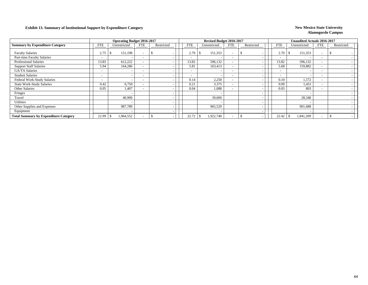### **Exhibit 13. Summary of Institutional Support by Expenditure Category New Mexico State University New Mexico State University**

|                                              |                          | <b>Operating Budget 2016-2017</b> |                          |            |            | Revised Budget 2016-2017 |                          |                          |                          | <b>Unaudited Actuals 2016-2017</b> |                          |            |
|----------------------------------------------|--------------------------|-----------------------------------|--------------------------|------------|------------|--------------------------|--------------------------|--------------------------|--------------------------|------------------------------------|--------------------------|------------|
| <b>Summary by Expenditure Category</b>       | <b>FTE</b>               | Unrestricted                      | <b>FTE</b>               | Restricted | <b>FTE</b> | Unrestricted             | FTE                      | Restricted               | <b>FTE</b>               | Unrestricted                       | <b>FTE</b>               | Restricted |
| <b>Faculty Salaries</b>                      | 2.75                     | 151,198                           |                          |            | 2.70       | 151,353                  |                          |                          | 2.70                     | 151,353                            | $\overline{\phantom{0}}$ |            |
| Part-time Faculty Salaries                   | $\overline{\phantom{a}}$ |                                   | $\overline{\phantom{0}}$ |            |            |                          |                          |                          | $\overline{\phantom{a}}$ |                                    |                          |            |
| <b>Professional Salaries</b>                 | 13.83                    | 612,222                           |                          |            | 13.82      | 596,132                  | $\overline{\phantom{0}}$ |                          | 13.82                    | 596,132                            | $\overline{\phantom{0}}$ |            |
| <b>Support Staff Salaries</b>                | 5.94                     | 164,286                           |                          |            | 5.81       | 163,413                  | $\sim$                   |                          | 5.68                     | 159,882                            | $\overline{\phantom{0}}$ |            |
| GA/TA Salaries                               | $\overline{\phantom{a}}$ |                                   | $\overline{\phantom{0}}$ |            |            |                          | $\overline{\phantom{0}}$ |                          | $\overline{\phantom{a}}$ |                                    | $\sim$                   |            |
| <b>Student Salaries</b>                      | $\overline{\phantom{0}}$ | $\overline{\phantom{a}}$          | $\overline{\phantom{0}}$ |            |            |                          | $\overline{\phantom{0}}$ |                          | $\overline{\phantom{a}}$ |                                    | $\overline{\phantom{0}}$ |            |
| Federal Work-Study Salaries                  | $\overline{\phantom{0}}$ |                                   | $\overline{\phantom{0}}$ |            | 0.14       | 2,250                    | $\overline{\phantom{0}}$ |                          | 0.10                     | 1,572                              |                          |            |
| <b>State Work-Study Salaries</b>             | 0.42                     | 6,750                             |                          |            | 0.21       | 3,375                    | $\overline{\phantom{0}}$ |                          | 0.09                     | 1,431                              | $\overline{\phantom{0}}$ |            |
| Other Salaries                               | 0.05                     | 1,407                             | $\overline{\phantom{0}}$ |            | 0.04       | 1,088                    | $\overline{\phantom{0}}$ |                          | 0.03                     | 803                                | $\overline{\phantom{0}}$ |            |
| Fringes                                      |                          |                                   |                          |            |            |                          |                          |                          |                          |                                    |                          |            |
| Travel                                       |                          | 40,900                            |                          |            |            | 39,600                   |                          | $\overline{\phantom{a}}$ |                          | 28,348                             |                          |            |
| Utilities                                    |                          |                                   |                          |            |            |                          |                          |                          |                          |                                    |                          |            |
| Other Supplies and Expenses                  |                          | 987,789                           |                          |            |            | 965,529                  |                          |                          |                          | 901,688                            |                          |            |
| Equipment                                    |                          |                                   |                          |            |            |                          |                          |                          |                          |                                    |                          |            |
| <b>Total Summary by Expenditure Category</b> | 22.99                    | 1,964,552                         |                          |            | 22.72      | 1,922,740                | $\overline{\phantom{0}}$ |                          | 22.42                    | 1,841,209                          |                          |            |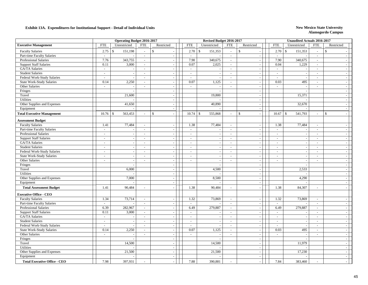|                                     | <b>Operating Budget 2016-2017</b> |                          |                |                          |                | Revised Budget 2016-2017 |                |                          |                      | <b>Unaudited Actuals 2016-2017</b> |                             |                          |  |
|-------------------------------------|-----------------------------------|--------------------------|----------------|--------------------------|----------------|--------------------------|----------------|--------------------------|----------------------|------------------------------------|-----------------------------|--------------------------|--|
| <b>Executive Management</b>         | <b>FTE</b>                        | Unrestricted             | <b>FTE</b>     | Restricted               | <b>FTE</b>     | Unrestricted             | <b>FTE</b>     | Restricted               | <b>FTE</b>           | Unrestricted                       | <b>FTE</b>                  | Restricted               |  |
| <b>Faculty Salaries</b>             | 2.75                              | 151,198<br>$\mathbb{S}$  | $\sim$         | $\mathbf{\hat{S}}$       | 2.70           | 151,353<br>$\mathbb{S}$  | $\mathcal{L}$  | $\mathbf{s}$             | 2.70<br>$\mathbb{S}$ | 151,353                            | $\mathcal{L}_{\mathcal{A}}$ | $\mathbb{S}$             |  |
| Part-time Faculty Salaries          | $\omega$                          |                          | $\sim$         | $\sim$                   | $\omega$       |                          | $\sim$         | $\sim$                   | $\sim$               |                                    | $\sim$                      |                          |  |
| Professional Salaries               | 7.76                              | 343,755                  | $\sim$         | $\sim$                   | 7.90           | 340,675                  | $\sim$         | $\sim$                   | 7.90                 | 340,675                            | $\sim$                      |                          |  |
| <b>Support Staff Salaries</b>       | 0.11                              | 3,000                    | $\sim$         | $\overline{a}$           | 0.07           | 2,025                    | $\sim$         | $\sim$                   | 0.04                 | 1,229                              | $\sim$                      |                          |  |
| GA/TA Salaries                      | $\sim$                            | $\sim$                   | $\sim$         |                          | $\sim$         |                          | $\blacksquare$ | $\sim$                   | $\sim$               |                                    | $\sim$                      |                          |  |
| <b>Student Salaries</b>             | $\sim$                            | $\sim$                   | $\sim$         | $\sim$                   | $\omega$       | $\sim$                   | $\sim$         | $\sim$                   | $\sim$               | $\overline{\phantom{a}}$           | $\omega$                    | $\sim$                   |  |
| Federal Work-Study Salaries         | $\sim$                            | $\sim$                   | $\sim$         | $\overline{a}$           | $\sim$         |                          | $\sim$         | $\sim$                   | $\sim$               |                                    | $\blacksquare$              | $\sim$                   |  |
| <b>State Work-Study Salaries</b>    | 0.14                              | 2,250                    | $\sim$         | $\sim$                   | 0.07           | 1,125                    | $\sim$         | $\sim$                   | 0.03                 | 495                                | $\sim$                      | $\sim$                   |  |
| Other Salaries                      | $\sim$                            | $\sim$                   | $\sim$         | $\sim$                   | $\sim$         |                          | $\overline{a}$ | $\sim$                   | $\sim$               |                                    | $\sim$                      | $\sim$                   |  |
| Fringes                             |                                   | $\sim$                   |                | $\overline{\phantom{a}}$ |                | $\sim$                   |                | $\sim$                   |                      |                                    |                             | $\overline{\phantom{a}}$ |  |
| Travel                              |                                   | 21,600                   |                | $\sim$                   |                | 19,800                   |                | $\sim$                   |                      | 15,371                             |                             | $\sim$                   |  |
| Utilities                           |                                   |                          |                |                          |                |                          |                | $\overline{\phantom{a}}$ |                      |                                    |                             | $\sim$                   |  |
| Other Supplies and Expenses         |                                   | 41,650                   |                | $\overline{a}$           |                | 40,890                   |                | $\sim$                   |                      | 32,670                             |                             | $\sim$                   |  |
| Equipment                           |                                   |                          |                | $\sim$                   |                |                          |                | $\blacksquare$           |                      |                                    |                             | $\overline{\phantom{a}}$ |  |
| <b>Total Executive Management</b>   | 10.76                             | 563,453<br>$\mathbb{S}$  | $\overline{a}$ | $\mathbf{s}$             | 10.74          | \$<br>555,868            | $\overline{a}$ | \$<br>$\bar{a}$          | 10.67<br>\$          | 541,793                            | $\sim$                      | \$                       |  |
| <b>Assessment Budget</b>            |                                   |                          |                |                          |                |                          |                |                          |                      |                                    |                             |                          |  |
| <b>Faculty Salaries</b>             | 1.41                              | 77,484                   | $\sim$         | $\overline{a}$           | 1.38           | 77,484                   | $\omega$       | $\sim$                   | 1.38                 | 77,484                             | $\omega$                    | $\sim$                   |  |
| Part-time Faculty Salaries          | $\omega$                          | $\sim$                   | $\sim$         |                          | $\omega$       |                          | $\overline{a}$ | $\sim$                   | $\sim$               |                                    | $\sim$                      | $\sim$                   |  |
| Professional Salaries               | $\sim$                            | $\sim$                   | $\sim$         | $\overline{a}$           | $\mathcal{L}$  | $\sim$                   | $\mathcal{L}$  | $\sim$                   | $\mathcal{L}$        | $\overline{\phantom{a}}$           | $\sim$                      | $\sim$                   |  |
| <b>Support Staff Salaries</b>       | $\sim$                            | $\sim$                   | $\blacksquare$ | $\sim$                   | $\sim$         |                          | $\blacksquare$ | $\sim$                   | $\sim$               |                                    | $\blacksquare$              |                          |  |
| GA/TA Salaries                      | $\omega$                          | $\sim$                   | $\sim$         | $\sim$                   | $\omega$       | $\sim$                   | $\omega$       | $\sim$                   | $\sim$               | $\overline{\phantom{a}}$           | $\sim$                      | $\sim$                   |  |
| <b>Student Salaries</b>             | $\sim$                            | $\sim$                   | $\blacksquare$ | $\overline{\phantom{a}}$ | $\sim$         | $\sim$                   | $\sim$         | $\sim$                   | $\sim$               | $\overline{a}$                     | $\sim$                      | $\overline{\phantom{a}}$ |  |
| Federal Work-Study Salaries         | $\sim$                            | $\sim$                   | $\sim$         | $\overline{\phantom{a}}$ | $\sim$         | $\sim$                   | $\sim$         | $\sim$                   | $\sim$               | $\overline{\phantom{a}}$           | $\sim$                      | $\sim$                   |  |
| <b>State Work-Study Salaries</b>    | $\sim$                            | $\sim$                   | $\sim$         | $\overline{\phantom{a}}$ | $\sim$         | $\sim$                   | $\omega$       | $\sim$                   | $\sim$               |                                    | $\sim$                      | $\overline{\phantom{a}}$ |  |
| <b>Other Salaries</b>               | $\sim$                            | $\sim$                   | $\sim$         | $\sim$                   | $\sim$         | $\sim$                   | $\sim$         | $\sim$                   | $\sim$               | $\sim$                             | $\sim$                      | $\overline{\phantom{a}}$ |  |
| Fringes                             |                                   | $\sim$                   |                | $\sim$                   |                |                          |                | $\overline{\phantom{a}}$ |                      |                                    |                             | $\overline{\phantom{a}}$ |  |
| Travel                              |                                   | 6,000                    |                | ÷,                       |                | 4,500                    |                | $\overline{\phantom{a}}$ |                      | 2,533                              |                             | $\overline{\phantom{a}}$ |  |
| Utilities                           |                                   |                          |                | $\overline{\phantom{a}}$ |                |                          |                | $\sim$                   |                      |                                    |                             | $\overline{\phantom{a}}$ |  |
| Other Supplies and Expenses         |                                   | 7,000                    |                | $\overline{\phantom{a}}$ |                | 8,500                    |                | $\blacksquare$           |                      | 4,290                              |                             | $\sim$                   |  |
| Equipment                           |                                   |                          |                | $\sim$                   |                |                          |                | $\sim$                   |                      |                                    |                             | $\sim$                   |  |
| <b>Total Assessment Budget</b>      | 1.41                              | 90,484                   | $\sim$         |                          | 1.38           | 90,484                   | $\sim$         | $\bar{a}$                | 1.38                 | 84,307                             | $\sim$                      | $\sim$                   |  |
|                                     |                                   |                          |                |                          |                |                          |                |                          |                      |                                    |                             |                          |  |
| <b>Executive Office - CEO</b>       |                                   |                          |                |                          |                |                          |                |                          |                      |                                    |                             |                          |  |
| <b>Faculty Salaries</b>             | 1.34                              | 73,714                   | $\sim$         |                          | 1.32           | 73,869                   | $\sim$         | $\sim$                   | 1.32                 | 73,869                             | $\sim$                      |                          |  |
| Part-time Faculty Salaries          | $\sim$                            |                          | $\sim$         | $\sim$                   | $\blacksquare$ |                          | $\mathcal{L}$  | $\sim$                   | $\mathbb{Z}^2$       |                                    | $\sim$                      | $\sim$                   |  |
| <b>Professional Salaries</b>        | 6.39                              | 282,967                  | $\sim$         | $\sim$                   | 6.49           | 279,887                  | $\sim$         | $\sim$                   | 6.49                 | 279,887                            | $\sim$                      | $\sim$                   |  |
| <b>Support Staff Salaries</b>       | 0.11                              | 3,000                    | $\mathcal{L}$  | $\sim$                   | $\omega$       |                          | $\omega$       | $\sim$                   | $\sim$               |                                    | $\overline{\phantom{a}}$    | $\sim$                   |  |
| GA/TA Salaries                      | $\sim$                            | $\sim$                   | $\sim$         | $\sim$                   | $\sim$         | $\sim$                   | $\sim$         | $\sim$                   | $\sim$               | ÷.                                 | $\sim$                      | $\overline{\phantom{a}}$ |  |
| <b>Student Salaries</b>             | $\sim$                            | $\sim$                   | $\sim$         | $\overline{\phantom{a}}$ | $\sim$         | $\sim$                   | $\sim$         | $\sim$                   | $\sim$               | $\overline{\phantom{a}}$           | $\sim$                      | $\overline{\phantom{a}}$ |  |
| Federal Work-Study Salaries         | $\sim$                            | $\overline{a}$           | $\sim$         | $\overline{a}$           | $\sim$         |                          | $\sim$         | $\sim$                   | $\sim$               |                                    | $\sim$                      | $\sim$                   |  |
| <b>State Work-Study Salaries</b>    | 0.14                              | 2,250                    | $\sim$         | $\sim$                   | 0.07           | 1,125                    | $\omega$       | $\sim$                   | 0.03                 | 495                                | $\overline{\phantom{a}}$    | $\overline{\phantom{a}}$ |  |
| <b>Other Salaries</b>               | $\sim$                            | $\sim$                   | $\sim$         |                          | $\sim$         |                          | $\mathbf{r}$   | $\sim$                   | $\sim$               |                                    | $\sim$                      | $\overline{\phantom{a}}$ |  |
| Fringes                             |                                   | $\overline{\phantom{a}}$ |                | $\overline{\phantom{a}}$ |                | $\overline{\phantom{a}}$ |                | $\overline{\phantom{a}}$ |                      |                                    |                             | $\overline{\phantom{a}}$ |  |
| Travel                              |                                   | 14,500                   |                | $\overline{\phantom{a}}$ |                | 14,500                   |                | $\sim$                   |                      | 11,979                             |                             | $\sim$                   |  |
| <b>Utilities</b>                    |                                   |                          |                | $\overline{\phantom{a}}$ |                |                          |                | $\overline{\phantom{a}}$ |                      |                                    |                             | $\sim$                   |  |
| Other Supplies and Expenses         |                                   | 21,500                   |                | $\sim$                   |                | 21,500                   |                | $\overline{\phantom{a}}$ |                      | 17,230                             |                             | $\sim$                   |  |
| Equipment                           |                                   |                          |                | $\sim$                   |                |                          |                | $\sim$                   |                      |                                    |                             | $\sim$                   |  |
| <b>Total Executive Office - CEO</b> | 7.98                              | 397,931                  |                |                          | 7.88           | 390,881                  |                |                          | 7.84                 | 383,460                            |                             |                          |  |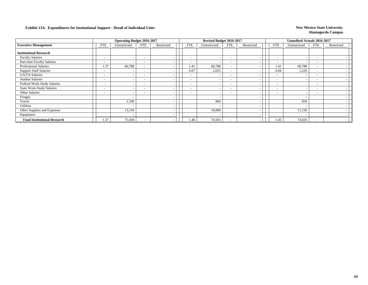|                                     |                          | <b>Operating Budget 2016-2017</b> |                          |            |                          | Revised Budget 2016-2017 |                          |                          |                          | <b>Unaudited Actuals 2016-2017</b> |                          |            |
|-------------------------------------|--------------------------|-----------------------------------|--------------------------|------------|--------------------------|--------------------------|--------------------------|--------------------------|--------------------------|------------------------------------|--------------------------|------------|
| <b>Executive Management</b>         | <b>FTE</b>               | Unrestricted                      | FTE                      | Restricted | <b>FTE</b>               | Unrestricted             | FTE                      | Restricted               | <b>FTE</b>               | Unrestricted                       | <b>FTE</b>               | Restricted |
| <b>Institutional Research</b>       |                          |                                   |                          |            |                          |                          |                          |                          |                          |                                    |                          |            |
| <b>Faculty Salaries</b>             | -                        | $\overline{\phantom{a}}$          |                          |            | $\overline{\phantom{a}}$ |                          | $\overline{\phantom{a}}$ | $\overline{\phantom{a}}$ | $\overline{\phantom{0}}$ |                                    | $\overline{\phantom{a}}$ |            |
| Part-time Faculty Salaries          | -                        | -                                 |                          |            | $\overline{\phantom{0}}$ | $\overline{\phantom{a}}$ | $\overline{\phantom{0}}$ | $\overline{\phantom{a}}$ | $\overline{\phantom{a}}$ |                                    | $\overline{\phantom{a}}$ |            |
| <b>Professional Salaries</b>        | 1.37                     | 60,788                            |                          |            | 1.41                     | 60,788                   | $\sim$                   | $\overline{\phantom{a}}$ | 1.41                     | 60,788                             | $\overline{\phantom{a}}$ |            |
| <b>Support Staff Salaries</b>       | -                        |                                   |                          |            | 0.07                     | 2,025                    | $\overline{\phantom{0}}$ |                          | 0.04                     | 1,229                              | -                        |            |
| <b>GA/TA Salaries</b>               | $\overline{\phantom{0}}$ | $\overline{\phantom{a}}$          |                          |            | $\overline{\phantom{a}}$ | $\overline{\phantom{a}}$ | $\overline{\phantom{0}}$ | $\overline{\phantom{a}}$ | $\overline{\phantom{0}}$ |                                    | $\overline{\phantom{a}}$ |            |
| <b>Student Salaries</b>             | -                        | $\overline{\phantom{a}}$          |                          |            | $\overline{\phantom{a}}$ | $\overline{\phantom{a}}$ | $\overline{\phantom{a}}$ | $\overline{\phantom{a}}$ | $\overline{\phantom{0}}$ |                                    |                          |            |
| Federal Work-Study Salaries         | $\overline{\phantom{a}}$ | $\overline{\phantom{a}}$          | $\overline{\phantom{a}}$ |            | $\overline{\phantom{0}}$ |                          | $\overline{\phantom{0}}$ | $\overline{\phantom{a}}$ | $\overline{\phantom{a}}$ |                                    | $\overline{\phantom{a}}$ |            |
| <b>State Work-Study Salaries</b>    | $\overline{\phantom{0}}$ | $\overline{\phantom{a}}$          |                          |            | $\overline{\phantom{a}}$ |                          | $\overline{\phantom{0}}$ | $\overline{\phantom{a}}$ | $\overline{\phantom{a}}$ |                                    | $\overline{\phantom{a}}$ |            |
| Other Salaries                      | -                        | $\overline{\phantom{a}}$          |                          |            | $\overline{\phantom{a}}$ |                          | $\overline{\phantom{0}}$ | $\overline{\phantom{a}}$ | $\sim$                   |                                    | $\overline{\phantom{a}}$ |            |
| Fringes                             |                          | $\overline{\phantom{a}}$          |                          |            |                          |                          |                          | $\overline{\phantom{a}}$ |                          |                                    |                          |            |
| Travel                              |                          | 1,100                             |                          |            |                          | 800                      |                          | $\overline{\phantom{a}}$ |                          | 859                                |                          |            |
| <b>Utilities</b>                    |                          | $\overline{\phantom{a}}$          |                          |            |                          |                          |                          | $\overline{\phantom{a}}$ |                          |                                    |                          |            |
| Other Supplies and Expenses         |                          | 13,150                            |                          |            |                          | 10,890                   |                          | $\overline{\phantom{a}}$ |                          | 11,150                             |                          |            |
| Equipment                           |                          | $\overline{\phantom{a}}$          |                          |            |                          |                          |                          | $\overline{\phantom{a}}$ |                          |                                    |                          |            |
| <b>Total Institutional Research</b> | 1.37                     | 75,038                            |                          |            | 1.48                     | 74,503                   | $\overline{\phantom{0}}$ | $\overline{\phantom{a}}$ | 1.45                     | 74,026                             | ۰                        |            |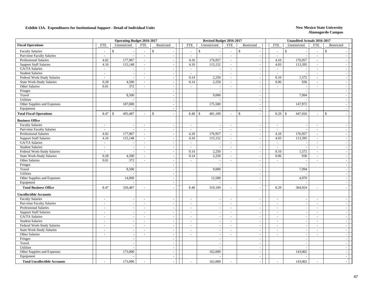|                                     |            | <b>Operating Budget 2016-2017</b> |                          |                          |                          | Revised Budget 2016-2017 |                          |                |                          | <b>Unaudited Actuals 2016-2017</b> |                |                          |  |
|-------------------------------------|------------|-----------------------------------|--------------------------|--------------------------|--------------------------|--------------------------|--------------------------|----------------|--------------------------|------------------------------------|----------------|--------------------------|--|
| <b>Fiscal Operations</b>            | <b>FTE</b> | Unrestricted                      | <b>FTE</b>               | Restricted               | <b>FTE</b>               | Unrestricted             | <b>FTE</b>               | Restricted     | <b>FTE</b>               | Unrestricted                       | <b>FTE</b>     | Restricted               |  |
| <b>Faculty Salaries</b>             | $\sim$     | $\mathbb{S}$                      | $\overline{a}$           | $\mathbf S$              | $\mathbb{S}$<br>$\sim$   |                          | $\sim$                   | \$             | $\blacksquare$           | $\mathbb{S}$                       | $\overline{a}$ | $\mathbb{S}$             |  |
| Part-time Faculty Salaries          | $\sim$     | $\sim$                            | $\sim$                   | $\overline{a}$           | $\sim$                   |                          | $\overline{a}$           | $\sim$         | $\sim$                   |                                    | $\sim$         |                          |  |
| Professional Salaries               | 4.02       | 177,967                           | $\sim$                   | $\overline{a}$           | 4.10                     | 176,957                  | $\sim$                   | $\sim$         | 4.10                     | 176,957                            | $\sim$         |                          |  |
| <b>Support Staff Salaries</b>       | 4.16       | 115,148                           | $\sim$                   |                          | 4.10                     | 115,152                  | $\omega$                 | $\sim$         | 4.03                     | 113,395                            | $\omega$       |                          |  |
| GA/TA Salaries                      | $\sim$     |                                   | $\bar{\phantom{a}}$      |                          | $\sim$                   |                          | $\blacksquare$           | $\sim$         | $\sim$                   |                                    | $\sim$         |                          |  |
| <b>Student Salaries</b>             | $\sim$     | $\omega$                          | $\mathcal{L}$            | $\sim$                   | $\sim$                   | $\sim$                   | $\sim$                   | $\sim$         | $\sim$                   |                                    | $\omega$       | $\sim$                   |  |
| Federal Work-Study Salaries         | $\sim$     | $\sim$                            | $\sim$                   | $\sim$                   | 0.14                     | 2,250                    | $\sim$                   | $\sim$         | 0.10                     | 1,572                              | $\blacksquare$ | $\sim$                   |  |
| <b>State Work-Study Salaries</b>    | 0.28       | 4,500                             | $\sim$                   | $\sim$                   | 0.14                     | 2,250                    | $\sim$                   | $\sim$         | 0.06                     | 936                                | $\blacksquare$ | $\sim$                   |  |
| Other Salaries                      | 0.01       | 372                               | $\sim$                   | $\sim$                   | $\sim$                   | ÷,                       | $\sim$                   | $\sim$         | $\sim$                   |                                    | $\sim$         | $\overline{\phantom{a}}$ |  |
| Fringes                             |            |                                   |                          | $\sim$                   |                          | $\sim$                   |                          | $\sim$         |                          |                                    |                | $\overline{\phantom{a}}$ |  |
| Travel                              |            | 8,500                             |                          | $\sim$                   |                          | 9,000                    |                          | $\sim$         |                          | 7,094                              |                | $\sim$                   |  |
| <b>Utilities</b>                    |            |                                   |                          |                          |                          |                          |                          | $\sim$         |                          |                                    |                | $\sim$                   |  |
| Other Supplies and Expenses         |            | 187,000                           |                          |                          |                          | 175,500                  |                          | $\sim$         |                          | 147,972                            |                |                          |  |
| Equipment                           |            |                                   |                          | $\sim$                   |                          |                          |                          | $\omega$       |                          |                                    |                | $\sim$                   |  |
| <b>Total Fiscal Operations</b>      | 8.47       | 493,487<br>$\mathcal{S}$          |                          | \$                       | 8.48<br>$\mathbb{S}$     | 481,109                  | $\overline{\phantom{a}}$ | \$<br>$\sim$   | 8.29                     | 447,926<br>$\mathbb{S}$            | $\sim$         | $\mathbb{S}$             |  |
| <b>Business Office</b>              |            |                                   |                          |                          |                          |                          |                          |                |                          |                                    |                |                          |  |
| <b>Faculty Salaries</b>             | $\sim$     | $\omega$                          | $\mathcal{L}$            | $\sim$                   | $\sim$                   | $\sim$                   | $\omega$                 | $\mathbb{Z}^2$ | $\mathcal{L}$            |                                    | $\sim$         | $\sim$                   |  |
| Part-time Faculty Salaries          | $\sim$     | $\sim$                            | $\sim$                   | $\sim$                   | $\sim$                   |                          | $\overline{a}$           | $\omega$       | $\sim$                   |                                    | $\sim$         | $\sim$                   |  |
| Professional Salaries               | 4.02       | 177,967                           | $\omega$                 | $\sim$                   | 4.10                     | 176,957                  | $\sim$                   | $\sim$         | 4.10                     | 176,957                            | $\sim$         | $\sim$                   |  |
| <b>Support Staff Salaries</b>       | 4.16       | 115,148                           | $\sim$                   | $\sim$                   | 4.10                     | 115,152                  | $\omega$                 | $\sim$         | 4.03                     | 113,395                            | $\sim$         | $\sim$                   |  |
| GA/TA Salaries                      | $\sim$     | $\sim$                            | $\sim$                   | $\sim$                   | $\sim$                   |                          | $\omega$                 | $\sim$         | $\omega$                 |                                    | $\sim$         | $\sim$                   |  |
| <b>Student Salaries</b>             | $\sim$     | $\sim$                            | ÷,                       | $\sim$                   | $\sim$                   | $\sim$                   | $\blacksquare$           | $\sim$         | $\sim$                   |                                    | $\blacksquare$ | $\sim$                   |  |
| Federal Work-Study Salaries         | $\sim$     | $\sim$                            | $\sim$                   | $\sim$                   | 0.14                     | 2,250                    | $\sim$                   | $\sim$         | 0.10                     | 1,572                              | $\sim$         | $\overline{\phantom{a}}$ |  |
| <b>State Work-Study Salaries</b>    | 0.28       | 4,500                             | $\sim$                   | $\sim$                   | 0.14                     | 2,250                    | $\sim$                   | $\sim$         | 0.06                     | 936                                | $\sim$         | $\sim$                   |  |
| Other Salaries                      | 0.01       | 372                               | $\sim$                   | $\sim$                   | $\sim$                   | $\sim$                   | $\sim$                   | $\sim$         | $\sim$                   |                                    | $\sim$         | $\overline{\phantom{a}}$ |  |
| Fringes                             |            | $\overline{\phantom{a}}$          |                          | $\sim$                   |                          |                          |                          | $\sim$         |                          |                                    |                | $\sim$                   |  |
| Travel                              |            | 8,500                             |                          | $\sim$                   |                          | 9,000                    |                          | $\sim$         |                          | 7,094                              |                | $\sim$                   |  |
| <b>Utilities</b>                    |            |                                   |                          |                          |                          |                          |                          | $\sim$         |                          |                                    |                | $\sim$                   |  |
| Other Supplies and Expenses         |            | 14,000                            |                          | $\sim$                   |                          | 13,500                   |                          | $\omega$       |                          | 4,970                              |                | $\sim$                   |  |
| Equipment                           |            |                                   |                          | $\sim$                   |                          |                          |                          | $\sim$         |                          |                                    |                | $\sim$                   |  |
| <b>Total Business Office</b>        | 8.47       | 320,487                           | $\overline{a}$           |                          | 8.48                     | 319,109                  | $\sim$                   | $\sim$         | 8.29                     | 304,924                            | $\sim$         | $\sim$                   |  |
| <b>Uncollectible Accounts</b>       |            |                                   |                          |                          |                          |                          |                          |                |                          |                                    |                |                          |  |
| <b>Faculty Salaries</b>             | $\sim$     | $\sim$                            | $\sim$                   |                          | $\sim$                   |                          | $\blacksquare$           | $\blacksquare$ | $\sim$                   |                                    | $\sim$         | $\sim$                   |  |
| Part-time Faculty Salaries          | $\sim$     | $\sim$                            | $\sim$                   | $\sim$                   | $\overline{\phantom{a}}$ |                          | $\mathcal{L}$            | $\sim$         | $\sim$                   |                                    | $\sim$         | $\sim$                   |  |
| <b>Professional Salaries</b>        | $\sim$     | $\sim$                            | $\bar{\phantom{a}}$      | $\sim$                   | $\sim$                   | $\sim$                   | $\blacksquare$           | $\sim$         | $\sim$                   | $\overline{\phantom{a}}$           | $\sim$         | $\sim$                   |  |
| <b>Support Staff Salaries</b>       | $\sim$     | $\blacksquare$                    | $\sim$                   | $\sim$                   | $\sim$                   | $\sim$                   | $\blacksquare$           | $\sim$         | $\sim$                   | $\sim$                             | $\sim$         | $\sim$                   |  |
| GA/TA Salaries                      | $\sim$     | $\sim$                            | $\blacksquare$           | $\sim$                   | $\sim$                   | $\sim$                   | $\blacksquare$           | $\sim$         | $\sim$                   | $\overline{a}$                     | $\blacksquare$ | $\sim$                   |  |
| <b>Student Salaries</b>             | $\sim$     | $\mathcal{L}$                     | $\sim$                   | $\sim$                   | $\sim$                   | $\sim$                   | $\mathcal{L}$            | $\sim$         | $\sim$                   | $\sim$                             | $\sim$         | $\overline{\phantom{a}}$ |  |
| Federal Work-Study Salaries         | $\sim$     | $\sim$                            | $\overline{\phantom{a}}$ | $\sim$                   | $\sim$                   | $\sim$                   | $\sim$                   | $\sim$         | $\sim$                   | $\overline{\phantom{a}}$           | $\sim$         | $\overline{\phantom{a}}$ |  |
| <b>State Work-Study Salaries</b>    | $\sim$     | $\sim$                            | $\overline{a}$           | $\sim$                   | $\sim$                   | $\sim$                   | $\omega$                 | $\sim$         | $\sim$                   | $\sim$                             | $\sim$         | $\overline{\phantom{a}}$ |  |
| Other Salaries                      | $\sim$     | $\omega$                          | $\sim$                   | $\overline{\phantom{a}}$ | $\sim$                   | $\sim$                   | $\overline{a}$           | $\sim$         | $\overline{\phantom{a}}$ | ÷,                                 | $\sim$         | $\sim$                   |  |
| Fringes                             |            | $\blacksquare$                    |                          | $\sim$                   |                          | $\overline{\phantom{a}}$ |                          | $\sim$         |                          | $\sim$                             |                | $\sim$                   |  |
| Travel                              |            |                                   |                          |                          |                          |                          |                          | $\sim$         |                          |                                    |                | $\sim$                   |  |
| <b>Utilities</b>                    |            | $\blacksquare$                    |                          | $\overline{\phantom{a}}$ |                          |                          |                          | $\mathbb{Z}^2$ |                          |                                    |                | $\sim$                   |  |
| Other Supplies and Expenses         |            | 173,000                           |                          | $\sim$                   |                          | 162,000                  |                          | $\sim$         |                          | 143,002                            |                | $\sim$                   |  |
| Equipment                           |            |                                   |                          | $\sim$                   |                          |                          |                          | $\sim$         |                          |                                    |                | $\sim$                   |  |
| <b>Total Uncollectible Accounts</b> |            | 173,000                           |                          |                          |                          | 162,000                  |                          | $\sim$         | $\sim$                   | 143,002                            |                | $\sim$                   |  |
|                                     |            |                                   |                          |                          |                          |                          |                          |                |                          |                                    |                |                          |  |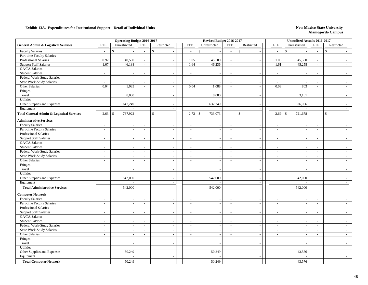| <b>General Admin &amp; Logistical Services</b><br><b>FTE</b><br><b>FTE</b><br><b>FTE</b><br><b>FTE</b><br>Unrestricted<br>Restricted<br><b>FTE</b><br>Unrestricted<br>Restricted<br><b>FTE</b><br>Unrestricted<br>Restricted<br>$\mathbb{S}$<br><b>Faculty Salaries</b><br>$\mathbb{S}$<br>$\mathbb{S}$<br>$\mathbb{S}$<br>$\mathbb{S}$<br>\$<br>$\overline{\phantom{a}}$<br>$\sim$<br>$\sim$<br>$\sim$<br>$\blacksquare$<br>$\overline{a}$<br>$\overline{\phantom{a}}$<br>Part-time Faculty Salaries<br>$\overline{a}$<br>$\sim$<br>$\sim$<br>L,<br>$\sim$<br>$\sim$<br>$\sim$<br>$\sim$<br>$\sim$<br>$\sim$<br><b>Professional Salaries</b><br>0.92<br>40,500<br>45,500<br>1.05<br>1.05<br>45,500<br>$\mathcal{L}$<br>$\sim$<br>$\sim$<br>$\sim$<br>$\overline{a}$<br><b>Support Staff Salaries</b><br>1.67<br>46,138<br>1.64<br>46,236<br>45,258<br>1.61<br>$\omega$<br>$\omega$<br>$\sim$<br>$\omega$<br>GA/TA Salaries<br>$\sim$<br>$\sim$<br>$\sim$<br>$\sim$<br>$\sim$<br>$\bar{\phantom{a}}$<br>Ĭ.<br>$\sim$<br>$\sim$<br>$\sim$<br><b>Student Salaries</b><br>$\sim$<br>$\omega$<br>$\mathcal{L}$<br>$\sim$<br>$\sim$<br>$\omega$<br>$\sim$<br>$\mathcal{L}_{\mathcal{A}}$<br>$\omega$<br>$\sim$<br>$\overline{\phantom{a}}$<br>$\sim$<br>Federal Work-Study Salaries<br>$\sim$<br>$\sim$<br>$\bar{\phantom{a}}$<br>$\sim$<br>$\sim$<br>$\blacksquare$<br>$\sim$<br>$\sim$<br>$\sim$<br>$\sim$<br>÷,<br><b>State Work-Study Salaries</b><br>$\sim$<br>$\blacksquare$<br>$\blacksquare$<br>$\mathcal{L}_{\mathcal{A}}$<br>$\mathcal{L}_{\mathcal{A}}$<br>$\blacksquare$<br>$\sim$<br>$\overline{\phantom{a}}$<br>$\overline{\phantom{a}}$<br>$\blacksquare$<br>$\sim$<br>$\sim$<br>Other Salaries<br>0.04<br>1,035<br>0.04<br>1,088<br>0.03<br>803<br>$\sim$<br>$\sim$<br>$\sim$<br>$\sim$<br>$\overline{\phantom{a}}$<br>$\sim$<br>Fringes<br>$\sim$<br>$\sim$<br>$\overline{a}$<br>$\overline{\phantom{a}}$<br>Travel<br>8,000<br>8,000<br>3,151<br>$\sim$<br>$\overline{\phantom{a}}$<br>$\sim$<br><b>Utilities</b><br>$\sim$<br>$\sim$<br>642,249<br>632,249<br>Other Supplies and Expenses<br>626,966<br>$\sim$<br>$\sim$<br>$\sim$<br>Equipment<br>$\sim$<br>$\sim$<br>$\sim$<br><b>Total General Admin &amp; Logistical Services</b><br>737,922<br>733,073<br>721,678<br>2.63<br>$\mathbf{\hat{S}}$<br>\$<br>2.73<br>$\mathbb{S}$<br>$\mathbf{s}$<br>2.69<br>$\mathbf{\hat{S}}$<br>$\mathbf{s}$<br>$\overline{a}$<br>$\sim$<br>$\sim$<br>$\sim$<br>$\overline{a}$<br>$\bar{a}$<br><b>Administrative Services</b><br><b>Faculty Salaries</b><br>$\sim$<br>$\blacksquare$<br>$\sim$<br>$\sim$<br>$\sim$<br>$\sim$<br>$\sim$<br>$\sim$<br>$\sim$<br>$\sim$<br>$\sim$<br>$\sim$<br>Part-time Faculty Salaries<br>$\sim$<br>$\sim$<br>$\blacksquare$<br>$\sim$<br>$\sim$<br>$\sim$<br>$\overline{a}$<br>$\sim$<br>$\sim$<br>$\sim$<br>$\sim$<br>$\sim$<br>Professional Salaries<br>$\sim$<br>$\mathcal{L}$<br>$\sim$<br>$\sim$<br>$\sim$<br>$\sim$<br>$\omega$<br>$\sim$<br>$\sim$<br>$\sim$<br>$\overline{\phantom{a}}$<br>$\sim$<br><b>Support Staff Salaries</b><br>$\sim$<br>$\sim$<br>$\blacksquare$<br>$\sim$<br>$\sim$<br>$\sim$<br>$\sim$<br>$\sim$<br>$\overline{\phantom{a}}$<br>$\sim$<br>$\sim$<br>$\sim$<br><b>GA/TA</b> Salaries<br>$\sim$<br>$\sim$<br>$\sim$<br>$\sim$<br>$\sim$<br>$\sim$<br>$\sim$<br>$\sim$<br>$\sim$<br>$\overline{a}$<br>$\overline{a}$<br>$\sim$<br><b>Student Salaries</b><br>$\omega$<br>$\sim$<br>$\overline{\phantom{a}}$<br>÷,<br>$\sim$<br>$\sim$<br>$\blacksquare$<br>$\sim$<br>$\blacksquare$<br>$\overline{\phantom{a}}$<br>Federal Work-Study Salaries<br>$\sim$<br>$\mathcal{L}_{\mathcal{A}}$<br>$\mathcal{L}_{\mathcal{A}}$<br>$\sim$<br>$\bar{\phantom{a}}$<br>$\sim$<br>$\sim$<br>$\tilde{\phantom{a}}$<br>$\sim$<br>$\overline{\phantom{a}}$<br>$\blacksquare$<br>$\sim$<br><b>State Work-Study Salaries</b><br>$\sim$<br>$\sim$<br>$\sim$<br>$\overline{\phantom{a}}$<br>$\sim$<br>$\sim$<br>$\sim$<br>$\sim$<br>$\sim$<br>$\sim$<br>$\sim$<br>$\sim$<br>Other Salaries<br>$\mathcal{L}_{\mathcal{A}}$<br>$\sim$<br>$\blacksquare$<br>$\sim$<br>$\sim$<br>$\sim$<br>$\overline{\phantom{a}}$<br>$\sim$<br>$\sim$<br>$\sim$<br>$\sim$<br>$\sim$<br>Fringes<br>$\sim$<br>$\sim$<br>$\sim$<br>$\overline{\phantom{a}}$<br>$\sim$<br>$\overline{\phantom{a}}$<br>Travel<br>$\blacksquare$<br>$\sim$<br>$\overline{\phantom{a}}$<br>$\overline{\phantom{a}}$<br>$\overline{\phantom{a}}$<br>$\overline{\phantom{a}}$<br><b>Utilities</b><br>$\blacksquare$<br>$\overline{a}$<br>$\sim$<br>542,000<br>Other Supplies and Expenses<br>542,000<br>542,000<br>$\blacksquare$<br>$\sim$<br>$\sim$<br>Equipment<br>$\omega$<br>$\sim$<br>$\overline{\phantom{a}}$<br>542,000<br>542,000<br>542,000<br><b>Total Administrative Services</b><br>$\sim$<br>$\sim$<br>$\overline{a}$<br>$\sim$<br>$\sim$<br>$\blacksquare$<br>$\sim$<br>$\overline{a}$<br><b>Computer Network</b><br><b>Faculty Salaries</b><br>$\sim$<br>$\sim$<br>$\sim$<br>÷,<br>$\sim$<br>$\sim$<br>$\blacksquare$<br>$\sim$<br>$\blacksquare$<br>$\sim$<br>$\overline{\phantom{a}}$<br>Part-time Faculty Salaries<br>$\sim$<br>$\sim$<br>$\omega$<br>$\sim$<br>$\sim$<br>$\sim$<br>$\sim$<br>$\sim$<br>$\sim$<br>$\overline{\phantom{a}}$<br>$\overline{\phantom{a}}$<br>$\sim$<br>Professional Salaries<br>$\omega$<br>$\mathcal{L}$<br>$\sim$<br>$\sim$<br>$\overline{a}$<br>$\sim$<br>$\overline{a}$<br>$\overline{\phantom{a}}$<br>$\sim$<br>$\overline{\phantom{a}}$<br>$\sim$<br>÷,<br><b>Support Staff Salaries</b><br>$\sim$<br>$\sim$<br>$\sim$<br>$\sim$<br>$\sim$<br>$\sim$<br>$\sim$<br>$\sim$<br>$\sim$<br>$\overline{\phantom{a}}$<br>$\sim$<br>$\overline{a}$<br>GA/TA Salaries<br>$\sim$<br>$\sim$<br>$\blacksquare$<br>$\sim$<br>$\sim$<br>$\sim$<br>$\blacksquare$<br>$\sim$<br>$\sim$<br>$\sim$<br>$\sim$<br><b>Student Salaries</b><br>$\sim$<br>$\sim$<br>$\blacksquare$<br>$\sim$<br>$\sim$<br>$\blacksquare$<br>$\sim$<br>$\sim$<br>$\overline{\phantom{a}}$<br>$\sim$<br>$\overline{\phantom{a}}$<br>$\overline{\phantom{a}}$<br>Federal Work-Study Salaries<br>$\sim$<br>$\sim$<br>$\sim$<br>$\blacksquare$<br>$\sim$<br>$\sim$<br>$\overline{\phantom{a}}$<br>÷,<br>$\sim$<br>$\overline{\phantom{a}}$<br>$\overline{\phantom{a}}$<br>$\overline{\phantom{a}}$<br>State Work-Study Salaries<br>$\sim$<br>$\sim$<br>$\sim$<br>$\sim$<br>$\sim$<br>$\sim$<br>$\sim$<br>$\sim$<br>$\sim$<br>$\sim$<br>$\sim$<br>$\overline{\phantom{a}}$<br>Other Salaries<br>$\sim$<br>$\sim$<br>$\sim$<br>$\overline{\phantom{a}}$<br>$\sim$<br>$\overline{\phantom{a}}$<br>$\sim$<br>$\sim$<br>$\sim$<br>$\sim$<br>$\sim$<br>$\sim$<br>Fringes<br>$\omega$<br>$\sim$<br>$\sim$<br>$\tilde{\phantom{a}}$<br>$\sim$<br>$\overline{\phantom{a}}$<br>Travel<br>$\omega$<br>$\sim$<br>$\overline{\phantom{a}}$<br>$\sim$<br>$\sim$<br>Utilities<br>$\blacksquare$<br>$\sim$<br>$\overline{\phantom{a}}$<br>$\sim$<br>$\sim$<br>Other Supplies and Expenses<br>50,249<br>50,249<br>43,576<br>$\sim$<br>÷,<br>$\sim$<br>Equipment<br>$\mathcal{L}_{\mathcal{A}}$<br>$\sim$<br>$\sim$<br>50,249<br>50,249<br>43,576<br><b>Total Computer Network</b> |  | <b>Operating Budget 2016-2017</b> |  | Revised Budget 2016-2017 |  | <b>Unaudited Actuals 2016-2017</b> |  |  |
|-------------------------------------------------------------------------------------------------------------------------------------------------------------------------------------------------------------------------------------------------------------------------------------------------------------------------------------------------------------------------------------------------------------------------------------------------------------------------------------------------------------------------------------------------------------------------------------------------------------------------------------------------------------------------------------------------------------------------------------------------------------------------------------------------------------------------------------------------------------------------------------------------------------------------------------------------------------------------------------------------------------------------------------------------------------------------------------------------------------------------------------------------------------------------------------------------------------------------------------------------------------------------------------------------------------------------------------------------------------------------------------------------------------------------------------------------------------------------------------------------------------------------------------------------------------------------------------------------------------------------------------------------------------------------------------------------------------------------------------------------------------------------------------------------------------------------------------------------------------------------------------------------------------------------------------------------------------------------------------------------------------------------------------------------------------------------------------------------------------------------------------------------------------------------------------------------------------------------------------------------------------------------------------------------------------------------------------------------------------------------------------------------------------------------------------------------------------------------------------------------------------------------------------------------------------------------------------------------------------------------------------------------------------------------------------------------------------------------------------------------------------------------------------------------------------------------------------------------------------------------------------------------------------------------------------------------------------------------------------------------------------------------------------------------------------------------------------------------------------------------------------------------------------------------------------------------------------------------------------------------------------------------------------------------------------------------------------------------------------------------------------------------------------------------------------------------------------------------------------------------------------------------------------------------------------------------------------------------------------------------------------------------------------------------------------------------------------------------------------------------------------------------------------------------------------------------------------------------------------------------------------------------------------------------------------------------------------------------------------------------------------------------------------------------------------------------------------------------------------------------------------------------------------------------------------------------------------------------------------------------------------------------------------------------------------------------------------------------------------------------------------------------------------------------------------------------------------------------------------------------------------------------------------------------------------------------------------------------------------------------------------------------------------------------------------------------------------------------------------------------------------------------------------------------------------------------------------------------------------------------------------------------------------------------------------------------------------------------------------------------------------------------------------------------------------------------------------------------------------------------------------------------------------------------------------------------------------------------------------------------------------------------------------------------------------------------------------------------------------------------------------------------------------------------------------------------------------------------------------------------------------------------------------------------------------------------------------------------------------------------------------------------------------------------------------------------------------------------------------------------------------------------------------------------------------------------------------------------------------------------------------------------------------------------------------------------------------------------------------------------------------------------------------------------------------------------------------------------------------------------------------------------------------------------------------------------------------------------------------------------------------------------------------------------------------------------------------------------------------------------------------------------------------------------------------------------------------------------------------------------------------------------------------------------------------------------------------------------------------------------------------------------------------------------------------------------------------------------------------------------------------------------------------------------------------------------------------------------------------------------------------------------------------------------------------------------------------------------------------------------------------------------------------------------------------------------------------------------------------------------------------------------------------------------------|--|-----------------------------------|--|--------------------------|--|------------------------------------|--|--|
|                                                                                                                                                                                                                                                                                                                                                                                                                                                                                                                                                                                                                                                                                                                                                                                                                                                                                                                                                                                                                                                                                                                                                                                                                                                                                                                                                                                                                                                                                                                                                                                                                                                                                                                                                                                                                                                                                                                                                                                                                                                                                                                                                                                                                                                                                                                                                                                                                                                                                                                                                                                                                                                                                                                                                                                                                                                                                                                                                                                                                                                                                                                                                                                                                                                                                                                                                                                                                                                                                                                                                                                                                                                                                                                                                                                                                                                                                                                                                                                                                                                                                                                                                                                                                                                                                                                                                                                                                                                                                                                                                                                                                                                                                                                                                                                                                                                                                                                                                                                                                                                                                                                                                                                                                                                                                                                                                                                                                                                                                                                                                                                                                                                                                                                                                                                                                                                                                                                                                                                                                                                                                                                                                                                                                                                                                                                                                                                                                                                                                                                                                                                                                                                                                                                                                                                                                                                                                                                                                                                                                                                                                                                                                                               |  |                                   |  |                          |  |                                    |  |  |
|                                                                                                                                                                                                                                                                                                                                                                                                                                                                                                                                                                                                                                                                                                                                                                                                                                                                                                                                                                                                                                                                                                                                                                                                                                                                                                                                                                                                                                                                                                                                                                                                                                                                                                                                                                                                                                                                                                                                                                                                                                                                                                                                                                                                                                                                                                                                                                                                                                                                                                                                                                                                                                                                                                                                                                                                                                                                                                                                                                                                                                                                                                                                                                                                                                                                                                                                                                                                                                                                                                                                                                                                                                                                                                                                                                                                                                                                                                                                                                                                                                                                                                                                                                                                                                                                                                                                                                                                                                                                                                                                                                                                                                                                                                                                                                                                                                                                                                                                                                                                                                                                                                                                                                                                                                                                                                                                                                                                                                                                                                                                                                                                                                                                                                                                                                                                                                                                                                                                                                                                                                                                                                                                                                                                                                                                                                                                                                                                                                                                                                                                                                                                                                                                                                                                                                                                                                                                                                                                                                                                                                                                                                                                                                               |  |                                   |  |                          |  |                                    |  |  |
|                                                                                                                                                                                                                                                                                                                                                                                                                                                                                                                                                                                                                                                                                                                                                                                                                                                                                                                                                                                                                                                                                                                                                                                                                                                                                                                                                                                                                                                                                                                                                                                                                                                                                                                                                                                                                                                                                                                                                                                                                                                                                                                                                                                                                                                                                                                                                                                                                                                                                                                                                                                                                                                                                                                                                                                                                                                                                                                                                                                                                                                                                                                                                                                                                                                                                                                                                                                                                                                                                                                                                                                                                                                                                                                                                                                                                                                                                                                                                                                                                                                                                                                                                                                                                                                                                                                                                                                                                                                                                                                                                                                                                                                                                                                                                                                                                                                                                                                                                                                                                                                                                                                                                                                                                                                                                                                                                                                                                                                                                                                                                                                                                                                                                                                                                                                                                                                                                                                                                                                                                                                                                                                                                                                                                                                                                                                                                                                                                                                                                                                                                                                                                                                                                                                                                                                                                                                                                                                                                                                                                                                                                                                                                                               |  |                                   |  |                          |  |                                    |  |  |
|                                                                                                                                                                                                                                                                                                                                                                                                                                                                                                                                                                                                                                                                                                                                                                                                                                                                                                                                                                                                                                                                                                                                                                                                                                                                                                                                                                                                                                                                                                                                                                                                                                                                                                                                                                                                                                                                                                                                                                                                                                                                                                                                                                                                                                                                                                                                                                                                                                                                                                                                                                                                                                                                                                                                                                                                                                                                                                                                                                                                                                                                                                                                                                                                                                                                                                                                                                                                                                                                                                                                                                                                                                                                                                                                                                                                                                                                                                                                                                                                                                                                                                                                                                                                                                                                                                                                                                                                                                                                                                                                                                                                                                                                                                                                                                                                                                                                                                                                                                                                                                                                                                                                                                                                                                                                                                                                                                                                                                                                                                                                                                                                                                                                                                                                                                                                                                                                                                                                                                                                                                                                                                                                                                                                                                                                                                                                                                                                                                                                                                                                                                                                                                                                                                                                                                                                                                                                                                                                                                                                                                                                                                                                                                               |  |                                   |  |                          |  |                                    |  |  |
|                                                                                                                                                                                                                                                                                                                                                                                                                                                                                                                                                                                                                                                                                                                                                                                                                                                                                                                                                                                                                                                                                                                                                                                                                                                                                                                                                                                                                                                                                                                                                                                                                                                                                                                                                                                                                                                                                                                                                                                                                                                                                                                                                                                                                                                                                                                                                                                                                                                                                                                                                                                                                                                                                                                                                                                                                                                                                                                                                                                                                                                                                                                                                                                                                                                                                                                                                                                                                                                                                                                                                                                                                                                                                                                                                                                                                                                                                                                                                                                                                                                                                                                                                                                                                                                                                                                                                                                                                                                                                                                                                                                                                                                                                                                                                                                                                                                                                                                                                                                                                                                                                                                                                                                                                                                                                                                                                                                                                                                                                                                                                                                                                                                                                                                                                                                                                                                                                                                                                                                                                                                                                                                                                                                                                                                                                                                                                                                                                                                                                                                                                                                                                                                                                                                                                                                                                                                                                                                                                                                                                                                                                                                                                                               |  |                                   |  |                          |  |                                    |  |  |
|                                                                                                                                                                                                                                                                                                                                                                                                                                                                                                                                                                                                                                                                                                                                                                                                                                                                                                                                                                                                                                                                                                                                                                                                                                                                                                                                                                                                                                                                                                                                                                                                                                                                                                                                                                                                                                                                                                                                                                                                                                                                                                                                                                                                                                                                                                                                                                                                                                                                                                                                                                                                                                                                                                                                                                                                                                                                                                                                                                                                                                                                                                                                                                                                                                                                                                                                                                                                                                                                                                                                                                                                                                                                                                                                                                                                                                                                                                                                                                                                                                                                                                                                                                                                                                                                                                                                                                                                                                                                                                                                                                                                                                                                                                                                                                                                                                                                                                                                                                                                                                                                                                                                                                                                                                                                                                                                                                                                                                                                                                                                                                                                                                                                                                                                                                                                                                                                                                                                                                                                                                                                                                                                                                                                                                                                                                                                                                                                                                                                                                                                                                                                                                                                                                                                                                                                                                                                                                                                                                                                                                                                                                                                                                               |  |                                   |  |                          |  |                                    |  |  |
|                                                                                                                                                                                                                                                                                                                                                                                                                                                                                                                                                                                                                                                                                                                                                                                                                                                                                                                                                                                                                                                                                                                                                                                                                                                                                                                                                                                                                                                                                                                                                                                                                                                                                                                                                                                                                                                                                                                                                                                                                                                                                                                                                                                                                                                                                                                                                                                                                                                                                                                                                                                                                                                                                                                                                                                                                                                                                                                                                                                                                                                                                                                                                                                                                                                                                                                                                                                                                                                                                                                                                                                                                                                                                                                                                                                                                                                                                                                                                                                                                                                                                                                                                                                                                                                                                                                                                                                                                                                                                                                                                                                                                                                                                                                                                                                                                                                                                                                                                                                                                                                                                                                                                                                                                                                                                                                                                                                                                                                                                                                                                                                                                                                                                                                                                                                                                                                                                                                                                                                                                                                                                                                                                                                                                                                                                                                                                                                                                                                                                                                                                                                                                                                                                                                                                                                                                                                                                                                                                                                                                                                                                                                                                                               |  |                                   |  |                          |  |                                    |  |  |
|                                                                                                                                                                                                                                                                                                                                                                                                                                                                                                                                                                                                                                                                                                                                                                                                                                                                                                                                                                                                                                                                                                                                                                                                                                                                                                                                                                                                                                                                                                                                                                                                                                                                                                                                                                                                                                                                                                                                                                                                                                                                                                                                                                                                                                                                                                                                                                                                                                                                                                                                                                                                                                                                                                                                                                                                                                                                                                                                                                                                                                                                                                                                                                                                                                                                                                                                                                                                                                                                                                                                                                                                                                                                                                                                                                                                                                                                                                                                                                                                                                                                                                                                                                                                                                                                                                                                                                                                                                                                                                                                                                                                                                                                                                                                                                                                                                                                                                                                                                                                                                                                                                                                                                                                                                                                                                                                                                                                                                                                                                                                                                                                                                                                                                                                                                                                                                                                                                                                                                                                                                                                                                                                                                                                                                                                                                                                                                                                                                                                                                                                                                                                                                                                                                                                                                                                                                                                                                                                                                                                                                                                                                                                                                               |  |                                   |  |                          |  |                                    |  |  |
|                                                                                                                                                                                                                                                                                                                                                                                                                                                                                                                                                                                                                                                                                                                                                                                                                                                                                                                                                                                                                                                                                                                                                                                                                                                                                                                                                                                                                                                                                                                                                                                                                                                                                                                                                                                                                                                                                                                                                                                                                                                                                                                                                                                                                                                                                                                                                                                                                                                                                                                                                                                                                                                                                                                                                                                                                                                                                                                                                                                                                                                                                                                                                                                                                                                                                                                                                                                                                                                                                                                                                                                                                                                                                                                                                                                                                                                                                                                                                                                                                                                                                                                                                                                                                                                                                                                                                                                                                                                                                                                                                                                                                                                                                                                                                                                                                                                                                                                                                                                                                                                                                                                                                                                                                                                                                                                                                                                                                                                                                                                                                                                                                                                                                                                                                                                                                                                                                                                                                                                                                                                                                                                                                                                                                                                                                                                                                                                                                                                                                                                                                                                                                                                                                                                                                                                                                                                                                                                                                                                                                                                                                                                                                                               |  |                                   |  |                          |  |                                    |  |  |
|                                                                                                                                                                                                                                                                                                                                                                                                                                                                                                                                                                                                                                                                                                                                                                                                                                                                                                                                                                                                                                                                                                                                                                                                                                                                                                                                                                                                                                                                                                                                                                                                                                                                                                                                                                                                                                                                                                                                                                                                                                                                                                                                                                                                                                                                                                                                                                                                                                                                                                                                                                                                                                                                                                                                                                                                                                                                                                                                                                                                                                                                                                                                                                                                                                                                                                                                                                                                                                                                                                                                                                                                                                                                                                                                                                                                                                                                                                                                                                                                                                                                                                                                                                                                                                                                                                                                                                                                                                                                                                                                                                                                                                                                                                                                                                                                                                                                                                                                                                                                                                                                                                                                                                                                                                                                                                                                                                                                                                                                                                                                                                                                                                                                                                                                                                                                                                                                                                                                                                                                                                                                                                                                                                                                                                                                                                                                                                                                                                                                                                                                                                                                                                                                                                                                                                                                                                                                                                                                                                                                                                                                                                                                                                               |  |                                   |  |                          |  |                                    |  |  |
|                                                                                                                                                                                                                                                                                                                                                                                                                                                                                                                                                                                                                                                                                                                                                                                                                                                                                                                                                                                                                                                                                                                                                                                                                                                                                                                                                                                                                                                                                                                                                                                                                                                                                                                                                                                                                                                                                                                                                                                                                                                                                                                                                                                                                                                                                                                                                                                                                                                                                                                                                                                                                                                                                                                                                                                                                                                                                                                                                                                                                                                                                                                                                                                                                                                                                                                                                                                                                                                                                                                                                                                                                                                                                                                                                                                                                                                                                                                                                                                                                                                                                                                                                                                                                                                                                                                                                                                                                                                                                                                                                                                                                                                                                                                                                                                                                                                                                                                                                                                                                                                                                                                                                                                                                                                                                                                                                                                                                                                                                                                                                                                                                                                                                                                                                                                                                                                                                                                                                                                                                                                                                                                                                                                                                                                                                                                                                                                                                                                                                                                                                                                                                                                                                                                                                                                                                                                                                                                                                                                                                                                                                                                                                                               |  |                                   |  |                          |  |                                    |  |  |
|                                                                                                                                                                                                                                                                                                                                                                                                                                                                                                                                                                                                                                                                                                                                                                                                                                                                                                                                                                                                                                                                                                                                                                                                                                                                                                                                                                                                                                                                                                                                                                                                                                                                                                                                                                                                                                                                                                                                                                                                                                                                                                                                                                                                                                                                                                                                                                                                                                                                                                                                                                                                                                                                                                                                                                                                                                                                                                                                                                                                                                                                                                                                                                                                                                                                                                                                                                                                                                                                                                                                                                                                                                                                                                                                                                                                                                                                                                                                                                                                                                                                                                                                                                                                                                                                                                                                                                                                                                                                                                                                                                                                                                                                                                                                                                                                                                                                                                                                                                                                                                                                                                                                                                                                                                                                                                                                                                                                                                                                                                                                                                                                                                                                                                                                                                                                                                                                                                                                                                                                                                                                                                                                                                                                                                                                                                                                                                                                                                                                                                                                                                                                                                                                                                                                                                                                                                                                                                                                                                                                                                                                                                                                                                               |  |                                   |  |                          |  |                                    |  |  |
|                                                                                                                                                                                                                                                                                                                                                                                                                                                                                                                                                                                                                                                                                                                                                                                                                                                                                                                                                                                                                                                                                                                                                                                                                                                                                                                                                                                                                                                                                                                                                                                                                                                                                                                                                                                                                                                                                                                                                                                                                                                                                                                                                                                                                                                                                                                                                                                                                                                                                                                                                                                                                                                                                                                                                                                                                                                                                                                                                                                                                                                                                                                                                                                                                                                                                                                                                                                                                                                                                                                                                                                                                                                                                                                                                                                                                                                                                                                                                                                                                                                                                                                                                                                                                                                                                                                                                                                                                                                                                                                                                                                                                                                                                                                                                                                                                                                                                                                                                                                                                                                                                                                                                                                                                                                                                                                                                                                                                                                                                                                                                                                                                                                                                                                                                                                                                                                                                                                                                                                                                                                                                                                                                                                                                                                                                                                                                                                                                                                                                                                                                                                                                                                                                                                                                                                                                                                                                                                                                                                                                                                                                                                                                                               |  |                                   |  |                          |  |                                    |  |  |
|                                                                                                                                                                                                                                                                                                                                                                                                                                                                                                                                                                                                                                                                                                                                                                                                                                                                                                                                                                                                                                                                                                                                                                                                                                                                                                                                                                                                                                                                                                                                                                                                                                                                                                                                                                                                                                                                                                                                                                                                                                                                                                                                                                                                                                                                                                                                                                                                                                                                                                                                                                                                                                                                                                                                                                                                                                                                                                                                                                                                                                                                                                                                                                                                                                                                                                                                                                                                                                                                                                                                                                                                                                                                                                                                                                                                                                                                                                                                                                                                                                                                                                                                                                                                                                                                                                                                                                                                                                                                                                                                                                                                                                                                                                                                                                                                                                                                                                                                                                                                                                                                                                                                                                                                                                                                                                                                                                                                                                                                                                                                                                                                                                                                                                                                                                                                                                                                                                                                                                                                                                                                                                                                                                                                                                                                                                                                                                                                                                                                                                                                                                                                                                                                                                                                                                                                                                                                                                                                                                                                                                                                                                                                                                               |  |                                   |  |                          |  |                                    |  |  |
|                                                                                                                                                                                                                                                                                                                                                                                                                                                                                                                                                                                                                                                                                                                                                                                                                                                                                                                                                                                                                                                                                                                                                                                                                                                                                                                                                                                                                                                                                                                                                                                                                                                                                                                                                                                                                                                                                                                                                                                                                                                                                                                                                                                                                                                                                                                                                                                                                                                                                                                                                                                                                                                                                                                                                                                                                                                                                                                                                                                                                                                                                                                                                                                                                                                                                                                                                                                                                                                                                                                                                                                                                                                                                                                                                                                                                                                                                                                                                                                                                                                                                                                                                                                                                                                                                                                                                                                                                                                                                                                                                                                                                                                                                                                                                                                                                                                                                                                                                                                                                                                                                                                                                                                                                                                                                                                                                                                                                                                                                                                                                                                                                                                                                                                                                                                                                                                                                                                                                                                                                                                                                                                                                                                                                                                                                                                                                                                                                                                                                                                                                                                                                                                                                                                                                                                                                                                                                                                                                                                                                                                                                                                                                                               |  |                                   |  |                          |  |                                    |  |  |
|                                                                                                                                                                                                                                                                                                                                                                                                                                                                                                                                                                                                                                                                                                                                                                                                                                                                                                                                                                                                                                                                                                                                                                                                                                                                                                                                                                                                                                                                                                                                                                                                                                                                                                                                                                                                                                                                                                                                                                                                                                                                                                                                                                                                                                                                                                                                                                                                                                                                                                                                                                                                                                                                                                                                                                                                                                                                                                                                                                                                                                                                                                                                                                                                                                                                                                                                                                                                                                                                                                                                                                                                                                                                                                                                                                                                                                                                                                                                                                                                                                                                                                                                                                                                                                                                                                                                                                                                                                                                                                                                                                                                                                                                                                                                                                                                                                                                                                                                                                                                                                                                                                                                                                                                                                                                                                                                                                                                                                                                                                                                                                                                                                                                                                                                                                                                                                                                                                                                                                                                                                                                                                                                                                                                                                                                                                                                                                                                                                                                                                                                                                                                                                                                                                                                                                                                                                                                                                                                                                                                                                                                                                                                                                               |  |                                   |  |                          |  |                                    |  |  |
|                                                                                                                                                                                                                                                                                                                                                                                                                                                                                                                                                                                                                                                                                                                                                                                                                                                                                                                                                                                                                                                                                                                                                                                                                                                                                                                                                                                                                                                                                                                                                                                                                                                                                                                                                                                                                                                                                                                                                                                                                                                                                                                                                                                                                                                                                                                                                                                                                                                                                                                                                                                                                                                                                                                                                                                                                                                                                                                                                                                                                                                                                                                                                                                                                                                                                                                                                                                                                                                                                                                                                                                                                                                                                                                                                                                                                                                                                                                                                                                                                                                                                                                                                                                                                                                                                                                                                                                                                                                                                                                                                                                                                                                                                                                                                                                                                                                                                                                                                                                                                                                                                                                                                                                                                                                                                                                                                                                                                                                                                                                                                                                                                                                                                                                                                                                                                                                                                                                                                                                                                                                                                                                                                                                                                                                                                                                                                                                                                                                                                                                                                                                                                                                                                                                                                                                                                                                                                                                                                                                                                                                                                                                                                                               |  |                                   |  |                          |  |                                    |  |  |
|                                                                                                                                                                                                                                                                                                                                                                                                                                                                                                                                                                                                                                                                                                                                                                                                                                                                                                                                                                                                                                                                                                                                                                                                                                                                                                                                                                                                                                                                                                                                                                                                                                                                                                                                                                                                                                                                                                                                                                                                                                                                                                                                                                                                                                                                                                                                                                                                                                                                                                                                                                                                                                                                                                                                                                                                                                                                                                                                                                                                                                                                                                                                                                                                                                                                                                                                                                                                                                                                                                                                                                                                                                                                                                                                                                                                                                                                                                                                                                                                                                                                                                                                                                                                                                                                                                                                                                                                                                                                                                                                                                                                                                                                                                                                                                                                                                                                                                                                                                                                                                                                                                                                                                                                                                                                                                                                                                                                                                                                                                                                                                                                                                                                                                                                                                                                                                                                                                                                                                                                                                                                                                                                                                                                                                                                                                                                                                                                                                                                                                                                                                                                                                                                                                                                                                                                                                                                                                                                                                                                                                                                                                                                                                               |  |                                   |  |                          |  |                                    |  |  |
|                                                                                                                                                                                                                                                                                                                                                                                                                                                                                                                                                                                                                                                                                                                                                                                                                                                                                                                                                                                                                                                                                                                                                                                                                                                                                                                                                                                                                                                                                                                                                                                                                                                                                                                                                                                                                                                                                                                                                                                                                                                                                                                                                                                                                                                                                                                                                                                                                                                                                                                                                                                                                                                                                                                                                                                                                                                                                                                                                                                                                                                                                                                                                                                                                                                                                                                                                                                                                                                                                                                                                                                                                                                                                                                                                                                                                                                                                                                                                                                                                                                                                                                                                                                                                                                                                                                                                                                                                                                                                                                                                                                                                                                                                                                                                                                                                                                                                                                                                                                                                                                                                                                                                                                                                                                                                                                                                                                                                                                                                                                                                                                                                                                                                                                                                                                                                                                                                                                                                                                                                                                                                                                                                                                                                                                                                                                                                                                                                                                                                                                                                                                                                                                                                                                                                                                                                                                                                                                                                                                                                                                                                                                                                                               |  |                                   |  |                          |  |                                    |  |  |
|                                                                                                                                                                                                                                                                                                                                                                                                                                                                                                                                                                                                                                                                                                                                                                                                                                                                                                                                                                                                                                                                                                                                                                                                                                                                                                                                                                                                                                                                                                                                                                                                                                                                                                                                                                                                                                                                                                                                                                                                                                                                                                                                                                                                                                                                                                                                                                                                                                                                                                                                                                                                                                                                                                                                                                                                                                                                                                                                                                                                                                                                                                                                                                                                                                                                                                                                                                                                                                                                                                                                                                                                                                                                                                                                                                                                                                                                                                                                                                                                                                                                                                                                                                                                                                                                                                                                                                                                                                                                                                                                                                                                                                                                                                                                                                                                                                                                                                                                                                                                                                                                                                                                                                                                                                                                                                                                                                                                                                                                                                                                                                                                                                                                                                                                                                                                                                                                                                                                                                                                                                                                                                                                                                                                                                                                                                                                                                                                                                                                                                                                                                                                                                                                                                                                                                                                                                                                                                                                                                                                                                                                                                                                                                               |  |                                   |  |                          |  |                                    |  |  |
|                                                                                                                                                                                                                                                                                                                                                                                                                                                                                                                                                                                                                                                                                                                                                                                                                                                                                                                                                                                                                                                                                                                                                                                                                                                                                                                                                                                                                                                                                                                                                                                                                                                                                                                                                                                                                                                                                                                                                                                                                                                                                                                                                                                                                                                                                                                                                                                                                                                                                                                                                                                                                                                                                                                                                                                                                                                                                                                                                                                                                                                                                                                                                                                                                                                                                                                                                                                                                                                                                                                                                                                                                                                                                                                                                                                                                                                                                                                                                                                                                                                                                                                                                                                                                                                                                                                                                                                                                                                                                                                                                                                                                                                                                                                                                                                                                                                                                                                                                                                                                                                                                                                                                                                                                                                                                                                                                                                                                                                                                                                                                                                                                                                                                                                                                                                                                                                                                                                                                                                                                                                                                                                                                                                                                                                                                                                                                                                                                                                                                                                                                                                                                                                                                                                                                                                                                                                                                                                                                                                                                                                                                                                                                                               |  |                                   |  |                          |  |                                    |  |  |
|                                                                                                                                                                                                                                                                                                                                                                                                                                                                                                                                                                                                                                                                                                                                                                                                                                                                                                                                                                                                                                                                                                                                                                                                                                                                                                                                                                                                                                                                                                                                                                                                                                                                                                                                                                                                                                                                                                                                                                                                                                                                                                                                                                                                                                                                                                                                                                                                                                                                                                                                                                                                                                                                                                                                                                                                                                                                                                                                                                                                                                                                                                                                                                                                                                                                                                                                                                                                                                                                                                                                                                                                                                                                                                                                                                                                                                                                                                                                                                                                                                                                                                                                                                                                                                                                                                                                                                                                                                                                                                                                                                                                                                                                                                                                                                                                                                                                                                                                                                                                                                                                                                                                                                                                                                                                                                                                                                                                                                                                                                                                                                                                                                                                                                                                                                                                                                                                                                                                                                                                                                                                                                                                                                                                                                                                                                                                                                                                                                                                                                                                                                                                                                                                                                                                                                                                                                                                                                                                                                                                                                                                                                                                                                               |  |                                   |  |                          |  |                                    |  |  |
|                                                                                                                                                                                                                                                                                                                                                                                                                                                                                                                                                                                                                                                                                                                                                                                                                                                                                                                                                                                                                                                                                                                                                                                                                                                                                                                                                                                                                                                                                                                                                                                                                                                                                                                                                                                                                                                                                                                                                                                                                                                                                                                                                                                                                                                                                                                                                                                                                                                                                                                                                                                                                                                                                                                                                                                                                                                                                                                                                                                                                                                                                                                                                                                                                                                                                                                                                                                                                                                                                                                                                                                                                                                                                                                                                                                                                                                                                                                                                                                                                                                                                                                                                                                                                                                                                                                                                                                                                                                                                                                                                                                                                                                                                                                                                                                                                                                                                                                                                                                                                                                                                                                                                                                                                                                                                                                                                                                                                                                                                                                                                                                                                                                                                                                                                                                                                                                                                                                                                                                                                                                                                                                                                                                                                                                                                                                                                                                                                                                                                                                                                                                                                                                                                                                                                                                                                                                                                                                                                                                                                                                                                                                                                                               |  |                                   |  |                          |  |                                    |  |  |
|                                                                                                                                                                                                                                                                                                                                                                                                                                                                                                                                                                                                                                                                                                                                                                                                                                                                                                                                                                                                                                                                                                                                                                                                                                                                                                                                                                                                                                                                                                                                                                                                                                                                                                                                                                                                                                                                                                                                                                                                                                                                                                                                                                                                                                                                                                                                                                                                                                                                                                                                                                                                                                                                                                                                                                                                                                                                                                                                                                                                                                                                                                                                                                                                                                                                                                                                                                                                                                                                                                                                                                                                                                                                                                                                                                                                                                                                                                                                                                                                                                                                                                                                                                                                                                                                                                                                                                                                                                                                                                                                                                                                                                                                                                                                                                                                                                                                                                                                                                                                                                                                                                                                                                                                                                                                                                                                                                                                                                                                                                                                                                                                                                                                                                                                                                                                                                                                                                                                                                                                                                                                                                                                                                                                                                                                                                                                                                                                                                                                                                                                                                                                                                                                                                                                                                                                                                                                                                                                                                                                                                                                                                                                                                               |  |                                   |  |                          |  |                                    |  |  |
|                                                                                                                                                                                                                                                                                                                                                                                                                                                                                                                                                                                                                                                                                                                                                                                                                                                                                                                                                                                                                                                                                                                                                                                                                                                                                                                                                                                                                                                                                                                                                                                                                                                                                                                                                                                                                                                                                                                                                                                                                                                                                                                                                                                                                                                                                                                                                                                                                                                                                                                                                                                                                                                                                                                                                                                                                                                                                                                                                                                                                                                                                                                                                                                                                                                                                                                                                                                                                                                                                                                                                                                                                                                                                                                                                                                                                                                                                                                                                                                                                                                                                                                                                                                                                                                                                                                                                                                                                                                                                                                                                                                                                                                                                                                                                                                                                                                                                                                                                                                                                                                                                                                                                                                                                                                                                                                                                                                                                                                                                                                                                                                                                                                                                                                                                                                                                                                                                                                                                                                                                                                                                                                                                                                                                                                                                                                                                                                                                                                                                                                                                                                                                                                                                                                                                                                                                                                                                                                                                                                                                                                                                                                                                                               |  |                                   |  |                          |  |                                    |  |  |
|                                                                                                                                                                                                                                                                                                                                                                                                                                                                                                                                                                                                                                                                                                                                                                                                                                                                                                                                                                                                                                                                                                                                                                                                                                                                                                                                                                                                                                                                                                                                                                                                                                                                                                                                                                                                                                                                                                                                                                                                                                                                                                                                                                                                                                                                                                                                                                                                                                                                                                                                                                                                                                                                                                                                                                                                                                                                                                                                                                                                                                                                                                                                                                                                                                                                                                                                                                                                                                                                                                                                                                                                                                                                                                                                                                                                                                                                                                                                                                                                                                                                                                                                                                                                                                                                                                                                                                                                                                                                                                                                                                                                                                                                                                                                                                                                                                                                                                                                                                                                                                                                                                                                                                                                                                                                                                                                                                                                                                                                                                                                                                                                                                                                                                                                                                                                                                                                                                                                                                                                                                                                                                                                                                                                                                                                                                                                                                                                                                                                                                                                                                                                                                                                                                                                                                                                                                                                                                                                                                                                                                                                                                                                                                               |  |                                   |  |                          |  |                                    |  |  |
|                                                                                                                                                                                                                                                                                                                                                                                                                                                                                                                                                                                                                                                                                                                                                                                                                                                                                                                                                                                                                                                                                                                                                                                                                                                                                                                                                                                                                                                                                                                                                                                                                                                                                                                                                                                                                                                                                                                                                                                                                                                                                                                                                                                                                                                                                                                                                                                                                                                                                                                                                                                                                                                                                                                                                                                                                                                                                                                                                                                                                                                                                                                                                                                                                                                                                                                                                                                                                                                                                                                                                                                                                                                                                                                                                                                                                                                                                                                                                                                                                                                                                                                                                                                                                                                                                                                                                                                                                                                                                                                                                                                                                                                                                                                                                                                                                                                                                                                                                                                                                                                                                                                                                                                                                                                                                                                                                                                                                                                                                                                                                                                                                                                                                                                                                                                                                                                                                                                                                                                                                                                                                                                                                                                                                                                                                                                                                                                                                                                                                                                                                                                                                                                                                                                                                                                                                                                                                                                                                                                                                                                                                                                                                                               |  |                                   |  |                          |  |                                    |  |  |
|                                                                                                                                                                                                                                                                                                                                                                                                                                                                                                                                                                                                                                                                                                                                                                                                                                                                                                                                                                                                                                                                                                                                                                                                                                                                                                                                                                                                                                                                                                                                                                                                                                                                                                                                                                                                                                                                                                                                                                                                                                                                                                                                                                                                                                                                                                                                                                                                                                                                                                                                                                                                                                                                                                                                                                                                                                                                                                                                                                                                                                                                                                                                                                                                                                                                                                                                                                                                                                                                                                                                                                                                                                                                                                                                                                                                                                                                                                                                                                                                                                                                                                                                                                                                                                                                                                                                                                                                                                                                                                                                                                                                                                                                                                                                                                                                                                                                                                                                                                                                                                                                                                                                                                                                                                                                                                                                                                                                                                                                                                                                                                                                                                                                                                                                                                                                                                                                                                                                                                                                                                                                                                                                                                                                                                                                                                                                                                                                                                                                                                                                                                                                                                                                                                                                                                                                                                                                                                                                                                                                                                                                                                                                                                               |  |                                   |  |                          |  |                                    |  |  |
|                                                                                                                                                                                                                                                                                                                                                                                                                                                                                                                                                                                                                                                                                                                                                                                                                                                                                                                                                                                                                                                                                                                                                                                                                                                                                                                                                                                                                                                                                                                                                                                                                                                                                                                                                                                                                                                                                                                                                                                                                                                                                                                                                                                                                                                                                                                                                                                                                                                                                                                                                                                                                                                                                                                                                                                                                                                                                                                                                                                                                                                                                                                                                                                                                                                                                                                                                                                                                                                                                                                                                                                                                                                                                                                                                                                                                                                                                                                                                                                                                                                                                                                                                                                                                                                                                                                                                                                                                                                                                                                                                                                                                                                                                                                                                                                                                                                                                                                                                                                                                                                                                                                                                                                                                                                                                                                                                                                                                                                                                                                                                                                                                                                                                                                                                                                                                                                                                                                                                                                                                                                                                                                                                                                                                                                                                                                                                                                                                                                                                                                                                                                                                                                                                                                                                                                                                                                                                                                                                                                                                                                                                                                                                                               |  |                                   |  |                          |  |                                    |  |  |
|                                                                                                                                                                                                                                                                                                                                                                                                                                                                                                                                                                                                                                                                                                                                                                                                                                                                                                                                                                                                                                                                                                                                                                                                                                                                                                                                                                                                                                                                                                                                                                                                                                                                                                                                                                                                                                                                                                                                                                                                                                                                                                                                                                                                                                                                                                                                                                                                                                                                                                                                                                                                                                                                                                                                                                                                                                                                                                                                                                                                                                                                                                                                                                                                                                                                                                                                                                                                                                                                                                                                                                                                                                                                                                                                                                                                                                                                                                                                                                                                                                                                                                                                                                                                                                                                                                                                                                                                                                                                                                                                                                                                                                                                                                                                                                                                                                                                                                                                                                                                                                                                                                                                                                                                                                                                                                                                                                                                                                                                                                                                                                                                                                                                                                                                                                                                                                                                                                                                                                                                                                                                                                                                                                                                                                                                                                                                                                                                                                                                                                                                                                                                                                                                                                                                                                                                                                                                                                                                                                                                                                                                                                                                                                               |  |                                   |  |                          |  |                                    |  |  |
|                                                                                                                                                                                                                                                                                                                                                                                                                                                                                                                                                                                                                                                                                                                                                                                                                                                                                                                                                                                                                                                                                                                                                                                                                                                                                                                                                                                                                                                                                                                                                                                                                                                                                                                                                                                                                                                                                                                                                                                                                                                                                                                                                                                                                                                                                                                                                                                                                                                                                                                                                                                                                                                                                                                                                                                                                                                                                                                                                                                                                                                                                                                                                                                                                                                                                                                                                                                                                                                                                                                                                                                                                                                                                                                                                                                                                                                                                                                                                                                                                                                                                                                                                                                                                                                                                                                                                                                                                                                                                                                                                                                                                                                                                                                                                                                                                                                                                                                                                                                                                                                                                                                                                                                                                                                                                                                                                                                                                                                                                                                                                                                                                                                                                                                                                                                                                                                                                                                                                                                                                                                                                                                                                                                                                                                                                                                                                                                                                                                                                                                                                                                                                                                                                                                                                                                                                                                                                                                                                                                                                                                                                                                                                                               |  |                                   |  |                          |  |                                    |  |  |
|                                                                                                                                                                                                                                                                                                                                                                                                                                                                                                                                                                                                                                                                                                                                                                                                                                                                                                                                                                                                                                                                                                                                                                                                                                                                                                                                                                                                                                                                                                                                                                                                                                                                                                                                                                                                                                                                                                                                                                                                                                                                                                                                                                                                                                                                                                                                                                                                                                                                                                                                                                                                                                                                                                                                                                                                                                                                                                                                                                                                                                                                                                                                                                                                                                                                                                                                                                                                                                                                                                                                                                                                                                                                                                                                                                                                                                                                                                                                                                                                                                                                                                                                                                                                                                                                                                                                                                                                                                                                                                                                                                                                                                                                                                                                                                                                                                                                                                                                                                                                                                                                                                                                                                                                                                                                                                                                                                                                                                                                                                                                                                                                                                                                                                                                                                                                                                                                                                                                                                                                                                                                                                                                                                                                                                                                                                                                                                                                                                                                                                                                                                                                                                                                                                                                                                                                                                                                                                                                                                                                                                                                                                                                                                               |  |                                   |  |                          |  |                                    |  |  |
|                                                                                                                                                                                                                                                                                                                                                                                                                                                                                                                                                                                                                                                                                                                                                                                                                                                                                                                                                                                                                                                                                                                                                                                                                                                                                                                                                                                                                                                                                                                                                                                                                                                                                                                                                                                                                                                                                                                                                                                                                                                                                                                                                                                                                                                                                                                                                                                                                                                                                                                                                                                                                                                                                                                                                                                                                                                                                                                                                                                                                                                                                                                                                                                                                                                                                                                                                                                                                                                                                                                                                                                                                                                                                                                                                                                                                                                                                                                                                                                                                                                                                                                                                                                                                                                                                                                                                                                                                                                                                                                                                                                                                                                                                                                                                                                                                                                                                                                                                                                                                                                                                                                                                                                                                                                                                                                                                                                                                                                                                                                                                                                                                                                                                                                                                                                                                                                                                                                                                                                                                                                                                                                                                                                                                                                                                                                                                                                                                                                                                                                                                                                                                                                                                                                                                                                                                                                                                                                                                                                                                                                                                                                                                                               |  |                                   |  |                          |  |                                    |  |  |
|                                                                                                                                                                                                                                                                                                                                                                                                                                                                                                                                                                                                                                                                                                                                                                                                                                                                                                                                                                                                                                                                                                                                                                                                                                                                                                                                                                                                                                                                                                                                                                                                                                                                                                                                                                                                                                                                                                                                                                                                                                                                                                                                                                                                                                                                                                                                                                                                                                                                                                                                                                                                                                                                                                                                                                                                                                                                                                                                                                                                                                                                                                                                                                                                                                                                                                                                                                                                                                                                                                                                                                                                                                                                                                                                                                                                                                                                                                                                                                                                                                                                                                                                                                                                                                                                                                                                                                                                                                                                                                                                                                                                                                                                                                                                                                                                                                                                                                                                                                                                                                                                                                                                                                                                                                                                                                                                                                                                                                                                                                                                                                                                                                                                                                                                                                                                                                                                                                                                                                                                                                                                                                                                                                                                                                                                                                                                                                                                                                                                                                                                                                                                                                                                                                                                                                                                                                                                                                                                                                                                                                                                                                                                                                               |  |                                   |  |                          |  |                                    |  |  |
|                                                                                                                                                                                                                                                                                                                                                                                                                                                                                                                                                                                                                                                                                                                                                                                                                                                                                                                                                                                                                                                                                                                                                                                                                                                                                                                                                                                                                                                                                                                                                                                                                                                                                                                                                                                                                                                                                                                                                                                                                                                                                                                                                                                                                                                                                                                                                                                                                                                                                                                                                                                                                                                                                                                                                                                                                                                                                                                                                                                                                                                                                                                                                                                                                                                                                                                                                                                                                                                                                                                                                                                                                                                                                                                                                                                                                                                                                                                                                                                                                                                                                                                                                                                                                                                                                                                                                                                                                                                                                                                                                                                                                                                                                                                                                                                                                                                                                                                                                                                                                                                                                                                                                                                                                                                                                                                                                                                                                                                                                                                                                                                                                                                                                                                                                                                                                                                                                                                                                                                                                                                                                                                                                                                                                                                                                                                                                                                                                                                                                                                                                                                                                                                                                                                                                                                                                                                                                                                                                                                                                                                                                                                                                                               |  |                                   |  |                          |  |                                    |  |  |
|                                                                                                                                                                                                                                                                                                                                                                                                                                                                                                                                                                                                                                                                                                                                                                                                                                                                                                                                                                                                                                                                                                                                                                                                                                                                                                                                                                                                                                                                                                                                                                                                                                                                                                                                                                                                                                                                                                                                                                                                                                                                                                                                                                                                                                                                                                                                                                                                                                                                                                                                                                                                                                                                                                                                                                                                                                                                                                                                                                                                                                                                                                                                                                                                                                                                                                                                                                                                                                                                                                                                                                                                                                                                                                                                                                                                                                                                                                                                                                                                                                                                                                                                                                                                                                                                                                                                                                                                                                                                                                                                                                                                                                                                                                                                                                                                                                                                                                                                                                                                                                                                                                                                                                                                                                                                                                                                                                                                                                                                                                                                                                                                                                                                                                                                                                                                                                                                                                                                                                                                                                                                                                                                                                                                                                                                                                                                                                                                                                                                                                                                                                                                                                                                                                                                                                                                                                                                                                                                                                                                                                                                                                                                                                               |  |                                   |  |                          |  |                                    |  |  |
|                                                                                                                                                                                                                                                                                                                                                                                                                                                                                                                                                                                                                                                                                                                                                                                                                                                                                                                                                                                                                                                                                                                                                                                                                                                                                                                                                                                                                                                                                                                                                                                                                                                                                                                                                                                                                                                                                                                                                                                                                                                                                                                                                                                                                                                                                                                                                                                                                                                                                                                                                                                                                                                                                                                                                                                                                                                                                                                                                                                                                                                                                                                                                                                                                                                                                                                                                                                                                                                                                                                                                                                                                                                                                                                                                                                                                                                                                                                                                                                                                                                                                                                                                                                                                                                                                                                                                                                                                                                                                                                                                                                                                                                                                                                                                                                                                                                                                                                                                                                                                                                                                                                                                                                                                                                                                                                                                                                                                                                                                                                                                                                                                                                                                                                                                                                                                                                                                                                                                                                                                                                                                                                                                                                                                                                                                                                                                                                                                                                                                                                                                                                                                                                                                                                                                                                                                                                                                                                                                                                                                                                                                                                                                                               |  |                                   |  |                          |  |                                    |  |  |
|                                                                                                                                                                                                                                                                                                                                                                                                                                                                                                                                                                                                                                                                                                                                                                                                                                                                                                                                                                                                                                                                                                                                                                                                                                                                                                                                                                                                                                                                                                                                                                                                                                                                                                                                                                                                                                                                                                                                                                                                                                                                                                                                                                                                                                                                                                                                                                                                                                                                                                                                                                                                                                                                                                                                                                                                                                                                                                                                                                                                                                                                                                                                                                                                                                                                                                                                                                                                                                                                                                                                                                                                                                                                                                                                                                                                                                                                                                                                                                                                                                                                                                                                                                                                                                                                                                                                                                                                                                                                                                                                                                                                                                                                                                                                                                                                                                                                                                                                                                                                                                                                                                                                                                                                                                                                                                                                                                                                                                                                                                                                                                                                                                                                                                                                                                                                                                                                                                                                                                                                                                                                                                                                                                                                                                                                                                                                                                                                                                                                                                                                                                                                                                                                                                                                                                                                                                                                                                                                                                                                                                                                                                                                                                               |  |                                   |  |                          |  |                                    |  |  |
|                                                                                                                                                                                                                                                                                                                                                                                                                                                                                                                                                                                                                                                                                                                                                                                                                                                                                                                                                                                                                                                                                                                                                                                                                                                                                                                                                                                                                                                                                                                                                                                                                                                                                                                                                                                                                                                                                                                                                                                                                                                                                                                                                                                                                                                                                                                                                                                                                                                                                                                                                                                                                                                                                                                                                                                                                                                                                                                                                                                                                                                                                                                                                                                                                                                                                                                                                                                                                                                                                                                                                                                                                                                                                                                                                                                                                                                                                                                                                                                                                                                                                                                                                                                                                                                                                                                                                                                                                                                                                                                                                                                                                                                                                                                                                                                                                                                                                                                                                                                                                                                                                                                                                                                                                                                                                                                                                                                                                                                                                                                                                                                                                                                                                                                                                                                                                                                                                                                                                                                                                                                                                                                                                                                                                                                                                                                                                                                                                                                                                                                                                                                                                                                                                                                                                                                                                                                                                                                                                                                                                                                                                                                                                                               |  |                                   |  |                          |  |                                    |  |  |
|                                                                                                                                                                                                                                                                                                                                                                                                                                                                                                                                                                                                                                                                                                                                                                                                                                                                                                                                                                                                                                                                                                                                                                                                                                                                                                                                                                                                                                                                                                                                                                                                                                                                                                                                                                                                                                                                                                                                                                                                                                                                                                                                                                                                                                                                                                                                                                                                                                                                                                                                                                                                                                                                                                                                                                                                                                                                                                                                                                                                                                                                                                                                                                                                                                                                                                                                                                                                                                                                                                                                                                                                                                                                                                                                                                                                                                                                                                                                                                                                                                                                                                                                                                                                                                                                                                                                                                                                                                                                                                                                                                                                                                                                                                                                                                                                                                                                                                                                                                                                                                                                                                                                                                                                                                                                                                                                                                                                                                                                                                                                                                                                                                                                                                                                                                                                                                                                                                                                                                                                                                                                                                                                                                                                                                                                                                                                                                                                                                                                                                                                                                                                                                                                                                                                                                                                                                                                                                                                                                                                                                                                                                                                                                               |  |                                   |  |                          |  |                                    |  |  |
|                                                                                                                                                                                                                                                                                                                                                                                                                                                                                                                                                                                                                                                                                                                                                                                                                                                                                                                                                                                                                                                                                                                                                                                                                                                                                                                                                                                                                                                                                                                                                                                                                                                                                                                                                                                                                                                                                                                                                                                                                                                                                                                                                                                                                                                                                                                                                                                                                                                                                                                                                                                                                                                                                                                                                                                                                                                                                                                                                                                                                                                                                                                                                                                                                                                                                                                                                                                                                                                                                                                                                                                                                                                                                                                                                                                                                                                                                                                                                                                                                                                                                                                                                                                                                                                                                                                                                                                                                                                                                                                                                                                                                                                                                                                                                                                                                                                                                                                                                                                                                                                                                                                                                                                                                                                                                                                                                                                                                                                                                                                                                                                                                                                                                                                                                                                                                                                                                                                                                                                                                                                                                                                                                                                                                                                                                                                                                                                                                                                                                                                                                                                                                                                                                                                                                                                                                                                                                                                                                                                                                                                                                                                                                                               |  |                                   |  |                          |  |                                    |  |  |
|                                                                                                                                                                                                                                                                                                                                                                                                                                                                                                                                                                                                                                                                                                                                                                                                                                                                                                                                                                                                                                                                                                                                                                                                                                                                                                                                                                                                                                                                                                                                                                                                                                                                                                                                                                                                                                                                                                                                                                                                                                                                                                                                                                                                                                                                                                                                                                                                                                                                                                                                                                                                                                                                                                                                                                                                                                                                                                                                                                                                                                                                                                                                                                                                                                                                                                                                                                                                                                                                                                                                                                                                                                                                                                                                                                                                                                                                                                                                                                                                                                                                                                                                                                                                                                                                                                                                                                                                                                                                                                                                                                                                                                                                                                                                                                                                                                                                                                                                                                                                                                                                                                                                                                                                                                                                                                                                                                                                                                                                                                                                                                                                                                                                                                                                                                                                                                                                                                                                                                                                                                                                                                                                                                                                                                                                                                                                                                                                                                                                                                                                                                                                                                                                                                                                                                                                                                                                                                                                                                                                                                                                                                                                                                               |  |                                   |  |                          |  |                                    |  |  |
|                                                                                                                                                                                                                                                                                                                                                                                                                                                                                                                                                                                                                                                                                                                                                                                                                                                                                                                                                                                                                                                                                                                                                                                                                                                                                                                                                                                                                                                                                                                                                                                                                                                                                                                                                                                                                                                                                                                                                                                                                                                                                                                                                                                                                                                                                                                                                                                                                                                                                                                                                                                                                                                                                                                                                                                                                                                                                                                                                                                                                                                                                                                                                                                                                                                                                                                                                                                                                                                                                                                                                                                                                                                                                                                                                                                                                                                                                                                                                                                                                                                                                                                                                                                                                                                                                                                                                                                                                                                                                                                                                                                                                                                                                                                                                                                                                                                                                                                                                                                                                                                                                                                                                                                                                                                                                                                                                                                                                                                                                                                                                                                                                                                                                                                                                                                                                                                                                                                                                                                                                                                                                                                                                                                                                                                                                                                                                                                                                                                                                                                                                                                                                                                                                                                                                                                                                                                                                                                                                                                                                                                                                                                                                                               |  |                                   |  |                          |  |                                    |  |  |
|                                                                                                                                                                                                                                                                                                                                                                                                                                                                                                                                                                                                                                                                                                                                                                                                                                                                                                                                                                                                                                                                                                                                                                                                                                                                                                                                                                                                                                                                                                                                                                                                                                                                                                                                                                                                                                                                                                                                                                                                                                                                                                                                                                                                                                                                                                                                                                                                                                                                                                                                                                                                                                                                                                                                                                                                                                                                                                                                                                                                                                                                                                                                                                                                                                                                                                                                                                                                                                                                                                                                                                                                                                                                                                                                                                                                                                                                                                                                                                                                                                                                                                                                                                                                                                                                                                                                                                                                                                                                                                                                                                                                                                                                                                                                                                                                                                                                                                                                                                                                                                                                                                                                                                                                                                                                                                                                                                                                                                                                                                                                                                                                                                                                                                                                                                                                                                                                                                                                                                                                                                                                                                                                                                                                                                                                                                                                                                                                                                                                                                                                                                                                                                                                                                                                                                                                                                                                                                                                                                                                                                                                                                                                                                               |  |                                   |  |                          |  |                                    |  |  |
|                                                                                                                                                                                                                                                                                                                                                                                                                                                                                                                                                                                                                                                                                                                                                                                                                                                                                                                                                                                                                                                                                                                                                                                                                                                                                                                                                                                                                                                                                                                                                                                                                                                                                                                                                                                                                                                                                                                                                                                                                                                                                                                                                                                                                                                                                                                                                                                                                                                                                                                                                                                                                                                                                                                                                                                                                                                                                                                                                                                                                                                                                                                                                                                                                                                                                                                                                                                                                                                                                                                                                                                                                                                                                                                                                                                                                                                                                                                                                                                                                                                                                                                                                                                                                                                                                                                                                                                                                                                                                                                                                                                                                                                                                                                                                                                                                                                                                                                                                                                                                                                                                                                                                                                                                                                                                                                                                                                                                                                                                                                                                                                                                                                                                                                                                                                                                                                                                                                                                                                                                                                                                                                                                                                                                                                                                                                                                                                                                                                                                                                                                                                                                                                                                                                                                                                                                                                                                                                                                                                                                                                                                                                                                                               |  |                                   |  |                          |  |                                    |  |  |
|                                                                                                                                                                                                                                                                                                                                                                                                                                                                                                                                                                                                                                                                                                                                                                                                                                                                                                                                                                                                                                                                                                                                                                                                                                                                                                                                                                                                                                                                                                                                                                                                                                                                                                                                                                                                                                                                                                                                                                                                                                                                                                                                                                                                                                                                                                                                                                                                                                                                                                                                                                                                                                                                                                                                                                                                                                                                                                                                                                                                                                                                                                                                                                                                                                                                                                                                                                                                                                                                                                                                                                                                                                                                                                                                                                                                                                                                                                                                                                                                                                                                                                                                                                                                                                                                                                                                                                                                                                                                                                                                                                                                                                                                                                                                                                                                                                                                                                                                                                                                                                                                                                                                                                                                                                                                                                                                                                                                                                                                                                                                                                                                                                                                                                                                                                                                                                                                                                                                                                                                                                                                                                                                                                                                                                                                                                                                                                                                                                                                                                                                                                                                                                                                                                                                                                                                                                                                                                                                                                                                                                                                                                                                                                               |  |                                   |  |                          |  |                                    |  |  |
|                                                                                                                                                                                                                                                                                                                                                                                                                                                                                                                                                                                                                                                                                                                                                                                                                                                                                                                                                                                                                                                                                                                                                                                                                                                                                                                                                                                                                                                                                                                                                                                                                                                                                                                                                                                                                                                                                                                                                                                                                                                                                                                                                                                                                                                                                                                                                                                                                                                                                                                                                                                                                                                                                                                                                                                                                                                                                                                                                                                                                                                                                                                                                                                                                                                                                                                                                                                                                                                                                                                                                                                                                                                                                                                                                                                                                                                                                                                                                                                                                                                                                                                                                                                                                                                                                                                                                                                                                                                                                                                                                                                                                                                                                                                                                                                                                                                                                                                                                                                                                                                                                                                                                                                                                                                                                                                                                                                                                                                                                                                                                                                                                                                                                                                                                                                                                                                                                                                                                                                                                                                                                                                                                                                                                                                                                                                                                                                                                                                                                                                                                                                                                                                                                                                                                                                                                                                                                                                                                                                                                                                                                                                                                                               |  |                                   |  |                          |  |                                    |  |  |
|                                                                                                                                                                                                                                                                                                                                                                                                                                                                                                                                                                                                                                                                                                                                                                                                                                                                                                                                                                                                                                                                                                                                                                                                                                                                                                                                                                                                                                                                                                                                                                                                                                                                                                                                                                                                                                                                                                                                                                                                                                                                                                                                                                                                                                                                                                                                                                                                                                                                                                                                                                                                                                                                                                                                                                                                                                                                                                                                                                                                                                                                                                                                                                                                                                                                                                                                                                                                                                                                                                                                                                                                                                                                                                                                                                                                                                                                                                                                                                                                                                                                                                                                                                                                                                                                                                                                                                                                                                                                                                                                                                                                                                                                                                                                                                                                                                                                                                                                                                                                                                                                                                                                                                                                                                                                                                                                                                                                                                                                                                                                                                                                                                                                                                                                                                                                                                                                                                                                                                                                                                                                                                                                                                                                                                                                                                                                                                                                                                                                                                                                                                                                                                                                                                                                                                                                                                                                                                                                                                                                                                                                                                                                                                               |  |                                   |  |                          |  |                                    |  |  |
|                                                                                                                                                                                                                                                                                                                                                                                                                                                                                                                                                                                                                                                                                                                                                                                                                                                                                                                                                                                                                                                                                                                                                                                                                                                                                                                                                                                                                                                                                                                                                                                                                                                                                                                                                                                                                                                                                                                                                                                                                                                                                                                                                                                                                                                                                                                                                                                                                                                                                                                                                                                                                                                                                                                                                                                                                                                                                                                                                                                                                                                                                                                                                                                                                                                                                                                                                                                                                                                                                                                                                                                                                                                                                                                                                                                                                                                                                                                                                                                                                                                                                                                                                                                                                                                                                                                                                                                                                                                                                                                                                                                                                                                                                                                                                                                                                                                                                                                                                                                                                                                                                                                                                                                                                                                                                                                                                                                                                                                                                                                                                                                                                                                                                                                                                                                                                                                                                                                                                                                                                                                                                                                                                                                                                                                                                                                                                                                                                                                                                                                                                                                                                                                                                                                                                                                                                                                                                                                                                                                                                                                                                                                                                                               |  |                                   |  |                          |  |                                    |  |  |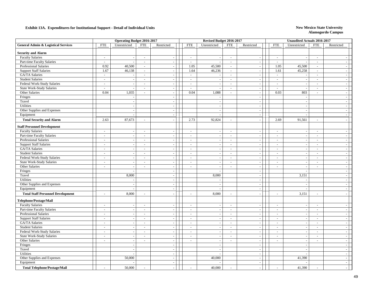|                                                |                          | <b>Operating Budget 2016-2017</b> |                          |                          |                          | Revised Budget 2016-2017 |                             |                             |                          | Unaudited Actuals 2016-2017 |                          |                          |  |
|------------------------------------------------|--------------------------|-----------------------------------|--------------------------|--------------------------|--------------------------|--------------------------|-----------------------------|-----------------------------|--------------------------|-----------------------------|--------------------------|--------------------------|--|
| <b>General Admin &amp; Logistical Services</b> | <b>FTE</b>               | Unrestricted                      | <b>FTE</b>               | Restricted               | <b>FTE</b>               | Unrestricted             | <b>FTE</b>                  | Restricted                  | <b>FTE</b>               | Unrestricted                | <b>FTE</b>               | Restricted               |  |
| <b>Security and Alarm</b>                      |                          |                                   |                          |                          |                          |                          |                             |                             |                          |                             |                          |                          |  |
| <b>Faculty Salaries</b>                        | $\sim$                   | $\sim$                            | $\sim$                   | $\sim$                   | $\sim$                   | $\blacksquare$           | $\sim$                      | $\sim$                      | $\sim$                   | ÷.                          | $\sim$                   |                          |  |
| Part-time Faculty Salaries                     | $\sim$                   | $\overline{\phantom{a}}$          | $\sim$                   | $\sim$                   | $\sim$                   | $\blacksquare$           | $\sim$                      | $\blacksquare$              | $\sim$                   |                             | $\blacksquare$           | $\overline{\phantom{a}}$ |  |
| <b>Professional Salaries</b>                   | 0.92                     | 40,500                            | $\blacksquare$           |                          | 1.05                     | 45,500                   | $\bar{a}$                   | $\sim$                      | 1.05                     | 45,500                      | $\sim$                   |                          |  |
| <b>Support Staff Salaries</b>                  | 1.67                     | 46,138                            | $\sim$                   | ÷,                       | 1.64                     | 46,236                   | $\overline{\phantom{a}}$    | $\blacksquare$              | 1.61                     | 45,258                      | $\blacksquare$           | $\overline{\phantom{a}}$ |  |
| GA/TA Salaries                                 | $\sim$                   | $\sim$                            | $\sim$                   | $\sim$                   | $\mathcal{L}$            | $\sim$                   | $\omega$                    | $\sim$                      | $\sim$                   |                             | $\sim$                   | $\sim$                   |  |
| <b>Student Salaries</b>                        | $\sim$                   | $\sim$                            | $\sim$                   | $\sim$                   | $\sim$                   | $\sim$                   | $\sim$                      | $\sim$                      | $\sim$                   |                             | $\sim$                   | $\overline{\phantom{a}}$ |  |
| Federal Work-Study Salaries                    | $\sim$                   | $\sim$                            | $\sim$                   | $\overline{\phantom{a}}$ | $\sim$                   | $\blacksquare$           | $\sim$                      | $\sim$                      | $\sim$                   | $\overline{\phantom{a}}$    | $\blacksquare$           | $\sim$                   |  |
| State Work-Study Salaries                      | $\sim$                   | $\sim$                            | $\sim$                   | $\sim$                   | $\sim$                   | $\sim$                   | $\sim$                      | $\sim$                      | $\sim$                   | ÷.                          | $\sim$                   | $\overline{\phantom{a}}$ |  |
| Other Salaries                                 | 0.04                     | 1,035                             | $\sim$                   | $\sim$                   | 0.04                     | 1,088                    | $\omega$                    | $\sim$                      | 0.03                     | 803                         | $\sim$                   | $\overline{\phantom{a}}$ |  |
| Fringes                                        |                          | $\sim$                            |                          |                          |                          | $\overline{\phantom{a}}$ |                             | $\overline{\phantom{a}}$    |                          |                             |                          | $\sim$                   |  |
| Travel                                         |                          | $\sim$                            |                          | $\overline{a}$           |                          | $\overline{a}$           |                             | $\overline{\phantom{a}}$    |                          | $\overline{a}$              |                          | $\sim$                   |  |
| <b>Utilities</b>                               |                          | $\sim$                            |                          | $\omega$                 |                          | $\sim$                   |                             | $\sim$                      |                          | $\overline{\phantom{a}}$    |                          | $\sim$                   |  |
| Other Supplies and Expenses                    |                          | $\overline{\phantom{a}}$          |                          | $\sim$                   |                          | $\sim$                   |                             | $\sim$                      |                          |                             |                          | $\sim$                   |  |
| Equipment                                      |                          | $\overline{\phantom{a}}$          |                          | $\sim$                   |                          | $\sim$                   |                             | $\sim$                      |                          | ÷.                          |                          | $\sim$                   |  |
| <b>Total Security and Alarm</b>                | 2.63                     | 87,673                            | $\sim$                   |                          | 2.73                     | 92,824                   | $\sim$                      | $\blacksquare$              | 2.69                     | 91,561                      | $\sim$                   | $\sim$                   |  |
| <b>Staff Personnel Development</b>             |                          |                                   |                          |                          |                          |                          |                             |                             |                          |                             |                          |                          |  |
| <b>Faculty Salaries</b>                        | $\sim$                   | $\sim$                            | $\overline{\phantom{a}}$ |                          | $\sim$                   | $\sim$                   | $\sim$                      | $\blacksquare$              | $\sim$                   |                             | $\sim$                   | $\sim$                   |  |
| Part-time Faculty Salaries                     | $\overline{\phantom{a}}$ | $\sim$                            | $\sim$                   | ÷,                       | $\tilde{\phantom{a}}$    | $\sim$                   | $\overline{\phantom{a}}$    | $\blacksquare$              | $\sim$                   | $\overline{\phantom{a}}$    | $\bar{a}$                | $\sim$                   |  |
| Professional Salaries                          | $\sim$                   | $\sim$                            | $\sim$                   | $\sim$                   | $\sim$                   | $\sim$                   | $\sim$                      | $\blacksquare$              | $\sim$                   | $\sim$                      | $\sim$                   | $\overline{\phantom{a}}$ |  |
| <b>Support Staff Salaries</b>                  | $\sim$                   | $\sim$                            | $\sim$                   | $\sim$                   | $\sim$                   | $\sim$                   | $\sim$                      | $\mathcal{L}_{\mathcal{A}}$ | $\sim$                   | $\overline{\phantom{a}}$    | $\sim$                   | $\sim$                   |  |
| GA/TA Salaries                                 | $\sim$                   | $\sim$                            | $\sim$                   | $\sim$                   | $\sim$                   | $\blacksquare$           | $\sim$                      | $\blacksquare$              | $\sim$                   | $\overline{a}$              | $\blacksquare$           | $\sim$                   |  |
| <b>Student Salaries</b>                        | $\sim$                   | $\sim$                            | $\sim$                   | $\sim$                   | $\sim$                   | $\sim$                   | $\sim$                      | $\blacksquare$              | $\blacksquare$           | $\sim$                      | $\blacksquare$           | $\overline{\phantom{a}}$ |  |
| Federal Work-Study Salaries                    | $\sim$                   | $\sim$                            | $\sim$                   | $\sim$                   | $\sim$                   | $\sim$                   | $\sim$                      | $\omega$                    | $\sim$                   | $\sim$                      | $\sim$                   | $\overline{\phantom{a}}$ |  |
| <b>State Work-Study Salaries</b>               | $\sim$                   | $\sim$                            | $\sim$                   | $\sim$                   | $\sim$                   | $\sim$                   | $\sim$                      | $\sim$                      | $\sim$                   | ÷.                          | $\blacksquare$           | $\sim$                   |  |
| Other Salaries                                 | $\sim$                   | $\sim$                            | $\sim$                   | ÷,                       | $\sim$                   | $\overline{\phantom{a}}$ | $\bar{a}$                   | $\overline{\phantom{a}}$    | $\sim$                   | $\sim$                      | $\bar{a}$                | $\overline{\phantom{a}}$ |  |
| Fringes                                        |                          | $\sim$                            |                          | $\sim$                   |                          | $\sim$                   |                             | $\overline{\phantom{a}}$    |                          |                             |                          | $\sim$                   |  |
| Travel                                         |                          | 8,000                             |                          | $\sim$                   |                          | 8,000                    |                             | $\blacksquare$              |                          | 3,151                       |                          | $\overline{\phantom{a}}$ |  |
| Utilities                                      |                          | $\sim$                            |                          | $\blacksquare$           |                          | $\sim$                   |                             | $\sim$                      |                          |                             |                          | $\sim$                   |  |
| Other Supplies and Expenses                    |                          | $\overline{\phantom{a}}$          |                          | $\sim$                   |                          | $\sim$                   |                             | $\sim$                      |                          | J.                          |                          | $\sim$                   |  |
| Equipment                                      |                          | $\sim$                            |                          | $\sim$                   |                          | $\sim$                   |                             | $\sim$                      |                          |                             |                          | $\overline{a}$           |  |
| <b>Total Staff Personnel Development</b>       | $\overline{\phantom{a}}$ | 8,000                             | $\sim$                   |                          | $\sim$                   | 8,000                    | ÷.                          |                             | $\sim$                   | 3,151                       | $\overline{a}$           | $\overline{a}$           |  |
| Telephone/Postage/Mail                         |                          |                                   |                          |                          |                          |                          |                             |                             |                          |                             |                          |                          |  |
| <b>Faculty Salaries</b>                        | $\overline{\phantom{a}}$ | $\overline{\phantom{a}}$          | $\overline{\phantom{a}}$ |                          |                          |                          | $\bar{\phantom{a}}$         |                             | $\sim$                   |                             | $\overline{\phantom{a}}$ |                          |  |
| Part-time Faculty Salaries                     | $\sim$                   | $\sim$                            | $\sim$                   | $\overline{\phantom{a}}$ | $\sim$                   | $\blacksquare$           | $\mathcal{L}_{\mathcal{A}}$ | $\overline{\phantom{a}}$    | $\sim$                   | $\overline{\phantom{a}}$    | $\blacksquare$           | $\sim$                   |  |
| Professional Salaries                          | $\sim$                   | $\sim$                            | $\sim$                   | $\sim$                   | $\sim$                   | $\sim$                   | $\mathcal{L}^{\mathcal{A}}$ | $\sim$                      | $\sim$                   | $\overline{a}$              | $\sim$                   | $\sim$                   |  |
| <b>Support Staff Salaries</b>                  | $\sim$                   | $\sim$                            | $\sim$                   | $\sim$                   | $\overline{\phantom{a}}$ | $\sim$                   | $\sim$                      | $\sim$                      | $\overline{\phantom{a}}$ | $\overline{\phantom{a}}$    | $\bar{a}$                | $\sim$                   |  |
| GA/TA Salaries                                 | $\sim$                   | $\sim$                            | $\blacksquare$           | $\overline{\phantom{a}}$ | $\sim$                   | $\blacksquare$           | $\sim$                      | $\sim$                      | $\sim$                   | $\overline{\phantom{a}}$    | $\blacksquare$           | $\overline{\phantom{a}}$ |  |
| <b>Student Salaries</b>                        | $\sim$                   | $\sim$                            | $\sim$                   | $\overline{\phantom{a}}$ | $\sim$                   | $\sim$                   | $\sim$                      | $\sim$                      | $\sim$                   | $\overline{\phantom{a}}$    | $\sim$                   | $\sim$                   |  |
| Federal Work-Study Salaries                    | $\sim$                   | $\sim$                            | $\sim$                   | $\sim$                   | $\sim$                   | $\sim$                   | $\sim$                      | $\sim$                      | $\sim$                   | $\sim$                      | $\sim$                   | $\overline{\phantom{a}}$ |  |
| <b>State Work-Study Salaries</b>               | $\sim$                   | $\sim$                            | $\sim$                   | $\sim$                   |                          | $\sim$                   | $\overline{\phantom{a}}$    | $\overline{\phantom{a}}$    | $\sim$                   |                             | $\overline{\phantom{a}}$ | $\sim$                   |  |
| Other Salaries                                 | $\sim$                   | $\sim$                            | $\sim$                   | $\sim$                   | $\sim$                   | $\blacksquare$           | $\sim$                      | $\overline{\phantom{a}}$    | $\sim$                   | $\overline{\phantom{a}}$    | $\sim$                   | $\sim$                   |  |
| Fringes                                        |                          | $\sim$                            |                          | $\sim$                   |                          | $\overline{a}$           |                             | $\sim$                      |                          | $\overline{\phantom{a}}$    |                          | $\sim$                   |  |
| Travel                                         |                          | $\sim$                            |                          | $\sim$                   |                          | $\sim$                   |                             | $\sim$                      |                          |                             |                          | $\sim$                   |  |
| Utilities                                      |                          | $\sim$                            |                          | $\blacksquare$           |                          | $\blacksquare$           |                             | $\sim$                      |                          |                             |                          | $\sim$                   |  |
| Other Supplies and Expenses                    |                          | 50,000                            |                          | $\sim$                   |                          | 40,000                   |                             | $\sim$                      |                          | 41,390                      |                          | $\sim$                   |  |
| Equipment                                      |                          |                                   |                          | $\sim$                   |                          |                          |                             | $\sim$                      |                          |                             |                          | $\overline{\phantom{a}}$ |  |
| <b>Total Telephone/Postage/Mail</b>            | $\overline{a}$           | 50,000                            | $\sim$                   | $\sim$                   |                          | 40,000                   | ÷,                          | $\sim$                      | $\sim$                   | 41,390                      | $\sim$                   | $\overline{\phantom{a}}$ |  |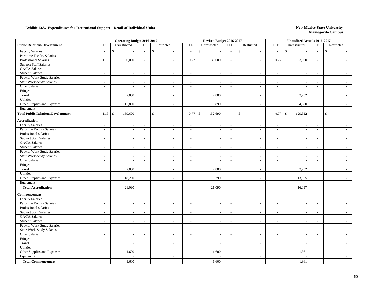|                                           |                | <b>Operating Budget 2016-2017</b> |                |                                      |                             | Revised Budget 2016-2017      |                             |                                          |                            | <b>Unaudited Actuals 2016-2017</b> |                          |                          |  |
|-------------------------------------------|----------------|-----------------------------------|----------------|--------------------------------------|-----------------------------|-------------------------------|-----------------------------|------------------------------------------|----------------------------|------------------------------------|--------------------------|--------------------------|--|
| <b>Public Relations/Development</b>       | <b>FTE</b>     | Unrestricted                      | <b>FTE</b>     | Restricted                           | <b>FTE</b>                  | Unrestricted                  | <b>FTE</b>                  | Restricted                               | <b>FTE</b>                 | Unrestricted                       | <b>FTE</b>               | Restricted               |  |
| <b>Faculty Salaries</b>                   | $\sim$         | \$                                | $\sim$         | $\mathbb{S}$                         | $\sim$                      | $\mathbb{S}$                  | $\overline{a}$              | \$                                       | $\mathbb{S}$<br>$\sim$     |                                    | $\overline{\phantom{a}}$ | $\mathbb{S}$             |  |
| Part-time Faculty Salaries                | $\sim$         | $\sim$                            | $\sim$         | $\sim$                               | $\sim$                      | $\sim$                        | $\overline{a}$              | $\overline{\phantom{a}}$                 | $\sim$                     |                                    | $\sim$                   |                          |  |
| Professional Salaries                     | 1.13           | 50,000                            | $\sim$         | $\sim$                               | 0.77                        | 33,000                        | $\mathcal{L}^{\mathcal{A}}$ | $\sim$                                   | 0.77                       | 33,000                             | $\sim$                   | $\sim$                   |  |
| <b>Support Staff Salaries</b>             | $\sim$         |                                   | $\sim$         |                                      | $\sim$                      | $\overline{\phantom{a}}$      | $\omega$                    | $\sim$                                   | $\sim$                     |                                    | $\overline{\phantom{a}}$ |                          |  |
| GA/TA Salaries                            | $\sim$         | $\overline{\phantom{a}}$          | $\sim$         |                                      | $\sim$                      | $\sim$                        | $\bar{\phantom{a}}$         | $\sim$                                   | $\sim$                     |                                    | $\overline{\phantom{a}}$ |                          |  |
| <b>Student Salaries</b>                   | $\sim$         | $\sim$                            | $\sim$         | $\sim$                               | $\sim$                      | $\sim$                        | $\omega$                    | $\blacksquare$                           | $\blacksquare$             | $\overline{\phantom{a}}$           | $\sim$                   | $\overline{\phantom{a}}$ |  |
| Federal Work-Study Salaries               | $\sim$         | $\overline{\phantom{a}}$          | $\blacksquare$ | $\sim$                               | $\sim$                      | $\sim$                        | $\sim$                      | $\sim$                                   | $\blacksquare$             | $\sim$                             | $\sim$                   | $\overline{\phantom{a}}$ |  |
| <b>State Work-Study Salaries</b>          | $\sim$         | $\sim$                            | $\sim$         | $\sim$                               | $\sim$                      | $\sim$                        | $\sim$                      | $\blacksquare$                           | $\sim$                     | $\sim$                             | $\sim$                   | $\overline{\phantom{a}}$ |  |
| Other Salaries                            | $\sim$         | $\sim$                            | $\sim$         | $\sim$                               | $\sim$                      | $\sim$                        | $\sim$                      | $\blacksquare$                           | $\sim$                     | $\overline{a}$                     | $\sim$                   | $\sim$                   |  |
| Fringes                                   |                | $\sim$                            |                | $\sim$                               |                             | $\sim$                        |                             | $\sim$                                   |                            |                                    |                          | $\overline{\phantom{a}}$ |  |
| Travel                                    |                | 2,800                             |                | $\overline{\phantom{a}}$             |                             | 2,800                         |                             | $\overline{\phantom{a}}$                 |                            | 2,732                              |                          | $\sim$                   |  |
| <b>Utilities</b>                          |                |                                   |                | $\sim$                               |                             |                               |                             | $\sim$                                   |                            |                                    |                          | $\sim$                   |  |
| Other Supplies and Expenses               |                | 116,890                           |                | $\overline{a}$                       |                             | 116,890                       |                             | $\sim$                                   |                            | 94,080                             |                          | $\sim$                   |  |
| Equipment                                 |                |                                   |                | $\overline{\phantom{a}}$             |                             |                               |                             | $\overline{\phantom{a}}$                 |                            |                                    |                          | $\sim$                   |  |
| <b>Total Public Relations/Development</b> | 1.13           | $\mathbb{S}$<br>169,690           | $\sim$         | $\mathbf{\hat{s}}$<br>$\overline{a}$ | 0.77                        | $\mathbf{\hat{S}}$<br>152,690 | $\sim$                      | $\mathbf{s}$<br>$\overline{\phantom{a}}$ | 0.77<br>$\mathbf{\hat{S}}$ | 129,812                            | $\overline{\phantom{a}}$ | $\mathbf{s}$<br>$\sim$   |  |
| <b>Accreditation</b>                      |                |                                   |                |                                      |                             |                               |                             |                                          |                            |                                    |                          |                          |  |
| <b>Faculty Salaries</b>                   | $\sim$         | $\sim$                            | $\sim$         | $\bar{\phantom{a}}$                  | $\sim$                      | $\blacksquare$                | $\mathcal{L}_{\mathcal{A}}$ | $\overline{\phantom{a}}$                 | $\sim$                     | $\overline{\phantom{a}}$           | $\sim$                   | $\overline{\phantom{a}}$ |  |
| Part-time Faculty Salaries                | $\sim$         | $\sim$                            | $\sim$         | $\sim$                               | $\sim$                      | $\sim$                        | $\sim$                      | $\overline{\phantom{a}}$                 | $\sim$                     | $\sim$                             | $\blacksquare$           | $\sim$                   |  |
| Professional Salaries                     | $\sim$         | $\overline{\phantom{a}}$          | $\sim$         | $\sim$                               | $\sim$                      | $\sim$                        | $\omega$                    | $\sim$                                   | $\sim$                     | $\sim$                             | $\sim$                   | $\sim$                   |  |
| <b>Support Staff Salaries</b>             | $\sim$         | $\sim$                            | $\sim$         | $\sim$                               | $\sim$                      | $\sim$                        | $\sim$                      | $\blacksquare$                           | $\sim$                     | $\overline{\phantom{a}}$           | $\sim$                   | $\sim$                   |  |
| GA/TA Salaries                            | $\sim$         | $\sim$                            | $\sim$         | $\sim$                               | $\sim$                      | $\sim$                        | $\sim$                      | $\sim$                                   | $\sim$                     | $\overline{\phantom{a}}$           | $\sim$                   | $\sim$                   |  |
| <b>Student Salaries</b>                   | $\sim$         | $\sim$                            | $\sim$         | $\sim$                               | $\sim$                      | $\overline{\phantom{a}}$      | $\sim$                      | $\sim$                                   | $\omega$                   | $\sim$                             | $\blacksquare$           | $\sim$                   |  |
| Federal Work-Study Salaries               | $\sim$         | $\sim$                            | $\sim$         | $\blacksquare$                       | $\mathcal{L}_{\mathcal{A}}$ | $\sim$                        | $\omega$                    | $\blacksquare$                           | $\sim$                     | $\overline{\phantom{a}}$           | $\sim$                   | $\sim$                   |  |
| <b>State Work-Study Salaries</b>          | $\sim$         | $\sim$                            | $\sim$         | $\sim$                               | $\sim$                      | $\sim$                        | $\sim$                      | $\blacksquare$                           | $\sim$                     | $\sim$                             | $\sim$                   | $\sim$                   |  |
| Other Salaries                            | $\sim$         | $\sim$                            | $\sim$         | $\sim$                               | $\sim$                      | $\sim$                        | $\sim$                      | $\sim$                                   | $\sim$                     | $\sim$                             | $\sim$                   | $\sim$                   |  |
| Fringes                                   |                | $\sim$                            |                | $\sim$                               |                             | $\sim$                        |                             | $\sim$                                   |                            |                                    |                          | $\overline{\phantom{a}}$ |  |
| Travel                                    |                | 2,800                             |                | $\overline{\phantom{a}}$             |                             | 2,800                         |                             | $\sim$                                   |                            | 2,732                              |                          | $\sim$                   |  |
| Utilities                                 |                |                                   |                | ÷.                                   |                             |                               |                             | $\overline{\phantom{a}}$                 |                            |                                    |                          | $\overline{\phantom{a}}$ |  |
| Other Supplies and Expenses               |                | 18,290                            |                |                                      |                             | 18,290                        |                             | $\sim$                                   |                            | 13,365                             |                          | $\sim$                   |  |
| Equipment                                 |                |                                   |                | $\sim$                               |                             | $\overline{\phantom{a}}$      |                             | $\mathcal{L}_{\mathcal{A}}$              |                            |                                    |                          | $\sim$                   |  |
| <b>Total Accreditation</b>                | $\overline{a}$ | 21,090                            | $\sim$         | $\sim$                               | $\sim$                      | 21,090                        | $\sim$                      | $\blacksquare$                           | $\sim$                     | 16,097                             | $\sim$                   | $\overline{a}$           |  |
| Commencement                              |                |                                   |                |                                      |                             |                               |                             |                                          |                            |                                    |                          |                          |  |
| <b>Faculty Salaries</b>                   | $\sim$         | $\sim$                            | $\sim$         | $\overline{a}$                       | $\sim$                      | $\sim$                        | $\sim$                      | $\overline{\phantom{a}}$                 | $\sim$                     |                                    | $\blacksquare$           | $\overline{\phantom{a}}$ |  |
| Part-time Faculty Salaries                | $\sim$         | $\sim$                            | $\sim$         | $\sim$                               | $\sim$                      | $\sim$                        | $\sim$                      | $\sim$                                   | $\sim$                     | $\overline{a}$                     | $\sim$                   | $\overline{\phantom{a}}$ |  |
| Professional Salaries                     | $\sim$         | $\sim$                            | $\mathcal{L}$  | $\sim$                               | $\sim$                      | $\overline{\phantom{a}}$      | $\omega$                    | $\mathcal{L}_{\mathcal{A}}$              | $\sim$                     | $\overline{\phantom{a}}$           | $\overline{\phantom{a}}$ | $\sim$                   |  |
| <b>Support Staff Salaries</b>             | $\sim$         | $\sim$                            | $\sim$         | $\sim$                               | $\sim$                      | $\sim$                        | $\omega$                    | $\sim$                                   | $\sim$                     | $\sim$                             | $\omega$                 | $\sim$                   |  |
| GA/TA Salaries                            | $\sim$         | $\sim$                            | $\sim$         | $\sim$                               | $\sim$                      | $\sim$                        | $\sim$                      | $\sim$                                   | $\overline{\phantom{a}}$   |                                    | $\sim$                   | $\sim$                   |  |
| <b>Student Salaries</b>                   | $\blacksquare$ | $\sim$                            | $\blacksquare$ | $\blacksquare$                       | $\sim$                      | $\blacksquare$                | $\sim$                      | $\sim$                                   | $\blacksquare$             | $\overline{\phantom{a}}$           | $\blacksquare$           | $\sim$                   |  |
| Federal Work-Study Salaries               | $\blacksquare$ | $\sim$                            | $\sim$         | $\overline{\phantom{a}}$             | $\sim$                      | $\blacksquare$                | $\blacksquare$              | $\sim$                                   | $\blacksquare$             | $\overline{\phantom{a}}$           | $\blacksquare$           | $\sim$                   |  |
| <b>State Work-Study Salaries</b>          | $\sim$         | $\sim$                            | $\sim$         | $\sim$                               | $\sim$                      | $\sim$                        | $\sim$                      | $\sim$                                   | $\sim$                     | $\overline{\phantom{a}}$           | $\sim$                   | $\sim$                   |  |
| Other Salaries                            | $\sim$         | $\sim$                            | $\sim$         | $\sim$                               | $\sim$                      | $\sim$                        | $\sim$                      | $\sim$                                   | $\sim$                     | $\sim$                             | $\sim$                   | $\overline{\phantom{a}}$ |  |
| Fringes                                   |                | $\sim$                            |                | $\sim$                               |                             | $\sim$                        |                             | $\sim$                                   |                            | $\sim$                             |                          | $\overline{\phantom{a}}$ |  |
| Travel                                    |                | $\overline{\phantom{a}}$          |                | $\sim$                               |                             | $\sim$                        |                             | $\sim$                                   |                            | ÷.                                 |                          | $\sim$                   |  |
| <b>Utilities</b>                          |                | $\sim$                            |                | $\sim$                               |                             | $\overline{\phantom{a}}$      |                             | $\blacksquare$                           |                            |                                    |                          | $\sim$                   |  |
| Other Supplies and Expenses               |                | 1,600                             |                | $\sim$                               |                             | 1,600                         |                             | $\overline{\phantom{a}}$                 |                            | 1,361                              |                          | $\sim$                   |  |
| Equipment                                 |                |                                   |                | $\blacksquare$                       |                             | $\overline{a}$                |                             | $\overline{\phantom{a}}$                 |                            |                                    |                          | $\sim$                   |  |
|                                           |                | 1,600                             |                |                                      |                             | 1,600                         |                             |                                          |                            | 1,361                              |                          | $\overline{a}$           |  |
| <b>Total Commencement</b>                 |                |                                   |                |                                      |                             |                               |                             | $\overline{\phantom{a}}$                 |                            |                                    | ÷,                       |                          |  |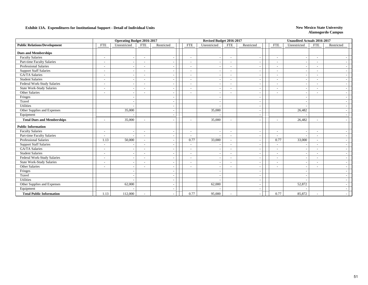|                                     |                          | <b>Operating Budget 2016-2017</b> |                          |                          | Revised Budget 2016-2017 |                          |                          |                          |                          |                          | <b>Unaudited Actuals 2016-2017</b> |                          |                          |  |
|-------------------------------------|--------------------------|-----------------------------------|--------------------------|--------------------------|--------------------------|--------------------------|--------------------------|--------------------------|--------------------------|--------------------------|------------------------------------|--------------------------|--------------------------|--|
| <b>Public Relations/Development</b> | <b>FTE</b>               | Unrestricted                      | <b>FTE</b>               | Restricted               |                          | <b>FTE</b>               | Unrestricted             | <b>FTE</b>               | Restricted               | <b>FTE</b>               | Unrestricted                       | <b>FTE</b>               | Restricted               |  |
| <b>Dues and Memberships</b>         |                          |                                   |                          |                          |                          |                          |                          |                          |                          |                          |                                    |                          |                          |  |
| <b>Faculty Salaries</b>             | $\overline{\phantom{a}}$ | $\sim$                            | $\sim$                   |                          |                          | $\overline{\phantom{a}}$ | $\overline{\phantom{a}}$ | $\sim$                   |                          | $\sim$                   |                                    | $\overline{\phantom{a}}$ |                          |  |
| Part-time Faculty Salaries          | $\overline{\phantom{a}}$ | $\sim$                            | $\overline{\phantom{a}}$ | $\overline{\phantom{a}}$ |                          | $\overline{\phantom{a}}$ | $\overline{\phantom{a}}$ | $\overline{\phantom{a}}$ | $\overline{\phantom{a}}$ | $\overline{\phantom{a}}$ | ۰.                                 | $\overline{\phantom{a}}$ | $\overline{\phantom{a}}$ |  |
| <b>Professional Salaries</b>        | ۰                        | $\overline{\phantom{a}}$          | $\overline{\phantom{a}}$ |                          |                          | $\overline{\phantom{a}}$ | $\overline{\phantom{a}}$ | $\overline{\phantom{a}}$ | $\overline{\phantom{a}}$ | $\overline{\phantom{a}}$ | ٠                                  | $\overline{\phantom{a}}$ | $\overline{\phantom{a}}$ |  |
| <b>Support Staff Salaries</b>       | ۰                        | $\overline{\phantom{a}}$          |                          |                          |                          | $\overline{\phantom{a}}$ | $\overline{\phantom{a}}$ | $\overline{\phantom{a}}$ | $\overline{\phantom{a}}$ | $\overline{\phantom{a}}$ |                                    | $\overline{\phantom{a}}$ | $\overline{\phantom{a}}$ |  |
| GA/TA Salaries                      | ۰                        | $\sim$                            |                          |                          |                          | $\sim$                   | $\overline{\phantom{a}}$ | $\sim$                   | $\overline{\phantom{a}}$ | $\overline{\phantom{a}}$ |                                    | $\overline{\phantom{a}}$ |                          |  |
| <b>Student Salaries</b>             | $\sim$                   |                                   |                          |                          |                          |                          | $\overline{\phantom{a}}$ | $\sim$                   | $\overline{\phantom{a}}$ | $\overline{\phantom{a}}$ |                                    | ٠                        |                          |  |
| Federal Work-Study Salaries         | -                        |                                   |                          |                          |                          |                          | $\overline{\phantom{a}}$ | $\overline{\phantom{a}}$ | $\overline{\phantom{a}}$ | $\overline{\phantom{a}}$ |                                    | ٠                        |                          |  |
| <b>State Work-Study Salaries</b>    | $\overline{\phantom{a}}$ |                                   | $\overline{\phantom{a}}$ |                          |                          | $\overline{\phantom{a}}$ | $\overline{\phantom{a}}$ | $\overline{\phantom{a}}$ | $\overline{\phantom{a}}$ | $\sim$                   |                                    | $\overline{\phantom{a}}$ |                          |  |
| Other Salaries                      | $\overline{\phantom{a}}$ |                                   | $\overline{\phantom{a}}$ |                          |                          |                          | $\overline{\phantom{a}}$ | $\overline{\phantom{a}}$ | $\overline{\phantom{a}}$ | $\overline{\phantom{a}}$ |                                    | ٠                        |                          |  |
| Fringes                             |                          | $\overline{\phantom{a}}$          |                          |                          |                          |                          | $\overline{\phantom{a}}$ |                          | $\overline{\phantom{a}}$ |                          |                                    |                          |                          |  |
| Travel                              |                          |                                   |                          |                          |                          |                          | $\overline{\phantom{a}}$ |                          | $\blacksquare$           |                          |                                    |                          |                          |  |
| Utilities                           |                          |                                   |                          |                          |                          |                          | $\overline{\phantom{a}}$ |                          | $\overline{\phantom{a}}$ |                          |                                    |                          |                          |  |
| Other Supplies and Expenses         |                          | 35,000                            |                          |                          |                          |                          | 35,000                   |                          | $\overline{\phantom{a}}$ |                          | 26,482                             |                          |                          |  |
| Equipment                           |                          |                                   |                          |                          |                          |                          |                          |                          |                          |                          |                                    |                          |                          |  |
| <b>Total Dues and Memberships</b>   | ٠                        | 35,000                            |                          |                          |                          |                          | 35,000                   | $\overline{\phantom{a}}$ |                          | $\overline{\phantom{a}}$ | 26,482                             | $\overline{\phantom{a}}$ |                          |  |
| <b>Public Information</b>           |                          |                                   |                          |                          |                          |                          |                          |                          |                          |                          |                                    |                          |                          |  |
| <b>Faculty Salaries</b>             | -                        | $\overline{\phantom{a}}$          |                          |                          |                          | $\overline{\phantom{a}}$ | $\sim$                   | $\overline{\phantom{a}}$ | $\overline{\phantom{a}}$ | $\overline{\phantom{a}}$ |                                    | $\blacksquare$           |                          |  |
| Part-time Faculty Salaries          | ÷,                       |                                   |                          |                          |                          |                          | $\sim$                   | $\sim$                   |                          | $\overline{\phantom{a}}$ |                                    |                          |                          |  |
| <b>Professional Salaries</b>        | 1.13                     | 50,000                            | $\overline{\phantom{a}}$ |                          |                          | 0.77                     | 33,000                   | $\sim$                   | $\overline{\phantom{a}}$ | 0.77                     | 33,000                             | $\sim$                   |                          |  |
| <b>Support Staff Salaries</b>       | $\overline{\phantom{a}}$ | $\overline{\phantom{a}}$          | $\overline{\phantom{a}}$ |                          |                          | $\overline{\phantom{a}}$ | $\overline{\phantom{a}}$ | $\overline{\phantom{a}}$ | $\overline{\phantom{a}}$ | $\overline{\phantom{a}}$ |                                    | $\overline{\phantom{a}}$ | $\overline{\phantom{a}}$ |  |
| GA/TA Salaries                      | $\overline{\phantom{a}}$ | $\overline{\phantom{a}}$          | $\overline{\phantom{0}}$ | $\overline{\phantom{a}}$ |                          | $\overline{\phantom{a}}$ | $\overline{\phantom{a}}$ | $\overline{\phantom{a}}$ | $\overline{\phantom{a}}$ | $\sim$                   | $\overline{\phantom{a}}$           | $\overline{\phantom{a}}$ | $\sim$                   |  |
| <b>Student Salaries</b>             | $\overline{\phantom{a}}$ | $\overline{\phantom{a}}$          |                          | $\overline{\phantom{a}}$ |                          | $\sim$                   | $\overline{\phantom{a}}$ | $\sim$                   | $\overline{\phantom{a}}$ | $\sim$                   | ٠                                  | $\overline{\phantom{a}}$ | $\sim$                   |  |
| Federal Work-Study Salaries         | $\sim$                   | $\sim$                            |                          |                          |                          |                          | $\overline{\phantom{a}}$ | $\sim$                   | $\overline{\phantom{a}}$ | $\overline{\phantom{a}}$ |                                    | $\sim$                   | $\overline{\phantom{a}}$ |  |
| <b>State Work-Study Salaries</b>    | $\overline{a}$           |                                   |                          |                          |                          |                          | $\sim$                   | $\sim$                   | $\sim$                   | $\overline{\phantom{a}}$ |                                    | $\overline{\phantom{a}}$ |                          |  |
| Other Salaries                      | $\overline{a}$           | $\sim$                            |                          |                          |                          |                          | $\overline{\phantom{a}}$ | $\sim$                   | $\overline{\phantom{a}}$ | $\sim$                   |                                    | $\overline{\phantom{a}}$ |                          |  |
| Fringes                             |                          |                                   |                          |                          |                          |                          | $\overline{\phantom{a}}$ |                          | $\overline{\phantom{a}}$ |                          |                                    |                          |                          |  |
| Travel                              |                          |                                   |                          |                          |                          |                          | $\overline{\phantom{a}}$ |                          | $\overline{\phantom{a}}$ |                          |                                    |                          |                          |  |
| Utilities                           |                          |                                   |                          |                          |                          |                          | $\overline{a}$           |                          | $\overline{\phantom{a}}$ |                          |                                    |                          |                          |  |
| Other Supplies and Expenses         |                          | 62,000                            |                          |                          |                          |                          | 62,000                   |                          | $\sim$                   |                          | 52,872                             |                          |                          |  |
| Equipment                           |                          |                                   |                          |                          |                          |                          |                          |                          | $\sim$                   |                          |                                    |                          |                          |  |
| <b>Total Public Information</b>     | 1.13                     | 112,000                           |                          |                          |                          | 0.77                     | 95,000                   |                          | $\sim$                   | 0.77                     | 85,872                             | $\overline{\phantom{a}}$ |                          |  |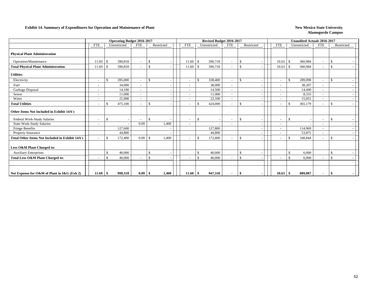#### **Exhibit 14. Summary of Expenditures for Operation and Maintenance of Plant New Mexico State University New Mexico State University**

|                                                        |                          | <b>Operating Budget 2016-2017</b> |                          |                    |                          |                    | Revised Budget 2016-2017 |                          |               |  |                          |               | <b>Unaudited Actuals 2016-2017</b> |                          |                    |  |
|--------------------------------------------------------|--------------------------|-----------------------------------|--------------------------|--------------------|--------------------------|--------------------|--------------------------|--------------------------|---------------|--|--------------------------|---------------|------------------------------------|--------------------------|--------------------|--|
|                                                        | FTE                      | Unrestricted                      | <b>FTE</b>               | Restricted         | <b>FTE</b>               |                    | Unrestricted             | <b>FTE</b>               | Restricted    |  | <b>FTE</b>               |               | Unrestricted                       | <b>FTE</b>               | Restricted         |  |
| <b>Physical Plant Administration</b>                   |                          |                                   |                          |                    |                          |                    |                          |                          |               |  |                          |               |                                    |                          |                    |  |
| Operation/Maintenance                                  | 11.69                    | 390,818<br>-S                     | $\sim$                   | $\mathcal{S}$      | 11.60                    | -\$                | 390,718                  |                          | $\mathcal{S}$ |  | 10.63                    | -\$           | 360,984                            | $\overline{\phantom{a}}$ | -S                 |  |
| <b>Total Physical Plant Administration</b>             | 11.69                    | 390,818                           | $\overline{\phantom{a}}$ | $\mathbf{\hat{S}}$ | 11.60                    | -8                 | 390,718                  |                          | $\mathcal{S}$ |  | 10.63                    | -\$           | 360,984                            | $\overline{\phantom{a}}$ | $\mathcal{S}$      |  |
| <b>Utilities</b>                                       |                          |                                   |                          |                    |                          |                    |                          |                          |               |  |                          |               |                                    |                          |                    |  |
| Electricity                                            |                          | 395,000<br>$\mathcal{L}$          |                          | $\mathcal{S}$      |                          | $\mathcal{S}$      | 338,400                  |                          | $\mathcal{S}$ |  | $\overline{\phantom{a}}$ | $\mathbf{\$}$ | 289,098                            | $\overline{\phantom{a}}$ | $\mathcal{L}$      |  |
| Fuel                                                   | $\overline{\phantom{a}}$ | 34,000                            | $\sim$                   |                    |                          |                    | 38,000                   | $\overline{\phantom{a}}$ |               |  | $\sim$                   |               | 38,207                             | $\overline{\phantom{a}}$ |                    |  |
| Garbage Disposal                                       | $\overline{\phantom{a}}$ | 14,100                            | $\overline{\phantom{a}}$ |                    |                          |                    | 14,500                   | $\sim$                   |               |  | $\overline{\phantom{a}}$ |               | 14,490                             | $\overline{\phantom{a}}$ |                    |  |
| Sewer                                                  | $\overline{\phantom{a}}$ | 11.000                            | $\sim$                   |                    |                          |                    | 11,000                   | $\overline{\phantom{a}}$ |               |  | $\overline{\phantom{a}}$ |               | 8,333                              | $\sim$                   |                    |  |
| Water                                                  |                          | 21,000                            |                          |                    |                          |                    | 22,100                   |                          |               |  |                          |               | 15,051                             |                          |                    |  |
| <b>Total Utilities</b>                                 | $\overline{\phantom{a}}$ | 475,100<br>$\mathcal{S}$          | $\overline{\phantom{a}}$ | <sup>\$</sup>      |                          | -\$                | 424,000                  |                          | \$            |  | $\overline{\phantom{a}}$ | S.            | 365,179                            | $\sim$                   | <sup>\$</sup>      |  |
| Other Items Not Included in Exhibit 14A's              |                          |                                   |                          |                    |                          |                    |                          |                          |               |  |                          |               |                                    |                          |                    |  |
| Federal Work-Study Salaries                            | $\sim$                   |                                   | $\overline{\phantom{a}}$ | $\mathbf{\hat{s}}$ | $\overline{\phantom{a}}$ | -\$                |                          | $\overline{\phantom{0}}$ | <sup>\$</sup> |  | $\overline{\phantom{a}}$ | -\$           |                                    | $\overline{\phantom{a}}$ | $\mathcal{S}$      |  |
| <b>State Work-Study Salaries</b>                       | $\overline{\phantom{a}}$ |                                   | 0.09                     | 1,400              |                          |                    |                          |                          |               |  | $\overline{\phantom{a}}$ |               |                                    |                          |                    |  |
| Fringe Benefits                                        |                          | 127,600                           |                          |                    |                          |                    | 127,800                  |                          |               |  | $\overline{\phantom{a}}$ |               | 114,969                            | $\overline{\phantom{a}}$ |                    |  |
| <b>Property Insurance</b>                              |                          | 44,800                            |                          |                    |                          |                    | 44,800                   |                          |               |  | $\overline{\phantom{0}}$ |               | 53,875                             | $\overline{\phantom{a}}$ |                    |  |
| <b>Total Other Items Not Included in Exhibit 14A's</b> |                          | 172,400<br>-\$                    | 0.09                     | 1,400<br>-8        |                          | -\$                | 172,600                  |                          | \$            |  | $\overline{\phantom{a}}$ | £.            | 168,844                            | $\overline{\phantom{a}}$ | <sup>\$</sup>      |  |
| Less O&M Plant Charged to:                             |                          |                                   |                          |                    |                          |                    |                          |                          |               |  |                          |               |                                    |                          |                    |  |
| <b>Auxiliary Enterprises</b>                           |                          | 40,000                            |                          | $\mathcal{S}$      |                          | $\mathbf{\hat{S}}$ | 40,000                   |                          | \$            |  |                          | $\mathcal{S}$ | 6,000                              |                          | \$                 |  |
| Total Less O&M Plant Charged to:                       |                          | 40,000<br>£.                      |                          | $\mathbf{\hat{S}}$ |                          | $\mathcal{S}$      | 40,000                   |                          | $\mathcal{S}$ |  | $\sim$                   | $\mathcal{S}$ | 6,000                              | $\overline{\phantom{a}}$ | $\mathbf{\hat{S}}$ |  |
|                                                        |                          |                                   |                          |                    |                          |                    |                          |                          |               |  |                          |               |                                    |                          |                    |  |
| Net Expense for O&M of Plant in I&G (Exh 2)            | 11.69                    | 998,318<br>÷.                     | 0.09                     | 1,400<br>-9        | 11.60                    | -\$                | 947,318                  |                          |               |  | 10.63                    |               | 889,007                            | $\sim$                   |                    |  |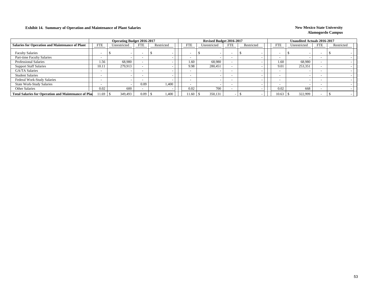### **Exhibit 14. Summary of Operation and Maintenance of Plant Salaries New Mexico State University New Mexico State University**

|                                                             |            | <b>Operating Budget 2016-2017</b> |                          |            |            | Revised Budget 2016-2017 |            |            |                          | Unaudited Actuals 2016-2017 |            |            |  |
|-------------------------------------------------------------|------------|-----------------------------------|--------------------------|------------|------------|--------------------------|------------|------------|--------------------------|-----------------------------|------------|------------|--|
| <b>Salaries for Operation and Maintenance of Plant</b>      | <b>FTE</b> | Unrestricted                      | <b>FTE</b>               | Restricted | <b>FTE</b> | Unrestricted             | <b>FTE</b> | Restricted | <b>FTE</b>               | Unrestricted                | <b>FTE</b> | Restricted |  |
| <b>Faculty Salaries</b>                                     |            |                                   | $\overline{\phantom{a}}$ |            |            |                          |            |            |                          |                             |            |            |  |
| Part-time Faculty Salaries                                  |            |                                   | $\overline{\phantom{a}}$ |            |            |                          |            |            | $\overline{\phantom{0}}$ |                             |            |            |  |
| <b>Professional Salaries</b>                                | 1.56       | 68.980                            | $\overline{\phantom{0}}$ |            | 1.60       | 68,980                   |            |            | 1.60                     | 68,980                      |            |            |  |
| <b>Support Staff Salaries</b>                               | 10.11      | 279.913                           |                          |            | 9.98       | 280,451                  |            |            | 9.01                     | 253,351                     |            |            |  |
| <b>GA/TA Salaries</b>                                       |            |                                   | $\overline{\phantom{a}}$ |            |            |                          |            |            | $\sim$                   |                             |            |            |  |
| <b>Student Salaries</b>                                     |            |                                   | $\overline{\phantom{0}}$ |            |            |                          |            |            | $\overline{\phantom{0}}$ |                             |            |            |  |
| <b>Federal Work-Study Salaries</b>                          |            |                                   |                          |            |            |                          |            |            | $\overline{\phantom{0}}$ |                             |            |            |  |
| <b>State Work-Study Salaries</b>                            |            |                                   | 0.09                     | 1,400      |            |                          |            |            | $-$                      |                             |            |            |  |
| <b>Other Salaries</b>                                       | 0.02       | 600                               |                          |            | 0.02       | 700                      |            |            | 0.02                     | 668                         |            |            |  |
| <b>Total Salaries for Operation and Maintenance of Plan</b> |            | 349,493                           | 0.09                     | 1,400      | 1.60       | 350,131                  |            |            | 10.63                    | 322.999                     |            |            |  |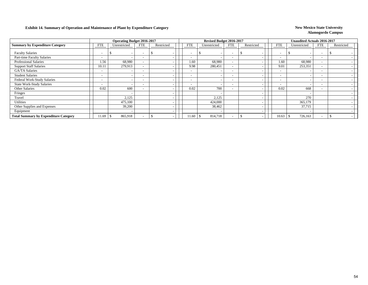### **Exhibit 14. Summary of Operation and Maintenance of Plant by Expenditure Category New Mexico State University**

|                                              |                          | <b>Operating Budget 2016-2017</b> |                          |            |                          | Revised Budget 2016-2017 |                          |            |                          | <b>Unaudited Actuals 2016-2017</b> |                          |            |
|----------------------------------------------|--------------------------|-----------------------------------|--------------------------|------------|--------------------------|--------------------------|--------------------------|------------|--------------------------|------------------------------------|--------------------------|------------|
| <b>Summary by Expenditure Category</b>       | <b>FTE</b>               | Unrestricted                      | <b>FTE</b>               | Restricted | <b>FTE</b>               | Unrestricted             | <b>FTE</b>               | Restricted | <b>FTE</b>               | Unrestricted                       | <b>FTE</b>               | Restricted |
| <b>Faculty Salaries</b>                      |                          | $\overline{\phantom{a}}$          |                          |            |                          |                          |                          |            | $\overline{\phantom{0}}$ |                                    | $\overline{\phantom{a}}$ |            |
| Part-time Faculty Salaries                   | $\overline{\phantom{a}}$ |                                   |                          |            | $\overline{\phantom{a}}$ |                          | ٠                        |            | $\overline{\phantom{0}}$ |                                    | $\overline{\phantom{a}}$ |            |
| Professional Salaries                        | 1.56                     | 68,980                            | $\overline{\phantom{0}}$ |            | 1.60                     | 68,980                   | $\overline{\phantom{a}}$ |            | 1.60                     | 68,980                             | $\overline{\phantom{a}}$ |            |
| <b>Support Staff Salaries</b>                | 10.11                    | 279,913                           |                          |            | 9.98                     | 280,451                  | $\overline{\phantom{a}}$ |            | 9.01                     | 253,351                            | $\overline{\phantom{0}}$ |            |
| <b>GA/TA Salaries</b>                        | $\overline{\phantom{a}}$ |                                   |                          |            | $\overline{\phantom{a}}$ |                          | $\overline{\phantom{a}}$ |            | $\overline{\phantom{a}}$ |                                    | $\overline{\phantom{a}}$ |            |
| <b>Student Salaries</b>                      | $\overline{\phantom{0}}$ | $\overline{\phantom{a}}$          | $\overline{\phantom{0}}$ |            | $\overline{\phantom{0}}$ |                          | $\overline{\phantom{0}}$ |            | $\overline{\phantom{a}}$ |                                    | $\overline{\phantom{0}}$ |            |
| Federal Work-Study Salaries                  | $\overline{\phantom{a}}$ | $\overline{\phantom{0}}$          |                          |            | $\overline{\phantom{0}}$ |                          | $\overline{\phantom{0}}$ |            | $\overline{\phantom{a}}$ |                                    | $\overline{\phantom{0}}$ |            |
| <b>State Work-Study Salaries</b>             | $\overline{\phantom{0}}$ | $\overline{\phantom{0}}$          |                          |            | $\overline{\phantom{0}}$ |                          | $\overline{\phantom{a}}$ |            | $\overline{\phantom{0}}$ |                                    | $\overline{\phantom{a}}$ |            |
| Other Salaries                               | 0.02                     | 600                               |                          |            | 0.02                     | 700                      | $\overline{\phantom{a}}$ |            | 0.02                     | 668                                | $\overline{\phantom{0}}$ |            |
| Fringes                                      |                          | $\overline{\phantom{a}}$          |                          |            |                          |                          |                          |            |                          |                                    |                          |            |
| Travel                                       |                          | 2,125                             |                          |            |                          | 2,125                    |                          |            |                          | 270                                |                          |            |
| Utilities                                    |                          | 475,100                           |                          |            |                          | 424,000                  |                          |            |                          | 365,179                            |                          |            |
| Other Supplies and Expenses                  |                          | 39,200                            |                          |            |                          | 38,462                   |                          |            |                          | 37,715                             |                          |            |
| Equipment                                    |                          | $\overline{\phantom{a}}$          |                          |            |                          |                          |                          |            |                          |                                    |                          |            |
| <b>Total Summary by Expenditure Category</b> | 1.69                     | 865,918                           |                          |            | 11.60                    | 814,718                  | $\overline{\phantom{a}}$ |            | 10.63                    | 726,163<br>- 25                    | $\overline{\phantom{a}}$ |            |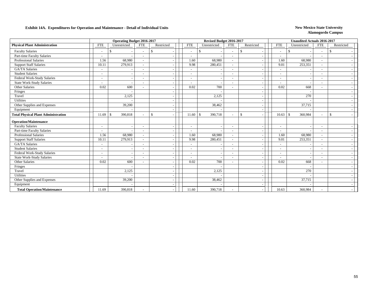### **Exhibit 14A. Expenditures for Operation and Maintenance - Detail of Individual Units** New Mexico State University

|                                            |                          | <b>Operating Budget 2016-2017</b> |                          |               |                          | Revised Budget 2016-2017 |                          |                                          |                          | <b>Unaudited Actuals 2016-2017</b> |                          |                    |  |
|--------------------------------------------|--------------------------|-----------------------------------|--------------------------|---------------|--------------------------|--------------------------|--------------------------|------------------------------------------|--------------------------|------------------------------------|--------------------------|--------------------|--|
| <b>Physical Plant Administration</b>       | <b>FTE</b>               | Unrestricted                      | <b>FTE</b>               | Restricted    | <b>FTE</b>               | Unrestricted             | <b>FTE</b>               | Restricted                               | <b>FTE</b>               | Unrestricted                       | <b>FTE</b>               | Restricted         |  |
| <b>Faculty Salaries</b>                    |                          |                                   | $\blacksquare$           | <sup>\$</sup> | $\overline{\phantom{a}}$ | \$.                      | $\overline{\phantom{a}}$ | \$                                       | $\overline{\phantom{a}}$ | <sup>\$</sup>                      | $\overline{\phantom{a}}$ | -\$                |  |
| Part-time Faculty Salaries                 | $\overline{\phantom{a}}$ |                                   | $\blacksquare$           |               | $\blacksquare$           |                          | $\overline{\phantom{a}}$ | $\overline{\phantom{a}}$                 | $\blacksquare$           |                                    | $\overline{\phantom{0}}$ |                    |  |
| <b>Professional Salaries</b>               | 1.56                     | 68,980                            |                          |               | 1.60                     | 68,980                   | $\overline{\phantom{a}}$ | $\overline{\phantom{a}}$                 | 1.60                     | 68,980                             |                          |                    |  |
| <b>Support Staff Salaries</b>              | 10.11                    | 279,913                           | $\overline{\phantom{a}}$ |               | 9.98                     | 280,451                  | $\sim$                   | $\overline{\phantom{a}}$                 | 9.01                     | 253,351                            | $\overline{\phantom{a}}$ |                    |  |
| <b>GA/TA Salaries</b>                      | $\sim$                   |                                   | $\overline{\phantom{0}}$ |               | $\sim$                   |                          | $\overline{\phantom{a}}$ | $\overline{\phantom{a}}$                 | $\overline{\phantom{a}}$ |                                    | $\overline{\phantom{0}}$ |                    |  |
| <b>Student Salaries</b>                    |                          |                                   |                          |               |                          |                          | $\blacksquare$           |                                          | $\sim$                   |                                    |                          |                    |  |
| Federal Work-Study Salaries                |                          |                                   |                          |               |                          |                          | $\overline{\phantom{a}}$ | $\overline{\phantom{a}}$                 | $\overline{a}$           |                                    |                          |                    |  |
| <b>State Work-Study Salaries</b>           | $\overline{\phantom{a}}$ |                                   | $\overline{a}$           |               | $\overline{\phantom{a}}$ |                          | $\sim$                   | $\overline{\phantom{a}}$                 | $\sim$                   |                                    | $\overline{\phantom{0}}$ |                    |  |
| Other Salaries                             | 0.02                     | 600                               |                          |               | 0.02                     | 700                      |                          | $\overline{\phantom{a}}$                 | 0.02                     | 668                                |                          |                    |  |
| Fringes                                    |                          |                                   |                          |               |                          |                          |                          | $\overline{\phantom{a}}$                 |                          |                                    |                          |                    |  |
| Travel                                     |                          | 2,125                             |                          |               |                          | 2,125                    |                          | $\overline{\phantom{a}}$                 |                          | 270                                |                          |                    |  |
| Utilities                                  |                          |                                   |                          |               |                          |                          |                          |                                          |                          |                                    |                          |                    |  |
| Other Supplies and Expenses                |                          | 39,200                            |                          |               |                          | 38,462                   |                          | $\overline{\phantom{a}}$                 |                          | 37,715                             |                          |                    |  |
| Equipment                                  |                          |                                   |                          |               |                          |                          |                          | $\overline{\phantom{a}}$                 |                          |                                    |                          |                    |  |
| <b>Total Physical Plant Administration</b> | 11.69                    | 390,818<br>-S                     | ۰                        | <sup>\$</sup> | 11.60                    | 390,718<br>$\mathbb{S}$  | $\sim$                   | $\mathbb{S}$<br>$\overline{\phantom{a}}$ | $10.63$ \$               | 360,984                            | $\overline{\phantom{a}}$ | $\mathbf{\hat{s}}$ |  |
| <b>Operation/Maintenance</b>               |                          |                                   |                          |               |                          |                          |                          |                                          |                          |                                    |                          |                    |  |
| <b>Faculty Salaries</b>                    |                          |                                   | $\overline{a}$           |               | $\blacksquare$           |                          | $\sim$                   |                                          | $\overline{\phantom{a}}$ |                                    |                          |                    |  |
| Part-time Faculty Salaries                 | $\sim$                   |                                   | $\overline{\phantom{a}}$ |               | $\overline{\phantom{a}}$ |                          | $\overline{\phantom{a}}$ | $\overline{\phantom{a}}$                 | $\overline{\phantom{a}}$ |                                    | $\overline{\phantom{a}}$ |                    |  |
| <b>Professional Salaries</b>               | 1.56                     | 68,980                            | $\overline{\phantom{a}}$ |               | 1.60                     | 68,980                   | $\overline{\phantom{a}}$ | $\overline{\phantom{a}}$                 | 1.60                     | 68,980                             | $\overline{\phantom{a}}$ |                    |  |
| <b>Support Staff Salaries</b>              | 10.11                    | 279,913                           |                          |               | 9.98                     | 280,451                  | $\sim$                   |                                          | 9.01                     | 253,351                            |                          |                    |  |
| GA/TA Salaries                             | $\overline{\phantom{a}}$ |                                   |                          |               |                          |                          | $\overline{\phantom{a}}$ | $\overline{\phantom{a}}$                 |                          |                                    |                          |                    |  |
| <b>Student Salaries</b>                    | $\overline{\phantom{a}}$ | $\overline{a}$                    | $\overline{\phantom{a}}$ |               | $\overline{\phantom{a}}$ |                          | $\sim$                   | $\overline{\phantom{a}}$                 | $\sim$                   |                                    | $\overline{\phantom{a}}$ |                    |  |
| Federal Work-Study Salaries                | $\overline{\phantom{a}}$ | $\overline{a}$                    | $\overline{\phantom{a}}$ |               |                          |                          | $\overline{\phantom{a}}$ | $\overline{\phantom{a}}$                 | $\overline{\phantom{a}}$ |                                    |                          |                    |  |
| <b>State Work-Study Salaries</b>           | $\overline{\phantom{a}}$ |                                   | $\overline{\phantom{a}}$ |               |                          |                          | $\overline{\phantom{a}}$ | $\overline{\phantom{a}}$                 |                          |                                    |                          |                    |  |
| Other Salaries                             | 0.02                     | 600                               | $\overline{\phantom{0}}$ |               | 0.02                     | 700                      | $\overline{\phantom{a}}$ | $\overline{\phantom{a}}$                 | 0.02                     | 668                                | $\overline{\phantom{0}}$ |                    |  |
| Fringes                                    |                          |                                   |                          |               |                          |                          |                          |                                          |                          |                                    |                          |                    |  |
| Travel                                     |                          | 2,125                             |                          |               |                          | 2,125                    |                          | $\overline{\phantom{a}}$                 |                          | 270                                |                          |                    |  |
| Utilities                                  |                          |                                   |                          |               |                          |                          |                          | $\overline{\phantom{a}}$                 |                          |                                    |                          |                    |  |
| Other Supplies and Expenses                |                          | 39,200                            |                          |               |                          | 38,462                   |                          |                                          |                          | 37,715                             |                          |                    |  |
| Equipment                                  |                          |                                   |                          |               |                          |                          |                          |                                          |                          |                                    |                          |                    |  |
| <b>Total Operation/Maintenance</b>         | 11.69                    | 390,818                           |                          |               | 11.60                    | 390,718                  |                          | $\overline{\phantom{a}}$                 | 10.63                    | 360,984                            |                          |                    |  |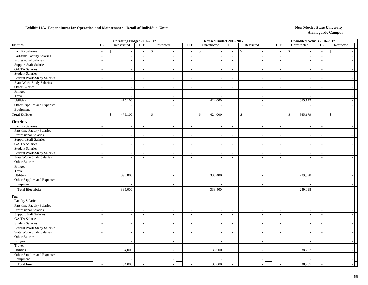### **Exhibit 14A. Expenditures for Operation and Maintenance - Detail of Individual Units** New Mexico State University

|                                  |                             | <b>Operating Budget 2016-2017</b> |                          |                          |                             | Revised Budget 2016-2017 |                                |                             |                          | <b>Unaudited Actuals 2016-2017</b> |                          |                          |
|----------------------------------|-----------------------------|-----------------------------------|--------------------------|--------------------------|-----------------------------|--------------------------|--------------------------------|-----------------------------|--------------------------|------------------------------------|--------------------------|--------------------------|
| <b>Utilities</b>                 | ${\rm FTE}$                 | Unrestricted                      | <b>FTE</b>               | Restricted               | <b>FTE</b>                  | Unrestricted             | <b>FTE</b>                     | Restricted                  | <b>FTE</b>               | Unrestricted                       | <b>FTE</b>               | Restricted               |
| <b>Faculty Salaries</b>          | $\sim$                      | $\mathbf{s}$                      | $\overline{a}$           | $\mathsf{\$}$            | $\mathcal{L}_{\mathcal{A}}$ | $\mathbb{S}$             | \$<br>$\overline{\phantom{a}}$ |                             | $\overline{a}$           | $\mathbb{S}$                       | $\sim$                   | $\mathbb{S}$             |
| Part-time Faculty Salaries       | $\sim$                      | $\sim$                            | $\sim$                   | $\sim$                   | $\sim$                      | $\overline{\phantom{a}}$ | $\sim$                         | $\sim$                      | $\mathbf{r}$             | $\overline{a}$                     | $\sim$                   | $\sim$                   |
| Professional Salaries            | $\sim$                      | $\overline{\phantom{a}}$          | $\sim$                   | $\sim$                   | $\mathcal{L}_{\mathcal{A}}$ | $\overline{\phantom{a}}$ | $\sim$                         | $\sim$                      | $\overline{\phantom{a}}$ | $\sim$                             | $\sim$                   | $\sim$                   |
| <b>Support Staff Salaries</b>    | $\overline{\phantom{a}}$    | $\overline{\phantom{a}}$          | $\sim$                   | $\sim$                   | $\overline{\phantom{a}}$    |                          | $\sim$                         | $\sim$                      | $\overline{\phantom{a}}$ | $\sim$                             | $\sim$                   | $\sim$                   |
| GA/TA Salaries                   | $\sim$                      | $\sim$                            | $\sim$                   | $\sim$                   | $\sim$                      |                          | $\sim$                         | $\sim$                      | $\sim$                   | $\overline{\phantom{a}}$           | $\overline{\phantom{a}}$ | $\sim$                   |
| <b>Student Salaries</b>          | $\sim$                      | $\sim$                            | $\sim$                   | $\sim$                   | $\sim$                      | $\overline{\phantom{a}}$ | $\sim$                         | $\sim$                      | $\overline{\phantom{a}}$ | $\sim$                             | $\sim$                   | $\sim$                   |
| Federal Work-Study Salaries      | $\sim$                      | $\overline{\phantom{a}}$          | $\sim$                   | $\sim$                   | $\overline{\phantom{a}}$    | $\overline{\phantom{a}}$ | $\sim$                         | $\sim$                      | $\sim$                   | $\sim$                             | $\overline{a}$           | $\sim$                   |
| <b>State Work-Study Salaries</b> | $\mathcal{L}^{\pm}$         | $\overline{\phantom{a}}$          | $\overline{a}$           | $\sim$                   | $\sim$                      | $\sim$                   | $\sim$                         | $\sim$                      | $\sim$                   | $\sim$                             | $\overline{a}$           | $\sim$                   |
| Other Salaries                   | $\overline{\phantom{a}}$    | $\sim$                            | $\sim$                   | $\sim$                   | $\mathcal{L}$               | $\overline{\phantom{a}}$ | $\sim$                         | $\sim$                      | $\overline{\phantom{a}}$ | $\overline{\phantom{a}}$           | $\sim$                   | $\overline{a}$           |
| Fringes                          |                             | $\overline{\phantom{a}}$          |                          | $\sim$                   |                             | $\overline{\phantom{a}}$ |                                | $\sim$                      |                          | $\overline{\phantom{a}}$           |                          | $\sim$                   |
| Travel                           |                             |                                   |                          |                          |                             |                          |                                | $\sim$                      |                          |                                    |                          | $\sim$                   |
| Utilities                        |                             | 475,100                           |                          | $\overline{\phantom{a}}$ |                             | 424,000                  |                                | $\sim$                      |                          | 365,179                            |                          | $\sim$                   |
| Other Supplies and Expenses      |                             | $\sim$                            |                          | $\sim$                   |                             |                          |                                | $\sim$                      |                          |                                    |                          | $\sim$                   |
| Equipment                        |                             | $\sim$                            |                          | $\sim$                   |                             |                          |                                | $\sim$                      |                          | $\overline{a}$                     |                          | $\sim$                   |
| <b>Total Utilities</b>           | $\overline{a}$              | 475,100<br>$\mathbb{S}$           | $\sim$                   | \$                       | $\mathcal{L}$               | $\mathsf{\$}$<br>424,000 | \$<br>$\sim$                   | $\sim$                      | $\overline{\phantom{a}}$ | $\mathsf{\$}$<br>365,179           | $\overline{\phantom{a}}$ | $\mathbb S$<br>$\sim$    |
| Electricity                      |                             |                                   |                          |                          |                             |                          |                                |                             |                          |                                    |                          |                          |
| <b>Faculty Salaries</b>          | $\mathbb{Z}^2$              | $\sim$                            | $\sim$                   | $\mathcal{L}$            | $\overline{a}$              | $\overline{\phantom{a}}$ | $\sim$                         | $\overline{\phantom{a}}$    | $\overline{a}$           | $\sim$                             | $\sim$                   | $\sim$                   |
| Part-time Faculty Salaries       | $\mathcal{L}_{\mathcal{A}}$ | $\sim$                            | $\sim$                   | $\sim$                   | $\overline{\phantom{a}}$    | $\overline{a}$           | $\sim$                         | $\sim$                      | $\sim$                   | $\sim$                             | $\sim$                   | $\sim$                   |
| <b>Professional Salaries</b>     | $\mathcal{L}_{\mathcal{A}}$ | $\sim$                            | $\sim$                   | $\sim$                   | $\sim$                      |                          | $\sim$                         | $\sim$                      | $\sim$                   | $\sim$                             | $\sim$                   | $\overline{a}$           |
| <b>Support Staff Salaries</b>    | $\overline{\phantom{a}}$    | $\sim$                            | $\sim$                   | $\sim$                   | $\sim$                      |                          | $\sim$                         | $\sim$                      | $\overline{\phantom{a}}$ | $\overline{\phantom{a}}$           | $\sim$                   | $\sim$                   |
| <b>GA/TA Salaries</b>            | $\sim$                      | $\sim$                            | $\sim$                   | $\sim$                   | $\overline{\phantom{a}}$    | $\sim$                   | $\sim$                         | $\sim$                      | $\sim$                   | $\sim$                             | $\sim$                   | $\sim$                   |
| <b>Student Salaries</b>          | $\sim$                      | $\overline{\phantom{a}}$          | $\sim$                   | $\sim$                   | $\sim$                      | $\overline{\phantom{a}}$ | $\sim$                         | $\overline{\phantom{a}}$    | $\blacksquare$           | $\overline{\phantom{a}}$           | $\overline{a}$           | $\overline{a}$           |
| Federal Work-Study Salaries      | $\sim$                      | $\sim$                            | $\sim$                   | $\sim$                   | $\sim$                      | $\overline{\phantom{a}}$ | $\sim$                         | $\mathcal{L}$               | $\sim$                   | $\sim$                             | $\sim$                   | $\sim$                   |
| <b>State Work-Study Salaries</b> | $\overline{\phantom{a}}$    | $\sim$                            | $\sim$                   | $\overline{\phantom{a}}$ | $\mathcal{L}$               |                          | $\sim$                         | $\sim$                      | $\mathcal{L}$            | $\overline{\phantom{a}}$           | $\overline{\phantom{a}}$ | $\sim$                   |
| Other Salaries                   | $\overline{\phantom{a}}$    | $\sim$                            | $\overline{\phantom{a}}$ | $\sim$                   | $\sim$                      | $\overline{\phantom{a}}$ | $\overline{\phantom{a}}$       | $\sim$                      | $\overline{\phantom{a}}$ | $\overline{\phantom{a}}$           | $\overline{\phantom{a}}$ | $\sim$                   |
| Fringes                          |                             | $\overline{\phantom{a}}$          |                          | $\overline{\phantom{a}}$ |                             | ÷.                       |                                | $\sim$                      |                          | ÷,                                 |                          | $\sim$                   |
| Travel                           |                             | $\sim$                            |                          | $\sim$                   |                             | ÷.                       |                                | $\sim$                      |                          | $\overline{a}$                     |                          | $\sim$                   |
| Utilities                        |                             | 395,000                           |                          | $\sim$                   |                             | 338,400                  |                                | $\overline{\phantom{a}}$    |                          | 289,098                            |                          | $\sim$                   |
| Other Supplies and Expenses      |                             |                                   |                          | $\overline{\phantom{a}}$ |                             |                          |                                | $\sim$                      |                          |                                    |                          | $\overline{\phantom{a}}$ |
| Equipment                        |                             |                                   |                          | $\sim$                   |                             | $\overline{\phantom{a}}$ |                                | $\sim$                      |                          | $\overline{a}$                     |                          | $\sim$                   |
| <b>Total Electricity</b>         | $\overline{a}$              | 395,000                           | $\sim$                   |                          | $\sim$                      | 338,400                  | $\sim$                         | $\sim$                      | $\overline{a}$           | 289,098                            | $\sim$                   | $\sim$                   |
| Fuel                             |                             |                                   |                          |                          |                             |                          |                                |                             |                          |                                    |                          |                          |
| <b>Faculty Salaries</b>          | $\overline{\phantom{a}}$    | $\overline{\phantom{a}}$          | $\sim$                   | $\sim$                   | $\sim$                      |                          | $\sim$                         | $\sim$                      | $\overline{\phantom{a}}$ | $\overline{\phantom{a}}$           | $\sim$                   | $\sim$                   |
| Part-time Faculty Salaries       | $\overline{\phantom{a}}$    | $\sim$                            | $\overline{\phantom{a}}$ | $\sim$                   | $\overline{\phantom{a}}$    |                          | $\sim$                         | $\sim$                      | $\overline{\phantom{a}}$ | $\overline{\phantom{a}}$           | $\sim$                   | $\sim$                   |
| Professional Salaries            | $\sim$                      | $\sim$                            | $\sim$                   | $\sim$                   | $\overline{\phantom{a}}$    |                          | $\sim$                         | $\sim$                      | $\overline{\phantom{a}}$ | $\overline{\phantom{a}}$           | $\sim$                   | $\overline{a}$           |
| <b>Support Staff Salaries</b>    | $\sim$                      | $\sim$                            | $\sim$                   | $\sim$                   | $\overline{\phantom{a}}$    | $\sim$                   | $\sim$                         | $\mathcal{L}_{\mathcal{A}}$ | $\blacksquare$           | $\sim$                             | $\sim$                   | $\sim$                   |
| <b>GA/TA Salaries</b>            | $\sim$                      | $\overline{\phantom{a}}$          | $\sim$                   | $\sim$                   | $\sim$                      |                          | $\sim$                         | $\sim$                      | $\sim$                   | $\sim$                             | $\overline{a}$           | $\sim$                   |
| <b>Student Salaries</b>          | $\mathcal{L}_{\mathcal{A}}$ | $\sim$                            | $\overline{\phantom{a}}$ | $\sim$                   | $\sim$                      | $\overline{\phantom{a}}$ | $\sim$                         | $\sim$                      | $\sim$                   | $\mathcal{L}_{\mathcal{A}}$        | $\sim$                   | $\overline{a}$           |
| Federal Work-Study Salaries      | $\overline{\phantom{a}}$    | $\overline{\phantom{a}}$          | $\blacksquare$           |                          | $\sim$                      |                          | $\sim$                         | $\sim$                      | $\overline{\phantom{a}}$ |                                    | $\overline{\phantom{a}}$ | $\sim$                   |
| <b>State Work-Study Salaries</b> | $\overline{\phantom{a}}$    | $\overline{\phantom{a}}$          | $\overline{a}$           |                          | $\overline{\phantom{a}}$    |                          | $\overline{\phantom{a}}$       | $\sim$                      | $\overline{\phantom{a}}$ |                                    | $\overline{\phantom{a}}$ | $\sim$                   |
| Other Salaries                   | $\bar{\phantom{a}}$         | $\sim$                            | $\mathbf{r}$             | $\overline{\phantom{a}}$ | $\mathbf{r}$                | $\overline{\phantom{a}}$ | $\mathbb{L}$                   | $\sim$                      | $\mathbf{r}$             | $\overline{\phantom{a}}$           | $\mathcal{L}$            | $\sim$                   |
| Fringes                          |                             | $\overline{\phantom{a}}$          |                          | $\sim$                   |                             | $\overline{\phantom{a}}$ |                                | $\sim$                      |                          | $\overline{\phantom{a}}$           |                          | $\sim$                   |
| Travel                           |                             | $\overline{\phantom{a}}$          |                          | $\sim$                   |                             |                          |                                | $\sim$                      |                          |                                    |                          | $\sim$                   |
| Utilities                        |                             | 34,000                            |                          | $\sim$                   |                             | 38,000                   |                                | $\sim$                      |                          | 38,207                             |                          | $\overline{a}$           |
| Other Supplies and Expenses      |                             |                                   |                          | $\sim$                   |                             |                          |                                | $\sim$                      |                          |                                    |                          | $\sim$                   |
| Equipment                        |                             |                                   |                          | $\sim$                   |                             |                          |                                | $\sim$                      |                          |                                    |                          | $\sim$                   |
| <b>Total Fuel</b>                | $\overline{a}$              | 34,000                            |                          |                          |                             | 38,000                   | $\overline{a}$                 |                             | $\overline{a}$           | 38,207                             | $\overline{a}$           |                          |
|                                  |                             |                                   |                          |                          |                             |                          |                                |                             |                          |                                    |                          |                          |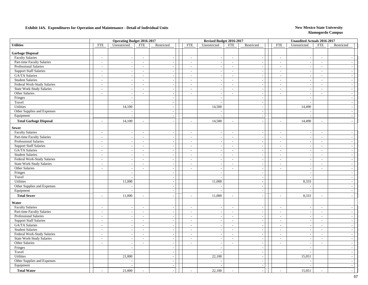### **Exhibit 14A. Expenditures for Operation and Maintenance - Detail of Individual Units** New Mexico State University

|                                  |                          | <b>Operating Budget 2016-2017</b> |                          |                          |                          | Revised Budget 2016-2017 |                          |                             |                          | <b>Unaudited Actuals 2016-2017</b> |                          |                          |
|----------------------------------|--------------------------|-----------------------------------|--------------------------|--------------------------|--------------------------|--------------------------|--------------------------|-----------------------------|--------------------------|------------------------------------|--------------------------|--------------------------|
| <b>Utilities</b>                 | <b>FTE</b>               | Unrestricted                      | <b>FTE</b>               | Restricted               | <b>FTE</b>               | Unrestricted             | <b>FTE</b>               | Restricted                  | <b>FTE</b>               | Unrestricted                       | <b>FTE</b>               | Restricted               |
| <b>Garbage Disposal</b>          |                          |                                   |                          |                          |                          |                          |                          |                             |                          |                                    |                          |                          |
| <b>Faculty Salaries</b>          | $\overline{\phantom{a}}$ | $\sim$                            | $\overline{\phantom{a}}$ | $\overline{\phantom{a}}$ | $\sim$                   | $\overline{\phantom{a}}$ | $\sim$                   | $\sim$                      | $\sim$                   | $\sim$                             | $\overline{\phantom{a}}$ | $\sim$                   |
| Part-time Faculty Salaries       | $\sim$                   | $\sim$                            | $\sim$                   | $\overline{a}$           | $\sim$                   | $\overline{\phantom{a}}$ | $\sim$                   | $\sim$                      | $\sim$                   | $\sim$                             | $\sim$                   | $\sim$                   |
| Professional Salaries            | $\overline{\phantom{a}}$ | $\overline{\phantom{a}}$          | $\sim$                   | $\overline{\phantom{a}}$ | $\overline{\phantom{a}}$ |                          | $\overline{\phantom{a}}$ | $\sim$                      | $\overline{\phantom{a}}$ | $\blacksquare$                     | $\sim$                   | $\sim$                   |
| <b>Support Staff Salaries</b>    | $\blacksquare$           | $\overline{\phantom{a}}$          | $\overline{a}$           | $\overline{\phantom{a}}$ | $\frac{1}{2}$            |                          | $\blacksquare$           | $\overline{\phantom{a}}$    | $\overline{a}$           | $\overline{a}$                     | $\blacksquare$           | $\sim$                   |
| <b>GA/TA</b> Salaries            | $\sim$                   | $\sim$                            | $\sim$                   | $\sim$                   | $\sim$                   |                          | $\sim$                   | $\sim$                      | $\overline{\phantom{a}}$ | $\overline{\phantom{a}}$           | $\sim$                   | $\sim$                   |
| <b>Student Salaries</b>          | $\sim$                   | $\overline{a}$                    | $\sim$                   | $\sim$                   | $\sim$                   | ÷.                       | $\sim$                   | $\sim$                      | $\overline{\phantom{a}}$ | $\sim$                             | $\sim$                   | $\sim$                   |
| Federal Work-Study Salaries      | $\sim$                   | $\overline{\phantom{a}}$          | $\sim$                   | $\overline{\phantom{a}}$ | $\overline{\phantom{a}}$ |                          | $\sim$                   | $\sim$                      | $\sim$                   | $\sim$                             | $\overline{\phantom{a}}$ | $\overline{a}$           |
| <b>State Work-Study Salaries</b> | $\overline{\phantom{a}}$ | $\mathcal{L}_{\mathcal{A}}$       | $\overline{\phantom{a}}$ | $\sim$                   | $\overline{\phantom{a}}$ | $\overline{\phantom{a}}$ | $\sim$                   | $\sim$                      | $\overline{\phantom{a}}$ | $\overline{\phantom{a}}$           | $\overline{\phantom{a}}$ | $\sim$                   |
| Other Salaries                   | $\omega$                 | $\mathcal{L}_{\mathcal{A}}$       | $\sim$                   | $\sim$                   | $\sim$                   | $\sim$                   | $\sim$                   | $\sim$                      | $\overline{\phantom{a}}$ | $\sim$                             | $\sim$                   | $\sim$                   |
| Fringes                          |                          |                                   |                          |                          |                          |                          |                          | $\sim$                      |                          |                                    |                          | $\sim$                   |
| Travel                           |                          | $\overline{a}$                    |                          | $\overline{\phantom{a}}$ |                          | $\sim$                   |                          | $\sim$                      |                          | $\sim$                             |                          | $\sim$                   |
| Utilities                        |                          | 14,100                            |                          | $\sim$                   |                          | 14,500                   |                          | $\overline{a}$              |                          | 14,490                             |                          | $\overline{a}$           |
| Other Supplies and Expenses      |                          | $\sim$                            |                          | $\sim$                   |                          |                          |                          | $\sim$                      |                          | $\overline{\phantom{a}}$           |                          | $\sim$                   |
| Equipment                        |                          | $\overline{a}$                    |                          | $\sim$                   |                          | $\overline{\phantom{a}}$ |                          | $\mathcal{L}_{\mathcal{A}}$ |                          | $\overline{a}$                     |                          | $\sim$                   |
| <b>Total Garbage Disposal</b>    | $\overline{\phantom{a}}$ | 14,100                            | $\sim$                   | $\overline{\phantom{a}}$ | $\sim$                   | 14,500                   | $\sim$                   | $\overline{\phantom{a}}$    | $\sim$                   | 14,490                             | $\sim$                   | $\sim$                   |
| <b>Sewer</b>                     |                          |                                   |                          |                          |                          |                          |                          |                             |                          |                                    |                          |                          |
| <b>Faculty Salaries</b>          | $\overline{\phantom{a}}$ | $\sim$                            | $\overline{\phantom{a}}$ | $\overline{\phantom{a}}$ | $\sim$                   |                          | $\sim$                   | $\sim$                      | $\sim$                   | $\blacksquare$                     | $\overline{\phantom{a}}$ | $\sim$                   |
| Part-time Faculty Salaries       | $\overline{\phantom{a}}$ | $\overline{\phantom{a}}$          | $\overline{\phantom{a}}$ | $\overline{\phantom{a}}$ | $\overline{\phantom{a}}$ | $\overline{\phantom{a}}$ | $\sim$                   | $\overline{\phantom{a}}$    | $\overline{\phantom{a}}$ | $\overline{\phantom{a}}$           | $\overline{\phantom{a}}$ | $\sim$                   |
| Professional Salaries            | $\overline{\phantom{a}}$ | $\overline{\phantom{a}}$          | $\sim$                   | $\sim$                   | $\sim$                   |                          | $\sim$                   | $\overline{\phantom{a}}$    | $\overline{\phantom{a}}$ | $\overline{\phantom{a}}$           | $\sim$                   | $\sim$                   |
| <b>Support Staff Salaries</b>    | $\sim$                   | $\sim$                            | $\sim$                   | $\sim$                   | $\sim$                   | $\sim$                   | $\sim$                   | $\overline{a}$              | $\overline{\phantom{a}}$ | $\sim$                             | $\sim$                   | $\sim$                   |
| GA/TA Salaries                   | $\sim$                   | $\overline{\phantom{a}}$          | $\overline{\phantom{a}}$ | $\overline{\phantom{a}}$ | $\sim$                   |                          | $\sim$                   | $\sim$                      | $\sim$                   | $\sim$                             | $\sim$                   | $\overline{a}$           |
| <b>Student Salaries</b>          | $\sim$                   | $\sim$                            | $\sim$                   | $\overline{\phantom{a}}$ | $\overline{\phantom{a}}$ | $\overline{\phantom{a}}$ | $\sim$                   | $\sim$                      | $\overline{\phantom{a}}$ | $\overline{\phantom{a}}$           | $\overline{\phantom{a}}$ | $\sim$                   |
| Federal Work-Study Salaries      | $\sim$                   | $\mathbb{L}$                      | $\sim$                   | $\sim$                   | $\sim$                   | $\overline{\phantom{a}}$ | $\sim$                   | $\mathcal{L}$               | $\overline{\phantom{a}}$ | $\mathcal{L}_{\mathcal{A}}$        | $\sim$                   | $\sim$                   |
| <b>State Work-Study Salaries</b> | $\blacksquare$           | $\overline{\phantom{a}}$          | $\overline{\phantom{a}}$ | $\overline{\phantom{a}}$ | $\overline{\phantom{a}}$ |                          | $\sim$                   | $\sim$                      | $\overline{\phantom{a}}$ |                                    | $\sim$                   | $\sim$                   |
| Other Salaries                   | $\overline{\phantom{a}}$ | $\sim$                            | $\overline{\phantom{a}}$ | $\sim$                   | $\sim$                   |                          | $\sim$                   | $\sim$                      | $\overline{\phantom{a}}$ | $\overline{\phantom{a}}$           | $\overline{\phantom{a}}$ | $\sim$                   |
| Fringes                          |                          | $\overline{a}$                    |                          | $\sim$                   |                          | $\overline{\phantom{a}}$ |                          | $\sim$                      |                          | $\overline{\phantom{a}}$           |                          | $\sim$                   |
| Travel                           |                          | $\overline{a}$                    |                          | $\sim$                   |                          |                          |                          | $\sim$                      |                          | $\sim$                             |                          | $\sim$                   |
| Utilities                        |                          | 11,000                            |                          | $\sim$                   |                          | 11,000                   |                          | $\mathcal{L}_{\mathcal{A}}$ |                          | 8,333                              |                          | $\sim$                   |
| Other Supplies and Expenses      |                          | $\sim$                            |                          | $\sim$                   |                          |                          |                          | $\mathcal{L}$               |                          | $\sim$                             |                          | $\sim$                   |
| Equipment                        |                          | $\sim$                            |                          | $\sim$                   |                          | $\overline{\phantom{a}}$ |                          | $\sim$                      |                          | $\sim$                             |                          | $\sim$                   |
| <b>Total Sewer</b>               | $\overline{a}$           | 11,000                            |                          |                          | $\overline{a}$           | 11,000                   | $\sim$                   | $\overline{a}$              | $\overline{a}$           | 8,333                              |                          | $\overline{a}$           |
| Water                            |                          |                                   |                          |                          |                          |                          |                          |                             |                          |                                    |                          |                          |
| <b>Faculty Salaries</b>          | $\overline{\phantom{a}}$ | $\overline{\phantom{a}}$          | $\overline{\phantom{a}}$ | $\overline{\phantom{a}}$ | $\overline{\phantom{a}}$ |                          | $\overline{\phantom{a}}$ | $\sim$                      | $\overline{a}$           |                                    | $\overline{\phantom{a}}$ | $\overline{\phantom{a}}$ |
| Part-time Faculty Salaries       | $\overline{a}$           | $\mathbb{Z}$                      | $\sim$                   | $\overline{\phantom{a}}$ | $\sim$                   |                          | $\sim$                   | $\sim$                      | $\overline{\phantom{a}}$ | $\overline{a}$                     | $\overline{a}$           | $\sim$                   |
| Professional Salaries            | $\sim$                   | $\sim$                            | $\sim$                   | $\sim$                   | $\sim$                   |                          | $\sim$                   | $\sim$                      | $\sim$                   | $\sim$                             | $\sim$                   | $\sim$                   |
| <b>Support Staff Salaries</b>    | $\sim$                   | $\sim$                            | $\sim$                   | $\sim$                   | $\overline{\phantom{a}}$ |                          | $\sim$                   | $\sim$                      | $\overline{a}$           | $\sim$                             | $\overline{\phantom{a}}$ | $\sim$                   |
| GA/TA Salaries                   | $\sim$                   | $\sim$                            | $\overline{a}$           | $\sim$                   | $\sim$                   | $\overline{a}$           | $\sim$                   | $\sim$                      | $\overline{\phantom{a}}$ | $\sim$                             | $\overline{\phantom{a}}$ | $\sim$                   |
| <b>Student Salaries</b>          | $\sim$                   | $\overline{\phantom{a}}$          | $\sim$                   | $\overline{\phantom{a}}$ | $\overline{\phantom{a}}$ |                          | $\sim$                   | $\sim$                      | $\overline{\phantom{a}}$ | $\blacksquare$                     | $\overline{\phantom{a}}$ | $\sim$                   |
| Federal Work-Study Salaries      | $\overline{\phantom{a}}$ | $\sim$                            | $\overline{\phantom{a}}$ | $\sim$                   | $\sim$                   |                          | $\overline{\phantom{a}}$ | $\overline{\phantom{a}}$    | $\overline{a}$           | $\overline{a}$                     | $\overline{\phantom{a}}$ | $\sim$                   |
| State Work-Study Salaries        | $\overline{\phantom{a}}$ | $\sim$                            | $\sim$                   | $\mathcal{L}$            | $\mathbf{r}$             | $\sim$                   | $\sim$                   | $\sim$                      | $\overline{\phantom{a}}$ | $\sim$                             | $\sim$                   | $\sim$                   |
| Other Salaries                   | $\overline{\phantom{a}}$ | $\sim$                            | $\sim$                   | $\overline{\phantom{a}}$ | $\sim$                   | $\sim$                   | $\sim$                   | $\sim$                      | $\overline{\phantom{a}}$ | $\sim$                             | $\sim$                   | $\sim$                   |
| Fringes                          |                          | $\sim$                            |                          | $\overline{\phantom{a}}$ |                          |                          |                          | $\sim$                      |                          | $\sim$                             |                          | $\overline{a}$           |
| Travel                           |                          | $\sim$                            |                          | $\overline{\phantom{a}}$ |                          |                          |                          | $\sim$                      |                          | $\overline{a}$                     |                          | $\sim$                   |
| Utilities                        |                          | 21,000                            |                          | $\overline{a}$           |                          | 22,100                   |                          | $\sim$                      |                          | 15,051                             |                          | $\sim$                   |
| Other Supplies and Expenses      |                          |                                   |                          | $\sim$                   |                          |                          |                          | $\sim$                      |                          |                                    |                          | $\sim$                   |
| Equipment                        |                          | $\overline{\phantom{a}}$          |                          | $\overline{\phantom{a}}$ |                          |                          |                          | $\sim$                      |                          | $\overline{a}$                     |                          | $\sim$                   |
| <b>Total Water</b>               |                          | 21,000                            |                          |                          |                          | 22,100                   | $\overline{a}$           |                             |                          | 15,051                             |                          | $\sim$                   |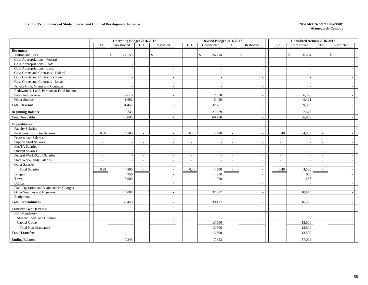#### **Exhibit 15. Summary of Student Social and Cultural Development Activities <b>New Mexico State University** New Mexico State University

|                                         | Operating Budget 2016-2017 |                          |                          |                          | Revised Budget 2016-2017 |                        |                |                          | Unaudited Actuals 2016-2017 |                          |                        |                |              |
|-----------------------------------------|----------------------------|--------------------------|--------------------------|--------------------------|--------------------------|------------------------|----------------|--------------------------|-----------------------------|--------------------------|------------------------|----------------|--------------|
|                                         | <b>FTE</b>                 | Unrestricted             | <b>FTE</b>               | Restricted               | <b>FTE</b>               | Unrestricted           | <b>FTE</b>     | Restricted               |                             | <b>FTE</b>               | Unrestricted           | <b>FTE</b>     | Restricted   |
| <b>Revenues:</b>                        |                            |                          |                          |                          |                          |                        |                |                          |                             |                          |                        |                |              |
| Tuition and Fees                        |                            | $\mathbb{S}$<br>27,150   |                          | $\mathbb{S}$             |                          | $\mathbb{S}$<br>24,714 |                | $\mathbb S$              |                             |                          | $\mathbb{S}$<br>26,634 |                | $\mathbb{S}$ |
| Govt Appropriations - Federal           |                            |                          |                          |                          |                          |                        |                |                          |                             |                          |                        |                |              |
| Govt Appropriations - State             |                            | $\overline{\phantom{a}}$ |                          |                          |                          |                        |                | $\overline{a}$           |                             |                          |                        |                |              |
| Govt Appropriations - Local             |                            | $\sim$                   |                          |                          |                          |                        |                |                          |                             |                          |                        |                |              |
| Govt Grants and Contracts - Federal     |                            | $\sim$                   |                          |                          |                          |                        |                | $\overline{\phantom{a}}$ |                             |                          |                        |                |              |
| Govt Grants and Contracts - State       |                            | $\sim$                   |                          | $\tilde{\phantom{a}}$    |                          |                        |                | $\overline{\phantom{a}}$ |                             |                          |                        |                |              |
| Govt Grants and Contracts - Local       |                            | $\sim$                   |                          |                          |                          |                        |                |                          |                             |                          |                        |                |              |
| Private Gifts, Grants and Contracts     |                            | $\overline{\phantom{a}}$ |                          | $\overline{\phantom{a}}$ |                          |                        |                | $\overline{\phantom{a}}$ |                             |                          |                        |                |              |
| Endowment, Land, Permanent Fund Income  |                            | $\overline{a}$           |                          |                          |                          |                        |                |                          |                             |                          |                        |                |              |
| Sales and Services                      |                            | 2,610                    |                          |                          |                          | 2,538                  |                |                          |                             |                          | 6,275                  |                |              |
| Other Sources                           |                            | 1,692                    |                          | $\overline{\phantom{a}}$ |                          | 5,499                  |                | $\overline{\phantom{a}}$ |                             |                          | 6,421                  |                |              |
| <b>Total Revenue</b>                    |                            | 31,452                   |                          |                          |                          | 32,751                 |                |                          |                             |                          | 39,330                 |                |              |
| <b>Beginning Balance</b>                |                            | 9,243                    |                          |                          |                          | 27,529                 |                |                          |                             |                          | 27,529                 |                |              |
| <b>Total Available</b>                  |                            | 40,695                   |                          |                          |                          | 60,280                 |                |                          |                             |                          | 66,859                 |                |              |
| <b>Expenditures:</b>                    |                            |                          |                          |                          |                          |                        |                |                          |                             |                          |                        |                |              |
| <b>Faculty Salaries</b>                 | $\sim$                     | $\sim$                   | $\sim$                   |                          | $\sim$                   |                        | $\sim$         |                          |                             | $\sim$                   |                        | $\sim$         |              |
| Part-Time Instructor Salaries           | 0.38                       | 4,500                    | $\sim$                   |                          | 0.40                     | 4,500                  | $\sim$         |                          |                             | 0.40                     | 4,500                  | $\sim$         |              |
| <b>Professional Salaries</b>            | $\sim$                     | $\sim$                   |                          | $\overline{a}$           | $\sim$                   |                        | $\sim$         | $\overline{\phantom{a}}$ |                             |                          |                        | $\overline{a}$ |              |
| <b>Support Staff Salaries</b>           | $\sim$                     | $\overline{\phantom{a}}$ | $\sim$                   |                          | $\overline{\phantom{a}}$ |                        | $\sim$         | $\overline{\phantom{a}}$ |                             | $\overline{\phantom{a}}$ |                        | ٠              |              |
| GA/TA Salaries                          | $\sim$                     | $\sim$                   | $\sim$                   |                          | $\sim$                   |                        | $\sim$         |                          |                             | $\overline{\phantom{a}}$ |                        | $\overline{a}$ |              |
| <b>Student Salaries</b>                 | $\sim$                     | $\sim$                   | $\sim$                   | $\overline{\phantom{a}}$ | $\sim$                   |                        | $\sim$         |                          |                             | $\overline{\phantom{a}}$ |                        | $\overline{a}$ |              |
| Federal Work-Study Salaries             | $\sim$                     | $\sim$                   | $\overline{\phantom{a}}$ |                          | $\sim$                   |                        | $\sim$         |                          |                             | $\overline{\phantom{a}}$ |                        |                |              |
| <b>State Work-Study Salaries</b>        | $\sim$                     | $\sim$                   | $\sim$                   | $\sim$                   | $\sim$                   |                        | $\sim$         | $\sim$                   |                             | $\overline{\phantom{a}}$ | $\overline{a}$         | $\sim$         |              |
| Other Salaries                          | $\overline{\phantom{a}}$   | $\sim$                   | $\sim$                   |                          | $\overline{\phantom{a}}$ |                        | $\sim$         |                          |                             |                          |                        | $\sim$         |              |
| <b>Total Salaries</b>                   | 0.38                       | 4,500                    |                          |                          | 0.40                     | 4,500                  | $\overline{a}$ |                          |                             | 0.40                     | 4,500                  |                |              |
| Fringes                                 |                            | 950                      |                          |                          |                          | 950                    |                |                          |                             |                          | 950                    |                |              |
| Travel                                  |                            | 3,000                    |                          | $\sim$                   |                          | 1,000                  |                | $\sim$                   |                             |                          | 236                    |                |              |
| Utilites                                |                            |                          |                          |                          |                          |                        |                |                          |                             |                          |                        |                |              |
| Plant Operation and Maintenance Charges |                            |                          |                          |                          |                          |                        |                |                          |                             |                          |                        |                |              |
| Other Supplies and Expenses             |                            | 25,000                   |                          | $\overline{\phantom{a}}$ |                          | 32,977                 |                | $\overline{\phantom{a}}$ |                             |                          | 10,649                 |                |              |
| Equipment                               |                            |                          |                          | $\sim$                   |                          |                        |                | $\overline{\phantom{a}}$ |                             |                          |                        |                |              |
| <b>Total Expenditures</b>               |                            | 33,450                   |                          |                          |                          | 39,427                 |                |                          |                             |                          | 16,335                 |                |              |
| <b>Transfer To or (From):</b>           |                            |                          |                          |                          |                          |                        |                |                          |                             |                          |                        |                |              |
| Non-Mandatory                           |                            |                          |                          |                          |                          |                        |                |                          |                             |                          |                        |                |              |
| Student Social and Cultural             |                            | $\sim$                   |                          |                          |                          |                        |                |                          |                             |                          |                        |                |              |
| Capital Outlay                          |                            | $\sim$                   |                          | $\sim$                   |                          | 13,500                 |                | $\overline{\phantom{a}}$ |                             |                          | 13,500                 |                |              |
| <b>Total Non-Mandatory</b>              |                            | $\overline{\phantom{a}}$ |                          |                          |                          | 13,500                 |                |                          |                             |                          | 13,500                 |                |              |
| <b>Total Transfers</b>                  |                            |                          |                          |                          |                          | 13,500                 |                |                          |                             |                          | 13,500                 |                |              |
| <b>Ending Balance</b>                   |                            | 7,245                    |                          |                          |                          | 7,353                  |                |                          |                             |                          | 37,024                 |                |              |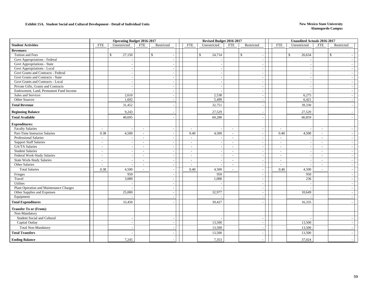#### **Exhibit 15A. Student Social and Cultural Development - Detail of Individual Units New Mexico State University**

|                                         |                          | <b>Operating Budget 2016-2017</b> |                          |                          |                          | Revised Budget 2016-2017 |                          |                                          |                          | <b>Unaudited Actuals 2016-2017</b> |                          |                          |
|-----------------------------------------|--------------------------|-----------------------------------|--------------------------|--------------------------|--------------------------|--------------------------|--------------------------|------------------------------------------|--------------------------|------------------------------------|--------------------------|--------------------------|
| <b>Student Activities</b>               | <b>FTE</b>               | Unrestricted                      | <b>FTE</b>               | Restricted               | <b>FTE</b>               | Unrestricted             | <b>FTE</b>               | Restricted                               | <b>FTE</b>               | Unrestricted                       | <b>FTE</b>               | Restricted               |
| <b>Revenues:</b>                        |                          |                                   |                          |                          |                          |                          |                          |                                          |                          |                                    |                          |                          |
| Tuition and Fees                        |                          | 27,150<br>$\mathbb{S}$            |                          | $\mathbb{S}$             |                          | $\mathbb{S}$<br>24,714   |                          | $\mathbb{S}$<br>$\overline{\phantom{a}}$ |                          | 26,634<br>$\mathbb{S}$             |                          | $\mathbb{S}$             |
| Govt Appropriations - Federal           |                          |                                   |                          | $\overline{\phantom{a}}$ |                          |                          |                          | $\overline{\phantom{a}}$                 |                          | $\overline{a}$                     |                          |                          |
| Govt Appropriations - State             |                          | $\overline{\phantom{a}}$          |                          |                          |                          |                          |                          | $\overline{\phantom{a}}$                 |                          |                                    |                          |                          |
| Govt Appropriations - Local             |                          |                                   |                          |                          |                          |                          |                          | $\sim$                                   |                          |                                    |                          |                          |
| Govt Grants and Contracts - Federal     |                          | $\overline{\phantom{a}}$          |                          | $\overline{\phantom{a}}$ |                          |                          |                          | $\overline{a}$                           |                          | $\sim$                             |                          |                          |
| Govt Grants and Contracts - State       |                          | $\sim$                            |                          |                          |                          |                          |                          |                                          |                          |                                    |                          |                          |
| Govt Grants and Contracts - Local       |                          | $\sim$                            |                          |                          |                          |                          |                          | $\sim$                                   |                          |                                    |                          |                          |
| Private Gifts, Grants and Contracts     |                          | $\sim$                            |                          |                          |                          |                          |                          | $\overline{a}$                           |                          |                                    |                          | $\overline{\phantom{a}}$ |
| Endowment, Land, Permanent Fund Income  |                          | $\overline{\phantom{a}}$          |                          | $\sim$                   |                          |                          |                          | $\overline{a}$                           |                          |                                    |                          | $\sim$                   |
| Sales and Services                      |                          | 2,610                             |                          |                          |                          | 2,538                    |                          | $\sim$                                   |                          | 6,275                              |                          |                          |
| Other Sources                           |                          | 1,692                             |                          |                          |                          | 5,499                    |                          | $\overline{a}$                           |                          | 6,421                              |                          |                          |
| <b>Total Revenue</b>                    |                          | 31,452                            |                          |                          |                          | 32,751                   |                          |                                          |                          | 39,330                             |                          |                          |
| <b>Beginning Balance</b>                |                          | 9,243                             |                          |                          |                          | 27,529                   |                          |                                          |                          | 27,529                             |                          |                          |
| <b>Total Available</b>                  |                          | 40.695                            |                          |                          |                          | 60,280                   |                          |                                          |                          | 66,859                             |                          |                          |
| <b>Expenditures:</b>                    |                          |                                   |                          |                          |                          |                          |                          |                                          |                          |                                    |                          |                          |
| <b>Faculty Salaries</b>                 | $\sim$                   |                                   | $\overline{\phantom{a}}$ | $\sim$                   | $\sim$                   |                          | $\overline{\phantom{a}}$ | $\overline{\phantom{a}}$                 | $\overline{\phantom{a}}$ |                                    | $\overline{\phantom{a}}$ |                          |
| Part-Time Instructor Salaries           | 0.38                     | 4,500                             | $\overline{\phantom{a}}$ |                          | 0.40                     | 4,500                    | $\sim$                   | $\overline{a}$                           | 0.40                     | 4,500                              | $\sim$                   |                          |
| <b>Professional Salaries</b>            | $\sim$                   |                                   | $\sim$                   |                          | $\sim$                   |                          | $\sim$                   | $\sim$                                   | $\sim$                   |                                    | $\sim$                   | $\overline{\phantom{a}}$ |
| <b>Support Staff Salaries</b>           | $\sim$                   |                                   | $\blacksquare$           |                          | $\sim$                   |                          | $\overline{\phantom{a}}$ | $\overline{\phantom{a}}$                 | $\blacksquare$           |                                    |                          | $\overline{\phantom{a}}$ |
| <b>GA/TA Salaries</b>                   | $\sim$                   | $\sim$                            | $\overline{\phantom{a}}$ | $\overline{\phantom{a}}$ | $\sim$                   |                          | $\sim$                   | $\sim$                                   | $\overline{\phantom{a}}$ | $\sim$                             | $\sim$                   | $\sim$                   |
| <b>Student Salaries</b>                 | $\overline{\phantom{a}}$ | $\overline{\phantom{a}}$          | $\sim$                   | $\overline{\phantom{a}}$ | $\overline{\phantom{a}}$ |                          | $\sim$                   | $\sim$                                   | $\sim$                   | $\overline{\phantom{a}}$           | $\overline{\phantom{a}}$ | $\sim$                   |
| Federal Work-Study Salaries             | $\sim$                   | $\overline{\phantom{a}}$          |                          |                          | $\sim$                   |                          | $\sim$                   | $\overline{a}$                           | $\overline{a}$           |                                    | $\overline{a}$           |                          |
| <b>State Work-Study Salaries</b>        | $\sim$                   | $\sim$                            | $\blacksquare$           | $\sim$                   | $\overline{\phantom{a}}$ |                          | $\sim$                   | $\overline{a}$                           | $\overline{\phantom{a}}$ | $\sim$                             | $\overline{\phantom{a}}$ | $\overline{\phantom{a}}$ |
| Other Salaries                          |                          |                                   | $\overline{a}$           |                          | $\sim$                   |                          | $\overline{a}$           | $\overline{\phantom{a}}$                 |                          |                                    | $\overline{a}$           |                          |
| <b>Total Salaries</b>                   | 0.38                     | 4,500                             |                          |                          | 0.40                     | 4,500                    | $\sim$                   | $\sim$                                   | 0.40                     | 4,500                              |                          | $\overline{\phantom{a}}$ |
| Fringes                                 |                          | 950                               |                          |                          |                          | 950                      |                          |                                          |                          | 950                                |                          |                          |
| Travel                                  |                          | 3,000                             |                          | $\sim$                   |                          | 1,000                    |                          | $\sim$                                   |                          | 236                                |                          | $\overline{a}$           |
| Utilites                                |                          |                                   |                          |                          |                          |                          |                          | $\sim$                                   |                          |                                    |                          | $\sim$                   |
| Plant Operation and Maintenance Charges |                          |                                   |                          |                          |                          |                          |                          | $\overline{\phantom{a}}$                 |                          |                                    |                          |                          |
| Other Supplies and Expenses             |                          | 25,000                            |                          | $\blacksquare$           |                          | 32,977                   |                          | $\overline{a}$                           |                          | 10,649                             |                          |                          |
| Equipment                               |                          |                                   |                          | $\sim$                   |                          |                          |                          | $\sim$                                   |                          |                                    |                          |                          |
| <b>Total Expenditures</b>               |                          | 33,450                            |                          |                          |                          | 39,427                   |                          |                                          |                          | 16,335                             |                          |                          |
| <b>Transfer To or (From):</b>           |                          |                                   |                          |                          |                          |                          |                          |                                          |                          |                                    |                          |                          |
| Non-Mandatory                           |                          |                                   |                          |                          |                          |                          |                          |                                          |                          |                                    |                          |                          |
| Student Social and Cultural             |                          |                                   |                          |                          |                          |                          |                          |                                          |                          |                                    |                          |                          |
| Capital Outlay                          |                          | $\overline{\phantom{a}}$          |                          | $\sim$                   |                          | 13,500                   |                          | $\overline{\phantom{a}}$                 |                          | 13,500                             |                          |                          |
| <b>Total Non-Mandatory</b>              |                          | $\overline{\phantom{a}}$          |                          |                          |                          | 13,500                   |                          |                                          |                          | 13,500                             |                          |                          |
| <b>Total Transfers</b>                  |                          |                                   |                          |                          |                          | 13,500                   |                          |                                          |                          | 13,500                             |                          |                          |
| <b>Ending Balance</b>                   |                          | 7,245                             |                          |                          |                          | 7,353                    |                          |                                          |                          | 37,024                             |                          |                          |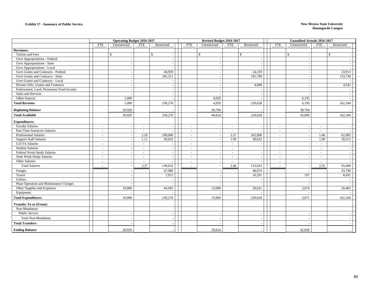#### **Exhibit 17 - Summary of Public Service New Mexico State University**

|                                         |            | <b>Operating Budget 2016-2017</b> |                          |            |                          | Revised Budget 2016-2017 |            |                          |                          | <b>Unaudited Actuals 2016-2017</b> |                          |            |  |
|-----------------------------------------|------------|-----------------------------------|--------------------------|------------|--------------------------|--------------------------|------------|--------------------------|--------------------------|------------------------------------|--------------------------|------------|--|
|                                         | <b>FTE</b> | Unrestricted                      | <b>FTE</b>               | Restricted | <b>FTE</b>               | Unrestricted             | <b>FTE</b> | Restricted               | <b>FTE</b>               | Unrestricted                       | <b>FTE</b>               | Restricted |  |
| <b>Revenues:</b>                        |            |                                   |                          |            |                          |                          |            |                          |                          |                                    |                          |            |  |
| Tuition and Fees                        |            | $\mathbb{S}$                      |                          | \$         |                          | \$                       |            | $\mathbb{S}$             |                          | \$                                 |                          | \$         |  |
| Govt Appropriations - Federal           |            |                                   |                          |            |                          |                          |            |                          |                          |                                    |                          |            |  |
| Govt Appropriations - State             |            | $\overline{\phantom{a}}$          |                          |            |                          |                          |            | $\overline{\phantom{a}}$ |                          | $\overline{\phantom{a}}$           |                          |            |  |
| Govt Appropriations - Local             |            | $\overline{\phantom{a}}$          |                          |            |                          |                          |            |                          |                          |                                    |                          |            |  |
| Govt Grants and Contracts - Federal     |            |                                   |                          | 44,959     |                          |                          |            | 24,159                   |                          | ٠.                                 |                          | 23,913     |  |
| Govt Grants and Contracts - State       |            |                                   |                          | 185,311    |                          |                          |            | 191,789                  |                          |                                    |                          | 133,730    |  |
| Govt Grants and Contracts - Local       |            |                                   |                          |            |                          |                          |            |                          |                          |                                    |                          |            |  |
| Private Gifts, Grants and Contracts     |            |                                   |                          |            |                          |                          |            | 4,680                    |                          | . —                                |                          | 4,541      |  |
| Endowment, Land, Permanent Fund Income  |            |                                   |                          |            |                          |                          |            |                          |                          |                                    |                          |            |  |
| Sales and Services                      |            |                                   |                          |            |                          |                          |            |                          |                          |                                    |                          |            |  |
| Other Sources                           |            | 1,000                             |                          |            |                          | 4,920                    |            |                          |                          | 6,195                              |                          |            |  |
| <b>Total Revenue</b>                    |            | 1,000                             |                          | 230,270    |                          | 4,920                    |            | 220,628                  |                          | 6,195                              |                          | 162,184    |  |
| <b>Beginning Balance</b>                |            | 29,929                            |                          |            |                          | 39,704                   |            |                          |                          | 39,704                             |                          |            |  |
| <b>Total Available</b>                  |            | 30,929                            |                          | 230,270    |                          | 44,624                   |            | 220,628                  |                          | 45,899                             |                          | 162,184    |  |
| <b>Expenditures:</b>                    |            |                                   |                          |            |                          |                          |            |                          |                          |                                    |                          |            |  |
| <b>Faculty Salaries</b>                 |            |                                   | $\overline{\phantom{a}}$ |            | ÷                        |                          | $\sim$     |                          |                          | ٠.                                 |                          |            |  |
| Part-Time Instructor Salaries           | $\sim$     |                                   | $\sim$                   |            | $\sim$                   |                          | $\sim$     |                          | $\sim$                   | $\sim$                             | $\sim$                   |            |  |
| Professional Salaries                   | $\sim$     |                                   | 2.26                     | 100,000    | $\overline{\phantom{a}}$ |                          | 2.37       | 102,000                  | $\overline{\phantom{a}}$ | $\overline{\phantom{a}}$           | 1.46                     | 62,985     |  |
| <b>Support Staff Salaries</b>           | $\sim$     |                                   | 1.11                     | 30,632     | $\sim$                   |                          | 1.09       | 30,632                   | $\sim$                   | $\sim$                             | 1.09                     | 30,513     |  |
| GA/TA Salaries                          | $\sim$     |                                   | $\sim$                   |            | $\sim$                   |                          | $\sim$     |                          | $\sim$                   | $\sim$                             | $\sim$                   |            |  |
| <b>Student Salaries</b>                 | $\sim$     |                                   | $\sim$                   |            | $\blacksquare$           |                          | $\sim$     |                          | $\overline{\phantom{a}}$ | $\sim$                             | $\sim$                   |            |  |
| Federal Work-Study Salaries             | $\sim$     |                                   | $\overline{\phantom{a}}$ |            | $\sim$                   |                          | $\sim$     | $\overline{\phantom{a}}$ | $\sim$                   | $\sim$                             | $\overline{\phantom{a}}$ |            |  |
| State Work-Study Salaries               | $\sim$     |                                   | $\sim$                   |            | $\sim$                   |                          | $\sim$     |                          | ÷.                       | $\sim$                             | $\overline{\phantom{a}}$ |            |  |
| Other Salaries                          | $\sim$     |                                   | $\sim$                   |            | $\blacksquare$           |                          | $\sim$     |                          | $\sim$                   | $\sim$                             | $\overline{\phantom{a}}$ |            |  |
| <b>Total Salaries</b>                   | $\sim$     |                                   | 3.37                     | 130,632    | $\sim$                   |                          | 3.46       | 132,632                  | $\sim$                   |                                    | 2.55                     | 93,498     |  |
| Fringes                                 |            |                                   |                          | 47,680     |                          |                          |            | 48,074                   |                          |                                    |                          | 33,790     |  |
| Travel                                  |            |                                   |                          | 7,913      |                          |                          |            | 10,291                   |                          | 197                                |                          | 8,431      |  |
| Utilites                                |            |                                   |                          |            |                          |                          |            |                          |                          | $\sim$                             |                          |            |  |
| Plant Operation and Maintenance Charges |            |                                   |                          |            |                          |                          |            |                          |                          |                                    |                          |            |  |
| Other Supplies and Expenses             |            | 10,000                            |                          | 44,045     |                          | 15,000                   |            | 29,631                   |                          | 3,674                              |                          | 26,465     |  |
| Equipment                               |            |                                   |                          |            |                          |                          |            |                          |                          |                                    |                          |            |  |
| <b>Total Expenditures</b>               |            | 10,000                            |                          | 230,270    |                          | 15,000                   |            | 220,628                  |                          | 3,871                              |                          | 162,184    |  |
| <b>Transfer To or (From):</b>           |            |                                   |                          |            |                          |                          |            |                          |                          |                                    |                          |            |  |
| Non-Mandatory                           |            |                                   |                          |            |                          |                          |            |                          |                          |                                    |                          |            |  |
| Public Service                          |            | $\sim$                            |                          |            |                          |                          |            | $\overline{\phantom{a}}$ |                          | $\overline{\phantom{a}}$           |                          |            |  |
| Total Non-Mandatory                     |            |                                   |                          |            |                          |                          |            |                          |                          |                                    |                          |            |  |
| <b>Total Transfers</b>                  |            |                                   |                          |            |                          |                          |            |                          |                          |                                    |                          |            |  |
| <b>Ending Balance</b>                   |            | 20,929                            |                          |            |                          | 29,624                   |            |                          |                          | 42,028                             |                          |            |  |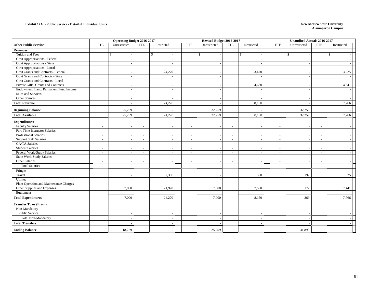#### **Exhibit 17A. - Public Service - Detail of Individual Units**

|                                         |                                    | <b>Operating Budget 2016-2017</b> | Revised Budget 2016-2017   |              |                                |                          | <b>Unaudited Actuals 2016-2017</b> |                          |            |  |
|-----------------------------------------|------------------------------------|-----------------------------------|----------------------------|--------------|--------------------------------|--------------------------|------------------------------------|--------------------------|------------|--|
| <b>Other Public Service</b>             | <b>FTE</b><br>Unrestricted         | <b>FTE</b><br>Restricted          | <b>FTE</b><br>Unrestricted | <b>FTE</b>   | Restricted                     | <b>FTE</b>               | Unrestricted                       | <b>FTE</b>               | Restricted |  |
| <b>Revenues:</b>                        |                                    |                                   |                            |              |                                |                          |                                    |                          |            |  |
| Tuition and Fees                        | $\mathbb{S}$                       | \$                                | \$                         |              | \$<br>$\overline{\phantom{a}}$ |                          | \$                                 |                          | \$         |  |
| Govt Appropriations - Federal           |                                    |                                   |                            |              |                                |                          |                                    |                          |            |  |
| Govt Appropriations - State             | $\overline{a}$                     |                                   |                            |              | $\overline{\phantom{a}}$       |                          | $\overline{\phantom{a}}$           |                          |            |  |
| Govt Appropriations - Local             |                                    |                                   |                            |              |                                |                          |                                    |                          |            |  |
| Govt Grants and Contracts - Federal     |                                    | 24,270                            |                            |              | 3,470                          |                          | $\sim$                             |                          | 3,225      |  |
| Govt Grants and Contracts - State       |                                    |                                   |                            |              |                                |                          |                                    |                          |            |  |
| Govt Grants and Contracts - Local       |                                    |                                   |                            |              |                                |                          | $\overline{\phantom{a}}$           |                          |            |  |
| Private Gifts, Grants and Contracts     |                                    |                                   |                            |              | 4,680                          |                          | . —                                |                          | 4,541      |  |
| Endowment, Land, Permanent Fund Income  |                                    |                                   |                            |              |                                |                          |                                    |                          |            |  |
| Sales and Services                      |                                    |                                   |                            |              | $\sim$                         |                          |                                    |                          |            |  |
| Other Sources                           | $\sim$                             |                                   |                            |              | $\overline{\phantom{a}}$       |                          | - 4                                |                          |            |  |
| <b>Total Revenue</b>                    |                                    | 24,270                            |                            |              | 8,150                          |                          |                                    |                          | 7,766      |  |
| <b>Beginning Balance</b>                | 25,259                             |                                   | 32,259                     |              |                                |                          | 32,259                             |                          |            |  |
| <b>Total Available</b>                  | 25,259                             | 24,270                            | 32,259                     |              | 8,150                          |                          | 32,259                             |                          | 7,766      |  |
| <b>Expenditures:</b>                    |                                    |                                   |                            |              |                                |                          |                                    |                          |            |  |
| <b>Faculty Salaries</b>                 | $\sim$                             | $\overline{\phantom{a}}$          | $\sim$                     | $\sim$       | $\sim$                         | $\overline{\phantom{a}}$ | $\sim$                             |                          |            |  |
| Part-Time Instructor Salaries           | $\sim$<br>$\sim$                   | $\sim$<br>$\overline{a}$          | $\sim$<br>$\sim$           | $\sim$       | $\sim$                         | $\sim$                   | $\sim$                             | $\sim$                   |            |  |
| Professional Salaries                   | $\sim$                             | $\sim$                            | $\sim$                     | $\sim$       | $\overline{\phantom{a}}$       | $\sim$                   | $\overline{\phantom{a}}$           | $\sim$                   |            |  |
| <b>Support Staff Salaries</b>           | $\sim$                             | $\sim$                            | $\sim$                     | $\sim$       | $\sim$                         | $\sim$                   | $\overline{\phantom{a}}$           | $\overline{\phantom{a}}$ |            |  |
| GA/TA Salaries                          | $\sim$                             |                                   | $\sim$                     | $\sim$       | ÷,                             | $\overline{\phantom{a}}$ |                                    | $\overline{\phantom{a}}$ |            |  |
| <b>Student Salaries</b>                 | $\sim$<br>$\sim$                   | $\sim$                            | $\sim$                     | $\sim$       | $\overline{\phantom{a}}$       | $\sim$                   | $\overline{\phantom{a}}$           | $\overline{\phantom{a}}$ |            |  |
| Federal Work-Study Salaries             | $\sim$<br>$\overline{\phantom{a}}$ | $\sim$                            | $\sim$                     | $\sim$       | $\overline{\phantom{a}}$       | $\sim$                   | $\overline{\phantom{a}}$           | $\overline{a}$           |            |  |
| <b>State Work-Study Salaries</b>        | $\sim$                             | $\sim$                            | $\sim$                     | $\sim$       | $\sim$                         | $\sim$                   | $\overline{\phantom{a}}$           | $\sim$                   |            |  |
| Other Salaries                          | $\sim$                             | $\sim$                            | $\sim$<br>$\overline{a}$   | $\sim$       | $\sim$                         | $\sim$                   | $\sim$                             | $\overline{\phantom{a}}$ |            |  |
| <b>Total Salaries</b>                   | $\sim$                             | $\sim$                            |                            | $\mathbf{r}$ |                                | $\sim$                   |                                    | $\overline{\phantom{a}}$ |            |  |
| Fringes                                 | $\overline{a}$                     |                                   |                            |              |                                |                          | $\sim$                             |                          |            |  |
| Travel                                  |                                    | 2,300                             |                            |              | 500                            |                          | 197                                |                          | 325        |  |
| Utilites                                |                                    |                                   | $\overline{\phantom{a}}$   |              | $\overline{\phantom{a}}$       |                          | $\overline{\phantom{a}}$           |                          |            |  |
| Plant Operation and Maintenance Charges |                                    |                                   |                            |              |                                |                          | $\sim$                             |                          |            |  |
| Other Supplies and Expenses             | 7,000                              | 21,970                            | 7,000                      |              | 7,650                          |                          | 172                                |                          | 7,441      |  |
| Equipment                               |                                    |                                   |                            |              |                                |                          | - 11                               |                          |            |  |
| <b>Total Expenditures</b>               | 7,000                              | 24,270                            | 7,000                      |              | 8,150                          |                          | 369                                |                          | 7,766      |  |
| <b>Transfer To or (From):</b>           |                                    |                                   |                            |              |                                |                          |                                    |                          |            |  |
| Non-Mandatory                           |                                    |                                   |                            |              |                                |                          |                                    |                          |            |  |
| Public Service                          | $\overline{\phantom{a}}$           | $\overline{\phantom{a}}$          | $\overline{\phantom{a}}$   |              | $\overline{\phantom{a}}$       |                          | $\overline{\phantom{a}}$           |                          |            |  |
| <b>Total Non-Mandatory</b>              |                                    |                                   |                            |              |                                |                          |                                    |                          |            |  |
| <b>Total Transfers</b>                  |                                    |                                   |                            |              |                                |                          |                                    |                          |            |  |
| <b>Ending Balance</b>                   | 18,259                             |                                   | 25,259                     |              |                                |                          | 31,890                             |                          |            |  |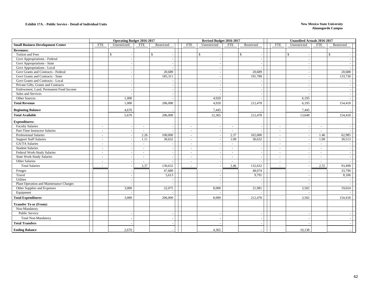#### **Exhibit 17A. - Public Service - Detail of Individual Units**

|                                          |                          | <b>Operating Budget 2016-2017</b> |                          |              |                          | Revised Budget 2016-2017 |                          |                          |                          | <b>Unaudited Actuals 2016-2017</b> |                          |              |  |
|------------------------------------------|--------------------------|-----------------------------------|--------------------------|--------------|--------------------------|--------------------------|--------------------------|--------------------------|--------------------------|------------------------------------|--------------------------|--------------|--|
| <b>Small Business Development Center</b> | <b>FTE</b>               | Unrestricted                      | <b>FTE</b>               | Restricted   | <b>FTE</b>               | Unrestricted             | <b>FTE</b>               | Restricted               | <b>FTE</b>               | Unrestricted                       | <b>FTE</b>               | Restricted   |  |
| <b>Revenues:</b>                         |                          |                                   |                          |              |                          |                          |                          |                          |                          |                                    |                          |              |  |
| Tuition and Fees                         |                          | $\mathcal{S}$                     |                          | $\mathbb{S}$ |                          | \$                       |                          | $\mathbb{S}$             |                          | $\mathbb{S}$                       |                          | $\mathbb{S}$ |  |
| Govt Appropriations - Federal            |                          |                                   |                          |              |                          |                          |                          |                          |                          |                                    |                          |              |  |
| Govt Appropriations - State              |                          | $\overline{\phantom{a}}$          |                          |              |                          |                          |                          | $\sim$                   |                          | $\overline{\phantom{a}}$           |                          |              |  |
| Govt Appropriations - Local              |                          |                                   |                          |              |                          |                          |                          |                          |                          |                                    |                          |              |  |
| Govt Grants and Contracts - Federal      |                          |                                   |                          | 20,689       |                          |                          |                          | 20,689                   |                          |                                    |                          | 20,688       |  |
| Govt Grants and Contracts - State        |                          | $\sim$                            |                          | 185,311      |                          | $\sim$                   |                          | 191,789                  |                          | $\sim$                             |                          | 133,730      |  |
| Govt Grants and Contracts - Local        |                          |                                   |                          |              |                          |                          |                          |                          |                          |                                    |                          |              |  |
| Private Gifts, Grants and Contracts      |                          |                                   |                          |              |                          |                          |                          |                          |                          |                                    |                          |              |  |
| Endowment, Land, Permanent Fund Income   |                          | $\sim$                            |                          |              |                          | $\overline{a}$           |                          | $\sim$                   |                          | in 1919.                           |                          |              |  |
| Sales and Services                       |                          |                                   |                          |              |                          |                          |                          | $\overline{\phantom{a}}$ |                          |                                    |                          |              |  |
| Other Sources                            |                          | 1,000                             |                          |              |                          | 4,920                    |                          |                          |                          | 6,195                              |                          |              |  |
| <b>Total Revenue</b>                     |                          | 1,000                             |                          | 206,000      |                          | 4,920                    |                          | 212,478                  |                          | 6,195                              |                          | 154,418      |  |
| <b>Beginning Balance</b>                 |                          | 4,670                             |                          |              |                          | 7,445                    |                          |                          |                          | 7,445                              |                          |              |  |
| <b>Total Available</b>                   |                          | 5,670                             |                          | 206,000      |                          | 12,365                   |                          | 212,478                  |                          | 13,640                             |                          | 154,418      |  |
| <b>Expenditures:</b>                     |                          |                                   |                          |              |                          |                          |                          |                          |                          |                                    |                          |              |  |
| <b>Faculty Salaries</b>                  | $\sim$                   |                                   | $\sim$                   |              | $\blacksquare$           |                          | $\sim$                   |                          | $\overline{\phantom{a}}$ |                                    | $\sim$                   |              |  |
| Part-Time Instructor Salaries            | $\sim$                   | $\sim$                            | $\sim$                   |              | $\sim$                   | $\overline{\phantom{a}}$ | $\sim$                   |                          | $\overline{\phantom{a}}$ | $\sim$                             | $\overline{\phantom{a}}$ |              |  |
| <b>Professional Salaries</b>             | $\sim$                   |                                   | 2.26                     | 100,000      | $\omega$                 |                          | 2.37                     | 102,000                  | $\overline{\phantom{a}}$ |                                    | 1.46                     | 62,985       |  |
| <b>Support Staff Salaries</b>            | $\sim$                   |                                   | 1.11                     | 30,632       | $\omega$                 |                          | 1.09                     | 30,632                   | ÷,                       |                                    | 1.09                     | 30,513       |  |
| GA/TA Salaries                           | $\sim$                   | $\sim$                            | $\sim$                   |              | $\sim$                   | $\overline{\phantom{a}}$ | $\sim$                   | $\overline{\phantom{a}}$ | $\sim$                   | $\sim$                             | $\sim$                   |              |  |
| <b>Student Salaries</b>                  | $\overline{\phantom{a}}$ |                                   | $\sim$                   |              | $\overline{\phantom{a}}$ |                          | $\sim$                   |                          | $\overline{\phantom{a}}$ |                                    | $\sim$                   |              |  |
| Federal Work-Study Salaries              | $\sim$                   |                                   | $\overline{\phantom{a}}$ |              | $\omega$                 |                          | $\sim$                   | $\overline{\phantom{a}}$ | ÷.                       | $\overline{\phantom{a}}$           | $\blacksquare$           |              |  |
| <b>State Work-Study Salaries</b>         | $\sim$                   | $\sim$                            | $\sim$                   |              | $\omega$                 |                          | $\sim$                   | $\sim$                   | $\sim$                   | $\sim$                             | $\sim$                   |              |  |
| Other Salaries                           | $\overline{\phantom{a}}$ |                                   |                          |              | $\sim$                   |                          | $\overline{\phantom{a}}$ |                          | $\sim$                   |                                    | $\overline{\phantom{a}}$ |              |  |
| <b>Total Salaries</b>                    | $\sim$                   |                                   | 3.37                     | 130,632      | $\sim$                   |                          | 3.46                     | 132,632                  | ÷.                       |                                    | 2.55                     | 93,498       |  |
| Fringes                                  |                          |                                   |                          | 47,680       |                          |                          |                          | 48,074                   |                          |                                    |                          | 33,790       |  |
| Travel                                   |                          |                                   |                          | 5,613        |                          |                          |                          | 9,791                    |                          |                                    |                          | 8,106        |  |
| Utilites                                 |                          | $\sim$                            |                          |              |                          |                          |                          |                          |                          |                                    |                          |              |  |
| Plant Operation and Maintenance Charges  |                          |                                   |                          |              |                          |                          |                          |                          |                          |                                    |                          |              |  |
| Other Supplies and Expenses              |                          | 3,000                             |                          | 22,075       |                          | 8,000                    |                          | 21,981                   |                          | 3,502                              |                          | 19,024       |  |
| Equipment                                |                          |                                   |                          |              |                          |                          |                          |                          |                          |                                    |                          |              |  |
| <b>Total Expenditures</b>                |                          | 3,000                             |                          | 206,000      |                          | 8,000                    |                          | 212,478                  |                          | 3,502                              |                          | 154,418      |  |
| <b>Transfer To or (From):</b>            |                          |                                   |                          |              |                          |                          |                          |                          |                          |                                    |                          |              |  |
| Non-Mandatory                            |                          |                                   |                          |              |                          |                          |                          |                          |                          |                                    |                          |              |  |
| Public Service                           |                          |                                   |                          |              |                          |                          |                          |                          |                          |                                    |                          |              |  |
| <b>Total Non-Mandatory</b>               |                          |                                   |                          |              |                          |                          |                          |                          |                          |                                    |                          |              |  |
| <b>Total Transfers</b>                   |                          |                                   |                          |              |                          |                          |                          |                          |                          |                                    |                          |              |  |
| <b>Ending Balance</b>                    |                          | 2.670                             |                          |              |                          | 4,365                    |                          |                          |                          | 10,138                             |                          |              |  |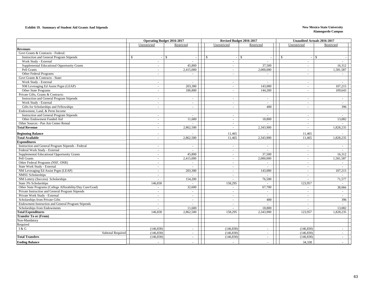#### **Exhibit 19. Summary of Student Aid Grants And Stipends New Mexico State University**

| Unrestricted<br>Unrestricted<br>Restricted<br>Restricted<br>Unrestricted<br>Restricted<br><b>Revenues</b><br>Govt Grants & Contracts - Federal:<br>${\mathbb S}$<br><b>Instruction and General Program Stipends</b><br>$\mathcal{S}$<br>$\mathcal{S}$<br>$\mathcal{S}$<br>$\mathbb{S}$<br>$\mathcal{S}$<br>$\sim$<br>Work Study - External<br>$\omega$ .<br>$\sim$<br>$\sim$<br>$\sim$<br>$\sim$<br>$\sim$<br>Supplemental Educational Opportunity Grants<br>45,800<br>37,500<br>16,312<br>$\sim$<br>$\sim$<br>$\sim$<br>Pell Grants<br>2,000,000<br>2,415,000<br>1,581,587<br>$\sim$<br>$\sim$<br>$\sim$<br>Other Federal Programs<br>$\sim$<br>$\sim$<br>$\sim$<br>Govt Grants & Contracts - State:<br>Work Study - External<br>$\sim$<br>$\sim$<br>$\sim$<br>$\sim$<br>NM Leveraging Ed Assist Prgm (LEAP)<br>203,300<br>143,000<br>107,215<br>$\sim$<br>$\equiv$<br>$\overline{\phantom{a}}$<br>Other State Programs<br>186,800<br>144,200<br>109.643<br>$\sim$<br>$\sim$<br>$\sim$<br>Private Gifts, Grants & Contracts:<br><b>Instruction and General Program Stipends</b><br>$\sim$<br>$\sim$<br>$\sim$<br>$\sim$<br>$\overline{\phantom{a}}$<br>Work Study - External<br>$\sim$<br>$\blacksquare$<br>$\sim$<br>$\equiv$<br>$\overline{\phantom{a}}$<br>Gifts for Scholarships and Fellowships<br>400<br>396<br>$\sim$<br>$\sim$<br>$\sim$<br>$\sim$<br>Endowment, Land, & Perm Income<br>Instruction and General Program Stipends<br>$\sim$<br>$\sim$<br>$\sim$<br>Other Endowment Funded Aid<br>11,600<br>18,800<br>13,082<br>$\sim$<br>$\blacksquare$<br>$\overline{\phantom{a}}$<br>Other Sources - Pan Am Center Rental<br>$\sim$<br>$\sim$<br>$\overline{\phantom{a}}$<br><b>Total Revenue</b><br>2,862,500<br>2,343,900<br>1,828,235<br>$\sim$<br>$\sim$<br><b>Beginning Balance</b><br>11,465<br>11,465<br>$\sim$<br><b>Total Available</b><br>2,862,500<br>1,828,235<br>11,465<br>2,343,900<br>11,465<br>$\sim$<br><b>Expenditures</b><br>Instruction and General Program Stipends - Federal<br>$\sim$<br>$\blacksquare$<br>$\sim$<br>$\sim$<br>$\sim$<br>$\sim$<br>Federal Work Study - External<br>$\sim$<br>$\sim$<br>$\sim$<br>$\sim$<br>$\sim$<br>$\sim$<br>Supplemental Educational Opportunity Grants<br>45,800<br>37,500<br>16,312<br>$\sim$<br>$\blacksquare$<br>$\sim$<br>Pell Grants<br>2,415,000<br>2,000,000<br>1,581,587<br>$\sim$<br>$\sim$<br>$\sim$<br>Other Federal Programs (NSF, ONR)<br>$\sim$<br>$\sim$<br>$\sim$<br>$\sim$<br>$\sim$<br>$\sim$<br>State Work Study - External<br>$\sim$<br>$\sim$<br>$\sim$<br>$\sim$<br>$\sim$<br>$\omega$<br>NM Leveraging Ed Assist Prgm (LEAP)<br>203,300<br>143,000<br>107,215<br>$\sim$<br>$\overline{\phantom{a}}$<br>$\sim$<br><b>NMSU</b> Scholarships<br>$\omega$<br>$\sim$<br>$\overline{\phantom{a}}$<br>$\sim$<br>$\sim$<br>$\sim$<br>NM Lottery (Success) Scholarships<br>76,500<br>71,577<br>154,200<br>$\sim$<br>$\sim$<br>$\omega$<br>State 3% Scholarships<br>146,830<br>158,295<br>123,957<br>$\sim$<br>$\overline{\phantom{a}}$<br>Other State Programs (College Afforability/Day Care/Grad)<br>32,600<br>67,700<br>38,066<br>$\sim$<br>$\overline{\phantom{a}}$<br>$\sim$<br>Private Instruction and General Program Stipends<br>$\sim$<br>$\sim$<br>$\blacksquare$<br>$\sim$<br>$\sim$<br>$\sim$<br>Private Work Study - External<br>$\sim$<br>$\sim$<br>$\sim$<br>$\sim$<br>$\sim$<br>$\sim$<br>Scholarships from Private Gifts<br>396<br>400<br>$\sim$<br>$\sim$<br>$\sim$<br>$\sim$<br>Endowment Instruction and General Program Stipends<br>$\sim$<br>$\sim$<br>$\overline{\phantom{a}}$<br>$\sim$<br>$\sim$<br>$\sim$<br>11,600<br>18,800<br>13,082<br>Scholarships from Endowments<br>$\sim$<br>$\equiv$<br>$\sim$<br><b>Total Expenditures</b><br>146,830<br>2,862,500<br>158,295<br>2,343,900<br>123,957<br>1,828,235<br><b>Transfer To or (From)</b><br>Non-Mandatory<br>Required<br>I & G<br>(146, 830)<br>(146, 830)<br>(146, 830)<br>$\sim$<br>$\sim$<br>$\sim$<br>(146, 830)<br>(146, 830)<br>(146, 830)<br><b>Subtotal Required</b><br>$\sim$<br>$\sim$<br>$\sim$<br>(146, 830)<br><b>Total Transfers</b><br>(146, 830)<br>(146, 830)<br>$\sim$<br>$\sim$<br>$\sim$<br><b>Ending Balance</b><br>34,338 |  | <b>Operating Budget 2016-2017</b> | Revised Budget 2016-2017 |  | <b>Unaudited Actuals 2016-2017</b> |
|-------------------------------------------------------------------------------------------------------------------------------------------------------------------------------------------------------------------------------------------------------------------------------------------------------------------------------------------------------------------------------------------------------------------------------------------------------------------------------------------------------------------------------------------------------------------------------------------------------------------------------------------------------------------------------------------------------------------------------------------------------------------------------------------------------------------------------------------------------------------------------------------------------------------------------------------------------------------------------------------------------------------------------------------------------------------------------------------------------------------------------------------------------------------------------------------------------------------------------------------------------------------------------------------------------------------------------------------------------------------------------------------------------------------------------------------------------------------------------------------------------------------------------------------------------------------------------------------------------------------------------------------------------------------------------------------------------------------------------------------------------------------------------------------------------------------------------------------------------------------------------------------------------------------------------------------------------------------------------------------------------------------------------------------------------------------------------------------------------------------------------------------------------------------------------------------------------------------------------------------------------------------------------------------------------------------------------------------------------------------------------------------------------------------------------------------------------------------------------------------------------------------------------------------------------------------------------------------------------------------------------------------------------------------------------------------------------------------------------------------------------------------------------------------------------------------------------------------------------------------------------------------------------------------------------------------------------------------------------------------------------------------------------------------------------------------------------------------------------------------------------------------------------------------------------------------------------------------------------------------------------------------------------------------------------------------------------------------------------------------------------------------------------------------------------------------------------------------------------------------------------------------------------------------------------------------------------------------------------------------------------------------------------------------------------------------------------------------------------------------------------------------------------------------------------------------------------------------------------------------------------------------------------------------------------------------------------------------------------------------------------------------------------------------------------------------------------------------------------------------------------------------------------------------------------------------------------------------|--|-----------------------------------|--------------------------|--|------------------------------------|
|                                                                                                                                                                                                                                                                                                                                                                                                                                                                                                                                                                                                                                                                                                                                                                                                                                                                                                                                                                                                                                                                                                                                                                                                                                                                                                                                                                                                                                                                                                                                                                                                                                                                                                                                                                                                                                                                                                                                                                                                                                                                                                                                                                                                                                                                                                                                                                                                                                                                                                                                                                                                                                                                                                                                                                                                                                                                                                                                                                                                                                                                                                                                                                                                                                                                                                                                                                                                                                                                                                                                                                                                                                                                                                                                                                                                                                                                                                                                                                                                                                                                                                                                                                                                                   |  |                                   |                          |  |                                    |
|                                                                                                                                                                                                                                                                                                                                                                                                                                                                                                                                                                                                                                                                                                                                                                                                                                                                                                                                                                                                                                                                                                                                                                                                                                                                                                                                                                                                                                                                                                                                                                                                                                                                                                                                                                                                                                                                                                                                                                                                                                                                                                                                                                                                                                                                                                                                                                                                                                                                                                                                                                                                                                                                                                                                                                                                                                                                                                                                                                                                                                                                                                                                                                                                                                                                                                                                                                                                                                                                                                                                                                                                                                                                                                                                                                                                                                                                                                                                                                                                                                                                                                                                                                                                                   |  |                                   |                          |  |                                    |
|                                                                                                                                                                                                                                                                                                                                                                                                                                                                                                                                                                                                                                                                                                                                                                                                                                                                                                                                                                                                                                                                                                                                                                                                                                                                                                                                                                                                                                                                                                                                                                                                                                                                                                                                                                                                                                                                                                                                                                                                                                                                                                                                                                                                                                                                                                                                                                                                                                                                                                                                                                                                                                                                                                                                                                                                                                                                                                                                                                                                                                                                                                                                                                                                                                                                                                                                                                                                                                                                                                                                                                                                                                                                                                                                                                                                                                                                                                                                                                                                                                                                                                                                                                                                                   |  |                                   |                          |  |                                    |
|                                                                                                                                                                                                                                                                                                                                                                                                                                                                                                                                                                                                                                                                                                                                                                                                                                                                                                                                                                                                                                                                                                                                                                                                                                                                                                                                                                                                                                                                                                                                                                                                                                                                                                                                                                                                                                                                                                                                                                                                                                                                                                                                                                                                                                                                                                                                                                                                                                                                                                                                                                                                                                                                                                                                                                                                                                                                                                                                                                                                                                                                                                                                                                                                                                                                                                                                                                                                                                                                                                                                                                                                                                                                                                                                                                                                                                                                                                                                                                                                                                                                                                                                                                                                                   |  |                                   |                          |  |                                    |
|                                                                                                                                                                                                                                                                                                                                                                                                                                                                                                                                                                                                                                                                                                                                                                                                                                                                                                                                                                                                                                                                                                                                                                                                                                                                                                                                                                                                                                                                                                                                                                                                                                                                                                                                                                                                                                                                                                                                                                                                                                                                                                                                                                                                                                                                                                                                                                                                                                                                                                                                                                                                                                                                                                                                                                                                                                                                                                                                                                                                                                                                                                                                                                                                                                                                                                                                                                                                                                                                                                                                                                                                                                                                                                                                                                                                                                                                                                                                                                                                                                                                                                                                                                                                                   |  |                                   |                          |  |                                    |
|                                                                                                                                                                                                                                                                                                                                                                                                                                                                                                                                                                                                                                                                                                                                                                                                                                                                                                                                                                                                                                                                                                                                                                                                                                                                                                                                                                                                                                                                                                                                                                                                                                                                                                                                                                                                                                                                                                                                                                                                                                                                                                                                                                                                                                                                                                                                                                                                                                                                                                                                                                                                                                                                                                                                                                                                                                                                                                                                                                                                                                                                                                                                                                                                                                                                                                                                                                                                                                                                                                                                                                                                                                                                                                                                                                                                                                                                                                                                                                                                                                                                                                                                                                                                                   |  |                                   |                          |  |                                    |
|                                                                                                                                                                                                                                                                                                                                                                                                                                                                                                                                                                                                                                                                                                                                                                                                                                                                                                                                                                                                                                                                                                                                                                                                                                                                                                                                                                                                                                                                                                                                                                                                                                                                                                                                                                                                                                                                                                                                                                                                                                                                                                                                                                                                                                                                                                                                                                                                                                                                                                                                                                                                                                                                                                                                                                                                                                                                                                                                                                                                                                                                                                                                                                                                                                                                                                                                                                                                                                                                                                                                                                                                                                                                                                                                                                                                                                                                                                                                                                                                                                                                                                                                                                                                                   |  |                                   |                          |  |                                    |
|                                                                                                                                                                                                                                                                                                                                                                                                                                                                                                                                                                                                                                                                                                                                                                                                                                                                                                                                                                                                                                                                                                                                                                                                                                                                                                                                                                                                                                                                                                                                                                                                                                                                                                                                                                                                                                                                                                                                                                                                                                                                                                                                                                                                                                                                                                                                                                                                                                                                                                                                                                                                                                                                                                                                                                                                                                                                                                                                                                                                                                                                                                                                                                                                                                                                                                                                                                                                                                                                                                                                                                                                                                                                                                                                                                                                                                                                                                                                                                                                                                                                                                                                                                                                                   |  |                                   |                          |  |                                    |
|                                                                                                                                                                                                                                                                                                                                                                                                                                                                                                                                                                                                                                                                                                                                                                                                                                                                                                                                                                                                                                                                                                                                                                                                                                                                                                                                                                                                                                                                                                                                                                                                                                                                                                                                                                                                                                                                                                                                                                                                                                                                                                                                                                                                                                                                                                                                                                                                                                                                                                                                                                                                                                                                                                                                                                                                                                                                                                                                                                                                                                                                                                                                                                                                                                                                                                                                                                                                                                                                                                                                                                                                                                                                                                                                                                                                                                                                                                                                                                                                                                                                                                                                                                                                                   |  |                                   |                          |  |                                    |
|                                                                                                                                                                                                                                                                                                                                                                                                                                                                                                                                                                                                                                                                                                                                                                                                                                                                                                                                                                                                                                                                                                                                                                                                                                                                                                                                                                                                                                                                                                                                                                                                                                                                                                                                                                                                                                                                                                                                                                                                                                                                                                                                                                                                                                                                                                                                                                                                                                                                                                                                                                                                                                                                                                                                                                                                                                                                                                                                                                                                                                                                                                                                                                                                                                                                                                                                                                                                                                                                                                                                                                                                                                                                                                                                                                                                                                                                                                                                                                                                                                                                                                                                                                                                                   |  |                                   |                          |  |                                    |
|                                                                                                                                                                                                                                                                                                                                                                                                                                                                                                                                                                                                                                                                                                                                                                                                                                                                                                                                                                                                                                                                                                                                                                                                                                                                                                                                                                                                                                                                                                                                                                                                                                                                                                                                                                                                                                                                                                                                                                                                                                                                                                                                                                                                                                                                                                                                                                                                                                                                                                                                                                                                                                                                                                                                                                                                                                                                                                                                                                                                                                                                                                                                                                                                                                                                                                                                                                                                                                                                                                                                                                                                                                                                                                                                                                                                                                                                                                                                                                                                                                                                                                                                                                                                                   |  |                                   |                          |  |                                    |
|                                                                                                                                                                                                                                                                                                                                                                                                                                                                                                                                                                                                                                                                                                                                                                                                                                                                                                                                                                                                                                                                                                                                                                                                                                                                                                                                                                                                                                                                                                                                                                                                                                                                                                                                                                                                                                                                                                                                                                                                                                                                                                                                                                                                                                                                                                                                                                                                                                                                                                                                                                                                                                                                                                                                                                                                                                                                                                                                                                                                                                                                                                                                                                                                                                                                                                                                                                                                                                                                                                                                                                                                                                                                                                                                                                                                                                                                                                                                                                                                                                                                                                                                                                                                                   |  |                                   |                          |  |                                    |
|                                                                                                                                                                                                                                                                                                                                                                                                                                                                                                                                                                                                                                                                                                                                                                                                                                                                                                                                                                                                                                                                                                                                                                                                                                                                                                                                                                                                                                                                                                                                                                                                                                                                                                                                                                                                                                                                                                                                                                                                                                                                                                                                                                                                                                                                                                                                                                                                                                                                                                                                                                                                                                                                                                                                                                                                                                                                                                                                                                                                                                                                                                                                                                                                                                                                                                                                                                                                                                                                                                                                                                                                                                                                                                                                                                                                                                                                                                                                                                                                                                                                                                                                                                                                                   |  |                                   |                          |  |                                    |
|                                                                                                                                                                                                                                                                                                                                                                                                                                                                                                                                                                                                                                                                                                                                                                                                                                                                                                                                                                                                                                                                                                                                                                                                                                                                                                                                                                                                                                                                                                                                                                                                                                                                                                                                                                                                                                                                                                                                                                                                                                                                                                                                                                                                                                                                                                                                                                                                                                                                                                                                                                                                                                                                                                                                                                                                                                                                                                                                                                                                                                                                                                                                                                                                                                                                                                                                                                                                                                                                                                                                                                                                                                                                                                                                                                                                                                                                                                                                                                                                                                                                                                                                                                                                                   |  |                                   |                          |  |                                    |
|                                                                                                                                                                                                                                                                                                                                                                                                                                                                                                                                                                                                                                                                                                                                                                                                                                                                                                                                                                                                                                                                                                                                                                                                                                                                                                                                                                                                                                                                                                                                                                                                                                                                                                                                                                                                                                                                                                                                                                                                                                                                                                                                                                                                                                                                                                                                                                                                                                                                                                                                                                                                                                                                                                                                                                                                                                                                                                                                                                                                                                                                                                                                                                                                                                                                                                                                                                                                                                                                                                                                                                                                                                                                                                                                                                                                                                                                                                                                                                                                                                                                                                                                                                                                                   |  |                                   |                          |  |                                    |
|                                                                                                                                                                                                                                                                                                                                                                                                                                                                                                                                                                                                                                                                                                                                                                                                                                                                                                                                                                                                                                                                                                                                                                                                                                                                                                                                                                                                                                                                                                                                                                                                                                                                                                                                                                                                                                                                                                                                                                                                                                                                                                                                                                                                                                                                                                                                                                                                                                                                                                                                                                                                                                                                                                                                                                                                                                                                                                                                                                                                                                                                                                                                                                                                                                                                                                                                                                                                                                                                                                                                                                                                                                                                                                                                                                                                                                                                                                                                                                                                                                                                                                                                                                                                                   |  |                                   |                          |  |                                    |
|                                                                                                                                                                                                                                                                                                                                                                                                                                                                                                                                                                                                                                                                                                                                                                                                                                                                                                                                                                                                                                                                                                                                                                                                                                                                                                                                                                                                                                                                                                                                                                                                                                                                                                                                                                                                                                                                                                                                                                                                                                                                                                                                                                                                                                                                                                                                                                                                                                                                                                                                                                                                                                                                                                                                                                                                                                                                                                                                                                                                                                                                                                                                                                                                                                                                                                                                                                                                                                                                                                                                                                                                                                                                                                                                                                                                                                                                                                                                                                                                                                                                                                                                                                                                                   |  |                                   |                          |  |                                    |
|                                                                                                                                                                                                                                                                                                                                                                                                                                                                                                                                                                                                                                                                                                                                                                                                                                                                                                                                                                                                                                                                                                                                                                                                                                                                                                                                                                                                                                                                                                                                                                                                                                                                                                                                                                                                                                                                                                                                                                                                                                                                                                                                                                                                                                                                                                                                                                                                                                                                                                                                                                                                                                                                                                                                                                                                                                                                                                                                                                                                                                                                                                                                                                                                                                                                                                                                                                                                                                                                                                                                                                                                                                                                                                                                                                                                                                                                                                                                                                                                                                                                                                                                                                                                                   |  |                                   |                          |  |                                    |
|                                                                                                                                                                                                                                                                                                                                                                                                                                                                                                                                                                                                                                                                                                                                                                                                                                                                                                                                                                                                                                                                                                                                                                                                                                                                                                                                                                                                                                                                                                                                                                                                                                                                                                                                                                                                                                                                                                                                                                                                                                                                                                                                                                                                                                                                                                                                                                                                                                                                                                                                                                                                                                                                                                                                                                                                                                                                                                                                                                                                                                                                                                                                                                                                                                                                                                                                                                                                                                                                                                                                                                                                                                                                                                                                                                                                                                                                                                                                                                                                                                                                                                                                                                                                                   |  |                                   |                          |  |                                    |
|                                                                                                                                                                                                                                                                                                                                                                                                                                                                                                                                                                                                                                                                                                                                                                                                                                                                                                                                                                                                                                                                                                                                                                                                                                                                                                                                                                                                                                                                                                                                                                                                                                                                                                                                                                                                                                                                                                                                                                                                                                                                                                                                                                                                                                                                                                                                                                                                                                                                                                                                                                                                                                                                                                                                                                                                                                                                                                                                                                                                                                                                                                                                                                                                                                                                                                                                                                                                                                                                                                                                                                                                                                                                                                                                                                                                                                                                                                                                                                                                                                                                                                                                                                                                                   |  |                                   |                          |  |                                    |
|                                                                                                                                                                                                                                                                                                                                                                                                                                                                                                                                                                                                                                                                                                                                                                                                                                                                                                                                                                                                                                                                                                                                                                                                                                                                                                                                                                                                                                                                                                                                                                                                                                                                                                                                                                                                                                                                                                                                                                                                                                                                                                                                                                                                                                                                                                                                                                                                                                                                                                                                                                                                                                                                                                                                                                                                                                                                                                                                                                                                                                                                                                                                                                                                                                                                                                                                                                                                                                                                                                                                                                                                                                                                                                                                                                                                                                                                                                                                                                                                                                                                                                                                                                                                                   |  |                                   |                          |  |                                    |
|                                                                                                                                                                                                                                                                                                                                                                                                                                                                                                                                                                                                                                                                                                                                                                                                                                                                                                                                                                                                                                                                                                                                                                                                                                                                                                                                                                                                                                                                                                                                                                                                                                                                                                                                                                                                                                                                                                                                                                                                                                                                                                                                                                                                                                                                                                                                                                                                                                                                                                                                                                                                                                                                                                                                                                                                                                                                                                                                                                                                                                                                                                                                                                                                                                                                                                                                                                                                                                                                                                                                                                                                                                                                                                                                                                                                                                                                                                                                                                                                                                                                                                                                                                                                                   |  |                                   |                          |  |                                    |
|                                                                                                                                                                                                                                                                                                                                                                                                                                                                                                                                                                                                                                                                                                                                                                                                                                                                                                                                                                                                                                                                                                                                                                                                                                                                                                                                                                                                                                                                                                                                                                                                                                                                                                                                                                                                                                                                                                                                                                                                                                                                                                                                                                                                                                                                                                                                                                                                                                                                                                                                                                                                                                                                                                                                                                                                                                                                                                                                                                                                                                                                                                                                                                                                                                                                                                                                                                                                                                                                                                                                                                                                                                                                                                                                                                                                                                                                                                                                                                                                                                                                                                                                                                                                                   |  |                                   |                          |  |                                    |
|                                                                                                                                                                                                                                                                                                                                                                                                                                                                                                                                                                                                                                                                                                                                                                                                                                                                                                                                                                                                                                                                                                                                                                                                                                                                                                                                                                                                                                                                                                                                                                                                                                                                                                                                                                                                                                                                                                                                                                                                                                                                                                                                                                                                                                                                                                                                                                                                                                                                                                                                                                                                                                                                                                                                                                                                                                                                                                                                                                                                                                                                                                                                                                                                                                                                                                                                                                                                                                                                                                                                                                                                                                                                                                                                                                                                                                                                                                                                                                                                                                                                                                                                                                                                                   |  |                                   |                          |  |                                    |
|                                                                                                                                                                                                                                                                                                                                                                                                                                                                                                                                                                                                                                                                                                                                                                                                                                                                                                                                                                                                                                                                                                                                                                                                                                                                                                                                                                                                                                                                                                                                                                                                                                                                                                                                                                                                                                                                                                                                                                                                                                                                                                                                                                                                                                                                                                                                                                                                                                                                                                                                                                                                                                                                                                                                                                                                                                                                                                                                                                                                                                                                                                                                                                                                                                                                                                                                                                                                                                                                                                                                                                                                                                                                                                                                                                                                                                                                                                                                                                                                                                                                                                                                                                                                                   |  |                                   |                          |  |                                    |
|                                                                                                                                                                                                                                                                                                                                                                                                                                                                                                                                                                                                                                                                                                                                                                                                                                                                                                                                                                                                                                                                                                                                                                                                                                                                                                                                                                                                                                                                                                                                                                                                                                                                                                                                                                                                                                                                                                                                                                                                                                                                                                                                                                                                                                                                                                                                                                                                                                                                                                                                                                                                                                                                                                                                                                                                                                                                                                                                                                                                                                                                                                                                                                                                                                                                                                                                                                                                                                                                                                                                                                                                                                                                                                                                                                                                                                                                                                                                                                                                                                                                                                                                                                                                                   |  |                                   |                          |  |                                    |
|                                                                                                                                                                                                                                                                                                                                                                                                                                                                                                                                                                                                                                                                                                                                                                                                                                                                                                                                                                                                                                                                                                                                                                                                                                                                                                                                                                                                                                                                                                                                                                                                                                                                                                                                                                                                                                                                                                                                                                                                                                                                                                                                                                                                                                                                                                                                                                                                                                                                                                                                                                                                                                                                                                                                                                                                                                                                                                                                                                                                                                                                                                                                                                                                                                                                                                                                                                                                                                                                                                                                                                                                                                                                                                                                                                                                                                                                                                                                                                                                                                                                                                                                                                                                                   |  |                                   |                          |  |                                    |
|                                                                                                                                                                                                                                                                                                                                                                                                                                                                                                                                                                                                                                                                                                                                                                                                                                                                                                                                                                                                                                                                                                                                                                                                                                                                                                                                                                                                                                                                                                                                                                                                                                                                                                                                                                                                                                                                                                                                                                                                                                                                                                                                                                                                                                                                                                                                                                                                                                                                                                                                                                                                                                                                                                                                                                                                                                                                                                                                                                                                                                                                                                                                                                                                                                                                                                                                                                                                                                                                                                                                                                                                                                                                                                                                                                                                                                                                                                                                                                                                                                                                                                                                                                                                                   |  |                                   |                          |  |                                    |
|                                                                                                                                                                                                                                                                                                                                                                                                                                                                                                                                                                                                                                                                                                                                                                                                                                                                                                                                                                                                                                                                                                                                                                                                                                                                                                                                                                                                                                                                                                                                                                                                                                                                                                                                                                                                                                                                                                                                                                                                                                                                                                                                                                                                                                                                                                                                                                                                                                                                                                                                                                                                                                                                                                                                                                                                                                                                                                                                                                                                                                                                                                                                                                                                                                                                                                                                                                                                                                                                                                                                                                                                                                                                                                                                                                                                                                                                                                                                                                                                                                                                                                                                                                                                                   |  |                                   |                          |  |                                    |
|                                                                                                                                                                                                                                                                                                                                                                                                                                                                                                                                                                                                                                                                                                                                                                                                                                                                                                                                                                                                                                                                                                                                                                                                                                                                                                                                                                                                                                                                                                                                                                                                                                                                                                                                                                                                                                                                                                                                                                                                                                                                                                                                                                                                                                                                                                                                                                                                                                                                                                                                                                                                                                                                                                                                                                                                                                                                                                                                                                                                                                                                                                                                                                                                                                                                                                                                                                                                                                                                                                                                                                                                                                                                                                                                                                                                                                                                                                                                                                                                                                                                                                                                                                                                                   |  |                                   |                          |  |                                    |
|                                                                                                                                                                                                                                                                                                                                                                                                                                                                                                                                                                                                                                                                                                                                                                                                                                                                                                                                                                                                                                                                                                                                                                                                                                                                                                                                                                                                                                                                                                                                                                                                                                                                                                                                                                                                                                                                                                                                                                                                                                                                                                                                                                                                                                                                                                                                                                                                                                                                                                                                                                                                                                                                                                                                                                                                                                                                                                                                                                                                                                                                                                                                                                                                                                                                                                                                                                                                                                                                                                                                                                                                                                                                                                                                                                                                                                                                                                                                                                                                                                                                                                                                                                                                                   |  |                                   |                          |  |                                    |
|                                                                                                                                                                                                                                                                                                                                                                                                                                                                                                                                                                                                                                                                                                                                                                                                                                                                                                                                                                                                                                                                                                                                                                                                                                                                                                                                                                                                                                                                                                                                                                                                                                                                                                                                                                                                                                                                                                                                                                                                                                                                                                                                                                                                                                                                                                                                                                                                                                                                                                                                                                                                                                                                                                                                                                                                                                                                                                                                                                                                                                                                                                                                                                                                                                                                                                                                                                                                                                                                                                                                                                                                                                                                                                                                                                                                                                                                                                                                                                                                                                                                                                                                                                                                                   |  |                                   |                          |  |                                    |
|                                                                                                                                                                                                                                                                                                                                                                                                                                                                                                                                                                                                                                                                                                                                                                                                                                                                                                                                                                                                                                                                                                                                                                                                                                                                                                                                                                                                                                                                                                                                                                                                                                                                                                                                                                                                                                                                                                                                                                                                                                                                                                                                                                                                                                                                                                                                                                                                                                                                                                                                                                                                                                                                                                                                                                                                                                                                                                                                                                                                                                                                                                                                                                                                                                                                                                                                                                                                                                                                                                                                                                                                                                                                                                                                                                                                                                                                                                                                                                                                                                                                                                                                                                                                                   |  |                                   |                          |  |                                    |
|                                                                                                                                                                                                                                                                                                                                                                                                                                                                                                                                                                                                                                                                                                                                                                                                                                                                                                                                                                                                                                                                                                                                                                                                                                                                                                                                                                                                                                                                                                                                                                                                                                                                                                                                                                                                                                                                                                                                                                                                                                                                                                                                                                                                                                                                                                                                                                                                                                                                                                                                                                                                                                                                                                                                                                                                                                                                                                                                                                                                                                                                                                                                                                                                                                                                                                                                                                                                                                                                                                                                                                                                                                                                                                                                                                                                                                                                                                                                                                                                                                                                                                                                                                                                                   |  |                                   |                          |  |                                    |
|                                                                                                                                                                                                                                                                                                                                                                                                                                                                                                                                                                                                                                                                                                                                                                                                                                                                                                                                                                                                                                                                                                                                                                                                                                                                                                                                                                                                                                                                                                                                                                                                                                                                                                                                                                                                                                                                                                                                                                                                                                                                                                                                                                                                                                                                                                                                                                                                                                                                                                                                                                                                                                                                                                                                                                                                                                                                                                                                                                                                                                                                                                                                                                                                                                                                                                                                                                                                                                                                                                                                                                                                                                                                                                                                                                                                                                                                                                                                                                                                                                                                                                                                                                                                                   |  |                                   |                          |  |                                    |
|                                                                                                                                                                                                                                                                                                                                                                                                                                                                                                                                                                                                                                                                                                                                                                                                                                                                                                                                                                                                                                                                                                                                                                                                                                                                                                                                                                                                                                                                                                                                                                                                                                                                                                                                                                                                                                                                                                                                                                                                                                                                                                                                                                                                                                                                                                                                                                                                                                                                                                                                                                                                                                                                                                                                                                                                                                                                                                                                                                                                                                                                                                                                                                                                                                                                                                                                                                                                                                                                                                                                                                                                                                                                                                                                                                                                                                                                                                                                                                                                                                                                                                                                                                                                                   |  |                                   |                          |  |                                    |
|                                                                                                                                                                                                                                                                                                                                                                                                                                                                                                                                                                                                                                                                                                                                                                                                                                                                                                                                                                                                                                                                                                                                                                                                                                                                                                                                                                                                                                                                                                                                                                                                                                                                                                                                                                                                                                                                                                                                                                                                                                                                                                                                                                                                                                                                                                                                                                                                                                                                                                                                                                                                                                                                                                                                                                                                                                                                                                                                                                                                                                                                                                                                                                                                                                                                                                                                                                                                                                                                                                                                                                                                                                                                                                                                                                                                                                                                                                                                                                                                                                                                                                                                                                                                                   |  |                                   |                          |  |                                    |
|                                                                                                                                                                                                                                                                                                                                                                                                                                                                                                                                                                                                                                                                                                                                                                                                                                                                                                                                                                                                                                                                                                                                                                                                                                                                                                                                                                                                                                                                                                                                                                                                                                                                                                                                                                                                                                                                                                                                                                                                                                                                                                                                                                                                                                                                                                                                                                                                                                                                                                                                                                                                                                                                                                                                                                                                                                                                                                                                                                                                                                                                                                                                                                                                                                                                                                                                                                                                                                                                                                                                                                                                                                                                                                                                                                                                                                                                                                                                                                                                                                                                                                                                                                                                                   |  |                                   |                          |  |                                    |
|                                                                                                                                                                                                                                                                                                                                                                                                                                                                                                                                                                                                                                                                                                                                                                                                                                                                                                                                                                                                                                                                                                                                                                                                                                                                                                                                                                                                                                                                                                                                                                                                                                                                                                                                                                                                                                                                                                                                                                                                                                                                                                                                                                                                                                                                                                                                                                                                                                                                                                                                                                                                                                                                                                                                                                                                                                                                                                                                                                                                                                                                                                                                                                                                                                                                                                                                                                                                                                                                                                                                                                                                                                                                                                                                                                                                                                                                                                                                                                                                                                                                                                                                                                                                                   |  |                                   |                          |  |                                    |
|                                                                                                                                                                                                                                                                                                                                                                                                                                                                                                                                                                                                                                                                                                                                                                                                                                                                                                                                                                                                                                                                                                                                                                                                                                                                                                                                                                                                                                                                                                                                                                                                                                                                                                                                                                                                                                                                                                                                                                                                                                                                                                                                                                                                                                                                                                                                                                                                                                                                                                                                                                                                                                                                                                                                                                                                                                                                                                                                                                                                                                                                                                                                                                                                                                                                                                                                                                                                                                                                                                                                                                                                                                                                                                                                                                                                                                                                                                                                                                                                                                                                                                                                                                                                                   |  |                                   |                          |  |                                    |
|                                                                                                                                                                                                                                                                                                                                                                                                                                                                                                                                                                                                                                                                                                                                                                                                                                                                                                                                                                                                                                                                                                                                                                                                                                                                                                                                                                                                                                                                                                                                                                                                                                                                                                                                                                                                                                                                                                                                                                                                                                                                                                                                                                                                                                                                                                                                                                                                                                                                                                                                                                                                                                                                                                                                                                                                                                                                                                                                                                                                                                                                                                                                                                                                                                                                                                                                                                                                                                                                                                                                                                                                                                                                                                                                                                                                                                                                                                                                                                                                                                                                                                                                                                                                                   |  |                                   |                          |  |                                    |
|                                                                                                                                                                                                                                                                                                                                                                                                                                                                                                                                                                                                                                                                                                                                                                                                                                                                                                                                                                                                                                                                                                                                                                                                                                                                                                                                                                                                                                                                                                                                                                                                                                                                                                                                                                                                                                                                                                                                                                                                                                                                                                                                                                                                                                                                                                                                                                                                                                                                                                                                                                                                                                                                                                                                                                                                                                                                                                                                                                                                                                                                                                                                                                                                                                                                                                                                                                                                                                                                                                                                                                                                                                                                                                                                                                                                                                                                                                                                                                                                                                                                                                                                                                                                                   |  |                                   |                          |  |                                    |
|                                                                                                                                                                                                                                                                                                                                                                                                                                                                                                                                                                                                                                                                                                                                                                                                                                                                                                                                                                                                                                                                                                                                                                                                                                                                                                                                                                                                                                                                                                                                                                                                                                                                                                                                                                                                                                                                                                                                                                                                                                                                                                                                                                                                                                                                                                                                                                                                                                                                                                                                                                                                                                                                                                                                                                                                                                                                                                                                                                                                                                                                                                                                                                                                                                                                                                                                                                                                                                                                                                                                                                                                                                                                                                                                                                                                                                                                                                                                                                                                                                                                                                                                                                                                                   |  |                                   |                          |  |                                    |
|                                                                                                                                                                                                                                                                                                                                                                                                                                                                                                                                                                                                                                                                                                                                                                                                                                                                                                                                                                                                                                                                                                                                                                                                                                                                                                                                                                                                                                                                                                                                                                                                                                                                                                                                                                                                                                                                                                                                                                                                                                                                                                                                                                                                                                                                                                                                                                                                                                                                                                                                                                                                                                                                                                                                                                                                                                                                                                                                                                                                                                                                                                                                                                                                                                                                                                                                                                                                                                                                                                                                                                                                                                                                                                                                                                                                                                                                                                                                                                                                                                                                                                                                                                                                                   |  |                                   |                          |  |                                    |
|                                                                                                                                                                                                                                                                                                                                                                                                                                                                                                                                                                                                                                                                                                                                                                                                                                                                                                                                                                                                                                                                                                                                                                                                                                                                                                                                                                                                                                                                                                                                                                                                                                                                                                                                                                                                                                                                                                                                                                                                                                                                                                                                                                                                                                                                                                                                                                                                                                                                                                                                                                                                                                                                                                                                                                                                                                                                                                                                                                                                                                                                                                                                                                                                                                                                                                                                                                                                                                                                                                                                                                                                                                                                                                                                                                                                                                                                                                                                                                                                                                                                                                                                                                                                                   |  |                                   |                          |  |                                    |
|                                                                                                                                                                                                                                                                                                                                                                                                                                                                                                                                                                                                                                                                                                                                                                                                                                                                                                                                                                                                                                                                                                                                                                                                                                                                                                                                                                                                                                                                                                                                                                                                                                                                                                                                                                                                                                                                                                                                                                                                                                                                                                                                                                                                                                                                                                                                                                                                                                                                                                                                                                                                                                                                                                                                                                                                                                                                                                                                                                                                                                                                                                                                                                                                                                                                                                                                                                                                                                                                                                                                                                                                                                                                                                                                                                                                                                                                                                                                                                                                                                                                                                                                                                                                                   |  |                                   |                          |  |                                    |
|                                                                                                                                                                                                                                                                                                                                                                                                                                                                                                                                                                                                                                                                                                                                                                                                                                                                                                                                                                                                                                                                                                                                                                                                                                                                                                                                                                                                                                                                                                                                                                                                                                                                                                                                                                                                                                                                                                                                                                                                                                                                                                                                                                                                                                                                                                                                                                                                                                                                                                                                                                                                                                                                                                                                                                                                                                                                                                                                                                                                                                                                                                                                                                                                                                                                                                                                                                                                                                                                                                                                                                                                                                                                                                                                                                                                                                                                                                                                                                                                                                                                                                                                                                                                                   |  |                                   |                          |  |                                    |
|                                                                                                                                                                                                                                                                                                                                                                                                                                                                                                                                                                                                                                                                                                                                                                                                                                                                                                                                                                                                                                                                                                                                                                                                                                                                                                                                                                                                                                                                                                                                                                                                                                                                                                                                                                                                                                                                                                                                                                                                                                                                                                                                                                                                                                                                                                                                                                                                                                                                                                                                                                                                                                                                                                                                                                                                                                                                                                                                                                                                                                                                                                                                                                                                                                                                                                                                                                                                                                                                                                                                                                                                                                                                                                                                                                                                                                                                                                                                                                                                                                                                                                                                                                                                                   |  |                                   |                          |  |                                    |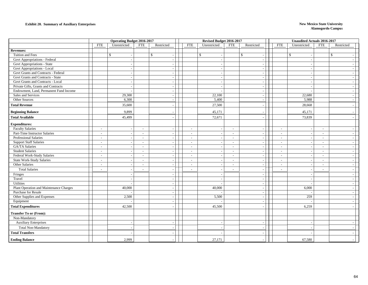### **Exhibit 20. Summary of Auxiliary Enterprises New Mexico State University**

|                                         |                          | <b>Operating Budget 2016-2017</b> |                          |                          |                          | Revised Budget 2016-2017 |                          |                          |                          | <b>Unaudited Actuals 2016-2017</b> |                |              |                          |
|-----------------------------------------|--------------------------|-----------------------------------|--------------------------|--------------------------|--------------------------|--------------------------|--------------------------|--------------------------|--------------------------|------------------------------------|----------------|--------------|--------------------------|
|                                         | <b>FTE</b>               | Unrestricted                      | <b>FTE</b>               | Restricted               | <b>FTE</b>               | Unrestricted             | <b>FTE</b>               | Restricted               | <b>FTE</b>               | Unrestricted                       | <b>FTE</b>     | Restricted   |                          |
| <b>Revenues:</b>                        |                          |                                   |                          |                          |                          |                          |                          |                          |                          |                                    |                |              |                          |
| Tuition and Fees                        |                          | $\mathbb{S}$<br>$\sim$            | $\mathbf S$              |                          |                          | $\mathbb{S}$             |                          | $\mathbb{S}$<br>$\sim$   |                          | $\mathbb{S}$                       |                | $\mathbb{S}$ |                          |
| Govt Appropriations - Federal           |                          | $\overline{\phantom{a}}$          |                          |                          |                          |                          |                          | $\overline{\phantom{a}}$ |                          |                                    |                |              |                          |
| <b>Govt Appropriations - State</b>      |                          | $\sim$                            |                          |                          |                          |                          |                          | $\sim$                   |                          |                                    |                |              |                          |
| Govt Appropriations - Local             |                          | $\sim$                            |                          |                          |                          |                          |                          | $\sim$                   |                          |                                    |                |              |                          |
| Govt Grants and Contracts - Federal     |                          | $\sim$                            |                          |                          |                          |                          |                          | $\overline{\phantom{a}}$ |                          |                                    |                |              |                          |
| Govt Grants and Contracts - State       |                          | $\sim$                            |                          |                          |                          |                          |                          | $\sim$                   |                          |                                    |                |              |                          |
| Govt Grants and Contracts - Local       |                          | $\overline{\phantom{a}}$          |                          |                          |                          |                          |                          | $\overline{\phantom{a}}$ |                          |                                    |                |              |                          |
| Private Gifts, Grants and Contracts     |                          | $\sim$                            |                          |                          |                          |                          |                          | $\sim$                   |                          | $\sim$                             |                |              |                          |
| Endowment, Land, Permanent Fund Income  |                          | $\sim$                            |                          |                          |                          |                          |                          | $\overline{\phantom{a}}$ |                          |                                    |                |              |                          |
| Sales and Services                      |                          | 29,300                            |                          |                          |                          | 22,100                   |                          | $\sim$                   |                          | 22,680                             |                |              |                          |
| Other Sources                           |                          | 6,300                             |                          |                          |                          | 5,400                    |                          | $\overline{\phantom{a}}$ |                          | 5,988                              |                |              | $\overline{a}$           |
| <b>Total Revenue</b>                    |                          | 35,600                            |                          |                          |                          | 27,500                   |                          | $\overline{\phantom{a}}$ |                          | 28,668                             |                |              |                          |
| <b>Beginning Balance</b>                |                          | 9,899                             |                          |                          |                          | 45,171                   |                          |                          |                          | 45,171                             |                |              |                          |
| <b>Total Available</b>                  |                          | 45,499                            |                          |                          |                          | 72,671                   |                          | $\overline{\phantom{a}}$ |                          | 73,839                             |                |              |                          |
| <b>Expenditures:</b>                    |                          |                                   |                          |                          |                          |                          |                          |                          |                          |                                    |                |              |                          |
| <b>Faculty Salaries</b>                 | $\sim$                   | $\sim$                            | $\sim$                   |                          | $\overline{a}$           |                          | $\sim$                   | $\sim$                   | $\sim$                   |                                    | $\sim$         |              |                          |
| Part-Time Instructor Salaries           | $\sim$                   |                                   | $\sim$                   |                          | $\overline{\phantom{a}}$ |                          | $\sim$                   | $\overline{\phantom{a}}$ | $\blacksquare$           |                                    | $\sim$         |              |                          |
| <b>Professional Salaries</b>            | $\overline{\phantom{a}}$ | $\sim$                            | $\sim$                   |                          | $\sim$                   | $\overline{\phantom{a}}$ | $\sim$                   | $\sim$                   | $\sim$                   | $\overline{\phantom{a}}$           | $\sim$         |              | $\overline{a}$           |
| <b>Support Staff Salaries</b>           | $\overline{\phantom{a}}$ | $\sim$                            | $\sim$                   |                          | $\sim$                   |                          | $\sim$                   | $\overline{\phantom{a}}$ | $\overline{\phantom{a}}$ | $\overline{\phantom{a}}$           | $\blacksquare$ |              |                          |
| GA/TA Salaries                          | $\sim$                   |                                   | $\sim$                   |                          | $\overline{\phantom{a}}$ |                          | $\sim$                   | $\sim$                   | $\sim$                   |                                    | $\sim$         |              |                          |
| <b>Student Salaries</b>                 | $\sim$                   | $\sim$                            | $\overline{\phantom{a}}$ |                          | $\overline{a}$           | $\overline{\phantom{a}}$ | $\sim$                   | $\sim$                   | $\overline{a}$           |                                    | $\overline{a}$ |              |                          |
| Federal Work-Study Salaries             | $\overline{\phantom{a}}$ | $\overline{\phantom{a}}$          | $\overline{\phantom{a}}$ |                          | $\overline{\phantom{a}}$ |                          | $\overline{\phantom{a}}$ | $\overline{\phantom{a}}$ | $\overline{\phantom{a}}$ |                                    | $\sim$         |              |                          |
| State Work-Study Salaries               | $\sim$                   |                                   | $\sim$                   |                          | $\overline{a}$           |                          | $\sim$                   | $\sim$                   | $\overline{a}$           |                                    | $\overline{a}$ |              |                          |
| Other Salaries                          | $\overline{\phantom{a}}$ | $\sim$                            | $\sim$                   |                          | $\overline{\phantom{a}}$ |                          | $\sim$                   | $\overline{\phantom{a}}$ | $\sim$                   | $\blacksquare$                     | $\blacksquare$ |              |                          |
| <b>Total Salaries</b>                   |                          | $\sim$                            |                          |                          | $\overline{a}$           |                          | $\blacksquare$           | $\sim$                   | $\overline{a}$           | $\overline{a}$                     | $\overline{a}$ |              |                          |
| Fringes                                 |                          |                                   |                          |                          |                          |                          |                          | $\overline{\phantom{a}}$ |                          |                                    |                |              |                          |
| Travel                                  |                          | $\sim$                            |                          |                          |                          | $\overline{\phantom{a}}$ |                          | $\sim$                   |                          | $\sim$                             |                |              | $\overline{\phantom{a}}$ |
| Utilities                               |                          | $\sim$                            |                          |                          |                          |                          |                          | $\sim$                   |                          |                                    |                |              |                          |
| Plant Operation and Maintenance Charges |                          | 40,000                            |                          |                          |                          | 40,000                   |                          | $\overline{\phantom{a}}$ |                          | 6,000                              |                |              |                          |
| Purchase for Resale                     |                          |                                   |                          | $\sim$                   |                          |                          |                          | $\overline{\phantom{a}}$ |                          |                                    |                |              | $\overline{a}$           |
| Other Supplies and Expenses             |                          | 2,500                             |                          | $\overline{\phantom{a}}$ |                          | 5,500                    |                          | $\sim$                   |                          | 259                                |                |              |                          |
| Equipment                               |                          |                                   |                          |                          |                          |                          |                          | $\overline{\phantom{a}}$ |                          |                                    |                |              |                          |
| <b>Total Expenditures</b>               |                          | 42,500                            |                          |                          |                          | 45,500                   |                          |                          |                          | 6,259                              |                |              |                          |
| <b>Transfer To or (From):</b>           |                          |                                   |                          |                          |                          |                          |                          |                          |                          |                                    |                |              |                          |
| Non-Mandatory                           |                          |                                   |                          |                          |                          |                          |                          |                          |                          |                                    |                |              |                          |
| <b>Auxiliary Enterprises</b>            |                          | $\sim$                            |                          |                          |                          |                          |                          | $\overline{\phantom{a}}$ |                          |                                    |                |              |                          |
| <b>Total Non-Mandatory</b>              |                          |                                   |                          |                          |                          |                          |                          |                          |                          |                                    |                |              |                          |
| <b>Total Transfers</b>                  |                          |                                   |                          |                          |                          |                          |                          |                          |                          |                                    |                |              |                          |
| <b>Ending Balance</b>                   |                          | 2,999                             |                          |                          |                          | 27,171                   |                          |                          |                          | 67,580                             |                |              |                          |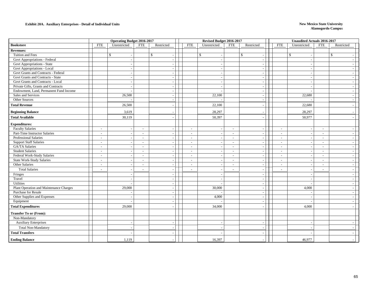### **Exhibit 20A. Auxiliary Enterprises - Detail of Individual Units New Mexico State University**

|                                         |                          | <b>Operating Budget 2016-2017</b> |                          |                          |                          | Revised Budget 2016-2017 |                          |                                          |                          | <b>Unaudited Actuals 2016-2017</b> |                          |                    |
|-----------------------------------------|--------------------------|-----------------------------------|--------------------------|--------------------------|--------------------------|--------------------------|--------------------------|------------------------------------------|--------------------------|------------------------------------|--------------------------|--------------------|
| <b>Bookstore</b>                        | <b>FTE</b>               | Unrestricted                      | <b>FTE</b>               | Restricted               | <b>FTE</b>               | Unrestricted             | <b>FTE</b>               | Restricted                               | <b>FTE</b>               | Unrestricted                       | <b>FTE</b>               | Restricted         |
| <b>Revenues:</b>                        |                          |                                   |                          |                          |                          |                          |                          |                                          |                          |                                    |                          |                    |
| Tuition and Fees                        |                          | $\mathbb{S}$<br>$\sim$            | $\mathbf{s}$             | $\sim$                   |                          | $\mathbf{\hat{S}}$       |                          | $\mathbb{S}$<br>$\overline{\phantom{a}}$ |                          | $\mathbb{S}$                       |                          | $\mathbf{\hat{S}}$ |
| Govt Appropriations - Federal           |                          | $\sim$                            |                          | $\overline{\phantom{a}}$ |                          |                          |                          |                                          |                          |                                    |                          |                    |
| Govt Appropriations - State             |                          | $\sim$                            |                          | $\overline{\phantom{a}}$ |                          |                          |                          | $\overline{\phantom{a}}$                 |                          |                                    |                          |                    |
| Govt Appropriations - Local             |                          | $\overline{\phantom{a}}$          |                          | $\overline{\phantom{a}}$ |                          |                          |                          | $\overline{\phantom{a}}$                 |                          |                                    |                          |                    |
| Govt Grants and Contracts - Federal     |                          | $\overline{a}$                    |                          | $\sim$                   |                          |                          |                          | ÷.                                       |                          |                                    |                          |                    |
| Govt Grants and Contracts - State       |                          | $\overline{\phantom{a}}$          |                          | $\overline{a}$           |                          |                          |                          | $\overline{\phantom{a}}$                 |                          |                                    |                          |                    |
| Govt Grants and Contracts - Local       |                          | $\overline{\phantom{a}}$          |                          | $\overline{\phantom{a}}$ |                          |                          |                          | $\overline{a}$                           |                          |                                    |                          |                    |
| Private Gifts, Grants and Contracts     |                          | $\sim$                            |                          | $\sim$                   |                          |                          |                          | $\overline{\phantom{a}}$                 |                          |                                    |                          | $\sim$             |
| Endowment, Land, Permanent Fund Income  |                          | $\sim$                            |                          | $\overline{\phantom{a}}$ |                          |                          |                          | $\overline{\phantom{a}}$                 |                          |                                    |                          |                    |
| Sales and Services                      |                          | 26,500                            |                          |                          |                          | 22,100                   |                          | $\overline{\phantom{a}}$                 |                          | 22,680                             |                          |                    |
| Other Sources                           |                          |                                   |                          | $\overline{\phantom{a}}$ |                          |                          |                          | $\overline{\phantom{a}}$                 |                          |                                    |                          |                    |
| <b>Total Revenue</b>                    |                          | 26,500                            |                          | $\overline{a}$           |                          | 22,100                   |                          | $\overline{\phantom{a}}$                 |                          | 22,680                             |                          |                    |
| <b>Beginning Balance</b>                |                          | 3,619                             |                          |                          |                          | 28,297                   |                          |                                          |                          | 28,297                             |                          |                    |
| <b>Total Available</b>                  |                          | 30,119                            |                          |                          |                          | 50,397                   |                          |                                          |                          | 50,977                             |                          |                    |
| <b>Expenditures:</b>                    |                          |                                   |                          |                          |                          |                          |                          |                                          |                          |                                    |                          |                    |
| <b>Faculty Salaries</b>                 | $\sim$                   | $\overline{\phantom{a}}$          | $\sim$                   | $\sim$                   | $\sim$                   |                          | $\sim$                   | $\overline{\phantom{a}}$                 | $\sim$                   |                                    | $\sim$                   |                    |
| Part-Time Instructor Salaries           | $\sim$                   | $\sim$                            | $\sim$                   | $\overline{\phantom{a}}$ | $\sim$                   |                          | $\sim$                   |                                          | $\sim$                   |                                    | $\sim$                   |                    |
| <b>Professional Salaries</b>            | $\overline{\phantom{a}}$ | $\sim$                            | $\overline{\phantom{a}}$ | $\sim$                   | $\sim$                   |                          | $\sim$                   | $\sim$                                   | $\sim$                   | $\sim$                             | $\sim$                   |                    |
| <b>Support Staff Salaries</b>           | $\sim$                   | $\sim$                            | $\sim$                   | $\sim$                   | $\overline{\phantom{a}}$ |                          | $\sim$                   | $\overline{\phantom{a}}$                 | $\overline{\phantom{a}}$ |                                    | $\overline{\phantom{a}}$ |                    |
| GA/TA Salaries                          | $\sim$                   |                                   | $\sim$                   | $\sim$                   | $\sim$                   |                          | $\sim$                   | ÷.                                       | $\sim$                   |                                    | $\sim$                   |                    |
| <b>Student Salaries</b>                 | $\sim$                   | $\sim$                            | $\sim$                   | $\overline{a}$           | $\sim$                   |                          | $\sim$                   | $\overline{\phantom{a}}$                 | $\overline{\phantom{a}}$ | $\overline{\phantom{a}}$           | $\sim$                   | $\sim$             |
| Federal Work-Study Salaries             | $\sim$                   | $\overline{\phantom{a}}$          | $\overline{\phantom{a}}$ | $\sim$                   | $\sim$                   |                          | $\sim$                   | $\overline{\phantom{a}}$                 | $\overline{\phantom{a}}$ |                                    | $\sim$                   |                    |
| <b>State Work-Study Salaries</b>        | $\sim$                   | $\sim$                            | $\sim$                   | $\overline{a}$           | $\sim$                   |                          | $\sim$                   | $\overline{\phantom{a}}$                 | $\overline{\phantom{a}}$ | $\overline{\phantom{a}}$           | $\sim$                   | $\sim$             |
| Other Salaries                          | $\sim$                   | $\sim$                            | $\overline{\phantom{a}}$ | $\overline{\phantom{a}}$ | $\sim$                   |                          | $\sim$                   | $\overline{\phantom{a}}$                 | $\overline{\phantom{a}}$ |                                    | $\overline{\phantom{a}}$ |                    |
| <b>Total Salaries</b>                   | $\sim$                   | $\sim$                            | $\overline{a}$           | $\overline{\phantom{a}}$ | $\sim$                   |                          | $\overline{\phantom{a}}$ | $\overline{\phantom{a}}$                 |                          |                                    | $\overline{\phantom{a}}$ |                    |
| Fringes                                 |                          |                                   |                          |                          |                          |                          |                          |                                          |                          |                                    |                          |                    |
| Travel                                  |                          | $\sim$                            |                          | $\sim$                   |                          |                          |                          | $\sim$                                   |                          |                                    |                          | $\sim$             |
| Utilities                               |                          | $\overline{a}$                    |                          | $\sim$                   |                          |                          |                          | $\overline{a}$                           |                          |                                    |                          |                    |
| Plant Operation and Maintenance Charges |                          | 29,000                            |                          | $\overline{\phantom{a}}$ |                          | 30,000                   |                          | $\overline{a}$                           |                          | 4,000                              |                          |                    |
| Purchase for Resale                     |                          |                                   |                          | $\sim$                   |                          |                          |                          | $\sim$                                   |                          |                                    |                          |                    |
| Other Supplies and Expenses             |                          |                                   |                          | $\overline{\phantom{a}}$ |                          | 4,000                    |                          | $\overline{\phantom{a}}$                 |                          |                                    |                          |                    |
| Equipment                               |                          |                                   |                          | $\sim$                   |                          |                          |                          | ÷.                                       |                          |                                    |                          |                    |
| <b>Total Expenditures</b>               |                          | 29,000                            |                          |                          |                          | 34,000                   |                          |                                          |                          | 4.000                              |                          |                    |
| <b>Transfer To or (From):</b>           |                          |                                   |                          |                          |                          |                          |                          |                                          |                          |                                    |                          |                    |
| Non-Mandatory                           |                          |                                   |                          |                          |                          |                          |                          |                                          |                          |                                    |                          |                    |
| <b>Auxiliary Enterprises</b>            |                          | $\overline{\phantom{a}}$          |                          | $\overline{\phantom{a}}$ |                          |                          |                          | $\overline{\phantom{a}}$                 |                          |                                    |                          |                    |
| Total Non-Mandatory                     |                          |                                   |                          |                          |                          |                          |                          |                                          |                          |                                    |                          |                    |
| <b>Total Transfers</b>                  |                          |                                   |                          |                          |                          |                          |                          |                                          |                          |                                    |                          |                    |
| <b>Ending Balance</b>                   |                          | 1,119                             |                          |                          |                          | 16,397                   |                          |                                          |                          | 46,977                             |                          |                    |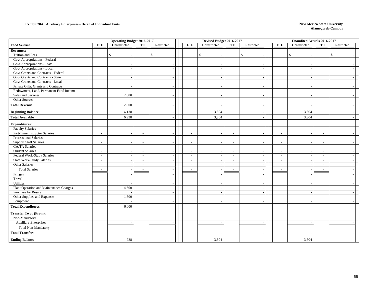### **Exhibit 20A. Auxiliary Enterprises - Detail of Individual Units New Mexico State University**

|                                         |                             | <b>Operating Budget 2016-2017</b> |                          |                          | Revised Budget 2016-2017           |                          |                          |                          | <b>Unaudited Actuals 2016-2017</b> |                          |              |
|-----------------------------------------|-----------------------------|-----------------------------------|--------------------------|--------------------------|------------------------------------|--------------------------|--------------------------|--------------------------|------------------------------------|--------------------------|--------------|
| <b>Food Service</b>                     | <b>FTE</b>                  | Unrestricted                      | <b>FTE</b>               | Restricted               | Unrestricted<br><b>FTE</b>         | <b>FTE</b>               | Restricted               | <b>FTE</b>               | Unrestricted                       | <b>FTE</b>               | Restricted   |
| <b>Revenues:</b>                        |                             |                                   |                          |                          |                                    |                          |                          |                          |                                    |                          |              |
| Tuition and Fees                        |                             | \$.                               |                          | \$                       | $\mathbb{S}$                       |                          | \$                       |                          | $\mathbf{\hat{S}}$                 |                          | $\mathbb{S}$ |
| Govt Appropriations - Federal           |                             | $\overline{\phantom{a}}$          |                          |                          |                                    |                          |                          |                          |                                    |                          |              |
| <b>Govt Appropriations - State</b>      |                             | $\overline{\phantom{a}}$          |                          | $\overline{\phantom{a}}$ |                                    |                          | $\overline{\phantom{a}}$ |                          |                                    |                          |              |
| Govt Appropriations - Local             |                             | $\overline{\phantom{a}}$          |                          | $\sim$                   |                                    |                          | $\overline{\phantom{a}}$ |                          |                                    |                          |              |
| Govt Grants and Contracts - Federal     |                             |                                   |                          |                          |                                    |                          | $\overline{\phantom{a}}$ |                          |                                    |                          |              |
| Govt Grants and Contracts - State       |                             | $\overline{\phantom{a}}$          |                          |                          |                                    |                          | $\overline{\phantom{a}}$ |                          |                                    |                          |              |
| Govt Grants and Contracts - Local       |                             | $\overline{\phantom{a}}$          |                          | $\overline{\phantom{a}}$ |                                    |                          | $\overline{\phantom{a}}$ |                          |                                    |                          |              |
| Private Gifts, Grants and Contracts     |                             | $\sim$                            |                          | $\sim$                   |                                    |                          | $\overline{\phantom{a}}$ |                          |                                    |                          |              |
| Endowment, Land, Permanent Fund Income  |                             |                                   |                          | $\overline{\phantom{a}}$ |                                    |                          | $\overline{\phantom{a}}$ |                          |                                    |                          |              |
| Sales and Services                      |                             | 2,800                             |                          |                          |                                    |                          | $\overline{\phantom{a}}$ |                          |                                    |                          |              |
| Other Sources                           |                             |                                   |                          | $\overline{\phantom{a}}$ |                                    |                          | $\overline{\phantom{a}}$ |                          |                                    |                          |              |
| <b>Total Revenue</b>                    |                             | 2,800                             |                          | $\overline{\phantom{a}}$ |                                    |                          | $\overline{\phantom{a}}$ |                          |                                    |                          |              |
| <b>Beginning Balance</b>                |                             | 4,138                             |                          |                          | 3,804                              |                          |                          |                          | 3,804                              |                          |              |
| <b>Total Available</b>                  |                             | 6,938                             |                          |                          | 3,804                              |                          |                          |                          | 3,804                              |                          |              |
| <b>Expenditures:</b>                    |                             |                                   |                          |                          |                                    |                          |                          |                          |                                    |                          |              |
| <b>Faculty Salaries</b>                 | $\overline{\phantom{a}}$    | $\sim$                            | $\sim$                   | $\sim$                   | $\sim$                             | $\sim$                   | $\overline{\phantom{a}}$ | $\sim$                   |                                    | $\sim$                   |              |
| Part-Time Instructor Salaries           | $\sim$                      | $\overline{\phantom{a}}$          | $\sim$                   | $\sim$                   | $\sim$                             | $\sim$                   | $\overline{\phantom{a}}$ | $\sim$                   |                                    | $\overline{\phantom{a}}$ |              |
| Professional Salaries                   | $\sim$                      | $\sim$                            | $\sim$                   | $\sim$                   | $\sim$<br>$\overline{\phantom{a}}$ | $\sim$                   | $\sim$                   | $\sim$                   | $\sim$                             | $\sim$                   |              |
| <b>Support Staff Salaries</b>           | $\sim$                      | $\overline{\phantom{a}}$          | $\overline{\phantom{a}}$ | $\sim$                   | $\sim$                             | $\sim$                   | $\overline{\phantom{a}}$ | $\overline{\phantom{a}}$ |                                    | $\overline{a}$           |              |
| GA/TA Salaries                          | $\overline{\phantom{a}}$    |                                   | $\sim$                   | $\overline{\phantom{a}}$ | $\sim$                             | $\mathbb{L}^+$           | $\overline{\phantom{a}}$ | $\overline{\phantom{a}}$ |                                    | $\sim$                   |              |
| <b>Student Salaries</b>                 | $\sim$                      | $\overline{\phantom{a}}$          | $\overline{\phantom{a}}$ | $\overline{\phantom{a}}$ | $\sim$                             | $\sim$                   | $\overline{\phantom{a}}$ |                          | $\blacksquare$                     | $\overline{a}$           |              |
| Federal Work-Study Salaries             | $\sim$                      | $\overline{\phantom{a}}$          | $\overline{\phantom{a}}$ | $\overline{\phantom{a}}$ | $\overline{\phantom{a}}$           | $\overline{\phantom{a}}$ | $\overline{\phantom{a}}$ | $\overline{\phantom{a}}$ |                                    | $\overline{\phantom{a}}$ |              |
| <b>State Work-Study Salaries</b>        | $\mathcal{L}_{\mathcal{A}}$ | $\sim$                            | $\sim$                   | $\sim$                   | $\sim$                             | $\sim$                   | $\sim$                   | $\sim$                   | $\overline{a}$                     | $\sim$                   |              |
| Other Salaries                          | $\sim$                      | $\sim$                            | $\sim$                   | $\overline{\phantom{a}}$ | $\sim$                             | $\sim$                   | $\overline{\phantom{a}}$ | $\overline{\phantom{a}}$ | $\sim$                             | $\overline{\phantom{a}}$ |              |
| <b>Total Salaries</b>                   | $\overline{a}$              | $\overline{\phantom{a}}$          | $\overline{\phantom{a}}$ | $\sim$                   | $\sim$                             | $\sim$                   | $\overline{\phantom{a}}$ | $\overline{\phantom{a}}$ | $\overline{a}$                     | $\sim$                   |              |
| Fringes                                 |                             |                                   |                          |                          |                                    |                          |                          |                          |                                    |                          |              |
| Travel                                  |                             | $\overline{\phantom{a}}$          |                          | $\sim$                   | $\overline{\phantom{a}}$           |                          | $\sim$                   |                          | $\overline{\phantom{a}}$           |                          |              |
| Utilities                               |                             |                                   |                          | $\sim$                   |                                    |                          | $\overline{\phantom{a}}$ |                          |                                    |                          |              |
| Plant Operation and Maintenance Charges |                             | 4,500                             |                          | $\overline{a}$           |                                    |                          | $\overline{\phantom{a}}$ |                          |                                    |                          |              |
| Purchase for Resale                     |                             |                                   |                          | $\sim$                   |                                    |                          | $\sim$                   |                          |                                    |                          |              |
| Other Supplies and Expenses             |                             | 1,500                             |                          | $\sim$                   |                                    |                          | $\overline{\phantom{a}}$ |                          |                                    |                          |              |
| Equipment                               |                             |                                   |                          |                          |                                    |                          |                          |                          |                                    |                          |              |
| <b>Total Expenditures</b>               |                             | 6,000                             |                          |                          |                                    |                          |                          |                          |                                    |                          |              |
| <b>Transfer To or (From):</b>           |                             |                                   |                          |                          |                                    |                          |                          |                          |                                    |                          |              |
| Non-Mandatory                           |                             |                                   |                          |                          |                                    |                          |                          |                          |                                    |                          |              |
| <b>Auxiliary Enterprises</b>            |                             | $\overline{\phantom{a}}$          |                          | $\overline{\phantom{a}}$ |                                    |                          | $\overline{\phantom{a}}$ |                          |                                    |                          |              |
| <b>Total Non-Mandatory</b>              |                             |                                   |                          |                          |                                    |                          |                          |                          |                                    |                          |              |
| <b>Total Transfers</b>                  |                             |                                   |                          |                          |                                    |                          |                          |                          |                                    |                          |              |
| <b>Ending Balance</b>                   |                             | 938                               |                          |                          | 3,804                              |                          |                          |                          | 3,804                              |                          |              |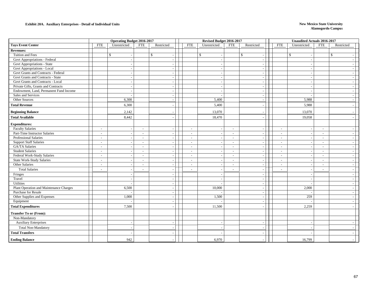### **Exhibit 20A. Auxiliary Enterprises - Detail of Individual Units New Mexico State University**

|                                         |                          | <b>Operating Budget 2016-2017</b> |                          |                          | Revised Budget 2016-2017   |                          |                          |                          | <b>Unaudited Actuals 2016-2017</b> |                          |                    |
|-----------------------------------------|--------------------------|-----------------------------------|--------------------------|--------------------------|----------------------------|--------------------------|--------------------------|--------------------------|------------------------------------|--------------------------|--------------------|
| <b>Tays Event Center</b>                | <b>FTE</b>               | Unrestricted                      | <b>FTE</b>               | Restricted               | <b>FTE</b><br>Unrestricted | <b>FTE</b>               | Restricted               | <b>FTE</b>               | Unrestricted                       | <b>FTE</b>               | Restricted         |
| <b>Revenues:</b>                        |                          |                                   |                          |                          |                            |                          |                          |                          |                                    |                          |                    |
| Tuition and Fees                        |                          | $\mathbb{S}$                      |                          | $\mathbf S$              | $\mathbb{S}$               |                          | $\mathbb{S}$<br>$\sim$   |                          | $\mathbb{S}$                       |                          | $\mathbf{\hat{S}}$ |
| Govt Appropriations - Federal           |                          | $\overline{\phantom{a}}$          |                          | $\overline{a}$           |                            |                          |                          |                          |                                    |                          |                    |
| Govt Appropriations - State             |                          | $\sim$                            |                          | $\overline{\phantom{a}}$ |                            |                          | $\overline{\phantom{a}}$ |                          |                                    |                          |                    |
| Govt Appropriations - Local             |                          | $\sim$                            |                          | $\overline{a}$           |                            |                          | $\overline{\phantom{a}}$ |                          |                                    |                          |                    |
| Govt Grants and Contracts - Federal     |                          |                                   |                          |                          |                            |                          |                          |                          |                                    |                          |                    |
| Govt Grants and Contracts - State       |                          | $\overline{\phantom{a}}$          |                          | $\sim$                   |                            |                          | $\overline{\phantom{a}}$ |                          |                                    |                          |                    |
| Govt Grants and Contracts - Local       |                          | $\overline{\phantom{a}}$          |                          | $\overline{\phantom{a}}$ |                            |                          | $\overline{\phantom{a}}$ |                          |                                    |                          |                    |
| Private Gifts, Grants and Contracts     |                          | $\overline{\phantom{a}}$          |                          | $\sim$                   |                            |                          | $\sim$                   |                          |                                    |                          | $\sim$             |
| Endowment, Land, Permanent Fund Income  |                          | $\sim$                            |                          | $\sim$                   |                            |                          | $\overline{\phantom{a}}$ |                          |                                    |                          |                    |
| Sales and Services                      |                          |                                   |                          |                          |                            |                          | $\overline{\phantom{a}}$ |                          |                                    |                          |                    |
| Other Sources                           |                          | 6,300                             |                          | $\overline{\phantom{a}}$ | 5,400                      |                          | $\overline{\phantom{a}}$ |                          | 5,988                              |                          | $\sim$             |
| <b>Total Revenue</b>                    |                          | 6,300                             |                          | $\overline{\phantom{a}}$ | 5,400                      |                          | $\sim$                   |                          | 5,988                              |                          |                    |
| <b>Beginning Balance</b>                |                          | 2,142                             |                          |                          | 13,070                     |                          |                          |                          | 13,070                             |                          |                    |
| <b>Total Available</b>                  |                          | 8,442                             |                          |                          | 18,470                     |                          |                          |                          | 19,058                             |                          |                    |
| <b>Expenditures:</b>                    |                          |                                   |                          |                          |                            |                          |                          |                          |                                    |                          |                    |
| <b>Faculty Salaries</b>                 | $\overline{\phantom{a}}$ | $\sim$                            | $\sim$                   |                          | $\sim$                     | $\sim$                   | $\sim$                   | $\sim$                   |                                    | $\sim$                   |                    |
| Part-Time Instructor Salaries           | $\overline{\phantom{a}}$ |                                   | $\overline{a}$           |                          | $\overline{\phantom{a}}$   | $\overline{\phantom{a}}$ |                          | $\overline{\phantom{0}}$ |                                    | $\overline{\phantom{a}}$ |                    |
| Professional Salaries                   | $\overline{\phantom{a}}$ | $\sim$                            | $\sim$                   | $\sim$                   | $\sim$                     | $\sim$                   | $\sim$                   | $\overline{\phantom{a}}$ |                                    | $\sim$                   |                    |
| <b>Support Staff Salaries</b>           | $\sim$                   |                                   | $\sim$                   | $\sim$                   | $\sim$                     | $\sim$                   | $\sim$                   | $\overline{\phantom{a}}$ |                                    | $\sim$                   |                    |
| <b>GA/TA Salaries</b>                   | $\blacksquare$           |                                   | $\sim$                   |                          | $\sim$                     | $\sim$                   | $\sim$                   | $\overline{\phantom{a}}$ |                                    | $\overline{\phantom{a}}$ |                    |
| <b>Student Salaries</b>                 | $\sim$                   | $\sim$                            | $\overline{\phantom{a}}$ | $\overline{\phantom{a}}$ | $\sim$                     | $\sim$                   | $\overline{\phantom{a}}$ |                          |                                    | $\sim$                   |                    |
| Federal Work-Study Salaries             | $\sim$                   |                                   | $\overline{\phantom{a}}$ | $\overline{\phantom{a}}$ | $\overline{\phantom{a}}$   | $\overline{\phantom{a}}$ | $\overline{\phantom{a}}$ | $\overline{\phantom{a}}$ |                                    | $\overline{\phantom{a}}$ |                    |
| <b>State Work-Study Salaries</b>        | $\sim$                   | $\overline{\phantom{a}}$          | $\sim$                   | $\sim$                   | $\sim$                     | $\sim$                   | $\overline{\phantom{a}}$ | $\overline{\phantom{a}}$ |                                    | $\sim$                   |                    |
| Other Salaries                          | $\overline{\phantom{a}}$ | $\overline{\phantom{a}}$          | $\sim$                   | $\overline{\phantom{a}}$ | $\sim$                     | $\overline{\phantom{a}}$ | $\overline{\phantom{a}}$ | $\overline{\phantom{a}}$ |                                    | $\overline{\phantom{a}}$ |                    |
| <b>Total Salaries</b>                   | $\overline{\phantom{a}}$ | $\sim$                            |                          | $\sim$                   | $\sim$                     | $\overline{\phantom{a}}$ | $\overline{\phantom{a}}$ |                          |                                    | $\overline{\phantom{a}}$ |                    |
| Fringes                                 |                          |                                   |                          |                          |                            |                          | $\overline{\phantom{a}}$ |                          |                                    |                          |                    |
| Travel                                  |                          | $\overline{a}$                    |                          | $\sim$                   |                            |                          | $\overline{\phantom{a}}$ |                          |                                    |                          | $\sim$             |
| Utilities                               |                          |                                   |                          | $\overline{\phantom{a}}$ |                            |                          | $\overline{\phantom{a}}$ |                          |                                    |                          |                    |
| Plant Operation and Maintenance Charges |                          | 6,500                             |                          |                          | 10,000                     |                          | $\sim$                   |                          | 2,000                              |                          |                    |
| Purchase for Resale                     |                          |                                   |                          | $\sim$                   |                            |                          | $\sim$                   |                          |                                    |                          |                    |
| Other Supplies and Expenses             |                          | 1,000                             |                          | $\sim$                   | 1,500                      |                          | $\overline{\phantom{a}}$ |                          | 259                                |                          |                    |
| Equipment                               |                          |                                   |                          | $\overline{\phantom{a}}$ |                            |                          | $\overline{\phantom{a}}$ |                          |                                    |                          |                    |
| <b>Total Expenditures</b>               |                          | 7,500                             |                          |                          | 11,500                     |                          |                          |                          | 2,259                              |                          |                    |
| <b>Transfer To or (From):</b>           |                          |                                   |                          |                          |                            |                          |                          |                          |                                    |                          |                    |
| Non-Mandatory                           |                          |                                   |                          |                          |                            |                          |                          |                          |                                    |                          |                    |
| <b>Auxiliary Enterprises</b>            |                          | $\overline{\phantom{a}}$          |                          | $\overline{\phantom{a}}$ |                            |                          | $\overline{a}$           |                          |                                    |                          |                    |
| <b>Total Non-Mandatory</b>              |                          | $\overline{\phantom{a}}$          |                          |                          |                            |                          |                          |                          |                                    |                          |                    |
| <b>Total Transfers</b>                  |                          |                                   |                          |                          |                            |                          |                          |                          |                                    |                          |                    |
| <b>Ending Balance</b>                   |                          | 942                               |                          |                          | 6,970                      |                          |                          |                          | 16,799                             |                          |                    |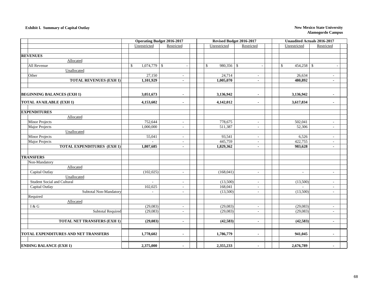### **Exhibit I. Summary of Capital Outlay New Mexico State University**

|                                         |                      | <b>Operating Budget 2016-2017</b> |                              | Revised Budget 2016-2017           | Unaudited Actuals 2016-2017 |                |
|-----------------------------------------|----------------------|-----------------------------------|------------------------------|------------------------------------|-----------------------------|----------------|
|                                         | Unrestricted         | Restricted                        | Unrestricted                 | Restricted                         | Unrestricted                | Restricted     |
|                                         |                      |                                   |                              |                                    |                             |                |
| <b>REVENUES</b>                         |                      |                                   |                              |                                    |                             |                |
| Allocated                               |                      |                                   |                              |                                    |                             |                |
| All Revenue                             | $\mathbb{S}$         |                                   | $980,356$ \$<br>$\mathbb{S}$ |                                    | $454,258$ \$<br>\$          |                |
| Unallocated                             |                      |                                   |                              |                                    |                             |                |
| Other                                   | 27,150               | $\sim$                            | 24,714                       | $\bar{a}$                          | 26,634                      | $\blacksquare$ |
| <b>TOTAL REVENUES (EXH 1)</b>           | 1,101,929            | $\blacksquare$                    | 1,005,070                    | $\blacksquare$                     | 480,892                     | $\blacksquare$ |
|                                         |                      |                                   |                              |                                    |                             |                |
| <b>BEGINNING BALANCES (EXH 1)</b>       | 3,051,673            |                                   | 3,136,942                    | $\blacksquare$                     | 3,136,942                   |                |
| <b>TOTAL AVAILABLE (EXH 1)</b>          | 4,153,602            | $\blacksquare$                    | 4,142,012                    | $\blacksquare$                     | 3,617,834                   | $\blacksquare$ |
|                                         |                      |                                   |                              |                                    |                             |                |
| <b>EXPENDITURES</b><br>Allocated        |                      |                                   |                              |                                    |                             |                |
|                                         |                      |                                   |                              |                                    |                             |                |
| <b>Minor Projects</b><br>Major Projects | 752,644<br>1,000,000 |                                   | 778,675<br>511,387           |                                    | 502,041<br>52,306           |                |
| Unallocated                             |                      | $\omega$                          |                              | $\sim$                             |                             | $\sim$         |
| <b>Minor Projects</b>                   | 55,041               |                                   | 93,541                       |                                    | 6,526                       |                |
| Major Projects                          |                      | $\sim$                            | 445,759                      | $\overline{\phantom{a}}$<br>$\sim$ | 422,755                     | $\sim$         |
| <b>TOTAL EXPENDITURES (EXH 1)</b>       | 1,807,685            | $\blacksquare$                    | 1,829,362                    | $\blacksquare$                     | 983,628                     | $\blacksquare$ |
|                                         |                      |                                   |                              |                                    |                             |                |
| <b>TRANSFERS</b>                        |                      |                                   |                              |                                    |                             |                |
| Non-Mandatory                           |                      |                                   |                              |                                    |                             |                |
| Allocated                               |                      |                                   |                              |                                    |                             |                |
| Capital Outlay                          | (102, 025)           | $\sim$                            | (168, 041)                   | $\blacksquare$                     | $\sim$                      | $\blacksquare$ |
| Unallocated                             |                      |                                   |                              |                                    |                             |                |
| Student Social and Cultural             | $\mathbf{r}$         | $\sim$                            | (13,500)                     | $\sim$                             | (13,500)                    | ÷              |
| Capital Outlay                          | 102,025              | $\sim$                            | 168,041                      | $\mathbf{r}$                       |                             |                |
| Subtotal Non-Mandatory                  | $\sim$               | $\sim$                            | (13,500)                     | $\sim$                             | (13,500)                    | $\sim$         |
| Required                                |                      |                                   |                              |                                    |                             |                |
| Allocated                               |                      |                                   |                              |                                    |                             |                |
| I & G                                   | (29,083)             | $\sim$                            | (29,083)                     | $\mathbf{r}$                       | (29,083)                    |                |
| <b>Subtotal Required</b>                | (29,083)             | $\blacksquare$                    | (29,083)                     | $\overline{\phantom{a}}$           | (29,083)                    | $\sim$         |
|                                         |                      |                                   |                              |                                    |                             |                |
| <b>TOTAL NET TRANSFERS (EXH 1)</b>      | (29,083)             | $\overline{a}$                    | (42, 583)                    | $\blacksquare$                     | (42, 583)                   | $\overline{a}$ |
|                                         |                      |                                   |                              |                                    |                             |                |
| TOTAL EXPENDITURES AND NET TRANSFERS    | 1,778,602            | $\blacksquare$                    | 1,786,779                    | $\blacksquare$                     | 941,045                     | $\blacksquare$ |
|                                         |                      |                                   |                              |                                    |                             |                |
| <b>ENDING BALANCE (EXH 1)</b>           | 2,375,000            | $\blacksquare$                    | 2,355,233                    |                                    | 2,676,789                   |                |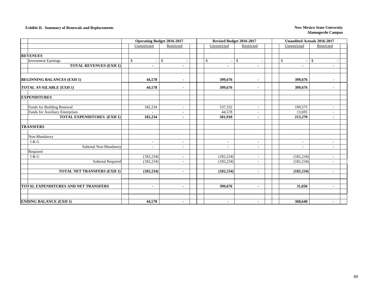### **Exhibit II. Summary of Renewals and Replacements New Mexico State University New Mexico State University**

|                                             |                | <b>Operating Budget 2016-2017</b> |                          | Revised Budget 2016-2017                             | <b>Unaudited Actuals 2016-2017</b>   |                                            |
|---------------------------------------------|----------------|-----------------------------------|--------------------------|------------------------------------------------------|--------------------------------------|--------------------------------------------|
|                                             | Unrestricted   | Restricted                        | Unrestricted             | Restricted                                           | Unrestricted<br>Restricted           |                                            |
|                                             |                |                                   |                          |                                                      |                                      |                                            |
| <b>REVENUES</b>                             |                |                                   |                          |                                                      |                                      |                                            |
| <b>Investment Earnings</b>                  | $\mathbb{S}$   | $\mathbb{S}$                      | $\mathbb{S}$<br>$\sim$   | \$<br>$\sim$                                         | \$<br>\$<br>$\overline{\phantom{a}}$ |                                            |
| <b>TOTAL REVENUES (EXH 1)</b>               | $\blacksquare$ | $\blacksquare$                    | ٠                        | $\blacksquare$                                       | ٠                                    | $\blacksquare$                             |
|                                             |                |                                   |                          |                                                      |                                      |                                            |
| <b>BEGINNING BALANCES (EXH 1)</b>           | 44,578         | $\blacksquare$                    | 399,676                  | $\blacksquare$                                       | 399,676                              |                                            |
| <b>TOTAL AVAILABLE (EXH 1)</b>              | 44,578         | $\blacksquare$                    | 399,676                  | $\blacksquare$                                       | 399,676                              | $\blacksquare$                             |
| <b>EXPENDITURES</b>                         |                |                                   |                          |                                                      |                                      |                                            |
| Funds for Building Renewal                  | 182,234        |                                   | 537,332                  |                                                      | 199,575                              |                                            |
| Funds for Auxiliary Enterprises             |                | $\sim$<br>$\sim$                  | 44,578                   | $\overline{\phantom{a}}$<br>$\overline{\phantom{a}}$ | 13,695                               | $\overline{a}$<br>$\overline{\phantom{a}}$ |
| <b>TOTAL EXPENDITURES (EXH 1)</b>           | 182,234        | $\blacksquare$                    | 581,910                  | $\blacksquare$                                       | 213,270                              | $\blacksquare$                             |
|                                             |                |                                   |                          |                                                      |                                      |                                            |
| <b>TRANSFERS</b>                            |                |                                   |                          |                                                      |                                      |                                            |
| Non-Mandatory                               |                |                                   |                          |                                                      |                                      |                                            |
| I & G                                       | $\sim$         | $\overline{\phantom{a}}$          | $\overline{\phantom{a}}$ | $\sim$                                               | $\sim$                               | $\sim$                                     |
| Subtotal Non-Mandatory                      | $\sim$         | $\sim$                            | ٠                        | $\sim$                                               | ÷,                                   | $\overline{\phantom{a}}$                   |
| Required                                    |                |                                   |                          |                                                      |                                      |                                            |
| I & G                                       | (182, 234)     | $\sim$                            | (182, 234)               | $\overline{\phantom{a}}$                             | (182, 234)                           | $\overline{\phantom{a}}$                   |
| <b>Subtotal Required</b>                    | (182, 234)     | $\sim$                            | (182, 234)               | $\sim$                                               | (182, 234)                           | $\sim$                                     |
|                                             |                |                                   |                          |                                                      |                                      |                                            |
| <b>TOTAL NET TRANSFERS (EXH 1)</b>          | (182, 234)     | $\blacksquare$                    | (182, 234)               | $\blacksquare$                                       | (182, 234)                           | $\blacksquare$                             |
|                                             |                |                                   |                          |                                                      |                                      |                                            |
|                                             |                |                                   |                          |                                                      |                                      |                                            |
| <b>TOTAL EXPENDITURES AND NET TRANSFERS</b> | $\blacksquare$ | $\blacksquare$                    | 399,676                  | $\blacksquare$                                       | 31,036                               | $\blacksquare$                             |
|                                             |                |                                   |                          |                                                      |                                      |                                            |
| <b>ENDING BALANCE (EXH 1)</b>               | 44,578         | $\blacksquare$                    | $\blacksquare$           | $\blacksquare$                                       | 368,640                              | $\blacksquare$                             |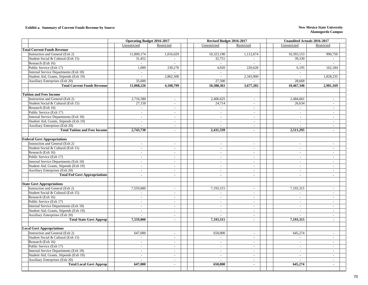### **Exhibit a. Summary of Current Funds Revenue by Source New Mexico State University New Mexico State University**

|                                        | <b>Operating Budget 2016-2017</b> |                             | Revised Budget 2016-2017    |                          |  | <b>Unaudited Actuals 2016-2017</b> |                             |  |
|----------------------------------------|-----------------------------------|-----------------------------|-----------------------------|--------------------------|--|------------------------------------|-----------------------------|--|
|                                        | Unrestricted                      | Restricted                  | Unrestricted                | Restricted               |  | Unrestricted                       | Restricted                  |  |
| <b>Total Current Funds Revenue</b>     |                                   |                             |                             |                          |  |                                    |                             |  |
| Instruction and General (Exh 2)        | 11,000,174                        | 1,016,029                   | 10,323,190                  | 1,112,674                |  | 10,393,153                         | 990,750                     |  |
| Student Social & Cultural (Exh 15)     | 31,452                            | $\sim$                      | 32,751                      | $\overline{a}$           |  | 39,330                             | $\overline{a}$              |  |
| Research (Exh 16)                      | $\sim$                            | $\overline{\phantom{a}}$    | $\sim$                      |                          |  | $\sim$                             |                             |  |
| Public Service (Exh 17)                | 1,000                             | 230,270                     | 4,920                       | 220,628                  |  | 6,195                              | 162,184                     |  |
| Internal Service Departments (Exh 18)  |                                   |                             |                             |                          |  | $\sim$                             |                             |  |
| Student Aid, Grants, Stipends (Exh 19) | $\sim$                            | 2,862,500                   | $\mathcal{L}^{\mathcal{A}}$ | 2,343,900                |  | $\mathcal{L}^{\pm}$                | 1,828,235                   |  |
| Auxiliary Enterprises (Exh 20)         | 35,600                            |                             | 27,500                      |                          |  | 28,668                             |                             |  |
| <b>Total Current Funds Revenue</b>     | 11,068,226                        | 4,108,799                   | 10,388,361                  | 3,677,202                |  | $\overline{10}$ ,467,346           | 2,981,169                   |  |
|                                        |                                   |                             |                             |                          |  |                                    |                             |  |
| <b>Tuition and Fees Income</b>         |                                   |                             |                             |                          |  |                                    |                             |  |
| Instruction and General (Exh 2)        | 2,716,580                         | $\sim$                      | 2,406,625                   | $\sim$                   |  | 2,484,661                          | $\sim$                      |  |
| Student Social & Cultural (Exh 15)     | 27,150                            | $\overline{\phantom{a}}$    | 24,714                      | $\sim$                   |  | 26,634                             | $\sim$                      |  |
| Research (Exh 16)                      | $\sim$                            | $\sim$                      | $\overline{a}$              | $\overline{\phantom{a}}$ |  | $\mathcal{L}^{\mathcal{A}}$        | $\overline{a}$              |  |
| Public Service (Exh 17)                | $\sim$                            | $\mathcal{L}$               | $\overline{\phantom{a}}$    | $\overline{a}$           |  | $\overline{\phantom{a}}$           | $\mathcal{L}^{\mathcal{A}}$ |  |
| Internal Service Departments (Exh 18)  | $\sim$                            | $\mathbb{L}$                | $\mathcal{L}_{\mathcal{A}}$ | $\sim$                   |  | $\mathcal{L}_{\mathcal{A}}$        | $\mathcal{L}^{\mathcal{A}}$ |  |
| Student Aid, Grants, Stipends (Exh 19) | $\overline{a}$                    | $\sim$                      | $\sim$                      | $\sim$                   |  | $\overline{a}$                     | $\overline{a}$              |  |
| <b>Auxiliary Enterprises (Exh 20)</b>  | $\sim$                            | $\sim$                      | $\sim$                      | $\overline{\phantom{a}}$ |  | $\blacksquare$                     | $\sim$                      |  |
| <b>Total Tuition and Fees Income</b>   | 2,743,730                         | $\blacksquare$              | 2,431,339                   | $\mathbf{r}$             |  | 2,511,295                          | $\sim$                      |  |
|                                        |                                   |                             |                             |                          |  |                                    |                             |  |
| <b>Federal Govt Appropriations</b>     |                                   |                             |                             |                          |  |                                    |                             |  |
| Instruction and General (Exh 2)        | $\overline{\phantom{a}}$          | $\blacksquare$              | $\overline{\phantom{a}}$    | $\sim$                   |  | $\overline{\phantom{a}}$           | $\overline{\phantom{a}}$    |  |
| Student Social & Cultural (Exh 15)     | $\overline{a}$                    | $\overline{a}$              | $\mathcal{L}^{\pm}$         | $\sim$                   |  | $\overline{a}$                     | $\mathcal{L}^{\pm}$         |  |
| Research (Exh 16)                      | $\overline{a}$                    | $\sim$                      | $\blacksquare$              | $\sim$                   |  | $\overline{a}$                     | $\blacksquare$              |  |
| Public Service (Exh 17)                | $\sim$                            | $\overline{a}$              | $\overline{a}$              | $\sim$                   |  | $\overline{a}$                     | $\overline{a}$              |  |
| Internal Service Departments (Exh 18)  | $\sim$                            | $\sim$                      | $\sim$                      | $\sim$                   |  | $\sim$                             | $\sim$                      |  |
| Student Aid, Grants, Stipends (Exh 19) | $\sim$                            | $\sim$                      | $\sim$                      | $\sim$                   |  | $\sim$                             | $\sim$                      |  |
| Auxiliary Enterprises (Exh 20)         | $\sim$                            | $\sim$                      | $\sim$                      | $\sim$                   |  | $\sim$                             | $\sim$                      |  |
| <b>Total Fed Govt Appropriations</b>   |                                   | $\blacksquare$              | $\blacksquare$              |                          |  | $\sim$                             | $\sim$                      |  |
|                                        |                                   |                             |                             |                          |  |                                    |                             |  |
| <b>State Govt Appropriations</b>       |                                   |                             |                             |                          |  |                                    |                             |  |
| Instruction and General (Exh 2)        | 7,559,000                         | $\sim$                      | 7,193,315                   | $\sim$                   |  | 7,193,315                          | $\sim$                      |  |
| Student Social & Cultural (Exh 15)     | $\sim$                            | $\sim$                      | $\sim$                      | $\sim$                   |  | $\mathbb{L}$                       | $\sim$                      |  |
| Research (Exh 16)                      | $\sim$                            | $\sim$                      | $\sim$                      | $\sim$                   |  | $\sim$                             | $\sim$                      |  |
| Public Service (Exh 17)                | $\sim$                            | $\sim$                      | $\sim$                      | $\sim$                   |  | $\sim$                             | $\overline{a}$              |  |
| Internal Service Departments (Exh 18)  | $\overline{a}$                    | $\sim$                      | $\overline{a}$              | $\overline{a}$           |  | $\sim$                             | $\overline{a}$              |  |
| Student Aid, Grants, Stipends (Exh 19) | $\sim$                            | $\sim$                      | $\sim$                      | $\sim$                   |  | $\overline{\phantom{a}}$           | $\overline{\phantom{a}}$    |  |
| Auxiliary Enterprises (Exh 20)         |                                   | $\sim$                      | ÷                           | $\sim$                   |  | $\overline{a}$                     | $\overline{\phantom{a}}$    |  |
| <b>Total State Govt Approp</b>         | 7,559,000                         | $\mathbf{r}$                | 7,193,315                   | $\sim$                   |  | 7,193,315                          | $\blacksquare$              |  |
|                                        |                                   |                             |                             |                          |  |                                    |                             |  |
| <b>Local Govt Appropriations</b>       |                                   |                             |                             |                          |  |                                    |                             |  |
| Instruction and General (Exh 2)        | 647,000                           | $\sim$                      | 650,000                     | $\sim$                   |  | 645,274                            | $\sim$                      |  |
| Student Social & Cultural (Exh 15)     | $\overline{\phantom{a}}$          | $\overline{\phantom{a}}$    | $\overline{a}$              | $\overline{\phantom{a}}$ |  | $\blacksquare$                     | $\overline{a}$              |  |
| Research (Exh 16)                      | $\overline{a}$                    | $\overline{\phantom{a}}$    | $\overline{\phantom{a}}$    | $\sim$                   |  | $\overline{\phantom{a}}$           | $\overline{\phantom{a}}$    |  |
| Public Service (Exh 17)                | $\sim$                            | $\sim$                      | $\sim$                      | $\sim$                   |  | $\overline{a}$                     | $\overline{\phantom{a}}$    |  |
| Internal Service Departments (Exh 18)  | $\overline{a}$                    | $\sim$                      | $\sim$                      | $\sim$                   |  | $\blacksquare$                     | $\overline{\phantom{a}}$    |  |
| Student Aid, Grants, Stipends (Exh 19) | $\overline{a}$                    | $\mathcal{L}_{\mathcal{A}}$ | $\mathbb{L}$                | $\sim$                   |  | $\overline{a}$                     | $\mathbb{L}$                |  |
| Auxiliary Enterprises (Exh 20)         | $\overline{a}$                    | $\mathbb{L}$                | $\sim$                      | $\overline{a}$           |  | $\overline{a}$                     | $\blacksquare$              |  |
| <b>Total Local Govt Approp</b>         | 647,000                           | $\blacksquare$              | 650,000                     | $\blacksquare$           |  | 645,274                            | $\blacksquare$              |  |
|                                        |                                   |                             |                             |                          |  |                                    |                             |  |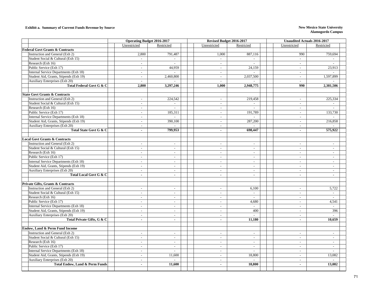### **Exhibit a. Summary of Current Funds Revenue by Source New Mexico State University New Mexico State University**

|                                                                  | <b>Operating Budget 2016-2017</b>        |                                | Revised Budget 2016-2017    |                                            | <b>Unaudited Actuals 2016-2017</b> |                             |  |  |
|------------------------------------------------------------------|------------------------------------------|--------------------------------|-----------------------------|--------------------------------------------|------------------------------------|-----------------------------|--|--|
|                                                                  | Unrestricted                             | Restricted                     | Unrestricted                | Restricted                                 | Unrestricted                       | Restricted                  |  |  |
| <b>Federal Govt Grants &amp; Contracts</b>                       |                                          |                                |                             |                                            |                                    |                             |  |  |
| Instruction and General (Exh 2)                                  | 2,800                                    | 791,487                        | 1,000                       | 887,116                                    | 990                                | 759,694                     |  |  |
| Student Social & Cultural (Exh 15)                               | $\mathbb{L}$                             | $\mathcal{L}$                  | $\sim$                      | $\sim$                                     | $\sim$                             |                             |  |  |
| Research (Exh 16)                                                | $\sim$                                   |                                | $\overline{\phantom{a}}$    |                                            | $\overline{\phantom{a}}$           |                             |  |  |
| Public Service (Exh 17)                                          | $\mathbb{L}$                             | 44,959                         | $\mathcal{L}^{\mathcal{A}}$ | 24,159                                     | $\mathcal{L}^{\pm}$                | 23,913                      |  |  |
| Internal Service Departments (Exh 18)                            | $\sim$                                   | $\mathcal{L}^{\mathcal{A}}$    | $\sim$                      |                                            | $\sim$                             |                             |  |  |
| Student Aid, Grants, Stipends (Exh 19)                           | $\overline{a}$                           | 2,460,800                      | $\sim$                      | 2,037,500                                  | $\mathcal{L}^{\pm}$                | 1,597,899                   |  |  |
| <b>Auxiliary Enterprises (Exh 20)</b>                            | $\sim$                                   |                                | $\sim$                      |                                            | $\sim$                             |                             |  |  |
| Total Federal Govt G & C                                         | 2,800                                    | 3,297,246                      | 1,000                       | 2,948,775                                  | 990                                | 2,381,506                   |  |  |
|                                                                  |                                          |                                |                             |                                            |                                    |                             |  |  |
| <b>State Govt Grants &amp; Contracts</b>                         |                                          |                                |                             |                                            |                                    |                             |  |  |
| Instruction and General (Exh 2)                                  | $\sim$                                   | 224,542                        | $\blacksquare$              | 219,458                                    | $\overline{\phantom{a}}$           | 225,334                     |  |  |
| Student Social & Cultural (Exh 15)                               | $\sim$                                   | $\overline{\phantom{a}}$       | $\sim$                      |                                            | $\blacksquare$                     |                             |  |  |
| Research (Exh 16)                                                | $\overline{a}$                           | $\mathbb{Z}^{\mathbb{Z}}$      | $\sim$                      | $\overline{a}$                             | $\sim$                             | $\mathbf{r}$                |  |  |
| Public Service (Exh 17)                                          | $\mathbb{Z}^2$                           | 185,311                        | $\sim$                      | 191.789                                    | $\sim$                             | 133,730                     |  |  |
| Internal Service Departments (Exh 18)                            | $\blacksquare$                           | $\sim$                         | $\sim$                      | $\sim$                                     | $\sim$                             |                             |  |  |
| Student Aid, Grants, Stipends (Exh 19)                           | $\blacksquare$                           | 390,100                        | $\sim$                      | 287,200                                    | $\overline{\phantom{a}}$           | 216,858                     |  |  |
| Auxiliary Enterprises (Exh 20)                                   | $\sim$                                   | $\sim$                         | $\overline{\phantom{a}}$    | $\sim$                                     | $\blacksquare$                     |                             |  |  |
| Total State Govt G & C                                           | $\omega$                                 | 799,953                        | $\sim$                      | 698,447                                    | $\blacksquare$                     | 575,922                     |  |  |
| <b>Local Govt Grants &amp; Contracts</b>                         |                                          |                                |                             |                                            |                                    |                             |  |  |
| Instruction and General (Exh 2)                                  | $\overline{\phantom{a}}$                 | $\mathcal{L}$                  | $\sim$                      | $\overline{a}$                             | $\overline{\phantom{a}}$           | $\sim$                      |  |  |
| Student Social & Cultural (Exh 15)                               | $\mathcal{L}$                            | $\mathcal{L}$                  | $\sim$                      | $\overline{a}$                             | $\mathcal{L}_{\mathcal{A}}$        | $\sim$                      |  |  |
| Research (Exh 16)                                                | $\mathbb{L}$                             | $\mathcal{L}_{\mathcal{A}}$    | $\mathbb{L}$                | $\overline{\phantom{a}}$                   | $\mathcal{L}_{\mathcal{A}}$        | $\mathbb{L}$                |  |  |
|                                                                  |                                          |                                |                             |                                            |                                    | $\sim$                      |  |  |
| Public Service (Exh 17)<br>Internal Service Departments (Exh 18) | $\sim$                                   | $\blacksquare$                 | $\mathbb{L}$                | $\sim$                                     | $\blacksquare$                     |                             |  |  |
|                                                                  | $\sim$<br>$\overline{\phantom{a}}$       | $\sim$<br>$\sim$               | $\sim$                      | $\overline{\phantom{a}}$<br>$\overline{a}$ | $\sim$                             | $\sim$<br>$\sim$            |  |  |
| Student Aid, Grants, Stipends (Exh 19)                           |                                          |                                | $\sim$                      |                                            | $\sim$                             |                             |  |  |
| Auxiliary Enterprises (Exh 20)<br>Total Local Govt G & C         | $\overline{\phantom{a}}$<br>$\mathbf{r}$ | $\blacksquare$<br>$\mathbf{r}$ | $\mathbb{L}$<br>$\omega$    | $\sim$<br>$\mathbf{r}$                     | $\blacksquare$<br>ä,               | $\sim$<br>$\blacksquare$    |  |  |
|                                                                  |                                          |                                |                             |                                            |                                    |                             |  |  |
| Private Gifts, Grants & Contracts                                |                                          |                                |                             |                                            |                                    |                             |  |  |
| Instruction and General (Exh 2)                                  | $\overline{\phantom{a}}$                 | $\sim$                         | $\overline{a}$              | 6,100                                      | $\sim$                             | 5,722                       |  |  |
| Student Social & Cultural (Exh 15)                               | $\blacksquare$                           | $\blacksquare$                 | $\sim$                      | $\mathbb{L}$                               | $\sim$                             | $\sim$                      |  |  |
| Research (Exh 16)                                                | $\sim$                                   | $\sim$                         | $\sim$                      | $\sim$                                     | $\sim$                             | $\sim$                      |  |  |
| Public Service (Exh 17)                                          | $\sim$                                   | $\sim$                         | $\sim$                      | 4,680                                      | $\sim$                             | 4,541                       |  |  |
| Internal Service Departments (Exh 18)                            | $\overline{\phantom{a}}$                 | $\sim$                         | $\sim$                      |                                            | $\sim$                             |                             |  |  |
| Student Aid, Grants, Stipends (Exh 19)                           | $\sim$                                   | $\overline{\phantom{a}}$       | $\sim$                      | 400                                        | $\blacksquare$                     | 396                         |  |  |
| <b>Auxiliary Enterprises (Exh 20)</b>                            | $\mathcal{L}$                            | $\mathbb{L}$                   | $\sim$                      |                                            | $\mathbb{L}^{\mathbb{N}}$          |                             |  |  |
| Total Private Gifts, G & C                                       | $\blacksquare$                           | $\mathbf{r}$                   | $\mathbf{r}$                | 11,180                                     | $\blacksquare$                     | 10.659                      |  |  |
|                                                                  |                                          |                                |                             |                                            |                                    |                             |  |  |
| Endow, Land & Perm Fund Income                                   |                                          |                                |                             |                                            |                                    |                             |  |  |
| Instruction and General (Exh 2)                                  | $\overline{\phantom{a}}$                 | $\sim$                         | $\sim$                      | $\overline{\phantom{a}}$                   | $\sim$                             | $\sim$                      |  |  |
| Student Social & Cultural (Exh 15)                               | $\sim$                                   | $\sim$                         | $\sim$                      | $\sim$                                     | $\sim$                             | $\sim$                      |  |  |
| Research (Exh 16)                                                | $\sim$                                   | $\overline{\phantom{a}}$       | $\blacksquare$              | $\overline{\phantom{a}}$                   | $\blacksquare$                     | $\sim$                      |  |  |
| Public Service (Exh 17)                                          | $\sim$                                   | $\overline{\phantom{a}}$       | $\mathcal{L}_{\mathcal{A}}$ | $\sim$                                     | $\overline{a}$                     | $\mathcal{L}_{\mathcal{A}}$ |  |  |
| Internal Service Departments (Exh 18)                            | $\sim$                                   | $\mathcal{L}$                  | $\sim$                      | $\overline{a}$                             | $\blacksquare$                     | $\sim$                      |  |  |
| Student Aid, Grants, Stipends (Exh 19)                           | $\mathcal{L}_{\mathcal{A}}$              | 11,600                         | $\mathbb{L}$                | 18,800                                     | $\mathcal{L}_{\mathcal{A}}$        | 13,082                      |  |  |
| <b>Auxiliary Enterprises (Exh 20)</b>                            | $\overline{\phantom{a}}$                 | $\sim$                         | $\overline{a}$              | $\overline{a}$                             | $\sim$                             |                             |  |  |
| <b>Total Endow, Land &amp; Perm Funds</b>                        | $\blacksquare$                           | 11,600                         | $\bullet$                   | 18,800                                     | $\blacksquare$                     | 13,082                      |  |  |
|                                                                  |                                          |                                |                             |                                            |                                    |                             |  |  |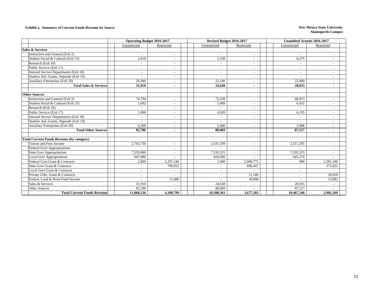### **Exhibit a. Summary of Current Funds Revenue by Source New Mexico State University New Mexico State University**

|                                                  | <b>Operating Budget 2016-2017</b> |                          | Revised Budget 2016-2017 |                          | <b>Unaudited Actuals 2016-2017</b> |                          |  |  |
|--------------------------------------------------|-----------------------------------|--------------------------|--------------------------|--------------------------|------------------------------------|--------------------------|--|--|
|                                                  | Unrestricted                      | Restricted               | Unrestricted             | Restricted               | Unrestricted                       | Restricted               |  |  |
| <b>Sales &amp; Services</b>                      |                                   |                          |                          |                          |                                    |                          |  |  |
| Instruction and General (Exh 2)                  |                                   |                          |                          |                          | $\overline{\phantom{a}}$           | $\overline{\phantom{a}}$ |  |  |
| Student Social & Cultural (Exh 15)               | 2,610                             |                          | 2,538                    |                          | 6,275                              | $\overline{a}$           |  |  |
| Research (Exh 16)                                | $\sim$                            |                          | $\overline{\phantom{a}}$ | $\overline{\phantom{a}}$ | $\overline{\phantom{a}}$           | $\overline{\phantom{a}}$ |  |  |
| Public Service (Exh 17)                          | $\overline{\phantom{a}}$          | $\overline{\phantom{a}}$ | $\sim$                   | $\overline{\phantom{a}}$ | $\overline{\phantom{a}}$           | $\overline{\phantom{a}}$ |  |  |
| Internal Service Departments (Exh 18)            | $\sim$                            | $\overline{\phantom{a}}$ | $\overline{a}$           | $\overline{\phantom{a}}$ | $\overline{\phantom{a}}$           | $\overline{a}$           |  |  |
| Student Aid, Grants, Stipends (Exh 19)           |                                   |                          |                          |                          |                                    | $\overline{\phantom{a}}$ |  |  |
| Auxiliary Enterprises (Exh 20)                   | 29,300                            |                          | 22,100                   | ۰                        | 22,680                             | $\overline{\phantom{a}}$ |  |  |
| <b>Total Sales &amp; Services</b>                | 31.910                            | $\blacksquare$           | 24,638                   | ۰                        | 28.955                             | ٠                        |  |  |
|                                                  |                                   |                          |                          |                          |                                    |                          |  |  |
| <b>Other Sources</b>                             |                                   |                          |                          |                          |                                    |                          |  |  |
| Instruction and General (Exh 2)                  | 74.794                            |                          | 72,250                   | $\overline{a}$           | 68,913                             | $\overline{a}$           |  |  |
| Student Social & Cultural (Exh 15)               | 1.692                             | $\overline{\phantom{a}}$ | 5,499                    | $\overline{\phantom{a}}$ | 6,421                              | $\overline{\phantom{a}}$ |  |  |
| Research (Exh 16)                                |                                   |                          |                          | $\overline{a}$           |                                    | $\overline{\phantom{a}}$ |  |  |
| Public Service (Exh 17)                          | 1.000                             | $\overline{\phantom{a}}$ | 4,920                    | $\overline{\phantom{a}}$ | 6,195                              | $\overline{\phantom{a}}$ |  |  |
| Internal Service Departments (Exh 18)            | $\overline{a}$                    |                          | $\overline{a}$           |                          | $\sim$                             | $\overline{\phantom{a}}$ |  |  |
| Student Aid, Grants, Stipends (Exh 19)           |                                   |                          |                          | $\overline{\phantom{a}}$ |                                    | $\overline{\phantom{a}}$ |  |  |
| Auxiliary Enterprises (Exh 20)                   | 6,300                             |                          | 5,400                    | $\overline{\phantom{a}}$ | 5,988                              | $\overline{\phantom{a}}$ |  |  |
| <b>Total Other Sources</b>                       | 83,786                            | $\blacksquare$           | 88,069                   | $\blacksquare$           | 87,517                             | $\blacksquare$           |  |  |
|                                                  |                                   |                          |                          |                          |                                    |                          |  |  |
| <b>Total Current Funds Revenue (by category)</b> |                                   |                          |                          |                          |                                    |                          |  |  |
| Tuition and Fees Income                          | 2,743,730                         | $\overline{\phantom{a}}$ | 2,431,339                | $\overline{\phantom{a}}$ | 2,511,295                          | $\sim$                   |  |  |
| <b>Federal Govt Appropriations</b>               | $\overline{\phantom{a}}$          | $\overline{\phantom{a}}$ |                          | $\overline{\phantom{a}}$ | $\overline{\phantom{a}}$           | $\sim$                   |  |  |
| <b>State Govt Appropriations</b>                 | 7,559,000                         | $\overline{\phantom{a}}$ | 7,193,315                | $\overline{\phantom{0}}$ | 7,193,315                          | $\overline{\phantom{a}}$ |  |  |
| <b>Local Govt Appropriations</b>                 | 647,000                           |                          | 650,000                  |                          | 645,274                            | $\overline{\phantom{a}}$ |  |  |
| Federal Govt Grant & Contracts                   | 2,800                             | 3,297,246                | 1.000                    | 2,948,775                | 990                                | 2,381,506                |  |  |
| <b>State Govt Grant &amp; Contracts</b>          |                                   | 799,953                  | $\sim$                   | 698,447                  | $\overline{\phantom{a}}$           | 575,922                  |  |  |
| Local Govt Grant & Contracts                     | $\overline{\phantom{a}}$          |                          | $\overline{\phantom{a}}$ |                          | $\overline{\phantom{a}}$           |                          |  |  |
| Private Gifts, Grant & Contracts                 |                                   |                          | $\overline{a}$           | 11,180                   |                                    | 10,659                   |  |  |
| Endow, Land & Perm Fund Income                   | $\overline{\phantom{a}}$          | 11,600                   |                          | 18,800                   | $\overline{\phantom{a}}$           | 13,082                   |  |  |
| Sales & Services                                 | 31,910                            |                          | 24,638                   | $\overline{\phantom{a}}$ | 28,955                             | $\overline{\phantom{a}}$ |  |  |
| Other Sources                                    | 83,786                            |                          | 88,069                   |                          | 87,517                             |                          |  |  |
| <b>Total Current Funds Revenue</b>               | 11,068,226                        | 4,108,799                | 10.388.361               | 3,677,202                | 10,467,346                         | 2,981,169                |  |  |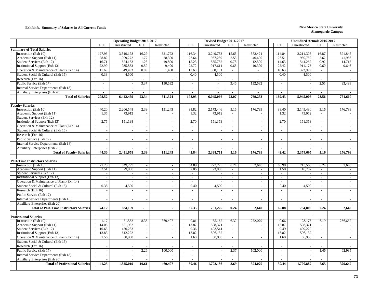### **Exhibit b. Summary of Salaries in All Current Funds New Mexico State University**

|                                                   |                             | <b>Operating Budget 2016-2017</b> |                          |                          | Revised Budget 2016-2017 |                          |                             |                          | <b>Unaudited Actuals 2016-2017</b> |                          |                          |                          |  |  |
|---------------------------------------------------|-----------------------------|-----------------------------------|--------------------------|--------------------------|--------------------------|--------------------------|-----------------------------|--------------------------|------------------------------------|--------------------------|--------------------------|--------------------------|--|--|
|                                                   | <b>FTE</b>                  | Unrestricted                      | <b>FTE</b>               | Restricted               | <b>FTE</b>               | Unrestricted             | <b>FTE</b>                  | Restricted               | <b>FTE</b>                         | Unrestricted             | <b>FTE</b>               | Restricted               |  |  |
| <b>Summary of Total Salaries</b>                  |                             |                                   |                          |                          |                          |                          |                             |                          |                                    |                          |                          |                          |  |  |
| Instruction (Exh 10)                              | 127.93                      | 3,519,178                         | 16.29                    | 621,792                  | 116.34                   | 3,249,753                | 15.65                       | 573,421                  | 114.84                             | 3,211,308                | 16.87                    | 591,845                  |  |  |
| Academic Support (Exh 11)                         | 28.82                       | 1,009,272                         | 1.77                     | 28,300                   | 27.64                    | 967,289                  | 2.53                        | 40,400                   | 26.51                              | 950,759                  | 2.62                     | 41,956                   |  |  |
| Student Services (Exh 12)                         | 16.71                       | 624,153                           | 1.23                     | 19,800                   | 15.23                    | 555,782                  | 0.78                        | 12,500                   | 14.63                              | 544,267                  | 0.92                     | 14,715                   |  |  |
| Institutional Support (Exh 13)                    | 22.99                       | 935,863                           | 0.59                     | 9,400                    | 22.72                    | 917,611                  | 0.65                        | 10,300                   | 22.42                              | 911,173                  | 0.60                     | 9,646                    |  |  |
| Operation & Maintenance of Plant (Exh 14)         | 11.69                       | 349,493                           | 0.09                     | 1,400                    | 11.60                    | 350,131                  | $\sim$                      | $\sim$                   | 10.63                              | 322,999                  | $\sim$                   |                          |  |  |
| Student Social & Cultural (Exh 15)                | 0.38                        | 4,500                             | $\sim$                   |                          | 0.40                     | 4,500                    | $\sim$                      | $\sim$                   | 0.40                               | 4,500                    | $\sim$                   | $\sim$                   |  |  |
| Research (Exh 16)                                 | $\sim$                      |                                   | $\sim$                   |                          | $\sim$                   | $\sim$                   | $\overline{\phantom{a}}$    | $\sim$                   | $\sim$                             |                          | $\sim$                   | $\sim$                   |  |  |
| Public Service (Exh 17)                           | $\mathcal{L}$               | $\sim$                            | 3.37                     | 130,632                  | $\mathbb{Z}^2$           | $\mathcal{L}$            | 3.46                        | 132,632                  | $\mathbf{r}$                       | $\overline{\phantom{a}}$ | 2.55                     | 93,498                   |  |  |
| Internal Service Departments (Exh 18)             | $\sim$                      |                                   | $\mathbf{r}$             |                          | $\sim$                   | $\overline{\phantom{a}}$ |                             |                          | $\sim$                             |                          |                          |                          |  |  |
| Auxiliary Enterprises (Exh 20)                    | $\sim$                      |                                   | $\sim$                   |                          | $\sim$                   | $\sim$                   | $\sim$                      | $\sim$                   | $\sim$                             |                          | $\sim$                   |                          |  |  |
| <b>Total of Salaries</b>                          | 208.52                      | 6,442,459                         | 23.34                    | 811,324                  | 193.93                   | 6,045,066                | 23.07                       | 769,253                  | 189.43                             | 5,945,006                | 23.56                    | 751,660                  |  |  |
|                                                   |                             |                                   |                          |                          |                          |                          |                             |                          |                                    |                          |                          |                          |  |  |
| <b>Faculty Salaries</b>                           |                             |                                   |                          |                          |                          |                          |                             |                          |                                    |                          |                          |                          |  |  |
| Instruction (Exh 10)                              | 40.20                       | 2,206,548                         | 2.39                     | 131,245                  | 38.82                    | 2,173,446                | 3.16                        | 176,799                  | 38.40                              | 2,149,430                | 3.16                     | 176,799                  |  |  |
| Academic Support (Exh 11)                         | 1.35                        | 73.912                            |                          |                          | 1.32                     | 73,912                   | $\sim$                      | $\sim$                   | 1.32                               | 73.912                   | $\sim$                   |                          |  |  |
| Student Services (Exh 12)                         | $\overline{\phantom{a}}$    |                                   | $\overline{\phantom{a}}$ |                          | $\mathbb{Z}^2$           |                          | $\sim$                      |                          | $\overline{\phantom{a}}$           |                          | $\sim$                   | $\sim$                   |  |  |
| Institutional Support (Exh 13)                    | 2.75                        | 151,198                           | $\sim$                   |                          | 2.70                     | 151,353                  | $\overline{\phantom{a}}$    | $\sim$                   | 2.70                               | 151,353                  | $\sim$                   | $\sim$                   |  |  |
| Operation & Maintenance of Plant (Exh 14)         | $\overline{\phantom{a}}$    |                                   | $\overline{\phantom{a}}$ |                          | $\overline{\phantom{a}}$ |                          | $\overline{\phantom{a}}$    | $\overline{a}$           | $\overline{\phantom{a}}$           |                          | $\sim$                   | $\sim$                   |  |  |
| Student Social & Cultural (Exh 15)                | $\mathcal{L}_{\mathcal{A}}$ | $\sim$                            | $\sim$                   |                          | $\overline{\phantom{a}}$ | $\sim$                   | $\sim$                      | $\sim$                   | $\sim$                             |                          | $\sim$                   | $\sim$                   |  |  |
| Research (Exh 16)                                 |                             |                                   |                          |                          | $\sim$                   |                          | $\sim$                      |                          | $\blacksquare$                     |                          |                          |                          |  |  |
| Public Service (Exh 17)                           |                             |                                   |                          |                          | $\sim$                   |                          | $\overline{a}$              |                          |                                    |                          | $\sim$                   |                          |  |  |
| Internal Service Departments (Exh 18)             |                             | $\overline{\phantom{a}}$          | $\sim$                   |                          | $\sim$                   |                          | $\mathcal{L}$               | $\sim$                   | $\sim$                             |                          | $\sim$                   | $\sim$                   |  |  |
| Auxiliary Enterprises (Exh 20)                    |                             |                                   |                          |                          | $\sim$                   |                          | $\sim$                      |                          | $\overline{a}$                     |                          | $\omega$                 |                          |  |  |
| <b>Total of Faculty Salaries</b>                  | 44.30                       | 2,431,658                         | 2.39                     | 131,245                  | 42.84                    | 2,398,711                | 3.16                        | 176,799                  | 42.42                              | 2,374,695                | 3.16                     | 176,799                  |  |  |
|                                                   |                             |                                   |                          |                          |                          |                          |                             |                          |                                    |                          |                          |                          |  |  |
| <b>Part-Time Instructors Salaries</b>             |                             |                                   |                          |                          |                          |                          |                             |                          |                                    |                          |                          |                          |  |  |
| Instruction (Exh 10)                              | 71.23                       | 849,799                           |                          |                          | 64.89                    | 723,725                  | 0.24                        | 2,640                    | 63.98                              | 713,563                  | 0.24                     | 2,640                    |  |  |
| Academic Support (Exh 11)                         | 2.51                        | 29,900                            | $\overline{\phantom{a}}$ |                          | 2.06                     | 23,000                   | $\sim$                      | $\overline{a}$           | 1.50                               | 16,737                   | $\sim$                   | $\overline{\phantom{a}}$ |  |  |
| Student Services (Exh 12)                         | $\bar{a}$                   |                                   | $\sim$                   |                          | $\sim$                   |                          | $\omega$                    | $\sim$                   | $\overline{\phantom{a}}$           |                          | $\sim$                   | $\sim$                   |  |  |
| Institutional Support (Exh 13)                    | $\sim$                      | $\sim$                            | $\overline{\phantom{a}}$ | $\overline{\phantom{a}}$ | $\sim$                   | $\overline{\phantom{a}}$ | $\sim$                      | $\overline{\phantom{a}}$ | $\overline{\phantom{a}}$           | $\sim$                   | $\sim$                   | $\sim$                   |  |  |
| Operation & Maintenance of Plant (Exh 14)         |                             | $\overline{\phantom{a}}$          | $\sim$                   |                          | $\sim$                   |                          | $\sim$                      | $\sim$                   | $\sim$                             |                          | $\sim$                   | $\sim$                   |  |  |
| Student Social & Cultural (Exh 15)                | 0.38                        | 4,500                             | $\overline{\phantom{a}}$ |                          | 0.40                     | 4,500                    | $\overline{\phantom{a}}$    | $\sim$                   | 0.40                               | 4,500                    | $\sim$                   | $\sim$                   |  |  |
| Research (Exh 16)                                 |                             |                                   |                          |                          | $\sim$                   |                          | $\overline{a}$              |                          |                                    |                          | $\overline{\phantom{a}}$ | $\mathbb{L}$             |  |  |
| Public Service (Exh 17)                           |                             |                                   |                          |                          | $\sim$                   |                          | $\sim$                      | $\overline{\phantom{a}}$ | $\sim$                             |                          | $\sim$                   | $\sim$                   |  |  |
| Internal Service Departments (Exh 18)             | $\overline{a}$              | $\overline{a}$                    | $\blacksquare$           |                          | $\sim$                   | $\overline{\phantom{a}}$ | $\sim$                      | $\overline{a}$           | $\overline{\phantom{a}}$           |                          | $\sim$                   | $\sim$                   |  |  |
| Auxiliary Enterprises (Exh 20)                    |                             |                                   | $\sim$                   |                          | $\sim$                   |                          | $\sim$                      |                          | $\sim$                             |                          | $\sim$                   | $\overline{\phantom{a}}$ |  |  |
| <b>Total of Part-Time Instructors Salaries</b>    | 74.12                       | 884,199                           | $\sim$                   | $\blacksquare$           | 67.35                    | 751,225                  | 0.24                        | 2,640                    | 65.88                              | 734,800                  | 0.24                     | 2,640                    |  |  |
|                                                   |                             |                                   |                          |                          |                          |                          |                             |                          |                                    |                          |                          |                          |  |  |
| <b>Professional Salaries</b>                      |                             | 51,552                            |                          |                          |                          | 35,162                   | 6.32                        |                          |                                    | 28,175                   |                          |                          |  |  |
| Instruction (Exh 10)<br>Academic Support (Exh 11) | 1.17<br>14.06               | 621,982                           | 8.35                     | 369,407                  | 0.81<br>13.87            | 598,371                  | $\overline{\phantom{a}}$    | 272,079                  | 0.66<br>13.87                      | 598,371                  | 6.19                     | 266,662                  |  |  |
| Student Services (Exh 12)                         | 10.63                       | 470,283                           | $\sim$                   |                          | 9.36                     | 403,541                  | $\sim$                      | $\sim$                   | 9.49                               | 409,229                  | $\sim$<br>$\sim$         | $\sim$                   |  |  |
| Institutional Support (Exh 13)                    | 13.83                       | 612,222                           | $\blacksquare$           | $\sim$                   | 13.82                    | $\overline{596,}132$     | $\overline{\phantom{a}}$    | $\sim$                   | 13.82                              | 596,132                  | $\sim$                   | $\overline{\phantom{a}}$ |  |  |
| Operation & Maintenance of Plant (Exh 14)         | 1.56                        | 68,980                            |                          |                          | 1.60                     | 68,980                   | $\overline{\phantom{a}}$    |                          | 1.60                               | 68,980                   | $\sim$                   |                          |  |  |
| Student Social & Cultural (Exh 15)                |                             |                                   | $\overline{a}$           |                          | $\mathbb{Z}^2$           |                          | $\mathcal{L}_{\mathcal{A}}$ |                          | $\bar{\phantom{a}}$                |                          | $\mathbb{L}$             | $\mathbb{L}$             |  |  |
| Research (Exh 16)                                 | $\sim$                      | $\sim$                            | $\overline{a}$           |                          | $\sim$                   | $\overline{a}$           | $\sim$                      |                          | $\overline{a}$                     |                          | $\sim$                   |                          |  |  |
| Public Service (Exh 17)                           | $\bar{a}$                   |                                   | 2.26                     | 100,000                  | $\sim$                   |                          | 2.37                        | 102,000                  | $\sim$                             |                          | 1.46                     | 62,985                   |  |  |
| Internal Service Departments (Exh 18)             | $\mathcal{L}$               | $\overline{a}$                    | $\sim$                   |                          | $\sim$                   | $\overline{a}$           | $\sim$                      |                          | $\sim$                             |                          | $\sim$                   |                          |  |  |
| <b>Auxiliary Enterprises (Exh 20)</b>             |                             |                                   |                          |                          | $\sim$                   |                          | $\sim$                      |                          | $\overline{a}$                     |                          | $\sim$                   |                          |  |  |
| <b>Total of Professional Salaries</b>             | 41.25                       | 1,825,019                         | 10.61                    | 469,407                  | 39.46                    | 1,702,186                | 8.69                        | 374,079                  | 39.44                              | 1,700,887                | 7.65                     | 329,647                  |  |  |
|                                                   |                             |                                   |                          |                          |                          |                          |                             |                          |                                    |                          |                          |                          |  |  |
|                                                   |                             |                                   |                          |                          |                          |                          |                             |                          |                                    |                          |                          |                          |  |  |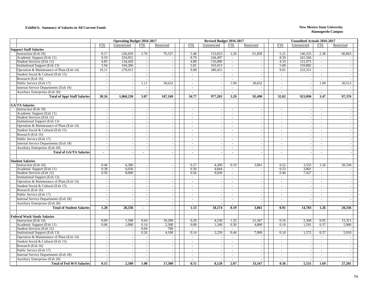### **Exhibit b. Summary of Salaries in All Current Funds New Mexico State University**

|                                                                                    |                          | <b>Operating Budget 2016-2017</b> |                             |                             | Revised Budget 2016-2017 |                          |                          |                          |                          | <b>Unaudited Actuals 2016-2017</b> |                          |                          |  |  |
|------------------------------------------------------------------------------------|--------------------------|-----------------------------------|-----------------------------|-----------------------------|--------------------------|--------------------------|--------------------------|--------------------------|--------------------------|------------------------------------|--------------------------|--------------------------|--|--|
|                                                                                    | <b>FTE</b>               | Unrestricted                      | <b>FTE</b>                  | Restricted                  | <b>FTE</b>               | Unrestricted             | <b>FTE</b>               | Restricted               | <b>FTE</b>               | Unrestricted                       | <b>FTE</b>               | Restricted               |  |  |
| <b>Support Staff Salaries</b>                                                      |                          |                                   |                             |                             |                          |                          |                          |                          |                          |                                    |                          |                          |  |  |
| Instruction (Exh 10)                                                               | 8.17                     | 226,659                           | 2.76                        | 76,537                      | 5.48                     | 153,833                  | 2.20                     | 61,858                   | 5.21                     | 146,325                            | 2.38                     | 66,863                   |  |  |
| Academic Support (Exh 11)                                                          | 9.19                     | 254,952                           | $\overline{\phantom{a}}$    | $\overline{\phantom{a}}$    | 8.70                     | 244,497                  | $\overline{\phantom{a}}$ |                          | 8.59                     | 241,566                            | $\sim$                   |                          |  |  |
| Student Services (Exh 12)                                                          | 4.85                     | 134,420                           | $\mathcal{L}_{\mathcal{A}}$ | $\sim$                      | 4.80                     | 135,009                  | $\sim$                   | $\sim$                   | 4.33                     | 121.972                            | $\sim$                   | $\sim$                   |  |  |
| <b>Institutional Support (Exh 13)</b>                                              | 5.94                     | 164,286                           | $\blacksquare$              | $\overline{\phantom{a}}$    | 5.81                     | 163,413                  | $\mathbb{L}^+$           | $\sim$                   | 5.68                     | 159,882                            | $\sim$                   | $\sim$                   |  |  |
| Operation & Maintenance of Plant (Exh 14)                                          | 10.11                    | 279,913                           | $\sim$                      | $\sim$                      | 9.98                     | 280,451                  | $\overline{\phantom{a}}$ | $\overline{a}$           | 9.01                     | 253,351                            | $\blacksquare$           |                          |  |  |
| Student Social & Cultural (Exh 15)                                                 | $\overline{a}$           |                                   | $\blacksquare$              | $\sim$                      | $\sim$                   |                          | $\overline{\phantom{a}}$ | $\overline{a}$           | $\overline{\phantom{a}}$ |                                    | $\sim$                   | $\sim$                   |  |  |
| Research (Exh 16)                                                                  | $\overline{a}$           | $\overline{\phantom{a}}$          | $\sim$                      | $\overline{a}$              | $\sim$                   |                          | $\sim$                   |                          | $\sim$                   | $\overline{\phantom{a}}$           | $\sim$                   | $\sim$                   |  |  |
| Public Service (Exh 17)                                                            | $\overline{a}$           | $\sim$                            | 1.11                        | 30,632                      | $\sim$                   |                          | 1.09                     | 30,632                   | $\sim$                   | $\sim$                             | 1.09                     | 30,513                   |  |  |
| Internal Service Departments (Exh 18)                                              | $\overline{a}$           | $\sim$                            | $\sim$                      |                             | $\sim$                   |                          | $\overline{\phantom{a}}$ |                          | $\sim$                   | $\sim$                             | $\sim$                   |                          |  |  |
| Auxiliary Enterprises (Exh 20)                                                     |                          | $\overline{a}$                    | $\sim$                      |                             | $\sim$                   |                          | $\overline{\phantom{a}}$ |                          | $\sim$                   |                                    | $\sim$                   |                          |  |  |
| <b>Total of Sppt Staff Salaries</b>                                                | 38.26                    | 1,060,230                         | 3.87                        | 107,169                     | 34.77                    | 977,203                  | 3.29                     | 92,490                   | 32.82                    | 923,096                            | 3.47                     | 97,376                   |  |  |
|                                                                                    |                          |                                   |                             |                             |                          |                          |                          |                          |                          |                                    |                          |                          |  |  |
| <b>GA/TA Salaries</b>                                                              |                          |                                   |                             |                             |                          |                          |                          |                          |                          |                                    |                          |                          |  |  |
| Instruction (Exh 10)                                                               |                          |                                   | $\overline{\phantom{a}}$    |                             | $\sim$                   |                          | $\sim$                   |                          | $\sim$                   |                                    | $\sim$                   |                          |  |  |
| Academic Support (Exh 11)                                                          | $\overline{\phantom{a}}$ | $\sim$                            | $\overline{\phantom{a}}$    | $\blacksquare$              | $\sim$                   | $\overline{a}$           | $\overline{\phantom{a}}$ | $\sim$                   | $\overline{\phantom{a}}$ | $\overline{\phantom{a}}$           | $\sim$                   | $\sim$                   |  |  |
| Student Services (Exh 12)                                                          | $\overline{\phantom{a}}$ | $\sim$                            | $\sim$                      | $\sim$                      | $\sim$                   |                          | $\sim$                   | $\sim$                   | $\overline{\phantom{a}}$ | $\overline{\phantom{a}}$           | $\sim$                   | $\sim$                   |  |  |
| <b>Institutional Support (Exh 13)</b>                                              | $\overline{a}$           | $\overline{\phantom{a}}$          | $\overline{a}$              | $\sim$                      | $\sim$                   | $\overline{\phantom{a}}$ | $\sim$                   | $\sim$                   | $\sim$                   | $\sim$                             | $\sim$                   | $\sim$                   |  |  |
| Operation & Maintenance of Plant (Exh 14)                                          | $\sim$                   | $\blacksquare$                    | $\blacksquare$              | $\sim$                      | $\overline{\phantom{a}}$ | $\overline{\phantom{a}}$ | $\sim$                   | $\sim$                   | $\overline{\phantom{a}}$ | $\overline{a}$                     | $\sim$                   | $\sim$                   |  |  |
| Student Social & Cultural (Exh 15)                                                 | $\overline{\phantom{a}}$ | $\sim$                            | $\sim$                      | $\sim$                      | $\sim$                   |                          | $\sim$                   | $\sim$                   | $\overline{\phantom{a}}$ | $\sim$                             | $\sim$                   | $\sim$                   |  |  |
| Research (Exh 16)                                                                  | $\sim$                   | $\blacksquare$                    | $\mathcal{L}$               | $\sim$                      | $\sim$                   | $\overline{\phantom{a}}$ | $\overline{a}$           | $\sim$                   | $\sim$                   | $\overline{\phantom{a}}$           | $\sim$                   | $\sim$                   |  |  |
| Public Service (Exh 17)                                                            | $\sim$                   | $\overline{\phantom{a}}$          | $\sim$                      | $\sim$                      | $\sim$                   |                          | $\sim$                   | $\sim$                   | $\overline{\phantom{a}}$ | $\overline{\phantom{a}}$           | $\sim$                   | $\sim$                   |  |  |
| Internal Service Departments (Exh 18)                                              | $\sim$                   | $\overline{\phantom{a}}$          | $\sim$                      | $\sim$                      | $\overline{a}$           | $\overline{a}$           | $\sim$                   | $\sim$                   |                          | $\sim$                             | $\mathcal{L}$            | $\sim$                   |  |  |
| <b>Auxiliary Enterprises (Exh 20)</b>                                              |                          | $\overline{\phantom{a}}$          | $\overline{\phantom{a}}$    | $\sim$                      | $\sim$                   |                          | $\sim$                   | $\sim$                   |                          | $\sim$                             | $\sim$                   | $\overline{\phantom{a}}$ |  |  |
| <b>Total of GA/TA Salaries</b>                                                     | $\sim$                   | $\blacksquare$                    | $\blacksquare$              | $\sim$                      | $\overline{\phantom{a}}$ | $\sim$                   | $\mathbf{r}$             | $\blacksquare$           | $\sim$                   | $\sim$                             | $\sim$                   | $\bullet$                |  |  |
|                                                                                    |                          |                                   |                             |                             |                          |                          |                          |                          |                          |                                    |                          |                          |  |  |
| <b>Student Salaries</b>                                                            |                          |                                   |                             |                             |                          |                          |                          |                          |                          |                                    |                          |                          |  |  |
| Instruction (Exh 10)                                                               | 0.40                     | 6,300                             | $\blacksquare$              |                             | 0.27                     | 4,300                    | 0.19                     | 3,061                    | 0.22                     | 3,555                              | 1.26                     | 20,336                   |  |  |
| Academic Support (Exh 11)                                                          | 0.38                     | 6,036                             | $\blacksquare$              | $\overline{\phantom{a}}$    | 0.30                     | 4,844                    | $\mathcal{L}$            |                          | 0.23                     | 3,801                              | $\sim$                   |                          |  |  |
| Student Services (Exh 12)                                                          | 0.50                     | 8,000                             | $\overline{\phantom{a}}$    | $\overline{\phantom{a}}$    | 0.56                     | 9,030                    | $\sim$                   | $\sim$                   | 0.46                     | 7,427                              | $\sim$                   | $\sim$                   |  |  |
| <b>Institutional Support (Exh 13)</b>                                              | $\blacksquare$           | $\sim$                            | $\sim$                      | $\mathbb{L}$                | $\sim$                   | $\sim$                   | $\sim$                   | $\blacksquare$           | $\sim$                   | $\sim$                             | $\sim$                   | $\sim$                   |  |  |
| Operation & Maintenance of Plant (Exh 14)                                          | $\overline{a}$           | $\overline{\phantom{a}}$          | $\sim$                      | $\blacksquare$              | $\sim$                   |                          | $\sim$                   | $\sim$                   |                          | $\sim$                             | $\sim$                   | $\sim$                   |  |  |
| Student Social & Cultural (Exh 15)                                                 | $\overline{a}$           | $\overline{\phantom{a}}$          | $\overline{a}$              | $\overline{a}$              | $\overline{a}$           |                          | $\sim$                   | $\sim$                   | $\sim$                   | $\overline{\phantom{a}}$           | $\mathbb{Z}^2$           | $\sim$                   |  |  |
| Research (Exh 16)                                                                  | $\overline{a}$           | $\sim$                            | $\sim$                      | $\sim$                      | $\sim$                   |                          | $\overline{\phantom{a}}$ | $\sim$                   | $\overline{\phantom{a}}$ | $\overline{\phantom{a}}$           | $\sim$                   | $\sim$                   |  |  |
| Public Service (Exh 17)                                                            | $\overline{a}$           |                                   | $\sim$                      | $\sim$                      | $\sim$                   |                          | $\sim$                   | $\sim$                   | $\overline{\phantom{a}}$ | $\sim$                             | $\sim$                   |                          |  |  |
| Internal Service Departments (Exh 18)                                              | $\sim$                   | $\overline{\phantom{a}}$          | $\overline{\phantom{a}}$    | $\mathcal{L}_{\mathcal{A}}$ | $\overline{\phantom{a}}$ |                          | $\overline{\phantom{a}}$ | $\overline{\phantom{a}}$ | $\sim$                   | $\sim$                             | $\sim$                   |                          |  |  |
| Auxiliary Enterprises (Exh 20)                                                     | $\overline{a}$           | $\overline{\phantom{a}}$          | $\sim$                      | $\mathbb{Z}^2$              | $\sim$                   |                          | $\sim$                   |                          | $\sim$                   |                                    | $\sim$                   |                          |  |  |
| <b>Total of Student Salaries</b>                                                   | 1.28                     | 20,336                            | $\sim$                      | $\blacksquare$              | 1.13                     | 18,174                   | 0.19                     | 3,061                    | 0.91                     | 14,783                             | 1.26                     | 20,336                   |  |  |
|                                                                                    |                          |                                   |                             |                             |                          |                          |                          |                          |                          |                                    |                          |                          |  |  |
| <b>Federal Work Study Salaries</b>                                                 |                          |                                   |                             |                             |                          |                          |                          |                          |                          |                                    |                          |                          |  |  |
| Instruction (Exh 10)                                                               | 0.09                     | 1,500                             | 0.64                        | 10,200                      | 0.29                     | 4,530                    | 1.33                     | 21,367                   | 0.16                     | 2,368                              | 0.95                     | 15,311                   |  |  |
| Academic Support (Exh 11)                                                          | 0.06                     | 1,000                             | 0.14                        | 2,300                       | 0.08                     | 1,340                    | 0.30                     | 4,800                    | 0.10                     | 1,591                              | 0.37                     | 5,980                    |  |  |
| Student Services (Exh 12)                                                          | $\overline{a}$           | $\overline{a}$                    | 0.04                        | 700                         | $\sim$                   |                          | $\overline{a}$           |                          | $\sim$                   |                                    | $\sim$                   |                          |  |  |
| <b>Institutional Support (Exh 13)</b><br>Operation & Maintenance of Plant (Exh 14) | $\sim$                   | $\overline{\phantom{a}}$          | 0.26                        | 4,100                       | 0.14                     | 2,250                    | 0.44                     | 7,000                    | 0.10                     | 1,572                              | 0.37                     | 5,910                    |  |  |
|                                                                                    | $\sim$                   | $\overline{\phantom{a}}$          | $\sim$                      | $\sim$                      | $\overline{\phantom{a}}$ |                          | $\sim$                   | $\sim$                   | $\sim$                   | $\overline{\phantom{a}}$           | $\sim$                   | $\overline{a}$           |  |  |
| Student Social & Cultural (Exh 15)                                                 | $\sim$                   | $\sim$                            | $\mathcal{L}$               | $\sim$                      | $\sim$                   | $\overline{a}$           | $\overline{a}$           | $\sim$                   | $\sim$                   | $\overline{a}$                     | $\sim$                   | $\overline{a}$           |  |  |
| Research (Exh 16)                                                                  |                          | $\sim$                            | $\sim$                      | $\sim$                      | $\sim$                   |                          | $\sim$                   |                          | $\overline{\phantom{a}}$ | $\overline{\phantom{a}}$           | $\sim$                   |                          |  |  |
| Public Service (Exh 17)                                                            | $\overline{a}$           | $\overline{a}$                    | $\overline{\phantom{a}}$    | $\overline{\phantom{a}}$    | $\overline{\phantom{a}}$ |                          | $\overline{\phantom{a}}$ | $\overline{a}$           |                          | $\overline{\phantom{a}}$           | $\overline{\phantom{a}}$ |                          |  |  |
| Internal Service Departments (Exh 18)                                              | $\overline{a}$           | $\overline{a}$                    | $\blacksquare$              | $\sim$                      | $\sim$                   |                          | $\overline{\phantom{a}}$ | $\sim$                   | $\overline{\phantom{a}}$ | $\overline{\phantom{a}}$           | $\sim$                   | $\sim$                   |  |  |
| Auxiliary Enterprises (Exh 20)                                                     |                          |                                   | $\overline{a}$              |                             | $\sim$                   |                          | $\sim$                   |                          | $\sim$                   | $\overline{\phantom{a}}$           | $\sim$                   | $\sim$                   |  |  |
| <b>Total of Fed W/S Salaries</b>                                                   | 0.15                     | 2.500                             | 1.08                        | 17.300                      | 0.51                     | 8.120                    | 2.07                     | 33,167                   | 0.36                     | 5.531                              | 1.69                     | 27,201                   |  |  |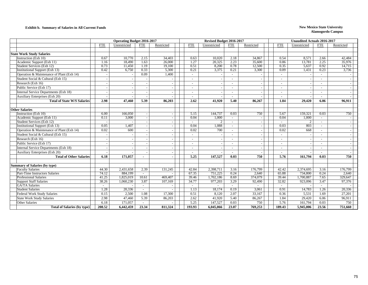### **Exhibit b. Summary of Salaries in All Current Funds New Mexico State University**

|                                                          |                | <b>Operating Budget 2016-2017</b> |                          |            | Revised Budget 2016-2017 |              |                          | <b>Unaudited Actuals 2016-2017</b> |                          |              |                          |            |  |
|----------------------------------------------------------|----------------|-----------------------------------|--------------------------|------------|--------------------------|--------------|--------------------------|------------------------------------|--------------------------|--------------|--------------------------|------------|--|
|                                                          | <b>FTE</b>     | Unrestricted                      | <b>FTE</b>               | Restricted | <b>FTE</b>               | Unrestricted | <b>FTE</b>               | Restricted                         | <b>FTE</b>               | Unrestricted | <b>FTE</b>               | Restricted |  |
|                                                          |                |                                   |                          |            |                          |              |                          |                                    |                          |              |                          |            |  |
| <b>State Work Study Salaries</b>                         |                |                                   |                          |            |                          |              |                          |                                    |                          |              |                          |            |  |
| Instruction (Exh 10)                                     | 0.67           | 10,770                            | 2.15                     | 34,403     | 0.63                     | 10.020       | 2.18                     | 34,867                             | 0.54                     | 8.571        | 2.66                     | 42.484     |  |
| Academic Support (Exh 11)                                | 1.16           | 18,490                            | 1.63                     | 26,000     | 1.27                     | 20,325       | 2.23                     | 35,600                             | 0.86                     | 13,781       | 2.25                     | 35,976     |  |
| Student Services (Exh 12)                                | 0.73           | 11,450                            | 1.19                     | 19,100     | 0.51                     | 8,200        | 0.78                     | 12,500                             | 0.35                     | 5,637        | 0.92                     | 14,715     |  |
| <b>Institutional Support (Exh 13)</b>                    | 0.42           | 6,750                             | 0.33                     | 5,300      | 0.21                     | 3,375        | 0.21                     | 3,300                              | 0.09                     | 1,431        | 0.23                     | 3,736      |  |
| Operation & Maintenance of Plant (Exh 14)                |                |                                   | 0.09                     | 1,400      | $\overline{\phantom{a}}$ |              |                          |                                    | $\overline{\phantom{a}}$ |              |                          |            |  |
| Student Social & Cultural (Exh 15)                       |                |                                   |                          |            | $\overline{\phantom{a}}$ |              |                          |                                    | $\overline{\phantom{a}}$ |              |                          |            |  |
| Research (Exh 16)                                        |                |                                   |                          |            |                          |              |                          |                                    | $\overline{\phantom{a}}$ |              |                          |            |  |
| Public Service (Exh 17)                                  |                |                                   |                          |            |                          |              |                          |                                    |                          |              |                          |            |  |
| Internal Service Departments (Exh 18)                    |                |                                   |                          |            |                          |              |                          |                                    |                          |              |                          |            |  |
| Auxiliary Enterprises (Exh 20)                           |                |                                   |                          |            |                          |              |                          |                                    |                          |              |                          |            |  |
| <b>Total of State W/S Salaries</b>                       | 2.98           | 47.460                            | 5.39                     | 86,203     | 2.62                     | 41,920       | 5.40                     | 86,267                             | 1.84                     | 29,420       | 6.06                     | 96,911     |  |
|                                                          |                |                                   |                          |            |                          |              |                          |                                    |                          |              |                          |            |  |
| <b>Other Salaries</b>                                    |                |                                   |                          |            |                          |              |                          |                                    |                          |              |                          |            |  |
| Instruction (Exh 10)                                     | 6.00           | 166,050                           | $\overline{\phantom{a}}$ |            | 5.15                     | 144,737      | 0.03                     | 750                                | 5.67                     | 159,321      | 0.03                     | 750        |  |
| Academic Support (Exh 11)                                | 0.11           | 3.000                             | $\overline{\phantom{a}}$ |            | 0.04                     | 1.000        |                          |                                    | 0.04                     | 1,000        | $\sim$                   |            |  |
| Student Services (Exh 12)                                |                |                                   | $\overline{\phantom{a}}$ |            | $\sim$                   |              |                          |                                    |                          | 2            | $\sim$                   |            |  |
| <b>Institutional Support (Exh 13)</b>                    | 0.05           | 1,407                             | $\sim$                   | $\sim$     | 0.04                     | 1,088        | $\sim$                   | $\overline{\phantom{a}}$           | 0.03                     | 803          | $\sim$                   |            |  |
| Operation & Maintenance of Plant (Exh 14)                | 0.02           | 600                               | $\overline{\phantom{a}}$ |            | 0.02                     | 700          | $\overline{\phantom{a}}$ |                                    | 0.02                     | 668          | $\overline{\phantom{a}}$ |            |  |
| Student Social & Cultural (Exh 15)                       |                |                                   |                          |            |                          |              |                          |                                    |                          |              |                          |            |  |
| Research (Exh 16)                                        |                |                                   |                          |            |                          |              |                          |                                    |                          |              |                          |            |  |
| Public Service (Exh 17)                                  |                |                                   |                          |            | $\overline{\phantom{a}}$ |              | $\overline{\phantom{a}}$ |                                    | $\overline{\phantom{a}}$ |              | $\sim$                   |            |  |
| Internal Service Departments (Exh 18)                    |                |                                   |                          |            | $\sim$                   |              |                          |                                    | $\overline{\phantom{a}}$ |              | $\sim$                   |            |  |
| Auxiliary Enterprises (Exh 20)                           |                |                                   |                          |            |                          |              |                          |                                    |                          |              |                          |            |  |
| <b>Total of Other Salaries</b>                           | 6.18           | 171.057                           |                          |            | 5.25                     | 147,527      | 0.03                     | 750                                | 5.76                     | 161.794      | 0.03                     | 750        |  |
|                                                          |                |                                   |                          |            |                          |              |                          |                                    |                          |              |                          |            |  |
| Summary of Salaries (by type)<br><b>Faculty Salaries</b> | 44.30          | 2,431,658                         | 2.39                     | 131,245    | 42.84                    | 2,398,711    | 3.16                     | 176,799                            | 42.42                    | 2,374,695    | 3.16                     | 176,799    |  |
| Part-Time Instructors Salaries                           | 74.12          | 884,199                           | $\sim$                   |            | 67.35                    | 751,225      | 0.24                     | 2,640                              | 65.88                    | 734,800      | 0.24                     | 2,640      |  |
| <b>Professional Salaries</b>                             | 41.25          | 1,825,019                         | 10.61                    | 469,407    | 39.46                    | 1,702,186    | 8.69                     | 374,079                            | 39.44                    | 1,700,887    | 7.65                     | 329,647    |  |
| <b>Support Staff Salaries</b>                            | 38.26          | 1.060.230                         | 3.87                     | 107,169    | 34.77                    | 977,203      | 3.29                     | 92.490                             | 32.82                    | 923,096      | 3.47                     | 97,376     |  |
| <b>GA/TA Salaries</b>                                    | $\blacksquare$ |                                   |                          |            | $\overline{\phantom{a}}$ |              | $\overline{\phantom{0}}$ |                                    | $\overline{\phantom{a}}$ |              |                          |            |  |
| <b>Student Salaries</b>                                  | 1.28           | 20,336                            | $\sim$                   |            | 1.13                     | 18,174       | 0.19                     | 3,061                              | 0.91                     | 14,783       | 1.26                     | 20,336     |  |
| <b>Federal Work Study Salaries</b>                       | 0.15           | 2.500                             | 1.08                     | 17,300     | 0.51                     | 8,120        | 2.07                     | 33,167                             | 0.36                     | 5.531        | 1.69                     | 27,201     |  |
| State Work Study Salaries                                | 2.98           | 47,460                            | 5.39                     | 86,203     | 2.62                     | 41,920       | 5.40                     | 86,267                             | 1.84                     | 29,420       | 6.06                     | 96,911     |  |
| Other Salaries                                           | 6.18           | 171,057                           |                          |            | 5.25                     | 147,527      | 0.03                     | 750                                | 5.76                     | 161,794      | 0.03                     | 750        |  |
| <b>Total of Salaries (by type)</b>                       | 208.52         | 6,442,459                         | 23.34                    | 811,324    | 193.93                   | 6,045,066    | 23.07                    | 769,253                            | 189.43                   | 5,945,006    | 23.56                    | 751.660    |  |